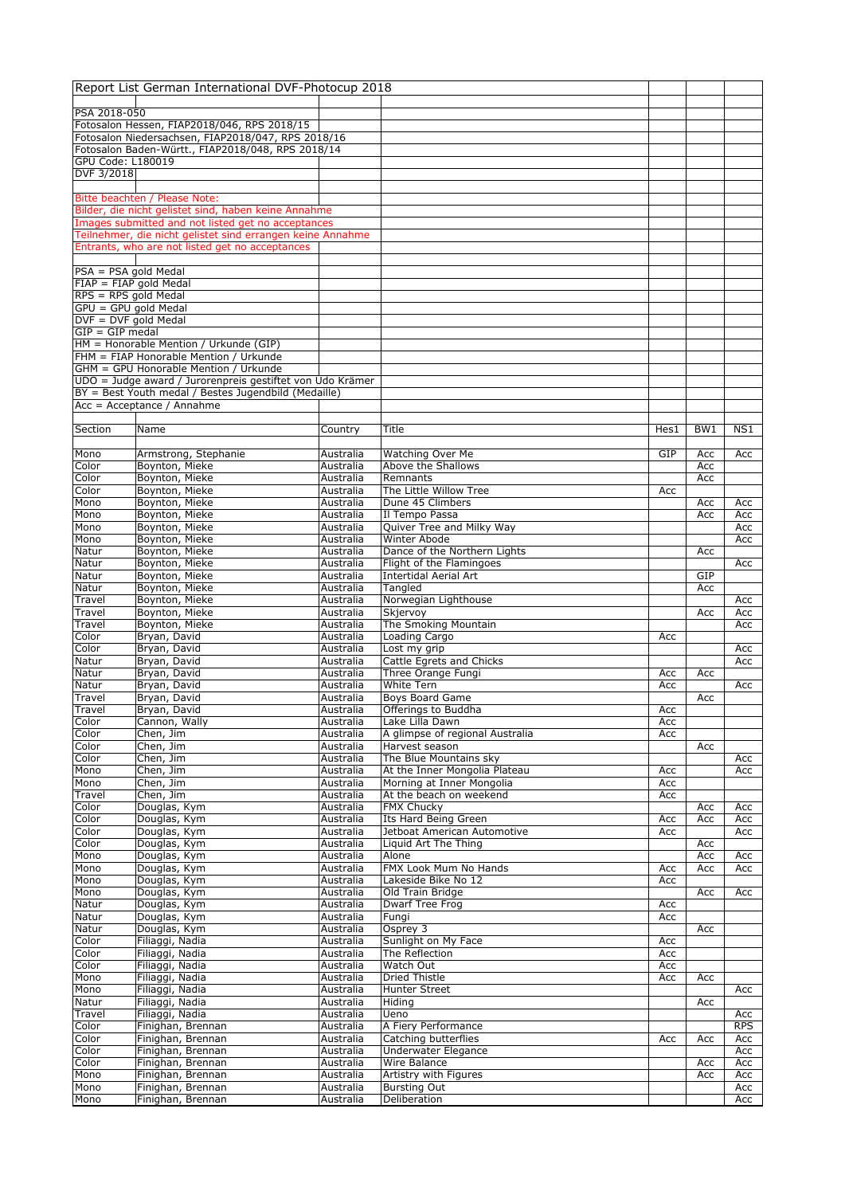|                                              | Report List German International DVF-Photocup 2018                                    |                        |                                                            |            |            |            |
|----------------------------------------------|---------------------------------------------------------------------------------------|------------------------|------------------------------------------------------------|------------|------------|------------|
|                                              |                                                                                       |                        |                                                            |            |            |            |
| PSA 2018-050                                 | Fotosalon Hessen, FIAP2018/046, RPS 2018/15                                           |                        |                                                            |            |            |            |
|                                              | Fotosalon Niedersachsen, FIAP2018/047, RPS 2018/16                                    |                        |                                                            |            |            |            |
|                                              | Fotosalon Baden-Württ., FIAP2018/048, RPS 2018/14                                     |                        |                                                            |            |            |            |
| GPU Code: L180019                            |                                                                                       |                        |                                                            |            |            |            |
| DVF 3/2018                                   |                                                                                       |                        |                                                            |            |            |            |
|                                              |                                                                                       |                        |                                                            |            |            |            |
|                                              | Bitte beachten / Please Note:<br>Bilder, die nicht gelistet sind, haben keine Annahme |                        |                                                            |            |            |            |
|                                              | Images submitted and not listed get no acceptances                                    |                        |                                                            |            |            |            |
|                                              | Teilnehmer, die nicht gelistet sind errangen keine Annahme                            |                        |                                                            |            |            |            |
|                                              | Entrants, who are not listed get no acceptances                                       |                        |                                                            |            |            |            |
|                                              |                                                                                       |                        |                                                            |            |            |            |
| $PSA = PSA$ gold Medal                       |                                                                                       |                        |                                                            |            |            |            |
| $FIAP = FIAP$ gold Medal                     |                                                                                       |                        |                                                            |            |            |            |
| RPS = RPS gold Medal<br>GPU = GPU gold Medal |                                                                                       |                        |                                                            |            |            |            |
| $DVF = DVF$ gold Medal                       |                                                                                       |                        |                                                            |            |            |            |
| $GIP = GIP$ medal                            |                                                                                       |                        |                                                            |            |            |            |
|                                              | HM = Honorable Mention / Urkunde (GIP)                                                |                        |                                                            |            |            |            |
|                                              | FHM = FIAP Honorable Mention / Urkunde                                                |                        |                                                            |            |            |            |
|                                              | GHM = GPU Honorable Mention / Urkunde                                                 |                        |                                                            |            |            |            |
|                                              | UDO = Judge award / Jurorenpreis gestiftet von Udo Krämer                             |                        |                                                            |            |            |            |
|                                              | BY = Best Youth medal / Bestes Jugendbild (Medaille)<br>Acc = Acceptance / Annahme    |                        |                                                            |            |            |            |
|                                              |                                                                                       |                        |                                                            |            |            |            |
| Section                                      | Name                                                                                  | Country                | Title                                                      | Hes1       | BW1        | NS1        |
|                                              |                                                                                       |                        |                                                            |            |            |            |
| Mono                                         | Armstrong, Stephanie                                                                  | Australia              | Watching Over Me                                           | GIP        | Acc        | Acc        |
| Color                                        | Boynton, Mieke                                                                        | Australia              | Above the Shallows                                         |            | Acc        |            |
| Color<br>Color                               | Boynton, Mieke<br>Boynton, Mieke                                                      | Australia<br>Australia | Remnants<br>The Little Willow Tree                         |            | Acc        |            |
| Mono                                         | Boynton, Mieke                                                                        | Australia              | Dune 45 Climbers                                           | Acc        | Acc        | Acc        |
| Mono                                         | Boynton, Mieke                                                                        | Australia              | Il Tempo Passa                                             |            | Acc        | Acc        |
| Mono                                         | Boynton, Mieke                                                                        | Australia              | Quiver Tree and Milky Way                                  |            |            | Acc        |
| Mono                                         | Boynton, Mieke                                                                        | Australia              | Winter Abode                                               |            |            | Acc        |
| Natur                                        | Boynton, Mieke                                                                        | Australia              | Dance of the Northern Lights                               |            | Acc        |            |
| Natur                                        | Boynton, Mieke                                                                        | Australia              | Flight of the Flamingoes                                   |            |            | Acc        |
| Natur                                        | Boynton, Mieke                                                                        | Australia              | <b>Intertidal Aerial Art</b>                               |            | GIP        |            |
| Natur<br>Travel                              | Boynton, Mieke<br>Boynton, Mieke                                                      | Australia<br>Australia | Tangled<br>Norwegian Lighthouse                            |            | Acc        | Acc        |
| Travel                                       | Boynton, Mieke                                                                        | Australia              | Skjervoy                                                   |            | Acc        | Acc        |
| Travel                                       | Boynton, Mieke                                                                        | Australia              | The Smoking Mountain                                       |            |            | Acc        |
| Color                                        | Bryan, David                                                                          | Australia              | Loading Cargo                                              | Acc        |            |            |
| Color                                        | Bryan, David                                                                          | Australia              | Lost my grip                                               |            |            | Acc        |
| Natur                                        | Bryan, David                                                                          | Australia              | Cattle Egrets and Chicks                                   |            |            | Acc        |
| Natur<br>Natur                               | Bryan, David                                                                          | Australia<br>Australia | Three Orange Fungi<br><b>White Tern</b>                    | Acc        | Acc        |            |
| Travel                                       | Bryan, David<br>Bryan, David                                                          | Australia              | <b>Boys Board Game</b>                                     | Acc        | Acc        | Acc        |
| Travel                                       | Bryan, David                                                                          | Australia              | Offerings to Buddha                                        | Acc        |            |            |
| Color                                        | Cannon, Wally                                                                         | Australia              | Lake Lilla Dawn                                            | Acc        |            |            |
| Color                                        | Chen, Jim                                                                             | Australia              | A glimpse of regional Australia                            | Acc        |            |            |
| Color                                        | Chen, Jim                                                                             | Australia              | Harvest season                                             |            | Acc        |            |
| Color                                        | Chen, Jim                                                                             | Australia              | The Blue Mountains sky                                     |            |            | Acc        |
| Mono<br>Mono                                 | Chen, Jim<br>Chen, Jim                                                                | Australia<br>Australia | At the Inner Mongolia Plateau<br>Morning at Inner Mongolia | Acc<br>Acc |            | Acc        |
| Travel                                       | Chen, Jim                                                                             | Australia              | At the beach on weekend                                    | Acc        |            |            |
| Color                                        | Douglas, Kym                                                                          | Australia              | <b>FMX Chucky</b>                                          |            | Acc        | Acc        |
| Color                                        | Douglas, Kym                                                                          | Australia              | Its Hard Being Green                                       | Acc        | Acc        | Acc        |
| Color                                        | Douglas, Kym                                                                          | Australia              | Jetboat American Automotive                                | Acc        |            | Acc        |
| Color                                        | Douglas, Kym                                                                          | Australia              | Liquid Art The Thing                                       |            | Acc        |            |
| Mono<br>Mono                                 | Douglas, Kym<br>Douglas, Kym                                                          | Australia<br>Australia | Alone<br>FMX Look Mum No Hands                             | Acc        | Acc<br>Acc | Acc<br>Acc |
| Mono                                         | Douglas, Kym                                                                          | Australia              | Lakeside Bike No 12                                        | Acc        |            |            |
| Mono                                         | Douglas, Kym                                                                          | Australia              | Old Train Bridge                                           |            | Acc        | Acc        |
| Natur                                        | Douglas, Kym                                                                          | Australia              | Dwarf Tree Frog                                            | Acc        |            |            |
| Natur                                        | Douglas, Kym                                                                          | Australia              | Fungi                                                      | Acc        |            |            |
| Natur                                        | Douglas, Kym                                                                          | Australia              | Osprey 3                                                   |            | Acc        |            |
| Color                                        | Filiaggi, Nadia                                                                       | Australia              | Sunlight on My Face                                        | Acc        |            |            |
| Color<br>Color                               | Filiaggi, Nadia<br>Filiaggi, Nadia                                                    | Australia<br>Australia | The Reflection<br>Watch Out                                | Acc<br>Acc |            |            |
| Mono                                         | Filiaggi, Nadia                                                                       | Australia              | <b>Dried Thistle</b>                                       | Acc        | Acc        |            |
| Mono                                         | Filiaggi, Nadia                                                                       | Australia              | <b>Hunter Street</b>                                       |            |            | Acc        |
| Natur                                        | Filiaggi, Nadia                                                                       | Australia              | Hiding                                                     |            | Acc        |            |
| Travel                                       | Filiaggi, Nadia                                                                       | Australia              | Ueno                                                       |            |            | Acc        |
| Color                                        | Finighan, Brennan                                                                     | Australia              | A Fiery Performance                                        |            |            | <b>RPS</b> |
| Color                                        | Finighan, Brennan                                                                     | Australia              | Catching butterflies                                       | Acc        | Acc        | Acc        |
| Color<br>Color                               | Finighan, Brennan<br>Finighan, Brennan                                                | Australia<br>Australia | Underwater Elegance<br>Wire Balance                        |            | Acc        | Acc<br>Acc |
| Mono                                         | Finighan, Brennan                                                                     | Australia              | Artistry with Figures                                      |            | Acc        | Acc        |
| Mono                                         | Finighan, Brennan                                                                     | Australia              | <b>Bursting Out</b>                                        |            |            | Acc        |
| Mono                                         | Finighan, Brennan                                                                     | Australia              | Deliberation                                               |            |            | Acc        |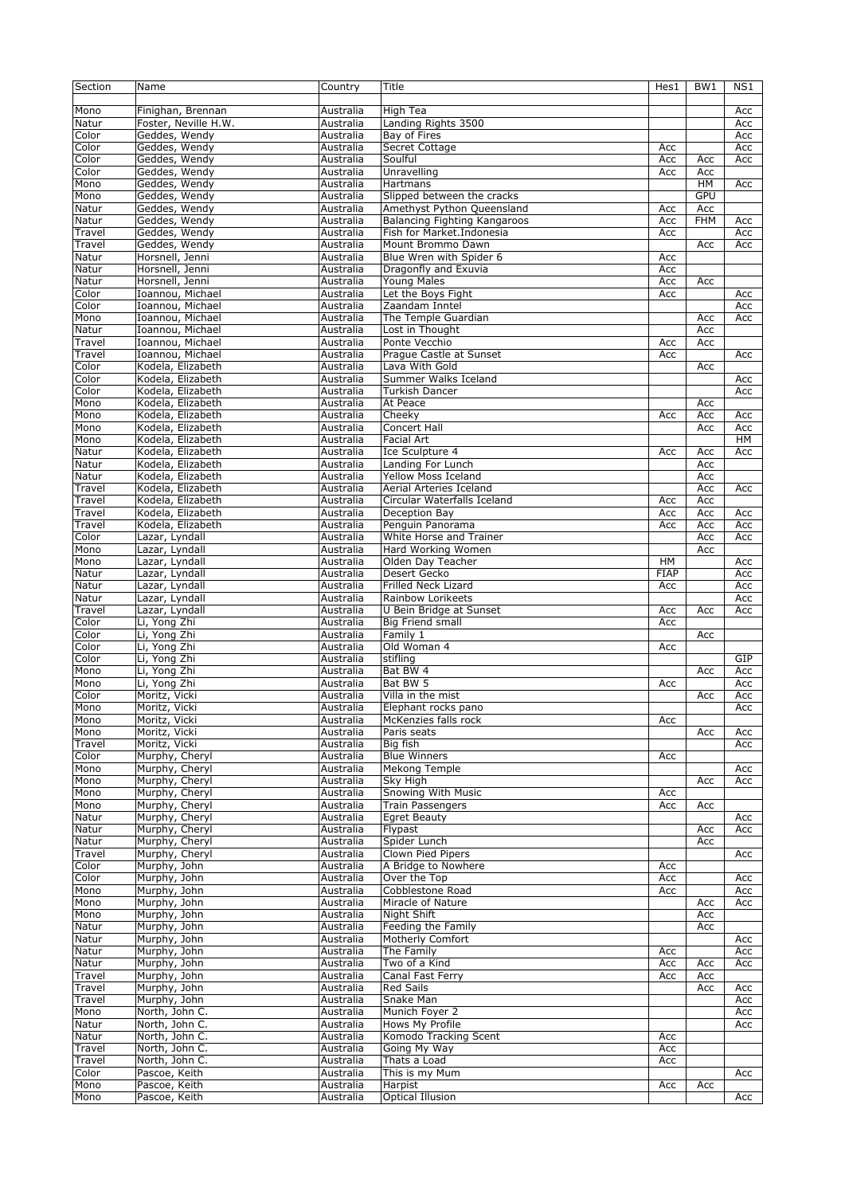| Section | Name                 | Country   | Title                        | Hes1        | BW1        | NS1 |
|---------|----------------------|-----------|------------------------------|-------------|------------|-----|
|         |                      |           |                              |             |            |     |
| Mono    | Finighan, Brennan    | Australia | High Tea                     |             |            | Acc |
| Natur   | Foster, Neville H.W. | Australia | Landing Rights 3500          |             |            | Acc |
| Color   | Geddes, Wendy        | Australia | Bay of Fires                 |             |            | Acc |
| Color   | Geddes, Wendy        |           | Secret Cottage               |             |            |     |
|         |                      | Australia |                              | Acc         |            | Acc |
| Color   | Geddes, Wendy        | Australia | Soulful                      | Acc         | Acc        | Acc |
| Color   | Geddes, Wendy        | Australia | Unravelling                  | Acc         | Acc        |     |
| Mono    | Geddes, Wendy        | Australia | Hartmans                     |             | HМ         | Acc |
| Mono    | Geddes, Wendy        | Australia | Slipped between the cracks   |             | <b>GPU</b> |     |
| Natur   | Geddes, Wendy        | Australia | Amethyst Python Queensland   | Acc         | Acc        |     |
| Natur   | Geddes, Wendy        | Australia | Balancing Fighting Kangaroos | Acc         | <b>FHM</b> | Acc |
| Travel  | Geddes, Wendy        | Australia | Fish for Market.Indonesia    | Acc         |            | Acc |
| Travel  | Geddes, Wendy        | Australia | Mount Brommo Dawn            |             | Acc        | Acc |
| Natur   | Horsnell, Jenni      | Australia | Blue Wren with Spider 6      | Acc         |            |     |
| Natur   | Horsnell, Jenni      | Australia | Dragonfly and Exuvia         | Acc         |            |     |
| Natur   | Horsnell, Jenni      | Australia | Young Males                  | Acc         | Acc        |     |
| Color   | Ioannou, Michael     | Australia | Let the Boys Fight           |             |            | Acc |
|         |                      |           |                              | Acc         |            |     |
| Color   | Ioannou, Michael     | Australia | Zaandam Inntel               |             |            | Acc |
| Mono    | Ioannou, Michael     | Australia | The Temple Guardian          |             | Acc        | Acc |
| Natur   | Ioannou, Michael     | Australia | Lost in Thought              |             | Acc        |     |
| Travel  | Ioannou, Michael     | Australia | Ponte Vecchio                | Acc         | Acc        |     |
| Travel  | Ioannou, Michael     | Australia | Prague Castle at Sunset      | Acc         |            | Acc |
| Color   | Kodela, Elizabeth    | Australia | Lava With Gold               |             | Acc        |     |
| Color   | Kodela, Elizabeth    | Australia | Summer Walks Iceland         |             |            | Acc |
| Color   | Kodela, Elizabeth    | Australia | Turkish Dancer               |             |            | Acc |
| Mono    | Kodela, Elizabeth    | Australia | At Peace                     |             | Acc        |     |
| Mono    | Kodela, Elizabeth    | Australia | Cheeky                       | Acc         | Acc        | Acc |
| Mono    | Kodela, Elizabeth    | Australia | Concert Hall                 |             | Acc        | Acc |
| Mono    | Kodela, Elizabeth    | Australia | <b>Facial Art</b>            |             |            | HM  |
| Natur   | Kodela, Elizabeth    | Australia | Ice Sculpture 4              | Acc         | Acc        | Acc |
| Natur   | Kodela, Elizabeth    | Australia |                              |             | Acc        |     |
|         |                      |           | Landing For Lunch            |             |            |     |
| Natur   | Kodela, Elizabeth    | Australia | <b>Yellow Moss Iceland</b>   |             | Acc        |     |
| Travel  | Kodela, Elizabeth    | Australia | Aerial Arteries Iceland      |             | Acc        | Acc |
| Travel  | Kodela, Elizabeth    | Australia | Circular Waterfalls Iceland  | Acc         | Acc        |     |
| Travel  | Kodela, Elizabeth    | Australia | Deception Bay                | Acc         | Acc        | Acc |
| Travel  | Kodela, Elizabeth    | Australia | Penguin Panorama             | Acc         | Acc        | Acc |
| Color   | Lazar, Lyndall       | Australia | White Horse and Trainer      |             | Acc        | Acc |
| Mono    | Lazar, Lyndall       | Australia | Hard Working Women           |             | Acc        |     |
| Mono    | Lazar, Lyndall       | Australia | Olden Day Teacher            | HM          |            | Acc |
| Natur   | Lazar, Lyndall       | Australia | Desert Gecko                 | <b>FIAP</b> |            | Acc |
| Natur   | Lazar, Lyndall       | Australia | Frilled Neck Lizard          | Acc         |            | Acc |
| Natur   | Lazar, Lyndall       | Australia | Rainbow Lorikeets            |             |            | Acc |
|         |                      |           |                              |             |            |     |
| Travel  | Lazar, Lyndall       | Australia | U Bein Bridge at Sunset      | Acc         | Acc        | Acc |
| Color   | Li, Yong Zhi         | Australia | Big Friend small             | Acc         |            |     |
| Color   | Li, Yong Zhi         | Australia | Family 1                     |             | Acc        |     |
| Color   | Li, Yong Zhi         | Australia | Old Woman 4                  | Acc         |            |     |
| Color   | Li, Yong Zhi         | Australia | stifling                     |             |            | GIP |
| Mono    | Li, Yong Zhi         | Australia | Bat BW 4                     |             | Acc        | Acc |
| Mono    | Li, Yong Zhi         | Australia | Bat BW 5                     | Acc         |            | Acc |
| Color   | Moritz, Vicki        | Australia | Villa in the mist            |             | Acc        | Acc |
| Mono    | Moritz, Vicki        | Australia | Elephant rocks pano          |             |            | Acc |
| Mono    | Moritz, Vicki        | Australia | McKenzies falls rock         | Acc         |            |     |
| Mono    | Moritz, Vicki        | Australia | Paris seats                  |             | Acc        | Acc |
| Travel  | Moritz, Vicki        | Australia | Big fish                     |             |            | Acc |
| Color   | Murphy, Cheryl       | Australia | <b>Blue Winners</b>          | Acc         |            |     |
|         |                      |           |                              |             |            |     |
| Mono    | Murphy, Cheryl       | Australia | Mekong Temple                |             |            | Acc |
| Mono    | Murphy, Cheryl       | Australia | Sky High                     |             | Acc        | Acc |
| Mono    | Murphy, Cheryl       | Australia | <b>Snowing With Music</b>    | Acc         |            |     |
| Mono    | Murphy, Cheryl       | Australia | <b>Train Passengers</b>      | Acc         | Acc        |     |
| Natur   | Murphy, Cheryl       | Australia | Earet Beauty                 |             |            | Acc |
| Natur   | Murphy, Cheryl       | Australia | Flypast                      |             | Acc        | Acc |
| Natur   | Murphy, Cheryl       | Australia | Spider Lunch                 |             | Acc        |     |
| Travel  | Murphy, Cheryl       | Australia | Clown Pied Pipers            |             |            | Acc |
| Color   | Murphy, John         | Australia | A Bridge to Nowhere          | Acc         |            |     |
| Color   | Murphy, John         | Australia | Over the Top                 | Acc         |            | Acc |
| Mono    | Murphy, John         | Australia | Cobblestone Road             | Acc         |            | Acc |
| Mono    | Murphy, John         | Australia | Miracle of Nature            |             | Acc        | Acc |
| Mono    | Murphy, John         | Australia | Night Shift                  |             | Acc        |     |
| Natur   | Murphy, John         | Australia | Feeding the Family           |             | Acc        |     |
|         |                      |           | Motherly Comfort             |             |            |     |
| Natur   | Murphy, John         | Australia |                              |             |            | Acc |
| Natur   | Murphy, John         | Australia | The Family                   | Acc         |            | Acc |
| Natur   | Murphy, John         | Australia | Two of a Kind                | Acc         | Acc        | Acc |
| Travel  | Murphy, John         | Australia | Canal Fast Ferry             | Acc         | Acc        |     |
| Travel  | Murphy, John         | Australia | <b>Red Sails</b>             |             | Acc        | Acc |
| Travel  | Murphy, John         | Australia | Snake Man                    |             |            | Acc |
| Mono    | North, John C.       | Australia | Munich Foyer 2               |             |            | Acc |
| Natur   | North, John C.       | Australia | Hows My Profile              |             |            | Acc |
| Natur   | North, John C.       | Australia | Komodo Tracking Scent        | Acc         |            |     |
| Travel  | North, John C.       | Australia | Going My Way                 | Acc         |            |     |
| Travel  | North, John C.       | Australia | Thats a Load                 | Acc         |            |     |
| Color   | Pascoe, Keith        | Australia | This is my Mum               |             |            | Acc |
| Mono    | Pascoe, Keith        | Australia | Harpist                      | Acc         | Acc        |     |
| Mono    | Pascoe, Keith        | Australia | <b>Optical Illusion</b>      |             |            | Acc |
|         |                      |           |                              |             |            |     |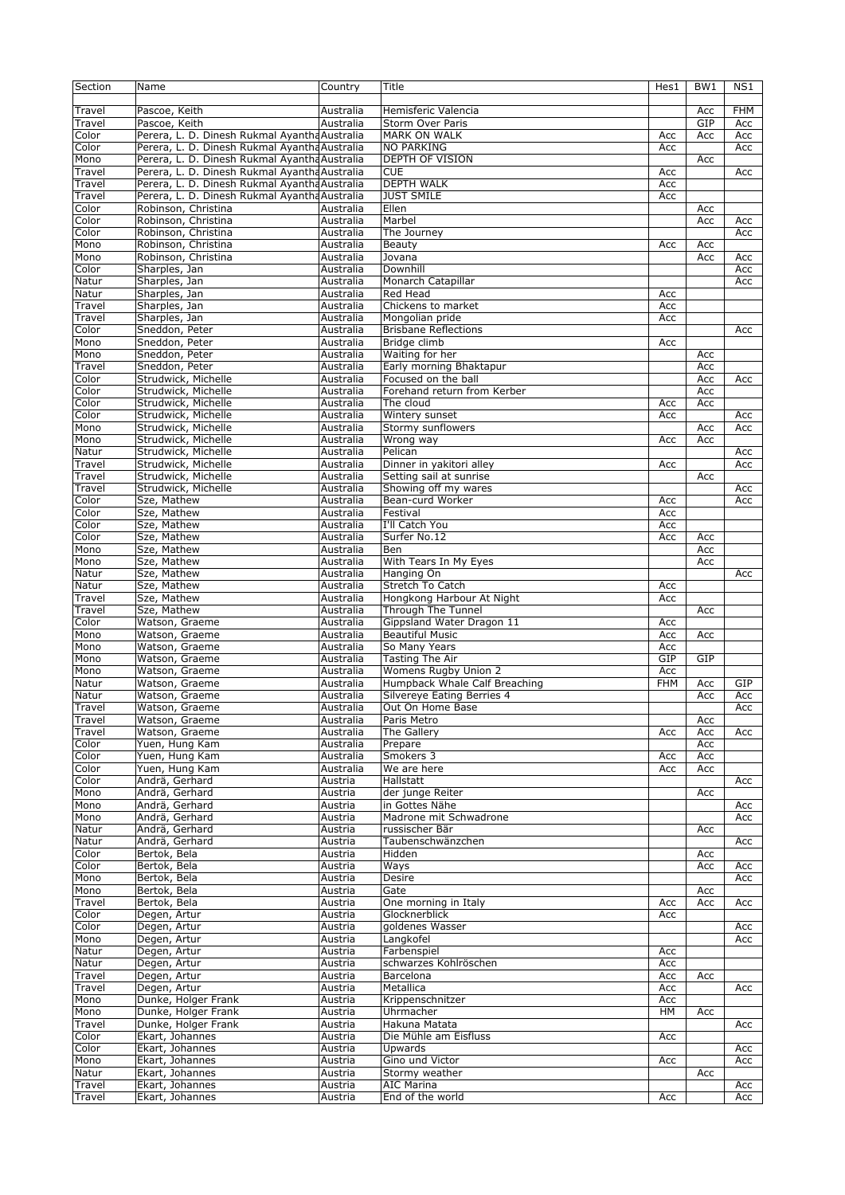| Section          | Name                                          | Country            | Title                          | Hes1       | BW <sub>1</sub> | NS1        |
|------------------|-----------------------------------------------|--------------------|--------------------------------|------------|-----------------|------------|
|                  |                                               |                    |                                |            |                 |            |
| Travel           | Pascoe, Keith                                 | Australia          | Hemisferic Valencia            |            | Acc             | <b>FHM</b> |
| Travel           | Pascoe, Keith                                 | Australia          | Storm Over Paris               |            | GIP             | Acc        |
|                  |                                               |                    |                                |            |                 |            |
| Color            | Perera, L. D. Dinesh Rukmal Ayantha Australia |                    | <b>MARK ON WALK</b>            | Acc        | Acc             | Acc        |
| Color            | Perera, L. D. Dinesh Rukmal Ayantha Australia |                    | <b>NO PARKING</b>              | Acc        |                 | Acc        |
| Mono             | Perera, L. D. Dinesh Rukmal Ayantha Australia |                    | <b>DEPTH OF VISION</b>         |            | Acc             |            |
| Travel           | Perera, L. D. Dinesh Rukmal Ayantha Australia |                    | <b>CUE</b>                     | Acc        |                 | Acc        |
| Travel           | Perera, L. D. Dinesh Rukmal Ayantha Australia |                    | <b>DEPTH WALK</b>              | Acc        |                 |            |
| Travel           | Perera, L. D. Dinesh Rukmal Ayantha Australia |                    | <b>JUST SMILE</b>              | Acc        |                 |            |
| Color            | Robinson, Christina                           | Australia          | Ellen                          |            | Acc             |            |
|                  |                                               | Australia          | Marbel                         |            | Acc             |            |
| Color            | Robinson, Christina                           |                    |                                |            |                 | Acc        |
| Color            | Robinson, Christina                           | Australia          | The Journey                    |            |                 | Acc        |
| Mono             | Robinson, Christina                           | Australia          | Beauty                         | Acc        | Acc             |            |
| Mono             | Robinson, Christina                           | Australia          | Jovana                         |            | Acc             | Acc        |
| Color            | Sharples, Jan                                 | Australia          | Downhill                       |            |                 | Acc        |
| Natur            | Sharples, Jan                                 | Australia          | Monarch Catapillar             |            |                 | Acc        |
|                  |                                               |                    |                                |            |                 |            |
| Natur            | Sharples, Jan                                 | Australia          | Red Head                       | Acc        |                 |            |
| Travel           | Sharples, Jan                                 | Australia          | Chickens to market             | Acc        |                 |            |
| Travel           | Sharples, Jan                                 | Australia          | Mongolian pride                | Acc        |                 |            |
| Color            | Sneddon, Peter                                | Australia          | <b>Brisbane Reflections</b>    |            |                 | Acc        |
| Mono             | Sneddon, Peter                                | Australia          | Bridge climb                   | Acc        |                 |            |
| Mono             | Sneddon, Peter                                | Australia          | Waiting for her                |            | Acc             |            |
|                  |                                               |                    |                                |            |                 |            |
| Travel           | Sneddon, Peter                                | Australia          | Early morning Bhaktapur        |            | Acc             |            |
| Color            | Strudwick, Michelle                           | Australia          | Focused on the ball            |            | Acc             | Acc        |
| Color            | Strudwick, Michelle                           | Australia          | Forehand return from Kerber    |            | Acc             |            |
| Color            | Strudwick, Michelle                           | Australia          | The cloud                      | Acc        | Acc             |            |
| Color            | Strudwick, Michelle                           | Australia          | Wintery sunset                 | Acc        |                 | Acc        |
| Mono             | Strudwick, Michelle                           | Australia          | Stormy sunflowers              |            | Acc             | Acc        |
|                  |                                               |                    |                                |            |                 |            |
| Mono             | Strudwick, Michelle                           | Australia          | Wrong way                      | Acc        | Acc             |            |
| Natur            | Strudwick, Michelle                           | Australia          | Pelican                        |            |                 | Acc        |
| Travel           | Strudwick, Michelle                           | Australia          | Dinner in yakitori alley       | Acc        |                 | Acc        |
| Travel           | Strudwick, Michelle                           | Australia          | Setting sail at sunrise        |            | Acc             |            |
| Travel           | Strudwick, Michelle                           | Australia          | Showing off my wares           |            |                 | Acc        |
| Color            | Sze, Mathew                                   | Australia          | Bean-curd Worker               | Acc        |                 | Acc        |
|                  |                                               |                    |                                |            |                 |            |
| Color            | Sze, Mathew                                   | Australia          | Festival                       | Acc        |                 |            |
| $C$ olor         | Sze, Mathew                                   | Australia          | I'll Catch You                 | Acc        |                 |            |
| Color            | Sze, Mathew                                   | Australia          | Surfer No.12                   | Acc        | Acc             |            |
| Mono             | Sze, Mathew                                   | Australia          | Ben                            |            | Acc             |            |
| Mono             | Sze, Mathew                                   | Australia          | With Tears In My Eyes          |            | Acc             |            |
| Natur            | Sze, Mathew                                   | Australia          | Hanging On                     |            |                 | Acc        |
|                  |                                               |                    |                                |            |                 |            |
| Natur            | Sze, Mathew                                   | Australia          | Stretch To Catch               | Acc        |                 |            |
|                  |                                               |                    |                                |            |                 |            |
| Travel           | Sze, Mathew                                   | Australia          | Hongkong Harbour At Night      | Acc        |                 |            |
| Travel           | Sze, Mathew                                   | Australia          | Through The Tunnel             |            | Acc             |            |
|                  |                                               |                    |                                |            |                 |            |
| Color            | Watson, Graeme                                | Australia          | Gippsland Water Dragon 11      | Acc        |                 |            |
| Mono             | Watson, Graeme                                | Australia          | <b>Beautiful Music</b>         | Acc        | Acc             |            |
| Mono             | Watson, Graeme                                | Australia          | So Many Years                  | Acc        |                 |            |
| Mono             | Watson, Graeme                                | Australia          | <b>Tasting The Air</b>         | GIP        | GIP             |            |
| Mono             | Watson, Graeme                                | Australia          | Womens Rugby Union 2           | Acc        |                 |            |
| Natur            | Watson, Graeme                                | Australia          | Humpback Whale Calf Breaching  | <b>FHM</b> | Acc             | GIP        |
|                  |                                               |                    |                                |            |                 |            |
| Natur            | Watson, Graeme                                | Australia          | Silvereye Eating Berries 4     |            | Acc             | Acc        |
| Travel           | Watson, Graeme                                | Australia          | Out On Home Base               |            |                 | Acc        |
| Travel           | Watson, Graeme                                | Australia          | Paris Metro                    |            | Acc             |            |
| Travel           | Watson, Graeme                                | Australia          | The Gallery                    | Acc        | Acc             | Acc        |
| Color            | Yuen, Hung Kam                                | Australia          | Prepare                        |            | Acc             |            |
| Color            | Yuen, Hung Kam                                | Australia          | Smokers 3                      | Acc        | Acc             |            |
| Color            | Yuen, Hung Kam                                | Australia          |                                | Acc        | Acc             |            |
|                  |                                               |                    | $\overline{w}$ e are here      |            |                 |            |
| Color            | Andrä, Gerhard                                | Austria            | Hallstatt                      |            |                 | Acc        |
| Mono             | Andrä, Gerhard                                | Austria            | der junge Reiter               |            | Acc             |            |
| Mono             | Andrä, Gerhard                                | Austria            | in Gottes Nähe                 |            |                 | Acc        |
| Mono             | Andrä, Gerhard                                | Austria            | Madrone mit Schwadrone         |            |                 | Acc        |
| Natur            | Andrä, Gerhard                                | Austria            | russischer Bär                 |            | Acc             |            |
| Natur            | Andrä, Gerhard                                | Austria            | Taubenschwänzchen              |            |                 | Acc        |
|                  |                                               |                    |                                |            |                 |            |
| Color            | Bertok, Bela                                  | Austria            | Hidden                         |            | Acc             |            |
| Color            | Bertok, Bela                                  | Austria            | Ways                           |            | Acc             | Acc        |
| Mono             | Bertok, Bela                                  | Austria            | Desire                         |            |                 | Acc        |
| Mono             | Bertok, Bela                                  | Austria            | Gate                           |            | Acc             |            |
| Travel           | Bertok, Bela                                  | Austria            | One morning in Italy           | Acc        | Acc             | Acc        |
| Color            | Degen, Artur                                  | Austria            | Glocknerblick                  | Acc        |                 |            |
|                  |                                               |                    |                                |            |                 |            |
| Color            | Degen, Artur                                  | Austria            | goldenes Wasser                |            |                 | Acc        |
| Mono             | Degen, Artur                                  | Austria            | Langkofel                      |            |                 | Acc        |
| Natur            | Degen, Artur                                  | Austria            | Farbenspiel                    | Acc        |                 |            |
| Natur            | Degen, Artur                                  | Austria            | schwarzes Kohlröschen          | Acc        |                 |            |
| Travel           | Degen, Artur                                  | Austria            | Barcelona                      | Acc        | Acc             |            |
| Travel           | Degen, Artur                                  | Austria            | Metallica                      | Acc        |                 | Acc        |
|                  |                                               |                    |                                |            |                 |            |
| Mono             | Dunke, Holger Frank                           | Austria            | Krippenschnitzer               | Acc        |                 |            |
| Mono             | Dunke, Holger Frank                           | Austria            | Uhrmacher                      | HМ         | Acc             |            |
| Travel           | Dunke, Holger Frank                           | Austria            | Hakuna Matata                  |            |                 | Acc        |
| Color            | Ekart, Johannes                               | Austria            | Die Mühle am Eisfluss          | Acc        |                 |            |
| Color            | Ekart, Johannes                               | Austria            | Upwards                        |            |                 | Acc        |
| Mono             | Ekart, Johannes                               | Austria            | Gino und Victor                | Acc        |                 | Acc        |
|                  |                                               |                    |                                |            |                 |            |
| Natur            | Ekart, Johannes                               | Austria            | Stormy weather                 |            | Acc             |            |
| Travel<br>Travel | Ekart, Johannes<br>Ekart, Johannes            | Austria<br>Austria | AIC Marina<br>End of the world | Acc        |                 | Acc<br>Acc |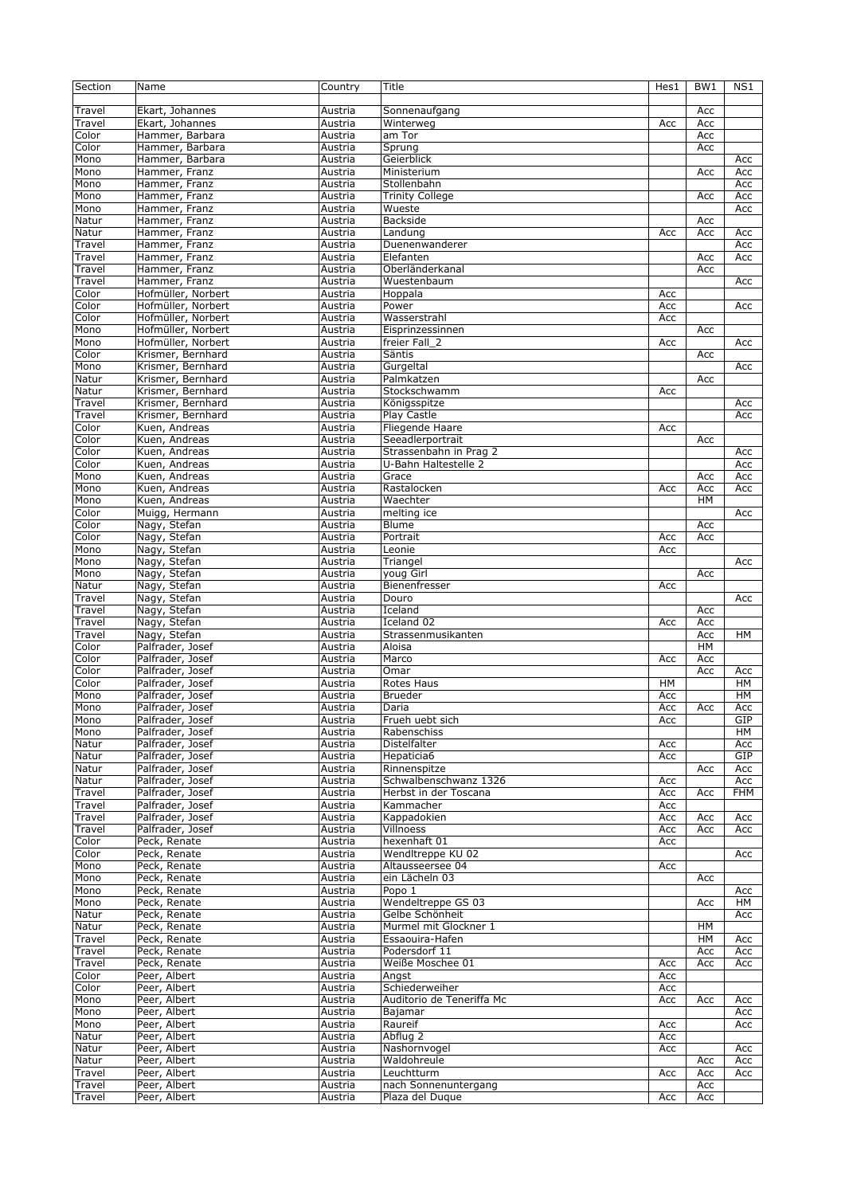| Section          | Name               | Country | Title                     | Hes1 | BW <sub>1</sub> | NS1        |
|------------------|--------------------|---------|---------------------------|------|-----------------|------------|
|                  |                    |         |                           |      |                 |            |
| Travel           | Ekart, Johannes    | Austria | Sonnenaufgang             |      | Acc             |            |
| Travel           | Ekart, Johannes    | Austria | Winterweg                 | Acc  | Acc             |            |
| Color            | Hammer, Barbara    | Austria | am Tor                    |      | Acc             |            |
| Color            |                    |         |                           |      |                 |            |
|                  | Hammer, Barbara    | Austria | Sprung                    |      | Acc             |            |
| Mono             | Hammer, Barbara    | Austria | Geierblick                |      |                 | Acc        |
| Mono             | Hammer, Franz      | Austria | Ministerium               |      | Acc             | Acc        |
| Mono             | Hammer, Franz      | Austria | Stollenbahn               |      |                 | Acc        |
| Mono             | Hammer, Franz      | Austria | <b>Trinity College</b>    |      | Acc             | Acc        |
| Mono             | Hammer, Franz      | Austria | Wueste                    |      |                 | Acc        |
| Natur            | Hammer, Franz      | Austria | Backside                  |      | Acc             |            |
| Natur            | Hammer, Franz      | Austria | Landung                   | Acc  | Acc             | Acc        |
| Travel           | Hammer, Franz      | Austria | Duenenwanderer            |      |                 | Acc        |
| Travel           | Hammer, Franz      | Austria | Elefanten                 |      | Acc             | Acc        |
|                  |                    |         |                           |      |                 |            |
| Travel           | Hammer, Franz      | Austria | Oberländerkanal           |      | Acc             |            |
| Travel           | Hammer, Franz      | Austria | Wuestenbaum               |      |                 | Acc        |
| Color            | Hofmüller, Norbert | Austria | Hoppala                   | Acc  |                 |            |
| Color            | Hofmüller, Norbert | Austria | Power                     | Acc  |                 | Acc        |
| Color            | Hofmüller, Norbert | Austria | Wasserstrahl              | Acc  |                 |            |
| Mono             | Hofmüller, Norbert | Austria | Eisprinzessinnen          |      | Acc             |            |
| Mono             | Hofmüller, Norbert | Austria | freier Fall_2             | Acc  |                 | Acc        |
| Color            | Krismer, Bernhard  | Austria | Säntis                    |      | Acc             |            |
| Mono             | Krismer, Bernhard  | Austria | Gurgeltal                 |      |                 | Acc        |
|                  |                    |         |                           |      |                 |            |
| Natur            | Krismer, Bernhard  | Austria | Palmkatzen                |      | Acc             |            |
| Natur            | Krismer, Bernhard  | Austria | Stockschwamm              | Acc  |                 |            |
| Travel           | Krismer, Bernhard  | Austria | Königsspitze              |      |                 | Acc        |
| Travel           | Krismer, Bernhard  | Austria | Play Castle               |      |                 | Acc        |
| Color            | Kuen, Andreas      | Austria | Fliegende Haare           | Acc  |                 |            |
| Color            | Kuen, Andreas      | Austria | Seeadlerportrait          |      | Acc             |            |
| Color            | Kuen, Andreas      | Austria | Strassenbahn in Prag 2    |      |                 | Acc        |
| Color            | Kuen, Andreas      | Austria | U-Bahn Haltestelle 2      |      |                 | Acc        |
| Mono             | Kuen, Andreas      | Austria | Grace                     |      | Acc             | Acc        |
| Mono             | Kuen, Andreas      | Austria | Rastalocken               | Acc  | Acc             | Acc        |
|                  |                    |         |                           |      |                 |            |
| Mono             | Kuen, Andreas      | Austria | Waechter                  |      | HM              |            |
| Color            | Muigg, Hermann     | Austria | melting ice               |      |                 | Acc        |
| Color            | Nagy, Stefan       | Austria | Blume                     |      | Acc             |            |
| Color            | Nagy, Stefan       | Austria | Portrait                  | Acc  | Acc             |            |
| Mono             | Nagy, Stefan       | Austria | Leonie                    | Acc  |                 |            |
| Mono             | Nagy, Stefan       | Austria | Triangel                  |      |                 | Acc        |
| Mono             | Nagy, Stefan       | Austria | youg Girl                 |      | Acc             |            |
| Natur            | Nagy, Stefan       | Austria | Bienenfresser             | Acc  |                 |            |
| Travel           | Nagy, Stefan       | Austria | Douro                     |      |                 | Acc        |
| Travel           | Nagy, Stefan       | Austria | Iceland                   |      | Acc             |            |
|                  |                    |         | Iceland 02                |      |                 |            |
| Travel<br>Travel | Nagy, Stefan       | Austria |                           | Acc  | Acc             |            |
|                  | Nagy, Stefan       | Austria | Strassenmusikanten        |      | Acc             | HМ         |
| Color            | Palfrader, Josef   | Austria | Aloisa                    |      | HM              |            |
| Color            | Palfrader, Josef   | Austria | Marco                     | Acc  | Acc             |            |
| Color            | Palfrader, Josef   | Austria | Omar                      |      | Acc             | Acc        |
| Color            | Palfrader, Josef   | Austria | Rotes Haus                | HM   |                 | HМ         |
| Mono             | Palfrader, Josef   | Austria | <b>Brueder</b>            | Acc  |                 | HM         |
| Mono             | Palfrader, Josef   | Austria | Daria                     | Acc  | Acc             | Acc        |
| Mono             | Palfrader, Josef   | Austria | Frueh uebt sich           | Acc  |                 | GIP        |
| Mono             | Palfrader, Josef   | Austria | Rabenschiss               |      |                 | HM         |
|                  |                    |         | Distelfalter              |      |                 |            |
| Natur            | Palfrader, Josef   | Austria |                           | Acc  |                 | Acc        |
| Natur            | Palfrader, Josef   | Austria | Hepaticia6                | Acc  |                 | GIP        |
| Natur            | Palfrader, Josef   | Austria | Rinnenspitze              |      | Acc             | Acc        |
| Natur            | Palfrader, Josef   | Austria | Schwalbenschwanz 1326     | Acc  |                 | Acc        |
| Travel           | Palfrader, Josef   | Austria | Herbst in der Toscana     | Acc  | Acc             | <b>FHM</b> |
| Travel           | Palfrader, Josef   | Austria | Kammacher                 | Acc  |                 |            |
| Travel           | Palfrader, Josef   | Austria | Kappadokien               | Acc  | Acc             | Acc        |
| Travel           | Palfrader, Josef   | Austria | Villnoess                 | Acc  | Acc             | Acc        |
| Color            | Peck, Renate       | Austria | hexenhaft 01              | Acc  |                 |            |
| Color            | Peck, Renate       | Austria | WendItreppe KU 02         |      |                 | Acc        |
|                  | Peck, Renate       |         |                           |      |                 |            |
| Mono             |                    | Austria | Altausseersee 04          | Acc  |                 |            |
| Mono             | Peck, Renate       | Austria | ein Lächeln 03            |      | Acc             |            |
| Mono             | Peck, Renate       | Austria | Popo 1                    |      |                 | Acc        |
| Mono             | Peck, Renate       | Austria | Wendeltreppe GS 03        |      | Acc             | HМ         |
| Natur            | Peck, Renate       | Austria | Gelbe Schönheit           |      |                 | Acc        |
| Natur            | Peck, Renate       | Austria | Murmel mit Glockner 1     |      | HM              |            |
| Travel           | Peck, Renate       | Austria | Essaouira-Hafen           |      | HM              | Acc        |
| Travel           | Peck, Renate       | Austria | Podersdorf 11             |      | Acc             | Acc        |
| Travel           | Peck, Renate       | Austria | Weiße Moschee 01          | Acc  | Acc             | Acc        |
| Color            | Peer, Albert       |         |                           | Acc  |                 |            |
|                  |                    | Austria | Angst                     |      |                 |            |
| Color            | Peer, Albert       | Austria | Schiederweiher            | Acc  |                 |            |
| Mono             | Peer, Albert       | Austria | Auditorio de Teneriffa Mc | Acc  | Acc             | Acc        |
| Mono             | Peer, Albert       | Austria | Bajamar                   |      |                 | Acc        |
| Mono             | Peer, Albert       | Austria | Raureif                   | Acc  |                 | Acc        |
| Natur            | Peer, Albert       | Austria | Abflug 2                  | Acc  |                 |            |
| Natur            | Peer, Albert       | Austria | Nashornvogel              | Acc  |                 | Acc        |
| Natur            | Peer, Albert       | Austria | Waldohreule               |      | Acc             | Acc        |
| Travel           | Peer, Albert       | Austria | Leuchtturm                | Acc  | Acc             | Acc        |
|                  |                    |         |                           |      |                 |            |
| Travel           | Peer, Albert       | Austria | nach Sonnenuntergang      |      | Acc             |            |
| Travel           | Peer, Albert       | Austria | Plaza del Dugue           | Acc  | Acc             |            |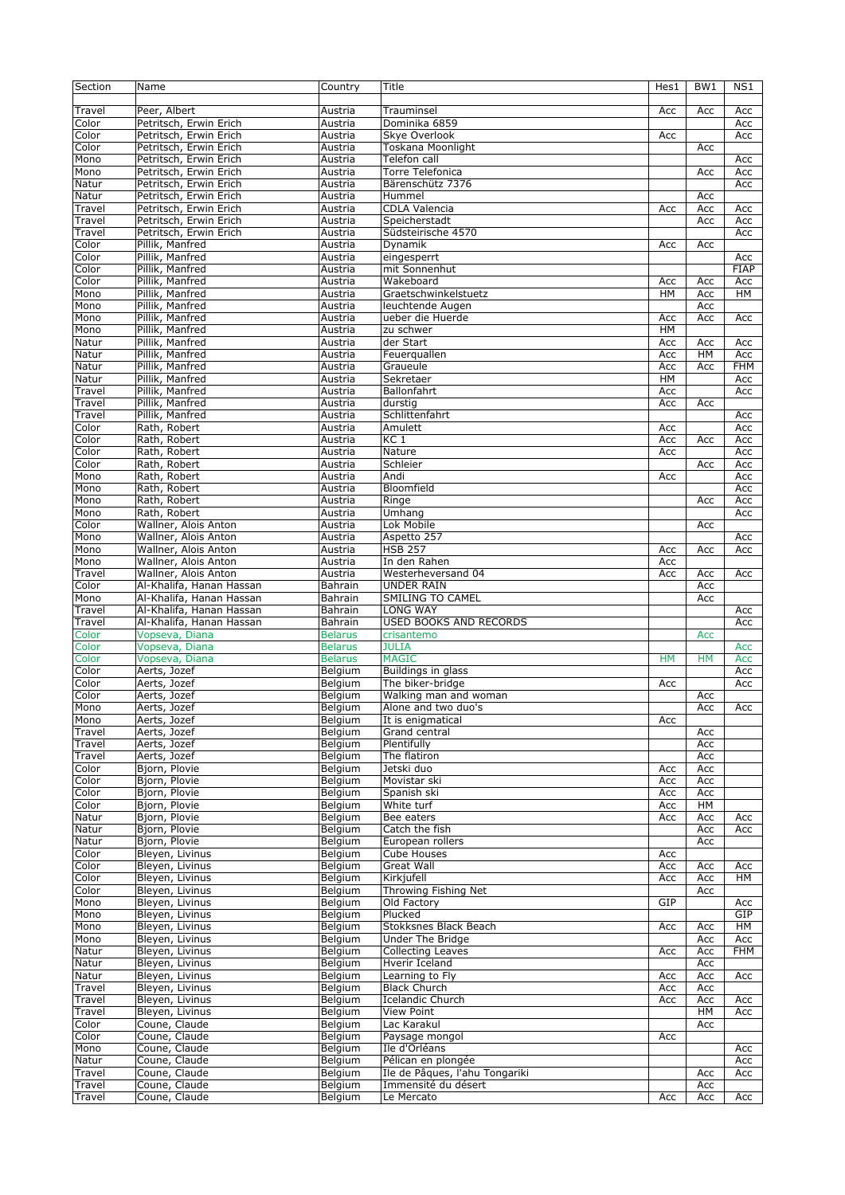| Section | Name                     | Country            | Title                          | Hes1      | BW <sub>1</sub> | NS1        |
|---------|--------------------------|--------------------|--------------------------------|-----------|-----------------|------------|
|         |                          |                    |                                |           |                 |            |
| Travel  | Peer, Albert             | Austria            | Trauminsel                     | Acc       | Acc             | Acc        |
| Color   | Petritsch, Erwin Erich   | Austria            | Dominika 6859                  |           |                 | Acc        |
| Color   | Petritsch, Erwin Erich   | Austria            | Skye Overlook                  | Acc       |                 | Acc        |
| Color   | Petritsch, Erwin Erich   | Austria            | <b>Toskana Moonlight</b>       |           | Acc             |            |
| Mono    | Petritsch, Erwin Erich   | Austria            | Telefon call                   |           |                 | Acc        |
| Mono    | Petritsch, Erwin Erich   | Austria            | <b>Torre Telefonica</b>        |           | Acc             | Acc        |
|         | Petritsch, Erwin Erich   |                    | Bärenschütz 7376               |           |                 |            |
| Natur   |                          | Austria            |                                |           |                 | Acc        |
| Natur   | Petritsch, Erwin Erich   | Austria            | Hummel                         |           | Acc             |            |
| Travel  | Petritsch, Erwin Erich   | Austria            | CDLA Valencia                  | Acc       | Acc             | Acc        |
| Travel  | Petritsch, Erwin Erich   | Austria            | Speicherstadt                  |           | Acc             | Acc        |
| Travel  | Petritsch, Erwin Erich   | Austria            | Südsteirische 4570             |           |                 | Acc        |
| Color   | Pillik, Manfred          | Austria            | Dynamik                        | Acc       | Acc             |            |
| Color   | Pillik, Manfred          | Austria            | eingesperrt                    |           |                 | Acc        |
| Color   | Pillik, Manfred          | Austria            | mit Sonnenhut                  |           |                 | FIAP       |
| Color   | Pillik, Manfred          | Austria            | Wakeboard                      | Acc       | Acc             | Acc        |
| Mono    | Pillik, Manfred          | Austria            | Graetschwinkelstuetz           | HM        | Acc             | HM         |
| Mono    | Pillik, Manfred          | Austria            | leuchtende Augen               |           | Acc             |            |
| Mono    | Pillik, Manfred          | Austria            | ueber die Huerde               | Acc       | Acc             | Acc        |
| Mono    | Pillik, Manfred          | Austria            | zu schwer                      | HM        |                 |            |
| Natur   | Pillik, Manfred          | Austria            | der Start                      | Acc       | Acc             | Acc        |
| Natur   | Pillik, Manfred          | Austria            | Feuerquallen                   | Acc       | HM              | Acc        |
| Natur   | Pillik, Manfred          | Austria            | Graueule                       | Acc       | Acc             | <b>FHM</b> |
|         |                          |                    |                                |           |                 |            |
| Natur   | Pillik, Manfred          | Austria            | Sekretaer                      | HM        |                 | Acc        |
| Travel  | Pillik, Manfred          | Austria            | Ballonfahrt                    | Acc       |                 | Acc        |
| Travel  | Pillik, Manfred          | Austria            | durstig                        | Acc       | Acc             |            |
| Travel  | Pillik, Manfred          | Austria            | Schlittenfahrt                 |           |                 | Acc        |
| Color   | Rath, Robert             | Austria            | Amulett                        | Acc       |                 | Acc        |
| Color   | Rath, Robert             | Austria            | KC <sub>1</sub>                | Acc       | Acc             | Acc        |
| Color   | Rath, Robert             | Austria            | Nature                         | Acc       |                 | Acc        |
| Color   | Rath, Robert             | Austria            | Schleier                       |           | Acc             | Acc        |
| Mono    | Rath, Robert             | Austria            | Andi                           | Acc       |                 | Acc        |
| Mono    | Rath, Robert             | Austria            | Bloomfield                     |           |                 | Acc        |
| Mono    | Rath, Robert             | Austria            | Ringe                          |           | Acc             | Acc        |
| Mono    | Rath, Robert             | Austria            | Umhang                         |           |                 | Acc        |
| Color   | Wallner, Alois Anton     | Austria            | Lok Mobile                     |           | Acc             |            |
| Mono    | Wallner, Alois Anton     | Austria            | Aspetto 257                    |           |                 | Acc        |
| Mono    | Wallner, Alois Anton     | Austria            | <b>HSB 257</b>                 | Acc       | Acc             | Acc        |
| Mono    | Wallner, Alois Anton     | Austria            | In den Rahen                   | Acc       |                 |            |
| Travel  | Wallner, Alois Anton     | Austria            | Westerheversand 04             | Acc       | Acc             | Acc        |
| Color   | Al-Khalifa, Hanan Hassan | Bahrain            | <b>UNDER RAIN</b>              |           | Acc             |            |
|         |                          |                    |                                |           |                 |            |
| Mono    | Al-Khalifa, Hanan Hassan | Bahrain            | SMILING TO CAMEL               |           | Acc             |            |
| Travel  | Al-Khalifa, Hanan Hassan | Bahrain            | <b>LONG WAY</b>                |           |                 | Acc        |
| Travel  | Al-Khalifa, Hanan Hassan | Bahrain            | USED BOOKS AND RECORDS         |           |                 | Acc        |
| Color   | Vopseva, Diana           | <b>Belarus</b>     | crisantemo                     |           | Acc             |            |
| Color   | Vopseva, Diana           | <b>Belarus</b>     | <b>JULIA</b>                   |           |                 | Acc        |
| Color   | Vopseva, Diana           | <b>Belarus</b>     | <b>MAGIC</b>                   | <b>HM</b> | <b>HM</b>       | Acc        |
| Color   | Aerts, Jozef             | Belgium            | Buildings in glass             |           |                 | Acc        |
| Color   | Aerts, Jozef             | Belgium            | The biker-bridge               | Acc       |                 | Acc        |
| Color   | Aerts, Jozef             | Belgium            | Walking man and woman          |           | Acc             |            |
| Mono    | Aerts, Jozef             | Belgium            | Alone and two duo's            |           | Acc             | Acc        |
| Mono    | Aerts, Jozef             | Belgium            | It is enigmatical              | Acc       |                 |            |
| Travel  | Aerts, Jozef             | Belgium            | Grand central                  |           | Acc             |            |
| Travel  | Aerts, Jozef             | Belgium            | Plentifully                    |           | Acc             |            |
| Travel  | Aerts, Jozef             | Belgium            | The flatiron                   |           | Acc             |            |
| Color   | Bjorn, Plovie            | Belgium            | Jetski duo                     | Acc       | Acc             |            |
| Color   | Bjorn, Plovie            | Belgium            | Movistar ski                   | Acc       | Acc             |            |
| Color   | Bjorn, Plovie            | Belgium            | Spanish ski                    | Acc       | Acc             |            |
| Color   | Bjorn, Plovie            | Belgium            | White turf                     | Acc       | HM              |            |
| Natur   | Bjorn, Plovie            | Belgium            | Bee eaters                     | Acc       | Acc             | Acc        |
| Natur   | Bjorn, Plovie            |                    | Catch the fish                 |           |                 |            |
|         | Bjorn, Plovie            | Belgium<br>Belgium |                                |           | Acc             | Acc        |
| Natur   |                          |                    | European rollers               |           | Acc             |            |
| Color   | Bleyen, Livinus          | Belgium            | Cube Houses                    | Acc       |                 |            |
| Color   | Bleyen, Livinus          | Belgium            | <b>Great Wall</b>              | Acc       | Acc             | Acc        |
| Color   | Bleyen, Livinus          | Belgium            | Kirkjufell                     | Acc       | Acc             | HМ         |
| Color   | Bleyen, Livinus          | Belgium            | Throwing Fishing Net           |           | Acc             |            |
| Mono    | Bleyen, Livinus          | Belgium            | Old Factory                    | GIP       |                 | Acc        |
| Mono    | Bleyen, Livinus          | Belgium            | Plucked                        |           |                 | GIP        |
| Mono    | Bleyen, Livinus          | Belgium            | Stokksnes Black Beach          | Acc       | Acc             | HM         |
| Mono    | Bleyen, Livinus          | Belgium            | Under The Bridge               |           | Acc             | Acc        |
| Natur   | Bleyen, Livinus          | Belgium            | <b>Collecting Leaves</b>       | Acc       | Acc             | FHM        |
| Natur   | Bleyen, Livinus          | Belgium            | Hverir Iceland                 |           | Acc             |            |
| Natur   | Bleyen, Livinus          | Belgium            | Learning to Fly                | Acc       | Acc             | Acc        |
| Travel  | Bleyen, Livinus          | Belgium            | <b>Black Church</b>            | Acc       | Acc             |            |
| Travel  | Bleyen, Livinus          | Belgium            | <b>Icelandic Church</b>        | Acc       | Acc             | Acc        |
| Travel  | Bleyen, Livinus          | Belgium            | View Point                     |           | HM              | Acc        |
| Color   | Coune, Claude            | Belgium            | Lac Karakul                    |           | Acc             |            |
| Color   | Coune, Claude            | Belgium            | Paysage mongol                 | Acc       |                 |            |
|         | Coune, Claude            |                    | Ile d'Orléans                  |           |                 |            |
| Mono    | Coune, Claude            | Belgium            |                                |           |                 | Acc        |
| Natur   |                          | Belgium            | Pélican en plongée             |           |                 | Acc        |
| Travel  | Coune, Claude            | Belgium            | Ile de Pâques, l'ahu Tongariki |           | Acc             | Acc        |
| Travel  | Coune, Claude            | Belgium            | Immensité du désert            |           | Acc             |            |
| Travel  | Coune, Claude            | Belgium            | Le Mercato                     | Acc       | Acc             | Acc        |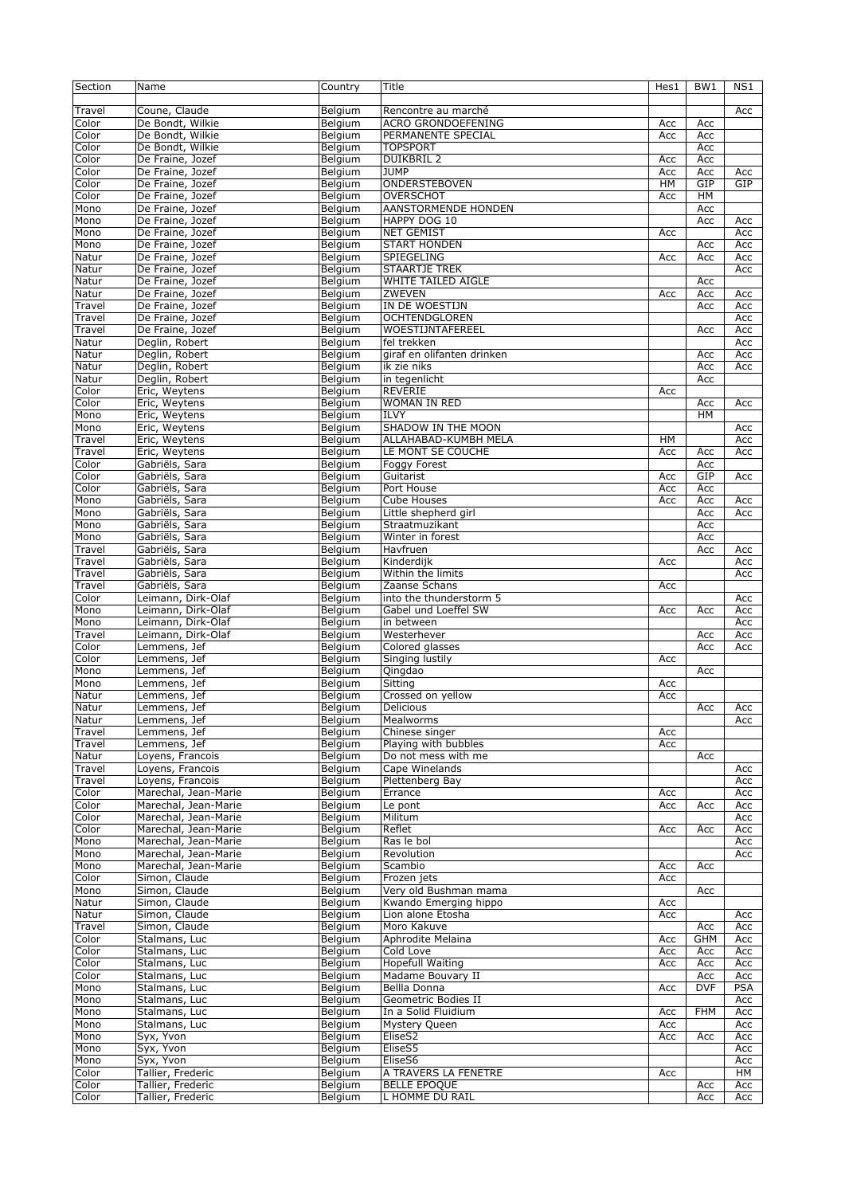| Section | Name                 | Country | Title                      | Hes1 | BW <sub>1</sub> | NS1        |
|---------|----------------------|---------|----------------------------|------|-----------------|------------|
|         |                      |         |                            |      |                 |            |
| Travel  | Coune, Claude        | Belgium | Rencontre au marché        |      |                 | Acc        |
| Color   | De Bondt, Wilkie     | Belgium | <b>ACRO GRONDOEFENING</b>  | Acc  | Acc             |            |
| Color   | De Bondt, Wilkie     | Belgium | PERMANENTE SPECIAL         | Acc  | Acc             |            |
| Color   |                      |         | <b>TOPSPORT</b>            |      |                 |            |
|         | De Bondt, Wilkie     | Belgium |                            |      | Acc             |            |
| Color   | De Fraine, Jozef     | Belgium | <b>DUIKBRIL 2</b>          | Acc  | Acc             |            |
| Color   | De Fraine, Jozef     | Belgium | <b>JUMP</b>                | Acc  | Acc             | Acc        |
| Color   | De Fraine, Jozef     | Belgium | ONDERSTEBOVEN              | HM   | GIP             | GIP        |
| Color   | De Fraine, Jozef     | Belgium | <b>OVERSCHOT</b>           | Acc  | <b>HM</b>       |            |
| Mono    | De Fraine, Jozef     | Belgium | AANSTORMENDE HONDEN        |      | Acc             |            |
| Mono    | De Fraine, Jozef     | Belgium | HAPPY DOG 10               |      | Acc             | Acc        |
| Mono    | De Fraine, Jozef     | Belgium | <b>NET GEMIST</b>          | Acc  |                 | Acc        |
| Mono    | De Fraine, Jozef     | Belgium | <b>START HONDEN</b>        |      | Acc             | Acc        |
| Natur   | De Fraine, Jozef     | Belgium | SPIEGELING                 | Acc  | Acc             | Acc        |
|         |                      |         |                            |      |                 |            |
| Natur   | De Fraine, Jozef     | Belgium | <b>STAARTJE TREK</b>       |      |                 | Acc        |
| Natur   | De Fraine, Jozef     | Belgium | <b>WHITE TAILED AIGLE</b>  |      | Acc             |            |
| Natur   | De Fraine, Jozef     | Belgium | ZWEVEN                     | Acc  | Acc             | Acc        |
| Travel  | De Fraine, Jozef     | Belgium | IN DE WOESTIJN             |      | Acc             | Acc        |
| Travel  | De Fraine, Jozef     | Belgium | <b>OCHTENDGLOREN</b>       |      |                 | Acc        |
| Travel  | De Fraine, Jozef     | Belgium | WOESTIJNTAFEREEL           |      | Acc             | Acc        |
| Natur   | Deglin, Robert       | Belgium | fel trekken                |      |                 | Acc        |
| Natur   | Deglin, Robert       | Belgium | giraf en olifanten drinken |      | Acc             | Acc        |
| Natur   | Deglin, Robert       | Belgium | ik zie niks                |      | Acc             | Acc        |
|         | Dealin, Robert       |         |                            |      |                 |            |
| Natur   |                      | Belgium | in tegenlicht              |      | Acc             |            |
| Color   | Eric, Weytens        | Belgium | REVERIE                    | Acc  |                 |            |
| Color   | Eric, Weytens        | Belgium | WOMAN IN RED               |      | Acc             | Acc        |
| Mono    | Eric, Weytens        | Belgium | ILVY                       |      | HM              |            |
| Mono    | Eric, Weytens        | Belgium | SHADOW IN THE MOON         |      |                 | Acc        |
| Travel  | Eric, Weytens        | Belgium | ALLAHABAD-KUMBH MELA       | HM   |                 | Acc        |
| Travel  | Eric, Weytens        | Belgium | LE MONT SE COUCHE          | Acc  | Acc             | Acc        |
| Color   | Gabriëls, Sara       | Belgium | Foggy Forest               |      | Acc             |            |
| Color   | Gabriëls, Sara       | Belgium | Guitarist                  | Acc  | GIP             | Acc        |
| Color   | Gabriëls, Sara       | Belgium | Port House                 | Acc  | Acc             |            |
|         |                      |         |                            |      |                 |            |
| Mono    | Gabriëls, Sara       | Belgium | Cube Houses                | Acc  | Acc             | Acc        |
| Mono    | Gabriëls, Sara       | Belgium | Little shepherd girl       |      | Acc             | Acc        |
| Mono    | Gabriëls, Sara       | Belgium | Straatmuzikant             |      | Acc             |            |
| Mono    | Gabriëls, Sara       | Belgium | Winter in forest           |      | Acc             |            |
| Travel  | Gabriëls, Sara       | Belgium | Havfruen                   |      | Acc             | Acc        |
| Travel  | Gabriëls, Sara       | Belgium | Kinderdijk                 | Acc  |                 | Acc        |
| Travel  | Gabriëls, Sara       | Belgium | Within the limits          |      |                 | Acc        |
| Travel  | Gabriëls, Sara       | Belgium | Zaanse Schans              | Acc  |                 |            |
| Color   | Leimann, Dirk-Olaf   | Belgium | into the thunderstorm 5    |      |                 | Acc        |
| Mono    | Leimann, Dirk-Olaf   | Belgium | Gabel und Loeffel SW       | Acc  | Acc             | Acc        |
|         | Leimann, Dirk-Olaf   |         |                            |      |                 |            |
| Mono    |                      | Belgium | in between                 |      |                 | Acc        |
| Travel  | Leimann, Dirk-Olaf   | Belgium | Westerhever                |      | Acc             | Acc        |
| Color   | Lemmens, Jef         | Belgium | Colored glasses            |      | Acc             | Acc        |
| Color   | Lemmens, Jef         | Belgium | Singing lustily            | Acc  |                 |            |
| Mono    | Lemmens, Jef         | Belgium | Qingdao                    |      | Acc             |            |
| Mono    | Lemmens, Jef         | Belgium | Sitting                    | Acc  |                 |            |
| Natur   | Lemmens, Jef         | Belgium | Crossed on yellow          | Acc  |                 |            |
| Natur   | Lemmens, Jef         | Belgium | Delicious                  |      | Acc             | Acc        |
| Natur   | Lemmens, Jef         | Belgium | Mealworms                  |      |                 | Acc        |
| Travel  | Lemmens, Jef         | Belgium | Chinese singer             | Acc  |                 |            |
| Travel  | Lemmens, Jef         | Belgium | Playing with bubbles       | Acc  |                 |            |
|         |                      |         |                            |      |                 |            |
| Natur   | Loyens, Francois     | Belgium | Do not mess with me        |      | Acc             |            |
| Travel  | Loyens, Francois     | Belgium | Cape Winelands             |      |                 | Acc        |
| Travel  | Loyens, Francois     | Belgium | Plettenberg Bay            |      |                 | Acc        |
| Color   | Marechal, Jean-Marie | Belgium | Errance                    | Acc  |                 | Acc        |
| Color   | Marechal, Jean-Marie | Belaium | Le pont                    | Acc  | Acc             | Acc        |
| Color   | Marechal, Jean-Marie | Belgium | Militum                    |      |                 | Acc        |
| Color   | Marechal, Jean-Marie | Belgium | Reflet                     | Acc  | Acc             | Acc        |
| Mono    | Marechal, Jean-Marie | Belgium | Ras le bol                 |      |                 | Acc        |
| Mono    | Marechal, Jean-Marie | Belgium | Revolution                 |      |                 | Acc        |
| Mono    | Marechal, Jean-Marie | Belgium | Scambio                    |      |                 |            |
|         |                      |         |                            | Acc  | Acc             |            |
| Color   | Simon, Claude        | Belgium | Frozen jets                | Acc  |                 |            |
| Mono    | Simon, Claude        | Belgium | Very old Bushman mama      |      | Acc             |            |
| Natur   | Simon, Claude        | Belgium | Kwando Emerging hippo      | Acc  |                 |            |
| Natur   | Simon, Claude        | Belgium | Lion alone Etosha          | Acc  |                 | Acc        |
| Travel  | Simon, Claude        | Belgium | Moro Kakuve                |      | Acc             | Acc        |
| Color   | Stalmans, Luc        | Belgium | Aphrodite Melaina          | Acc  | <b>GHM</b>      | Acc        |
| Color   | Stalmans, Luc        | Belgium | Cold Love                  | Acc  | Acc             | Acc        |
| Color   | Stalmans, Luc        | Belgium | Hopefull Waiting           | Acc  | Acc             | Acc        |
| Color   | Stalmans, Luc        | Belgium | Madame Bouvary II          |      | Acc             | Acc        |
| Mono    |                      |         | Bellla Donna               |      | <b>DVF</b>      | <b>PSA</b> |
|         | Stalmans, Luc        | Belgium |                            | Acc  |                 |            |
| Mono    | Stalmans, Luc        | Belgium | Geometric Bodies II        |      |                 | Acc        |
| Mono    | Stalmans, Luc        | Belgium | In a Solid Fluidium        | Acc  | <b>FHM</b>      | Acc        |
| Mono    | Stalmans, Luc        | Belgium | Mystery Queen              | Acc  |                 | Acc        |
| Mono    | Syx, Yvon            | Belgium | EliseS2                    | Acc  | Acc             | Acc        |
| Mono    | Syx, Yvon            | Belgium | EliseS5                    |      |                 | Acc        |
| Mono    | Syx, Yvon            | Belgium | EliseS6                    |      |                 | Acc        |
| Color   | Tallier, Frederic    | Belgium | A TRAVERS LA FENETRE       | Acc  |                 | НM         |
| Color   | Tallier, Frederic    | Belgium | <b>BELLE EPOQUE</b>        |      | Acc             | Acc        |
| Color   | Tallier, Frederic    | Belgium | L HOMME DU RAIL            |      | Acc             | Acc        |
|         |                      |         |                            |      |                 |            |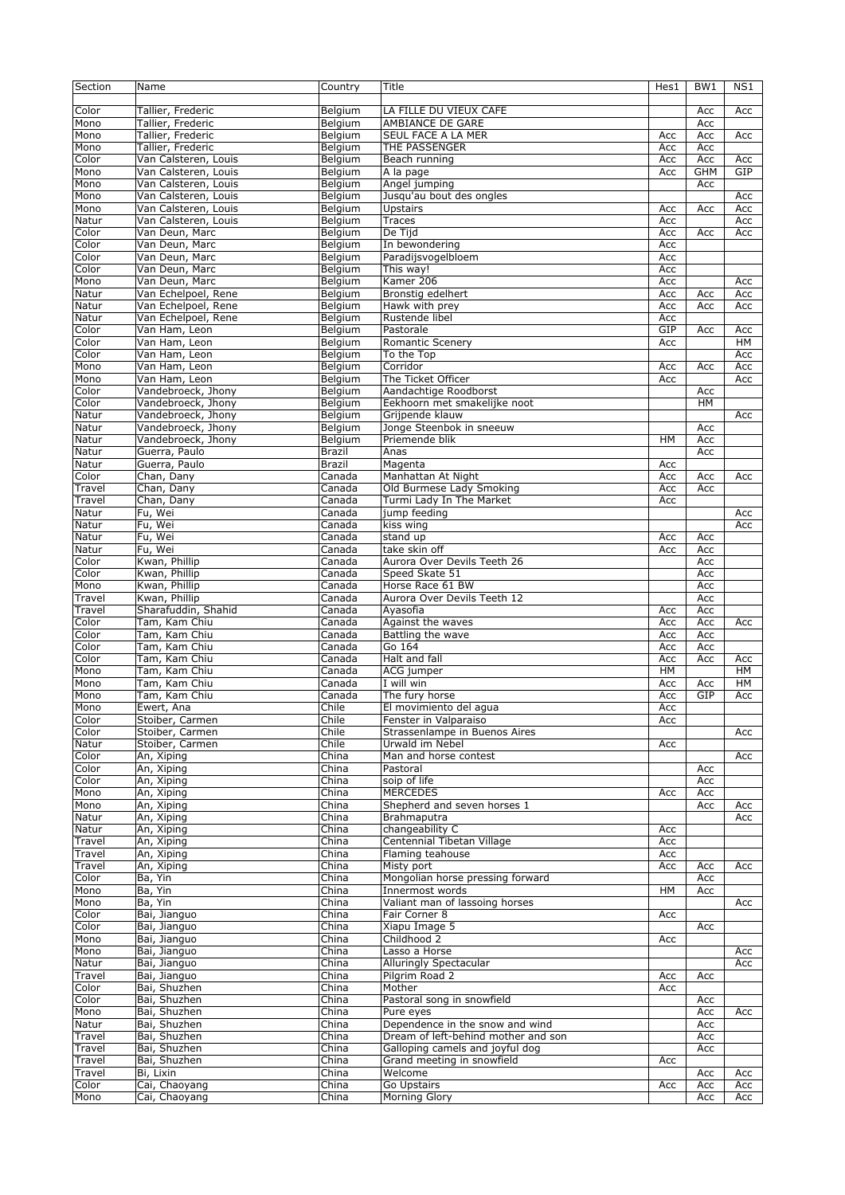| Section | Name                 | Country       | Title                               | Hes1 | BW <sub>1</sub> | NS1 |
|---------|----------------------|---------------|-------------------------------------|------|-----------------|-----|
|         |                      |               |                                     |      |                 |     |
| Color   | Tallier, Frederic    | Belgium       | LA FILLE DU VIEUX CAFE              |      | Acc             | Acc |
| Mono    | Tallier, Frederic    | Belgium       | AMBIANCE DE GARE                    |      | Acc             |     |
| Mono    | Tallier, Frederic    | Belgium       | SEUL FACE A LA MER                  | Acc  | Acc             | Acc |
| Mono    | Tallier, Frederic    |               | THE PASSENGER                       | Acc  | Acc             |     |
|         |                      | Belgium       |                                     |      |                 |     |
| Color   | Van Calsteren, Louis | Belaium       | Beach running                       | Acc  | Acc             | Acc |
| Mono    | Van Calsteren, Louis | Belgium       | A la page                           | Acc  | <b>GHM</b>      | GIP |
| Mono    | Van Calsteren, Louis | Belgium       | Angel jumping                       |      | Acc             |     |
| Mono    | Van Calsteren, Louis | Belgium       | Jusqu'au bout des ongles            |      |                 | Acc |
| Mono    | Van Calsteren, Louis | Belgium       | <b>Upstairs</b>                     | Acc  | Acc             | Acc |
| Natur   | Van Calsteren, Louis | Belgium       | <b>Traces</b>                       | Acc  |                 | Acc |
| Color   | Van Deun, Marc       | Belgium       | De Tijd                             | Acc  | Acc             | Acc |
| Color   | Van Deun, Marc       | Belgium       | In bewondering                      | Acc  |                 |     |
| Color   | Van Deun, Marc       | Belgium       | Paradijsvogelbloem                  | Acc  |                 |     |
| Color   | Van Deun, Marc       | Belgium       | This way!                           | Acc  |                 |     |
| Mono    | Van Deun, Marc       | Belgium       | Kamer 206                           | Acc  |                 | Acc |
| Natur   | Van Echelpoel, Rene  | Belgium       | Bronstig edelhert                   | Acc  | Acc             | Acc |
| Natur   | Van Echelpoel, Rene  | Belgium       | Hawk with prey                      | Acc  | Acc             | Acc |
| Natur   | Van Echelpoel, Rene  | Belgium       | Rustende libel                      | Acc  |                 |     |
| Color   | Van Ham, Leon        | Belgium       | Pastorale                           | GIP  | Acc             |     |
|         |                      |               |                                     |      |                 | Acc |
| Color   | Van Ham, Leon        | Belgium       | <b>Romantic Scenery</b>             | Acc  |                 | HМ  |
| Color   | Van Ham, Leon        | Belgium       | To the Top                          |      |                 | Acc |
| Mono    | Van Ham, Leon        | Belgium       | Corridor                            | Acc  | Acc             | Acc |
| Mono    | Van Ham, Leon        | Belaium       | The Ticket Officer                  | Acc  |                 | Acc |
| Color   | Vandebroeck, Jhony   | Belgium       | Aandachtige Roodborst               |      | Acc             |     |
| Color   | Vandebroeck, Jhony   | Belgium       | Eekhoorn met smakelijke noot        |      | <b>HM</b>       |     |
| Natur   | Vandebroeck, Jhony   | Belgium       | Grijpende klauw                     |      |                 | Acc |
| Natur   | Vandebroeck, Jhony   | Belgium       | Jonge Steenbok in sneeuw            |      | Acc             |     |
| Natur   | Vandebroeck, Jhony   | Belgium       | Priemende blik                      | HM   | Acc             |     |
| Natur   | Guerra, Paulo        | <b>Brazil</b> | Anas                                |      | Acc             |     |
| Natur   | Guerra, Paulo        | <b>Brazil</b> | Magenta                             | Acc  |                 |     |
| Color   | Chan, Dany           | Canada        | Manhattan At Night                  | Acc  | Acc             | Acc |
| Travel  | Chan, Dany           | Canada        | Old Burmese Lady Smoking            | Acc  | Acc             |     |
|         |                      |               |                                     |      |                 |     |
| Travel  | Chan, Dany           | Canada        | Turmi Lady In The Market            | Acc  |                 |     |
| Natur   | Fu, Wei              | Canada        | jump feeding                        |      |                 | Acc |
| Natur   | Fu, Wei              | Canada        | kiss wing                           |      |                 | Acc |
| Natur   | Fu, Wei              | Canada        | $\overline{\text{stand}}$ up        | Acc  | Acc             |     |
| Natur   | Fu, Wei              | Canada        | take skin off                       | Acc  | Acc             |     |
| Color   | Kwan, Phillip        | Canada        | Aurora Over Devils Teeth 26         |      | Acc             |     |
| Color   | Kwan, Phillip        | Canada        | Speed Skate 51                      |      | Acc             |     |
| Mono    | Kwan, Phillip        | Canada        | Horse Race 61 BW                    |      | Acc             |     |
| Travel  | Kwan, Phillip        | Canada        | Aurora Over Devils Teeth 12         |      | Acc             |     |
| Travel  | Sharafuddin, Shahid  | Canada        | Ayasofia                            | Acc  | Acc             |     |
| Color   | Tam, Kam Chiu        | Canada        | Against the waves                   | Acc  | Acc             | Acc |
| Color   | Tam, Kam Chiu        | Canada        | Battling the wave                   | Acc  | Acc             |     |
| Color   | Tam, Kam Chiu        | Canada        | Go 164                              | Acc  | Acc             |     |
| Color   | Tam, Kam Chiu        | Canada        | Halt and fall                       | Acc  | Acc             |     |
|         |                      |               |                                     |      |                 | Acc |
| Mono    | Tam, Kam Chiu        | Canada        | ACG jumper                          | HM   |                 | HM  |
| Mono    | Tam, Kam Chiu        | Canada        | I will win                          | Acc  | Acc             | HМ  |
| Mono    | Tam, Kam Chiu        | Canada        | The fury horse                      | Acc  | GIP             | Acc |
| Mono    | Ewert, Ana           | Chile         | El movimiento del agua              | Acc  |                 |     |
| Color   | Stoiber, Carmen      | Chile         | Fenster in Valparaiso               | Acc  |                 |     |
| Color   | Stoiber, Carmen      | Chile         | Strassenlampe in Buenos Aires       |      |                 | Acc |
| Natur   | Stoiber, Carmen      | Chile         | Urwald im Nebel                     | Acc  |                 |     |
| Color   | An, Xiping           | China         | Man and horse contest               |      |                 | Acc |
| Color   | An, Xiping           | China         | Pastoral                            |      | Acc             |     |
| Color   | An, Xiping           | China         | soip of life                        |      | Acc             |     |
| Mono    | An, Xiping           | China         | <b>MERCEDES</b>                     | Acc  | Acc             |     |
| Mono    | An, Xiping           | China         | Shepherd and seven horses 1         |      | Acc             | Acc |
| Natur   | An, Xiping           | China         | Brahmaputra                         |      |                 | Acc |
| Natur   | An, Xiping           | China         | changeability C                     | Acc  |                 |     |
| Travel  | An, Xiping           | China         | Centennial Tibetan Village          | Acc  |                 |     |
|         |                      |               |                                     |      |                 |     |
| Travel  | An, Xiping           | China         | Flaming teahouse                    | Acc  |                 |     |
| Travel  | An, Xiping           | China         | Misty port                          | Acc  | Acc             | Acc |
| Color   | Ba, Yin              | China         | Mongolian horse pressing forward    |      | Acc             |     |
| Mono    | Ba, Yin              | China         | Innermost words                     | HM   | Acc             |     |
| Mono    | Ba, Yin              | China         | Valiant man of lassoing horses      |      |                 | Acc |
| Color   | Bai, Jianguo         | China         | Fair Corner 8                       | Acc  |                 |     |
| Color   | Bai, Jianguo         | China         | Xiapu Image 5                       |      | Acc             |     |
| Mono    | Bai, Jianguo         | China         | Childhood 2                         | Acc  |                 |     |
| Mono    | Bai, Jianguo         | China         | Lasso a Horse                       |      |                 | Acc |
| Natur   | Bai, Jianguo         | China         | Alluringly Spectacular              |      |                 | Acc |
| Travel  | Bai, Jianguo         | China         | Pilgrim Road 2                      | Acc  | Acc             |     |
| Color   | Bai, Shuzhen         | China         | Mother                              | Acc  |                 |     |
| Color   | Bai, Shuzhen         | China         | Pastoral song in snowfield          |      | Acc             |     |
| Mono    | Bai, Shuzhen         | China         | Pure eyes                           |      |                 | Acc |
|         |                      |               |                                     |      | Acc             |     |
| Natur   | Bai, Shuzhen         | China         | Dependence in the snow and wind     |      | Acc             |     |
| Travel  | Bai, Shuzhen         | China         | Dream of left-behind mother and son |      | Acc             |     |
| Travel  | Bai, Shuzhen         | China         | Galloping camels and joyful dog     |      | Acc             |     |
| Travel  | Bai, Shuzhen         | China         | Grand meeting in snowfield          | Acc  |                 |     |
| Travel  | Bi, Lixin            | China         | Welcome                             |      | Acc             | Acc |
| Color   | Cai, Chaoyang        | China         | Go Upstairs                         | Acc  | Acc             | Acc |
| Mono    | Cai, Chaoyang        | China         | Morning Glory                       |      | Acc             | Acc |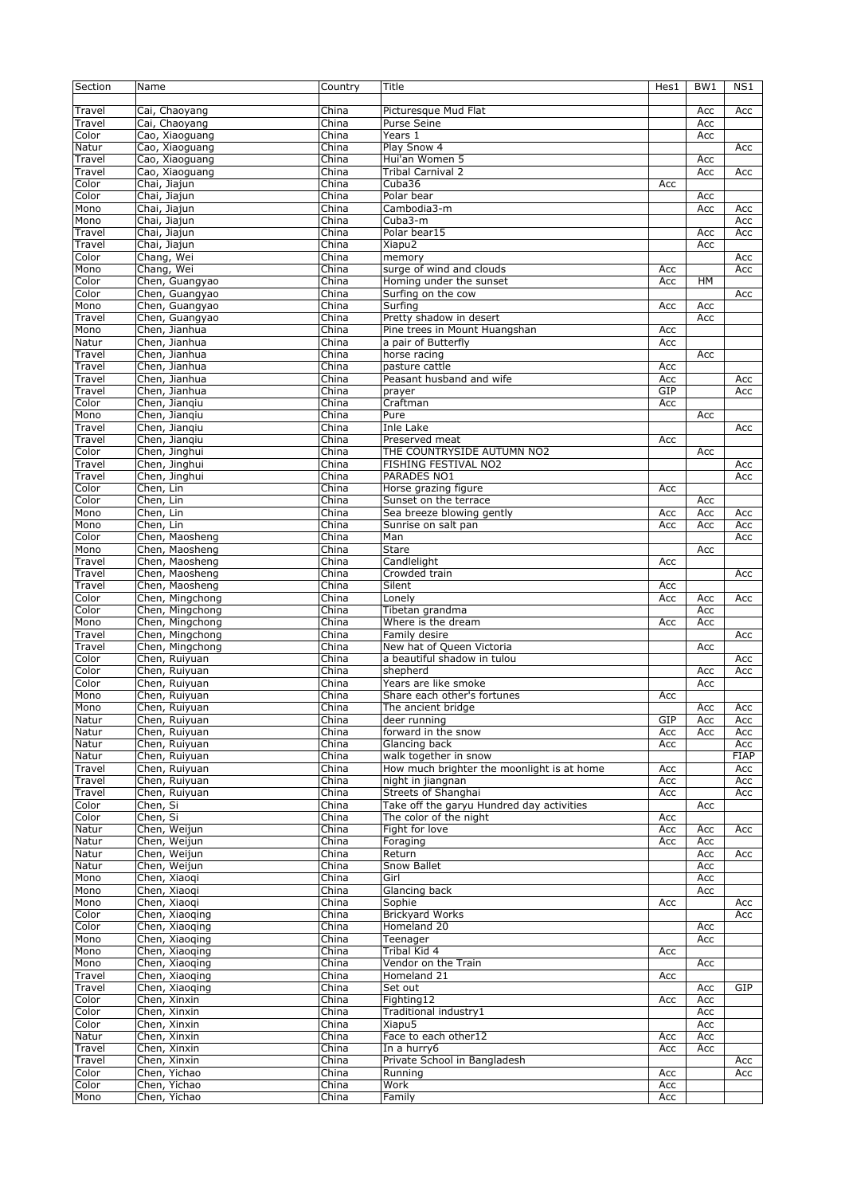| Section       | Name            | Country        | Title                                      | Hes1 | BW <sub>1</sub> | NS1         |
|---------------|-----------------|----------------|--------------------------------------------|------|-----------------|-------------|
|               |                 |                |                                            |      |                 |             |
| Travel        | Cai, Chaoyang   | China          | Picturesque Mud Flat                       |      | Acc             | Acc         |
| Travel        | Cai, Chaoyang   | China          | Purse Seine                                |      | Acc             |             |
| Color         | Cao, Xiaoguang  | China          | Years 1                                    |      | Acc             |             |
| Natur         | Cao, Xiaoguang  | China          | Play Snow 4                                |      |                 | Acc         |
| Travel        | Cao, Xiaoguang  | China          | Hui'an Women 5                             |      | Acc             |             |
| Travel        | Cao, Xiaoguang  | China          | Tribal Carnival 2                          |      | Acc             | Acc         |
| Color         | Chai, Jiajun    | China          | Cuba36                                     | Acc  |                 |             |
| Color         | Chai, Jiajun    | China          | Polar bear                                 |      | Acc             |             |
| Mono          | Chai, Jiajun    | China          | Cambodia3-m                                |      | Acc             | Acc         |
| Mono          | Chai, Jiajun    | China          | Cuba3-m                                    |      |                 | Acc         |
| Travel        | Chai, Jiajun    | China          | Polar bear15                               |      | Acc             | Acc         |
| Travel        | Chai, Jiajun    | China          | Xiapu2                                     |      | Acc             |             |
| Color         | Chang, Wei      | China          | memory                                     |      |                 | Acc         |
| Mono          | Chang, Wei      | China          | surge of wind and clouds                   | Acc  |                 | Acc         |
| Color         | Chen, Guangyao  | China          |                                            | Acc  | <b>HM</b>       |             |
|               |                 |                | Homing under the sunset                    |      |                 |             |
| Color         | Chen, Guangyao  | China          | Surfing on the cow                         |      |                 | Acc         |
| Mono          | Chen, Guangyao  | China          | Surfing                                    | Acc  | Acc             |             |
| Travel        | Chen, Guangyao  | China          | Pretty shadow in desert                    |      | Acc             |             |
| Mono          | Chen, Jianhua   | China          | Pine trees in Mount Huangshan              | Acc  |                 |             |
| Natur         | Chen, Jianhua   | China          | a pair of Butterfly                        | Acc  |                 |             |
| Travel        | Chen, Jianhua   | China          | horse racing                               |      | Acc             |             |
| Travel        | Chen, Jianhua   | China          | pasture cattle                             | Acc  |                 |             |
| Travel        | Chen, Jianhua   | China          | Peasant husband and wife                   | Acc  |                 | Acc         |
| Travel        | Chen, Jianhua   | China          | prayer                                     | GIP  |                 | Acc         |
| Color         | Chen, Jiangiu   | China          | Craftman                                   | Acc  |                 |             |
| Mono          | Chen, Jiangiu   | China          | Pure                                       |      | Acc             |             |
| Travel        | Chen, Jiangiu   | China          | <b>Inle Lake</b>                           |      |                 | Acc         |
| Travel        | Chen, Jiangiu   | China          | Preserved meat                             | Acc  |                 |             |
| Color         | Chen, Jinghui   | China          | THE COUNTRYSIDE AUTUMN NO2                 |      | Acc             |             |
| Travel        | Chen, Jinghui   | China          | FISHING FESTIVAL NO2                       |      |                 | Acc         |
| Travel        | Chen, Jinghui   | China          | PARADES NO1                                |      |                 | Acc         |
| Color         | Chen, Lin       | China          | Horse grazing figure                       | Acc  |                 |             |
| Color         | Chen, Lin       | China          | Sunset on the terrace                      |      | Acc             |             |
| Mono          | Chen, Lin       | China          | Sea breeze blowing gently                  | Acc  | Acc             | Acc         |
| Mono          | Chen, Lin       | China          | Sunrise on salt pan                        | Acc  | Acc             | Acc         |
| Color         |                 | China          | Man                                        |      |                 | Acc         |
|               | Chen, Maosheng  |                |                                            |      |                 |             |
| Mono          | Chen, Maosheng  | China          | <b>Stare</b>                               |      | Acc             |             |
| Travel        | Chen, Maosheng  | China          | Candlelight                                | Acc  |                 |             |
| Travel        | Chen, Maosheng  | China          | Crowded train                              |      |                 | Acc         |
| Travel        | Chen, Maosheng  | China          | Silent                                     | Acc  |                 |             |
| Color         | Chen, Mingchong | China          | Lonely                                     | Acc  | Acc             | Acc         |
| Color         | Chen, Mingchong | China          | Tibetan grandma                            |      | Acc             |             |
| Mono          | Chen, Mingchong | China          | Where is the dream                         | Acc  | Acc             |             |
| Travel        | Chen, Mingchong | China          | Family desire                              |      |                 | Acc         |
| Travel        | Chen, Mingchong | China          | New hat of Queen Victoria                  |      | Acc             |             |
| Color         | Chen, Ruiyuan   | China          | a beautiful shadow in tulou                |      |                 | Acc         |
| Color         | Chen, Ruiyuan   | China          | shepherd                                   |      | Acc             | Acc         |
| Color         | Chen, Ruiyuan   | China          | Years are like smoke                       |      | Acc             |             |
| Mono          | Chen, Ruiyuan   | China          | Share each other's fortunes                | Acc  |                 |             |
| Mono          | Chen, Ruiyuan   | China          | The ancient bridge                         |      | Acc             | Acc         |
| Natur         | Chen, Ruiyuan   | China          | deer running                               | GIP  | Acc             | Acc         |
| Natur         | Chen, Ruiyuan   | China          | forward in the snow                        | Acc  | Acc             | Acc         |
| Natur         | Chen, Ruiyuan   | China          | Glancing back                              | Acc  |                 | Acc         |
| Natur         | Chen, Ruiyuan   | China          | walk together in snow                      |      |                 | <b>FIAP</b> |
| Travel        | Chen, Ruiyuan   | China          | How much brighter the moonlight is at home | Acc  |                 | Acc         |
| Travel        | Chen, Ruiyuan   | China          | night in jiangnan                          | Acc  |                 | Acc         |
| Travel        | Chen, Ruiyuan   | China          | Streets of Shanghai                        | Acc  |                 | Acc         |
| Color         | Chen, Si        | China          | Take off the garyu Hundred day activities  |      | Acc             |             |
| Color         | Chen, Si        | China          | The color of the night                     | Acc  |                 |             |
| Natur         | Chen, Weijun    | China          | Fight for love                             | Acc  | Acc             | Acc         |
| Natur         | Chen, Weijun    | China          | Foraging                                   | Acc  | Acc             |             |
| Natur         | Chen, Weijun    | China          | Return                                     |      | Acc             |             |
|               | Chen, Weijun    |                |                                            |      |                 | Acc         |
| Natur<br>Mono | Chen, Xiaoqi    | China<br>China | Snow Ballet<br>Girl                        |      | Acc<br>Acc      |             |
|               |                 |                |                                            |      |                 |             |
| Mono          | Chen, Xiaoqi    | China          | Glancing back                              |      | Acc             |             |
| Mono          | Chen, Xiaogi    | China          | Sophie                                     | Acc  |                 | Acc         |
| Color         | Chen, Xiaoging  | China          | <b>Brickyard Works</b>                     |      |                 | Acc         |
| Color         | Chen, Xiaoqing  | China          | Homeland 20                                |      | Acc             |             |
| Mono          | Chen, Xiaoging  | China          | Teenager                                   |      | Acc             |             |
| Mono          | Chen, Xiaoging  | China          | Tribal Kid 4                               | Acc  |                 |             |
| Mono          | Chen, Xiaoging  | China          | Vendor on the Train                        |      | Acc             |             |
| Travel        | Chen, Xiaoqing  | China          | Homeland 21                                | Acc  |                 |             |
| Travel        | Chen, Xiaoging  | China          | Set out                                    |      | Acc             | GIP         |
| Color         | Chen, Xinxin    | China          | Fighting12                                 | Acc  | Acc             |             |
| Color         | Chen, Xinxin    | China          | Traditional industry1                      |      | Acc             |             |
| Color         | Chen, Xinxin    | China          | Xiapu5                                     |      | Acc             |             |
| Natur         | Chen, Xinxin    | China          | Face to each other12                       | Acc  | Acc             |             |
| Travel        | Chen, Xinxin    | China          | In a hurry6                                | Acc  | Acc             |             |
| Travel        | Chen, Xinxin    | China          | Private School in Bangladesh               |      |                 | Acc         |
| Color         | Chen, Yichao    | China          | Running                                    | Acc  |                 | Acc         |
| Color         | Chen, Yichao    | China          | Work                                       | Acc  |                 |             |
| Mono          | Chen, Yichao    | China          | Family                                     | Acc  |                 |             |
|               |                 |                |                                            |      |                 |             |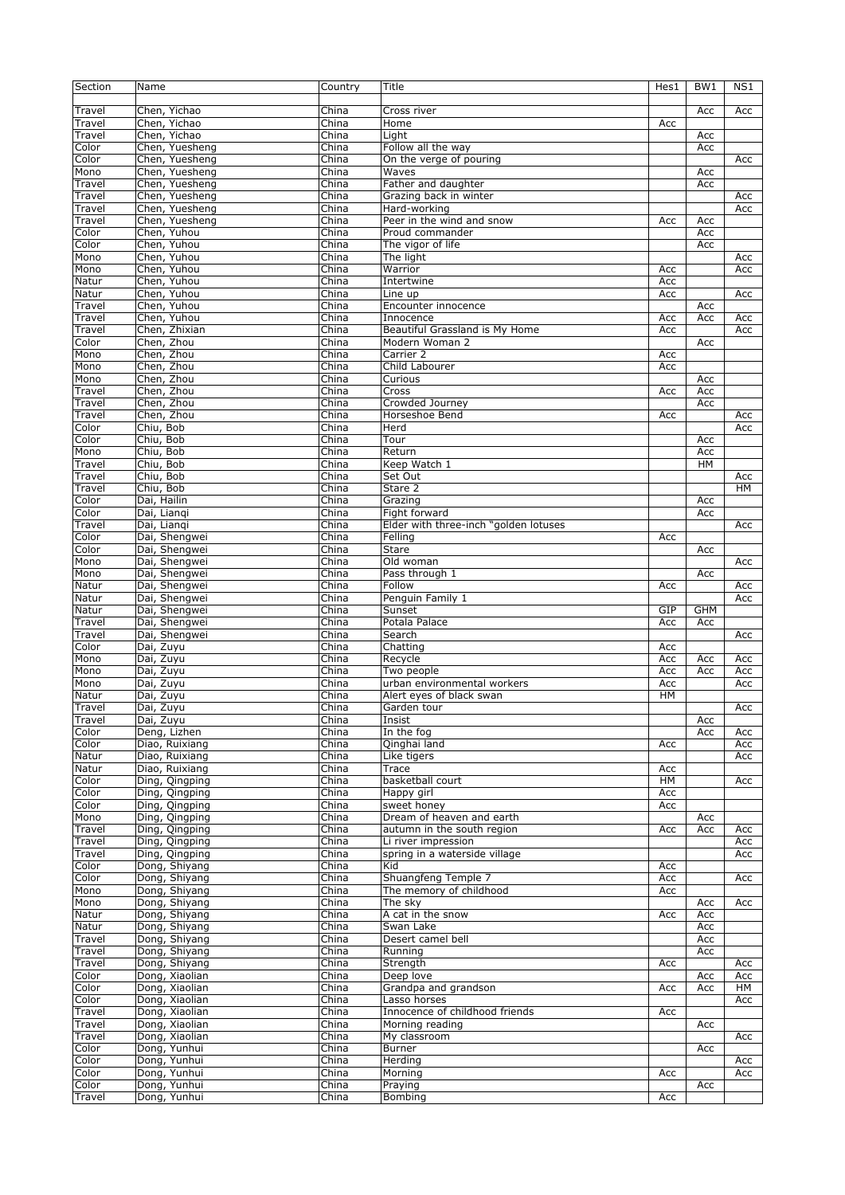| Section | Name           | Country | Title                                 | Hes1 | BW <sub>1</sub> | NS1       |
|---------|----------------|---------|---------------------------------------|------|-----------------|-----------|
|         |                |         |                                       |      |                 |           |
| Travel  | Chen, Yichao   | China   | Cross river                           |      | Acc             | Acc       |
| Travel  | Chen, Yichao   | China   | Home                                  | Acc  |                 |           |
| Travel  | Chen, Yichao   | China   | Light                                 |      | Acc             |           |
| Color   | Chen, Yuesheng | China   | Follow all the way                    |      | Acc             |           |
| Color   | Chen, Yuesheng | China   | On the verge of pouring               |      |                 | Acc       |
| Mono    | Chen, Yuesheng | China   | Waves                                 |      | Acc             |           |
|         |                |         | Father and daughter                   |      |                 |           |
| Travel  | Chen, Yuesheng | China   |                                       |      | Acc             |           |
| Travel  | Chen, Yuesheng | China   | Grazing back in winter                |      |                 | Acc       |
| Travel  | Chen, Yuesheng | China   | Hard-working                          |      |                 | Acc       |
| Travel  | Chen, Yuesheng | China   | Peer in the wind and snow             | Acc  | Acc             |           |
| Color   | Chen, Yuhou    | China   | Proud commander                       |      | Acc             |           |
| Color   | Chen, Yuhou    | China   | The vigor of life                     |      | Acc             |           |
| Mono    | Chen, Yuhou    | China   | The light                             |      |                 | Acc       |
| Mono    | Chen, Yuhou    | China   | Warrior                               | Acc  |                 | Acc       |
| Natur   | Chen, Yuhou    | China   | Intertwine                            | Acc  |                 |           |
| Natur   | Chen, Yuhou    | China   | Line up                               | Acc  |                 | Acc       |
| Travel  | Chen, Yuhou    | China   | Encounter innocence                   |      | Acc             |           |
| Travel  | Chen, Yuhou    | China   | Innocence                             | Acc  | Acc             | Acc       |
| Travel  | Chen, Zhixian  | China   | Beautiful Grassland is My Home        | Acc  |                 | Acc       |
| Color   | Chen, Zhou     | China   | Modern Woman 2                        |      | Acc             |           |
| Mono    | Chen, Zhou     | China   | Carrier 2                             | Acc  |                 |           |
| Mono    | Chen, Zhou     | China   | Child Labourer                        | Acc  |                 |           |
| Mono    | Chen, Zhou     | China   | Curious                               |      |                 |           |
|         |                |         |                                       |      | Acc             |           |
| Travel  | Chen, Zhou     | China   | Cross                                 | Acc  | Acc             |           |
| Travel  | Chen, Zhou     | China   | Crowded Journey                       |      | Acc             |           |
| Travel  | Chen, Zhou     | China   | Horseshoe Bend                        | Acc  |                 | Acc       |
| Color   | Chiu, Bob      | China   | Herd                                  |      |                 | Acc       |
| Color   | Chiu, Bob      | China   | Tour                                  |      | Acc             |           |
| Mono    | Chiu, Bob      | China   | Return                                |      | Acc             |           |
| Travel  | Chiu, Bob      | China   | Keep Watch 1                          |      | <b>HM</b>       |           |
| Travel  | Chiu, Bob      | China   | Set Out                               |      |                 | Acc       |
| Travel  | Chiu, Bob      | China   | Stare 2                               |      |                 | <b>HM</b> |
| Color   | Dai, Hailin    | China   | Grazing                               |      | Acc             |           |
| Color   | Dai, Liangi    | China   | Fight forward                         |      | Acc             |           |
| Travel  | Dai, Liangi    | China   | Elder with three-inch "golden lotuses |      |                 | Acc       |
| Color   | Dai, Shengwei  | China   | Felling                               | Acc  |                 |           |
| Color   | Dai, Shengwei  | China   | <b>Stare</b>                          |      | Acc             |           |
| Mono    | Dai, Shengwei  | China   | Old woman                             |      |                 | Acc       |
| Mono    | Dai, Shengwei  | China   | Pass through 1                        |      | Acc             |           |
| Natur   | Dai, Shengwei  | China   | Follow                                | Acc  |                 | Acc       |
|         |                | China   |                                       |      |                 |           |
| Natur   | Dai, Shengwei  |         | Penguin Family 1                      |      |                 | Acc       |
| Natur   | Dai, Shengwei  | China   | Sunset                                | GIP  | <b>GHM</b>      |           |
| Travel  | Dai, Shengwei  | China   | Potala Palace                         | Acc  | Acc             |           |
| Travel  | Dai, Shengwei  | China   | Search                                |      |                 | Acc       |
| Color   | Dai, Zuyu      | China   | Chatting                              | Acc  |                 |           |
| Mono    | Dai, Zuyu      | China   | Recycle                               | Acc  | Acc             | Acc       |
| Mono    | Dai, Zuyu      | China   | Two people                            | Acc  | Acc             | Acc       |
| Mono    | Dai, Zuyu      | China   | urban environmental workers           | Acc  |                 | Acc       |
| Natur   | Dai, Zuyu      | China   | Alert eyes of black swan              | HM   |                 |           |
| Travel  | Dai, Zuyu      | China   | Garden tour                           |      |                 | Acc       |
| Travel  | Dai, Zuyu      | China   | Insist                                |      | Acc             |           |
| Color   | Deng, Lizhen   | China   | In the fog                            |      | Acc             | Acc       |
| Color   | Diao, Ruixiang | China   | Qinghai land                          | Acc  |                 | Acc       |
| Natur   | Diao, Ruixiang | China   | Like tigers                           |      |                 | Acc       |
| Natur   | Diao, Ruixiang | China   | Trace                                 | Acc  |                 |           |
| Color   | Ding, Qingping | China   | basketball court                      | HM   |                 | Acc       |
| Color   | Ding, Qingping | China   | Happy girl                            | Acc  |                 |           |
| Color   | Ding, Qingping | China   | sweet honey                           | Acc  |                 |           |
| Mono    | Ding, Qingping | China   | Dream of heaven and earth             |      | Acc             |           |
|         |                | China   | autumn in the south region            |      |                 |           |
| Travel  | Ding, Qingping | China   |                                       | Acc  | Acc             | Acc       |
| Travel  | Ding, Qingping |         | Li river impression                   |      |                 | Acc       |
| Travel  | Ding, Qingping | China   | spring in a waterside village         |      |                 | Acc       |
| Color   | Dong, Shiyang  | China   | Kid                                   | Acc  |                 |           |
| Color   | Dong, Shiyang  | China   | Shuangfeng Temple 7                   | Acc  |                 | Acc       |
| Mono    | Dong, Shiyang  | China   | The memory of childhood               | Acc  |                 |           |
| Mono    | Dong, Shiyang  | China   | The sky                               |      | Acc             | Acc       |
| Natur   | Dong, Shiyang  | China   | A cat in the snow                     | Acc  | Acc             |           |
| Natur   | Dong, Shiyang  | China   | Swan Lake                             |      | Acc             |           |
| Travel  | Dong, Shiyang  | China   | Desert camel bell                     |      | Acc             |           |
| Travel  | Dong, Shiyang  | China   | Running                               |      | Acc             |           |
| Travel  | Dong, Shiyang  | China   | Strength                              | Acc  |                 | Acc       |
| Color   | Dong, Xiaolian | China   | Deep love                             |      | Acc             | Acc       |
| Color   | Dong, Xiaolian | China   | Grandpa and grandson                  | Acc  | Acc             | HМ        |
| Color   | Dong, Xiaolian | China   | Lasso horses                          |      |                 | Acc       |
| Travel  | Dong, Xiaolian | China   | Innocence of childhood friends        | Acc  |                 |           |
| Travel  | Dong, Xiaolian | China   | Morning reading                       |      | Acc             |           |
| Travel  | Dong, Xiaolian | China   | My classroom                          |      |                 | Acc       |
| Color   | Dong, Yunhui   | China   | Burner                                |      |                 |           |
| Color   |                | China   | Herding                               |      | Acc             | Acc       |
|         | Dong, Yunhui   |         |                                       |      |                 |           |
| Color   | Dong, Yunhui   | China   | Morning                               | Acc  |                 | Acc       |
| Color   | Dong, Yunhui   | China   | Praying                               |      | Acc             |           |
| Travel  | Dong, Yunhui   | China   | Bombing                               | Acc  |                 |           |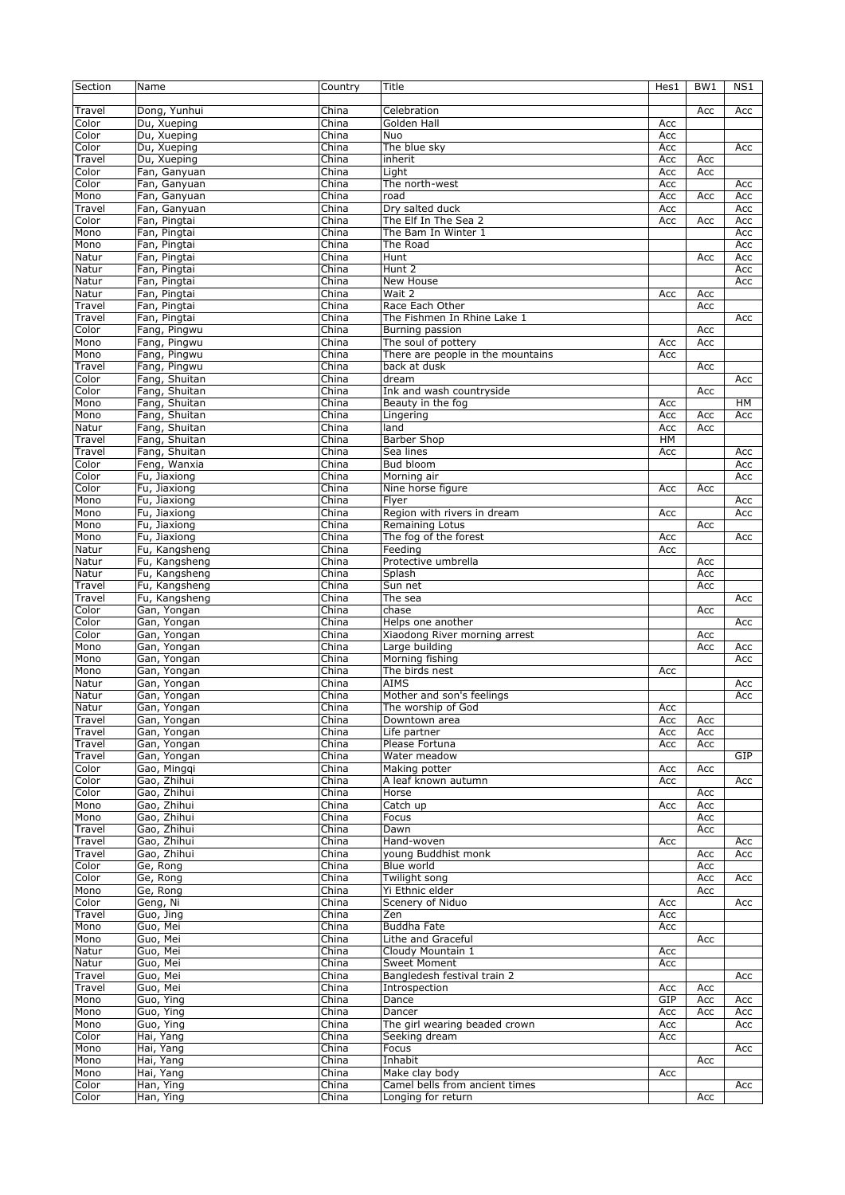| Section         | Name                           | Country                   | Title                                                | Hes1       | BW1        | NS1        |
|-----------------|--------------------------------|---------------------------|------------------------------------------------------|------------|------------|------------|
| Travel          | Dong, Yunhui                   | China                     | Celebration                                          |            | Acc        | Acc        |
| Color           | Du, Xueping                    | China                     | Golden Hall                                          | Acc        |            |            |
| Color           | Du, Xueping                    | China                     | Nuo                                                  | Acc        |            |            |
| Color           | Du, Xueping                    | China                     | The blue sky                                         | Acc        |            | Acc        |
| Travel          | Du, Xueping                    | China                     | inherit                                              | Acc        | Acc        |            |
| Color           | Fan, Ganyuan                   | China                     | Light                                                | Acc        | Acc        |            |
| Color           | Fan, Ganyuan                   | China                     | The north-west                                       | Acc        |            | Acc        |
| Mono            | Fan, Ganyuan                   | China                     | road                                                 | Acc        | Acc        | Acc        |
| Travel<br>Color | Fan, Ganyuan<br>Fan, Pingtai   | China<br>China            | Dry salted duck<br>The Elf In The Sea 2              | Acc<br>Acc | Acc        | Acc<br>Acc |
| Mono            | Fan, Pingtai                   | China                     | The Bam In Winter 1                                  |            |            | Acc        |
| Mono            | Fan, Pingtai                   | China                     | The Road                                             |            |            | Acc        |
| Natur           | Fan, Pingtai                   | China                     | Hunt                                                 |            | Acc        | Acc        |
| Natur           | Fan, Pingtai                   | China                     | Hunt 2                                               |            |            | Acc        |
| Natur           | Fan, Pingtai                   | China                     | New House                                            |            |            | Acc        |
| Natur           | Fan, Pingtai                   | China                     | Wait 2                                               | Acc        | Acc        |            |
| Travel          | Fan, Pingtai                   | China                     | Race Each Other                                      |            | Acc        |            |
| Travel          | Fan, Pingtai                   | China                     | The Fishmen In Rhine Lake 1                          |            |            | Acc        |
| Color           | Fang, Pingwu                   | China                     | Burning passion                                      |            | Acc        |            |
| Mono            | Fang, Pingwu                   | China                     | The soul of pottery                                  | Acc        | Acc        |            |
| Mono            | Fang, Pingwu                   | $\overline{\text{China}}$ | There are people in the mountains                    | Acc        |            |            |
| Travel          | Fang, Pingwu                   | China                     | back at dusk                                         |            | Acc        |            |
| Color<br>Color  | Fang, Shuitan<br>Fang, Shuitan | China<br>China            | dream<br>Ink and wash countryside                    |            |            | Acc        |
| Mono            | Fang, Shuitan                  | China                     | Beauty in the fog                                    | Acc        | Acc        | HМ         |
| Mono            | Fang, Shuitan                  | China                     | Lingering                                            | Acc        | Acc        | Acc        |
| Natur           | Fang, Shuitan                  | China                     | land                                                 | Acc        | Acc        |            |
| Travel          | Fang, Shuitan                  | China                     | <b>Barber Shop</b>                                   | HM         |            |            |
| Travel          | Fang, Shuitan                  | China                     | Sea lines                                            | Acc        |            | Acc        |
| Color           | Feng, Wanxia                   | China                     | Bud bloom                                            |            |            | Acc        |
| Color           | Fu, Jiaxiong                   | China                     | Morning air                                          |            |            | Acc        |
| Color           | Fu, Jiaxiong                   | China                     | Nine horse figure                                    | Acc        | Acc        |            |
| Mono            | Fu, Jiaxiong                   | China                     | Flyer                                                |            |            | Acc        |
| Mono            | Fu, Jiaxiong                   | China                     | Region with rivers in dream                          | Acc        |            | Acc        |
| Mono            | Fu, Jiaxiong                   | China                     | Remaining Lotus                                      |            | Acc        |            |
| Mono            | Fu, Jiaxiong                   | China                     | The fog of the forest                                | Acc        |            | Acc        |
| Natur           | Fu, Kangsheng                  | China                     | Feeding                                              | Acc        |            |            |
| Natur<br>Natur  | Fu, Kangsheng                  | China<br>China            | Protective umbrella<br>Splash                        |            | Acc<br>Acc |            |
| Travel          | Fu, Kangsheng<br>Fu, Kangsheng | China                     | Sun net                                              |            | Acc        |            |
|                 |                                |                           |                                                      |            |            |            |
|                 |                                |                           |                                                      |            |            |            |
| Travel          | Fu, Kangsheng                  | China                     | The sea                                              |            |            | Acc        |
| Color           | Gan, Yongan                    | China                     | chase                                                |            | Acc        |            |
| Color           | Gan, Yongan                    | China<br>China            | Helps one another                                    |            |            | Acc        |
| Color<br>Mono   | Gan, Yongan<br>Gan, Yongan     | China                     | Xiaodong River morning arrest<br>Large building      |            | Acc<br>Acc | Acc        |
| Mono            | Gan, Yongan                    | China                     | Morning fishing                                      |            |            | Acc        |
| Mono            | Gan, Yongan                    | China                     | The birds nest                                       | Acc        |            |            |
| Natur           | Gan, Yongan                    | China                     | <b>AIMS</b>                                          |            |            | Acc        |
| Natur           | Gan, Yongan                    | China                     | Mother and son's feelings                            |            |            | Acc        |
| Natur           | Gan, Yongan                    | China                     | The worship of God                                   | Acc        |            |            |
| Travel          | Gan, Yongan                    | China                     | Downtown area                                        | Acc        | Acc        |            |
| Travel          | Gan, Yongan                    | China                     | Life partner                                         | Acc        | Acc        |            |
| Travel          | Gan, Yongan                    | China                     | Please Fortuna                                       | Acc        | Acc        |            |
| Travel          | Gan, Yongan                    | China                     | Water meadow                                         |            |            | GIP        |
| Color           | Gao, Minggi                    | China                     | Making potter                                        | Acc        | Acc        |            |
| Color           | Gao, Zhihui                    | China                     | A leaf known autumn                                  | Acc        |            | Acc        |
| Color<br>Mono   | Gao, Zhihui<br>Gao, Zhihui     | China                     | Horse                                                |            | Acc        |            |
| Mono            | Gao, Zhihui                    | China<br>China            | $\overline{\text{Cat}}$ ch up<br>Focus               | Acc        | Acc<br>Acc |            |
| Travel          | Gao, Zhihui                    | China                     | Dawn                                                 |            | Acc        |            |
| Travel          | Gao, Zhihui                    | China                     | Hand-woven                                           | Acc        |            | Acc        |
| Travel          | Gao, Zhihui                    | China                     | young Buddhist monk                                  |            | Acc        | Acc        |
| Color           | Ge, Rong                       | China                     | Blue world                                           |            | Acc        |            |
| Color           | Ge, Rong                       | China                     | Twilight song                                        |            | Acc        | Acc        |
| Mono            | Ge, Rong                       | China                     | Yi Ethnic elder                                      |            | Acc        |            |
| Color           | Geng, Ni                       | China                     | Scenery of Niduo                                     | Acc        |            | Acc        |
| Travel          | Guo, Jing                      | China                     | Zen                                                  | Acc        |            |            |
| Mono            | Guo, Mei                       | China                     | Buddha Fate                                          | Acc        |            |            |
| Mono            | Guo, Mei                       | China                     | Lithe and Graceful                                   |            | Acc        |            |
| Natur           | Guo, Mei                       | China                     | Cloudy Mountain 1                                    | Acc        |            |            |
| Natur           | Guo, Mei                       | China                     | <b>Sweet Moment</b>                                  | Acc        |            |            |
| Travel          | Guo, Mei                       | China                     | Bangledesh festival train 2                          |            |            | Acc        |
| Travel          | Guo, Mei                       | China                     | Introspection                                        | Acc<br>GIP | Acc        |            |
| Mono<br>Mono    | Guo, Ying<br>Guo, Ying         | China<br>China            | Dance<br>Dancer                                      | Acc        | Acc<br>Acc | Acc<br>Acc |
| Mono            | Guo, Ying                      | China                     | The girl wearing beaded crown                        | Acc        |            | Acc        |
| Color           | Hai, Yang                      | China                     | Seeking dream                                        | Acc        |            |            |
| Mono            | Hai, Yang                      | China                     | Focus                                                |            |            | Acc        |
| Mono            | Hai, Yang                      | China                     | Inhabit                                              |            | Acc        |            |
| Mono            | Hai, Yang                      | China                     | Make clay body                                       | Acc        |            |            |
| Color<br>Color  | Han, Ying<br>Han, Ying         | China<br>China            | Camel bells from ancient times<br>Longing for return |            | Acc        | Acc        |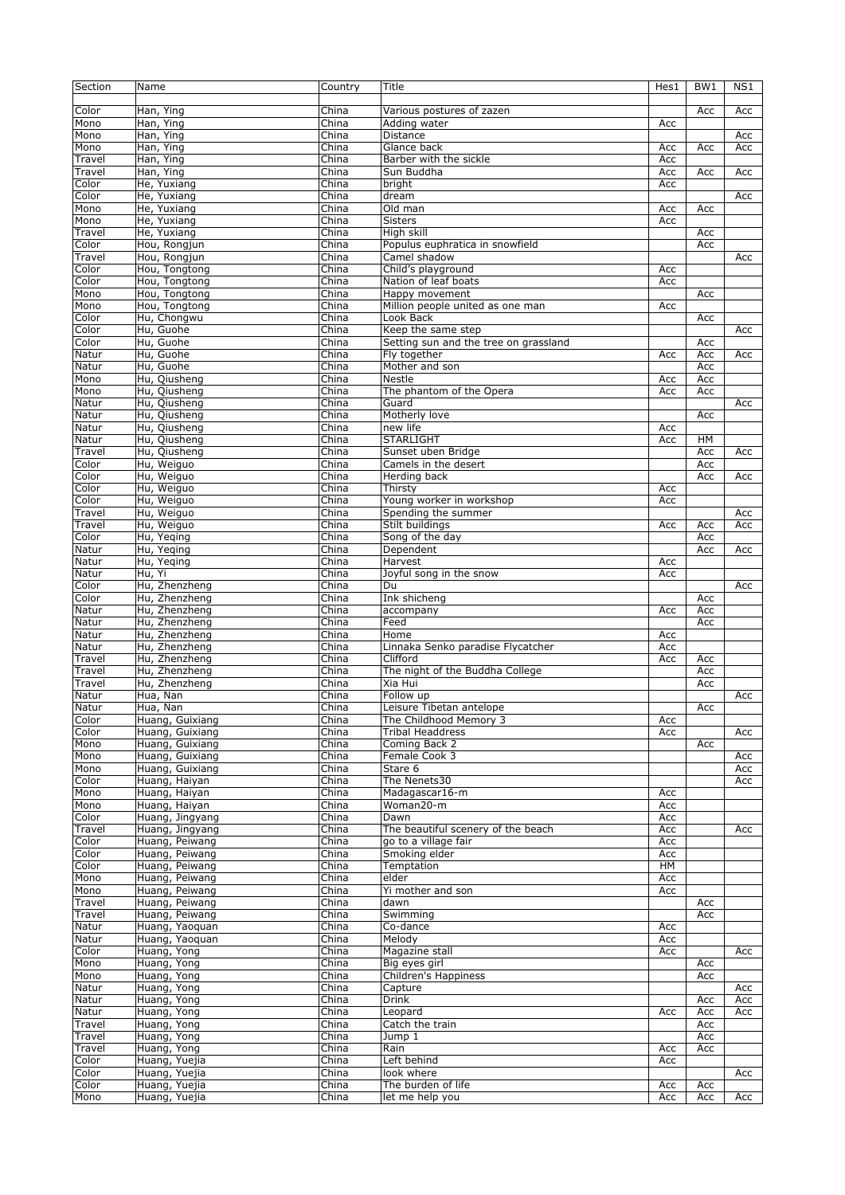| Section | Name            | Country                   | Title                                 | Hes1 | BW1 | NS1 |
|---------|-----------------|---------------------------|---------------------------------------|------|-----|-----|
|         |                 |                           |                                       |      |     |     |
| Color   | Han, Ying       | China                     | Various postures of zazen             |      | Acc | Acc |
| Mono    | Han, Ying       | China                     | Adding water                          | Acc  |     |     |
| Mono    | Han, Ying       | China                     | Distance                              |      |     | Acc |
| Mono    | Han, Ying       | China                     | Glance back                           | Acc  | Acc | Acc |
| Travel  | Han, Ying       | China                     | Barber with the sickle                | Acc  |     |     |
| Travel  | Han, Ying       | China                     | Sun Buddha                            | Acc  | Acc | Acc |
| Color   | He, Yuxiang     | China                     | bright                                | Acc  |     |     |
| Color   | He, Yuxiang     | China                     | dream                                 |      |     | Acc |
| Mono    | He, Yuxiang     | China                     | Old man                               | Acc  | Acc |     |
| Mono    | He, Yuxiang     | China                     | <b>Sisters</b>                        | Acc  |     |     |
| Travel  | He, Yuxiang     | China                     | High skill                            |      | Acc |     |
| Color   | Hou, Rongjun    | China                     | Populus euphratica in snowfield       |      | Acc |     |
| Travel  | Hou, Rongjun    | China                     | Camel shadow                          |      |     | Acc |
| Color   | Hou, Tongtong   | China                     | Child's playground                    | Acc  |     |     |
| Color   | Hou, Tongtong   | China                     | Nation of leaf boats                  | Acc  |     |     |
| Mono    | Hou, Tongtong   | China                     | Happy movement                        |      | Acc |     |
| Mono    | Hou, Tongtong   | China                     | Million people united as one man      | Acc  |     |     |
| Color   | Hu, Chongwu     | China                     | Look Back                             |      | Acc |     |
| Color   | Hu, Guohe       | China                     | Keep the same step                    |      |     | Acc |
| Color   | Hu, Guohe       | China                     | Setting sun and the tree on grassland |      | Acc |     |
| Natur   | Hu, Guohe       | China                     | Fly together                          | Acc  | Acc | Acc |
| Natur   | Hu, Guohe       | China                     | Mother and son                        |      | Acc |     |
| Mono    | Hu, Qiusheng    | China                     | Nestle                                | Acc  | Acc |     |
| Mono    | Hu, Qiusheng    | China                     | The phantom of the Opera              | Acc  | Acc |     |
| Natur   | Hu, Qiusheng    | China                     | Guard                                 |      |     | Acc |
| Natur   | Hu, Qiusheng    | China                     | Motherly love                         |      | Acc |     |
| Natur   | Hu, Qiusheng    | China                     | new life                              | Acc  |     |     |
| Natur   | Hu, Qiusheng    | China                     | <b>STARLIGHT</b>                      | Acc  | HM  |     |
| Travel  | Hu, Qiusheng    | China                     | Sunset uben Bridge                    |      | Acc | Acc |
| Color   | Hu, Weiguo      | China                     | Camels in the desert                  |      | Acc |     |
| Color   | Hu, Weiguo      | China                     | Herding back                          |      | Acc | Acc |
| Color   | Hu, Weiguo      | China                     | Thirsty                               | Acc  |     |     |
| Color   | Hu, Weiguo      | China                     | Young worker in workshop              | Acc  |     |     |
| Travel  | Hu, Weiguo      | China                     | Spending the summer                   |      |     | Acc |
| Travel  | Hu, Weiguo      | China                     | Stilt buildings                       | Acc  | Acc | Acc |
| Color   | Hu, Yeqing      | China                     | Song of the day                       |      | Acc |     |
| Natur   | Hu, Yeging      | China                     | Dependent                             |      | Acc | Acc |
| Natur   | Hu, Yeging      | China                     | Harvest                               | Acc  |     |     |
| Natur   | Hu, Yi          | China                     | Joyful song in the snow               | Acc  |     |     |
| Color   | Hu, Zhenzheng   | China                     | Du                                    |      |     | Acc |
| Color   | Hu, Zhenzheng   | China                     | Ink shicheng                          |      | Acc |     |
| Natur   | Hu, Zhenzheng   | China                     | accompany                             | Acc  | Acc |     |
| Natur   | Hu, Zhenzheng   | $\overline{\text{China}}$ | Feed                                  |      | Acc |     |
| Natur   | Hu, Zhenzheng   | China                     | Home                                  | Acc  |     |     |
| Natur   | Hu, Zhenzheng   | China                     | Linnaka Senko paradise Flycatcher     | Acc  |     |     |
| Travel  | Hu, Zhenzheng   | China                     | Clifford                              | Acc  | Acc |     |
| Travel  | Hu, Zhenzheng   | China                     | The night of the Buddha College       |      | Acc |     |
| Travel  | Hu, Zhenzheng   | China                     | Xia Hui                               |      | Acc |     |
| Natur   | Hua, Nan        | China                     | Follow up                             |      |     | Acc |
| Natur   | Hua, Nan        | China                     | Leisure Tibetan antelope              |      | Acc |     |
| Color   | Huang, Guixiang | China                     | The Childhood Memory 3                | Acc  |     |     |
| Color   | Huang, Guixiang | China                     | Tribal Headdress                      | Acc  |     | Acc |
| Mono    | Huang, Guixiang | China                     | Coming Back 2                         |      | Acc |     |
| Mono    | Huang, Guixiang | China                     | Female Cook 3                         |      |     | Acc |
| Mono    | Huang, Guixiang | China                     | Stare 6                               |      |     | Acc |
| Color   | Huang, Haiyan   | China                     | The Nenets30                          |      |     | Acc |
| Mono    | Huang, Haiyan   | China                     | Madagascar16-m                        | Acc  |     |     |
| Mono    | Huang, Haiyan   | China                     | Woman20-m                             | Acc  |     |     |
| Color   | Huang, Jingyang | China                     | Dawn                                  | Acc  |     |     |
| Travel  | Huang, Jingyang | China                     | The beautiful scenery of the beach    | Acc  |     | Acc |
| Color   | Huang, Peiwang  | China                     | go to a village fair                  | Acc  |     |     |
| Color   | Huang, Peiwang  | China                     | Smoking elder                         | Acc  |     |     |
| Color   | Huang, Peiwang  | China                     | Temptation                            | HМ   |     |     |
| Mono    | Huang, Peiwang  | China                     | elder                                 | Acc  |     |     |
| Mono    | Huang, Peiwang  | China                     | Yi mother and son                     | Acc  |     |     |
| Travel  | Huang, Peiwang  | China                     | dawn                                  |      | Acc |     |
| Travel  | Huang, Peiwang  | China                     | Swimming                              |      | Acc |     |
| Natur   | Huang, Yaoquan  | China                     | Co-dance                              | Acc  |     |     |
| Natur   | Huang, Yaoquan  | China                     | Melody                                | Acc  |     |     |
| Color   | Huang, Yong     | China                     | Magazine stall                        | Acc  |     | Acc |
| Mono    | Huang, Yong     | China                     | Big eyes girl                         |      | Acc |     |
| Mono    | Huang, Yong     | China                     | Children's Happiness                  |      | Acc |     |
| Natur   | Huang, Yong     | China                     | Capture                               |      |     | Acc |
| Natur   | Huang, Yong     | China                     | Drink                                 |      | Acc | Acc |
| Natur   | Huang, Yong     | China                     | Leopard                               | Acc  | Acc | Acc |
| Travel  | Huang, Yong     | China                     | Catch the train                       |      | Acc |     |
| Travel  | Huang, Yong     | China                     | Jump 1                                |      | Acc |     |
| Travel  | Huang, Yong     | China                     | Rain                                  | Acc  | Acc |     |
| Color   | Huang, Yuejia   | China                     | Left behind                           | Acc  |     |     |
| Color   | Huang, Yuejia   | China                     | look where                            |      |     | Acc |
| Color   | Huang, Yuejia   | China                     | The burden of life                    | Acc  | Acc |     |
| Mono    | Huang, Yuejia   | China                     | let me help you                       | Acc  | Acc | Acc |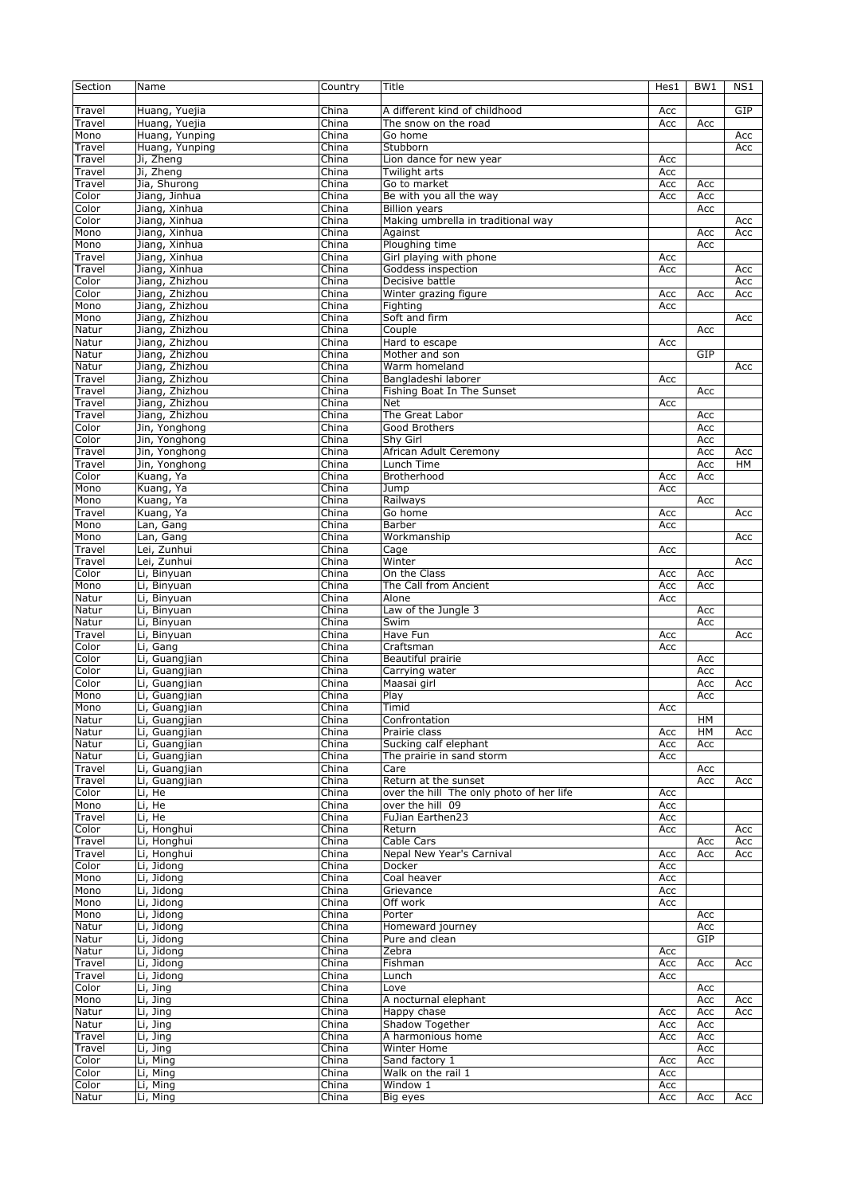| Section          | Name                             | Country                   | Title                                                      | Hes1       | BW <sub>1</sub> | NS1        |
|------------------|----------------------------------|---------------------------|------------------------------------------------------------|------------|-----------------|------------|
| Travel           | Huang, Yuejia                    | China                     | A different kind of childhood                              | Acc        |                 | GIP        |
| Travel           | Huang, Yuejia                    | China                     | The snow on the road                                       | Acc        | Acc             |            |
| Mono             | Huang, Yunping                   | China                     | Go home                                                    |            |                 | Acc        |
| Travel           | Huang, Yunping                   | China                     | Stubborn                                                   |            |                 | Acc        |
| Travel           | Ji, Zheng                        | China                     | Lion dance for new year                                    | Acc        |                 |            |
| Travel           | Ji, Zheng                        | China                     | Twilight arts                                              | Acc        |                 |            |
| Travel           | Jia, Shurong                     | China                     | Go to market                                               | Acc        | Acc             |            |
| Color<br>Color   | Jiang, Jinhua                    | China                     | Be with you all the way                                    | Acc        | Acc             |            |
| Color            | Jiang, Xinhua<br>Jiang, Xinhua   | China<br>China            | <b>Billion years</b><br>Making umbrella in traditional way |            | Acc             | Acc        |
| Mono             | Jiang, Xinhua                    | China                     | Against                                                    |            | Acc             | Acc        |
| Mono             | Jiang, Xinhua                    | China                     | Ploughing time                                             |            | Acc             |            |
| Travel           | Jiang, Xinhua                    | China                     | Girl playing with phone                                    | Acc        |                 |            |
| Travel           | Jiang, Xinhua                    | China                     | Goddess inspection                                         | Acc        |                 | Acc        |
| Color            | Jiang, Zhizhou                   | China                     | Decisive battle                                            |            |                 | Acc        |
| Color            | Jiang, Zhizhou                   | China                     | Winter grazing figure                                      | Acc        | Acc             | Acc        |
| Mono             | Jiang, Zhizhou                   | China                     | Fighting                                                   | Acc        |                 |            |
| Mono             | Jiang, Zhizhou                   | China                     | Soft and firm                                              |            |                 | Acc        |
| Natur            | Jiang, Zhizhou                   | China                     | Couple                                                     |            | Acc             |            |
| Natur            | Jiang, Zhizhou                   | China                     | Hard to escape                                             | Acc        |                 |            |
| Natur            | Jiang, Zhizhou                   | $\overline{\text{China}}$ | Mother and son                                             |            | GIP             |            |
| Natur            | Jiang, Zhizhou                   | China                     | Warm homeland                                              |            |                 | Acc        |
| Travel<br>Travel | Jiang, Zhizhou<br>Jiang, Zhizhou | China                     | Bangladeshi laborer<br>Fishing Boat In The Sunset          | Acc        |                 |            |
| Travel           | Jiang, Zhizhou                   | China<br>China            | Net                                                        | Acc        | Acc             |            |
| Travel           | Jiang, Zhizhou                   | China                     | The Great Labor                                            |            | Acc             |            |
| Color            | Jin, Yonghong                    | China                     | Good Brothers                                              |            | Acc             |            |
| Color            | Jin, Yonghong                    | China                     | Shv Girl                                                   |            | Acc             |            |
| Travel           | Jin, Yonghong                    | China                     | African Adult Ceremony                                     |            | Acc             | Acc        |
| Travel           | Jin, Yonghong                    | China                     | Lunch Time                                                 |            | Acc             | <b>HM</b>  |
| Color            | Kuang, Ya                        | China                     | Brotherhood                                                | Acc        | Acc             |            |
| Mono             | Kuang, Ya                        | China                     | Jump                                                       | Acc        |                 |            |
| Mono             | Kuang, Ya                        | China                     | Railways                                                   |            | Acc             |            |
| Travel           | Kuang, Ya                        | China                     | Go home                                                    | Acc        |                 | Acc        |
| Mono             | Lan, Gang                        | China                     | Barber                                                     | Acc        |                 |            |
| Mono             | Lan, Gang                        | China                     | Workmanship                                                |            |                 | Acc        |
| Travel           | Lei, Zunhui                      | China                     | Cage                                                       | Acc        |                 |            |
| Travel<br>Color  | Lei, Zunhui                      | China<br>China            | Winter<br>On the Class                                     | Acc        |                 | Acc        |
| Mono             | Li, Binyuan<br>Li, Binyuan       | China                     | The Call from Ancient                                      | Acc        | Acc<br>Acc      |            |
| Natur            | Li, Binyuan                      | China                     | Alone                                                      | Acc        |                 |            |
| Natur            | Li, Binyuan                      | $\overline{\text{China}}$ | Law of the Jungle 3                                        |            | Acc             |            |
| Natur            | Li, Binyuan                      | China                     | Swim                                                       |            | Acc             |            |
| Travel           | Li, Binyuan                      | China                     | Have Fun                                                   | Acc        |                 | Acc        |
| Color            | Li, Gang                         | China                     | Craftsman                                                  | Acc        |                 |            |
| Color            | Li, Guangjian                    | China                     | Beautiful prairie                                          |            | Acc             |            |
| Color            | Li, Guangjian                    | China                     | Carrying water                                             |            | Acc             |            |
| Color            | Li, Guangjian                    | China                     | Maasai girl                                                |            | Acc             | Acc        |
| Mono             | Li, Guangjian                    | China                     | Play                                                       |            | Acc             |            |
| Mono             | Li, Guangjian                    | China                     | Timid                                                      | Acc        |                 |            |
| Natur            | Li, Guangjian                    | China                     | Confrontation                                              |            | HМ              |            |
| Natur            | Li, Guangjian                    | China                     | Prairie class                                              | Acc        | HM              | Acc        |
| Natur            | Li, Guangjian                    | China                     | Sucking calf elephant<br>The prairie in sand storm         | Acc        | Acc             |            |
| Natur            | Li, Guangjian                    | China                     |                                                            | Acc        |                 |            |
| Travel<br>Travel | Li, Guangjian<br>Li, Guangjian   | China<br>China            | Care<br>Return at the sunset                               |            | Acc<br>Acc      | Acc        |
| Color            | Li, He                           | China                     | over the hill The only photo of her life                   | Acc        |                 |            |
| Mono             | Li, He                           | China                     | over the hill 09                                           | Acc        |                 |            |
| Travel           |                                  |                           |                                                            |            |                 |            |
| Color            |                                  |                           |                                                            |            |                 |            |
| Travel           | Li, He<br>Li, Honghui            | China<br>China            | FuJian Earthen23<br>Return                                 | Acc<br>Acc |                 | Acc        |
| Travel           | Li, Honghui                      | China                     | Cable Cars                                                 |            | Acc             | Acc        |
|                  | Li, Honghui                      | China                     | Nepal New Year's Carnival                                  | Acc        | Acc             | Acc        |
| Color            | Li, Jidong                       | China                     | Docker                                                     | Acc        |                 |            |
| Mono             | Li, Jidong                       | China                     | Coal heaver                                                | Acc        |                 |            |
| Mono             | Li, Jidong                       | China                     | Grievance                                                  | Acc        |                 |            |
| Mono             | Li, Jidong                       | China                     | Off work                                                   | Acc        |                 |            |
| Mono             | Li, Jidong                       | China                     | Porter                                                     |            | Acc             |            |
| Natur            | Li, Jidong                       | China                     | Homeward journey                                           |            | Acc             |            |
| Natur            | Li, Jidong                       | China                     | Pure and clean                                             |            | GIP             |            |
| Natur            | Li, Jidong                       | China                     | Zebra                                                      | Acc        |                 |            |
| Travel           | Li, Jidong                       | China                     | Fishman                                                    | Acc        | Acc             | Acc        |
| Travel           | Li, Jidong                       | China                     | Lunch                                                      | Acc        |                 |            |
| Color            | Li, Jing                         | China                     | Love                                                       |            | Acc             |            |
| Mono             | Li, Jing                         | China<br>China            | A nocturnal elephant                                       |            | Acc             | Acc<br>Acc |
| Natur            | Li, Jing                         |                           | Happy chase                                                | Acc        | Acc             |            |
| Natur<br>Travel  | Li, Jing<br>Li, Jing             | China<br>China            | Shadow Together<br>A harmonious home                       | Acc<br>Acc | Acc<br>Acc      |            |
| Travel           | Li, Jing                         | China                     | Winter Home                                                |            | Acc             |            |
| Color            | Li, Ming                         | China                     | Sand factory 1                                             | Acc        | Acc             |            |
| Color            | Li, Ming                         | China                     | Walk on the rail 1                                         | Acc        |                 |            |
| Color<br>Natur   | Li, Ming<br>Li, Ming             | China<br>China            | Window 1<br>Big eyes                                       | Acc<br>Acc | Acc             | Acc        |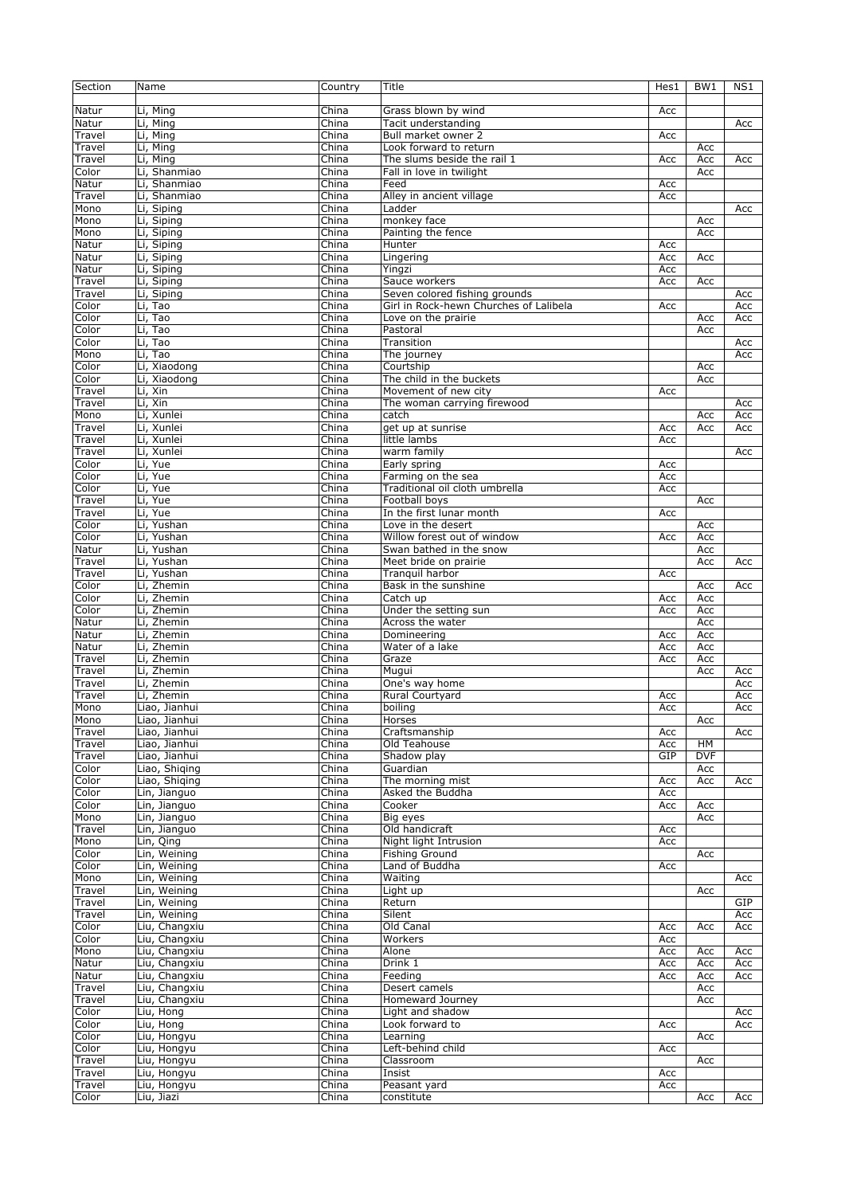| Section | Name          | Country | Title                                  | Hes1 | BW <sub>1</sub> | NS1        |
|---------|---------------|---------|----------------------------------------|------|-----------------|------------|
|         |               |         |                                        |      |                 |            |
| Natur   | Li, Ming      | China   | Grass blown by wind                    | Acc  |                 |            |
| Natur   | Li, Ming      | China   | Tacit understanding                    |      |                 | Acc        |
| Travel  | Li, Ming      | China   | Bull market owner 2                    | Acc  |                 |            |
| Travel  | Li, Ming      | China   | Look forward to return                 |      | Acc             |            |
| Travel  | Li, Ming      | China   | The slums beside the rail 1            | Acc  | Acc             | Acc        |
| Color   | Li, Shanmiao  | China   | Fall in love in twilight               |      | Acc             |            |
| Natur   | Li, Shanmiao  | China   | Feed                                   | Acc  |                 |            |
| Travel  | Li, Shanmiao  | China   | Alley in ancient village               | Acc  |                 |            |
| Mono    | Li, Siping    | China   | Ladder                                 |      |                 | Acc        |
| Mono    | Li, Siping    | China   | monkey face                            |      | Acc             |            |
| Mono    | Li, Siping    | China   | Painting the fence                     |      | Acc             |            |
| Natur   | Li, Siping    | China   | Hunter                                 | Acc  |                 |            |
| Natur   | Li, Siping    | China   | Lingering                              | Acc  | Acc             |            |
| Natur   | Li, Siping    | China   | Yingzi                                 | Acc  |                 |            |
| Travel  | Li, Siping    | China   | Sauce workers                          | Acc  | Acc             |            |
| Travel  | Li, Siping    | China   | Seven colored fishing grounds          |      |                 | Acc        |
| Color   | Li, Tao       | China   | Girl in Rock-hewn Churches of Lalibela | Acc  |                 | Acc        |
| Color   | Li, Tao       | China   | Love on the prairie                    |      | Acc             | Acc        |
| Color   | Li, Tao       | China   | Pastoral                               |      | Acc             |            |
| Color   | Li, Tao       | China   | Transition                             |      |                 |            |
| Mono    | Li, Tao       | China   |                                        |      |                 | Acc<br>Acc |
|         |               |         | The journey                            |      |                 |            |
| Color   | Li, Xiaodong  | China   | Courtship                              |      | Acc             |            |
| Color   | Li, Xiaodong  | China   | The child in the buckets               |      | Acc             |            |
| Travel  | Li, Xin       | China   | Movement of new city                   | Acc  |                 |            |
| Travel  | Li, Xin       | China   | The woman carrying firewood            |      |                 | Acc        |
| Mono    | Li, Xunlei    | China   | catch                                  |      | Acc             | Acc        |
| Travel  | Li, Xunlei    | China   | get up at sunrise                      | Acc  | Acc             | Acc        |
| Travel  | Li, Xunlei    | China   | little lambs                           | Acc  |                 |            |
| Travel  | Li, Xunlei    | China   | warm family                            |      |                 | Acc        |
| Color   | Li, Yue       | China   | Early spring                           | Acc  |                 |            |
| Color   | Li, Yue       | China   | Farming on the sea                     | Acc  |                 |            |
| Color   | Li, Yue       | China   | Traditional oil cloth umbrella         | Acc  |                 |            |
| Travel  | Li, Yue       | China   | Football boys                          |      | Acc             |            |
| Travel  | Li, Yue       | China   | In the first lunar month               | Acc  |                 |            |
| Color   | Li, Yushan    | China   | Love in the desert                     |      | Acc             |            |
| Color   | Li, Yushan    | China   | Willow forest out of window            | Acc  | Acc             |            |
| Natur   | Li, Yushan    | China   | Swan bathed in the snow                |      | Acc             |            |
| Travel  | Li, Yushan    | China   | Meet bride on prairie                  |      | Acc             | Acc        |
| Travel  | Li, Yushan    | China   | Tranquil harbor                        | Acc  |                 |            |
| Color   | Li, Zhemin    | China   | Bask in the sunshine                   |      | Acc             | Acc        |
| Color   | Li, Zhemin    | China   | Catch up                               | Acc  | Acc             |            |
| Color   | Li, Zhemin    | China   | Under the setting sun                  | Acc  | Acc             |            |
| Natur   | Li, Zhemin    | China   | Across the water                       |      | Acc             |            |
| Natur   | Li, Zhemin    | China   | Domineering                            | Acc  | Acc             |            |
| Natur   | Li, Zhemin    | China   | Water of a lake                        | Acc  | Acc             |            |
| Travel  | Li, Zhemin    | China   | Graze                                  | Acc  | Acc             |            |
| Travel  | Li, Zhemin    | China   | Mugui                                  |      | Acc             | Acc        |
| Travel  | Li, Zhemin    | China   | One's way home                         |      |                 | Acc        |
| Travel  | Li, Zhemin    | China   | Rural Courtyard                        | Acc  |                 | Acc        |
|         |               |         |                                        |      |                 |            |
| Mono    | Liao, Jianhui | China   | boiling                                | Acc  |                 | Acc        |
| Mono    | Liao, Jianhui | China   | Horses                                 |      | Acc             |            |
| Travel  | Liao, Jianhui | China   | Craftsmanship                          | Acc  |                 | Acc        |
| Travel  | Liao, Jianhui | China   | Old Teahouse                           | Acc  | HM              |            |
| Travel  | Liao, Jianhui | China   | Shadow play                            | GIP  | <b>DVF</b>      |            |
| Color   | Liao, Shiging | China   | Guardian                               |      | Acc             |            |
| Color   | Liao, Shiging | China   | The morning mist                       | Acc  | Acc             | Acc        |
| Color   | Lin, Jianguo  | China   | Asked the Buddha                       | Acc  |                 |            |
| Color   | Lin, Jianguo  | China   | Cooker                                 | Acc  | Acc             |            |
| Mono    | Lin, Jianguo  | China   | Big eyes                               |      | Acc             |            |
| Travel  | Lin, Jianguo  | China   | Old handicraft                         | Acc  |                 |            |
| Mono    | Lin, Qing     | China   | Night light Intrusion                  | Acc  |                 |            |
| Color   | Lin, Weining  | China   | <b>Fishing Ground</b>                  |      | Acc             |            |
| Color   | Lin, Weining  | China   | Land of Buddha                         | Acc  |                 |            |
| Mono    | Lin, Weining  | China   | Waiting                                |      |                 | Acc        |
| Travel  | Lin, Weining  | China   | Light up                               |      | Acc             |            |
| Travel  | Lin, Weining  | China   | Return                                 |      |                 | GIP        |
| Travel  | Lin, Weining  | China   | Silent                                 |      |                 | Acc        |
| Color   | Liu, Changxiu | China   | Old Canal                              | Acc  | Acc             | Acc        |
| Color   | Liu, Changxiu | China   | Workers                                | Acc  |                 |            |
| Mono    | Liu, Changxiu | China   | Alone                                  | Acc  | Acc             | Acc        |
| Natur   | Liu, Changxiu | China   | Drink 1                                | Acc  | Acc             | Acc        |
| Natur   | Liu, Changxiu | China   | Feeding                                | Acc  | Acc             | Acc        |
| Travel  | Liu, Changxiu | China   | Desert camels                          |      | Acc             |            |
| Travel  | Liu, Changxiu | China   | Homeward Journey                       |      | Acc             |            |
| Color   | Liu, Hong     | China   | Light and shadow                       |      |                 | Acc        |
| Color   | Liu, Hong     | China   | Look forward to                        | Acc  |                 | Acc        |
| Color   | Liu, Hongyu   | China   | Learning                               |      | Acc             |            |
| Color   | Liu, Hongyu   | China   | Left-behind child                      | Acc  |                 |            |
| Travel  | Liu, Hongyu   | China   | Classroom                              |      | Acc             |            |
| Travel  | Liu, Hongyu   | China   | Insist                                 | Acc  |                 |            |
| Travel  | Liu, Hongyu   | China   | Peasant yard                           | Acc  |                 |            |
| Color   | Liu, Jiazi    | China   | constitute                             |      | Acc             | Acc        |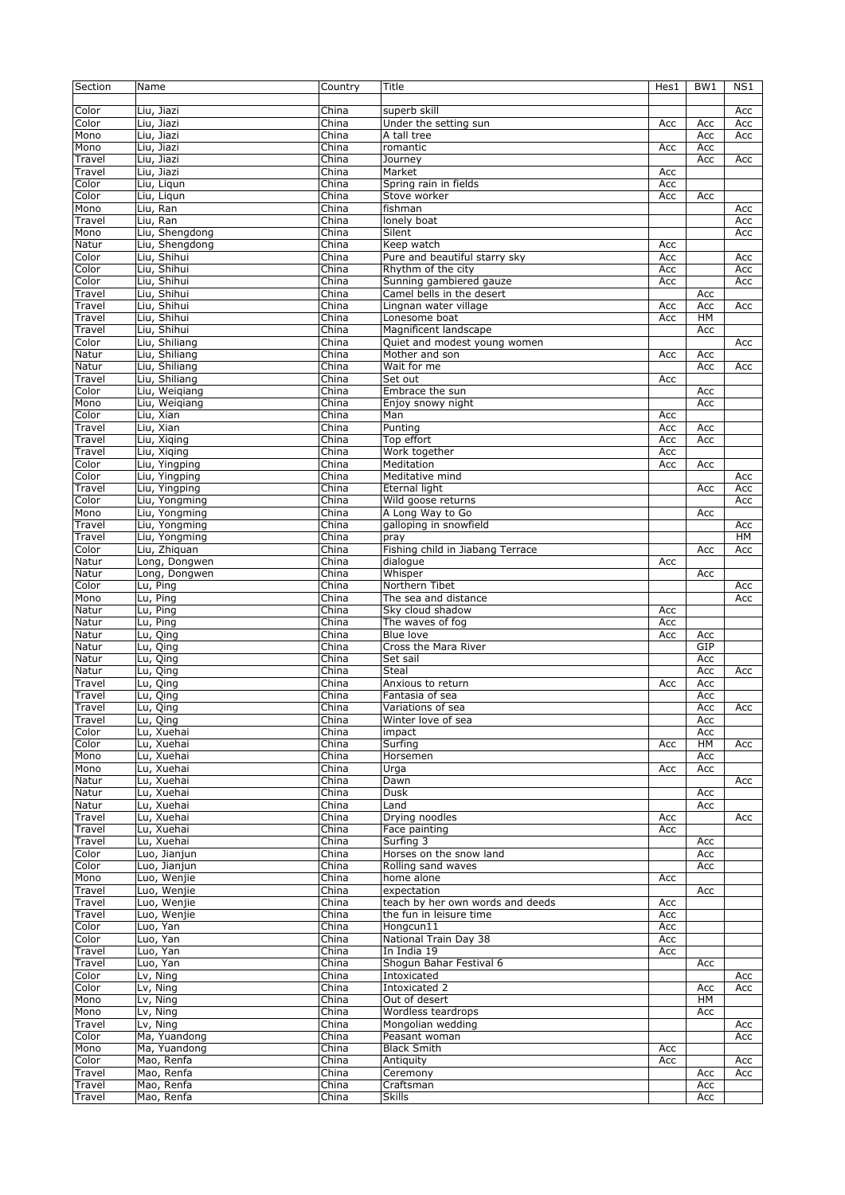| Section        | Name           | Country        | Title                            | Hes1 | BW <sub>1</sub> | NS1       |
|----------------|----------------|----------------|----------------------------------|------|-----------------|-----------|
|                |                |                |                                  |      |                 |           |
| Color          | Liu, Jiazi     | China          | superb skill                     |      |                 | Acc       |
| Color          | Liu, Jiazi     | China          | Under the setting sun            | Acc  | Acc             | Acc       |
| Mono           | Liu, Jiazi     | China          | A tall tree                      |      | Acc             | Acc       |
| Mono           | Liu, Jiazi     | China          | romantic                         | Acc  | Acc             |           |
| Travel         | Liu, Jiazi     | China          | Journey                          |      | Acc             | Acc       |
| Travel         | Liu, Jiazi     | China          | Market                           | Acc  |                 |           |
| Color          | Liu, Ligun     | China          | Spring rain in fields            | Acc  |                 |           |
| Color          | Liu, Ligun     | China          | Stove worker                     | Acc  | Acc             |           |
| Mono           | Liu, Ran       | China          | fishman                          |      |                 | Acc       |
| Travel         | Liu, Ran       | China          |                                  |      |                 | Acc       |
| Mono           | Liu, Shengdong | China          | lonely boat<br>Silent            |      |                 | Acc       |
|                | Liu, Shengdong |                | Keep watch                       |      |                 |           |
| Natur<br>Color | Liu, Shihui    | China<br>China | Pure and beautiful starry sky    | Acc  |                 |           |
|                |                |                |                                  | Acc  |                 | Acc       |
| Color          | Liu, Shihui    | China          | Rhythm of the city               | Acc  |                 | Acc       |
| Color          | Liu, Shihui    | China          | Sunning gambiered gauze          | Acc  |                 | Acc       |
| Travel         | Liu, Shihui    | China          | Camel bells in the desert        |      | Acc             |           |
| Travel         | Liu, Shihui    | China          | Lingnan water village            | Acc  | Acc             | Acc       |
| Travel         | Liu, Shihui    | China          | Lonesome boat                    | Acc  | HM              |           |
| Travel         | Liu, Shihui    | China          | Magnificent landscape            |      | Acc             |           |
| Color          | Liu, Shiliang  | China          | Quiet and modest young women     |      |                 | Acc       |
| Natur          | Liu, Shiliang  | China          | Mother and son                   | Acc  | Acc             |           |
| Natur          | Liu, Shiliang  | China          | Wait for me                      |      | Acc             | Acc       |
| Travel         | Liu, Shiliang  | China          | Set out                          | Acc  |                 |           |
| Color          | Liu, Weigiang  | China          | Embrace the sun                  |      | Acc             |           |
| Mono           | Liu, Weigiang  | China          | Enjoy snowy night                |      | Acc             |           |
| Color          | Liu, Xian      | China          | Man                              | Acc  |                 |           |
| Travel         | Liu, Xian      | China          | Punting                          | Acc  | Acc             |           |
| Travel         | Liu, Xiqing    | China          | Top effort                       | Acc  | Acc             |           |
| Travel         | Liu, Xiging    | China          | Work together                    | Acc  |                 |           |
| Color          | Liu, Yingping  | China          | Meditation                       | Acc  | Acc             |           |
| Color          | Liu, Yingping  | China          | Meditative mind                  |      |                 | Acc       |
| Travel         | Liu, Yingping  | China          | Eternal light                    |      | Acc             | Acc       |
| Color          | Liu, Yongming  | China          | Wild goose returns               |      |                 | Acc       |
| Mono           | Liu, Yongming  | China          | A Long Way to Go                 |      | Acc             |           |
| Travel         | Liu, Yongming  | China          | galloping in snowfield           |      |                 | Acc       |
| Travel         | Liu, Yongming  | China          | pray                             |      |                 | <b>HM</b> |
| Color          | Liu, Zhiquan   | China          | Fishing child in Jiabang Terrace |      | Acc             | Acc       |
| Natur          | Long, Dongwen  | China          | dialogue                         | Acc  |                 |           |
| Natur          | Long, Dongwen  | China          | Whisper                          |      | Acc             |           |
| Color          | Lu, Ping       | China          | Northern Tibet                   |      |                 | Acc       |
| Mono           | Lu, Ping       | China          | The sea and distance             |      |                 | Acc       |
| Natur          | Lu, Ping       | China          | Sky cloud shadow                 | Acc  |                 |           |
| Natur          | Lu, Ping       | China          | The waves of fog                 | Acc  |                 |           |
| Natur          | Lu, Qing       | China          | Blue love                        | Acc  | Acc             |           |
| Natur          | Lu, Qing       | China          | Cross the Mara River             |      | GIP             |           |
| Natur          | Lu, Qing       | China          | Set sail                         |      | Acc             |           |
| Natur          | Lu, Qing       | China          | <b>Steal</b>                     |      | Acc             | Acc       |
| Travel         | Lu, Qing       | China          | Anxious to return                | Acc  | Acc             |           |
| Travel         | Lu, Qing       | China          | Fantasia of sea                  |      | Acc             |           |
| Travel         | Lu, Qing       | China          | Variations of sea                |      | Acc             | Acc       |
| Travel         | Lu, Qing       | China          | Winter love of sea               |      | Acc             |           |
| Color          | Lu, Xuehai     | China          | impact                           |      | Acc             |           |
| Color          | Lu, Xuehai     | China          | Surfing                          | Acc  | HM              | Acc       |
| Mono           | Lu, Xuehai     | China          | Horsemen                         |      | Acc             |           |
| Mono           | Lu, Xuehai     | China          | Urga                             | Acc  | Acc             |           |
| Natur          | Lu, Xuehai     | China          | Dawn                             |      |                 | Acc       |
| Natur          | Lu, Xuehai     | China          | <b>Dusk</b>                      |      | Acc             |           |
| Natur          | Lu, Xuehai     | China          | Land                             |      | Acc             |           |
| Travel         | Lu, Xuehai     | China          | Drying noodles                   | Acc  |                 | Acc       |
| Travel         | Lu, Xuehai     | China          | Face painting                    | Acc  |                 |           |
| Travel         | Lu, Xuehai     | China          | Surfing 3                        |      | Acc             |           |
| Color          | Luo, Jianjun   | China          | Horses on the snow land          |      | Acc             |           |
| Color          | Luo, Jianjun   | China          | Rolling sand waves               |      | Acc             |           |
| Mono           | Luo, Wenjie    | China          | home alone                       | Acc  |                 |           |
| Travel         | Luo, Wenjie    | China          | expectation                      |      | Acc             |           |
| Travel         | Luo, Wenjie    | China          | teach by her own words and deeds | Acc  |                 |           |
| Travel         | Luo, Wenjie    | China          | the fun in leisure time          | Acc  |                 |           |
| Color          | Luo, Yan       | China          | Hongcun11                        | Acc  |                 |           |
| Color          | Luo, Yan       | China          | National Train Day 38            | Acc  |                 |           |
| Travel         | Luo, Yan       | China          | In India 19                      | Acc  |                 |           |
| Travel         | Luo, Yan       | China          | Shogun Bahar Festival 6          |      | Acc             |           |
| Color          | Lv, Ning       | China          | Intoxicated                      |      |                 | Acc       |
| Color          | Lv, Ning       | China          | Intoxicated 2                    |      | Acc             | Acc       |
| Mono           | Lv, Ning       | China          | Out of desert                    |      | HM              |           |
| Mono           | Lv, Ning       | China          | Wordless teardrops               |      | Acc             |           |
| Travel         | Lv, Ning       | China          | Mongolian wedding                |      |                 | Acc       |
| Color          | Ma, Yuandong   | China          | Peasant woman                    |      |                 | Acc       |
| Mono           | Ma, Yuandong   | China          | <b>Black Smith</b>               | Acc  |                 |           |
| Color          | Mao, Renfa     | China          | Antiquity                        | Acc  |                 | Acc       |
| Travel         | Mao, Renfa     | China          | Ceremony                         |      | Acc             | Acc       |
| Travel         | Mao, Renfa     | China          | Craftsman                        |      | Acc             |           |
| Travel         | Mao, Renfa     | China          | <b>Skills</b>                    |      | Acc             |           |
|                |                |                |                                  |      |                 |           |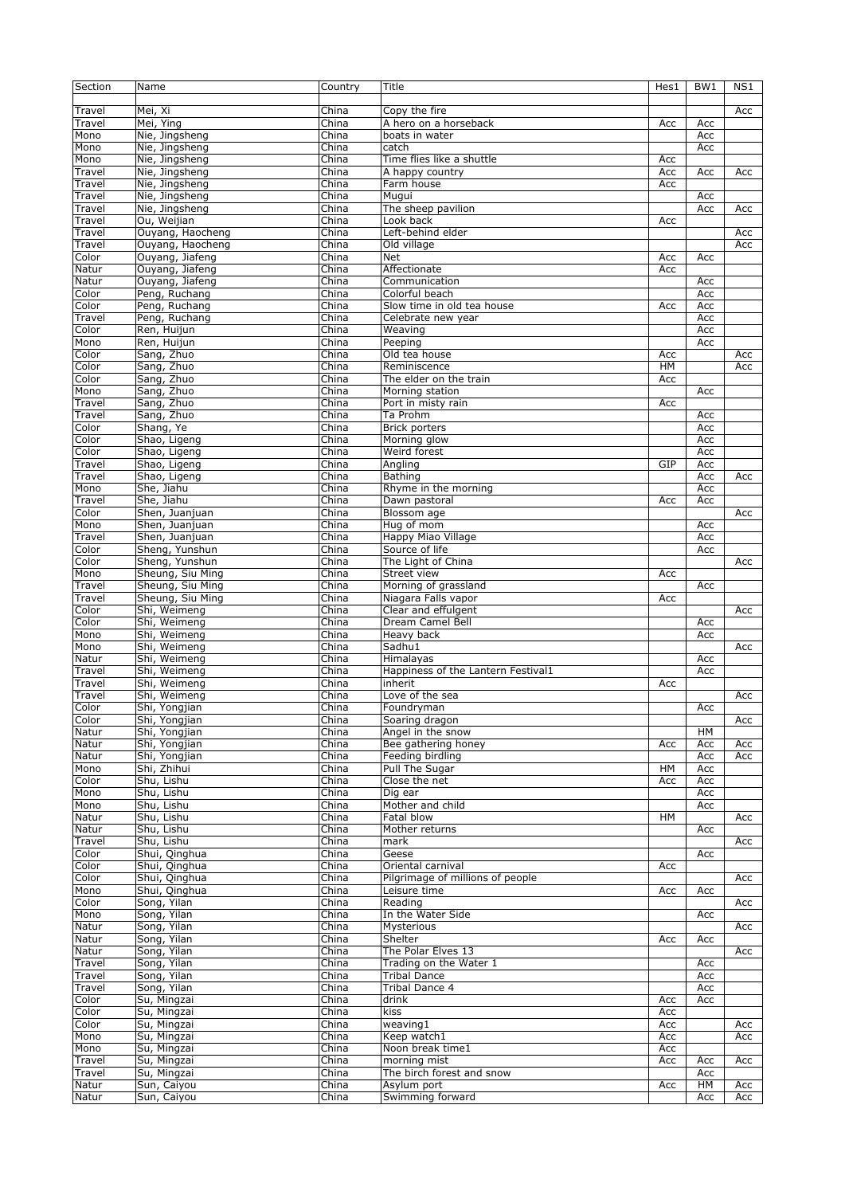| Section | Name             | Country                   | Title                              | Hes1 | BW1 | NS1 |
|---------|------------------|---------------------------|------------------------------------|------|-----|-----|
| Travel  | Mei, Xi          | China                     | Copy the fire                      |      |     | Acc |
| Travel  | Mei, Ying        | China                     | A hero on a horseback              | Acc  | Acc |     |
| Mono    | Nie, Jingsheng   | China                     | boats in water                     |      | Acc |     |
| Mono    | Nie, Jingsheng   | China                     | catch                              |      | Acc |     |
| Mono    | Nie, Jingsheng   | China                     | Time flies like a shuttle          | Acc  |     |     |
| Travel  | Nie, Jingsheng   | China                     | A happy country                    | Acc  | Acc | Acc |
| Travel  | Nie, Jingsheng   | China                     | Farm house                         | Acc  |     |     |
| Travel  | Nie, Jingsheng   | China                     | Mugui                              |      | Acc |     |
| Travel  | Nie, Jingsheng   | China                     | The sheep pavilion                 |      | Acc | Acc |
| Travel  | Ou, Weijian      | China                     | Look back                          | Acc  |     |     |
| Travel  | Ouyang, Haocheng | China                     | Left-behind elder                  |      |     | Acc |
| Travel  | Ouyang, Haocheng | China                     | Old village                        |      |     | Acc |
| Color   | Ouyang, Jiafeng  | China                     | Net                                | Acc  | Acc |     |
| Natur   | Ouyang, Jiafeng  | China                     | Affectionate                       | Acc  |     |     |
| Natur   |                  | China                     | Communication                      |      |     |     |
|         | Ouyang, Jiafeng  |                           |                                    |      | Acc |     |
| Color   | Peng, Ruchang    | China                     | Colorful beach                     |      | Acc |     |
| Color   | Peng, Ruchang    | China                     | Slow time in old tea house         | Acc  | Acc |     |
| Travel  | Peng, Ruchang    | China                     | Celebrate new year                 |      | Acc |     |
| Color   | Ren, Huijun      | China                     | Weaving                            |      | Acc |     |
| Mono    | Ren, Huijun      | China                     | Peeping                            |      | Acc |     |
| Color   | Sang, Zhuo       | $\overline{\text{China}}$ | Old tea house                      | Acc  |     | Acc |
| Color   | Sang, Zhuo       | China                     | Reminiscence                       | HM   |     | Acc |
| Color   | Sang, Zhuo       | China                     | The elder on the train             | Acc  |     |     |
| Mono    | Sang, Zhuo       | China                     | Morning station                    |      | Acc |     |
| Travel  | Sang, Zhuo       | China                     | Port in misty rain                 | Acc  |     |     |
| Travel  | Sang, Zhuo       | China                     | Ta Prohm                           |      | Acc |     |
| Color   | Shang, Ye        | China                     | <b>Brick porters</b>               |      | Acc |     |
| Color   | Shao, Ligeng     | China                     | Morning glow                       |      | Acc |     |
| Color   | Shao, Ligeng     | China                     | Weird forest                       |      | Acc |     |
| Travel  | Shao, Ligeng     | China                     | Angling                            | GIP  | Acc |     |
| Travel  | Shao, Ligeng     | China                     | <b>Bathing</b>                     |      | Acc | Acc |
| Mono    | She, Jiahu       | China                     | Rhyme in the morning               |      | Acc |     |
| Travel  | She, Jiahu       | China                     | Dawn pastoral                      | Acc  | Acc |     |
| Color   | Shen, Juanjuan   | China                     | Blossom age                        |      |     |     |
| Mono    | Shen, Juanjuan   | China                     | Hug of mom                         |      | Acc | Acc |
|         |                  |                           |                                    |      |     |     |
| Travel  | Shen, Juanjuan   | China                     | Happy Miao Village                 |      | Acc |     |
| Color   | Sheng, Yunshun   | China                     | Source of life                     |      | Acc |     |
| Color   | Sheng, Yunshun   | China                     | The Light of China                 |      |     | Acc |
| Mono    | Sheung, Siu Ming | China                     | Street view                        | Acc  |     |     |
| Travel  | Sheung, Siu Ming | China                     | Morning of grassland               |      | Acc |     |
| Travel  | Sheung, Siu Ming | China                     | Niagara Falls vapor                | Acc  |     |     |
| Color   | Shi, Weimeng     | China                     | Clear and effulgent                |      |     | Acc |
| Color   | Shi, Weimeng     | China                     | Dream Camel Bell                   |      | Acc |     |
| Mono    | Shi, Weimeng     | China                     | Heavy back                         |      | Acc |     |
| Mono    | Shi, Weimeng     | China                     | Sadhu1                             |      |     | Acc |
| Natur   | Shi, Weimeng     | China                     | Himalayas                          |      | Acc |     |
| Travel  | Shi, Weimeng     | China                     | Happiness of the Lantern Festival1 |      | Acc |     |
| Travel  | Shi, Weimeng     | China                     | inherit                            | Acc  |     |     |
| Travel  | Shi, Weimeng     | China                     | Love of the sea                    |      |     | Acc |
| Color   | Shi, Yongjian    | China                     | Foundryman                         |      | Acc |     |
| Color   | Shi, Yongjian    | China                     | Soaring dragon                     |      |     | Acc |
| Natur   | Shi, Yongjian    | China                     | Angel in the snow                  |      | HM  |     |
| Natur   | Shi, Yongjian    | China                     | Bee gathering honey                | Acc  | Acc | Acc |
| Natur   | Shi, Yongjian    | China                     | Feeding birdling                   |      | Acc | Acc |
| Mono    | Shi, Zhihui      | China                     | Pull The Sugar                     | HМ   | Acc |     |
| Color   | Shu, Lishu       | China                     | Close the net                      | Acc  | Acc |     |
| Mono    | Shu, Lishu       | China                     | Dig ear                            |      | Acc |     |
| Mono    | Shu, Lishu       | China                     | Mother and child                   |      | Acc |     |
|         | Shu, Lishu       | China                     | Fatal blow                         | HM   |     |     |
| Natur   |                  |                           |                                    |      |     | Acc |
| Natur   | Shu, Lishu       | China                     | Mother returns                     |      | Acc |     |
| Travel  | Shu, Lishu       | China                     | mark                               |      |     | Acc |
| Color   | Shui, Qinghua    | China                     | Geese                              |      | Acc |     |
| Color   | Shui, Qinghua    | China                     | Oriental carnival                  | Acc  |     |     |
| Color   | Shui, Qinghua    | China                     | Pilgrimage of millions of people   |      |     | Acc |
| Mono    | Shui, Qinghua    | China                     | Leisure time                       | Acc  | Acc |     |
| Color   | Song, Yilan      | China                     | Reading                            |      |     | Acc |
| Mono    | Song, Yilan      | China                     | In the Water Side                  |      | Acc |     |
| Natur   | Song, Yilan      | China                     | Mysterious                         |      |     | Acc |
| Natur   | Song, Yilan      | China                     | Shelter                            | Acc  | Acc |     |
| Natur   | Song, Yilan      | China                     | The Polar Elves 13                 |      |     | Acc |
| Travel  | Song, Yilan      | China                     | Trading on the Water 1             |      | Acc |     |
| Travel  | Song, Yilan      | China                     | <b>Tribal Dance</b>                |      | Acc |     |
| Travel  | Song, Yilan      | China                     | Tribal Dance 4                     |      | Acc |     |
| Color   | Su, Mingzai      | China                     | drink                              | Acc  | Acc |     |
| Color   | Su, Mingzai      | China                     | kiss                               | Acc  |     |     |
| Color   | Su, Mingzai      | China                     | weaving1                           | Acc  |     | Acc |
| Mono    | Su, Mingzai      | China                     | Keep watch1                        | Acc  |     | Acc |
| Mono    | Su, Mingzai      | China                     | Noon break time1                   | Acc  |     |     |
| Travel  | Su, Mingzai      | China                     | morning mist                       | Acc  | Acc | Acc |
| Travel  | Su, Mingzai      | China                     | The birch forest and snow          |      | Acc |     |
| Natur   | Sun, Caiyou      | China                     | Asylum port                        | Acc  | HM  | Acc |
| Natur   | Sun, Caiyou      | China                     | Swimming forward                   |      | Acc | Acc |
|         |                  |                           |                                    |      |     |     |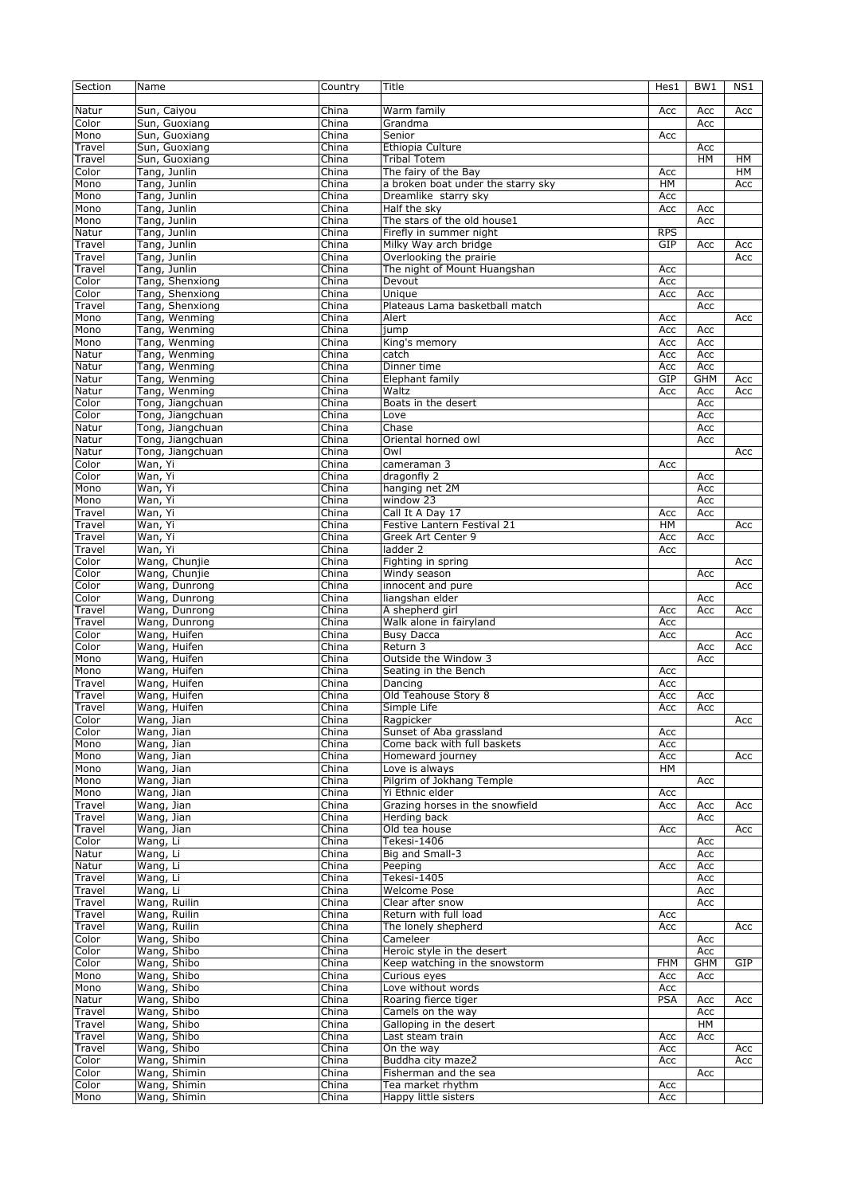| Section        | Name                           | Country                   | Title                                                  | Hes1       | BW <sub>1</sub> | NS1       |
|----------------|--------------------------------|---------------------------|--------------------------------------------------------|------------|-----------------|-----------|
| Natur          | Sun, Caiyou                    | China                     | Warm family                                            | Acc        | Acc             | Acc       |
| Color          | Sun, Guoxiang                  | China                     | Grandma                                                |            | Acc             |           |
| Mono           | Sun, Guoxiang                  | China                     | Senior                                                 | Acc        |                 |           |
| Travel         | Sun, Guoxiang                  | China                     | Ethiopia Culture                                       |            | Acc             |           |
| Travel         | Sun, Guoxiang                  | China                     | <b>Tribal Totem</b>                                    |            | HM              | <b>HM</b> |
| Color          | Tang, Junlin                   | China                     | The fairy of the Bay                                   | Acc        |                 | HM        |
| Mono           | Tang, Junlin                   | China                     | a broken boat under the starry sky                     | <b>HM</b>  |                 | Acc       |
| Mono           | Tang, Junlin<br>Tang, Junlin   | China<br>China            | Dreamlike starry sky<br>Half the sky                   | Acc        |                 |           |
| Mono<br>Mono   | Tang, Junlin                   | China                     | The stars of the old house1                            | Acc        | Acc<br>Acc      |           |
| Natur          | Tang, Junlin                   | China                     | Firefly in summer night                                | <b>RPS</b> |                 |           |
| Travel         | Tang, Junlin                   | China                     | Milky Way arch bridge                                  | GIP        | Acc             | Acc       |
| Travel         | Tang, Junlin                   | China                     | Overlooking the prairie                                |            |                 | Acc       |
| Travel         | Tang, Junlin                   | China                     | The night of Mount Huangshan                           | Acc        |                 |           |
| Color          | Tang, Shenxiong                | China                     | Devout                                                 | Acc        |                 |           |
| Color          | Tang, Shenxiong                | China                     | Unique                                                 | Acc        | Acc             |           |
| Travel         | Tang, Shenxiong                | China                     | Plateaus Lama basketball match                         |            | Acc             |           |
| Mono           | Tang, Wenming                  | China                     | Alert                                                  | Acc        |                 | Acc       |
| Mono           | Tang, Wenming                  | China                     | jump                                                   | Acc        | Acc             |           |
| Mono           | Tang, Wenming                  | China                     | King's memory                                          | Acc        | Acc             |           |
| Natur          | Tang, Wenming                  | China                     | catch                                                  | Acc        | Acc             |           |
| Natur          | Tang, Wenming                  | China                     | Dinner time                                            | Acc        | Acc             |           |
| Natur<br>Natur | Tang, Wenming<br>Tang, Wenming | China<br>China            | Elephant family<br>Waltz                               | GIP        | <b>GHM</b>      | Acc       |
| Color          | Tong, Jiangchuan               | China                     | Boats in the desert                                    | Acc        | Acc<br>Acc      | Acc       |
| Color          | Tong, Jiangchuan               | China                     | Love                                                   |            | Acc             |           |
| Natur          | Tong, Jiangchuan               | China                     | Chase                                                  |            | Acc             |           |
| Natur          | Tong, Jiangchuan               | $\overline{\text{China}}$ | Oriental horned owl                                    |            | Acc             |           |
| Natur          | Tong, Jiangchuan               | China                     | Owl                                                    |            |                 | Acc       |
| Color          | Wan, Yi                        | China                     | cameraman 3                                            | Acc        |                 |           |
| Color          | Wan, Yi                        | China                     | dragonfly 2                                            |            | Acc             |           |
| Mono           | Wan, Yi                        | China                     | hanging net 2M                                         |            | Acc             |           |
| Mono           | Wan, Yi                        | China                     | window 23                                              |            | Acc             |           |
| Travel         | Wan, Yi                        | China                     | Call It A Day 17                                       | Acc        | Acc             |           |
| Travel         | Wan, Yi                        | China                     | Festive Lantern Festival 21                            | <b>HM</b>  |                 | Acc       |
| Travel         | Wan, Yi                        | China                     | Greek Art Center 9                                     | Acc        | Acc             |           |
| Travel         | Wan, Yi                        | China                     | ladder 2                                               | Acc        |                 |           |
| Color<br>Color | Wang, Chunjie<br>Wang, Chunjie | China<br>China            | Fighting in spring                                     |            | Acc             | Acc       |
| Color          | Wang, Dunrong                  | China                     | Windy season<br>innocent and pure                      |            |                 | Acc       |
| Color          | Wang, Dunrong                  | China                     | liangshan elder                                        |            | Acc             |           |
| Travel         | Wang, Dunrong                  | China                     | A shepherd girl                                        | Acc        | Acc             | Acc       |
| Travel         | Wang, Dunrong                  | China                     | Walk alone in fairyland                                | Acc        |                 |           |
| Color          | Wang, Huifen                   | China                     | <b>Busy Dacca</b>                                      | Acc        |                 | Acc       |
| Color          | Wang, Huifen                   | China                     | Return 3                                               |            | Acc             | Acc       |
| Mono           | Wang, Huifen                   | China                     | Outside the Window 3                                   |            | Acc             |           |
| Mono           | Wang, Huifen                   | China                     | Seating in the Bench                                   | Acc        |                 |           |
| Travel         | Wang, Huifen                   | China                     | Dancing                                                | Acc        |                 |           |
| Travel         | Wang, Huifen                   | China                     | Old Teahouse Story 8                                   | Acc        | Acc             |           |
| Travel         | Wang, Huifen                   | China                     | Simple Life                                            | Acc        | Acc             |           |
| Color          | Wang, Jian                     | China                     | Ragpicker                                              |            |                 | Acc       |
| Color          | Wang, Jian                     | China                     | Sunset of Aba grassland<br>Come back with full baskets | Acc        |                 |           |
| Mono<br>Mono   | Wang, Jian<br>Wang, Jian       | China<br>China            | Homeward journey                                       | Acc<br>Acc |                 | Acc       |
| Mono           | Wang, Jian                     | China                     | Love is always                                         | HM         |                 |           |
| Mono           | Wang, Jian                     | China                     | Pilgrim of Jokhang Temple                              |            | Acc             |           |
| Mono           | Wang, Jian                     | China                     | Yi Ethnic elder                                        | Acc        |                 |           |
| Travel         | Wang, Jian                     | China                     | Grazing horses in the snowfield                        | Acc        | Acc             | Acc       |
| Travel         | Wang, Jian                     | China                     | Herding back                                           |            | Acc             |           |
| Travel         | Wang, Jian                     | China                     | Old tea house                                          | Acc        |                 | Acc       |
| Color          | Wang, Li                       | China                     | Tekesi-1406                                            |            | Acc             |           |
| Natur          | Wang, Li                       | China                     | Big and Small-3                                        |            | Acc             |           |
| Natur          | Wang, Li                       | China                     | Peeping                                                | Acc        | Acc             |           |
| Travel         | Wang, Li                       | China                     | Tekesi-1405                                            |            | Acc             |           |
| Travel         | Wang, Li                       | China                     | Welcome Pose                                           |            | Acc             |           |
| Travel         | Wang, Ruilin                   | China                     | Clear after snow                                       |            | Acc             |           |
| Travel         | Wang, Ruilin                   | China                     | Return with full load                                  | Acc        |                 |           |
| Travel         | Wang, Ruilin<br>Wang, Shibo    | China                     | The lonely shepherd<br>Cameleer                        | Acc        |                 | Acc       |
| Color<br>Color | Wang, Shibo                    | China<br>China            | Heroic style in the desert                             |            | Acc<br>Acc      |           |
| Color          | Wang, Shibo                    | China                     | Keep watching in the snowstorm                         | <b>FHM</b> | <b>GHM</b>      | GIP       |
| Mono           | Wang, Shibo                    | China                     | Curious eyes                                           | Acc        | Acc             |           |
| Mono           | Wang, Shibo                    | China                     | Love without words                                     | Acc        |                 |           |
| Natur          | Wang, Shibo                    | China                     | Roaring fierce tiger                                   | <b>PSA</b> | Acc             | Acc       |
| Travel         | Wang, Shibo                    | China                     | Camels on the way                                      |            | Acc             |           |
| Travel         | Wang, Shibo                    | China                     | Galloping in the desert                                |            | HM              |           |
| Travel         | Wang, Shibo                    | China                     | Last steam train                                       | Acc        | Acc             |           |
| Travel         | Wang, Shibo                    | China                     | On the way                                             | Acc        |                 | Acc       |
| Color          | Wang, Shimin                   | China                     | Buddha city maze2                                      | Acc        |                 | Acc       |
| Color          | Wang, Shimin                   | China                     | Fisherman and the sea                                  |            | Acc             |           |
| Color          | Wang, Shimin                   | China                     | Tea market rhythm                                      | Acc        |                 |           |
| Mono           | Wang, Shimin                   | China                     | Happy little sisters                                   | Acc        |                 |           |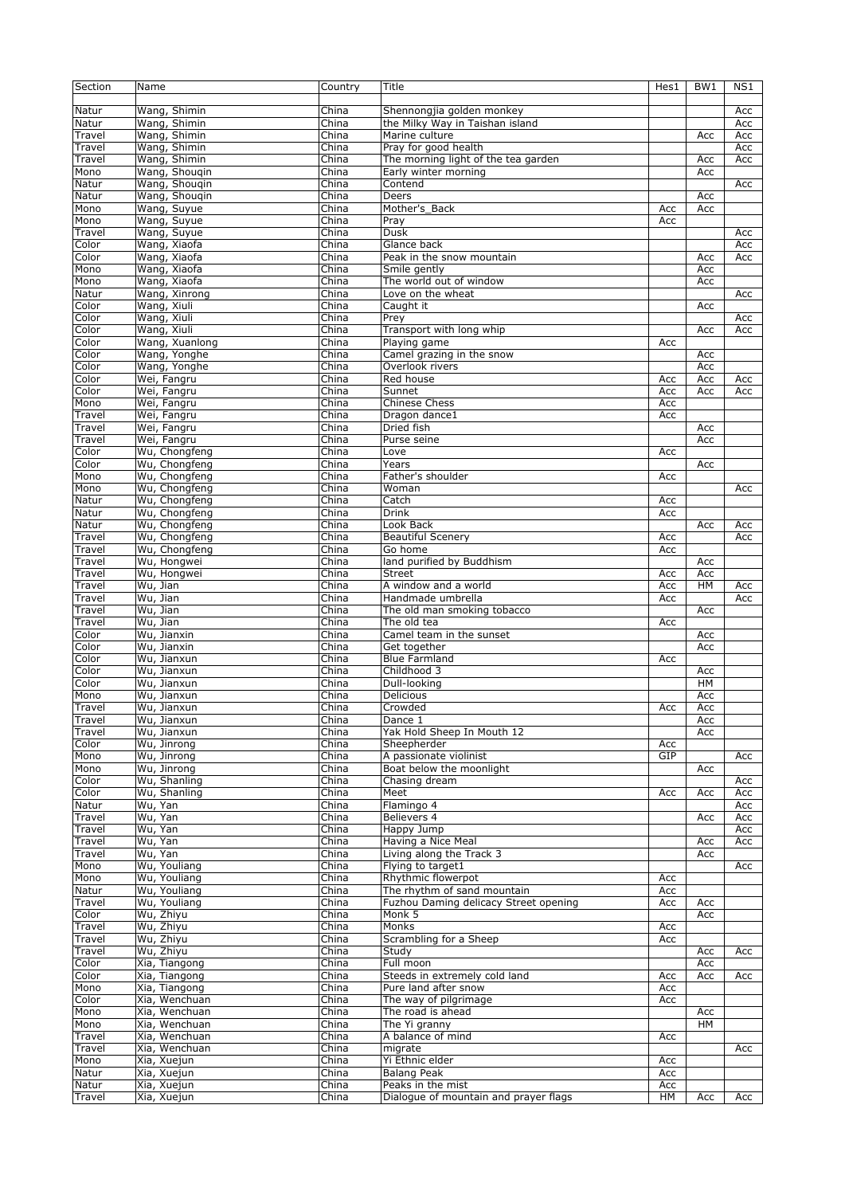| Section         | Name                       | Country        | Title                                 | Hes1 | BW <sub>1</sub> | N <sub>S1</sub> |
|-----------------|----------------------------|----------------|---------------------------------------|------|-----------------|-----------------|
|                 |                            |                |                                       |      |                 |                 |
| Natur           | Wang, Shimin               | China          | Shennongjia golden monkey             |      |                 | Acc             |
| Natur           | Wang, Shimin               | China          | the Milky Way in Taishan island       |      |                 | Acc             |
| Travel          | Wang, Shimin               | China          | Marine culture                        |      | Acc             | Acc             |
| Travel          | Wang, Shimin               | China          | Pray for good health                  |      |                 | Acc             |
| Travel          | Wang, Shimin               | China          | The morning light of the tea garden   |      | Acc             | Acc             |
| Mono            | Wang, Shougin              | China          | Early winter morning                  |      | Acc             |                 |
| Natur           | Wang, Shouqin              | China          | Contend                               |      |                 | Acc             |
| Natur           | Wang, Shouqin              | China          | Deers                                 |      | Acc             |                 |
| Mono            | Wang, Suyue                | China          | Mother's_Back                         | Acc  | Acc             |                 |
|                 |                            | China          |                                       |      |                 |                 |
| Mono            | Wang, Suyue<br>Wang, Suyue |                | Pray                                  | Acc  |                 |                 |
| Travel<br>Color | Wang, Xiaofa               | China<br>China | Dusk                                  |      |                 | Acc             |
|                 |                            |                | Glance back                           |      |                 | Acc             |
| Color           | Wang, Xiaofa               | China          | Peak in the snow mountain             |      | Acc             | Acc             |
| Mono            | Wang, Xiaofa               | China          | Smile gently                          |      | Acc             |                 |
| Mono            | Wang, Xiaofa               | China          | The world out of window               |      | Acc             |                 |
| Natur           | Wang, Xinrong              | China          | Love on the wheat                     |      |                 | Acc             |
| Color           | Wang, Xiuli                | China          | Caught it                             |      | Acc             |                 |
| Color           | Wang, Xiuli                | China          | Prey                                  |      |                 | Acc             |
| Color           | Wang, Xiuli                | China          | Transport with long whip              |      | Acc             | Acc             |
| Color           | Wang, Xuanlong             | China          | Playing game                          | Acc  |                 |                 |
| Color           | Wang, Yonghe               | China          | Camel grazing in the snow             |      | Acc             |                 |
| Color           | Wang, Yonghe               | China          | Overlook rivers                       |      | Acc             |                 |
| Color           | Wei, Fangru                | China          | Red house                             | Асс  | Acc             | Acc             |
| Color           | Wei, Fangru                | China          | Sunnet                                | Acc  | Acc             | Acc             |
| Mono            | Wei, Fangru                | China          | <b>Chinese Chess</b>                  | Acc  |                 |                 |
| Travel          | Wei, Fangru                | China          | Dragon dance1                         | Acc  |                 |                 |
| Travel          | Wei, Fangru                | China          | <b>Dried fish</b>                     |      | Acc             |                 |
| Travel          | Wei, Fangru                | China          | Purse seine                           |      | Acc             |                 |
| Color           | Wu, Chongfeng              | China          | Love                                  | Acc  |                 |                 |
| Color           | Wu, Chongfeng              | China          | Years                                 |      | Acc             |                 |
| Mono            | Wu, Chongfeng              | China          | Father's shoulder                     | Acc  |                 |                 |
| Mono            | Wu, Chongfeng              | China          | Woman                                 |      |                 | Acc             |
| Natur           | Wu, Chongfeng              | China          | Catch                                 | Acc  |                 |                 |
| Natur           | Wu, Chongfeng              | China          | Drink                                 | Acc  |                 |                 |
| Natur           | Wu, Chongfeng              | China          | Look Back                             |      | Acc             | Acc             |
| Travel          | Wu, Chongfeng              | China          | <b>Beautiful Scenery</b>              | Acc  |                 | Acc             |
| Travel          | Wu, Chongfeng              | China          | Go home                               | Acc  |                 |                 |
| Travel          | Wu, Hongwei                | China          | land purified by Buddhism             |      | Acc             |                 |
| Travel          | Wu, Hongwei                | China          | <b>Street</b>                         | Acc  | Acc             |                 |
| Travel          | Wu, Jian                   | China          | A window and a world                  | Acc  | HM              | Acc             |
| Travel          | Wu, Jian                   | China          | Handmade umbrella                     | Acc  |                 | Acc             |
| Travel          | Wu, Jian                   | China          | The old man smoking tobacco           |      | Acc             |                 |
| Travel          | Wu, Jian                   | China          | The old tea                           | Acc  |                 |                 |
| Color           | Wu, Jianxin                | China          | Camel team in the sunset              |      | Acc             |                 |
| Color           | Wu, Jianxin                | China          | Get together                          |      | Acc             |                 |
| Color           | Wu, Jianxun                | China          | <b>Blue Farmland</b>                  | Acc  |                 |                 |
| Color           | Wu, Jianxun                | China          | Childhood 3                           |      | Acc             |                 |
| Color           | Wu, Jianxun                | China          | Dull-looking                          |      | HM              |                 |
| Mono            | Wu, Jianxun                | China          | <b>Delicious</b>                      |      | Acc             |                 |
| Travel          | Wu, Jianxun                | China          | Crowded                               | Acc  | Acc             |                 |
| Travel          | Wu, Jianxun                | China          | Dance 1                               |      | Acc             |                 |
| Travel          | Wu, Jianxun                | China          | Yak Hold Sheep In Mouth 12            |      | Acc             |                 |
| Color           | Wu, Jinrong                | China          | Sheepherder                           | Acc  |                 |                 |
| Mono            | Wu, Jinrong                | China          | A passionate violinist                | GIP  |                 | Acc             |
| Mono            | Wu, Jinrong                | China          | Boat below the moonlight              |      | Acc             |                 |
| Color           | Wu, Shanling               | China          | Chasing dream                         |      |                 | Acc             |
| Color           | Wu, Shanling               | China          | Meet                                  | Acc  | Acc             | Acc             |
| Natur           | Wu, Yan                    | China          | Flamingo 4                            |      |                 | Acc             |
| Travel          | Wu, Yan                    | China          | Believers 4                           |      | Acc             | Acc             |
| Travel          | Wu, Yan                    | China          | Happy Jump                            |      |                 | Acc             |
| Travel          | Wu, Yan                    | China          | Having a Nice Meal                    |      | Acc             | Acc             |
| Travel          | Wu, Yan                    | China          | Living along the Track 3              |      | Acc             |                 |
| Mono            | Wu, Youliang               | China          | Flying to target1                     |      |                 | Acc             |
| Mono            | Wu, Youliang               | China          | Rhythmic flowerpot                    | Acc  |                 |                 |
| Natur           | Wu, Youliang               | China          | The rhythm of sand mountain           | Acc  |                 |                 |
| Travel          | Wu, Youliang               | China          | Fuzhou Daming delicacy Street opening | Acc  | Acc             |                 |
| Color           | Wu, Zhiyu                  | China          | Monk 5                                |      | Acc             |                 |
| Travel          | Wu, Zhiyu                  | China          | Monks                                 | Acc  |                 |                 |
| Travel          | Wu, Zhiyu                  | China          | Scrambling for a Sheep                | Acc  |                 |                 |
| Travel          | Wu, Zhiyu                  | China          | Study                                 |      | Acc             | Acc             |
| Color           | Xia, Tiangong              | China          | Full moon                             |      | Acc             |                 |
| Color           | Xia, Tiangong              | China          | Steeds in extremely cold land         | Acc  | Acc             | Acc             |
| Mono            | Xia, Tiangong              | China          | Pure land after snow                  | Acc  |                 |                 |
| Color           | Xia, Wenchuan              | China          | The way of pilgrimage                 | Acc  |                 |                 |
| Mono            | Xia, Wenchuan              | China          | The road is ahead                     |      | Acc             |                 |
| Mono            | Xia, Wenchuan              | China          | The Yi granny                         |      | HM              |                 |
| Travel          | Xia, Wenchuan              | China          | A balance of mind                     | Acc  |                 |                 |
| Travel          | Xia, Wenchuan              | China          | migrate                               |      |                 | Acc             |
| Mono            | Xia, Xuejun                | China          | Yi Ethnic elder                       | Acc  |                 |                 |
| Natur           | Xia, Xuejun                | China          | <b>Balang Peak</b>                    | Acc  |                 |                 |
| Natur           | Xia, Xuejun                | China          | Peaks in the mist                     | Acc  |                 |                 |
| Travel          | Xia, Xuejun                | China          | Dialogue of mountain and prayer flags | HM   | Acc             | Acc             |
|                 |                            |                |                                       |      |                 |                 |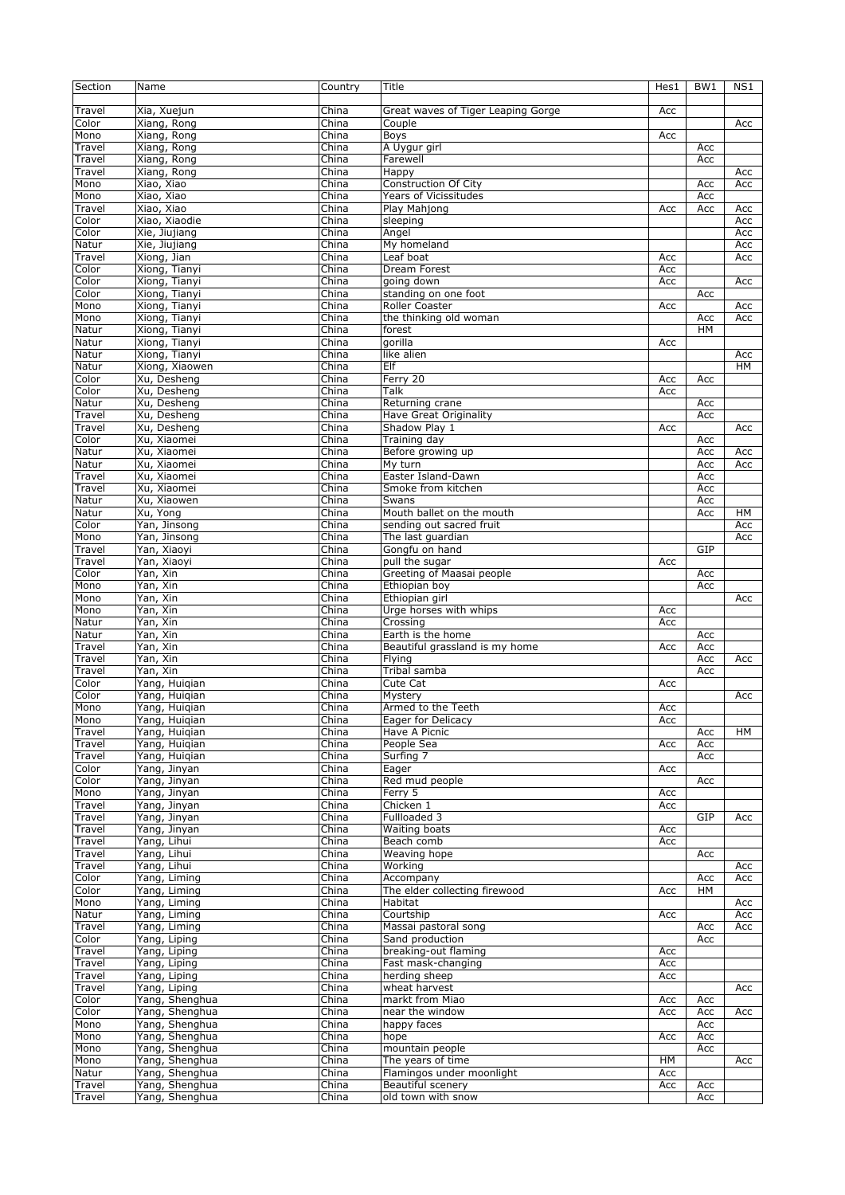| Section | Name           | Country        | Title                              | Hes1 | BW <sub>1</sub> | NS1       |
|---------|----------------|----------------|------------------------------------|------|-----------------|-----------|
|         |                |                |                                    |      |                 |           |
| Travel  | Xia, Xuejun    | China          | Great waves of Tiger Leaping Gorge | Acc  |                 |           |
| Color   | Xiang, Rong    | China          | Couple                             |      |                 | Acc       |
| Mono    | Xiang, Rong    | China          | Boys                               | Acc  |                 |           |
| Travel  | Xiang, Rong    | China          | A Uygur girl                       |      | Acc             |           |
| Travel  | Xiang, Rong    | China          | Farewell                           |      | Acc             |           |
| Travel  | Xiang, Rong    | China          | Happy                              |      |                 | Acc       |
| Mono    | Xiao, Xiao     | China          | Construction Of City               |      | Acc             | Acc       |
| Mono    | Xiao, Xiao     | China          | <b>Years of Vicissitudes</b>       |      | Acc             |           |
| Travel  | Xiao, Xiao     | China          | Play Mahjong                       | Acc  | Acc             | Acc       |
| Color   | Xiao, Xiaodie  | China          | sleeping                           |      |                 | Acc       |
| Color   | Xie, Jiujiang  | China          | Angel                              |      |                 | Acc       |
| Natur   | Xie, Jiujiang  | China          | My homeland                        |      |                 | Acc       |
| Travel  | Xiong, Jian    | China          | Leaf boat                          | Acc  |                 | Acc       |
| Color   | Xiong, Tianyi  | China          | Dream Forest                       | Acc  |                 |           |
| Color   | Xiong, Tianyi  | China          | going down                         | Acc  |                 | Acc       |
| Color   | Xiong, Tianyi  | China          | standing on one foot               |      | Acc             |           |
| Mono    | Xiong, Tianyi  | China          | <b>Roller Coaster</b>              | Acc  |                 | Acc       |
| Mono    | Xiong, Tianyi  | China          | the thinking old woman             |      | Acc             | Acc       |
| Natur   | Xiong, Tianyi  | China          | forest                             |      | HM              |           |
|         | Xiong, Tianyi  | China          | gorilla                            | Acc  |                 |           |
| Natur   | Xiong, Tianyi  | China          | like alien                         |      |                 |           |
| Natur   |                |                |                                    |      |                 | Acc       |
| Natur   | Xiong, Xiaowen | China          | Elf                                |      |                 | <b>HM</b> |
| Color   | Xu, Desheng    | China          | Ferry 20                           | Acc  | Acc             |           |
| Color   | Xu, Desheng    | China          | Talk                               | Acc  |                 |           |
| Natur   | Xu, Desheng    | China          | Returning crane                    |      | Acc             |           |
| Travel  | Xu, Desheng    | China          | <b>Have Great Originality</b>      |      | Acc             |           |
| Travel  | Xu, Desheng    | China          | Shadow Play 1                      | Acc  |                 | Acc       |
| Color   | Xu, Xiaomei    | China          | Training day                       |      | Acc             |           |
| Natur   | Xu, Xiaomei    | China          | Before growing up                  |      | Acc             | Acc       |
| Natur   | Xu, Xiaomei    | China          | My turn                            |      | Acc             | Acc       |
| Travel  | Xu, Xiaomei    | China          | Easter Island-Dawn                 |      | Acc             |           |
| Travel  | Xu, Xiaomei    | China          | Smoke from kitchen                 |      | Acc             |           |
| Natur   | Xu, Xiaowen    | China          | Swans                              |      | Acc             |           |
| Natur   | Xu, Yong       | China          | Mouth ballet on the mouth          |      | Acc             | HM        |
| Color   | Yan, Jinsong   | China          | sending out sacred fruit           |      |                 | Acc       |
| Mono    | Yan, Jinsong   | China          | The last guardian                  |      |                 | Acc       |
| Travel  | Yan, Xiaoyi    | China          | Gongfu on hand                     |      | GIP             |           |
| Travel  | Yan, Xiaoyi    | China          | pull the sugar                     | Acc  |                 |           |
| Color   | Yan, Xin       | China          | Greeting of Maasai people          |      | Acc             |           |
| Mono    | Yan, Xin       | China          | Ethiopian boy                      |      | Acc             |           |
| Mono    | Yan, Xin       | China          | Ethiopian girl                     |      |                 | Acc       |
| Mono    | Yan, Xin       | China          | Urge horses with whips             | Acc  |                 |           |
| Natur   | Yan, Xin       | China          | Crossing                           | Acc  |                 |           |
| Natur   | Yan, Xin       | China          | Earth is the home                  |      | Acc             |           |
| Travel  | Yan, Xin       | China          | Beautiful grassland is my home     | Acc  | Acc             |           |
| Travel  | Yan, Xin       | China          | Flying                             |      | Acc             | Acc       |
| Travel  | Yan, Xin       | China          | Tribal samba                       |      | Acc             |           |
| Color   | Yang, Huiqian  | China          | Cute Cat                           | Acc  |                 |           |
| Color   | Yang, Huigian  | China          | Mystery                            |      |                 | Acc       |
| Mono    | Yang, Huigian  | China          | Armed to the Teeth                 | Acc  |                 |           |
| Mono    | Yang, Huiqian  | China          | Eager for Delicacy                 | Acc  |                 |           |
| Travel  | Yang, Huigian  | China          | Have A Picnic                      |      | Acc             | HМ        |
| Travel  | Yang, Huigian  | China          | People Sea                         | Acc  | Acc             |           |
| Travel  | Yang, Huigian  | China          | Surfing 7                          |      | Acc             |           |
| Color   | Yang, Jinyan   | China          |                                    |      |                 |           |
| Color   | Yang, Jinyan   |                | Eager<br>Red mud people            | Acc  |                 |           |
|         | Yang, Jinyan   | China          |                                    |      | Acc             |           |
| Mono    | Yang, Jinyan   | China<br>China | Ferry 5                            | Acc  |                 |           |
| Travel  |                |                | Chicken 1                          | Acc  |                 |           |
| Travel  | Yang, Jinyan   | China          | Fullloaded 3                       |      | GIP             | Acc       |
| Travel  | Yang, Jinyan   | China          | Waiting boats                      | Acc  |                 |           |
| Travel  | Yang, Lihui    | China          | Beach comb                         | Acc  |                 |           |
| Travel  | Yang, Lihui    | China          | Weaving hope                       |      | Acc             |           |
| Travel  | Yang, Lihui    | China          | Working                            |      |                 | Acc       |
| Color   | Yang, Liming   | China          | Accompany                          |      | Acc             | Acc       |
| Color   | Yang, Liming   | China          | The elder collecting firewood      | Acc  | HM              |           |
| Mono    | Yang, Liming   | China          | Habitat                            |      |                 | Acc       |
| Natur   | Yang, Liming   | China          | Courtship                          | Acc  |                 | Acc       |
| Travel  | Yang, Liming   | China          | Massai pastoral song               |      | Acc             | Acc       |
| Color   | Yang, Liping   | China          | Sand production                    |      | Acc             |           |
| Travel  | Yang, Liping   | China          | breaking-out flaming               | Acc  |                 |           |
| Travel  | Yang, Liping   | China          | Fast mask-changing                 | Acc  |                 |           |
| Travel  | Yang, Liping   | China          | herding sheep                      | Acc  |                 |           |
| Travel  | Yang, Liping   | China          | wheat harvest                      |      |                 | Acc       |
| Color   | Yang, Shenghua | China          | markt from Miao                    | Acc  | Acc             |           |
| Color   | Yang, Shenghua | China          | near the window                    | Acc  | Acc             | Acc       |
| Mono    | Yang, Shenghua | China          | happy faces                        |      | Acc             |           |
| Mono    | Yang, Shenghua | China          | hope                               | Acc  | Acc             |           |
| Mono    | Yang, Shenghua | China          | mountain people                    |      | Acc             |           |
| Mono    | Yang, Shenghua | China          | The years of time                  | HМ   |                 | Acc       |
| Natur   | Yang, Shenghua | China          | Flamingos under moonlight          | Acc  |                 |           |
| Travel  | Yang, Shenghua | China          | Beautiful scenery                  | Acc  | Acc             |           |
| Travel  | Yang, Shenghua | China          | old town with snow                 |      | Acc             |           |
|         |                |                |                                    |      |                 |           |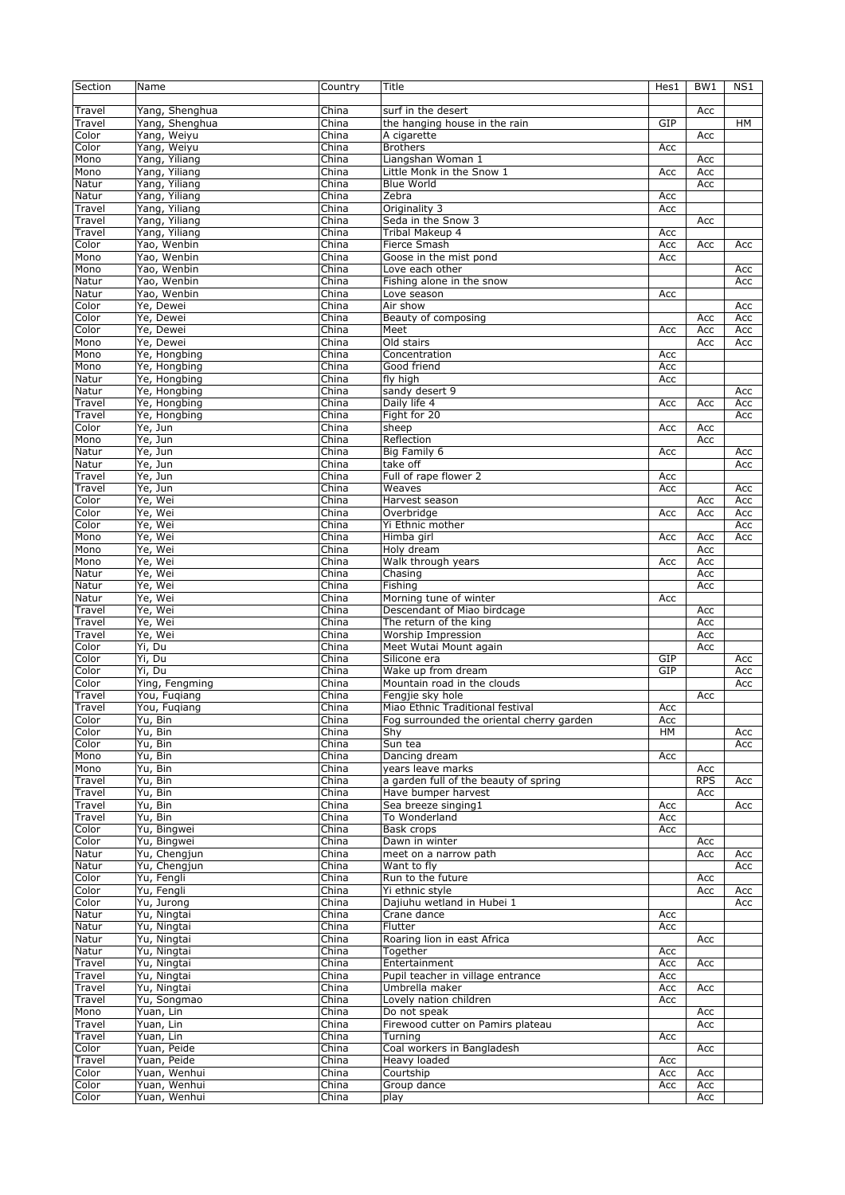| Section          | Name           | Country | Title                                     | Hes1 | BW <sub>1</sub> | NS1       |
|------------------|----------------|---------|-------------------------------------------|------|-----------------|-----------|
|                  |                |         |                                           |      |                 |           |
| Travel           | Yang, Shenghua | China   | surf in the desert                        |      | Acc             |           |
| Travel           | Yang, Shenghua | China   | the hanging house in the rain             | GIP  |                 | <b>HM</b> |
| Color            | Yang, Weiyu    | China   | $\overline{A}$ cigarette                  |      | Acc             |           |
| Color            | Yang, Weiyu    |         | <b>Brothers</b>                           |      |                 |           |
|                  |                | China   |                                           | Acc  |                 |           |
| Mono             | Yang, Yiliang  | China   | Liangshan Woman 1                         |      | Acc             |           |
| Mono             | Yang, Yiliang  | China   | Little Monk in the Snow 1                 | Acc  | Acc             |           |
| Natur            | Yang, Yiliang  | China   | <b>Blue World</b>                         |      | Acc             |           |
| Natur            | Yang, Yiliang  | China   | Zebra                                     | Acc  |                 |           |
| Travel           | Yang, Yiliang  | China   | Originality 3                             | Acc  |                 |           |
| Travel           | Yang, Yiliang  | China   | Seda in the Snow 3                        |      | Acc             |           |
| Travel           | Yang, Yiliang  | China   | Tribal Makeup 4                           | Acc  |                 |           |
| Color            | Yao, Wenbin    | China   | Fierce Smash                              | Acc  | Acc             | Acc       |
| Mono             | Yao, Wenbin    | China   | Goose in the mist pond                    | Acc  |                 |           |
|                  |                |         |                                           |      |                 |           |
| Mono             | Yao, Wenbin    | China   | Love each other                           |      |                 | Acc       |
| Natur            | Yao, Wenbin    | China   | Fishing alone in the snow                 |      |                 | Acc       |
| Natur            | Yao, Wenbin    | China   | Love season                               | Acc  |                 |           |
| Color            | Ye, Dewei      | China   | Air show                                  |      |                 | Acc       |
| Color            | Ye, Dewei      | China   | Beauty of composing                       |      | Acc             | Acc       |
| Color            | Ye, Dewei      | China   | Meet                                      | Acc  | Acc             | Acc       |
| Mono             | Ye, Dewei      | China   | Old stairs                                |      | Acc             | Acc       |
| Mono             | Ye, Hongbing   | China   | Concentration                             | Acc  |                 |           |
| Mono             | Ye, Hongbing   | China   | Good friend                               | Acc  |                 |           |
| Natur            |                | China   | fly high                                  |      |                 |           |
|                  | Ye, Hongbing   |         |                                           | Acc  |                 |           |
| Natur            | Ye, Hongbing   | China   | sandy desert 9                            |      |                 | Acc       |
| Travel           | Ye, Hongbing   | China   | Daily life 4                              | Acc  | Acc             | Acc       |
| Travel           | Ye, Hongbing   | China   | Fight for 20                              |      |                 | Acc       |
| Color            | Ye, Jun        | China   | sheep                                     | Acc  | Acc             |           |
| Mono             | Ye, Jun        | China   | Reflection                                |      | Acc             |           |
| Natur            | Ye, Jun        | China   | Big Family 6                              | Acc  |                 | Acc       |
| Natur            | Ye, Jun        | China   | take off                                  |      |                 | Acc       |
| Travel           | Ye, Jun        | China   | Full of rape flower 2                     | Acc  |                 |           |
| Travel           | Ye, Jun        | China   | Weaves                                    | Acc  |                 | Acc       |
|                  |                |         |                                           |      |                 |           |
| Color            | Ye, Wei        | China   | Harvest season                            |      | Acc             | Acc       |
| Color            | Ye, Wei        | China   | Overbridge                                | Acc  | Acc             | Acc       |
| Color            | Ye, Wei        | China   | Yi Ethnic mother                          |      |                 | Acc       |
| Mono             | Ye, Wei        | China   | Himba girl                                | Acc  | Acc             | Acc       |
| Mono             | Ye, Wei        | China   | Holy dream                                |      | Acc             |           |
| Mono             | Ye, Wei        | China   | Walk through years                        | Acc  | Acc             |           |
| Natur            | Ye, Wei        | China   | Chasing                                   |      | Acc             |           |
| Natur            | Ye, Wei        | China   | Fishing                                   |      | Acc             |           |
| Natur            | Ye, Wei        | China   | Morning tune of winter                    | Acc  |                 |           |
| Travel           | Ye, Wei        | China   | Descendant of Miao birdcage               |      | Acc             |           |
|                  | Ye, Wei        | China   |                                           |      |                 |           |
| Travel<br>Travel |                |         | The return of the king                    |      | Acc             |           |
|                  | Ye, Wei        | China   | Worship Impression                        |      | Acc             |           |
| Color            | Yi, Du         | China   | Meet Wutai Mount again                    |      | Acc             |           |
| Color            | Yi, Du         | China   | Silicone era                              | GIP  |                 | Acc       |
| Color            | Yi, Du         | China   | Wake up from dream                        | GIP  |                 | Acc       |
| Color            | Ying, Fengming | China   | Mountain road in the clouds               |      |                 | Acc       |
| Travel           | You, Fugiang   | China   | Fengjie sky hole                          |      | Acc             |           |
| Travel           | You, Fuqiang   | China   | Miao Ethnic Traditional festival          | Acc  |                 |           |
| Color            | Yu, Bin        | China   | Fog surrounded the oriental cherry garden | Acc  |                 |           |
| Color            | Yu, Bin        | China   | Shy                                       | HM   |                 | Acc       |
| Color            | Yu, Bin        | China   | Sun tea                                   |      |                 | Acc       |
| Mono             | Yu, Bin        | China   | Dancing dream                             |      |                 |           |
|                  |                |         |                                           | Acc  |                 |           |
| Mono             | Yu, Bin        | China   | years leave marks                         |      | Acc             |           |
| Travel           | Yu, Bin        | China   | a garden full of the beauty of spring     |      | <b>RPS</b>      | Acc       |
| Travel           | Yu, Bin        | China   | Have bumper harvest                       |      | Acc             |           |
| Travel           | Yu, Bin        | China   | Sea breeze singing1                       | Acc  |                 | Acc       |
| Travel           | Yu, Bin        | China   | To Wonderland                             | Acc  |                 |           |
| Color            | Yu, Bingwei    | China   | Bask crops                                | Acc  |                 |           |
| Color            | Yu, Bingwei    | China   | Dawn in winter                            |      | Acc             |           |
| Natur            | Yu, Chengjun   | China   | meet on a narrow path                     |      | Acc             | Acc       |
| Natur            | Yu, Chengjun   | China   | Want to fly                               |      |                 | Acc       |
| Color            | Yu, Fengli     | China   | Run to the future                         |      | Acc             |           |
| Color            | Yu, Fengli     | China   | Yi ethnic style                           |      | Acc             | Acc       |
|                  |                |         |                                           |      |                 |           |
| Color            | Yu, Jurong     | China   | Dajiuhu wetland in Hubei 1                |      |                 | Acc       |
| Natur            | Yu, Ningtai    | China   | Crane dance                               | Acc  |                 |           |
| Natur            | Yu, Ningtai    | China   | Flutter                                   | Acc  |                 |           |
| Natur            | Yu, Ningtai    | China   | Roaring lion in east Africa               |      | Acc             |           |
| Natur            | Yu, Ningtai    | China   | Together                                  | Acc  |                 |           |
| Travel           | Yu, Ningtai    | China   | Entertainment                             | Acc  | Acc             |           |
| Travel           | Yu, Ningtai    | China   | Pupil teacher in village entrance         | Acc  |                 |           |
| Travel           | Yu, Ningtai    | China   | Umbrella maker                            | Acc  | Acc             |           |
| Travel           | Yu, Songmao    | China   | Lovely nation children                    | Acc  |                 |           |
| Mono             | Yuan, Lin      | China   | Do not speak                              |      |                 |           |
|                  |                |         |                                           |      | Acc             |           |
| Travel           | Yuan, Lin      | China   | Firewood cutter on Pamirs plateau         |      | Acc             |           |
| Travel           | Yuan, Lin      | China   | Turning                                   | Acc  |                 |           |
| Color            | Yuan, Peide    | China   | Coal workers in Bangladesh                |      | Acc             |           |
| Travel           | Yuan, Peide    | China   | Heavy loaded                              | Acc  |                 |           |
| Color            | Yuan, Wenhui   | China   | Courtship                                 | Acc  | Acc             |           |
| Color            | Yuan, Wenhui   | China   | Group dance                               | Acc  | Acc             |           |
| Color            | Yuan, Wenhui   | China   | play                                      |      | Acc             |           |
|                  |                |         |                                           |      |                 |           |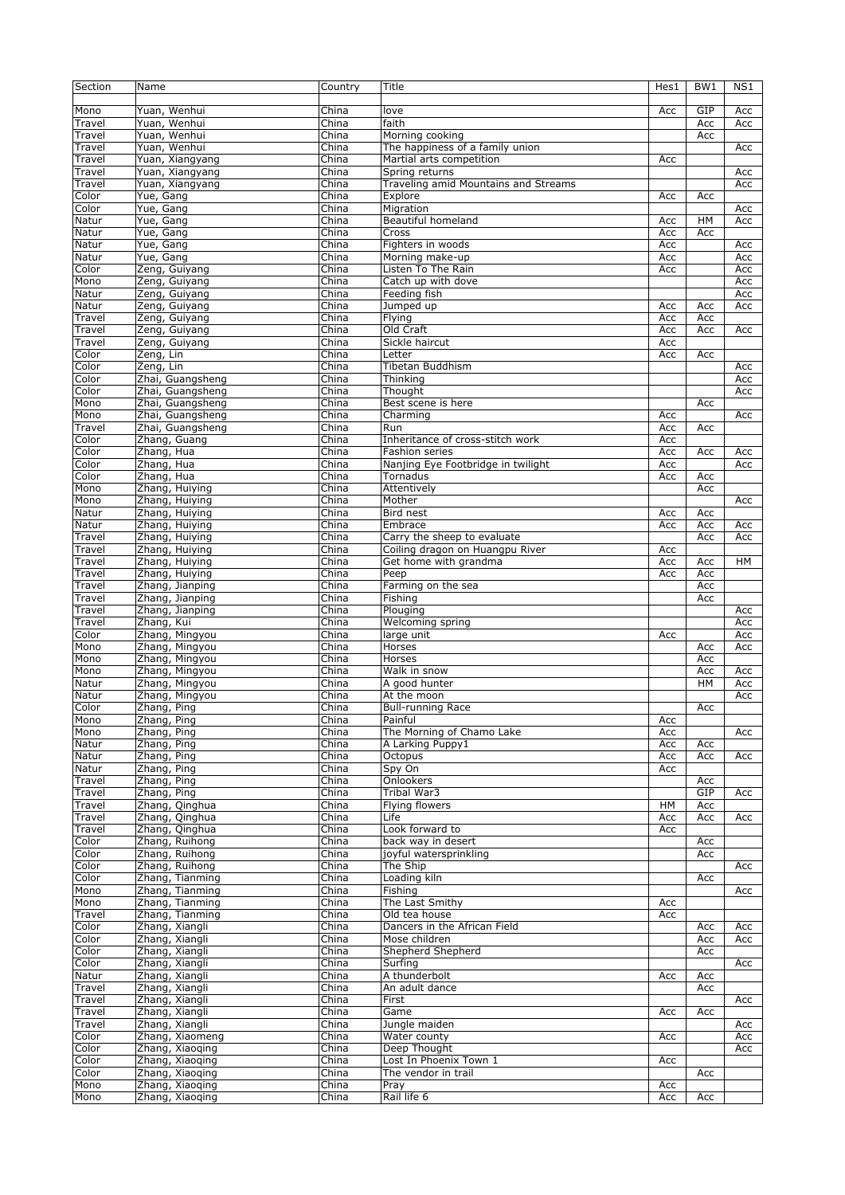| Section | Name             | Country | Title                                | Hes1 | BW1 | NS1       |
|---------|------------------|---------|--------------------------------------|------|-----|-----------|
|         |                  |         |                                      |      |     |           |
| Mono    | Yuan, Wenhui     | China   | love                                 | Acc  | GIP | Acc       |
| Travel  | Yuan, Wenhui     | China   | faith                                |      | Acc | Acc       |
| Travel  | Yuan, Wenhui     | China   | Morning cooking                      |      | Acc |           |
| Travel  | Yuan, Wenhui     | China   | The happiness of a family union      |      |     | Acc       |
| Travel  | Yuan, Xiangyang  | China   | Martial arts competition             | Acc  |     |           |
|         | Yuan, Xiangyang  | China   | Spring returns                       |      |     |           |
| Travel  |                  |         |                                      |      |     | Acc       |
| Travel  | Yuan, Xiangyang  | China   | Traveling amid Mountains and Streams |      |     | Acc       |
| Color   | Yue, Gang        | China   | Explore                              | Acc  | Acc |           |
| Color   | Yue, Gang        | China   | Migration                            |      |     | Acc       |
| Natur   | Yue, Gang        | China   | Beautiful homeland                   | Acc  | HM  | Acc       |
| Natur   | Yue, Gang        | China   | Cross                                | Acc  | Acc |           |
| Natur   | Yue, Gang        | China   | Fighters in woods                    | Acc  |     | Acc       |
| Natur   | Yue, Gang        | China   | Morning make-up                      | Acc  |     | Acc       |
| Color   | Zeng, Guiyang    | China   | Listen To The Rain                   | Acc  |     | Acc       |
| Mono    | Zeng, Guiyang    | China   | Catch up with dove                   |      |     | Acc       |
| Natur   | Zeng, Guiyang    | China   | Feeding fish                         |      |     | Acc       |
| Natur   | Zeng, Guiyang    | China   | Jumped up                            | Acc  | Acc | Acc       |
| Travel  | Zeng, Guiyang    | China   | Flying                               | Acc  | Acc |           |
| Travel  | Zeng, Guiyang    | China   | Old Craft                            | Acc  | Acc | Acc       |
| Travel  | Zeng, Guiyang    | China   | Sickle haircut                       | Acc  |     |           |
| Color   | Zeng, Lin        | China   | Letter                               | Acc  | Acc |           |
| Color   | Zeng, Lin        | China   | Tibetan Buddhism                     |      |     |           |
|         |                  |         |                                      |      |     | Acc       |
| Color   | Zhai, Guangsheng | China   | Thinking                             |      |     | Acc       |
| Color   | Zhai, Guangsheng | China   | Thought                              |      |     | Acc       |
| Mono    | Zhai, Guangsheng | China   | Best scene is here                   |      | Acc |           |
| Mono    | Zhai, Guangsheng | China   | Charming                             | Acc  |     | Acc       |
| Travel  | Zhai, Guangsheng | China   | Run                                  | Acc  | Acc |           |
| Color   | Zhang, Guang     | China   | Inheritance of cross-stitch work     | Acc  |     |           |
| Color   | Zhang, Hua       | China   | Fashion series                       | Acc  | Acc | Acc       |
| Color   | Zhang, Hua       | China   | Nanjing Eye Footbridge in twilight   | Acc  |     | Acc       |
| Color   | Zhang, Hua       | China   | Tornadus                             | Acc  | Acc |           |
| Mono    | Zhang, Huiying   | China   | Attentively                          |      | Acc |           |
| Mono    | Zhang, Huiying   | China   | Mother                               |      |     | Acc       |
| Natur   | Zhang, Huiying   | China   | Bird nest                            | Acc  | Acc |           |
| Natur   | Zhang, Huiying   | China   | Embrace                              | Acc  | Acc | Acc       |
| Travel  | Zhang, Huiying   | China   | Carry the sheep to evaluate          |      | Acc | Acc       |
| Travel  | Zhang, Huiying   | China   | Coiling dragon on Huangpu River      | Acc  |     |           |
| Travel  | Zhang, Huiying   | China   | Get home with grandma                | Acc  | Acc | <b>HM</b> |
| Travel  | Zhang, Huiying   | China   | Peep                                 | Acc  | Acc |           |
|         | Zhang, Jianping  |         |                                      |      |     |           |
| Travel  |                  | China   | Farming on the sea                   |      | Acc |           |
| Travel  | Zhang, Jianping  | China   | Fishing                              |      | Acc |           |
| Travel  | Zhang, Jianping  | China   | Plouging                             |      |     | Acc       |
| Travel  | Zhang, Kui       | China   | Welcoming spring                     |      |     | Acc       |
| Color   | Zhang, Mingyou   | China   | large unit                           | Acc  |     | Acc       |
| Mono    | Zhang, Mingyou   | China   | Horses                               |      | Acc | Acc       |
| Mono    | Zhang, Mingyou   | China   | Horses                               |      | Acc |           |
| Mono    | Zhang, Mingyou   | China   | Walk in snow                         |      | Acc | Acc       |
| Natur   | Zhang, Mingyou   | China   | A good hunter                        |      | HM  | Acc       |
| Natur   | Zhang, Mingyou   | China   | At the moon                          |      |     | Acc       |
| Color   | Zhang, Ping      | China   | <b>Bull-running Race</b>             |      | Acc |           |
| Mono    | Zhang, Ping      | China   | Painful                              | Acc  |     |           |
| Mono    | Zhang, Ping      | China   | The Morning of Chamo Lake            | Acc  |     | Acc       |
| Natur   | Zhang, Ping      | China   | A Larking Puppy1                     | Acc  | Acc |           |
| Natur   | Zhang, Ping      | China   | Octopus                              | Acc  | Acc | Acc       |
| Natur   | Zhang, Ping      | China   | Spy On                               | Acc  |     |           |
| Travel  | Zhang, Ping      | China   | Onlookers                            |      | Acc |           |
| Travel  | Zhang, Ping      | China   | Tribal War3                          |      | GIP | Acc       |
|         |                  |         | <b>Flying flowers</b>                |      |     |           |
| Travel  | Zhang, Qinghua   | China   |                                      | HМ   | Acc |           |
| Travel  | Zhang, Qinghua   | China   | Life                                 | Acc  | Acc | Acc       |
| Travel  | Zhang, Qinghua   | China   | Look forward to                      | Acc  |     |           |
| Color   | Zhang, Ruihong   | China   | back way in desert                   |      | Acc |           |
| Color   | Zhang, Ruihong   | China   | joyful watersprinkling               |      | Acc |           |
| Color   | Zhang, Ruihong   | China   | The Ship                             |      |     | Acc       |
| Color   | Zhang, Tianming  | China   | Loading kiln                         |      | Acc |           |
| Mono    | Zhang, Tianming  | China   | Fishing                              |      |     | Acc       |
| Mono    | Zhang, Tianming  | China   | The Last Smithy                      | Acc  |     |           |
| Travel  | Zhang, Tianming  | China   | Old tea house                        | Acc  |     |           |
| Color   | Zhang, Xiangli   | China   | Dancers in the African Field         |      | Acc | Acc       |
| Color   | Zhang, Xiangli   | China   | Mose children                        |      | Acc | Acc       |
| Color   | Zhang, Xiangli   | China   | Shepherd Shepherd                    |      | Acc |           |
| Color   | Zhang, Xiangli   | China   | Surfing                              |      |     | Acc       |
| Natur   | Zhang, Xiangli   | China   | A thunderbolt                        | Acc  | Acc |           |
| Travel  | Zhang, Xiangli   | China   | An adult dance                       |      | Acc |           |
| Travel  | Zhang, Xiangli   | China   | First                                |      |     | Acc       |
|         |                  |         | Game                                 |      |     |           |
| Travel  | Zhang, Xiangli   | China   |                                      | Acc  | Acc |           |
| Travel  | Zhang, Xiangli   | China   | Jungle maiden                        |      |     | Acc       |
| Color   | Zhang, Xiaomeng  | China   | Water county                         | Acc  |     | Acc       |
| Color   | Zhang, Xiaoging  | China   | Deep Thought                         |      |     | Acc       |
| Color   | Zhang, Xiaoqing  | China   | Lost In Phoenix Town 1               | Acc  |     |           |
| Color   | Zhang, Xiaoqing  | China   | The vendor in trail                  |      | Acc |           |
| Mono    | Zhang, Xiaoging  | China   | Pray                                 | Acc  |     |           |
| Mono    | Zhang, Xiaoging  | China   | Rail life 6                          | Acc  | Acc |           |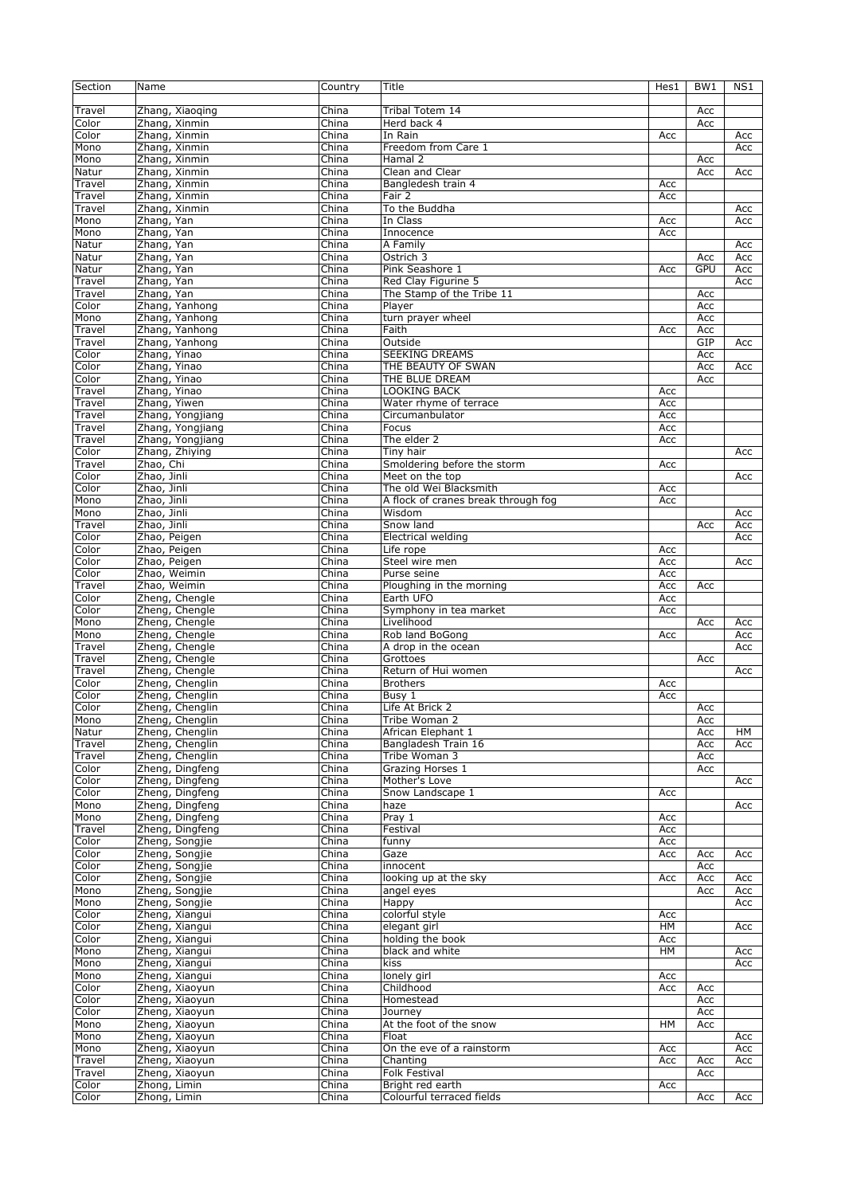| Section         | Name                           | Country | Title                               | Hes1 | BW <sub>1</sub> | NS1 |
|-----------------|--------------------------------|---------|-------------------------------------|------|-----------------|-----|
|                 |                                |         |                                     |      |                 |     |
| Travel          | Zhang, Xiaoging                | China   | Tribal Totem 14                     |      | Acc             |     |
| Color           | Zhang, Xinmin                  | China   | Herd back 4                         |      | Acc             |     |
| Color           | Zhang, Xinmin                  | China   | In Rain                             | Acc  |                 | Acc |
| Mono            | Zhang, Xinmin                  | China   | Freedom from Care 1                 |      |                 | Acc |
| Mono            | Zhang, Xinmin                  | China   | Hamal 2                             |      | Acc             |     |
| Natur           | Zhang, Xinmin                  | China   | Clean and Clear                     |      | Acc             | Acc |
| Travel          | Zhang, Xinmin                  | China   | Bangledesh train 4                  | Acc  |                 |     |
| Travel          | Zhang, Xinmin                  | China   | Fair 2                              | Acc  |                 |     |
| Travel          | Zhang, Xinmin                  | China   | To the Buddha                       |      |                 | Acc |
| Mono            | Zhang, Yan                     | China   | In Class                            | Acc  |                 | Acc |
| Mono            | Zhang, Yan                     | China   | Innocence                           | Acc  |                 |     |
| Natur           | Zhang, Yan                     | China   | A Family                            |      |                 | Acc |
| Natur           | Zhang, Yan                     | China   | Ostrich 3                           |      | Acc             | Acc |
| Natur           | Zhang, Yan                     | China   | Pink Seashore 1                     | Acc  | GPU             | Acc |
| Travel          | Zhang, Yan                     | China   | Red Clay Figurine 5                 |      |                 | Acc |
| Travel          | Zhang, Yan                     | China   | The Stamp of the Tribe 11           |      | Acc             |     |
| Color           | Zhang, Yanhong                 | China   | Player                              |      | Acc             |     |
| Mono            | Zhang, Yanhong                 | China   | turn prayer wheel                   |      | Acc             |     |
| Travel          |                                | China   | Faith                               |      | Acc             |     |
|                 | Zhang, Yanhong                 | China   | Outside                             | Acc  | GIP             |     |
| Travel<br>Color | Zhang, Yanhong<br>Zhang, Yinao | China   | <b>SEEKING DREAMS</b>               |      | Acc             | Acc |
|                 |                                |         |                                     |      |                 |     |
| Color           | Zhang, Yinao                   | China   | THE BEAUTY OF SWAN                  |      | Acc             | Acc |
| Color           | Zhang, Yinao                   | China   | THE BLUE DREAM                      |      | Acc             |     |
| Travel          | Zhang, Yinao                   | China   | LOOKING BACK                        | Acc  |                 |     |
| Travel          | Zhang, Yiwen                   | China   | Water rhyme of terrace              | Acc  |                 |     |
| Travel          | Zhang, Yongjiang               | China   | Circumanbulator                     | Acc  |                 |     |
| Travel          | Zhang, Yongjiang               | China   | Focus                               | Acc  |                 |     |
| Travel          | Zhang, Yongjiang               | China   | The elder 2                         | Acc  |                 |     |
| Color           | Zhang, Zhiying                 | China   | <b>Tiny hair</b>                    |      |                 | Acc |
| Travel          | Zhao, Chi                      | China   | Smoldering before the storm         | Acc  |                 |     |
| Color           | Zhao, Jinli                    | China   | Meet on the top                     |      |                 | Acc |
| Color           | Zhao, Jinli                    | China   | The old Wei Blacksmith              | Acc  |                 |     |
| Mono            | Zhao, Jinli                    | China   | A flock of cranes break through fog | Acc  |                 |     |
| Mono            | Zhao, Jinli                    | China   | Wisdom                              |      |                 | Acc |
| Travel          | Zhao, Jinli                    | China   | Snow land                           |      | Acc             | Acc |
| Color           | Zhao, Peigen                   | China   | Electrical welding                  |      |                 | Acc |
| Color           | Zhao, Peigen                   | China   | Life rope                           | Acc  |                 |     |
| Color           | Zhao, Peigen                   | China   | Steel wire men                      | Acc  |                 | Acc |
| Color           | Zhao, Weimin                   | China   | Purse seine                         | Acc  |                 |     |
| Travel          | Zhao, Weimin                   | China   | Ploughing in the morning            | Acc  | Acc             |     |
| Color           | Zheng, Chengle                 | China   | Earth UFO                           | Acc  |                 |     |
| Color           | Zheng, Chengle                 | China   | Symphony in tea market              | Acc  |                 |     |
| Mono            | Zheng, Chengle                 | China   | Livelihood                          |      | Acc             | Acc |
| Mono            | Zheng, Chengle                 | China   | Rob land BoGong                     | Acc  |                 | Acc |
| Travel          | Zheng, Chengle                 | China   | A drop in the ocean                 |      |                 | Acc |
| Travel          | Zheng, Chengle                 | China   | Grottoes                            |      | Acc             |     |
| Travel          | Zheng, Chengle                 | China   | Return of Hui women                 |      |                 | Acc |
| Color           | Zheng, Chenglin                | China   | <b>Brothers</b>                     | Acc  |                 |     |
| Color           | Zheng, Chenglin                | China   | Busy 1                              | Acc  |                 |     |
| Color           | Zheng, Chenglin                | China   | Life At Brick 2                     |      | Acc             |     |
| Mono            | Zheng, Chenglin                | China   | Tribe Woman 2                       |      | Acc             |     |
| Natur           | Zheng, Chenglin                | China   | African Elephant 1                  |      | Acc             | HМ  |
| Travel          | Zheng, Chenglin                | China   | Bangladesh Train 16                 |      | Acc             | Acc |
| Travel          | Zheng, Chenglin                | China   | Tribe Woman 3                       |      | Acc             |     |
| Color           | Zheng, Dingfeng                | China   | Grazing Horses 1                    |      | Acc             |     |
| Color           | Zheng, Dingfeng                | China   | Mother's Love                       |      |                 | Acc |
| Color           | Zheng, Dingfeng                | China   | Snow Landscape 1                    | Acc  |                 |     |
| Mono            | Zheng, Dingfeng                | China   | haze                                |      |                 | Acc |
| Mono            | Zheng, Dingfeng                | China   | Pray 1                              | Acc  |                 |     |
| Travel          | Zheng, Dingfeng                | China   | Festival                            | Acc  |                 |     |
| Color           | Zheng, Songjie                 | China   | funny                               | Acc  |                 |     |
| Color           | Zheng, Songjie                 | China   | Gaze                                | Acc  | Acc             | Acc |
| Color           | Zheng, Songjie                 | China   | innocent                            |      | Acc             |     |
| Color           | Zheng, Songjie                 | China   | looking up at the sky               | Acc  | Acc             | Acc |
| Mono            | Zheng, Songjie                 | China   | angel eyes                          |      | Acc             | Acc |
| Mono            | Zheng, Songjie                 | China   | Happy                               |      |                 | Acc |
| Color           | Zheng, Xiangui                 | China   | colorful style                      | Acc  |                 |     |
| Color           | Zheng, Xiangui                 | China   | elegant girl                        | HM   |                 | Acc |
| Color           | Zheng, Xiangui                 | China   | holding the book                    | Acc  |                 |     |
| Mono            | Zheng, Xiangui                 | China   | black and white                     | HM   |                 | Acc |
| Mono            | Zheng, Xiangui                 | China   | kiss                                |      |                 | Acc |
| Mono            | Zheng, Xiangui                 | China   | lonely girl                         | Acc  |                 |     |
| Color           | Zheng, Xiaoyun                 | China   | Childhood                           | Acc  | Acc             |     |
| Color           | Zheng, Xiaoyun                 | China   | Homestead                           |      | Acc             |     |
| Color           | Zheng, Xiaoyun                 | China   | Journey                             |      | Acc             |     |
| Mono            | Zheng, Xiaoyun                 | China   | At the foot of the snow             | HM   | Acc             |     |
| Mono            | Zheng, Xiaoyun                 | China   | Float                               |      |                 | Acc |
| Mono            | Zheng, Xiaoyun                 | China   | On the eve of a rainstorm           | Acc  |                 | Acc |
| Travel          | Zheng, Xiaoyun                 | China   | Chanting                            | Acc  | Acc             | Acc |
| Travel          | Zheng, Xiaoyun                 | China   | <b>Folk Festival</b>                |      | Acc             |     |
| Color           | Zhong, Limin                   | China   | Bright red earth                    | Acc  |                 |     |
| Color           | Zhong, Limin                   | China   | Colourful terraced fields           |      | Acc             | Acc |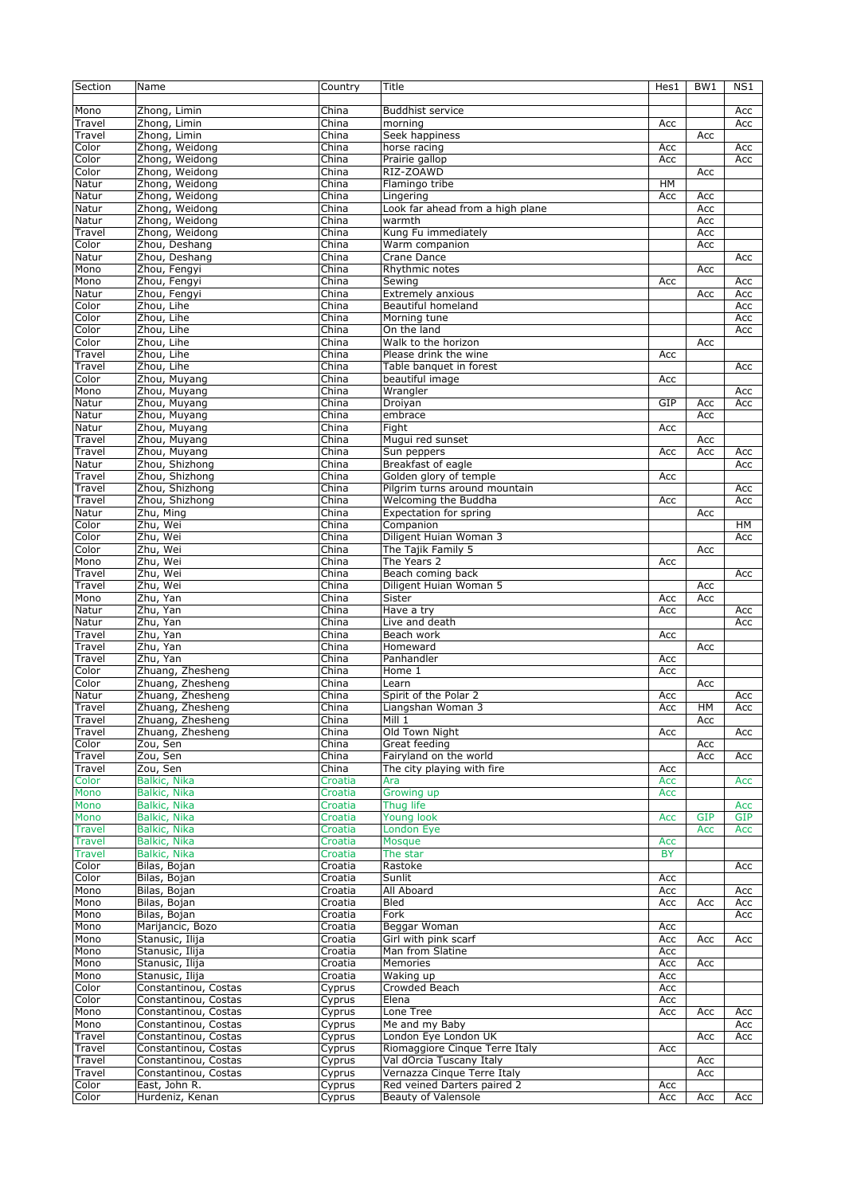| Section       | Name                 | Country | Title                            | Hes1      | BW <sub>1</sub> | NS1        |
|---------------|----------------------|---------|----------------------------------|-----------|-----------------|------------|
|               |                      |         |                                  |           |                 |            |
| Mono          | Zhong, Limin         | China   | <b>Buddhist service</b>          |           |                 | Acc        |
| Travel        | Zhong, Limin         | China   | morning                          | Acc       |                 | Acc        |
| Travel        | Zhong, Limin         | China   | Seek happiness                   |           | Acc             |            |
| Color         | Zhong, Weidong       | China   | horse racing                     | Acc       |                 | Acc        |
| Color         | Zhong, Weidong       | China   | Prairie gallop                   | Acc       |                 | Acc        |
| Color         | Zhong, Weidong       | China   | RIZ-ZOAWD                        |           | Acc             |            |
|               |                      |         |                                  |           |                 |            |
| Natur         | Zhong, Weidong       | China   | Flamingo tribe                   | HM        |                 |            |
| Natur         | Zhong, Weidong       | China   | Lingering                        | Acc       | Acc             |            |
| Natur         | Zhong, Weidong       | China   | Look far ahead from a high plane |           | Acc             |            |
| Natur         | Zhong, Weidong       | China   | warmth                           |           | Acc             |            |
| Travel        | Zhong, Weidong       | China   | Kung Fu immediately              |           | Acc             |            |
| Color         | Zhou, Deshang        | China   | Warm companion                   |           | Acc             |            |
| Natur         | Zhou, Deshang        | China   | Crane Dance                      |           |                 | Acc        |
| Mono          | Zhou, Fengyi         | China   | Rhythmic notes                   |           | Acc             |            |
| Mono          | Zhou, Fengyi         | China   | Sewing                           | Acc       |                 | Acc        |
| Natur         | Zhou, Fengyi         | China   | Extremely anxious                |           | Acc             | Acc        |
| Color         | Zhou, Lihe           | China   | Beautiful homeland               |           |                 | Acc        |
| Color         | Zhou, Lihe           | China   | Morning tune                     |           |                 | Acc        |
| Color         | Zhou, Lihe           | China   | On the land                      |           |                 | Acc        |
| Color         | Zhou, Lihe           | China   | Walk to the horizon              |           | Acc             |            |
| Travel        | Zhou, Lihe           | China   | Please drink the wine            | Acc       |                 |            |
| Travel        | Zhou, Lihe           | China   | Table banquet in forest          |           |                 | Acc        |
|               |                      |         |                                  |           |                 |            |
| Color         | Zhou, Muyang         | China   | beautiful image                  | Acc       |                 |            |
| Mono          | Zhou, Muyang         | China   | Wrangler                         |           |                 | Acc        |
| Natur         | Zhou, Muyang         | China   | Droiyan                          | GIP       | Acc             | Acc        |
| Natur         | Zhou, Muyang         | China   | embrace                          |           | Acc             |            |
| Natur         | Zhou, Muyang         | China   | Fight                            | Acc       |                 |            |
| Travel        | Zhou, Muyang         | China   | Mugui red sunset                 |           | Acc             |            |
| Travel        | Zhou, Muyang         | China   | Sun peppers                      | Acc       | Acc             | Acc        |
| Natur         | Zhou, Shizhong       | China   | Breakfast of eagle               |           |                 | Acc        |
| Travel        | Zhou, Shizhong       | China   | Golden glory of temple           | Acc       |                 |            |
| Travel        | Zhou, Shizhong       | China   | Pilgrim turns around mountain    |           |                 | Acc        |
| Travel        | Zhou, Shizhong       | China   | Welcoming the Buddha             | Acc       |                 | Acc        |
| Natur         | Zhu, Ming            | China   | Expectation for spring           |           | Acc             |            |
| Color         | Zhu, Wei             | China   | Companion                        |           |                 | HM         |
| Color         | Zhu, Wei             | China   | Diligent Huian Woman 3           |           |                 | Acc        |
| Color         | Zhu, Wei             | China   | The Tajik Family 5               |           | Acc             |            |
| Mono          | Zhu, Wei             | China   | The Years 2                      | Acc       |                 |            |
|               | Zhu, Wei             | China   |                                  |           |                 |            |
| Travel        |                      |         | Beach coming back                |           |                 | Acc        |
| Travel        | Zhu, Wei             | China   | Diligent Huian Woman 5           |           | Acc             |            |
| Mono          | Zhu, Yan             | China   | Sister                           | Acc       | Acc             |            |
| Natur         | Zhu, Yan             | China   | Have a try                       | Acc       |                 | Acc        |
| Natur         | Zhu, Yan             | China   | Live and death                   |           |                 | Acc        |
| Travel        | Zhu, Yan             | China   | Beach work                       | Acc       |                 |            |
| Travel        | Zhu, Yan             | China   | Homeward                         |           | Acc             |            |
| Travel        | Zhu, Yan             | China   | Panhandler                       | Acc       |                 |            |
| Color         | Zhuang, Zhesheng     | China   | Home 1                           | Acc       |                 |            |
| Color         | Zhuang, Zhesheng     | China   | Learn                            |           | Acc             |            |
| Natur         | Zhuang, Zhesheng     | China   | Spirit of the Polar 2            | Acc       |                 | Acc        |
| Travel        | Zhuang, Zhesheng     | China   | Liangshan Woman 3                | Acc       | <b>HM</b>       | Acc        |
| Travel        | Zhuang, Zhesheng     | China   | Mill 1                           |           | Acc             |            |
| Travel        | Zhuang, Zhesheng     | China   | Old Town Night                   | Acc       |                 | Acc        |
| Color         | Zou, Sen             | China   | Great feeding                    |           | Acc             |            |
| Travel        | Zou, Sen             | China   | Fairyland on the world           |           | Acc             | Acc        |
| Travel        | Zou, Sen             | China   | The city playing with fire       | Acc       |                 |            |
| Color         | Balkic, Nika         | Croatia | Ara                              | Acc       |                 | Acc        |
| Mono          | Balkic, Nika         | Croatia | Growing up                       | Acc       |                 |            |
|               |                      |         | Thua life                        |           |                 |            |
| Mono          | Balkic, Nika         | Croatia |                                  |           |                 | Acc        |
| Mono          | Balkic, Nika         | Croatia | Young look                       | Acc       | <b>GIP</b>      | <b>GIP</b> |
| <b>Travel</b> | Balkic, Nika         | Croatia | London Eye                       |           | Acc             | Acc        |
| <b>Travel</b> | Balkic, Nika         | Croatia | <b>Mosque</b>                    | Acc       |                 |            |
| Travel        | Balkic, Nika         | Croatia | The star                         | <b>BY</b> |                 |            |
| Color         | Bilas, Bojan         | Croatia | Rastoke                          |           |                 | Acc        |
| Color         | Bilas, Bojan         | Croatia | Sunlit                           | Acc       |                 |            |
| Mono          | Bilas, Bojan         | Croatia | All Aboard                       | Acc       |                 | Acc        |
| Mono          | Bilas, Bojan         | Croatia | Bled                             | Acc       | Acc             | Acc        |
| Mono          | Bilas, Bojan         | Croatia | Fork                             |           |                 | Acc        |
| Mono          | Marijancic, Bozo     | Croatia | Beggar Woman                     | Acc       |                 |            |
| Mono          | Stanusic, Ilija      | Croatia | Girl with pink scarf             | Acc       | Acc             | Acc        |
| Mono          | Stanusic, Ilija      | Croatia | Man from Slatine                 | Acc       |                 |            |
| Mono          | Stanusic, Ilija      | Croatia | Memories                         | Acc       | Acc             |            |
| Mono          | Stanusic, Ilija      | Croatia | Waking up                        | Acc       |                 |            |
| Color         | Constantinou, Costas | Cyprus  | Crowded Beach                    | Acc       |                 |            |
| Color         | Constantinou, Costas | Cyprus  | Elena                            | Acc       |                 |            |
| Mono          | Constantinou, Costas | Cyprus  | Lone Tree                        | Acc       | Acc             | Acc        |
| Mono          | Constantinou, Costas | Cyprus  | Me and my Baby                   |           |                 | Acc        |
|               |                      |         | London Eye London UK             |           |                 |            |
| Travel        | Constantinou, Costas | Cyprus  |                                  |           | Acc             | Acc        |
| Travel        | Constantinou, Costas | Cyprus  | Riomaggiore Cinque Terre Italy   | Acc       |                 |            |
| Travel        | Constantinou, Costas | Cyprus  | Val dOrcia Tuscany Italy         |           | Acc             |            |
| Travel        | Constantinou, Costas | Cyprus  | Vernazza Cinque Terre Italy      |           | Acc             |            |
| Color         | East, John R.        | Cyprus  | Red veined Darters paired 2      | Acc       |                 |            |
| Color         | Hurdeniz, Kenan      | Cyprus  | <b>Beauty of Valensole</b>       | Acc       | Acc             | Acc        |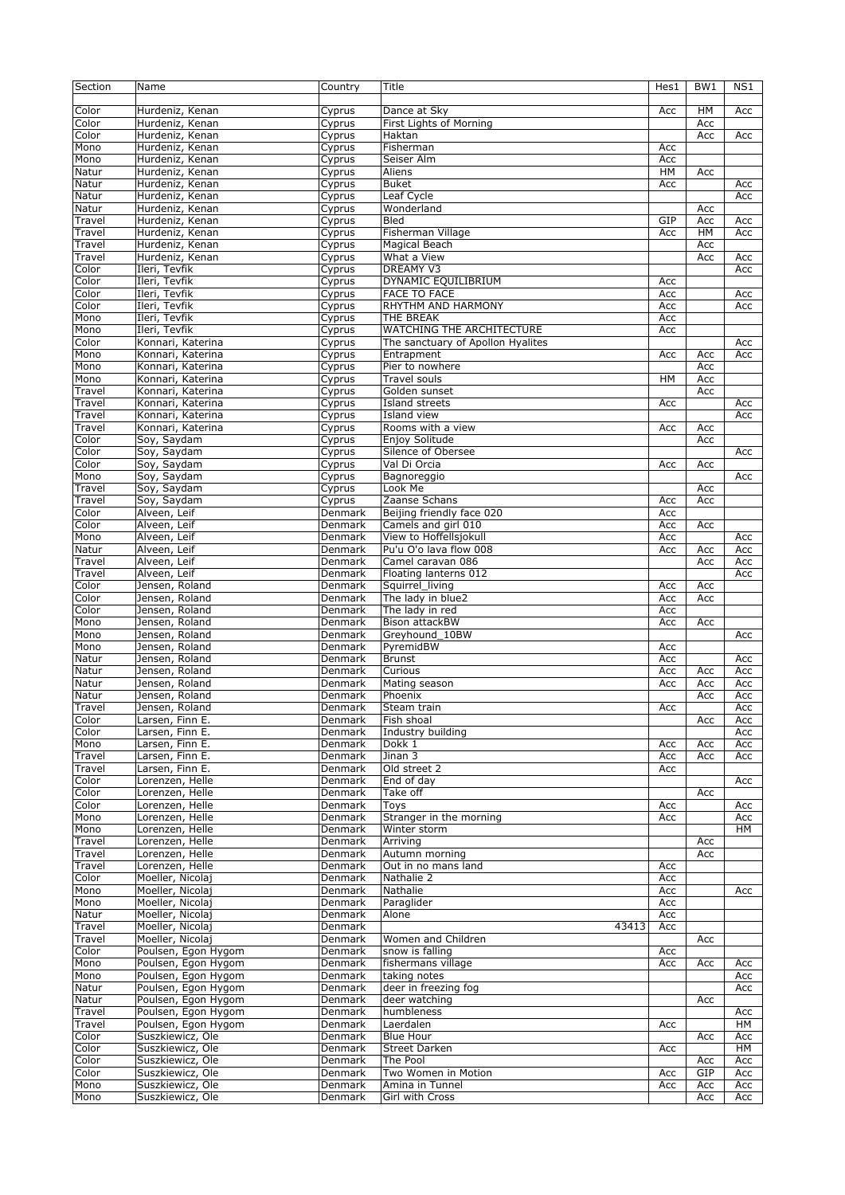| Color<br>Dance at Sky<br><b>HM</b><br>Hurdeniz, Kenan<br>Cyprus<br>Acc<br>Acc<br>Color<br>Hurdeniz, Kenan<br>First Lights of Morning<br>Acc<br>Cyprus<br>Color<br>Hurdeniz, Kenan<br>Cyprus<br>Haktan<br>Acc<br>Acc<br>Mono<br>Hurdeniz, Kenan<br>Cyprus<br>Fisherman<br>Acc<br>Mono<br>Hurdeniz, Kenan<br>Seiser Alm<br>Acc<br>Cyprus<br>Hurdeniz, Kenan<br>HM<br>Natur<br>Aliens<br>Acc<br>Cyprus<br>Hurdeniz, Kenan<br><b>Buket</b><br>Natur<br>Acc<br>Cyprus<br>Acc<br>Natur<br>Hurdeniz, Kenan<br>Leaf Cycle<br>Acc<br>Cyprus<br>Natur<br>Hurdeniz, Kenan<br>Wonderland<br>Cyprus<br>Acc<br>GIP<br>Travel<br>Hurdeniz, Kenan<br>Cyprus<br><b>Bled</b><br>Acc<br>Acc<br>Fisherman Village<br>Travel<br>Hurdeniz, Kenan<br>Acc<br>HM<br>Acc<br>Cyprus<br>Travel<br>Hurdeniz, Kenan<br>Magical Beach<br>Acc<br>Cyprus<br>Hurdeniz, Kenan<br>What a View<br>Travel<br>Acc<br>Cyprus<br>Acc<br>Color<br>Ileri, Tevfik<br><b>DREAMY V3</b><br>Cyprus<br>Acc<br>Ileri, Tevfik<br>DYNAMIC EQUILIBRIUM<br>Color<br>Cyprus<br>Acc<br>Color<br>Ileri, Tevfik<br><b>FACE TO FACE</b><br>Acc<br>Acc<br>Cyprus<br>Ileri, Tevfik<br>Color<br>Cyprus<br>RHYTHM AND HARMONY<br>Acc<br>Acc<br>Ileri, Tevfik<br>THE BREAK<br>Mono<br>Acc<br>Cyprus<br><b>WATCHING THE ARCHITECTURE</b><br>Ileri, Tevfik<br>Mono<br>Cyprus<br>Acc<br>Color<br>Konnari, Katerina<br>The sanctuary of Apollon Hyalites<br>Acc<br>Cyprus<br>Konnari, Katerina<br>Mono<br>Entrapment<br>Acc<br>Acc<br>Cyprus<br>Acc<br>Mono<br>Konnari, Katerina<br>Pier to nowhere<br>Acc<br>Cyprus<br>Mono<br>Konnari, Katerina<br>Travel souls<br>HМ<br>Acc<br>Cyprus<br>Travel<br>Konnari, Katerina<br>Cyprus<br>Golden sunset<br>Acc<br>Travel<br>Konnari, Katerina<br>Cyprus<br>Island streets<br>Acc<br>Acc<br>Travel<br>Konnari, Katerina<br>Island view<br>Cyprus<br>Acc<br>Konnari, Katerina<br>Rooms with a view<br>Travel<br>Acc<br>Acc<br>Cyprus<br>Color<br>Soy, Saydam<br>Enjoy Solitude<br>Acc<br>Cyprus<br>Soy, Saydam<br>Color<br>Silence of Obersee<br>Cyprus<br>Acc<br>Val Di Orcia<br>Color<br>Soy, Saydam<br>Cyprus<br>Acc<br>Acc<br>Soy, Saydam<br>Mono<br>Cyprus<br>Bagnoreggio<br>Acc<br>Soy, Saydam<br>Look Me<br>Travel<br>Cyprus<br>Acc<br>Soy, Saydam<br>Zaanse Schans<br>Travel<br>Cyprus<br>Acc<br>Acc<br>$C$ olor<br>Beijing friendly face 020<br>Alveen, Leif<br>Denmark<br>Acc<br>Color<br>Alveen, Leif<br>Camels and girl 010<br><b>Denmark</b><br>Acc<br>Acc<br>View to Hoffellsjokull<br>Mono<br>Alveen, Leif<br>Acc<br>Denmark<br>Acc<br>Pu'u O'o lava flow 008<br>Natur<br>Alveen, Leif<br>Denmark<br>Acc<br>Acc<br>Acc<br>Alveen, Leif<br>Camel caravan 086<br>Travel<br>Denmark<br>Acc<br>Acc<br>Floating lanterns 012<br>Travel<br>Alveen, Leif<br>Denmark<br>Acc<br>Color<br>Jensen, Roland<br>Squirrel_living<br>Denmark<br>Acc<br>Acc<br>Jensen, Roland<br>Color<br>Denmark<br>The lady in blue2<br>Acc<br>Acc<br>Color<br>Jensen, Roland<br>The lady in red<br>Denmark<br>Acc<br>Jensen, Roland<br><b>Bison attackBW</b><br>Mono<br>Denmark<br>Acc<br>Acc<br>Mono<br>Jensen, Roland<br>Greyhound 10BW<br>Denmark<br>Acc<br>Mono<br>Jensen, Roland<br>Denmark<br>PyremidBW<br>Acc<br>Jensen, Roland<br>Natur<br>Denmark<br><b>Brunst</b><br>Acc<br>Acc<br>Jensen, Roland<br>Curious<br>Natur<br>Denmark<br>Acc<br>Acc<br>Acc<br>Jensen, Roland<br>Natur<br>Denmark<br>Mating season<br>Acc<br>Acc<br>Acc<br>Jensen, Roland<br>Natur<br>Denmark<br>Phoenix<br>Acc<br>Acc<br>Jensen, Roland<br>Acc<br>Travel<br>Denmark<br>Steam train<br>Acc<br>Color<br>Larsen, Finn E.<br>Denmark<br>Fish shoal<br>Acc<br>Acc<br>Industry building<br>Color<br>Larsen, Finn E.<br>Denmark<br>Acc<br>Mono<br>Larsen, Finn E.<br>Denmark<br>Dokk 1<br>Acc<br>Acc<br>Acc<br>Larsen, Finn E.<br>Jinan 3<br>Travel<br>Denmark<br>Acc<br>Acc<br>Acc<br>Travel<br>Larsen, Finn E.<br>Denmark<br>Old street 2<br>Acc<br>Color<br>Lorenzen, Helle<br>Denmark<br>End of day<br>Acc<br>Color<br>Lorenzen, Helle<br>Denmark<br>Take off<br>Acc<br>Color<br>Lorenzen, Helle<br>Denmark<br>Toys<br>Acc<br>Acc<br>Mono<br>Lorenzen, Helle<br>Denmark<br>Stranger in the morning<br>Acc<br>Acc<br>Mono<br>Lorenzen, Helle<br>Denmark<br>Winter storm<br>HМ<br>Travel<br>Lorenzen, Helle<br>Denmark<br>Arriving<br>Acc<br>Travel<br>Lorenzen, Helle<br>Denmark<br>Autumn morning<br>Acc<br>Lorenzen, Helle<br>Out in no mans land<br>Travel<br>Denmark<br>Acc<br>Color<br>Moeller, Nicolaj<br>Denmark<br>Nathalie 2<br>Acc<br>Moeller, Nicolaj<br>Mono<br>Denmark<br>Nathalie<br>Acc<br>Acc<br>Mono<br>Moeller, Nicolaj<br>Denmark<br>Paraglider<br>Acc<br>Moeller, Nicolaj<br>Natur<br>Denmark<br>Alone<br>Acc<br>Moeller, Nicolaj<br>Travel<br>Denmark<br>43413<br>Acc<br>Moeller, Nicolai<br>Travel<br>Denmark<br>Women and Children<br>Acc<br>Color<br>Poulsen, Egon Hygom<br>Denmark<br>snow is falling<br>Acc<br>fishermans village<br>Mono<br>Poulsen, Egon Hygom<br>Denmark<br>Acc<br>Acc<br>Acc<br>Mono<br>Poulsen, Egon Hygom<br>Denmark<br>taking notes<br>Acc<br>Natur<br>Poulsen, Egon Hygom<br>Denmark<br>deer in freezing fog<br>Acc<br>Natur<br>Poulsen, Egon Hygom<br>Denmark<br>deer watching<br>Acc<br>Poulsen, Egon Hygom<br>Denmark<br>humbleness<br>Travel<br>Acc<br>Poulsen, Egon Hygom<br>Travel<br>Denmark<br>Laerdalen<br>HМ<br>Acc<br>Color<br>Suszkiewicz, Ole<br>Denmark<br><b>Blue Hour</b><br>Acc<br>Acc<br>Color<br>Suszkiewicz, Ole<br>Street Darken<br>Denmark<br>HМ<br>Acc<br>Color<br>Suszkiewicz, Ole<br>Denmark<br>The Pool<br>Acc<br>Acc<br>GIP<br>Color<br>Suszkiewicz, Ole<br>Denmark<br>Two Women in Motion<br>Acc<br>Acc<br>Denmark<br>Amina in Tunnel<br>Mono<br>Suszkiewicz, Ole<br>Acc<br>Acc<br>Acc<br>Mono<br>Suszkiewicz, Ole<br>Denmark<br>Girl with Cross<br>Acc<br>Acc | Section | Name | Country | Title | Hes1 | BW1 | NS1 |
|--------------------------------------------------------------------------------------------------------------------------------------------------------------------------------------------------------------------------------------------------------------------------------------------------------------------------------------------------------------------------------------------------------------------------------------------------------------------------------------------------------------------------------------------------------------------------------------------------------------------------------------------------------------------------------------------------------------------------------------------------------------------------------------------------------------------------------------------------------------------------------------------------------------------------------------------------------------------------------------------------------------------------------------------------------------------------------------------------------------------------------------------------------------------------------------------------------------------------------------------------------------------------------------------------------------------------------------------------------------------------------------------------------------------------------------------------------------------------------------------------------------------------------------------------------------------------------------------------------------------------------------------------------------------------------------------------------------------------------------------------------------------------------------------------------------------------------------------------------------------------------------------------------------------------------------------------------------------------------------------------------------------------------------------------------------------------------------------------------------------------------------------------------------------------------------------------------------------------------------------------------------------------------------------------------------------------------------------------------------------------------------------------------------------------------------------------------------------------------------------------------------------------------------------------------------------------------------------------------------------------------------------------------------------------------------------------------------------------------------------------------------------------------------------------------------------------------------------------------------------------------------------------------------------------------------------------------------------------------------------------------------------------------------------------------------------------------------------------------------------------------------------------------------------------------------------------------------------------------------------------------------------------------------------------------------------------------------------------------------------------------------------------------------------------------------------------------------------------------------------------------------------------------------------------------------------------------------------------------------------------------------------------------------------------------------------------------------------------------------------------------------------------------------------------------------------------------------------------------------------------------------------------------------------------------------------------------------------------------------------------------------------------------------------------------------------------------------------------------------------------------------------------------------------------------------------------------------------------------------------------------------------------------------------------------------------------------------------------------------------------------------------------------------------------------------------------------------------------------------------------------------------------------------------------------------------------------------------------------------------------------------------------------------------------------------------------------------------------------------------------------------------------------------------------------------------------------------------------------------------------------------------------------------------------------------------------------------------------------------------------------------------------------------------------------------------------------------------------------------------------------------------------------------------------------------------------------------------------------------------------------------------------------------------------------------------------------------------------------------------------------------------------------------------------------------------------------------------------------------------------------------------------------------------------------------------------------------------------------------------------------------------------------------------------------------------------------------------------------------------------------------------------------------|---------|------|---------|-------|------|-----|-----|
|                                                                                                                                                                                                                                                                                                                                                                                                                                                                                                                                                                                                                                                                                                                                                                                                                                                                                                                                                                                                                                                                                                                                                                                                                                                                                                                                                                                                                                                                                                                                                                                                                                                                                                                                                                                                                                                                                                                                                                                                                                                                                                                                                                                                                                                                                                                                                                                                                                                                                                                                                                                                                                                                                                                                                                                                                                                                                                                                                                                                                                                                                                                                                                                                                                                                                                                                                                                                                                                                                                                                                                                                                                                                                                                                                                                                                                                                                                                                                                                                                                                                                                                                                                                                                                                                                                                                                                                                                                                                                                                                                                                                                                                                                                                                                                                                                                                                                                                                                                                                                                                                                                                                                                                                                                                                                                                                                                                                                                                                                                                                                                                                                                                                                                                                                                                      |         |      |         |       |      |     |     |
|                                                                                                                                                                                                                                                                                                                                                                                                                                                                                                                                                                                                                                                                                                                                                                                                                                                                                                                                                                                                                                                                                                                                                                                                                                                                                                                                                                                                                                                                                                                                                                                                                                                                                                                                                                                                                                                                                                                                                                                                                                                                                                                                                                                                                                                                                                                                                                                                                                                                                                                                                                                                                                                                                                                                                                                                                                                                                                                                                                                                                                                                                                                                                                                                                                                                                                                                                                                                                                                                                                                                                                                                                                                                                                                                                                                                                                                                                                                                                                                                                                                                                                                                                                                                                                                                                                                                                                                                                                                                                                                                                                                                                                                                                                                                                                                                                                                                                                                                                                                                                                                                                                                                                                                                                                                                                                                                                                                                                                                                                                                                                                                                                                                                                                                                                                                      |         |      |         |       |      |     |     |
|                                                                                                                                                                                                                                                                                                                                                                                                                                                                                                                                                                                                                                                                                                                                                                                                                                                                                                                                                                                                                                                                                                                                                                                                                                                                                                                                                                                                                                                                                                                                                                                                                                                                                                                                                                                                                                                                                                                                                                                                                                                                                                                                                                                                                                                                                                                                                                                                                                                                                                                                                                                                                                                                                                                                                                                                                                                                                                                                                                                                                                                                                                                                                                                                                                                                                                                                                                                                                                                                                                                                                                                                                                                                                                                                                                                                                                                                                                                                                                                                                                                                                                                                                                                                                                                                                                                                                                                                                                                                                                                                                                                                                                                                                                                                                                                                                                                                                                                                                                                                                                                                                                                                                                                                                                                                                                                                                                                                                                                                                                                                                                                                                                                                                                                                                                                      |         |      |         |       |      |     |     |
|                                                                                                                                                                                                                                                                                                                                                                                                                                                                                                                                                                                                                                                                                                                                                                                                                                                                                                                                                                                                                                                                                                                                                                                                                                                                                                                                                                                                                                                                                                                                                                                                                                                                                                                                                                                                                                                                                                                                                                                                                                                                                                                                                                                                                                                                                                                                                                                                                                                                                                                                                                                                                                                                                                                                                                                                                                                                                                                                                                                                                                                                                                                                                                                                                                                                                                                                                                                                                                                                                                                                                                                                                                                                                                                                                                                                                                                                                                                                                                                                                                                                                                                                                                                                                                                                                                                                                                                                                                                                                                                                                                                                                                                                                                                                                                                                                                                                                                                                                                                                                                                                                                                                                                                                                                                                                                                                                                                                                                                                                                                                                                                                                                                                                                                                                                                      |         |      |         |       |      |     |     |
|                                                                                                                                                                                                                                                                                                                                                                                                                                                                                                                                                                                                                                                                                                                                                                                                                                                                                                                                                                                                                                                                                                                                                                                                                                                                                                                                                                                                                                                                                                                                                                                                                                                                                                                                                                                                                                                                                                                                                                                                                                                                                                                                                                                                                                                                                                                                                                                                                                                                                                                                                                                                                                                                                                                                                                                                                                                                                                                                                                                                                                                                                                                                                                                                                                                                                                                                                                                                                                                                                                                                                                                                                                                                                                                                                                                                                                                                                                                                                                                                                                                                                                                                                                                                                                                                                                                                                                                                                                                                                                                                                                                                                                                                                                                                                                                                                                                                                                                                                                                                                                                                                                                                                                                                                                                                                                                                                                                                                                                                                                                                                                                                                                                                                                                                                                                      |         |      |         |       |      |     |     |
|                                                                                                                                                                                                                                                                                                                                                                                                                                                                                                                                                                                                                                                                                                                                                                                                                                                                                                                                                                                                                                                                                                                                                                                                                                                                                                                                                                                                                                                                                                                                                                                                                                                                                                                                                                                                                                                                                                                                                                                                                                                                                                                                                                                                                                                                                                                                                                                                                                                                                                                                                                                                                                                                                                                                                                                                                                                                                                                                                                                                                                                                                                                                                                                                                                                                                                                                                                                                                                                                                                                                                                                                                                                                                                                                                                                                                                                                                                                                                                                                                                                                                                                                                                                                                                                                                                                                                                                                                                                                                                                                                                                                                                                                                                                                                                                                                                                                                                                                                                                                                                                                                                                                                                                                                                                                                                                                                                                                                                                                                                                                                                                                                                                                                                                                                                                      |         |      |         |       |      |     |     |
|                                                                                                                                                                                                                                                                                                                                                                                                                                                                                                                                                                                                                                                                                                                                                                                                                                                                                                                                                                                                                                                                                                                                                                                                                                                                                                                                                                                                                                                                                                                                                                                                                                                                                                                                                                                                                                                                                                                                                                                                                                                                                                                                                                                                                                                                                                                                                                                                                                                                                                                                                                                                                                                                                                                                                                                                                                                                                                                                                                                                                                                                                                                                                                                                                                                                                                                                                                                                                                                                                                                                                                                                                                                                                                                                                                                                                                                                                                                                                                                                                                                                                                                                                                                                                                                                                                                                                                                                                                                                                                                                                                                                                                                                                                                                                                                                                                                                                                                                                                                                                                                                                                                                                                                                                                                                                                                                                                                                                                                                                                                                                                                                                                                                                                                                                                                      |         |      |         |       |      |     |     |
|                                                                                                                                                                                                                                                                                                                                                                                                                                                                                                                                                                                                                                                                                                                                                                                                                                                                                                                                                                                                                                                                                                                                                                                                                                                                                                                                                                                                                                                                                                                                                                                                                                                                                                                                                                                                                                                                                                                                                                                                                                                                                                                                                                                                                                                                                                                                                                                                                                                                                                                                                                                                                                                                                                                                                                                                                                                                                                                                                                                                                                                                                                                                                                                                                                                                                                                                                                                                                                                                                                                                                                                                                                                                                                                                                                                                                                                                                                                                                                                                                                                                                                                                                                                                                                                                                                                                                                                                                                                                                                                                                                                                                                                                                                                                                                                                                                                                                                                                                                                                                                                                                                                                                                                                                                                                                                                                                                                                                                                                                                                                                                                                                                                                                                                                                                                      |         |      |         |       |      |     |     |
|                                                                                                                                                                                                                                                                                                                                                                                                                                                                                                                                                                                                                                                                                                                                                                                                                                                                                                                                                                                                                                                                                                                                                                                                                                                                                                                                                                                                                                                                                                                                                                                                                                                                                                                                                                                                                                                                                                                                                                                                                                                                                                                                                                                                                                                                                                                                                                                                                                                                                                                                                                                                                                                                                                                                                                                                                                                                                                                                                                                                                                                                                                                                                                                                                                                                                                                                                                                                                                                                                                                                                                                                                                                                                                                                                                                                                                                                                                                                                                                                                                                                                                                                                                                                                                                                                                                                                                                                                                                                                                                                                                                                                                                                                                                                                                                                                                                                                                                                                                                                                                                                                                                                                                                                                                                                                                                                                                                                                                                                                                                                                                                                                                                                                                                                                                                      |         |      |         |       |      |     |     |
|                                                                                                                                                                                                                                                                                                                                                                                                                                                                                                                                                                                                                                                                                                                                                                                                                                                                                                                                                                                                                                                                                                                                                                                                                                                                                                                                                                                                                                                                                                                                                                                                                                                                                                                                                                                                                                                                                                                                                                                                                                                                                                                                                                                                                                                                                                                                                                                                                                                                                                                                                                                                                                                                                                                                                                                                                                                                                                                                                                                                                                                                                                                                                                                                                                                                                                                                                                                                                                                                                                                                                                                                                                                                                                                                                                                                                                                                                                                                                                                                                                                                                                                                                                                                                                                                                                                                                                                                                                                                                                                                                                                                                                                                                                                                                                                                                                                                                                                                                                                                                                                                                                                                                                                                                                                                                                                                                                                                                                                                                                                                                                                                                                                                                                                                                                                      |         |      |         |       |      |     |     |
|                                                                                                                                                                                                                                                                                                                                                                                                                                                                                                                                                                                                                                                                                                                                                                                                                                                                                                                                                                                                                                                                                                                                                                                                                                                                                                                                                                                                                                                                                                                                                                                                                                                                                                                                                                                                                                                                                                                                                                                                                                                                                                                                                                                                                                                                                                                                                                                                                                                                                                                                                                                                                                                                                                                                                                                                                                                                                                                                                                                                                                                                                                                                                                                                                                                                                                                                                                                                                                                                                                                                                                                                                                                                                                                                                                                                                                                                                                                                                                                                                                                                                                                                                                                                                                                                                                                                                                                                                                                                                                                                                                                                                                                                                                                                                                                                                                                                                                                                                                                                                                                                                                                                                                                                                                                                                                                                                                                                                                                                                                                                                                                                                                                                                                                                                                                      |         |      |         |       |      |     |     |
|                                                                                                                                                                                                                                                                                                                                                                                                                                                                                                                                                                                                                                                                                                                                                                                                                                                                                                                                                                                                                                                                                                                                                                                                                                                                                                                                                                                                                                                                                                                                                                                                                                                                                                                                                                                                                                                                                                                                                                                                                                                                                                                                                                                                                                                                                                                                                                                                                                                                                                                                                                                                                                                                                                                                                                                                                                                                                                                                                                                                                                                                                                                                                                                                                                                                                                                                                                                                                                                                                                                                                                                                                                                                                                                                                                                                                                                                                                                                                                                                                                                                                                                                                                                                                                                                                                                                                                                                                                                                                                                                                                                                                                                                                                                                                                                                                                                                                                                                                                                                                                                                                                                                                                                                                                                                                                                                                                                                                                                                                                                                                                                                                                                                                                                                                                                      |         |      |         |       |      |     |     |
|                                                                                                                                                                                                                                                                                                                                                                                                                                                                                                                                                                                                                                                                                                                                                                                                                                                                                                                                                                                                                                                                                                                                                                                                                                                                                                                                                                                                                                                                                                                                                                                                                                                                                                                                                                                                                                                                                                                                                                                                                                                                                                                                                                                                                                                                                                                                                                                                                                                                                                                                                                                                                                                                                                                                                                                                                                                                                                                                                                                                                                                                                                                                                                                                                                                                                                                                                                                                                                                                                                                                                                                                                                                                                                                                                                                                                                                                                                                                                                                                                                                                                                                                                                                                                                                                                                                                                                                                                                                                                                                                                                                                                                                                                                                                                                                                                                                                                                                                                                                                                                                                                                                                                                                                                                                                                                                                                                                                                                                                                                                                                                                                                                                                                                                                                                                      |         |      |         |       |      |     |     |
|                                                                                                                                                                                                                                                                                                                                                                                                                                                                                                                                                                                                                                                                                                                                                                                                                                                                                                                                                                                                                                                                                                                                                                                                                                                                                                                                                                                                                                                                                                                                                                                                                                                                                                                                                                                                                                                                                                                                                                                                                                                                                                                                                                                                                                                                                                                                                                                                                                                                                                                                                                                                                                                                                                                                                                                                                                                                                                                                                                                                                                                                                                                                                                                                                                                                                                                                                                                                                                                                                                                                                                                                                                                                                                                                                                                                                                                                                                                                                                                                                                                                                                                                                                                                                                                                                                                                                                                                                                                                                                                                                                                                                                                                                                                                                                                                                                                                                                                                                                                                                                                                                                                                                                                                                                                                                                                                                                                                                                                                                                                                                                                                                                                                                                                                                                                      |         |      |         |       |      |     |     |
|                                                                                                                                                                                                                                                                                                                                                                                                                                                                                                                                                                                                                                                                                                                                                                                                                                                                                                                                                                                                                                                                                                                                                                                                                                                                                                                                                                                                                                                                                                                                                                                                                                                                                                                                                                                                                                                                                                                                                                                                                                                                                                                                                                                                                                                                                                                                                                                                                                                                                                                                                                                                                                                                                                                                                                                                                                                                                                                                                                                                                                                                                                                                                                                                                                                                                                                                                                                                                                                                                                                                                                                                                                                                                                                                                                                                                                                                                                                                                                                                                                                                                                                                                                                                                                                                                                                                                                                                                                                                                                                                                                                                                                                                                                                                                                                                                                                                                                                                                                                                                                                                                                                                                                                                                                                                                                                                                                                                                                                                                                                                                                                                                                                                                                                                                                                      |         |      |         |       |      |     |     |
|                                                                                                                                                                                                                                                                                                                                                                                                                                                                                                                                                                                                                                                                                                                                                                                                                                                                                                                                                                                                                                                                                                                                                                                                                                                                                                                                                                                                                                                                                                                                                                                                                                                                                                                                                                                                                                                                                                                                                                                                                                                                                                                                                                                                                                                                                                                                                                                                                                                                                                                                                                                                                                                                                                                                                                                                                                                                                                                                                                                                                                                                                                                                                                                                                                                                                                                                                                                                                                                                                                                                                                                                                                                                                                                                                                                                                                                                                                                                                                                                                                                                                                                                                                                                                                                                                                                                                                                                                                                                                                                                                                                                                                                                                                                                                                                                                                                                                                                                                                                                                                                                                                                                                                                                                                                                                                                                                                                                                                                                                                                                                                                                                                                                                                                                                                                      |         |      |         |       |      |     |     |
|                                                                                                                                                                                                                                                                                                                                                                                                                                                                                                                                                                                                                                                                                                                                                                                                                                                                                                                                                                                                                                                                                                                                                                                                                                                                                                                                                                                                                                                                                                                                                                                                                                                                                                                                                                                                                                                                                                                                                                                                                                                                                                                                                                                                                                                                                                                                                                                                                                                                                                                                                                                                                                                                                                                                                                                                                                                                                                                                                                                                                                                                                                                                                                                                                                                                                                                                                                                                                                                                                                                                                                                                                                                                                                                                                                                                                                                                                                                                                                                                                                                                                                                                                                                                                                                                                                                                                                                                                                                                                                                                                                                                                                                                                                                                                                                                                                                                                                                                                                                                                                                                                                                                                                                                                                                                                                                                                                                                                                                                                                                                                                                                                                                                                                                                                                                      |         |      |         |       |      |     |     |
|                                                                                                                                                                                                                                                                                                                                                                                                                                                                                                                                                                                                                                                                                                                                                                                                                                                                                                                                                                                                                                                                                                                                                                                                                                                                                                                                                                                                                                                                                                                                                                                                                                                                                                                                                                                                                                                                                                                                                                                                                                                                                                                                                                                                                                                                                                                                                                                                                                                                                                                                                                                                                                                                                                                                                                                                                                                                                                                                                                                                                                                                                                                                                                                                                                                                                                                                                                                                                                                                                                                                                                                                                                                                                                                                                                                                                                                                                                                                                                                                                                                                                                                                                                                                                                                                                                                                                                                                                                                                                                                                                                                                                                                                                                                                                                                                                                                                                                                                                                                                                                                                                                                                                                                                                                                                                                                                                                                                                                                                                                                                                                                                                                                                                                                                                                                      |         |      |         |       |      |     |     |
|                                                                                                                                                                                                                                                                                                                                                                                                                                                                                                                                                                                                                                                                                                                                                                                                                                                                                                                                                                                                                                                                                                                                                                                                                                                                                                                                                                                                                                                                                                                                                                                                                                                                                                                                                                                                                                                                                                                                                                                                                                                                                                                                                                                                                                                                                                                                                                                                                                                                                                                                                                                                                                                                                                                                                                                                                                                                                                                                                                                                                                                                                                                                                                                                                                                                                                                                                                                                                                                                                                                                                                                                                                                                                                                                                                                                                                                                                                                                                                                                                                                                                                                                                                                                                                                                                                                                                                                                                                                                                                                                                                                                                                                                                                                                                                                                                                                                                                                                                                                                                                                                                                                                                                                                                                                                                                                                                                                                                                                                                                                                                                                                                                                                                                                                                                                      |         |      |         |       |      |     |     |
|                                                                                                                                                                                                                                                                                                                                                                                                                                                                                                                                                                                                                                                                                                                                                                                                                                                                                                                                                                                                                                                                                                                                                                                                                                                                                                                                                                                                                                                                                                                                                                                                                                                                                                                                                                                                                                                                                                                                                                                                                                                                                                                                                                                                                                                                                                                                                                                                                                                                                                                                                                                                                                                                                                                                                                                                                                                                                                                                                                                                                                                                                                                                                                                                                                                                                                                                                                                                                                                                                                                                                                                                                                                                                                                                                                                                                                                                                                                                                                                                                                                                                                                                                                                                                                                                                                                                                                                                                                                                                                                                                                                                                                                                                                                                                                                                                                                                                                                                                                                                                                                                                                                                                                                                                                                                                                                                                                                                                                                                                                                                                                                                                                                                                                                                                                                      |         |      |         |       |      |     |     |
|                                                                                                                                                                                                                                                                                                                                                                                                                                                                                                                                                                                                                                                                                                                                                                                                                                                                                                                                                                                                                                                                                                                                                                                                                                                                                                                                                                                                                                                                                                                                                                                                                                                                                                                                                                                                                                                                                                                                                                                                                                                                                                                                                                                                                                                                                                                                                                                                                                                                                                                                                                                                                                                                                                                                                                                                                                                                                                                                                                                                                                                                                                                                                                                                                                                                                                                                                                                                                                                                                                                                                                                                                                                                                                                                                                                                                                                                                                                                                                                                                                                                                                                                                                                                                                                                                                                                                                                                                                                                                                                                                                                                                                                                                                                                                                                                                                                                                                                                                                                                                                                                                                                                                                                                                                                                                                                                                                                                                                                                                                                                                                                                                                                                                                                                                                                      |         |      |         |       |      |     |     |
|                                                                                                                                                                                                                                                                                                                                                                                                                                                                                                                                                                                                                                                                                                                                                                                                                                                                                                                                                                                                                                                                                                                                                                                                                                                                                                                                                                                                                                                                                                                                                                                                                                                                                                                                                                                                                                                                                                                                                                                                                                                                                                                                                                                                                                                                                                                                                                                                                                                                                                                                                                                                                                                                                                                                                                                                                                                                                                                                                                                                                                                                                                                                                                                                                                                                                                                                                                                                                                                                                                                                                                                                                                                                                                                                                                                                                                                                                                                                                                                                                                                                                                                                                                                                                                                                                                                                                                                                                                                                                                                                                                                                                                                                                                                                                                                                                                                                                                                                                                                                                                                                                                                                                                                                                                                                                                                                                                                                                                                                                                                                                                                                                                                                                                                                                                                      |         |      |         |       |      |     |     |
|                                                                                                                                                                                                                                                                                                                                                                                                                                                                                                                                                                                                                                                                                                                                                                                                                                                                                                                                                                                                                                                                                                                                                                                                                                                                                                                                                                                                                                                                                                                                                                                                                                                                                                                                                                                                                                                                                                                                                                                                                                                                                                                                                                                                                                                                                                                                                                                                                                                                                                                                                                                                                                                                                                                                                                                                                                                                                                                                                                                                                                                                                                                                                                                                                                                                                                                                                                                                                                                                                                                                                                                                                                                                                                                                                                                                                                                                                                                                                                                                                                                                                                                                                                                                                                                                                                                                                                                                                                                                                                                                                                                                                                                                                                                                                                                                                                                                                                                                                                                                                                                                                                                                                                                                                                                                                                                                                                                                                                                                                                                                                                                                                                                                                                                                                                                      |         |      |         |       |      |     |     |
|                                                                                                                                                                                                                                                                                                                                                                                                                                                                                                                                                                                                                                                                                                                                                                                                                                                                                                                                                                                                                                                                                                                                                                                                                                                                                                                                                                                                                                                                                                                                                                                                                                                                                                                                                                                                                                                                                                                                                                                                                                                                                                                                                                                                                                                                                                                                                                                                                                                                                                                                                                                                                                                                                                                                                                                                                                                                                                                                                                                                                                                                                                                                                                                                                                                                                                                                                                                                                                                                                                                                                                                                                                                                                                                                                                                                                                                                                                                                                                                                                                                                                                                                                                                                                                                                                                                                                                                                                                                                                                                                                                                                                                                                                                                                                                                                                                                                                                                                                                                                                                                                                                                                                                                                                                                                                                                                                                                                                                                                                                                                                                                                                                                                                                                                                                                      |         |      |         |       |      |     |     |
|                                                                                                                                                                                                                                                                                                                                                                                                                                                                                                                                                                                                                                                                                                                                                                                                                                                                                                                                                                                                                                                                                                                                                                                                                                                                                                                                                                                                                                                                                                                                                                                                                                                                                                                                                                                                                                                                                                                                                                                                                                                                                                                                                                                                                                                                                                                                                                                                                                                                                                                                                                                                                                                                                                                                                                                                                                                                                                                                                                                                                                                                                                                                                                                                                                                                                                                                                                                                                                                                                                                                                                                                                                                                                                                                                                                                                                                                                                                                                                                                                                                                                                                                                                                                                                                                                                                                                                                                                                                                                                                                                                                                                                                                                                                                                                                                                                                                                                                                                                                                                                                                                                                                                                                                                                                                                                                                                                                                                                                                                                                                                                                                                                                                                                                                                                                      |         |      |         |       |      |     |     |
|                                                                                                                                                                                                                                                                                                                                                                                                                                                                                                                                                                                                                                                                                                                                                                                                                                                                                                                                                                                                                                                                                                                                                                                                                                                                                                                                                                                                                                                                                                                                                                                                                                                                                                                                                                                                                                                                                                                                                                                                                                                                                                                                                                                                                                                                                                                                                                                                                                                                                                                                                                                                                                                                                                                                                                                                                                                                                                                                                                                                                                                                                                                                                                                                                                                                                                                                                                                                                                                                                                                                                                                                                                                                                                                                                                                                                                                                                                                                                                                                                                                                                                                                                                                                                                                                                                                                                                                                                                                                                                                                                                                                                                                                                                                                                                                                                                                                                                                                                                                                                                                                                                                                                                                                                                                                                                                                                                                                                                                                                                                                                                                                                                                                                                                                                                                      |         |      |         |       |      |     |     |
|                                                                                                                                                                                                                                                                                                                                                                                                                                                                                                                                                                                                                                                                                                                                                                                                                                                                                                                                                                                                                                                                                                                                                                                                                                                                                                                                                                                                                                                                                                                                                                                                                                                                                                                                                                                                                                                                                                                                                                                                                                                                                                                                                                                                                                                                                                                                                                                                                                                                                                                                                                                                                                                                                                                                                                                                                                                                                                                                                                                                                                                                                                                                                                                                                                                                                                                                                                                                                                                                                                                                                                                                                                                                                                                                                                                                                                                                                                                                                                                                                                                                                                                                                                                                                                                                                                                                                                                                                                                                                                                                                                                                                                                                                                                                                                                                                                                                                                                                                                                                                                                                                                                                                                                                                                                                                                                                                                                                                                                                                                                                                                                                                                                                                                                                                                                      |         |      |         |       |      |     |     |
|                                                                                                                                                                                                                                                                                                                                                                                                                                                                                                                                                                                                                                                                                                                                                                                                                                                                                                                                                                                                                                                                                                                                                                                                                                                                                                                                                                                                                                                                                                                                                                                                                                                                                                                                                                                                                                                                                                                                                                                                                                                                                                                                                                                                                                                                                                                                                                                                                                                                                                                                                                                                                                                                                                                                                                                                                                                                                                                                                                                                                                                                                                                                                                                                                                                                                                                                                                                                                                                                                                                                                                                                                                                                                                                                                                                                                                                                                                                                                                                                                                                                                                                                                                                                                                                                                                                                                                                                                                                                                                                                                                                                                                                                                                                                                                                                                                                                                                                                                                                                                                                                                                                                                                                                                                                                                                                                                                                                                                                                                                                                                                                                                                                                                                                                                                                      |         |      |         |       |      |     |     |
|                                                                                                                                                                                                                                                                                                                                                                                                                                                                                                                                                                                                                                                                                                                                                                                                                                                                                                                                                                                                                                                                                                                                                                                                                                                                                                                                                                                                                                                                                                                                                                                                                                                                                                                                                                                                                                                                                                                                                                                                                                                                                                                                                                                                                                                                                                                                                                                                                                                                                                                                                                                                                                                                                                                                                                                                                                                                                                                                                                                                                                                                                                                                                                                                                                                                                                                                                                                                                                                                                                                                                                                                                                                                                                                                                                                                                                                                                                                                                                                                                                                                                                                                                                                                                                                                                                                                                                                                                                                                                                                                                                                                                                                                                                                                                                                                                                                                                                                                                                                                                                                                                                                                                                                                                                                                                                                                                                                                                                                                                                                                                                                                                                                                                                                                                                                      |         |      |         |       |      |     |     |
|                                                                                                                                                                                                                                                                                                                                                                                                                                                                                                                                                                                                                                                                                                                                                                                                                                                                                                                                                                                                                                                                                                                                                                                                                                                                                                                                                                                                                                                                                                                                                                                                                                                                                                                                                                                                                                                                                                                                                                                                                                                                                                                                                                                                                                                                                                                                                                                                                                                                                                                                                                                                                                                                                                                                                                                                                                                                                                                                                                                                                                                                                                                                                                                                                                                                                                                                                                                                                                                                                                                                                                                                                                                                                                                                                                                                                                                                                                                                                                                                                                                                                                                                                                                                                                                                                                                                                                                                                                                                                                                                                                                                                                                                                                                                                                                                                                                                                                                                                                                                                                                                                                                                                                                                                                                                                                                                                                                                                                                                                                                                                                                                                                                                                                                                                                                      |         |      |         |       |      |     |     |
|                                                                                                                                                                                                                                                                                                                                                                                                                                                                                                                                                                                                                                                                                                                                                                                                                                                                                                                                                                                                                                                                                                                                                                                                                                                                                                                                                                                                                                                                                                                                                                                                                                                                                                                                                                                                                                                                                                                                                                                                                                                                                                                                                                                                                                                                                                                                                                                                                                                                                                                                                                                                                                                                                                                                                                                                                                                                                                                                                                                                                                                                                                                                                                                                                                                                                                                                                                                                                                                                                                                                                                                                                                                                                                                                                                                                                                                                                                                                                                                                                                                                                                                                                                                                                                                                                                                                                                                                                                                                                                                                                                                                                                                                                                                                                                                                                                                                                                                                                                                                                                                                                                                                                                                                                                                                                                                                                                                                                                                                                                                                                                                                                                                                                                                                                                                      |         |      |         |       |      |     |     |
|                                                                                                                                                                                                                                                                                                                                                                                                                                                                                                                                                                                                                                                                                                                                                                                                                                                                                                                                                                                                                                                                                                                                                                                                                                                                                                                                                                                                                                                                                                                                                                                                                                                                                                                                                                                                                                                                                                                                                                                                                                                                                                                                                                                                                                                                                                                                                                                                                                                                                                                                                                                                                                                                                                                                                                                                                                                                                                                                                                                                                                                                                                                                                                                                                                                                                                                                                                                                                                                                                                                                                                                                                                                                                                                                                                                                                                                                                                                                                                                                                                                                                                                                                                                                                                                                                                                                                                                                                                                                                                                                                                                                                                                                                                                                                                                                                                                                                                                                                                                                                                                                                                                                                                                                                                                                                                                                                                                                                                                                                                                                                                                                                                                                                                                                                                                      |         |      |         |       |      |     |     |
|                                                                                                                                                                                                                                                                                                                                                                                                                                                                                                                                                                                                                                                                                                                                                                                                                                                                                                                                                                                                                                                                                                                                                                                                                                                                                                                                                                                                                                                                                                                                                                                                                                                                                                                                                                                                                                                                                                                                                                                                                                                                                                                                                                                                                                                                                                                                                                                                                                                                                                                                                                                                                                                                                                                                                                                                                                                                                                                                                                                                                                                                                                                                                                                                                                                                                                                                                                                                                                                                                                                                                                                                                                                                                                                                                                                                                                                                                                                                                                                                                                                                                                                                                                                                                                                                                                                                                                                                                                                                                                                                                                                                                                                                                                                                                                                                                                                                                                                                                                                                                                                                                                                                                                                                                                                                                                                                                                                                                                                                                                                                                                                                                                                                                                                                                                                      |         |      |         |       |      |     |     |
|                                                                                                                                                                                                                                                                                                                                                                                                                                                                                                                                                                                                                                                                                                                                                                                                                                                                                                                                                                                                                                                                                                                                                                                                                                                                                                                                                                                                                                                                                                                                                                                                                                                                                                                                                                                                                                                                                                                                                                                                                                                                                                                                                                                                                                                                                                                                                                                                                                                                                                                                                                                                                                                                                                                                                                                                                                                                                                                                                                                                                                                                                                                                                                                                                                                                                                                                                                                                                                                                                                                                                                                                                                                                                                                                                                                                                                                                                                                                                                                                                                                                                                                                                                                                                                                                                                                                                                                                                                                                                                                                                                                                                                                                                                                                                                                                                                                                                                                                                                                                                                                                                                                                                                                                                                                                                                                                                                                                                                                                                                                                                                                                                                                                                                                                                                                      |         |      |         |       |      |     |     |
|                                                                                                                                                                                                                                                                                                                                                                                                                                                                                                                                                                                                                                                                                                                                                                                                                                                                                                                                                                                                                                                                                                                                                                                                                                                                                                                                                                                                                                                                                                                                                                                                                                                                                                                                                                                                                                                                                                                                                                                                                                                                                                                                                                                                                                                                                                                                                                                                                                                                                                                                                                                                                                                                                                                                                                                                                                                                                                                                                                                                                                                                                                                                                                                                                                                                                                                                                                                                                                                                                                                                                                                                                                                                                                                                                                                                                                                                                                                                                                                                                                                                                                                                                                                                                                                                                                                                                                                                                                                                                                                                                                                                                                                                                                                                                                                                                                                                                                                                                                                                                                                                                                                                                                                                                                                                                                                                                                                                                                                                                                                                                                                                                                                                                                                                                                                      |         |      |         |       |      |     |     |
|                                                                                                                                                                                                                                                                                                                                                                                                                                                                                                                                                                                                                                                                                                                                                                                                                                                                                                                                                                                                                                                                                                                                                                                                                                                                                                                                                                                                                                                                                                                                                                                                                                                                                                                                                                                                                                                                                                                                                                                                                                                                                                                                                                                                                                                                                                                                                                                                                                                                                                                                                                                                                                                                                                                                                                                                                                                                                                                                                                                                                                                                                                                                                                                                                                                                                                                                                                                                                                                                                                                                                                                                                                                                                                                                                                                                                                                                                                                                                                                                                                                                                                                                                                                                                                                                                                                                                                                                                                                                                                                                                                                                                                                                                                                                                                                                                                                                                                                                                                                                                                                                                                                                                                                                                                                                                                                                                                                                                                                                                                                                                                                                                                                                                                                                                                                      |         |      |         |       |      |     |     |
|                                                                                                                                                                                                                                                                                                                                                                                                                                                                                                                                                                                                                                                                                                                                                                                                                                                                                                                                                                                                                                                                                                                                                                                                                                                                                                                                                                                                                                                                                                                                                                                                                                                                                                                                                                                                                                                                                                                                                                                                                                                                                                                                                                                                                                                                                                                                                                                                                                                                                                                                                                                                                                                                                                                                                                                                                                                                                                                                                                                                                                                                                                                                                                                                                                                                                                                                                                                                                                                                                                                                                                                                                                                                                                                                                                                                                                                                                                                                                                                                                                                                                                                                                                                                                                                                                                                                                                                                                                                                                                                                                                                                                                                                                                                                                                                                                                                                                                                                                                                                                                                                                                                                                                                                                                                                                                                                                                                                                                                                                                                                                                                                                                                                                                                                                                                      |         |      |         |       |      |     |     |
|                                                                                                                                                                                                                                                                                                                                                                                                                                                                                                                                                                                                                                                                                                                                                                                                                                                                                                                                                                                                                                                                                                                                                                                                                                                                                                                                                                                                                                                                                                                                                                                                                                                                                                                                                                                                                                                                                                                                                                                                                                                                                                                                                                                                                                                                                                                                                                                                                                                                                                                                                                                                                                                                                                                                                                                                                                                                                                                                                                                                                                                                                                                                                                                                                                                                                                                                                                                                                                                                                                                                                                                                                                                                                                                                                                                                                                                                                                                                                                                                                                                                                                                                                                                                                                                                                                                                                                                                                                                                                                                                                                                                                                                                                                                                                                                                                                                                                                                                                                                                                                                                                                                                                                                                                                                                                                                                                                                                                                                                                                                                                                                                                                                                                                                                                                                      |         |      |         |       |      |     |     |
|                                                                                                                                                                                                                                                                                                                                                                                                                                                                                                                                                                                                                                                                                                                                                                                                                                                                                                                                                                                                                                                                                                                                                                                                                                                                                                                                                                                                                                                                                                                                                                                                                                                                                                                                                                                                                                                                                                                                                                                                                                                                                                                                                                                                                                                                                                                                                                                                                                                                                                                                                                                                                                                                                                                                                                                                                                                                                                                                                                                                                                                                                                                                                                                                                                                                                                                                                                                                                                                                                                                                                                                                                                                                                                                                                                                                                                                                                                                                                                                                                                                                                                                                                                                                                                                                                                                                                                                                                                                                                                                                                                                                                                                                                                                                                                                                                                                                                                                                                                                                                                                                                                                                                                                                                                                                                                                                                                                                                                                                                                                                                                                                                                                                                                                                                                                      |         |      |         |       |      |     |     |
|                                                                                                                                                                                                                                                                                                                                                                                                                                                                                                                                                                                                                                                                                                                                                                                                                                                                                                                                                                                                                                                                                                                                                                                                                                                                                                                                                                                                                                                                                                                                                                                                                                                                                                                                                                                                                                                                                                                                                                                                                                                                                                                                                                                                                                                                                                                                                                                                                                                                                                                                                                                                                                                                                                                                                                                                                                                                                                                                                                                                                                                                                                                                                                                                                                                                                                                                                                                                                                                                                                                                                                                                                                                                                                                                                                                                                                                                                                                                                                                                                                                                                                                                                                                                                                                                                                                                                                                                                                                                                                                                                                                                                                                                                                                                                                                                                                                                                                                                                                                                                                                                                                                                                                                                                                                                                                                                                                                                                                                                                                                                                                                                                                                                                                                                                                                      |         |      |         |       |      |     |     |
|                                                                                                                                                                                                                                                                                                                                                                                                                                                                                                                                                                                                                                                                                                                                                                                                                                                                                                                                                                                                                                                                                                                                                                                                                                                                                                                                                                                                                                                                                                                                                                                                                                                                                                                                                                                                                                                                                                                                                                                                                                                                                                                                                                                                                                                                                                                                                                                                                                                                                                                                                                                                                                                                                                                                                                                                                                                                                                                                                                                                                                                                                                                                                                                                                                                                                                                                                                                                                                                                                                                                                                                                                                                                                                                                                                                                                                                                                                                                                                                                                                                                                                                                                                                                                                                                                                                                                                                                                                                                                                                                                                                                                                                                                                                                                                                                                                                                                                                                                                                                                                                                                                                                                                                                                                                                                                                                                                                                                                                                                                                                                                                                                                                                                                                                                                                      |         |      |         |       |      |     |     |
|                                                                                                                                                                                                                                                                                                                                                                                                                                                                                                                                                                                                                                                                                                                                                                                                                                                                                                                                                                                                                                                                                                                                                                                                                                                                                                                                                                                                                                                                                                                                                                                                                                                                                                                                                                                                                                                                                                                                                                                                                                                                                                                                                                                                                                                                                                                                                                                                                                                                                                                                                                                                                                                                                                                                                                                                                                                                                                                                                                                                                                                                                                                                                                                                                                                                                                                                                                                                                                                                                                                                                                                                                                                                                                                                                                                                                                                                                                                                                                                                                                                                                                                                                                                                                                                                                                                                                                                                                                                                                                                                                                                                                                                                                                                                                                                                                                                                                                                                                                                                                                                                                                                                                                                                                                                                                                                                                                                                                                                                                                                                                                                                                                                                                                                                                                                      |         |      |         |       |      |     |     |
|                                                                                                                                                                                                                                                                                                                                                                                                                                                                                                                                                                                                                                                                                                                                                                                                                                                                                                                                                                                                                                                                                                                                                                                                                                                                                                                                                                                                                                                                                                                                                                                                                                                                                                                                                                                                                                                                                                                                                                                                                                                                                                                                                                                                                                                                                                                                                                                                                                                                                                                                                                                                                                                                                                                                                                                                                                                                                                                                                                                                                                                                                                                                                                                                                                                                                                                                                                                                                                                                                                                                                                                                                                                                                                                                                                                                                                                                                                                                                                                                                                                                                                                                                                                                                                                                                                                                                                                                                                                                                                                                                                                                                                                                                                                                                                                                                                                                                                                                                                                                                                                                                                                                                                                                                                                                                                                                                                                                                                                                                                                                                                                                                                                                                                                                                                                      |         |      |         |       |      |     |     |
|                                                                                                                                                                                                                                                                                                                                                                                                                                                                                                                                                                                                                                                                                                                                                                                                                                                                                                                                                                                                                                                                                                                                                                                                                                                                                                                                                                                                                                                                                                                                                                                                                                                                                                                                                                                                                                                                                                                                                                                                                                                                                                                                                                                                                                                                                                                                                                                                                                                                                                                                                                                                                                                                                                                                                                                                                                                                                                                                                                                                                                                                                                                                                                                                                                                                                                                                                                                                                                                                                                                                                                                                                                                                                                                                                                                                                                                                                                                                                                                                                                                                                                                                                                                                                                                                                                                                                                                                                                                                                                                                                                                                                                                                                                                                                                                                                                                                                                                                                                                                                                                                                                                                                                                                                                                                                                                                                                                                                                                                                                                                                                                                                                                                                                                                                                                      |         |      |         |       |      |     |     |
|                                                                                                                                                                                                                                                                                                                                                                                                                                                                                                                                                                                                                                                                                                                                                                                                                                                                                                                                                                                                                                                                                                                                                                                                                                                                                                                                                                                                                                                                                                                                                                                                                                                                                                                                                                                                                                                                                                                                                                                                                                                                                                                                                                                                                                                                                                                                                                                                                                                                                                                                                                                                                                                                                                                                                                                                                                                                                                                                                                                                                                                                                                                                                                                                                                                                                                                                                                                                                                                                                                                                                                                                                                                                                                                                                                                                                                                                                                                                                                                                                                                                                                                                                                                                                                                                                                                                                                                                                                                                                                                                                                                                                                                                                                                                                                                                                                                                                                                                                                                                                                                                                                                                                                                                                                                                                                                                                                                                                                                                                                                                                                                                                                                                                                                                                                                      |         |      |         |       |      |     |     |
|                                                                                                                                                                                                                                                                                                                                                                                                                                                                                                                                                                                                                                                                                                                                                                                                                                                                                                                                                                                                                                                                                                                                                                                                                                                                                                                                                                                                                                                                                                                                                                                                                                                                                                                                                                                                                                                                                                                                                                                                                                                                                                                                                                                                                                                                                                                                                                                                                                                                                                                                                                                                                                                                                                                                                                                                                                                                                                                                                                                                                                                                                                                                                                                                                                                                                                                                                                                                                                                                                                                                                                                                                                                                                                                                                                                                                                                                                                                                                                                                                                                                                                                                                                                                                                                                                                                                                                                                                                                                                                                                                                                                                                                                                                                                                                                                                                                                                                                                                                                                                                                                                                                                                                                                                                                                                                                                                                                                                                                                                                                                                                                                                                                                                                                                                                                      |         |      |         |       |      |     |     |
|                                                                                                                                                                                                                                                                                                                                                                                                                                                                                                                                                                                                                                                                                                                                                                                                                                                                                                                                                                                                                                                                                                                                                                                                                                                                                                                                                                                                                                                                                                                                                                                                                                                                                                                                                                                                                                                                                                                                                                                                                                                                                                                                                                                                                                                                                                                                                                                                                                                                                                                                                                                                                                                                                                                                                                                                                                                                                                                                                                                                                                                                                                                                                                                                                                                                                                                                                                                                                                                                                                                                                                                                                                                                                                                                                                                                                                                                                                                                                                                                                                                                                                                                                                                                                                                                                                                                                                                                                                                                                                                                                                                                                                                                                                                                                                                                                                                                                                                                                                                                                                                                                                                                                                                                                                                                                                                                                                                                                                                                                                                                                                                                                                                                                                                                                                                      |         |      |         |       |      |     |     |
|                                                                                                                                                                                                                                                                                                                                                                                                                                                                                                                                                                                                                                                                                                                                                                                                                                                                                                                                                                                                                                                                                                                                                                                                                                                                                                                                                                                                                                                                                                                                                                                                                                                                                                                                                                                                                                                                                                                                                                                                                                                                                                                                                                                                                                                                                                                                                                                                                                                                                                                                                                                                                                                                                                                                                                                                                                                                                                                                                                                                                                                                                                                                                                                                                                                                                                                                                                                                                                                                                                                                                                                                                                                                                                                                                                                                                                                                                                                                                                                                                                                                                                                                                                                                                                                                                                                                                                                                                                                                                                                                                                                                                                                                                                                                                                                                                                                                                                                                                                                                                                                                                                                                                                                                                                                                                                                                                                                                                                                                                                                                                                                                                                                                                                                                                                                      |         |      |         |       |      |     |     |
|                                                                                                                                                                                                                                                                                                                                                                                                                                                                                                                                                                                                                                                                                                                                                                                                                                                                                                                                                                                                                                                                                                                                                                                                                                                                                                                                                                                                                                                                                                                                                                                                                                                                                                                                                                                                                                                                                                                                                                                                                                                                                                                                                                                                                                                                                                                                                                                                                                                                                                                                                                                                                                                                                                                                                                                                                                                                                                                                                                                                                                                                                                                                                                                                                                                                                                                                                                                                                                                                                                                                                                                                                                                                                                                                                                                                                                                                                                                                                                                                                                                                                                                                                                                                                                                                                                                                                                                                                                                                                                                                                                                                                                                                                                                                                                                                                                                                                                                                                                                                                                                                                                                                                                                                                                                                                                                                                                                                                                                                                                                                                                                                                                                                                                                                                                                      |         |      |         |       |      |     |     |
|                                                                                                                                                                                                                                                                                                                                                                                                                                                                                                                                                                                                                                                                                                                                                                                                                                                                                                                                                                                                                                                                                                                                                                                                                                                                                                                                                                                                                                                                                                                                                                                                                                                                                                                                                                                                                                                                                                                                                                                                                                                                                                                                                                                                                                                                                                                                                                                                                                                                                                                                                                                                                                                                                                                                                                                                                                                                                                                                                                                                                                                                                                                                                                                                                                                                                                                                                                                                                                                                                                                                                                                                                                                                                                                                                                                                                                                                                                                                                                                                                                                                                                                                                                                                                                                                                                                                                                                                                                                                                                                                                                                                                                                                                                                                                                                                                                                                                                                                                                                                                                                                                                                                                                                                                                                                                                                                                                                                                                                                                                                                                                                                                                                                                                                                                                                      |         |      |         |       |      |     |     |
|                                                                                                                                                                                                                                                                                                                                                                                                                                                                                                                                                                                                                                                                                                                                                                                                                                                                                                                                                                                                                                                                                                                                                                                                                                                                                                                                                                                                                                                                                                                                                                                                                                                                                                                                                                                                                                                                                                                                                                                                                                                                                                                                                                                                                                                                                                                                                                                                                                                                                                                                                                                                                                                                                                                                                                                                                                                                                                                                                                                                                                                                                                                                                                                                                                                                                                                                                                                                                                                                                                                                                                                                                                                                                                                                                                                                                                                                                                                                                                                                                                                                                                                                                                                                                                                                                                                                                                                                                                                                                                                                                                                                                                                                                                                                                                                                                                                                                                                                                                                                                                                                                                                                                                                                                                                                                                                                                                                                                                                                                                                                                                                                                                                                                                                                                                                      |         |      |         |       |      |     |     |
|                                                                                                                                                                                                                                                                                                                                                                                                                                                                                                                                                                                                                                                                                                                                                                                                                                                                                                                                                                                                                                                                                                                                                                                                                                                                                                                                                                                                                                                                                                                                                                                                                                                                                                                                                                                                                                                                                                                                                                                                                                                                                                                                                                                                                                                                                                                                                                                                                                                                                                                                                                                                                                                                                                                                                                                                                                                                                                                                                                                                                                                                                                                                                                                                                                                                                                                                                                                                                                                                                                                                                                                                                                                                                                                                                                                                                                                                                                                                                                                                                                                                                                                                                                                                                                                                                                                                                                                                                                                                                                                                                                                                                                                                                                                                                                                                                                                                                                                                                                                                                                                                                                                                                                                                                                                                                                                                                                                                                                                                                                                                                                                                                                                                                                                                                                                      |         |      |         |       |      |     |     |
|                                                                                                                                                                                                                                                                                                                                                                                                                                                                                                                                                                                                                                                                                                                                                                                                                                                                                                                                                                                                                                                                                                                                                                                                                                                                                                                                                                                                                                                                                                                                                                                                                                                                                                                                                                                                                                                                                                                                                                                                                                                                                                                                                                                                                                                                                                                                                                                                                                                                                                                                                                                                                                                                                                                                                                                                                                                                                                                                                                                                                                                                                                                                                                                                                                                                                                                                                                                                                                                                                                                                                                                                                                                                                                                                                                                                                                                                                                                                                                                                                                                                                                                                                                                                                                                                                                                                                                                                                                                                                                                                                                                                                                                                                                                                                                                                                                                                                                                                                                                                                                                                                                                                                                                                                                                                                                                                                                                                                                                                                                                                                                                                                                                                                                                                                                                      |         |      |         |       |      |     |     |
|                                                                                                                                                                                                                                                                                                                                                                                                                                                                                                                                                                                                                                                                                                                                                                                                                                                                                                                                                                                                                                                                                                                                                                                                                                                                                                                                                                                                                                                                                                                                                                                                                                                                                                                                                                                                                                                                                                                                                                                                                                                                                                                                                                                                                                                                                                                                                                                                                                                                                                                                                                                                                                                                                                                                                                                                                                                                                                                                                                                                                                                                                                                                                                                                                                                                                                                                                                                                                                                                                                                                                                                                                                                                                                                                                                                                                                                                                                                                                                                                                                                                                                                                                                                                                                                                                                                                                                                                                                                                                                                                                                                                                                                                                                                                                                                                                                                                                                                                                                                                                                                                                                                                                                                                                                                                                                                                                                                                                                                                                                                                                                                                                                                                                                                                                                                      |         |      |         |       |      |     |     |
|                                                                                                                                                                                                                                                                                                                                                                                                                                                                                                                                                                                                                                                                                                                                                                                                                                                                                                                                                                                                                                                                                                                                                                                                                                                                                                                                                                                                                                                                                                                                                                                                                                                                                                                                                                                                                                                                                                                                                                                                                                                                                                                                                                                                                                                                                                                                                                                                                                                                                                                                                                                                                                                                                                                                                                                                                                                                                                                                                                                                                                                                                                                                                                                                                                                                                                                                                                                                                                                                                                                                                                                                                                                                                                                                                                                                                                                                                                                                                                                                                                                                                                                                                                                                                                                                                                                                                                                                                                                                                                                                                                                                                                                                                                                                                                                                                                                                                                                                                                                                                                                                                                                                                                                                                                                                                                                                                                                                                                                                                                                                                                                                                                                                                                                                                                                      |         |      |         |       |      |     |     |
|                                                                                                                                                                                                                                                                                                                                                                                                                                                                                                                                                                                                                                                                                                                                                                                                                                                                                                                                                                                                                                                                                                                                                                                                                                                                                                                                                                                                                                                                                                                                                                                                                                                                                                                                                                                                                                                                                                                                                                                                                                                                                                                                                                                                                                                                                                                                                                                                                                                                                                                                                                                                                                                                                                                                                                                                                                                                                                                                                                                                                                                                                                                                                                                                                                                                                                                                                                                                                                                                                                                                                                                                                                                                                                                                                                                                                                                                                                                                                                                                                                                                                                                                                                                                                                                                                                                                                                                                                                                                                                                                                                                                                                                                                                                                                                                                                                                                                                                                                                                                                                                                                                                                                                                                                                                                                                                                                                                                                                                                                                                                                                                                                                                                                                                                                                                      |         |      |         |       |      |     |     |
|                                                                                                                                                                                                                                                                                                                                                                                                                                                                                                                                                                                                                                                                                                                                                                                                                                                                                                                                                                                                                                                                                                                                                                                                                                                                                                                                                                                                                                                                                                                                                                                                                                                                                                                                                                                                                                                                                                                                                                                                                                                                                                                                                                                                                                                                                                                                                                                                                                                                                                                                                                                                                                                                                                                                                                                                                                                                                                                                                                                                                                                                                                                                                                                                                                                                                                                                                                                                                                                                                                                                                                                                                                                                                                                                                                                                                                                                                                                                                                                                                                                                                                                                                                                                                                                                                                                                                                                                                                                                                                                                                                                                                                                                                                                                                                                                                                                                                                                                                                                                                                                                                                                                                                                                                                                                                                                                                                                                                                                                                                                                                                                                                                                                                                                                                                                      |         |      |         |       |      |     |     |
|                                                                                                                                                                                                                                                                                                                                                                                                                                                                                                                                                                                                                                                                                                                                                                                                                                                                                                                                                                                                                                                                                                                                                                                                                                                                                                                                                                                                                                                                                                                                                                                                                                                                                                                                                                                                                                                                                                                                                                                                                                                                                                                                                                                                                                                                                                                                                                                                                                                                                                                                                                                                                                                                                                                                                                                                                                                                                                                                                                                                                                                                                                                                                                                                                                                                                                                                                                                                                                                                                                                                                                                                                                                                                                                                                                                                                                                                                                                                                                                                                                                                                                                                                                                                                                                                                                                                                                                                                                                                                                                                                                                                                                                                                                                                                                                                                                                                                                                                                                                                                                                                                                                                                                                                                                                                                                                                                                                                                                                                                                                                                                                                                                                                                                                                                                                      |         |      |         |       |      |     |     |
|                                                                                                                                                                                                                                                                                                                                                                                                                                                                                                                                                                                                                                                                                                                                                                                                                                                                                                                                                                                                                                                                                                                                                                                                                                                                                                                                                                                                                                                                                                                                                                                                                                                                                                                                                                                                                                                                                                                                                                                                                                                                                                                                                                                                                                                                                                                                                                                                                                                                                                                                                                                                                                                                                                                                                                                                                                                                                                                                                                                                                                                                                                                                                                                                                                                                                                                                                                                                                                                                                                                                                                                                                                                                                                                                                                                                                                                                                                                                                                                                                                                                                                                                                                                                                                                                                                                                                                                                                                                                                                                                                                                                                                                                                                                                                                                                                                                                                                                                                                                                                                                                                                                                                                                                                                                                                                                                                                                                                                                                                                                                                                                                                                                                                                                                                                                      |         |      |         |       |      |     |     |
|                                                                                                                                                                                                                                                                                                                                                                                                                                                                                                                                                                                                                                                                                                                                                                                                                                                                                                                                                                                                                                                                                                                                                                                                                                                                                                                                                                                                                                                                                                                                                                                                                                                                                                                                                                                                                                                                                                                                                                                                                                                                                                                                                                                                                                                                                                                                                                                                                                                                                                                                                                                                                                                                                                                                                                                                                                                                                                                                                                                                                                                                                                                                                                                                                                                                                                                                                                                                                                                                                                                                                                                                                                                                                                                                                                                                                                                                                                                                                                                                                                                                                                                                                                                                                                                                                                                                                                                                                                                                                                                                                                                                                                                                                                                                                                                                                                                                                                                                                                                                                                                                                                                                                                                                                                                                                                                                                                                                                                                                                                                                                                                                                                                                                                                                                                                      |         |      |         |       |      |     |     |
|                                                                                                                                                                                                                                                                                                                                                                                                                                                                                                                                                                                                                                                                                                                                                                                                                                                                                                                                                                                                                                                                                                                                                                                                                                                                                                                                                                                                                                                                                                                                                                                                                                                                                                                                                                                                                                                                                                                                                                                                                                                                                                                                                                                                                                                                                                                                                                                                                                                                                                                                                                                                                                                                                                                                                                                                                                                                                                                                                                                                                                                                                                                                                                                                                                                                                                                                                                                                                                                                                                                                                                                                                                                                                                                                                                                                                                                                                                                                                                                                                                                                                                                                                                                                                                                                                                                                                                                                                                                                                                                                                                                                                                                                                                                                                                                                                                                                                                                                                                                                                                                                                                                                                                                                                                                                                                                                                                                                                                                                                                                                                                                                                                                                                                                                                                                      |         |      |         |       |      |     |     |
|                                                                                                                                                                                                                                                                                                                                                                                                                                                                                                                                                                                                                                                                                                                                                                                                                                                                                                                                                                                                                                                                                                                                                                                                                                                                                                                                                                                                                                                                                                                                                                                                                                                                                                                                                                                                                                                                                                                                                                                                                                                                                                                                                                                                                                                                                                                                                                                                                                                                                                                                                                                                                                                                                                                                                                                                                                                                                                                                                                                                                                                                                                                                                                                                                                                                                                                                                                                                                                                                                                                                                                                                                                                                                                                                                                                                                                                                                                                                                                                                                                                                                                                                                                                                                                                                                                                                                                                                                                                                                                                                                                                                                                                                                                                                                                                                                                                                                                                                                                                                                                                                                                                                                                                                                                                                                                                                                                                                                                                                                                                                                                                                                                                                                                                                                                                      |         |      |         |       |      |     |     |
|                                                                                                                                                                                                                                                                                                                                                                                                                                                                                                                                                                                                                                                                                                                                                                                                                                                                                                                                                                                                                                                                                                                                                                                                                                                                                                                                                                                                                                                                                                                                                                                                                                                                                                                                                                                                                                                                                                                                                                                                                                                                                                                                                                                                                                                                                                                                                                                                                                                                                                                                                                                                                                                                                                                                                                                                                                                                                                                                                                                                                                                                                                                                                                                                                                                                                                                                                                                                                                                                                                                                                                                                                                                                                                                                                                                                                                                                                                                                                                                                                                                                                                                                                                                                                                                                                                                                                                                                                                                                                                                                                                                                                                                                                                                                                                                                                                                                                                                                                                                                                                                                                                                                                                                                                                                                                                                                                                                                                                                                                                                                                                                                                                                                                                                                                                                      |         |      |         |       |      |     |     |
|                                                                                                                                                                                                                                                                                                                                                                                                                                                                                                                                                                                                                                                                                                                                                                                                                                                                                                                                                                                                                                                                                                                                                                                                                                                                                                                                                                                                                                                                                                                                                                                                                                                                                                                                                                                                                                                                                                                                                                                                                                                                                                                                                                                                                                                                                                                                                                                                                                                                                                                                                                                                                                                                                                                                                                                                                                                                                                                                                                                                                                                                                                                                                                                                                                                                                                                                                                                                                                                                                                                                                                                                                                                                                                                                                                                                                                                                                                                                                                                                                                                                                                                                                                                                                                                                                                                                                                                                                                                                                                                                                                                                                                                                                                                                                                                                                                                                                                                                                                                                                                                                                                                                                                                                                                                                                                                                                                                                                                                                                                                                                                                                                                                                                                                                                                                      |         |      |         |       |      |     |     |
|                                                                                                                                                                                                                                                                                                                                                                                                                                                                                                                                                                                                                                                                                                                                                                                                                                                                                                                                                                                                                                                                                                                                                                                                                                                                                                                                                                                                                                                                                                                                                                                                                                                                                                                                                                                                                                                                                                                                                                                                                                                                                                                                                                                                                                                                                                                                                                                                                                                                                                                                                                                                                                                                                                                                                                                                                                                                                                                                                                                                                                                                                                                                                                                                                                                                                                                                                                                                                                                                                                                                                                                                                                                                                                                                                                                                                                                                                                                                                                                                                                                                                                                                                                                                                                                                                                                                                                                                                                                                                                                                                                                                                                                                                                                                                                                                                                                                                                                                                                                                                                                                                                                                                                                                                                                                                                                                                                                                                                                                                                                                                                                                                                                                                                                                                                                      |         |      |         |       |      |     |     |
|                                                                                                                                                                                                                                                                                                                                                                                                                                                                                                                                                                                                                                                                                                                                                                                                                                                                                                                                                                                                                                                                                                                                                                                                                                                                                                                                                                                                                                                                                                                                                                                                                                                                                                                                                                                                                                                                                                                                                                                                                                                                                                                                                                                                                                                                                                                                                                                                                                                                                                                                                                                                                                                                                                                                                                                                                                                                                                                                                                                                                                                                                                                                                                                                                                                                                                                                                                                                                                                                                                                                                                                                                                                                                                                                                                                                                                                                                                                                                                                                                                                                                                                                                                                                                                                                                                                                                                                                                                                                                                                                                                                                                                                                                                                                                                                                                                                                                                                                                                                                                                                                                                                                                                                                                                                                                                                                                                                                                                                                                                                                                                                                                                                                                                                                                                                      |         |      |         |       |      |     |     |
|                                                                                                                                                                                                                                                                                                                                                                                                                                                                                                                                                                                                                                                                                                                                                                                                                                                                                                                                                                                                                                                                                                                                                                                                                                                                                                                                                                                                                                                                                                                                                                                                                                                                                                                                                                                                                                                                                                                                                                                                                                                                                                                                                                                                                                                                                                                                                                                                                                                                                                                                                                                                                                                                                                                                                                                                                                                                                                                                                                                                                                                                                                                                                                                                                                                                                                                                                                                                                                                                                                                                                                                                                                                                                                                                                                                                                                                                                                                                                                                                                                                                                                                                                                                                                                                                                                                                                                                                                                                                                                                                                                                                                                                                                                                                                                                                                                                                                                                                                                                                                                                                                                                                                                                                                                                                                                                                                                                                                                                                                                                                                                                                                                                                                                                                                                                      |         |      |         |       |      |     |     |
|                                                                                                                                                                                                                                                                                                                                                                                                                                                                                                                                                                                                                                                                                                                                                                                                                                                                                                                                                                                                                                                                                                                                                                                                                                                                                                                                                                                                                                                                                                                                                                                                                                                                                                                                                                                                                                                                                                                                                                                                                                                                                                                                                                                                                                                                                                                                                                                                                                                                                                                                                                                                                                                                                                                                                                                                                                                                                                                                                                                                                                                                                                                                                                                                                                                                                                                                                                                                                                                                                                                                                                                                                                                                                                                                                                                                                                                                                                                                                                                                                                                                                                                                                                                                                                                                                                                                                                                                                                                                                                                                                                                                                                                                                                                                                                                                                                                                                                                                                                                                                                                                                                                                                                                                                                                                                                                                                                                                                                                                                                                                                                                                                                                                                                                                                                                      |         |      |         |       |      |     |     |
|                                                                                                                                                                                                                                                                                                                                                                                                                                                                                                                                                                                                                                                                                                                                                                                                                                                                                                                                                                                                                                                                                                                                                                                                                                                                                                                                                                                                                                                                                                                                                                                                                                                                                                                                                                                                                                                                                                                                                                                                                                                                                                                                                                                                                                                                                                                                                                                                                                                                                                                                                                                                                                                                                                                                                                                                                                                                                                                                                                                                                                                                                                                                                                                                                                                                                                                                                                                                                                                                                                                                                                                                                                                                                                                                                                                                                                                                                                                                                                                                                                                                                                                                                                                                                                                                                                                                                                                                                                                                                                                                                                                                                                                                                                                                                                                                                                                                                                                                                                                                                                                                                                                                                                                                                                                                                                                                                                                                                                                                                                                                                                                                                                                                                                                                                                                      |         |      |         |       |      |     |     |
|                                                                                                                                                                                                                                                                                                                                                                                                                                                                                                                                                                                                                                                                                                                                                                                                                                                                                                                                                                                                                                                                                                                                                                                                                                                                                                                                                                                                                                                                                                                                                                                                                                                                                                                                                                                                                                                                                                                                                                                                                                                                                                                                                                                                                                                                                                                                                                                                                                                                                                                                                                                                                                                                                                                                                                                                                                                                                                                                                                                                                                                                                                                                                                                                                                                                                                                                                                                                                                                                                                                                                                                                                                                                                                                                                                                                                                                                                                                                                                                                                                                                                                                                                                                                                                                                                                                                                                                                                                                                                                                                                                                                                                                                                                                                                                                                                                                                                                                                                                                                                                                                                                                                                                                                                                                                                                                                                                                                                                                                                                                                                                                                                                                                                                                                                                                      |         |      |         |       |      |     |     |
|                                                                                                                                                                                                                                                                                                                                                                                                                                                                                                                                                                                                                                                                                                                                                                                                                                                                                                                                                                                                                                                                                                                                                                                                                                                                                                                                                                                                                                                                                                                                                                                                                                                                                                                                                                                                                                                                                                                                                                                                                                                                                                                                                                                                                                                                                                                                                                                                                                                                                                                                                                                                                                                                                                                                                                                                                                                                                                                                                                                                                                                                                                                                                                                                                                                                                                                                                                                                                                                                                                                                                                                                                                                                                                                                                                                                                                                                                                                                                                                                                                                                                                                                                                                                                                                                                                                                                                                                                                                                                                                                                                                                                                                                                                                                                                                                                                                                                                                                                                                                                                                                                                                                                                                                                                                                                                                                                                                                                                                                                                                                                                                                                                                                                                                                                                                      |         |      |         |       |      |     |     |
|                                                                                                                                                                                                                                                                                                                                                                                                                                                                                                                                                                                                                                                                                                                                                                                                                                                                                                                                                                                                                                                                                                                                                                                                                                                                                                                                                                                                                                                                                                                                                                                                                                                                                                                                                                                                                                                                                                                                                                                                                                                                                                                                                                                                                                                                                                                                                                                                                                                                                                                                                                                                                                                                                                                                                                                                                                                                                                                                                                                                                                                                                                                                                                                                                                                                                                                                                                                                                                                                                                                                                                                                                                                                                                                                                                                                                                                                                                                                                                                                                                                                                                                                                                                                                                                                                                                                                                                                                                                                                                                                                                                                                                                                                                                                                                                                                                                                                                                                                                                                                                                                                                                                                                                                                                                                                                                                                                                                                                                                                                                                                                                                                                                                                                                                                                                      |         |      |         |       |      |     |     |
|                                                                                                                                                                                                                                                                                                                                                                                                                                                                                                                                                                                                                                                                                                                                                                                                                                                                                                                                                                                                                                                                                                                                                                                                                                                                                                                                                                                                                                                                                                                                                                                                                                                                                                                                                                                                                                                                                                                                                                                                                                                                                                                                                                                                                                                                                                                                                                                                                                                                                                                                                                                                                                                                                                                                                                                                                                                                                                                                                                                                                                                                                                                                                                                                                                                                                                                                                                                                                                                                                                                                                                                                                                                                                                                                                                                                                                                                                                                                                                                                                                                                                                                                                                                                                                                                                                                                                                                                                                                                                                                                                                                                                                                                                                                                                                                                                                                                                                                                                                                                                                                                                                                                                                                                                                                                                                                                                                                                                                                                                                                                                                                                                                                                                                                                                                                      |         |      |         |       |      |     |     |
|                                                                                                                                                                                                                                                                                                                                                                                                                                                                                                                                                                                                                                                                                                                                                                                                                                                                                                                                                                                                                                                                                                                                                                                                                                                                                                                                                                                                                                                                                                                                                                                                                                                                                                                                                                                                                                                                                                                                                                                                                                                                                                                                                                                                                                                                                                                                                                                                                                                                                                                                                                                                                                                                                                                                                                                                                                                                                                                                                                                                                                                                                                                                                                                                                                                                                                                                                                                                                                                                                                                                                                                                                                                                                                                                                                                                                                                                                                                                                                                                                                                                                                                                                                                                                                                                                                                                                                                                                                                                                                                                                                                                                                                                                                                                                                                                                                                                                                                                                                                                                                                                                                                                                                                                                                                                                                                                                                                                                                                                                                                                                                                                                                                                                                                                                                                      |         |      |         |       |      |     |     |
|                                                                                                                                                                                                                                                                                                                                                                                                                                                                                                                                                                                                                                                                                                                                                                                                                                                                                                                                                                                                                                                                                                                                                                                                                                                                                                                                                                                                                                                                                                                                                                                                                                                                                                                                                                                                                                                                                                                                                                                                                                                                                                                                                                                                                                                                                                                                                                                                                                                                                                                                                                                                                                                                                                                                                                                                                                                                                                                                                                                                                                                                                                                                                                                                                                                                                                                                                                                                                                                                                                                                                                                                                                                                                                                                                                                                                                                                                                                                                                                                                                                                                                                                                                                                                                                                                                                                                                                                                                                                                                                                                                                                                                                                                                                                                                                                                                                                                                                                                                                                                                                                                                                                                                                                                                                                                                                                                                                                                                                                                                                                                                                                                                                                                                                                                                                      |         |      |         |       |      |     |     |
|                                                                                                                                                                                                                                                                                                                                                                                                                                                                                                                                                                                                                                                                                                                                                                                                                                                                                                                                                                                                                                                                                                                                                                                                                                                                                                                                                                                                                                                                                                                                                                                                                                                                                                                                                                                                                                                                                                                                                                                                                                                                                                                                                                                                                                                                                                                                                                                                                                                                                                                                                                                                                                                                                                                                                                                                                                                                                                                                                                                                                                                                                                                                                                                                                                                                                                                                                                                                                                                                                                                                                                                                                                                                                                                                                                                                                                                                                                                                                                                                                                                                                                                                                                                                                                                                                                                                                                                                                                                                                                                                                                                                                                                                                                                                                                                                                                                                                                                                                                                                                                                                                                                                                                                                                                                                                                                                                                                                                                                                                                                                                                                                                                                                                                                                                                                      |         |      |         |       |      |     |     |
|                                                                                                                                                                                                                                                                                                                                                                                                                                                                                                                                                                                                                                                                                                                                                                                                                                                                                                                                                                                                                                                                                                                                                                                                                                                                                                                                                                                                                                                                                                                                                                                                                                                                                                                                                                                                                                                                                                                                                                                                                                                                                                                                                                                                                                                                                                                                                                                                                                                                                                                                                                                                                                                                                                                                                                                                                                                                                                                                                                                                                                                                                                                                                                                                                                                                                                                                                                                                                                                                                                                                                                                                                                                                                                                                                                                                                                                                                                                                                                                                                                                                                                                                                                                                                                                                                                                                                                                                                                                                                                                                                                                                                                                                                                                                                                                                                                                                                                                                                                                                                                                                                                                                                                                                                                                                                                                                                                                                                                                                                                                                                                                                                                                                                                                                                                                      |         |      |         |       |      |     |     |
|                                                                                                                                                                                                                                                                                                                                                                                                                                                                                                                                                                                                                                                                                                                                                                                                                                                                                                                                                                                                                                                                                                                                                                                                                                                                                                                                                                                                                                                                                                                                                                                                                                                                                                                                                                                                                                                                                                                                                                                                                                                                                                                                                                                                                                                                                                                                                                                                                                                                                                                                                                                                                                                                                                                                                                                                                                                                                                                                                                                                                                                                                                                                                                                                                                                                                                                                                                                                                                                                                                                                                                                                                                                                                                                                                                                                                                                                                                                                                                                                                                                                                                                                                                                                                                                                                                                                                                                                                                                                                                                                                                                                                                                                                                                                                                                                                                                                                                                                                                                                                                                                                                                                                                                                                                                                                                                                                                                                                                                                                                                                                                                                                                                                                                                                                                                      |         |      |         |       |      |     |     |
|                                                                                                                                                                                                                                                                                                                                                                                                                                                                                                                                                                                                                                                                                                                                                                                                                                                                                                                                                                                                                                                                                                                                                                                                                                                                                                                                                                                                                                                                                                                                                                                                                                                                                                                                                                                                                                                                                                                                                                                                                                                                                                                                                                                                                                                                                                                                                                                                                                                                                                                                                                                                                                                                                                                                                                                                                                                                                                                                                                                                                                                                                                                                                                                                                                                                                                                                                                                                                                                                                                                                                                                                                                                                                                                                                                                                                                                                                                                                                                                                                                                                                                                                                                                                                                                                                                                                                                                                                                                                                                                                                                                                                                                                                                                                                                                                                                                                                                                                                                                                                                                                                                                                                                                                                                                                                                                                                                                                                                                                                                                                                                                                                                                                                                                                                                                      |         |      |         |       |      |     |     |
|                                                                                                                                                                                                                                                                                                                                                                                                                                                                                                                                                                                                                                                                                                                                                                                                                                                                                                                                                                                                                                                                                                                                                                                                                                                                                                                                                                                                                                                                                                                                                                                                                                                                                                                                                                                                                                                                                                                                                                                                                                                                                                                                                                                                                                                                                                                                                                                                                                                                                                                                                                                                                                                                                                                                                                                                                                                                                                                                                                                                                                                                                                                                                                                                                                                                                                                                                                                                                                                                                                                                                                                                                                                                                                                                                                                                                                                                                                                                                                                                                                                                                                                                                                                                                                                                                                                                                                                                                                                                                                                                                                                                                                                                                                                                                                                                                                                                                                                                                                                                                                                                                                                                                                                                                                                                                                                                                                                                                                                                                                                                                                                                                                                                                                                                                                                      |         |      |         |       |      |     |     |
|                                                                                                                                                                                                                                                                                                                                                                                                                                                                                                                                                                                                                                                                                                                                                                                                                                                                                                                                                                                                                                                                                                                                                                                                                                                                                                                                                                                                                                                                                                                                                                                                                                                                                                                                                                                                                                                                                                                                                                                                                                                                                                                                                                                                                                                                                                                                                                                                                                                                                                                                                                                                                                                                                                                                                                                                                                                                                                                                                                                                                                                                                                                                                                                                                                                                                                                                                                                                                                                                                                                                                                                                                                                                                                                                                                                                                                                                                                                                                                                                                                                                                                                                                                                                                                                                                                                                                                                                                                                                                                                                                                                                                                                                                                                                                                                                                                                                                                                                                                                                                                                                                                                                                                                                                                                                                                                                                                                                                                                                                                                                                                                                                                                                                                                                                                                      |         |      |         |       |      |     |     |
|                                                                                                                                                                                                                                                                                                                                                                                                                                                                                                                                                                                                                                                                                                                                                                                                                                                                                                                                                                                                                                                                                                                                                                                                                                                                                                                                                                                                                                                                                                                                                                                                                                                                                                                                                                                                                                                                                                                                                                                                                                                                                                                                                                                                                                                                                                                                                                                                                                                                                                                                                                                                                                                                                                                                                                                                                                                                                                                                                                                                                                                                                                                                                                                                                                                                                                                                                                                                                                                                                                                                                                                                                                                                                                                                                                                                                                                                                                                                                                                                                                                                                                                                                                                                                                                                                                                                                                                                                                                                                                                                                                                                                                                                                                                                                                                                                                                                                                                                                                                                                                                                                                                                                                                                                                                                                                                                                                                                                                                                                                                                                                                                                                                                                                                                                                                      |         |      |         |       |      |     |     |
|                                                                                                                                                                                                                                                                                                                                                                                                                                                                                                                                                                                                                                                                                                                                                                                                                                                                                                                                                                                                                                                                                                                                                                                                                                                                                                                                                                                                                                                                                                                                                                                                                                                                                                                                                                                                                                                                                                                                                                                                                                                                                                                                                                                                                                                                                                                                                                                                                                                                                                                                                                                                                                                                                                                                                                                                                                                                                                                                                                                                                                                                                                                                                                                                                                                                                                                                                                                                                                                                                                                                                                                                                                                                                                                                                                                                                                                                                                                                                                                                                                                                                                                                                                                                                                                                                                                                                                                                                                                                                                                                                                                                                                                                                                                                                                                                                                                                                                                                                                                                                                                                                                                                                                                                                                                                                                                                                                                                                                                                                                                                                                                                                                                                                                                                                                                      |         |      |         |       |      |     |     |
|                                                                                                                                                                                                                                                                                                                                                                                                                                                                                                                                                                                                                                                                                                                                                                                                                                                                                                                                                                                                                                                                                                                                                                                                                                                                                                                                                                                                                                                                                                                                                                                                                                                                                                                                                                                                                                                                                                                                                                                                                                                                                                                                                                                                                                                                                                                                                                                                                                                                                                                                                                                                                                                                                                                                                                                                                                                                                                                                                                                                                                                                                                                                                                                                                                                                                                                                                                                                                                                                                                                                                                                                                                                                                                                                                                                                                                                                                                                                                                                                                                                                                                                                                                                                                                                                                                                                                                                                                                                                                                                                                                                                                                                                                                                                                                                                                                                                                                                                                                                                                                                                                                                                                                                                                                                                                                                                                                                                                                                                                                                                                                                                                                                                                                                                                                                      |         |      |         |       |      |     |     |
|                                                                                                                                                                                                                                                                                                                                                                                                                                                                                                                                                                                                                                                                                                                                                                                                                                                                                                                                                                                                                                                                                                                                                                                                                                                                                                                                                                                                                                                                                                                                                                                                                                                                                                                                                                                                                                                                                                                                                                                                                                                                                                                                                                                                                                                                                                                                                                                                                                                                                                                                                                                                                                                                                                                                                                                                                                                                                                                                                                                                                                                                                                                                                                                                                                                                                                                                                                                                                                                                                                                                                                                                                                                                                                                                                                                                                                                                                                                                                                                                                                                                                                                                                                                                                                                                                                                                                                                                                                                                                                                                                                                                                                                                                                                                                                                                                                                                                                                                                                                                                                                                                                                                                                                                                                                                                                                                                                                                                                                                                                                                                                                                                                                                                                                                                                                      |         |      |         |       |      |     |     |
|                                                                                                                                                                                                                                                                                                                                                                                                                                                                                                                                                                                                                                                                                                                                                                                                                                                                                                                                                                                                                                                                                                                                                                                                                                                                                                                                                                                                                                                                                                                                                                                                                                                                                                                                                                                                                                                                                                                                                                                                                                                                                                                                                                                                                                                                                                                                                                                                                                                                                                                                                                                                                                                                                                                                                                                                                                                                                                                                                                                                                                                                                                                                                                                                                                                                                                                                                                                                                                                                                                                                                                                                                                                                                                                                                                                                                                                                                                                                                                                                                                                                                                                                                                                                                                                                                                                                                                                                                                                                                                                                                                                                                                                                                                                                                                                                                                                                                                                                                                                                                                                                                                                                                                                                                                                                                                                                                                                                                                                                                                                                                                                                                                                                                                                                                                                      |         |      |         |       |      |     |     |
|                                                                                                                                                                                                                                                                                                                                                                                                                                                                                                                                                                                                                                                                                                                                                                                                                                                                                                                                                                                                                                                                                                                                                                                                                                                                                                                                                                                                                                                                                                                                                                                                                                                                                                                                                                                                                                                                                                                                                                                                                                                                                                                                                                                                                                                                                                                                                                                                                                                                                                                                                                                                                                                                                                                                                                                                                                                                                                                                                                                                                                                                                                                                                                                                                                                                                                                                                                                                                                                                                                                                                                                                                                                                                                                                                                                                                                                                                                                                                                                                                                                                                                                                                                                                                                                                                                                                                                                                                                                                                                                                                                                                                                                                                                                                                                                                                                                                                                                                                                                                                                                                                                                                                                                                                                                                                                                                                                                                                                                                                                                                                                                                                                                                                                                                                                                      |         |      |         |       |      |     |     |
|                                                                                                                                                                                                                                                                                                                                                                                                                                                                                                                                                                                                                                                                                                                                                                                                                                                                                                                                                                                                                                                                                                                                                                                                                                                                                                                                                                                                                                                                                                                                                                                                                                                                                                                                                                                                                                                                                                                                                                                                                                                                                                                                                                                                                                                                                                                                                                                                                                                                                                                                                                                                                                                                                                                                                                                                                                                                                                                                                                                                                                                                                                                                                                                                                                                                                                                                                                                                                                                                                                                                                                                                                                                                                                                                                                                                                                                                                                                                                                                                                                                                                                                                                                                                                                                                                                                                                                                                                                                                                                                                                                                                                                                                                                                                                                                                                                                                                                                                                                                                                                                                                                                                                                                                                                                                                                                                                                                                                                                                                                                                                                                                                                                                                                                                                                                      |         |      |         |       |      |     |     |
|                                                                                                                                                                                                                                                                                                                                                                                                                                                                                                                                                                                                                                                                                                                                                                                                                                                                                                                                                                                                                                                                                                                                                                                                                                                                                                                                                                                                                                                                                                                                                                                                                                                                                                                                                                                                                                                                                                                                                                                                                                                                                                                                                                                                                                                                                                                                                                                                                                                                                                                                                                                                                                                                                                                                                                                                                                                                                                                                                                                                                                                                                                                                                                                                                                                                                                                                                                                                                                                                                                                                                                                                                                                                                                                                                                                                                                                                                                                                                                                                                                                                                                                                                                                                                                                                                                                                                                                                                                                                                                                                                                                                                                                                                                                                                                                                                                                                                                                                                                                                                                                                                                                                                                                                                                                                                                                                                                                                                                                                                                                                                                                                                                                                                                                                                                                      |         |      |         |       |      |     |     |
|                                                                                                                                                                                                                                                                                                                                                                                                                                                                                                                                                                                                                                                                                                                                                                                                                                                                                                                                                                                                                                                                                                                                                                                                                                                                                                                                                                                                                                                                                                                                                                                                                                                                                                                                                                                                                                                                                                                                                                                                                                                                                                                                                                                                                                                                                                                                                                                                                                                                                                                                                                                                                                                                                                                                                                                                                                                                                                                                                                                                                                                                                                                                                                                                                                                                                                                                                                                                                                                                                                                                                                                                                                                                                                                                                                                                                                                                                                                                                                                                                                                                                                                                                                                                                                                                                                                                                                                                                                                                                                                                                                                                                                                                                                                                                                                                                                                                                                                                                                                                                                                                                                                                                                                                                                                                                                                                                                                                                                                                                                                                                                                                                                                                                                                                                                                      |         |      |         |       |      |     |     |
|                                                                                                                                                                                                                                                                                                                                                                                                                                                                                                                                                                                                                                                                                                                                                                                                                                                                                                                                                                                                                                                                                                                                                                                                                                                                                                                                                                                                                                                                                                                                                                                                                                                                                                                                                                                                                                                                                                                                                                                                                                                                                                                                                                                                                                                                                                                                                                                                                                                                                                                                                                                                                                                                                                                                                                                                                                                                                                                                                                                                                                                                                                                                                                                                                                                                                                                                                                                                                                                                                                                                                                                                                                                                                                                                                                                                                                                                                                                                                                                                                                                                                                                                                                                                                                                                                                                                                                                                                                                                                                                                                                                                                                                                                                                                                                                                                                                                                                                                                                                                                                                                                                                                                                                                                                                                                                                                                                                                                                                                                                                                                                                                                                                                                                                                                                                      |         |      |         |       |      |     |     |
|                                                                                                                                                                                                                                                                                                                                                                                                                                                                                                                                                                                                                                                                                                                                                                                                                                                                                                                                                                                                                                                                                                                                                                                                                                                                                                                                                                                                                                                                                                                                                                                                                                                                                                                                                                                                                                                                                                                                                                                                                                                                                                                                                                                                                                                                                                                                                                                                                                                                                                                                                                                                                                                                                                                                                                                                                                                                                                                                                                                                                                                                                                                                                                                                                                                                                                                                                                                                                                                                                                                                                                                                                                                                                                                                                                                                                                                                                                                                                                                                                                                                                                                                                                                                                                                                                                                                                                                                                                                                                                                                                                                                                                                                                                                                                                                                                                                                                                                                                                                                                                                                                                                                                                                                                                                                                                                                                                                                                                                                                                                                                                                                                                                                                                                                                                                      |         |      |         |       |      |     |     |
|                                                                                                                                                                                                                                                                                                                                                                                                                                                                                                                                                                                                                                                                                                                                                                                                                                                                                                                                                                                                                                                                                                                                                                                                                                                                                                                                                                                                                                                                                                                                                                                                                                                                                                                                                                                                                                                                                                                                                                                                                                                                                                                                                                                                                                                                                                                                                                                                                                                                                                                                                                                                                                                                                                                                                                                                                                                                                                                                                                                                                                                                                                                                                                                                                                                                                                                                                                                                                                                                                                                                                                                                                                                                                                                                                                                                                                                                                                                                                                                                                                                                                                                                                                                                                                                                                                                                                                                                                                                                                                                                                                                                                                                                                                                                                                                                                                                                                                                                                                                                                                                                                                                                                                                                                                                                                                                                                                                                                                                                                                                                                                                                                                                                                                                                                                                      |         |      |         |       |      |     |     |
|                                                                                                                                                                                                                                                                                                                                                                                                                                                                                                                                                                                                                                                                                                                                                                                                                                                                                                                                                                                                                                                                                                                                                                                                                                                                                                                                                                                                                                                                                                                                                                                                                                                                                                                                                                                                                                                                                                                                                                                                                                                                                                                                                                                                                                                                                                                                                                                                                                                                                                                                                                                                                                                                                                                                                                                                                                                                                                                                                                                                                                                                                                                                                                                                                                                                                                                                                                                                                                                                                                                                                                                                                                                                                                                                                                                                                                                                                                                                                                                                                                                                                                                                                                                                                                                                                                                                                                                                                                                                                                                                                                                                                                                                                                                                                                                                                                                                                                                                                                                                                                                                                                                                                                                                                                                                                                                                                                                                                                                                                                                                                                                                                                                                                                                                                                                      |         |      |         |       |      |     |     |
|                                                                                                                                                                                                                                                                                                                                                                                                                                                                                                                                                                                                                                                                                                                                                                                                                                                                                                                                                                                                                                                                                                                                                                                                                                                                                                                                                                                                                                                                                                                                                                                                                                                                                                                                                                                                                                                                                                                                                                                                                                                                                                                                                                                                                                                                                                                                                                                                                                                                                                                                                                                                                                                                                                                                                                                                                                                                                                                                                                                                                                                                                                                                                                                                                                                                                                                                                                                                                                                                                                                                                                                                                                                                                                                                                                                                                                                                                                                                                                                                                                                                                                                                                                                                                                                                                                                                                                                                                                                                                                                                                                                                                                                                                                                                                                                                                                                                                                                                                                                                                                                                                                                                                                                                                                                                                                                                                                                                                                                                                                                                                                                                                                                                                                                                                                                      |         |      |         |       |      |     |     |
|                                                                                                                                                                                                                                                                                                                                                                                                                                                                                                                                                                                                                                                                                                                                                                                                                                                                                                                                                                                                                                                                                                                                                                                                                                                                                                                                                                                                                                                                                                                                                                                                                                                                                                                                                                                                                                                                                                                                                                                                                                                                                                                                                                                                                                                                                                                                                                                                                                                                                                                                                                                                                                                                                                                                                                                                                                                                                                                                                                                                                                                                                                                                                                                                                                                                                                                                                                                                                                                                                                                                                                                                                                                                                                                                                                                                                                                                                                                                                                                                                                                                                                                                                                                                                                                                                                                                                                                                                                                                                                                                                                                                                                                                                                                                                                                                                                                                                                                                                                                                                                                                                                                                                                                                                                                                                                                                                                                                                                                                                                                                                                                                                                                                                                                                                                                      |         |      |         |       |      |     |     |
|                                                                                                                                                                                                                                                                                                                                                                                                                                                                                                                                                                                                                                                                                                                                                                                                                                                                                                                                                                                                                                                                                                                                                                                                                                                                                                                                                                                                                                                                                                                                                                                                                                                                                                                                                                                                                                                                                                                                                                                                                                                                                                                                                                                                                                                                                                                                                                                                                                                                                                                                                                                                                                                                                                                                                                                                                                                                                                                                                                                                                                                                                                                                                                                                                                                                                                                                                                                                                                                                                                                                                                                                                                                                                                                                                                                                                                                                                                                                                                                                                                                                                                                                                                                                                                                                                                                                                                                                                                                                                                                                                                                                                                                                                                                                                                                                                                                                                                                                                                                                                                                                                                                                                                                                                                                                                                                                                                                                                                                                                                                                                                                                                                                                                                                                                                                      |         |      |         |       |      |     |     |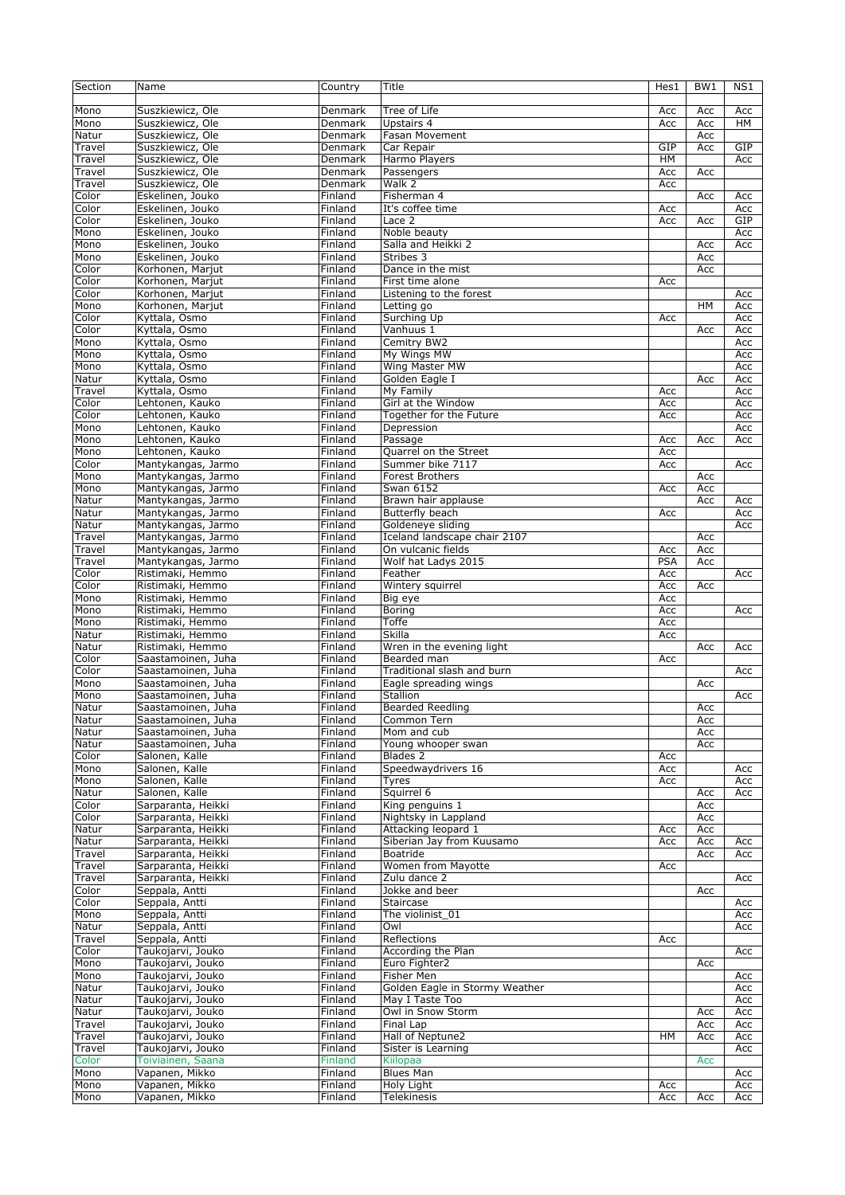| Section | Name               | Country | Title                          | Hes1       | BW1       | NS1 |
|---------|--------------------|---------|--------------------------------|------------|-----------|-----|
|         |                    |         |                                |            |           |     |
| Mono    | Suszkiewicz, Ole   | Denmark | Tree of Life                   | Acc        | Acc       | Acc |
| Mono    | Suszkiewicz, Ole   | Denmark | Upstairs 4                     | Acc        | Acc       | HM  |
|         |                    |         |                                |            |           |     |
| Natur   | Suszkiewicz, Ole   | Denmark | Fasan Movement                 |            | Acc       |     |
| Travel  | Suszkiewicz, Ole   | Denmark | Car Repair                     | GIP        | Acc       | GIP |
| Travel  | Suszkiewicz, Ole   | Denmark | Harmo Players                  | HM         |           | Acc |
| Travel  | Suszkiewicz, Ole   | Denmark | Passengers                     | Acc        | Acc       |     |
| Travel  | Suszkiewicz, Ole   | Denmark | Walk 2                         | Acc        |           |     |
| Color   | Eskelinen, Jouko   | Finland | Fisherman 4                    |            | Acc       | Acc |
| Color   | Eskelinen, Jouko   | Finland | It's coffee time               | Acc        |           | Acc |
| Color   | Eskelinen, Jouko   | Finland | Lace 2                         | Acc        | Acc       | GIP |
| Mono    | Eskelinen, Jouko   | Finland | Noble beauty                   |            |           | Acc |
|         |                    |         |                                |            |           |     |
| Mono    | Eskelinen, Jouko   | Finland | Salla and Heikki 2             |            | Acc       | Acc |
| Mono    | Eskelinen, Jouko   | Finland | Stribes 3                      |            | Acc       |     |
| Color   | Korhonen, Marjut   | Finland | Dance in the mist              |            | Acc       |     |
| Color   | Korhonen, Marjut   | Finland | First time alone               | Acc        |           |     |
| Color   | Korhonen, Marjut   | Finland | Listening to the forest        |            |           | Acc |
| Mono    | Korhonen, Marjut   | Finland | Letting go                     |            | <b>HM</b> | Acc |
| Color   | Kyttala, Osmo      | Finland | Surching Up                    | Acc        |           | Acc |
| Color   | Kyttala, Osmo      | Finland | Vanhuus 1                      |            | Acc       | Acc |
|         |                    |         |                                |            |           |     |
| Mono    | Kyttala, Osmo      | Finland | Cemitry BW2                    |            |           | Acc |
| Mono    | Kyttala, Osmo      | Finland | My Wings MW                    |            |           | Acc |
| Mono    | Kyttala, Osmo      | Finland | Wing Master MW                 |            |           | Acc |
| Natur   | Kyttala, Osmo      | Finland | Golden Eagle I                 |            | Acc       | Acc |
| Travel  | Kyttala, Osmo      | Finland | My Family                      | Acc        |           | Acc |
| Color   | Lehtonen, Kauko    | Finland | Girl at the Window             | Acc        |           | Acc |
| Color   | Lehtonen, Kauko    | Finland | Together for the Future        | Acc        |           | Acc |
|         |                    |         |                                |            |           |     |
| Mono    | Lehtonen, Kauko    | Finland | Depression                     |            |           | Acc |
| Mono    | Lehtonen, Kauko    | Finland | Passage                        | Acc        | Acc       | Acc |
| Mono    | Lehtonen, Kauko    | Finland | Quarrel on the Street          | Acc        |           |     |
| Color   | Mantykangas, Jarmo | Finland | Summer bike 7117               | Acc        |           | Acc |
| Mono    | Mantykangas, Jarmo | Finland | <b>Forest Brothers</b>         |            | Acc       |     |
| Mono    | Mantykangas, Jarmo | Finland | Swan 6152                      | Acc        | Acc       |     |
|         |                    |         |                                |            |           |     |
| Natur   | Mantykangas, Jarmo | Finland | Brawn hair applause            |            | Acc       | Acc |
| Natur   | Mantykangas, Jarmo | Finland | Butterfly beach                | Acc        |           | Acc |
| Natur   | Mantykangas, Jarmo | Finland | Goldeneye sliding              |            |           | Acc |
| Travel  | Mantykangas, Jarmo | Finland | Iceland landscape chair 2107   |            | Acc       |     |
| Travel  | Mantykangas, Jarmo | Finland | On vulcanic fields             | Acc        | Acc       |     |
| Travel  | Mantykangas, Jarmo | Finland | Wolf hat Ladys 2015            | <b>PSA</b> | Acc       |     |
| Color   | Ristimaki, Hemmo   | Finland | Feather                        | Acc        |           | Acc |
| Color   |                    |         | Wintery squirrel               |            |           |     |
|         | Ristimaki, Hemmo   | Finland |                                | Acc        | Acc       |     |
| Mono    | Ristimaki, Hemmo   | Finland | Big eye                        | Acc        |           |     |
| Mono    | Ristimaki, Hemmo   | Finland | Boring                         | Acc        |           | Acc |
| Mono    | Ristimaki, Hemmo   | Finland | Toffe                          | Acc        |           |     |
| Natur   | Ristimaki, Hemmo   | Finland | Skilla                         | Acc        |           |     |
| Natur   | Ristimaki, Hemmo   | Finland | Wren in the evening light      |            | Acc       | Acc |
| Color   | Saastamoinen, Juha | Finland | Bearded man                    | Acc        |           |     |
| Color   |                    | Finland | Traditional slash and burn     |            |           | Acc |
|         | Saastamoinen, Juha |         |                                |            |           |     |
| Mono    | Saastamoinen, Juha | Finland | Eagle spreading wings          |            | Acc       |     |
| Mono    | Saastamoinen, Juha | Finland | Stallion                       |            |           | Acc |
| Natur   | Saastamoinen, Juha | Finland | <b>Bearded Reedling</b>        |            | Acc       |     |
| Natur   | Saastamoinen, Juha | Finland | Common Tern                    |            | Acc       |     |
| Natur   | Saastamoinen, Juha | Finland | Mom and cub                    |            | Acc       |     |
| Natur   | Saastamoinen, Juha | Finland | Young whooper swan             |            | Acc       |     |
| Color   | Salonen, Kalle     | Finland | Blades 2                       | Acc        |           |     |
|         |                    |         |                                |            |           |     |
| Mono    | Salonen, Kalle     | Finland | Speedwaydrivers 16             | Acc        |           | Acc |
| Mono    | Salonen, Kalle     | Finland | Tyres                          | Acc        |           | Acc |
| Natur   | Salonen, Kalle     | Finland | Squirrel 6                     |            | Acc       | Acc |
| Color   | Sarparanta, Heikki | Finland | King penguins 1                |            | Acc       |     |
| Color   | Sarparanta, Heikki | Finland | Nightsky in Lappland           |            | Acc       |     |
| Natur   | Sarparanta, Heikki | Finland | Attacking leopard 1            | Acc        | Acc       |     |
| Natur   | Sarparanta, Heikki | Finland | Siberian Jay from Kuusamo      | Acc        | Acc       | Acc |
| Travel  | Sarparanta, Heikki | Finland | Boatride                       |            |           |     |
|         |                    |         |                                |            | Acc       | Acc |
| Travel  | Sarparanta, Heikki | Finland | Women from Mayotte             | Acc        |           |     |
| Travel  | Sarparanta, Heikki | Finland | Zulu dance 2                   |            |           | Acc |
| Color   | Seppala, Antti     | Finland | Jokke and beer                 |            | Acc       |     |
| Color   | Seppala, Antti     | Finland | Staircase                      |            |           | Acc |
| Mono    | Seppala, Antti     | Finland | The violinist 01               |            |           | Acc |
| Natur   | Seppala, Antti     | Finland | Owl                            |            |           | Acc |
| Travel  | Seppala, Antti     | Finland | Reflections                    | Acc        |           |     |
| Color   | Taukojarvi, Jouko  | Finland | According the Plan             |            |           | Acc |
|         |                    |         |                                |            |           |     |
| Mono    | Taukojarvi, Jouko  | Finland | Euro Fighter2                  |            | Acc       |     |
| Mono    | Taukojarvi, Jouko  | Finland | Fisher Men                     |            |           | Acc |
| Natur   | Taukojarvi, Jouko  | Finland | Golden Eagle in Stormy Weather |            |           | Acc |
| Natur   | Taukojarvi, Jouko  | Finland | May I Taste Too                |            |           | Acc |
| Natur   | Taukojarvi, Jouko  | Finland | Owl in Snow Storm              |            | Acc       | Acc |
| Travel  | Taukojarvi, Jouko  | Finland | Final Lap                      |            | Acc       | Acc |
| Travel  | Taukojarvi, Jouko  | Finland | Hall of Neptune2               | HМ         | Acc       |     |
|         |                    |         |                                |            |           | Acc |
| Travel  | Taukojarvi, Jouko  | Finland | Sister is Learning             |            |           | Acc |
| Color   | Toiviainen, Saana  | Finland | Kiilopaa                       |            | Acc       |     |
| Mono    | Vapanen, Mikko     | Finland | <b>Blues Man</b>               |            |           | Acc |
| Mono    | Vapanen, Mikko     | Finland | Holy Light                     | Acc        |           | Acc |
| Mono    | Vapanen, Mikko     | Finland | Telekinesis                    | Acc        | Acc       | Acc |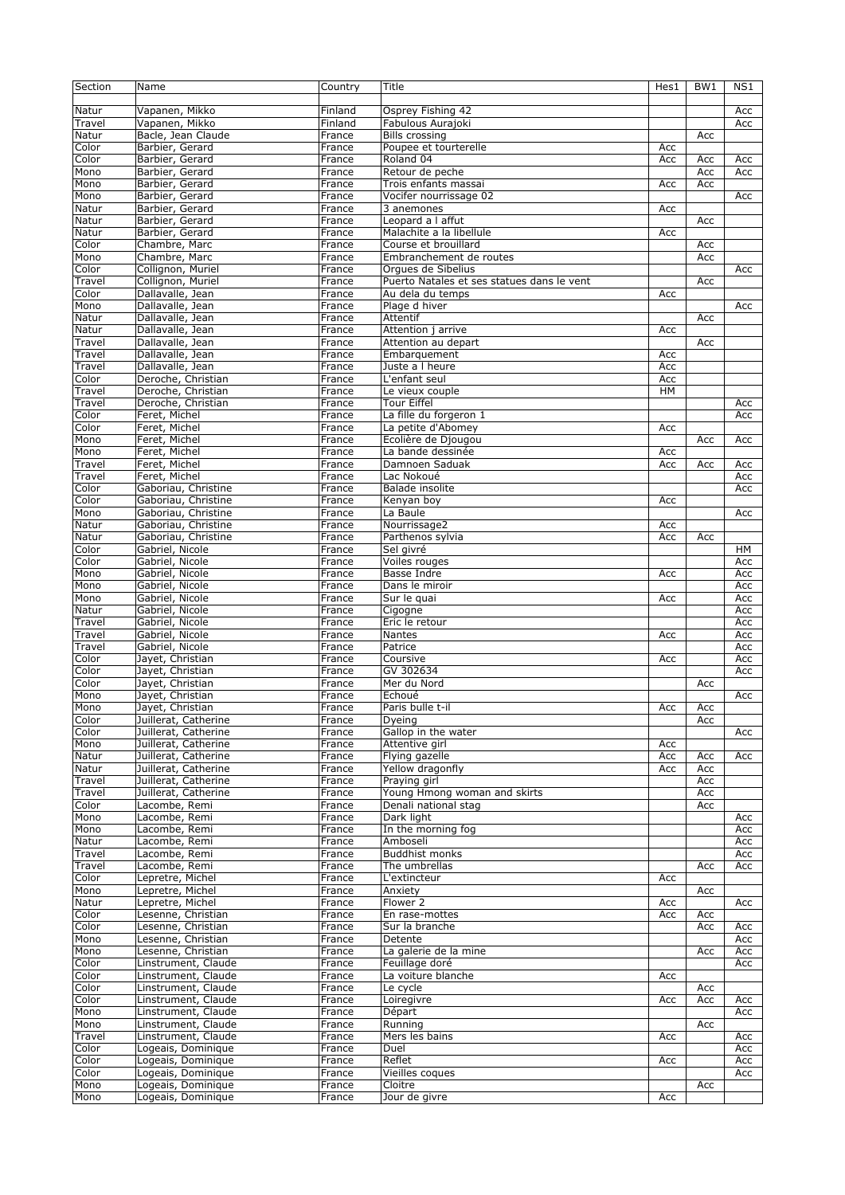| Section | Name                 | Country | Title                                      | Hes1 | BW1 | NS1 |
|---------|----------------------|---------|--------------------------------------------|------|-----|-----|
|         |                      |         |                                            |      |     |     |
| Natur   | Vapanen, Mikko       | Finland | Osprey Fishing 42                          |      |     | Acc |
| Travel  | Vapanen, Mikko       | Finland |                                            |      |     | Acc |
|         |                      |         | Fabulous Aurajoki                          |      |     |     |
| Natur   | Bacle, Jean Claude   | France  | <b>Bills crossing</b>                      |      | Acc |     |
| Color   | Barbier, Gerard      | France  | Poupee et tourterelle                      | Acc  |     |     |
| Color   | Barbier, Gerard      | France  | Roland 04                                  | Acc  | Acc | Acc |
| Mono    | Barbier, Gerard      | France  | Retour de peche                            |      | Acc | Acc |
| Mono    | Barbier, Gerard      | France  | Trois enfants massai                       | Acc  | Acc |     |
| Mono    | Barbier, Gerard      | France  | Vocifer nourrissage 02                     |      |     | Acc |
| Natur   | Barbier, Gerard      | France  | 3 anemones                                 | Acc  |     |     |
| Natur   | Barbier, Gerard      | France  | Leopard a I affut                          |      | Acc |     |
|         |                      |         | Malachite a la libellule                   |      |     |     |
| Natur   | Barbier, Gerard      | France  |                                            | Acc  |     |     |
| Color   | Chambre, Marc        | France  | Course et brouillard                       |      | Acc |     |
| Mono    | Chambre, Marc        | France  | Embranchement de routes                    |      | Acc |     |
| Color   | Collignon, Muriel    | France  | Orgues de Sibelius                         |      |     | Acc |
| Travel  | Collignon, Muriel    | France  | Puerto Natales et ses statues dans le vent |      | Acc |     |
| Color   | Dallavalle, Jean     | France  | Au dela du temps                           | Acc  |     |     |
| Mono    | Dallavalle, Jean     | France  | Plage d hiver                              |      |     | Acc |
|         |                      |         |                                            |      |     |     |
| Natur   | Dallavalle, Jean     | France  | Attentif                                   |      | Acc |     |
| Natur   | Dallavalle, Jean     | France  | Attention j arrive                         | Acc  |     |     |
| Travel  | Dallavalle, Jean     | France  | Attention au depart                        |      | Acc |     |
| Travel  | Dallavalle, Jean     | France  | Embarquement                               | Acc  |     |     |
| Travel  | Dallavalle, Jean     | France  | Juste a I heure                            | Acc  |     |     |
| Color   | Deroche, Christian   | France  | L'enfant seul                              | Acc  |     |     |
| Travel  | Deroche, Christian   |         |                                            | HM   |     |     |
|         |                      | France  | Le vieux couple                            |      |     |     |
| Travel  | Deroche, Christian   | France  | Tour Eiffel                                |      |     | Acc |
| Color   | Feret, Michel        | France  | La fille du forgeron 1                     |      |     | Acc |
| Color   | Feret, Michel        | France  | La petite d'Abomey                         | Acc  |     |     |
| Mono    | Feret, Michel        | France  | Ecolière de Djougou                        |      | Acc | Acc |
| Mono    | Feret, Michel        | France  | La bande dessinée                          | Acc  |     |     |
| Travel  | Feret, Michel        | France  | Damnoen Saduak                             | Acc  | Acc | Acc |
|         |                      | France  |                                            |      |     |     |
| Travel  | Feret, Michel        |         | Lac Nokoué                                 |      |     | Acc |
| Color   | Gaboriau, Christine  | France  | <b>Balade insolite</b>                     |      |     | Acc |
| Color   | Gaboriau, Christine  | France  | Kenyan boy                                 | Acc  |     |     |
| Mono    | Gaboriau, Christine  | France  | La Baule                                   |      |     | Acc |
| Natur   | Gaboriau, Christine  | France  | Nourrissage2                               | Acc  |     |     |
| Natur   | Gaboriau, Christine  | France  | Parthenos sylvia                           | Acc  | Acc |     |
|         |                      |         |                                            |      |     |     |
| Color   | Gabriel, Nicole      | France  | Sel givré                                  |      |     | HM  |
| Color   | Gabriel, Nicole      | France  | Voiles rouges                              |      |     | Acc |
| Mono    | Gabriel, Nicole      | France  | Basse Indre                                | Acc  |     | Acc |
| Mono    | Gabriel, Nicole      | France  | Dans le miroir                             |      |     | Acc |
| Mono    | Gabriel, Nicole      | France  | Sur le quai                                | Acc  |     | Acc |
| Natur   | Gabriel, Nicole      | France  | Cigogne                                    |      |     | Acc |
|         | Gabriel, Nicole      | France  | Eric le retour                             |      |     | Acc |
| Travel  |                      |         |                                            |      |     |     |
| Travel  | Gabriel, Nicole      | France  | Nantes                                     | Acc  |     | Acc |
| Travel  | Gabriel, Nicole      | France  | Patrice                                    |      |     | Acc |
| Color   | Jayet, Christian     | France  | Coursive                                   | Acc  |     | Acc |
| Color   | Jayet, Christian     | France  | GV 302634                                  |      |     | Acc |
| Color   | Jayet, Christian     | France  | Mer du Nord                                |      | Acc |     |
| Mono    | Jayet, Christian     | France  | Echoué                                     |      |     | Acc |
| Mono    | Jayet, Christian     |         | Paris bulle t-il                           |      |     |     |
|         |                      | France  |                                            | Acc  | Acc |     |
| Color   | Juillerat, Catherine | France  | Dyeing                                     |      | Acc |     |
| Color   | Juillerat, Catherine | France  | Gallop in the water                        |      |     | Acc |
| Mono    | Juillerat, Catherine | France  | Attentive girl                             | Acc  |     |     |
| Natur   | Juillerat, Catherine | France  | Flying gazelle                             | Acc  | Acc | Acc |
| Natur   | Juillerat, Catherine | France  | Yellow dragonfly                           | Acc  | Acc |     |
| Travel  | Juillerat, Catherine | France  | Praying girl                               |      | Acc |     |
| Travel  | Juillerat, Catherine | France  | Young Hmong woman and skirts               |      | Acc |     |
|         |                      |         |                                            |      |     |     |
| Color   | Lacombe, Remi        | France  | Denali national stag                       |      | Acc |     |
| Mono    | Lacombe, Remi        | France  | Dark light                                 |      |     | Acc |
| Mono    | Lacombe, Remi        | France  | In the morning fog                         |      |     | Acc |
| Natur   | Lacombe, Remi        | France  | Amboseli                                   |      |     | Acc |
| Travel  | Lacombe, Remi        | France  | <b>Buddhist monks</b>                      |      |     | Acc |
| Travel  | Lacombe, Remi        | France  | The umbrellas                              |      | Acc | Acc |
| Color   | Lepretre, Michel     | France  | L'extincteur                               | Acc  |     |     |
|         |                      |         |                                            |      |     |     |
| Mono    | Lepretre, Michel     | France  | Anxiety                                    |      | Acc |     |
| Natur   | Lepretre, Michel     | France  | Flower 2                                   | Acc  |     | Acc |
| Color   | Lesenne, Christian   | France  | En rase-mottes                             | Acc  | Acc |     |
| Color   | Lesenne, Christian   | France  | Sur la branche                             |      | Асс | Acc |
| Mono    | Lesenne, Christian   | France  | Detente                                    |      |     | Acc |
| Mono    | Lesenne, Christian   | France  | La galerie de la mine                      |      | Acc | Acc |
| Color   | Linstrument, Claude  |         | Feuillage doré                             |      |     | Acc |
|         |                      | France  |                                            |      |     |     |
| Color   | Linstrument, Claude  | France  | La voiture blanche                         | Acc  |     |     |
| Color   | Linstrument, Claude  | France  | Le cycle                                   |      | Acc |     |
| Color   | Linstrument, Claude  | France  | Loiregivre                                 | Acc  | Acc | Acc |
| Mono    | Linstrument, Claude  | France  | Départ                                     |      |     | Acc |
| Mono    | Linstrument, Claude  | France  | Running                                    |      | Acc |     |
| Travel  | Linstrument, Claude  |         | Mers les bains                             |      |     |     |
|         |                      | France  |                                            | Acc  |     | Acc |
| Color   | Logeais, Dominique   | France  | Duel                                       |      |     | Acc |
| Color   | Logeais, Dominique   | France  | Reflet                                     | Acc  |     | Acc |
| Color   | Logeais, Dominique   | France  | Vieilles coques                            |      |     | Acc |
| Mono    | Logeais, Dominique   | France  | Cloitre                                    |      | Acc |     |
| Mono    | Logeais, Dominique   | France  | Jour de givre                              | Acc  |     |     |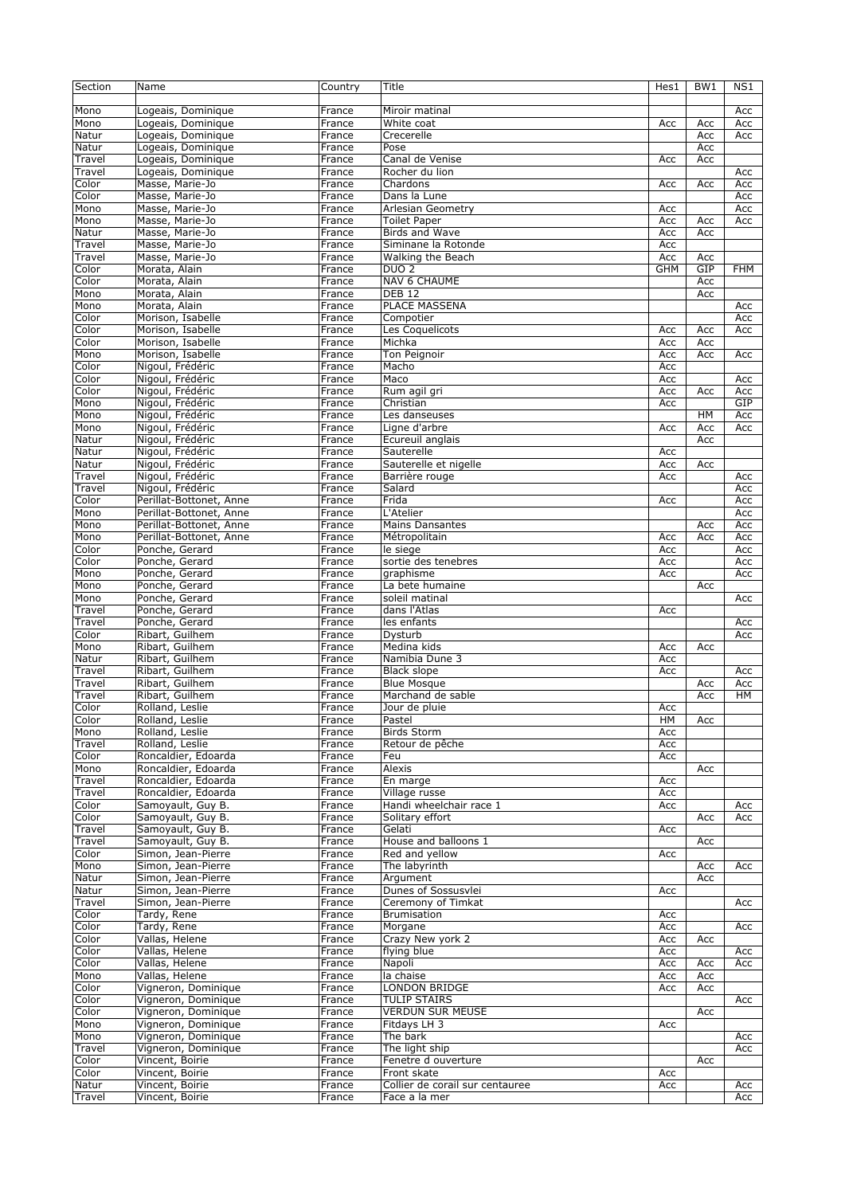| Section | Name                    | Country | Title                           | Hes1       | BW1 | NS1        |
|---------|-------------------------|---------|---------------------------------|------------|-----|------------|
|         |                         |         |                                 |            |     |            |
| Mono    | Logeais, Dominique      | France  | Miroir matinal                  |            |     | Acc        |
| Mono    | Logeais, Dominique      | France  | White coat                      | Acc        |     | Acc        |
|         |                         |         |                                 |            | Acc |            |
| Natur   | Logeais, Dominique      | France  | Crecerelle                      |            | Acc | Acc        |
| Natur   | Logeais, Dominique      | France  | Pose                            |            | Acc |            |
| Travel  | Logeais, Dominique      | France  | Canal de Venise                 | Acc        | Acc |            |
| Travel  | Logeais, Dominique      | France  | Rocher du lion                  |            |     | Acc        |
| Color   | Masse, Marie-Jo         | France  | Chardons                        | Acc        | Acc | Acc        |
| Color   | Masse, Marie-Jo         | France  | Dans la Lune                    |            |     | Acc        |
| Mono    | Masse, Marie-Jo         | France  | Arlesian Geometry               | Acc        |     | Acc        |
| Mono    | Masse, Marie-Jo         | France  | <b>Toilet Paper</b>             | Acc        | Acc | Acc        |
| Natur   | Masse, Marie-Jo         | France  | <b>Birds and Wave</b>           | Acc        | Acc |            |
|         |                         |         | Siminane la Rotonde             |            |     |            |
| Travel  | Masse, Marie-Jo         | France  |                                 | Acc        |     |            |
| Travel  | Masse, Marie-Jo         | France  | Walking the Beach               | Acc        | Acc |            |
| Color   | Morata, Alain           | France  | DUO <sub>2</sub>                | <b>GHM</b> | GIP | <b>FHM</b> |
| Color   | Morata, Alain           | France  | <b>NAV 6 CHAUME</b>             |            | Acc |            |
| Mono    | Morata, Alain           | France  | <b>DEB 12</b>                   |            | Acc |            |
| Mono    | Morata, Alain           | France  | PLACE MASSENA                   |            |     | Acc        |
| Color   | Morison, Isabelle       | France  | Compotier                       |            |     | Acc        |
| Color   | Morison, Isabelle       | France  | Les Coquelicots                 | Acc        | Acc | Acc        |
|         |                         |         |                                 |            |     |            |
| Color   | Morison, Isabelle       | France  | Michka                          | Acc        | Acc |            |
| Mono    | Morison, Isabelle       | France  | Ton Peignoir                    | Acc        | Acc | Acc        |
| Color   | Nigoul, Frédéric        | France  | Macho                           | Acc        |     |            |
| Color   | Nigoul, Frédéric        | France  | Maco                            | Acc        |     | Acc        |
| Color   | Nigoul, Frédéric        | France  | Rum agil gri                    | Acc        | Acc | Acc        |
| Mono    | Nigoul, Frédéric        | France  | Christian                       | Acc        |     | GIP        |
| Mono    | Nigoul, Frédéric        | France  | Les danseuses                   |            | HM  | Acc        |
|         |                         |         |                                 |            |     |            |
| Mono    | Nigoul, Frédéric        | France  | Ligne d'arbre                   | Acc        | Acc | Acc        |
| Natur   | Nigoul, Frédéric        | France  | Ecureuil anglais                |            | Acc |            |
| Natur   | Nigoul, Frédéric        | France  | Sauterelle                      | Acc        |     |            |
| Natur   | Nigoul, Frédéric        | France  | Sauterelle et nigelle           | Acc        | Acc |            |
| Travel  | Nigoul, Frédéric        | France  | Barrière rouge                  | Acc        |     | Acc        |
| Travel  | Nigoul, Frédéric        | France  | Salard                          |            |     | Acc        |
|         |                         |         |                                 |            |     |            |
| Color   | Perillat-Bottonet, Anne | France  | Frida                           | Acc        |     | Acc        |
| Mono    | Perillat-Bottonet, Anne | France  | L'Atelier                       |            |     | Acc        |
| Mono    | Perillat-Bottonet, Anne | France  | <b>Mains Dansantes</b>          |            | Acc | Acc        |
| Mono    | Perillat-Bottonet, Anne | France  | Métropolitain                   | Acc        | Acc | Acc        |
| Color   | Ponche, Gerard          | France  | le siege                        | Acc        |     | Acc        |
| Color   | Ponche, Gerard          | France  | sortie des tenebres             | Acc        |     | Acc        |
| Mono    | Ponche, Gerard          | France  | graphisme                       | Acc        |     | Acc        |
|         |                         |         |                                 |            |     |            |
| Mono    | Ponche, Gerard          | France  | La bete humaine                 |            | Acc |            |
| Mono    | Ponche, Gerard          | France  | soleil matinal                  |            |     | Acc        |
| Travel  | Ponche, Gerard          | France  | dans l'Atlas                    | Acc        |     |            |
| Travel  | Ponche, Gerard          | France  | les enfants                     |            |     | Acc        |
| Color   | Ribart, Guilhem         | France  | Dysturb                         |            |     | Acc        |
| Mono    | Ribart, Guilhem         | France  | Medina kids                     | Acc        | Acc |            |
|         |                         |         | Namibia Dune 3                  |            |     |            |
| Natur   | Ribart, Guilhem         | France  |                                 | Acc        |     |            |
| Travel  | Ribart, Guilhem         | France  | Black slope                     | Acc        |     | Acc        |
| Travel  | Ribart, Guilhem         | France  | <b>Blue Mosque</b>              |            | Acc | Acc        |
| Travel  | Ribart, Guilhem         | France  | Marchand de sable               |            | Acc | HM         |
| Color   | Rolland, Leslie         | France  | Jour de pluie                   | Acc        |     |            |
| Color   | Rolland, Leslie         | France  | Pastel                          | HМ         | Acc |            |
| Mono    | Rolland, Leslie         | France  | <b>Birds Storm</b>              | Acc        |     |            |
| Travel  | Rolland, Leslie         | France  | Retour de pêche                 | Acc        |     |            |
|         |                         |         |                                 |            |     |            |
| Color   | Roncaldier, Edoarda     | France  | Feu                             | Acc        |     |            |
| Mono    | Roncaldier, Edoarda     | France  | Alexis                          |            | Acc |            |
| Travel  | Roncaldier, Edoarda     | France  | En marge                        | Acc        |     |            |
| Travel  | Roncaldier, Edoarda     | France  | Village russe                   | Acc        |     |            |
| Color   | Samoyault, Guy B.       | France  | Handi wheelchair race 1         | Acc        |     | Acc        |
| Color   | Samoyault, Guy B.       | France  | Solitary effort                 |            | Acc | Acc        |
| Travel  | Samoyault, Guy B.       | France  | Gelati                          | Acc        |     |            |
| Travel  | Samoyault, Guy B.       | France  | House and balloons 1            |            | Acc |            |
|         |                         |         |                                 |            |     |            |
| Color   | Simon, Jean-Pierre      | France  | Red and yellow                  | Acc        |     |            |
| Mono    | Simon, Jean-Pierre      | France  | The labyrinth                   |            | Acc | Acc        |
| Natur   | Simon, Jean-Pierre      | France  | Argument                        |            | Acc |            |
| Natur   | Simon, Jean-Pierre      | France  | Dunes of Sossusvlei             | Acc        |     |            |
| Travel  | Simon, Jean-Pierre      | France  | Ceremony of Timkat              |            |     | Acc        |
| Color   | Tardy, Rene             | France  | <b>Brumisation</b>              | Acc        |     |            |
| Color   | Tardy, Rene             | France  | Morgane                         | Acc        |     | Acc        |
|         |                         |         |                                 |            |     |            |
| Color   | Vallas, Helene          | France  | Crazy New york 2                | Acc        | Acc |            |
| Color   | Vallas, Helene          | France  | flying blue                     | Acc        |     | Acc        |
| Color   | Vallas, Helene          | France  | Napoli                          | Acc        | Acc | Acc        |
| Mono    | Vallas, Helene          | France  | la chaise                       | Acc        | Acc |            |
| Color   | Vigneron, Dominique     | France  | <b>LONDON BRIDGE</b>            | Acc        | Acc |            |
| Color   | Vigneron, Dominique     | France  | <b>TULIP STAIRS</b>             |            |     | Acc        |
|         |                         |         |                                 |            |     |            |
| Color   | Vigneron, Dominique     | France  | <b>VERDUN SUR MEUSE</b>         |            | Acc |            |
| Mono    | Vigneron, Dominique     | France  | Fitdays LH 3                    | Acc        |     |            |
| Mono    | Vigneron, Dominique     | France  | The bark                        |            |     | Acc        |
| Travel  | Vigneron, Dominique     | France  | The light ship                  |            |     | Acc        |
| Color   | Vincent, Boirie         | France  | Fenetre d ouverture             |            | Acc |            |
| Color   | Vincent, Boirie         | France  | Front skate                     | Acc        |     |            |
| Natur   | Vincent, Boirie         | France  | Collier de corail sur centauree | Acc        |     | Acc        |
|         |                         |         |                                 |            |     |            |
| Travel  | Vincent, Boirie         | France  | Face a la mer                   |            |     | Acc        |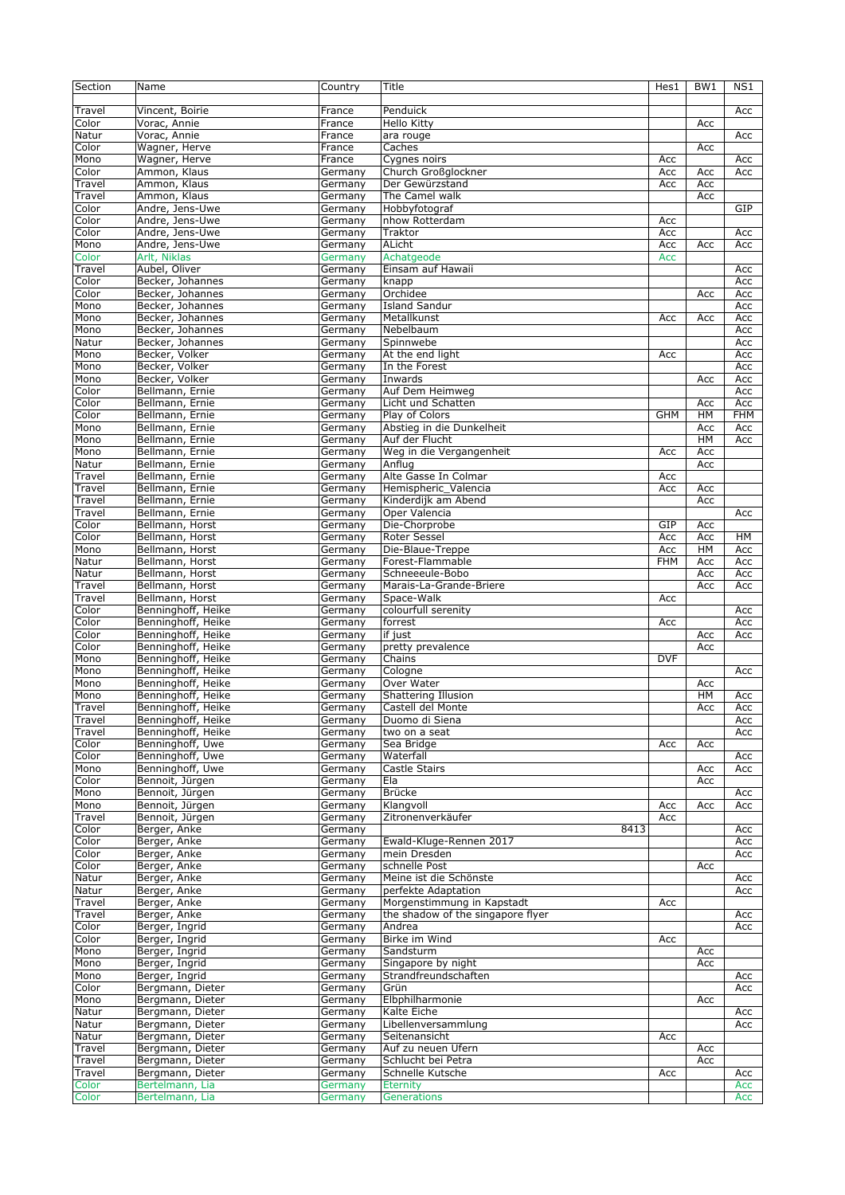| Section | Name                                 | Country | Title                               | Hes1       | BW <sub>1</sub> | NS1 |
|---------|--------------------------------------|---------|-------------------------------------|------------|-----------------|-----|
|         |                                      |         |                                     |            |                 |     |
| Travel  | Vincent, Boirie                      | France  | Penduick                            |            |                 | Acc |
| Color   | Vorac, Annie                         | France  | Hello Kitty                         |            | Acc             |     |
| Natur   | Vorac, Annie                         | France  | ara rouge                           |            |                 | Acc |
| Color   | Wagner, Herve                        | France  | Caches                              |            | Acc             |     |
| Mono    | Wagner, Herve                        | France  | Cygnes noirs                        | Acc        |                 | Acc |
| Color   | Ammon, Klaus                         | Germany | Church Großglockner                 | Acc        | Acc             | Acc |
| Travel  | Ammon, Klaus                         | Germany | Der Gewürzstand                     | Acc        | Acc             |     |
| Travel  | Ammon, Klaus                         | Germany | The Camel walk                      |            | Acc             |     |
| Color   | Andre, Jens-Uwe                      | Germany | Hobbyfotograf                       |            |                 | GIP |
| Color   | Andre, Jens-Uwe                      | Germany | nhow Rotterdam                      | Acc        |                 |     |
| Color   | Andre, Jens-Uwe                      | Germany | Traktor                             | Acc        |                 | Acc |
| Mono    | Andre, Jens-Uwe                      | Germany | ALicht                              | Acc        | Acc             | Acc |
| Color   | Arlt, Niklas                         | Germany | Achatgeode                          | Acc        |                 |     |
| Travel  | Aubel, Oliver                        | Germany | Einsam auf Hawaii                   |            |                 | Acc |
| Color   | Becker, Johannes                     |         |                                     |            |                 |     |
| Color   |                                      | Germany | knapp                               |            |                 | Acc |
|         | Becker, Johannes                     | Germany | Orchidee                            |            | Acc             | Acc |
| Mono    | Becker, Johannes<br>Becker, Johannes | Germany | <b>Island Sandur</b><br>Metallkunst | Acc        |                 | Acc |
| Mono    |                                      | Germany |                                     |            | Acc             | Acc |
| Mono    | Becker, Johannes                     | Germany | Nebelbaum                           |            |                 | Acc |
| Natur   | Becker, Johannes                     | Germany | Spinnwebe                           |            |                 | Acc |
| Mono    | Becker, Volker                       | Germany | At the end light                    | Acc        |                 | Acc |
| Mono    | Becker, Volker                       | Germany | In the Forest                       |            |                 | Acc |
| Mono    | Becker, Volker                       | Germany | Inwards                             |            | Acc             | Acc |
| Color   | Bellmann, Ernie                      | Germany | Auf Dem Heimweg                     |            |                 | Acc |
| Color   | Bellmann, Ernie                      | Germany | Licht und Schatten                  |            | Acc             | Acc |
| Color   | Bellmann, Ernie                      | Germany | Play of Colors                      | <b>GHM</b> | HM              | FHM |
| Mono    | Bellmann, Ernie                      | Germany | Abstieg in die Dunkelheit           |            | Acc             | Acc |
| Mono    | Bellmann, Ernie                      | Germany | Auf der Flucht                      |            | HM              | Acc |
| Mono    | Bellmann, Ernie                      | Germany | Weg in die Vergangenheit            | Acc        | Acc             |     |
| Natur   | Bellmann, Ernie                      | Germany | Anflua                              |            | Acc             |     |
| Travel  | Bellmann, Ernie                      | Germany | Alte Gasse In Colmar                | Acc        |                 |     |
| Travel  | Bellmann, Ernie                      | Germany | Hemispheric_Valencia                | Acc        | Acc             |     |
| Travel  | Bellmann, Ernie                      | Germany | Kinderdijk am Abend                 |            | Acc             |     |
| Travel  | Bellmann, Ernie                      | Germany | Oper Valencia                       |            |                 | Acc |
| Color   | Bellmann, Horst                      | Germany | Die-Chorprobe                       | GIP        | Acc             |     |
| Color   | Bellmann, Horst                      | Germany | <b>Roter Sessel</b>                 | Acc        | Acc             | HМ  |
| Mono    | Bellmann, Horst                      | Germany | Die-Blaue-Treppe                    | Acc        | HM              | Acc |
| Natur   | Bellmann, Horst                      | Germany | Forest-Flammable                    | <b>FHM</b> | Acc             | Acc |
| Natur   | Bellmann, Horst                      | Germany | Schneeeule-Bobo                     |            | Acc             | Acc |
| Travel  | Bellmann, Horst                      | Germany | Marais-La-Grande-Briere             |            | Acc             | Acc |
| Travel  | Bellmann, Horst                      | Germany | Space-Walk                          | Acc        |                 |     |
| Color   | Benninghoff, Heike                   | Germany | colourfull serenity                 |            |                 | Acc |
| Color   | Benninghoff, Heike                   | Germany | forrest                             | Acc        |                 | Acc |
| Color   | Benninghoff, Heike                   | Germany | if just                             |            | Acc             | Acc |
| Color   | Benninghoff, Heike                   | Germany | pretty prevalence                   |            | Acc             |     |
| Mono    | Benninghoff, Heike                   | Germany | Chains                              | <b>DVF</b> |                 |     |
| Mono    | Benninghoff, Heike                   | Germany | Cologne                             |            |                 | Acc |
| Mono    | Benninghoff, Heike                   | Germany | Over Water                          |            | Acc             |     |
| Mono    | Benninghoff, Heike                   | Germany | <b>Shattering Illusion</b>          |            | HM              | Acc |
| Travel  | Benninghoff, Heike                   | Germany | Castell del Monte                   |            | Acc             | Acc |
| Travel  | Benninghoff, Heike                   | Germany | Duomo di Siena                      |            |                 | Acc |
| Travel  | Benninghoff, Heike                   | Germany | two on a seat                       |            |                 | Acc |
| Color   | Benninghoff, Uwe                     | Germany | Sea Bridge                          | Acc        | Acc             |     |
| Color   | Benninghoff, Uwe                     | Germany | Waterfall                           |            |                 | Acc |
| Mono    | Benninghoff, Uwe                     | Germany | Castle Stairs                       |            | Acc             | Acc |
| Color   | Bennoit, Jürgen                      | Germany | Ela                                 |            | Acc             |     |
| Mono    | Bennoit, Jürgen                      | Germany | Brücke                              |            |                 | Acc |
| Mono    | Bennoit, Jürgen                      | Germany | Klangvoll                           | Acc        | Acc             | Acc |
| Travel  | Bennoit, Jürgen                      | Germany | Zitronenverkäufer                   | Acc        |                 |     |
| Color   | Berger, Anke                         | Germany | 8413                                |            |                 | Acc |
| Color   | Berger, Anke                         | Germany | Ewald-Kluge-Rennen 2017             |            |                 | Acc |
| Color   | Berger, Anke                         | Germany | mein Dresden                        |            |                 | Acc |
| Color   | Berger, Anke                         | Germany | schnelle Post                       |            | Acc             |     |
| Natur   | Berger, Anke                         | Germany | Meine ist die Schönste              |            |                 | Acc |
| Natur   | Berger, Anke                         | Germany | perfekte Adaptation                 |            |                 | Acc |
| Travel  | Berger, Anke                         | Germany | Morgenstimmung in Kapstadt          | Acc        |                 |     |
| Travel  | Berger, Anke                         | Germany | the shadow of the singapore flyer   |            |                 | Acc |
| Color   | Berger, Ingrid                       | Germany | Andrea                              |            |                 | Acc |
| Color   | Berger, Ingrid                       | Germany | Birke im Wind                       | Acc        |                 |     |
| Mono    | Berger, Ingrid                       | Germany | Sandsturm                           |            | Acc             |     |
| Mono    | Berger, Ingrid                       | Germany | Singapore by night                  |            | Acc             |     |
| Mono    | Berger, Ingrid                       | Germany | Strandfreundschaften                |            |                 | Acc |
| Color   | Bergmann, Dieter                     | Germany | Grün                                |            |                 | Acc |
| Mono    | Bergmann, Dieter                     | Germany | Elbphilharmonie                     |            | Acc             |     |
| Natur   | Bergmann, Dieter                     | Germany | Kalte Eiche                         |            |                 | Acc |
| Natur   | Bergmann, Dieter                     | Germany | Libellenversammlung                 |            |                 | Acc |
| Natur   | Bergmann, Dieter                     | Germany | Seitenansicht                       | Acc        |                 |     |
| Travel  | Bergmann, Dieter                     | Germany | Auf zu neuen Ufern                  |            | Acc             |     |
| Travel  | Bergmann, Dieter                     | Germany | Schlucht bei Petra                  |            | Acc             |     |
| Travel  | Bergmann, Dieter                     | Germany | Schnelle Kutsche                    | Acc        |                 | Acc |
| Color   | Bertelmann, Lia                      | Germany | <b>Eternity</b>                     |            |                 | Acc |
| Color   | Bertelmann, Lia                      | Germany | Generations                         |            |                 | Acc |
|         |                                      |         |                                     |            |                 |     |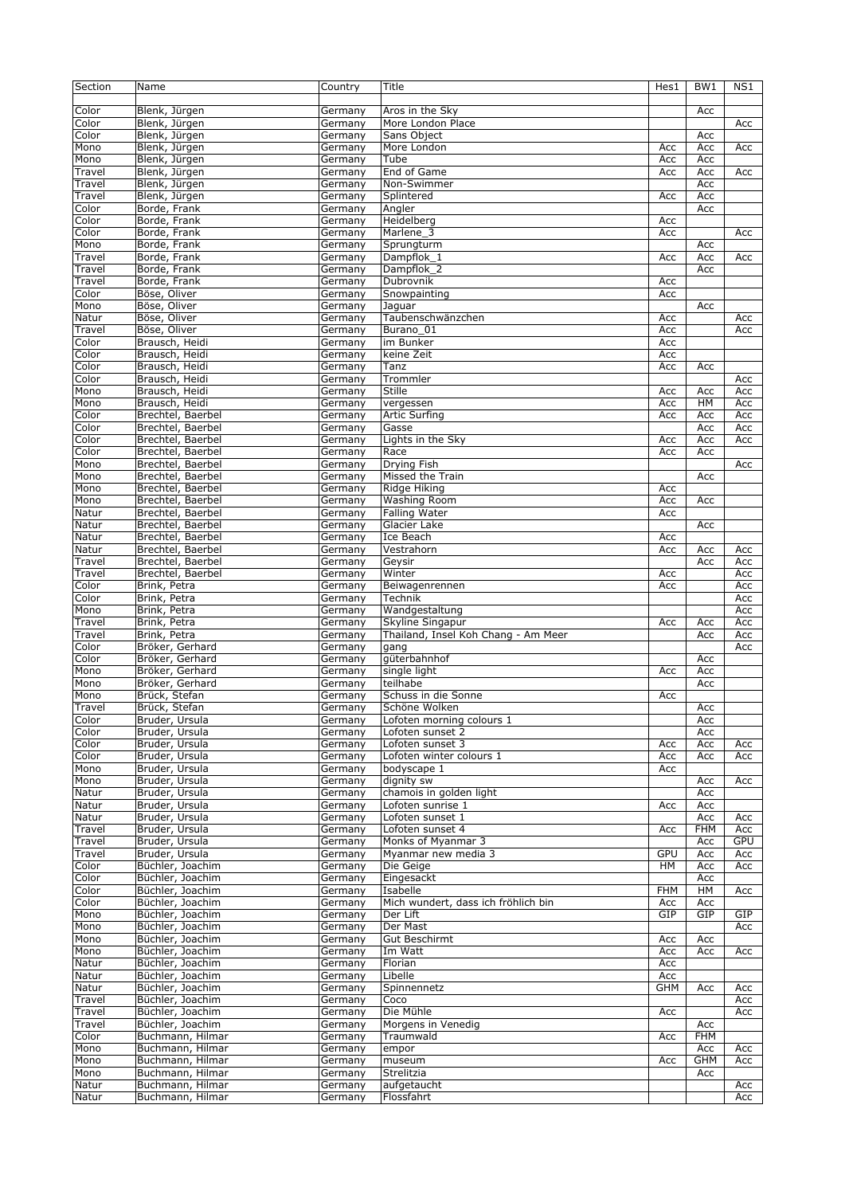| Section | Name              | Country | Title                               | Hes1       | BW <sub>1</sub> | NS1 |
|---------|-------------------|---------|-------------------------------------|------------|-----------------|-----|
|         |                   |         |                                     |            |                 |     |
| Color   | Blenk, Jürgen     | Germany | Aros in the Sky                     |            | Acc             |     |
| Color   | Blenk, Jürgen     | Germany | More London Place                   |            |                 | Acc |
| Color   |                   |         |                                     |            |                 |     |
|         | Blenk, Jürgen     | Germany | Sans Object                         |            | Acc             |     |
| Mono    | Blenk, Jürgen     | Germany | More London                         | Acc        | Acc             | Acc |
| Mono    | Blenk, Jürgen     | Germany | Tube                                | Acc        | Acc             |     |
| Travel  | Blenk, Jürgen     | Germany | End of Game                         | Acc        | Acc             | Acc |
| Travel  | Blenk, Jürgen     | Germany | Non-Swimmer                         |            | Acc             |     |
| Travel  | Blenk, Jürgen     | Germany | Splintered                          | Acc        | Acc             |     |
| Color   | Borde, Frank      | Germany | Angler                              |            | Acc             |     |
| Color   | Borde, Frank      | Germany | Heidelberg                          | Acc        |                 |     |
| Color   | Borde, Frank      | Germany | Marlene 3                           | Acc        |                 | Acc |
| Mono    | Borde, Frank      | Germany | Sprungturm                          |            | Acc             |     |
| Travel  | Borde, Frank      | Germany | Dampflok_1                          | Acc        | Acc             | Acc |
|         |                   |         |                                     |            |                 |     |
| Travel  | Borde, Frank      | Germany | Dampflok_2                          |            | Acc             |     |
| Travel  | Borde, Frank      | Germany | Dubrovnik                           | Acc        |                 |     |
| Color   | Böse, Oliver      | Germany | Snowpainting                        | Acc        |                 |     |
| Mono    | Böse, Oliver      | Germany | Jaguar                              |            | Acc             |     |
| Natur   | Böse, Oliver      | Germany | Taubenschwänzchen                   | Acc        |                 | Acc |
| Travel  | Böse, Oliver      | Germany | Burano 01                           | Acc        |                 | Acc |
| Color   | Brausch, Heidi    | Germany | im Bunker                           | Acc        |                 |     |
| Color   | Brausch, Heidi    | Germany | keine Zeit                          | Acc        |                 |     |
|         |                   |         |                                     |            |                 |     |
| Color   | Brausch, Heidi    | Germany | Tanz                                | Acc        | Acc             |     |
| Color   | Brausch, Heidi    | Germany | Trommler                            |            |                 | Acc |
| Mono    | Brausch, Heidi    | Germany | Stille                              | Acc        | Acc             | Acc |
| Mono    | Brausch, Heidi    | Germany | vergessen                           | Acc        | HM              | Acc |
| Color   | Brechtel, Baerbel | Germany | <b>Artic Surfing</b>                | Acc        | Acc             | Acc |
| Color   | Brechtel, Baerbel | Germany | Gasse                               |            | Acc             | Acc |
| Color   | Brechtel, Baerbel | Germany | Lights in the Sky                   | Acc        | Acc             | Acc |
|         |                   |         |                                     |            |                 |     |
| Color   | Brechtel, Baerbel | Germany | Race                                | Acc        | Acc             |     |
| Mono    | Brechtel, Baerbel | Germany | Drying Fish                         |            |                 | Acc |
| Mono    | Brechtel, Baerbel | Germany | Missed the Train                    |            | Acc             |     |
| Mono    | Brechtel, Baerbel | Germany | Ridge Hiking                        | Acc        |                 |     |
| Mono    | Brechtel, Baerbel | Germany | Washing Room                        | Acc        | Acc             |     |
| Natur   | Brechtel, Baerbel | Germany | Falling Water                       | Acc        |                 |     |
| Natur   | Brechtel, Baerbel | Germany | Glacier Lake                        |            | Acc             |     |
|         |                   |         |                                     |            |                 |     |
| Natur   | Brechtel, Baerbel | Germany | Ice Beach                           | Acc        |                 |     |
| Natur   | Brechtel, Baerbel | Germany | Vestrahorn                          | Acc        | Acc             | Acc |
| Travel  | Brechtel, Baerbel | Germany | Geysir                              |            | Acc             | Acc |
| Travel  | Brechtel, Baerbel | Germany | Winter                              | Acc        |                 | Acc |
| Color   | Brink, Petra      | Germany | Beiwagenrennen                      | Acc        |                 | Acc |
| Color   | Brink, Petra      | Germany | Technik                             |            |                 | Acc |
|         | Brink, Petra      |         |                                     |            |                 |     |
| Mono    |                   | Germany | Wandgestaltung                      |            |                 | Acc |
| Travel  | Brink, Petra      | Germany | Skyline Singapur                    | Acc        | Acc             | Acc |
| Travel  | Brink, Petra      | Germany | Thailand, Insel Koh Chang - Am Meer |            | Acc             | Acc |
| Color   | Bröker, Gerhard   | Germany | gang                                |            |                 | Acc |
| Color   | Bröker, Gerhard   | Germany | güterbahnhof                        |            | Acc             |     |
| Mono    | Bröker, Gerhard   | Germany | single light                        | Acc        | Acc             |     |
| Mono    | Bröker, Gerhard   | Germany | teilhabe                            |            | Acc             |     |
| Mono    | Brück, Stefan     | Germany | Schuss in die Sonne                 | Acc        |                 |     |
|         |                   |         |                                     |            |                 |     |
| Travel  | Brück, Stefan     | Germany | Schöne Wolken                       |            | Acc             |     |
| Color   | Bruder, Ursula    | Germany | Lofoten morning colours 1           |            | Acc             |     |
| Color   | Bruder, Ursula    | Germany | Lofoten sunset 2                    |            | Acc             |     |
| Color   | Bruder, Ursula    | Germany | Lofoten sunset 3                    | Acc        | Acc             | Acc |
| Color   | Bruder, Ursula    | Germany | Lofoten winter colours 1            | Acc        | Acc             | Acc |
| Mono    | Bruder, Ursula    | Germany | bodyscape 1                         | Acc        |                 |     |
| Mono    | Bruder, Ursula    | Germany | dignity sw                          |            | Acc             | Acc |
| Natur   | Bruder, Ursula    | Germany | chamois in golden light             |            | Acc             |     |
|         |                   |         |                                     |            |                 |     |
| Natur   | Bruder, Ursula    | Germany | Lofoten sunrise 1                   | Acc        | Acc             |     |
| Natur   | Bruder, Ursula    | Germany | Lofoten sunset 1                    |            | Acc             | Acc |
| Travel  | Bruder, Ursula    | Germany | Lofoten sunset 4                    | Acc        | <b>FHM</b>      | Acc |
| Travel  | Bruder, Ursula    | Germany | Monks of Myanmar 3                  |            | Acc             | GPU |
| Travel  | Bruder, Ursula    | Germany | Myanmar new media 3                 | <b>GPU</b> | Acc             | Acc |
| Color   | Büchler, Joachim  | Germany | Die Geige                           | HM         | Acc             | Acc |
| Color   | Büchler, Joachim  | Germany | Eingesackt                          |            | Acc             |     |
|         | Büchler, Joachim  |         | Isabelle                            | <b>FHM</b> | HM              |     |
| Color   |                   | Germany |                                     |            |                 | Acc |
| Color   | Büchler, Joachim  | Germany | Mich wundert, dass ich fröhlich bin | Acc        | Acc             |     |
| Mono    | Büchler, Joachim  | Germany | Der Lift                            | GIP        | GIP             | GIP |
| Mono    | Büchler, Joachim  | Germany | Der Mast                            |            |                 | Acc |
| Mono    | Büchler, Joachim  | Germany | Gut Beschirmt                       | Acc        | Acc             |     |
| Mono    | Büchler, Joachim  | Germany | Im Watt                             | Acc        | Acc             | Acc |
| Natur   | Büchler, Joachim  | Germany | Florian                             | Acc        |                 |     |
| Natur   | Büchler, Joachim  | Germany | Libelle                             | Acc        |                 |     |
|         |                   |         |                                     |            |                 |     |
| Natur   | Büchler, Joachim  | Germany | Spinnennetz                         | <b>GHM</b> | Acc             | Acc |
| Travel  | Büchler, Joachim  | Germany | Coco                                |            |                 | Acc |
| Travel  | Büchler, Joachim  | Germany | Die Mühle                           | Acc        |                 | Acc |
| Travel  | Büchler, Joachim  | Germany | Morgens in Venedig                  |            | Acc             |     |
| Color   | Buchmann, Hilmar  | Germany | Traumwald                           | Acc        | <b>FHM</b>      |     |
| Mono    | Buchmann, Hilmar  | Germany | empor                               |            | Acc             | Acc |
| Mono    | Buchmann, Hilmar  | Germany | museum                              | Acc        | <b>GHM</b>      | Acc |
|         |                   |         |                                     |            |                 |     |
| Mono    | Buchmann, Hilmar  | Germany | Strelitzia                          |            | Acc             |     |
| Natur   | Buchmann, Hilmar  | Germany | aufgetaucht                         |            |                 | Acc |
| Natur   | Buchmann, Hilmar  | Germany | Flossfahrt                          |            |                 | Acc |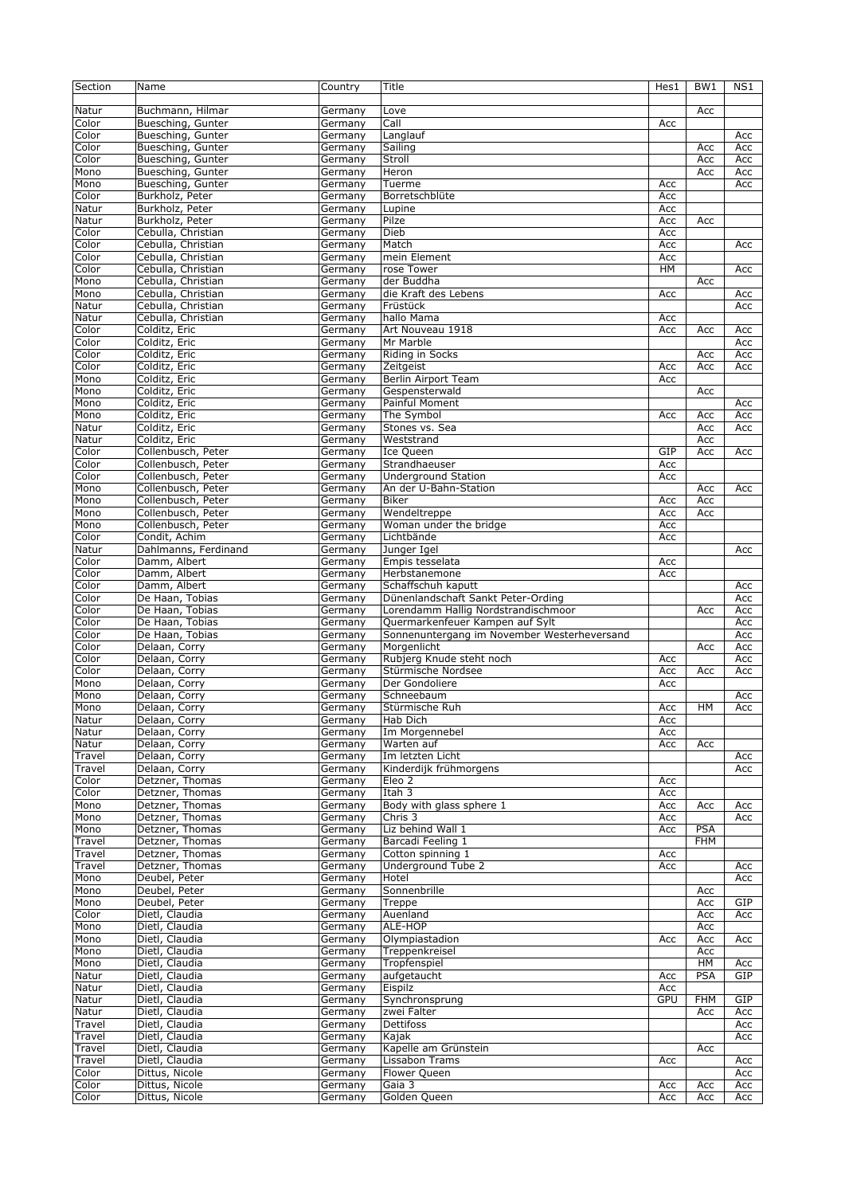| Section | Name                 | Country | Title                                       | Hes1       | BW <sub>1</sub> | NS1 |
|---------|----------------------|---------|---------------------------------------------|------------|-----------------|-----|
|         |                      |         |                                             |            |                 |     |
| Natur   | Buchmann, Hilmar     | Germany | Love                                        |            | Acc             |     |
| Color   | Buesching, Gunter    | Germany | Call                                        | Acc        |                 |     |
|         |                      |         |                                             |            |                 |     |
| Color   | Buesching, Gunter    | Germany | Langlauf                                    |            |                 | Acc |
| Color   | Buesching, Gunter    | Germany | Sailing                                     |            | Acc             | Acc |
| Color   | Buesching, Gunter    | Germany | Stroll                                      |            | Acc             | Acc |
| Mono    | Buesching, Gunter    | Germany | Heron                                       |            | Acc             | Acc |
| Mono    | Buesching, Gunter    | Germany | Tuerme                                      | Acc        |                 | Acc |
| Color   | Burkholz, Peter      | Germany | Borretschblüte                              | Acc        |                 |     |
| Natur   | Burkholz, Peter      | Germany | Lupine                                      | Acc        |                 |     |
| Natur   | Burkholz, Peter      | Germany | Pilze                                       | Acc        | Acc             |     |
| Color   | Cebulla, Christian   | Germany | Dieb                                        | Acc        |                 |     |
|         |                      |         | Match                                       |            |                 |     |
| Color   | Cebulla, Christian   | Germany |                                             | Acc        |                 | Acc |
| Color   | Cebulla, Christian   | Germany | mein Element                                | Acc        |                 |     |
| Color   | Cebulla, Christian   | Germany | rose Tower                                  | HM         |                 | Acc |
| Mono    | Cebulla, Christian   | Germany | der Buddha                                  |            | Acc             |     |
| Mono    | Cebulla, Christian   | Germany | die Kraft des Lebens                        | Acc        |                 | Acc |
| Natur   | Cebulla, Christian   | Germany | Früstück                                    |            |                 | Acc |
| Natur   | Cebulla, Christian   | Germany | hallo Mama                                  | Acc        |                 |     |
| Color   | Colditz, Eric        | Germany | Art Nouveau 1918                            | Acc        | Acc             | Acc |
|         |                      |         |                                             |            |                 |     |
| Color   | Colditz, Eric        | Germany | Mr Marble                                   |            |                 | Acc |
| Color   | Colditz, Eric        | Germany | Riding in Socks                             |            | Acc             | Acc |
| Color   | Colditz, Eric        | Germany | Zeitgeist                                   | Acc        | Acc             | Acc |
| Mono    | Colditz, Eric        | Germany | Berlin Airport Team                         | Acc        |                 |     |
| Mono    | Colditz, Eric        | Germany | Gespensterwald                              |            | Acc             |     |
| Mono    | Colditz, Eric        | Germany | Painful Moment                              |            |                 | Acc |
| Mono    | Colditz, Eric        | Germany | The Symbol                                  | Acc        | Acc             | Acc |
|         |                      |         |                                             |            |                 |     |
| Natur   | Colditz, Eric        | Germany | Stones vs. Sea                              |            | Acc             | Acc |
| Natur   | Colditz, Eric        | Germany | Weststrand                                  |            | Acc             |     |
| Color   | Collenbusch, Peter   | Germany | Ice Queen                                   | GIP        | Acc             | Acc |
| Color   | Collenbusch, Peter   | Germany | Strandhaeuser                               | Acc        |                 |     |
| Color   | Collenbusch, Peter   | Germany | <b>Underground Station</b>                  | Acc        |                 |     |
| Mono    | Collenbusch, Peter   | Germany | An der U-Bahn-Station                       |            | Acc             | Acc |
|         |                      |         |                                             |            |                 |     |
| Mono    | Collenbusch, Peter   | Germany | <b>Biker</b>                                | Acc        | Acc             |     |
| Mono    | Collenbusch, Peter   | Germany | Wendeltreppe                                | Acc        | Acc             |     |
| Mono    | Collenbusch, Peter   | Germany | Woman under the bridge                      | Acc        |                 |     |
| Color   | Condit, Achim        | Germany | Lichtbände                                  | Acc        |                 |     |
| Natur   | Dahlmanns, Ferdinand | Germany | Junger Igel                                 |            |                 | Acc |
| Color   | Damm, Albert         | Germany | Empis tesselata                             | Acc        |                 |     |
|         | Damm, Albert         |         |                                             |            |                 |     |
| Color   |                      | Germany | Herbstanemone                               | Acc        |                 |     |
| Color   | Damm, Albert         | Germany | Schaffschuh kaputt                          |            |                 | Acc |
| Color   | De Haan, Tobias      | Germany | Dünenlandschaft Sankt Peter-Ording          |            |                 | Acc |
| Color   | De Haan, Tobias      | Germany | Lorendamm Hallig Nordstrandischmoor         |            | Acc             | Acc |
| Color   | De Haan, Tobias      | Germany | Quermarkenfeuer Kampen auf Sylt             |            |                 | Acc |
| Color   | De Haan, Tobias      | Germany | Sonnenuntergang im November Westerheversand |            |                 | Acc |
| Color   | Delaan, Corry        | Germany | Morgenlicht                                 |            | Acc             | Acc |
|         |                      |         |                                             |            |                 |     |
| Color   | Delaan, Corry        | Germany | Rubjerg Knude steht noch                    | Acc        |                 | Acc |
| Color   | Delaan, Corry        | Germany | Stürmische Nordsee                          | Acc        | Acc             | Acc |
| Mono    | Delaan, Corry        | Germany | Der Gondoliere                              | Acc        |                 |     |
| Mono    | Delaan, Corry        | Germany | Schneebaum                                  |            |                 | Acc |
| Mono    | Delaan, Corry        | Germany | Stürmische Ruh                              | Acc        | HM              | Acc |
| Natur   | Delaan, Corry        | Germany | Hab Dich                                    | Acc        |                 |     |
|         |                      |         |                                             |            |                 |     |
| Natur   | Delaan, Corry        | Germany | Im Morgennebel                              | Acc        |                 |     |
| Natur   | Delaan, Corry        | Germany | Warten auf                                  | Acc        | Acc             |     |
| Travel  | Delaan, Corry        | Germany | Im letzten Licht                            |            |                 | Acc |
| Travel  | Delaan, Corry        | Germany | Kinderdijk frühmorgens                      |            |                 | Acc |
| Color   | Detzner, Thomas      | Germany | Eleo 2                                      | Acc        |                 |     |
| Color   | Detzner, Thomas      | Germany | Itah $3$                                    | Acc        |                 |     |
| Mono    | Detzner, Thomas      | Germany | Body with glass sphere 1                    | Acc        | Acc             | Acc |
| Mono    | Detzner, Thomas      | Germany | Chris 3                                     | Acc        |                 | Acc |
|         |                      |         |                                             |            |                 |     |
| Mono    | Detzner, Thomas      | Germany | Liz behind Wall 1                           | Acc        | <b>PSA</b>      |     |
| Travel  | Detzner, Thomas      | Germany | Barcadi Feeling 1                           |            | <b>FHM</b>      |     |
| Travel  | Detzner, Thomas      | Germany | Cotton spinning 1                           | Acc        |                 |     |
| Travel  | Detzner, Thomas      | Germany | Underground Tube 2                          | Acc        |                 | Acc |
| Mono    | Deubel, Peter        | Germany | Hotel                                       |            |                 | Acc |
| Mono    | Deubel, Peter        | Germany | Sonnenbrille                                |            | Acc             |     |
|         |                      |         |                                             |            |                 |     |
| Mono    | Deubel, Peter        | Germany | Treppe                                      |            | Acc             | GIP |
| Color   | Dietl, Claudia       | Germany | Auenland                                    |            | Acc             | Acc |
| Mono    | Dietl, Claudia       | Germany | ALE-HOP                                     |            | Acc             |     |
| Mono    | Dietl, Claudia       | Germany | Olympiastadion                              | Acc        | Acc             | Acc |
| Mono    | Dietl, Claudia       | Germany | Treppenkreisel                              |            | Acc             |     |
| Mono    | Dietl, Claudia       | Germany | Tropfenspiel                                |            | HM              | Acc |
| Natur   | Dietl, Claudia       | Germany | aufgetaucht                                 | Acc        | PSA             | GIP |
|         |                      |         |                                             |            |                 |     |
| Natur   | Dietl, Claudia       | Germany | Eispilz                                     | Acc        |                 |     |
| Natur   | Dietl, Claudia       | Germany | Synchronsprung                              | <b>GPU</b> | <b>FHM</b>      | GIP |
| Natur   | Dietl, Claudia       | Germany | zwei Falter                                 |            | Acc             | Acc |
| Travel  | Dietl, Claudia       | Germany | Dettifoss                                   |            |                 | Acc |
| Travel  | Dietl, Claudia       | Germany | Kajak                                       |            |                 | Acc |
| Travel  | Dietl, Claudia       | Germany | Kapelle am Grünstein                        |            | Acc             |     |
|         |                      |         | Lissabon Trams                              |            |                 |     |
| Travel  | Dietl, Claudia       | Germany |                                             | Acc        |                 | Acc |
| Color   | Dittus, Nicole       | Germany | Flower Queen                                |            |                 | Acc |
| Color   | Dittus, Nicole       | Germany | Gaia 3                                      | Acc        | Acc             | Acc |
| Color   | Dittus, Nicole       | Germany | Golden Queen                                | Acc        | Acc             | Acc |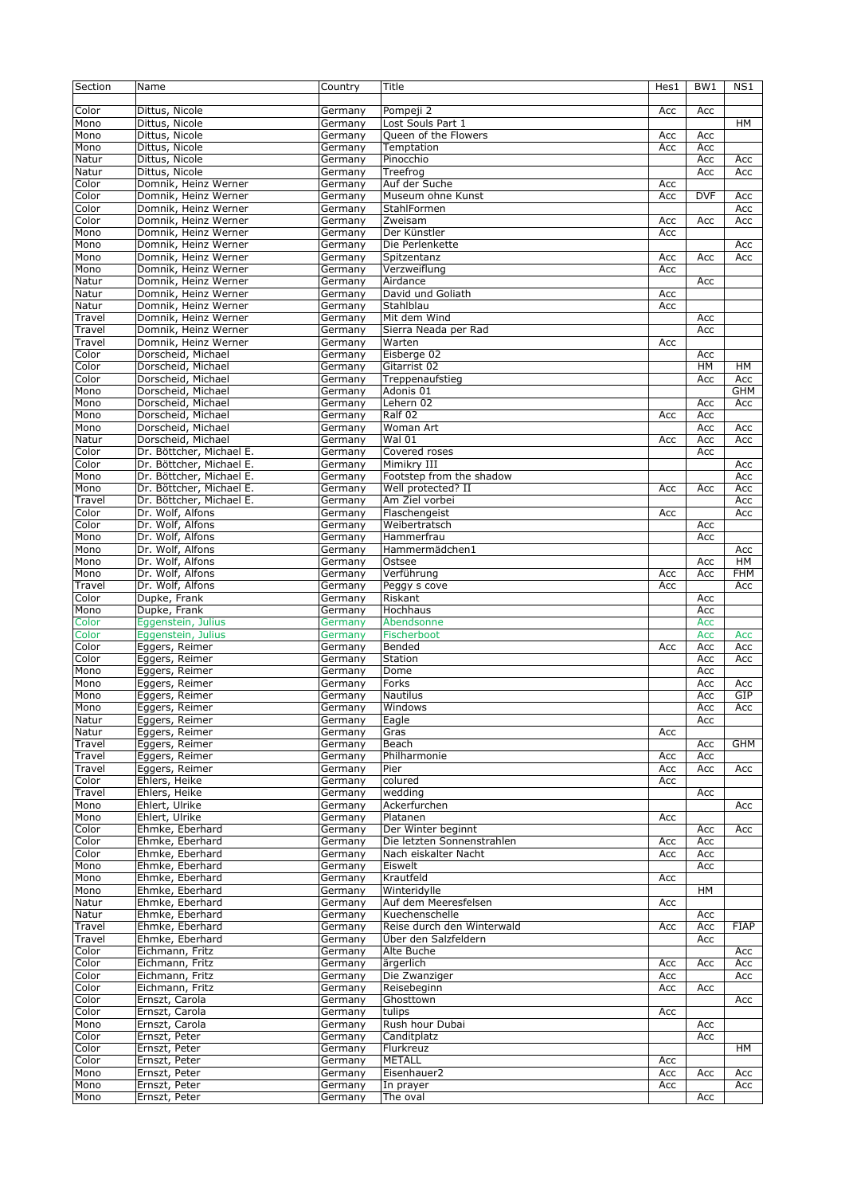| Section        | Name                                     | Country            | Title                           | Hes1 | BW <sub>1</sub> | NS1         |
|----------------|------------------------------------------|--------------------|---------------------------------|------|-----------------|-------------|
| Color          | Dittus, Nicole                           | Germany            | Pompeji 2                       | Acc  | Acc             |             |
| Mono           | Dittus, Nicole                           | Germany            | Lost Souls Part 1               |      |                 | HM          |
| Mono           | Dittus, Nicole                           | Germany            | Oueen of the Flowers            | Acc  | Acc             |             |
| Mono           | Dittus, Nicole                           | Germany            | Temptation                      | Acc  | Acc             |             |
| Natur          | Dittus, Nicole                           | Germany            | Pinocchio                       |      | Acc             | Acc         |
| Natur          | Dittus, Nicole                           | Germany            | Treefrog                        |      | Acc             | Acc         |
| Color          | Domnik, Heinz Werner                     | Germany            | Auf der Suche                   | Acc  |                 |             |
| Color          | Domnik, Heinz Werner                     | Germany            | Museum ohne Kunst               | Acc  | <b>DVF</b>      | Acc         |
| Color          | Domnik, Heinz Werner                     | Germany            | StahlFormen                     |      |                 | Acc         |
| Color          | Domnik, Heinz Werner                     | Germany            | Zweisam                         | Acc  | Acc             | Acc         |
| Mono           | Domnik, Heinz Werner                     | Germany            | Der Künstler                    | Acc  |                 |             |
| Mono           | Domnik, Heinz Werner                     | Germany            | Die Perlenkette                 |      |                 | Acc         |
| Mono           | Domnik, Heinz Werner                     | Germany            | Spitzentanz                     | Acc  | Acc             | Acc         |
| Mono           | Domnik, Heinz Werner                     | Germany            | Verzweiflung                    | Acc  |                 |             |
| Natur          | Domnik, Heinz Werner                     | Germany            | Airdance                        |      | Acc             |             |
| Natur          | Domnik, Heinz Werner                     | Germany            | David und Goliath               | Acc  |                 |             |
| Natur          | Domnik, Heinz Werner                     | Germany            | Stahlblau                       | Acc  |                 |             |
| Travel         | Domnik, Heinz Werner                     | Germany            | Mit dem Wind                    |      | Acc             |             |
| Travel         | Domnik, Heinz Werner                     | Germany            | Sierra Neada per Rad            |      | Acc             |             |
| Travel         | Domnik, Heinz Werner                     | Germany            | Warten                          | Acc  |                 |             |
| Color          | Dorscheid, Michael<br>Dorscheid, Michael | Germany            | Eisberge 02                     |      | Acc             |             |
| Color<br>Color |                                          | Germany<br>Germany | Gitarrist 02<br>Treppenaufstieg |      | HM              | HМ<br>Acc   |
|                | Dorscheid, Michael                       |                    | Adonis 01                       |      | Acc             | <b>GHM</b>  |
| Mono<br>Mono   | Dorscheid, Michael<br>Dorscheid, Michael | Germany<br>Germany | Lehern 02                       |      |                 |             |
| Mono           | Dorscheid, Michael                       | Germany            | Ralf 02                         | Acc  | Acc<br>Acc      | Acc         |
| Mono           | Dorscheid, Michael                       | Germany            | Woman Art                       |      | Acc             | Acc         |
| Natur          | Dorscheid, Michael                       | Germany            | Wal 01                          | Acc  | Acc             | Acc         |
| Color          | Dr. Böttcher, Michael E.                 | Germany            | Covered roses                   |      | Acc             |             |
| Color          | Dr. Böttcher, Michael E.                 | Germany            | Mimikry III                     |      |                 | Acc         |
| Mono           | Dr. Böttcher, Michael E.                 | Germany            | Footstep from the shadow        |      |                 | Acc         |
| Mono           | Dr. Böttcher, Michael E.                 | Germany            | Well protected? II              | Acc  | Acc             | Acc         |
| Travel         | Dr. Böttcher, Michael E.                 | Germany            | Am Ziel vorbei                  |      |                 | Acc         |
| Color          | Dr. Wolf, Alfons                         | Germany            | Flaschengeist                   | Acc  |                 | Acc         |
| Color          | Dr. Wolf, Alfons                         | Germany            | Weibertratsch                   |      | Acc             |             |
| Mono           | Dr. Wolf, Alfons                         | Germany            | Hammerfrau                      |      | Acc             |             |
| Mono           | Dr. Wolf, Alfons                         | Germany            | Hammermädchen1                  |      |                 | Acc         |
| Mono           | Dr. Wolf, Alfons                         | Germany            | Ostsee                          |      | Acc             | <b>HM</b>   |
| Mono           | Dr. Wolf, Alfons                         | Germany            | Verführung                      | Acc  | Acc             | <b>FHM</b>  |
| Travel         | Dr. Wolf, Alfons                         | Germany            | Peggy s cove                    | Acc  |                 | Acc         |
| Color          | Dupke, Frank                             | Germany            | Riskant                         |      | Acc             |             |
| Mono           | Dupke, Frank                             | Germany            | Hochhaus                        |      | Acc             |             |
| Color          | Eggenstein, Julius                       | Germany            | Abendsonne                      |      | Acc             |             |
| Color          | Eggenstein, Julius                       | Germany            | Fischerboot                     |      | Acc             | Acc         |
| Color          | Eggers, Reimer                           | Germany            | Bended                          | Acc  | Acc             | Acc         |
| Color          | Eggers, Reimer                           | Germany            | Station                         |      | Acc             | Acc         |
| Mono           | Eggers, Reimer                           | Germany            | Dome                            |      | Acc             |             |
| Mono           | Eggers, Reimer                           | Germany            | Forks                           |      | Acc             | Acc         |
| Mono           | Eggers, Reimer                           | Germany            | Nautilus                        |      | Acc             | GIP         |
| Mono           | Eggers, Reimer                           | Germany            | Windows                         |      | Acc             | Acc         |
| Natur          | Eggers, Reimer                           | Germany            | Eagle                           |      | Acc             |             |
| Natur          | Eggers, Reimer                           | Germany            | Gras                            | Acc  |                 |             |
| Travel         | Eggers, Reimer                           | Germany            | Beach                           |      | Acc             | GHM         |
| Travel         | Eggers, Reimer                           | Germany            | Philharmonie                    | Acc  | Acc             |             |
| Travel         | Eggers, Reimer                           | Germany            | Pier                            | Acc  | Acc             | Acc         |
| Color          | Ehlers, Heike                            | Germany            | colured                         | Acc  |                 |             |
| Travel         | Ehlers, Heike                            | Germany            | wedding                         |      | Acc             |             |
| Mono<br>Mono   | Ehlert, Ulrike<br>Ehlert, Ulrike         | Germany            | Ackerfurchen<br>Platanen        |      |                 | Acc         |
| Color          | Ehmke, Eberhard                          | Germany<br>Germany | Der Winter beginnt              | Acc  | Acc             | Acc         |
| Color          | Ehmke, Eberhard                          | Germany            | Die letzten Sonnenstrahlen      | Acc  | Acc             |             |
| Color          | Ehmke, Eberhard                          | Germany            | Nach eiskalter Nacht            | Acc  | Acc             |             |
| Mono           | Ehmke, Eberhard                          | Germany            | Eiswelt                         |      | Acc             |             |
| Mono           | Ehmke, Eberhard                          | Germany            | Krautfeld                       | Acc  |                 |             |
| Mono           | Ehmke, Eberhard                          | Germany            | Winteridvlle                    |      | HM              |             |
| Natur          | Ehmke, Eberhard                          | Germany            | Auf dem Meeresfelsen            | Acc  |                 |             |
| Natur          | Ehmke, Eberhard                          | Germany            | Kuechenschelle                  |      | Acc             |             |
| Travel         | Ehmke, Eberhard                          | Germany            | Reise durch den Winterwald      | Acc  | Acc             | <b>FIAP</b> |
| Travel         | Ehmke, Eberhard                          | Germany            | Über den Salzfeldern            |      | Acc             |             |
| Color          | Eichmann, Fritz                          | Germany            | Alte Buche                      |      |                 | Acc         |
| Color          | Eichmann, Fritz                          | Germany            | ärgerlich                       | Acc  | Acc             | Acc         |
| Color          | Eichmann, Fritz                          | Germany            | Die Zwanziger                   | Acc  |                 | Acc         |
| Color          | Eichmann, Fritz                          | Germany            | Reisebeginn                     | Acc  | Acc             |             |
| Color          | Ernszt, Carola                           | Germany            | Ghosttown                       |      |                 | Acc         |
| Color          | Ernszt, Carola                           | Germany            | tulips                          | Acc  |                 |             |
| Mono           | Ernszt, Carola                           | Germany            | Rush hour Dubai                 |      | Acc             |             |
| Color          | Ernszt, Peter                            | Germany            | Canditplatz                     |      | Acc             |             |
| Color          | Ernszt, Peter                            | Germany            | Flurkreuz                       |      |                 | HМ          |
| Color          | Ernszt, Peter                            | Germany            | <b>METALL</b>                   | Acc  |                 |             |
| Mono           | Ernszt, Peter                            | Germany            | Eisenhauer2                     | Acc  | Acc             | Acc         |
| Mono           | Ernszt, Peter                            | Germany            | In prayer                       | Acc  |                 | Acc         |
| Mono           | Ernszt, Peter                            | Germany            | The oval                        |      | Acc             |             |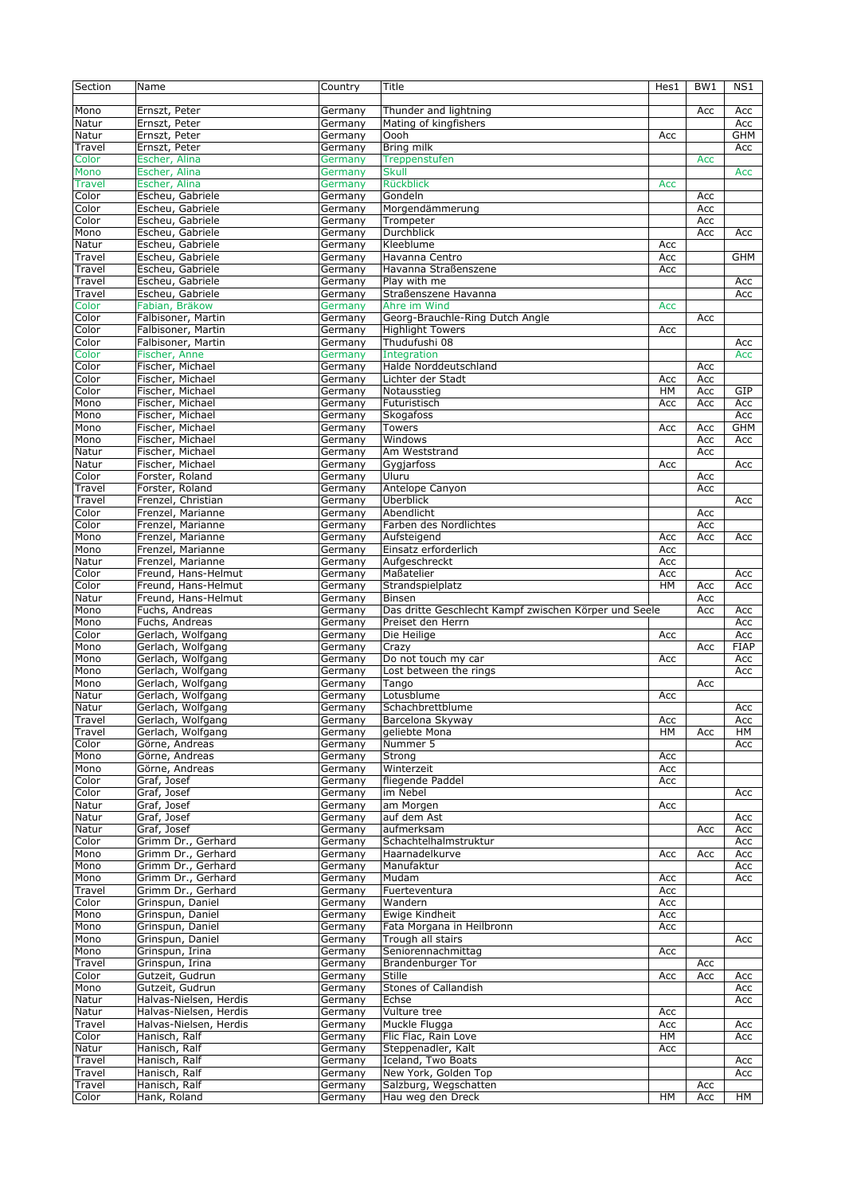| Section         | Name                          | Country            | Title                                                 | Hes1      | BW1        | NS1         |
|-----------------|-------------------------------|--------------------|-------------------------------------------------------|-----------|------------|-------------|
|                 |                               |                    |                                                       |           |            |             |
| Mono            | Ernszt, Peter                 | Germany            | Thunder and lightning                                 |           | Acc        | Acc         |
| Natur           | Ernszt, Peter                 | Germany            | Mating of kingfishers                                 |           |            | Acc         |
|                 |                               |                    | Oooh                                                  |           |            | GHM         |
| Natur           | Ernszt, Peter                 | Germany            |                                                       | Acc       |            |             |
| Travel          | Ernszt, Peter                 | Germany            | Bring milk                                            |           |            | Acc         |
| Color           | Escher, Alina                 | Germany            | Treppenstufen                                         |           | <b>Acc</b> |             |
| <b>Mono</b>     | Escher, Alina                 | Germany            | <b>Skull</b>                                          |           |            | Acc         |
| <b>Travel</b>   | Escher, Alina                 | Germany            | Rückblick                                             | Acc       |            |             |
| Color           | Escheu, Gabriele              | Germany            | Gondeln                                               |           | Acc        |             |
| Color           | Escheu, Gabriele              | Germany            | Morgendämmerung                                       |           | Acc        |             |
| $C$ olor        | Escheu, Gabriele              | Germany            | Trompeter                                             |           | Acc        |             |
| Mono            | Escheu, Gabriele              | Germany            | <b>Durchblick</b>                                     |           | Acc        | Acc         |
| Natur           | Escheu, Gabriele              | Germany            | Kleeblume                                             | Acc       |            |             |
| Travel          | Escheu, Gabriele              | Germany            | Havanna Centro                                        | Acc       |            | GHM         |
|                 |                               |                    |                                                       |           |            |             |
| Travel          | Escheu, Gabriele              | Germany            | Havanna Straßenszene                                  | Acc       |            |             |
| Travel          | Escheu, Gabriele              | Germany            | Play with me                                          |           |            | Acc         |
| Travel          | Escheu, Gabriele              | Germany            | Straßenszene Havanna                                  |           |            | Acc         |
| Color           | Fabian, Bräkow                | Germany            | Ähre im Wind                                          | Acc       |            |             |
| Color           | Falbisoner, Martin            | Germany            | Georg-Brauchle-Ring Dutch Angle                       |           | Acc        |             |
| Color           | Falbisoner, Martin            | Germany            | <b>Highlight Towers</b>                               | Acc       |            |             |
| Color           | Falbisoner, Martin            | Germany            | Thudufushi 08                                         |           |            | Acc         |
| Color           | Fischer, Anne                 | Germany            | Integration                                           |           |            | Acc         |
| Color           | Fischer, Michael              | Germany            | Halde Norddeutschland                                 |           | Acc        |             |
|                 |                               |                    | Lichter der Stadt                                     |           |            |             |
| Color           | Fischer, Michael              | Germany            |                                                       | Acc       | Acc        |             |
| Color           | Fischer, Michael              | Germany            | Notausstieg                                           | HM        | Acc        | GIP         |
| Mono            | Fischer, Michael              | Germany            | Futuristisch                                          | Acc       | Acc        | Acc         |
| Mono            | Fischer, Michael              | Germany            | Skogafoss                                             |           |            | Acc         |
| Mono            | Fischer, Michael              | Germany            | <b>Towers</b>                                         | Acc       | Acc        | GHM         |
| Mono            | Fischer, Michael              | Germany            | Windows                                               |           | Acc        | Acc         |
| Natur           | Fischer, Michael              | Germany            | Am Weststrand                                         |           | Acc        |             |
| Natur           | Fischer, Michael              | Germany            | Gygjarfoss                                            | Acc       |            | Acc         |
| Color           | Forster, Roland               | Germany            | Uluru                                                 |           | Acc        |             |
| Travel          | Forster, Roland               | Germany            | Antelope Canyon                                       |           | Acc        |             |
|                 |                               |                    |                                                       |           |            |             |
| Travel          | Frenzel, Christian            | Germany            | Überblick                                             |           |            | Acc         |
| Color           | Frenzel, Marianne             | Germany            | Abendlicht                                            |           | Acc        |             |
| Color           | Frenzel, Marianne             | Germany            | Farben des Nordlichtes                                |           | Acc        |             |
| Mono            | Frenzel, Marianne             | Germany            | Aufsteigend                                           | Acc       | Acc        | Acc         |
| Mono            | Frenzel, Marianne             | Germany            | Einsatz erforderlich                                  | Acc       |            |             |
| Natur           | Frenzel, Marianne             | Germany            | Aufgeschreckt                                         | Acc       |            |             |
| Color           | Freund, Hans-Helmut           | Germany            | Maßatelier                                            | Acc       |            | Acc         |
| Color           | Freund, Hans-Helmut           | Germany            | Strandspielplatz                                      | <b>HM</b> | Acc        | Acc         |
|                 |                               |                    |                                                       |           |            |             |
|                 |                               |                    |                                                       |           |            |             |
| Natur           | Freund, Hans-Helmut           | Germany            | Binsen                                                |           | Acc        |             |
| Mono            | Fuchs, Andreas                | Germany            | Das dritte Geschlecht Kampf zwischen Körper und Seele |           | Acc        | Acc         |
| Mono            | Fuchs, Andreas                | Germany            | Preiset den Herrn                                     |           |            | Acc         |
| Color           | Gerlach, Wolfgang             | Germany            | Die Heilige                                           | Acc       |            | Acc         |
| Mono            | Gerlach, Wolfgang             | Germany            | Crazy                                                 |           | Acc        | <b>FIAP</b> |
| Mono            | Gerlach, Wolfgang             | Germany            | Do not touch my car                                   | Acc       |            | Acc         |
| Mono            | Gerlach, Wolfgang             | Germany            | Lost between the rings                                |           |            | Acc         |
|                 |                               |                    |                                                       |           | Acc        |             |
| Mono            | Gerlach, Wolfgang             | Germany            | Tango                                                 |           |            |             |
| Natur           | Gerlach, Wolfgang             | Germany            | Lotusblume                                            | Acc       |            |             |
| Natur           | Gerlach, Wolfgang             | Germany            | Schachbrettblume                                      |           |            | Acc         |
| Travel          | Gerlach, Wolfgang             | Germany            | Barcelona Skyway                                      | Acc       |            | Acc         |
| Travel          | Gerlach, Wolfgang             | Germany            | geliebte Mona                                         | HМ        | Acc        | HM          |
| Color           | Görne, Andreas                | Germany            | Nummer 5                                              |           |            | Acc         |
| Mono            | Görne, Andreas                | Germany            | Strong                                                | Acc       |            |             |
| Mono            | Görne, Andreas                | Germany            | Winterzeit                                            | Acc       |            |             |
| Color           | Graf, Josef                   | Germany            | fliegende Paddel                                      | Acc       |            |             |
| Color           | Graf, Josef                   | Germany            | im Nebel                                              |           |            | Acc         |
| Natur           | Graf, Josef                   | Germany            | am Morgen                                             | Acc       |            |             |
| Natur           | Graf, Josef                   |                    | auf dem Ast                                           |           |            |             |
|                 |                               | Germany            |                                                       |           |            | Acc         |
| Natur           | Graf, Josef                   | Germany            | aufmerksam                                            |           | Асс        | Acc         |
| Color           | Grimm Dr., Gerhard            | Germany            | Schachtelhalmstruktur                                 |           |            | Acc         |
| Mono            | Grimm Dr., Gerhard            | Germany            | Haarnadelkurve                                        | Acc       | Acc        | Acc         |
| Mono            | Grimm Dr., Gerhard            | Germany            | Manufaktur                                            |           |            | Acc         |
| Mono            | Grimm Dr., Gerhard            | Germany            | Mudam                                                 | Acc       |            | Acc         |
| Travel          | Grimm Dr., Gerhard            | Germany            | Fuerteventura                                         | Acc       |            |             |
| Color           | Grinspun, Daniel              | Germany            | Wandern                                               | Acc       |            |             |
|                 |                               |                    | Ewige Kindheit                                        |           |            |             |
| Mono            | Grinspun, Daniel              | Germany            |                                                       | Acc       |            |             |
| Mono            | Grinspun, Daniel              | Germany            | Fata Morgana in Heilbronn                             | Acc       |            |             |
| Mono            | Grinspun, Daniel              | Germany            | Trough all stairs                                     |           |            | Acc         |
| Mono            | Grinspun, Irina               | Germany            | Seniorennachmittag                                    | Acc       |            |             |
| Travel          | Grinspun, Irina               | Germany            | Brandenburger Tor                                     |           | Acc        |             |
| Color           | Gutzeit, Gudrun               | Germany            | Stille                                                | Acc       | Acc        | Acc         |
| Mono            | Gutzeit, Gudrun               | Germany            | Stones of Callandish                                  |           |            | Acc         |
| Natur           | Halvas-Nielsen, Herdis        | Germany            | Echse                                                 |           |            | Acc         |
| Natur           | Halvas-Nielsen, Herdis        | Germany            | Vulture tree                                          | Acc       |            |             |
| Travel          | Halvas-Nielsen, Herdis        | Germany            | Muckle Flugga                                         | Acc       |            | Acc         |
|                 |                               |                    |                                                       |           |            |             |
| Color           | Hanisch, Ralf                 | Germany            | Flic Flac, Rain Love                                  | HМ        |            | Acc         |
| Natur           | Hanisch, Ralf                 | Germany            | Steppenadler, Kalt                                    | Acc       |            |             |
| Travel          | Hanisch, Ralf                 | Germany            | Iceland, Two Boats                                    |           |            | Acc         |
| Travel          | Hanisch, Ralf                 | Germany            | New York, Golden Top                                  |           |            | Acc         |
| Travel<br>Color | Hanisch, Ralf<br>Hank, Roland | Germany<br>Germany | Salzburg, Wegschatten<br>Hau weg den Dreck            | HM        | Acc<br>Acc | HМ          |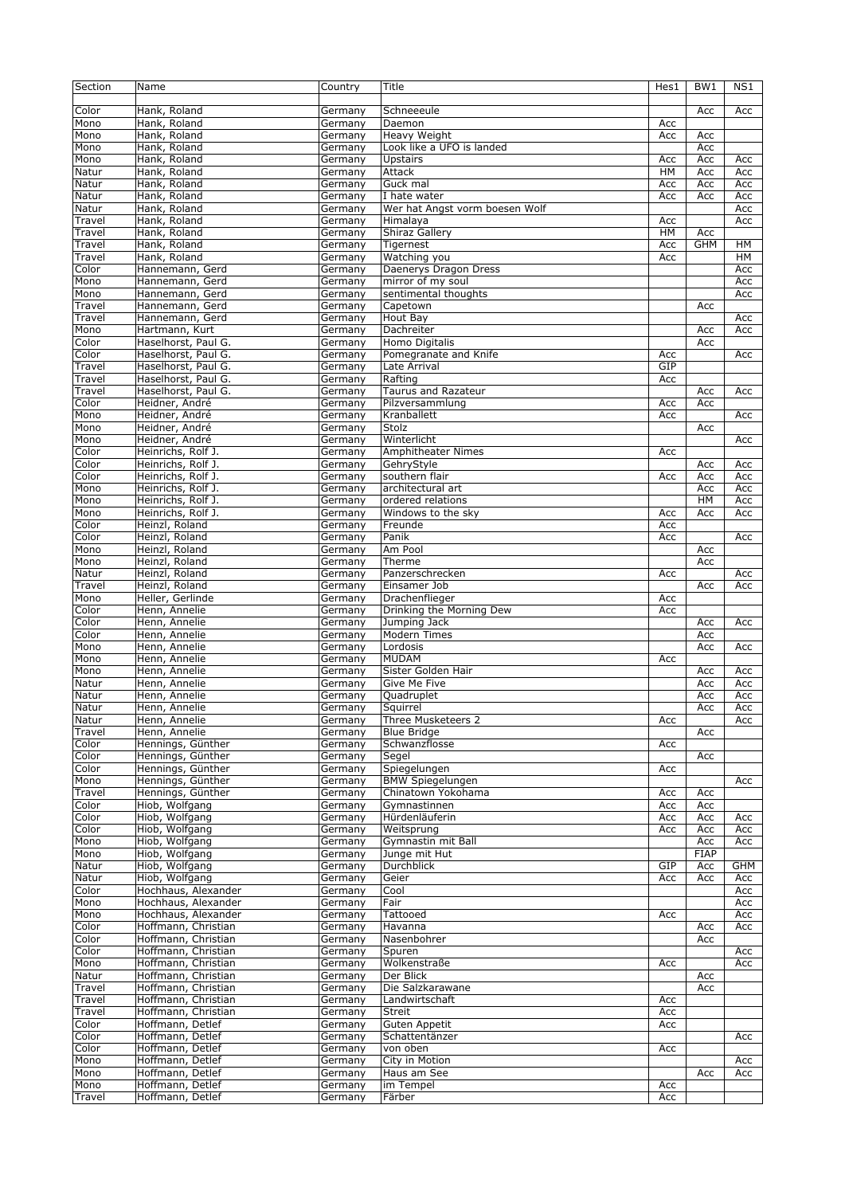| Section        | Name                | Country            | Title                          | Hes1  | BW1         | NS1        |
|----------------|---------------------|--------------------|--------------------------------|-------|-------------|------------|
|                |                     |                    |                                |       |             |            |
| Color          | Hank, Roland        | Germany            | Schneeeule                     |       | Acc         | Acc        |
| Mono           | Hank, Roland        | Germany            | Daemon                         | Acc   |             |            |
| Mono           | Hank, Roland        | Germany            | Heavy Weight                   | Acc   | Acc         |            |
| Mono           | Hank, Roland        | Germany            | Look like a UFO is landed      |       | Acc         |            |
| Mono           | Hank, Roland        | Germany            | Upstairs                       | Acc   | Acc         | Acc        |
| Natur          | Hank, Roland        | Germany            | Attack                         | HМ    | Acc         | Acc        |
| Natur          | Hank, Roland        | Germany            | Guck mal                       | Acc   | Acc         | Acc        |
| Natur          | Hank, Roland        | Germany            | I hate water                   | Acc   | Acc         | Acc        |
| Natur          | Hank, Roland        | Germany            | Wer hat Angst vorm boesen Wolf |       |             | Acc        |
| Travel         | Hank, Roland        | Germany            | Himalaya                       | Acc   |             | Acc        |
| Travel         | Hank, Roland        | Germany            | Shiraz Gallery                 | $H$ M | Acc         |            |
| Travel         | Hank, Roland        | Germany            | Tigernest                      | Acc   | <b>GHM</b>  | HM         |
| Travel         | Hank, Roland        | Germany            | Watching you                   | Acc   |             | HМ         |
| Color          | Hannemann, Gerd     | Germany            | Daenerys Dragon Dress          |       |             | Acc        |
| Mono           | Hannemann, Gerd     | Germany            | mirror of my soul              |       |             | Acc        |
| Mono           | Hannemann, Gerd     | Germany            | sentimental thoughts           |       |             | Acc        |
| Travel         | Hannemann, Gerd     | Germany            | Capetown                       |       | Acc         |            |
| Travel         | Hannemann, Gerd     | Germany            | Hout Bay                       |       |             | Acc        |
| Mono           | Hartmann, Kurt      | Germany            | Dachreiter                     |       | Acc         | Acc        |
| Color          | Haselhorst, Paul G. | Germany            | Homo Digitalis                 |       | Acc         |            |
| Color          | Haselhorst, Paul G. | Germany            | Pomegranate and Knife          | Acc   |             | Acc        |
| Travel         | Haselhorst, Paul G. | Germany            | Late Arrival                   | GIP   |             |            |
|                |                     |                    |                                |       |             |            |
| Travel         | Haselhorst, Paul G. | Germany            | Rafting                        | Acc   |             |            |
| Travel         | Haselhorst, Paul G. | Germany            | <b>Taurus and Razateur</b>     |       | Acc         | Acc        |
| Color          | Heidner, André      | Germany            | Pilzversammlung                | Acc   | Acc         |            |
| Mono           | Heidner, André      | Germany            | Kranballett                    | Acc   |             | Acc        |
| Mono           | Heidner, André      | Germany            | Stolz                          |       | Acc         |            |
| Mono           | Heidner, André      | Germany            | Winterlicht                    |       |             | Acc        |
| Color          | Heinrichs, Rolf J.  | Germany            | <b>Amphitheater Nimes</b>      | Acc   |             |            |
| Color          | Heinrichs, Rolf J.  | Germany            | GehryStyle                     |       | Acc         | Acc        |
| Color          | Heinrichs, Rolf J.  | Germany            | southern flair                 | Acc   | Acc         | Acc        |
| Mono           | Heinrichs, Rolf J.  | Germany            | architectural art              |       | Acc         | Acc        |
| Mono           | Heinrichs, Rolf J.  | Germany            | ordered relations              |       | HM          | Acc        |
| Mono           | Heinrichs, Rolf J.  | Germany            | Windows to the sky             | Acc   | Acc         | Acc        |
| Color          | Heinzl, Roland      | Germany            | Freunde                        | Acc   |             |            |
| Color          | Heinzl, Roland      | Germany            | Panik                          | Acc   |             | Acc        |
| Mono           | Heinzl, Roland      | Germany            | Am Pool                        |       | Acc         |            |
| Mono           | Heinzl, Roland      | Germany            | Therme                         |       | Acc         |            |
| Natur          | Heinzl, Roland      | Germany            | Panzerschrecken                | Acc   |             | Acc        |
| Travel         | Heinzl, Roland      | Germany            | Einsamer Job                   |       | Acc         | Acc        |
| Mono           | Heller, Gerlinde    | Germany            | Drachenflieger                 | Acc   |             |            |
| Color          | Henn, Annelie       | Germany            | Drinking the Morning Dew       | Acc   |             |            |
| Color          | Henn, Annelie       | Germany            | Jumping Jack                   |       | Acc         | Acc        |
| Color          | Henn, Annelie       | Germany            | <b>Modern Times</b>            |       | Acc         |            |
| Mono           | Henn, Annelie       | Germany            | Lordosis                       |       | Acc         | Acc        |
| Mono           | Henn, Annelie       | Germany            | <b>MUDAM</b>                   | Acc   |             |            |
| Mono           | Henn, Annelie       | Germany            | Sister Golden Hair             |       | Acc         | Acc        |
| Natur          | Henn, Annelie       | Germany            | Give Me Five                   |       | Acc         | Acc        |
| Natur          | Henn, Annelie       | Germany            | Quadruplet                     |       | Acc         | Acc        |
| Natur          | Henn, Annelie       | Germany            | Squirrel                       |       | Acc         | Acc        |
| Natur          | Henn, Annelie       | Germany            | Three Musketeers 2             | Acc   |             | Acc        |
| Travel         | Henn, Annelie       | Germany            | <b>Blue Bridge</b>             |       | Acc         |            |
| Color          | Hennings, Günther   | Germany            | Schwanzflosse                  | Acc   |             |            |
| Color          | Hennings, Günther   | Germany            | Segel                          |       | Acc         |            |
| Color          | Hennings, Günther   | Germany            | Spiegelungen                   | Acc   |             |            |
| Mono           | Hennings, Günther   | Germany            | <b>BMW Spiegelungen</b>        |       |             | Acc        |
| Travel         | Hennings, Günther   | Germany            | Chinatown Yokohama             | Acc   | Acc         |            |
| Color          | Hiob, Wolfgang      | Germany            | Gymnastinnen                   | Acc   | Acc         |            |
| Color          | Hiob, Wolfgang      | Germany            | Hürdenläuferin                 | Acc   | Acc         | Acc        |
| Color          | Hiob, Wolfgang      | Germany            | Weitsprung                     | Acc   | Acc         | Acc        |
| Mono           | Hiob, Wolfgang      | Germany            | Gymnastin mit Ball             |       | Acc         | Acc        |
| Mono           | Hiob, Wolfgang      | Germany            | Junge mit Hut                  |       | <b>FIAP</b> |            |
| Natur          | Hiob, Wolfgang      | Germany            | Durchblick                     | GIP   | Acc         | GHM        |
| Natur          | Hiob, Wolfgang      | Germany            | Geier                          | Acc   | Acc         | Acc        |
| Color          | Hochhaus, Alexander |                    |                                |       |             |            |
| Mono           | Hochhaus, Alexander | Germany<br>Germany | Cool<br>Fair                   |       |             | Acc<br>Acc |
| Mono           | Hochhaus, Alexander | Germany            | Tattooed                       | Acc   |             |            |
|                | Hoffmann, Christian |                    | Havanna                        |       |             | Acc        |
| Color          | Hoffmann, Christian | Germany            |                                |       | Acc         | Acc        |
| Color<br>Color | Hoffmann, Christian | Germany            | Nasenbohrer                    |       | Acc         |            |
|                |                     | Germany            | Spuren<br>Wolkenstraße         |       |             | Acc        |
| Mono           | Hoffmann, Christian | Germany            |                                | Acc   |             | Acc        |
| Natur          | Hoffmann, Christian | Germany            | Der Blick                      |       | Acc         |            |
| Travel         | Hoffmann, Christian | Germany            | Die Salzkarawane               |       | Acc         |            |
| Travel         | Hoffmann, Christian | Germany            | Landwirtschaft                 | Acc   |             |            |
| Travel         | Hoffmann, Christian | Germany            | Streit                         | Acc   |             |            |
| Color          | Hoffmann, Detlef    | Germany            | Guten Appetit                  | Acc   |             |            |
| Color          | Hoffmann, Detlef    | Germany            | Schattentänzer                 |       |             | Acc        |
| Color          | Hoffmann, Detlef    | Germany            | von oben                       | Acc   |             |            |
| Mono           | Hoffmann, Detlef    | Germany            | City in Motion                 |       |             | Acc        |
| Mono           | Hoffmann, Detlef    | Germany            | Haus am See                    |       | Acc         | Acc        |
| Mono           | Hoffmann, Detlef    | Germany            | im Tempel                      | Acc   |             |            |
| Travel         | Hoffmann, Detlef    | Germany            | Färber                         | Acc   |             |            |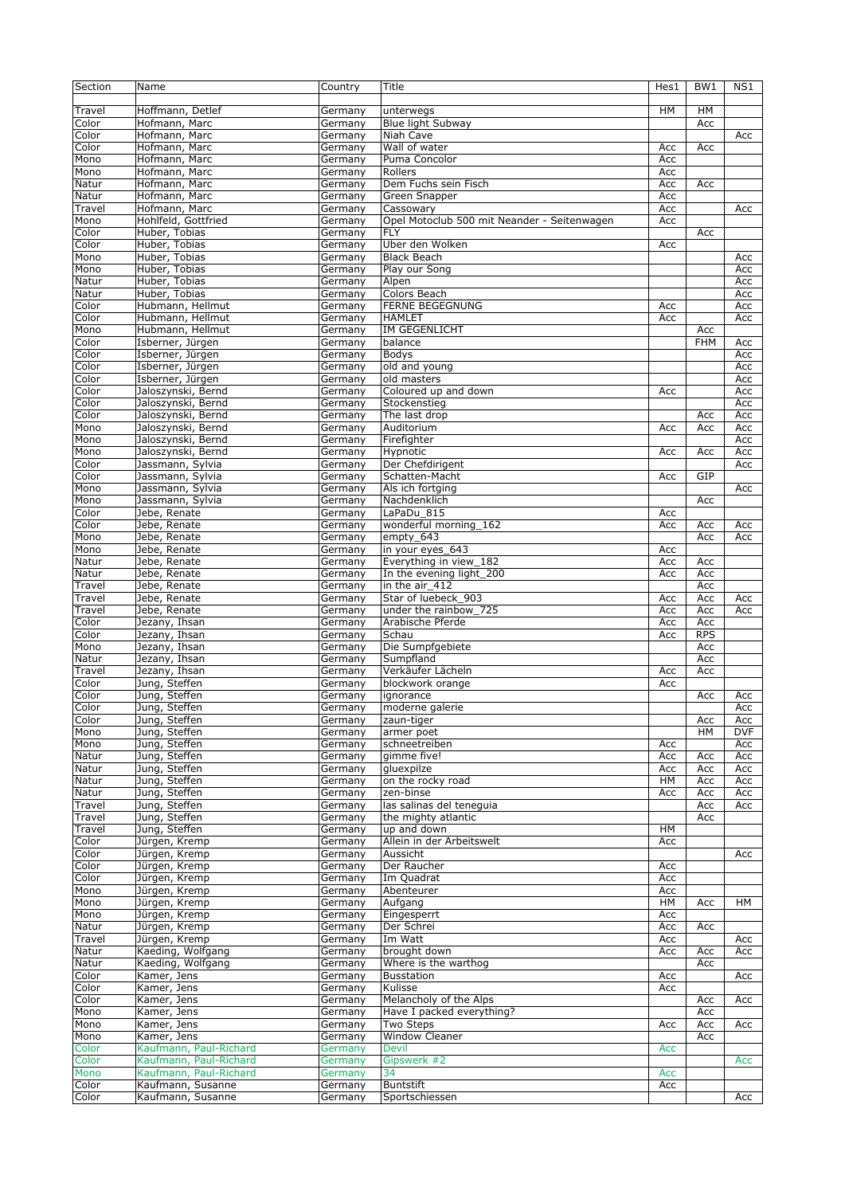| Section | Name                   | Country            | Title                                       | Hes1       | BW <sub>1</sub> | NS1        |
|---------|------------------------|--------------------|---------------------------------------------|------------|-----------------|------------|
|         |                        |                    |                                             |            |                 |            |
| Travel  | Hoffmann, Detlef       | Germany            | unterwegs                                   | HM         | HM              |            |
| Color   | Hofmann, Marc          | Germany            | <b>Blue light Subway</b>                    |            | Acc             |            |
| Color   | Hofmann, Marc          | Germany            | Niah Cave                                   |            |                 | Acc        |
| Color   | Hofmann, Marc          | Germany            | Wall of water                               | Acc        | Acc             |            |
| Mono    | Hofmann, Marc          | Germany            | Puma Concolor                               | Acc        |                 |            |
| Mono    | Hofmann, Marc          | Germany            | Rollers                                     | Acc        |                 |            |
| Natur   | Hofmann, Marc          | Germany            | Dem Fuchs sein Fisch                        | Acc        | Acc             |            |
| Natur   | Hofmann, Marc          | Germany            | Green Snapper                               | Acc        |                 |            |
| Travel  | Hofmann, Marc          | Germany            | Cassowary                                   | Acc        |                 | Acc        |
|         | Hohlfeld, Gottfried    |                    | Opel Motoclub 500 mit Neander - Seitenwagen | Acc        |                 |            |
| Mono    | Huber, Tobias          | Germany            | <b>FLY</b>                                  |            | Acc             |            |
| Color   | Huber, Tobias          | Germany            | Über den Wolken                             |            |                 |            |
| Color   | Huber, Tobias          | Germany<br>Germany | <b>Black Beach</b>                          | Acc        |                 |            |
| Mono    |                        |                    |                                             |            |                 | Acc        |
| Mono    | Huber, Tobias          | Germany            | Play our Song                               |            |                 | Acc        |
| Natur   | Huber, Tobias          | Germany            | Alpen                                       |            |                 | Acc        |
| Natur   | Huber, Tobias          | Germany            | Colors Beach                                |            |                 | Acc        |
| Color   | Hubmann, Hellmut       | Germany            | <b>FERNE BEGEGNUNG</b>                      | Acc        |                 | Acc        |
| Color   | Hubmann, Hellmut       | Germany            | <b>HAMLET</b>                               | Acc        |                 | Acc        |
| Mono    | Hubmann, Hellmut       | Germany            | <b>IM GEGENLICHT</b>                        |            | Acc             |            |
| Color   | Isberner, Jürgen       | Germany            | balance                                     |            | <b>FHM</b>      | Acc        |
| Color   | Isberner, Jürgen       | Germany            | Bodys                                       |            |                 | Acc        |
| Color   | Isberner, Jürgen       | Germany            | old and young                               |            |                 | Acc        |
| Color   | Isberner, Jürgen       | Germany            | old masters                                 |            |                 | Acc        |
| Color   | Jaloszynski, Bernd     | Germany            | Coloured up and down                        | Acc        |                 | Acc        |
| Color   | Jaloszynski, Bernd     | Germany            | Stockenstieg                                |            |                 | Acc        |
| Color   | Jaloszynski, Bernd     | Germany            | The last drop                               |            | Acc             | Acc        |
| Mono    | Jaloszynski, Bernd     | Germany            | Auditorium                                  | Acc        | Acc             | Acc        |
| Mono    | Jaloszynski, Bernd     | Germany            | Firefighter                                 |            |                 | Acc        |
| Mono    | Jaloszynski, Bernd     | Germany            | Hypnotic                                    | Acc        | Acc             | Acc        |
| Color   | Jassmann, Sylvia       | Germany            | Der Chefdirigent                            |            |                 | Acc        |
| Color   | Jassmann, Sylvia       | Germany            | Schatten-Macht                              | Acc        | GIP             |            |
| Mono    | Jassmann, Sylvia       | Germany            | Als ich fortging                            |            |                 | Acc        |
| Mono    | Jassmann, Sylvia       | Germany            | Nachdenklich                                |            | Acc             |            |
| Color   | Jebe, Renate           | Germany            | LaPaDu 815                                  | Acc        |                 |            |
| Color   | Jebe, Renate           | Germany            | wonderful morning 162                       | Acc        | Acc             | Acc        |
| Mono    | Jebe, Renate           | Germany            | empty_643                                   |            | Acc             | Acc        |
| Mono    | Jebe, Renate           | Germany            | in your eyes 643                            | Acc        |                 |            |
| Natur   | Jebe, Renate           | Germany            | Everything in view_182                      | Acc        | Acc             |            |
| Natur   | Jebe, Renate           | Germany            | In the evening light_200                    | Acc        | Acc             |            |
| Travel  | Jebe, Renate           | Germany            | in the air_412                              |            | Acc             |            |
| Travel  | Jebe, Renate           | Germany            | Star of luebeck_903                         | Acc        | Acc             | Acc        |
| Travel  | Jebe, Renate           | Germany            | under the rainbow 725                       | Acc        | Acc             | Acc        |
| Color   | Jezany, Ihsan          | Germany            | Arabische Pferde                            | Acc        | Acc             |            |
| Color   | Jezany, Ihsan          | Germany            | Schau                                       | Acc        | <b>RPS</b>      |            |
| Mono    | Jezany, Ihsan          | Germany            | Die Sumpfgebiete                            |            | Acc             |            |
| Natur   | Jezany, Ihsan          | Germany            | Sumpfland                                   |            | Acc             |            |
| Travel  | Jezany, Ihsan          | Germany            | Verkäufer Lächeln                           | Acc        | Acc             |            |
| Color   | Jung, Steffen          | Germany            | blockwork orange                            | Acc        |                 |            |
| Color   | Jung, Steffen          | Germany            | ignorance                                   |            | Acc             | Acc        |
| Color   | Jung, Steffen          | Germany            | moderne galerie                             |            |                 | Acc        |
| Color   | Jung, Steffen          | Germany            | zaun-tiger                                  |            | Acc             | Acc        |
| Mono    | Jung, Steffen          | Germany            | armer poet                                  |            | HM              | <b>DVF</b> |
| Mono    | Jung, Steffen          | Germany            | schneetreiben                               | Acc        |                 | Acc        |
| Natur   | Jung, Steffen          | Germany            | gimme five!                                 | Acc        | Acc             | Acc        |
| Natur   | Jung, Steffen          | Germany            | gluexpilze                                  | Acc        | Acc             | Acc        |
| Natur   | Jung, Steffen          | Germany            | on the rocky road                           | HM         | Acc             | Acc        |
| Natur   | Jung, Steffen          | Germany            | zen-binse                                   | Acc        | Acc             | Acc        |
| Travel  | Jung, Steffen          | Germany            | las salinas del teneguia                    |            | Acc             | Acc        |
| Travel  | Jung, Steffen          | Germany            | the mighty atlantic                         |            | Acc             |            |
| Travel  | Jung, Steffen          | Germany            | up and down                                 | HМ         |                 |            |
| Color   | Jürgen, Kremp          | Germany            | Allein in der Arbeitswelt                   | Acc        |                 |            |
| Color   | Jürgen, Kremp          | Germany            | Aussicht                                    |            |                 | Acc        |
| Color   | Jürgen, Kremp          | Germany            | Der Raucher                                 | Acc        |                 |            |
| Color   | Jürgen, Kremp          | Germany            | Im Quadrat                                  | Acc        |                 |            |
| Mono    | Jürgen, Kremp          | Germany            | Abenteurer                                  | Acc        |                 |            |
| Mono    | Jürgen, Kremp          | Germany            | Aufgang                                     | HM         | Acc             | HМ         |
| Mono    | Jürgen, Kremp          | Germany            | Eingesperrt                                 | Acc        |                 |            |
| Natur   | Jürgen, Kremp          | Germany            | Der Schrei                                  | Acc        | Acc             |            |
| Travel  | Jürgen, Kremp          | Germany            | Im Watt                                     | Acc        |                 | Acc        |
| Natur   | Kaeding, Wolfgang      | Germany            | brought down                                | Acc        | Acc             | Acc        |
| Natur   | Kaeding, Wolfgang      | Germany            | Where is the warthog                        |            | Acc             |            |
| Color   | Kamer, Jens            | Germany            | <b>Busstation</b>                           | Acc        |                 | Acc        |
| Color   | Kamer, Jens            | Germany            | Kulisse                                     | Acc        |                 |            |
| Color   | Kamer, Jens            | Germany            | Melancholy of the Alps                      |            | Acc             | Acc        |
| Mono    | Kamer, Jens            | Germany            | Have I packed everything?                   |            | Acc             |            |
| Mono    | Kamer, Jens            | Germany            | Two Steps                                   | Acc        | Acc             | Acc        |
| Mono    | Kamer, Jens            | Germany            | <b>Window Cleaner</b>                       |            | Acc             |            |
| Color   | Kaufmann, Paul-Richard | Germany            | <b>Devil</b>                                | <b>Acc</b> |                 |            |
| Color   | Kaufmann, Paul-Richard | Germany            | Gipswerk #2                                 |            |                 | Acc        |
| Mono    | Kaufmann, Paul-Richard | Germany            | 34                                          | <b>Acc</b> |                 |            |
| Color   | Kaufmann, Susanne      | Germany            | <b>Buntstift</b>                            | Acc        |                 |            |
| Color   | Kaufmann, Susanne      | Germany            | Sportschiessen                              |            |                 | Acc        |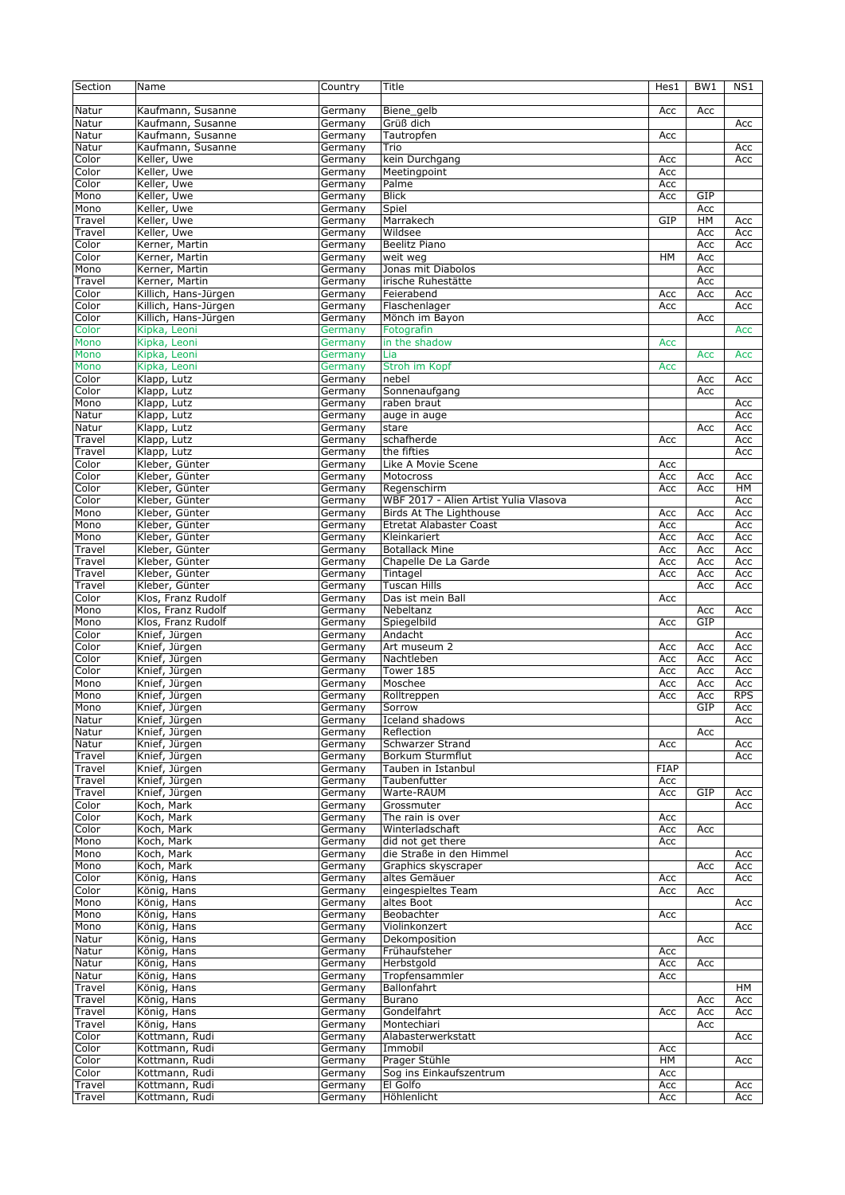| Section          | Name                                     | Country            | Title                                  | Hes1        | BW1              | NS1        |
|------------------|------------------------------------------|--------------------|----------------------------------------|-------------|------------------|------------|
| Natur            | Kaufmann, Susanne                        | Germany            | Biene_gelb                             | Acc         | Acc              |            |
| Natur            | Kaufmann, Susanne                        | Germany            | Grüß dich                              |             |                  | Acc        |
| Natur            | Kaufmann, Susanne                        | Germany            | Tautropfen                             | Acc         |                  |            |
| Natur            | Kaufmann, Susanne                        | Germany            | Trio                                   |             |                  | Acc        |
| Color            | Keller, Uwe                              | Germany            | kein Durchgang                         | Acc         |                  | Acc        |
| Color            | Keller, Uwe                              | Germany            | Meetingpoint                           | Acc         |                  |            |
| Color            | Keller, Uwe                              | Germany            | Palme                                  | Acc         |                  |            |
| Mono             | Keller, Uwe                              | Germany            | <b>Blick</b>                           | Acc         | GIP              |            |
| Mono             | Keller, Uwe                              | Germany            | Spiel                                  |             | Acc              |            |
| Travel<br>Travel | Keller, Uwe<br>Keller, Uwe               | Germany<br>Germany | Marrakech<br>Wildsee                   | GIP         | <b>HM</b><br>Acc | Acc<br>Acc |
| Color            | Kerner, Martin                           | Germany            | <b>Beelitz Piano</b>                   |             | Acc              | Acc        |
| Color            | Kerner, Martin                           | Germany            | weit weg                               | <b>HM</b>   | Acc              |            |
| Mono             | Kerner, Martin                           | Germany            | Jonas mit Diabolos                     |             | Acc              |            |
| Travel           | Kerner, Martin                           | Germany            | irische Ruhestätte                     |             | Acc              |            |
| Color            | Killich, Hans-Jürgen                     | Germany            | Feierabend                             | Acc         | Acc              | Acc        |
| Color            | Killich, Hans-Jürgen                     | Germany            | Flaschenlager                          | Acc         |                  | Acc        |
| Color            | Killich, Hans-Jürgen                     | Germany            | Mönch im Bayon                         |             | Acc              |            |
| Color            | Kipka, Leoni                             | Germany            | Fotografin                             |             |                  | Acc        |
| Mono             | Kipka, Leoni                             | Germany            | in the shadow                          | Acc         |                  |            |
| Mono             | Kipka, Leoni                             | Germany            | Lia                                    |             | Acc              | Acc        |
| Mono             | Kipka, Leoni                             | Germany            | Stroh im Kopf                          | Acc         |                  |            |
| Color            | Klapp, Lutz                              | Germany            | nebel                                  |             | Acc              | Acc        |
| Color            | Klapp, Lutz                              | Germany            | Sonnenaufgang                          |             | Acc              |            |
| Mono             | Klapp, Lutz                              | Germany            | raben braut                            |             |                  | Acc        |
| Natur<br>Natur   | Klapp, Lutz<br>Klapp, Lutz               | Germany<br>Germany | auge in auge<br>stare                  |             | Acc              | Acc<br>Acc |
| Travel           | Klapp, Lutz                              | Germany            | schafherde                             | Acc         |                  | Acc        |
| Travel           | Klapp, Lutz                              | Germany            | the fifties                            |             |                  | Acc        |
| Color            | Kleber, Günter                           | Germany            | Like A Movie Scene                     | Acc         |                  |            |
| Color            | Kleber, Günter                           | Germany            | Motocross                              | Acc         | Acc              | Acc        |
| Color            | Kleber, Günter                           | Germany            | Regenschirm                            | Acc         | Acc              | HM         |
| Color            | Kleber, Günter                           | Germany            | WBF 2017 - Alien Artist Yulia Vlasova  |             |                  | Acc        |
| Mono             | Kleber, Günter                           | Germany            | Birds At The Lighthouse                | Acc         | Acc              | Acc        |
| Mono             | Kleber, Günter                           | Germany            | <b>Etretat Alabaster Coast</b>         | Acc         |                  | Acc        |
| Mono             | Kleber, Günter                           | Germany            | Kleinkariert                           | Acc         | Acc              | Acc        |
| Travel           | Kleber, Günter                           | Germany            | <b>Botallack Mine</b>                  | Acc         | Acc              | Acc        |
| Travel<br>Travel | Kleber, Günter<br>Kleber, Günter         | Germany<br>Germany | Chapelle De La Garde<br>Tintagel       | Acc<br>Acc  | Acc<br>Acc       | Acc<br>Acc |
|                  |                                          |                    |                                        |             |                  |            |
|                  |                                          |                    |                                        |             |                  |            |
| Travel           | Kleber, Günter                           | Germany            | <b>Tuscan Hills</b>                    |             | Acc              | Acc        |
| Color<br>Mono    | Klos, Franz Rudolf                       | Germany            | Das ist mein Ball<br>Nebeltanz         | Acc         |                  |            |
| Mono             | Klos, Franz Rudolf<br>Klos, Franz Rudolf | Germany<br>Germany | Spiegelbild                            | Acc         | Acc<br>GIP       | Acc        |
| Color            | Knief, Jürgen                            | Germany            | Andacht                                |             |                  | Acc        |
| Color            | Knief, Jürgen                            | Germany            | Art museum 2                           | Acc         | Acc              | Acc        |
| Color            | Knief, Jürgen                            | Germany            | Nachtleben                             | Acc         | Acc              | Acc        |
| Color            | Knief, Jürgen                            | Germany            | Tower 185                              | Acc         | Acc              | Acc        |
| Mono             | Knief, Jürgen                            | Germany            | Moschee                                | Acc         | Acc              | Acc        |
| Mono             | Knief, Jürgen                            | Germany            | Rolltreppen                            | Acc         | Acc              | <b>RPS</b> |
| Mono             | Knief, Jürgen                            | Germany            | Sorrow                                 |             | GIP              | Acc        |
| Natur            | Knief, Jürgen                            | Germany            | Iceland shadows                        |             |                  | Acc        |
| Natur            | Knief, Jürgen                            | Germany            | Reflection                             |             | Acc              |            |
| Natur            | Knief, Jürgen                            | Germany            | Schwarzer Strand                       | Acc         |                  | Acc        |
| Travel<br>Travel | Knief, Jürgen<br>Knief, Jürgen           | Germany<br>Germany | Borkum Sturmflut<br>Tauben in Istanbul | <b>FIAP</b> |                  | Acc        |
| Travel           | Knief, Jürgen                            | Germany            | Taubenfutter                           | Acc         |                  |            |
| Travel           | Knief, Jürgen                            | Germany            | Warte-RAUM                             | Acc         | GIP              | Acc        |
| Color            | Koch, Mark                               | Germany            | Grossmuter                             |             |                  | Acc        |
| Color            | Koch, Mark                               | Germany            | The rain is over                       | Acc         |                  |            |
| Color            | Koch, Mark                               | Germany            | Winterladschaft                        | Acc         | Acc              |            |
| Mono             | Koch, Mark                               | Germany            | did not get there                      | Acc         |                  |            |
| Mono             | Koch, Mark                               | Germany            | die Straße in den Himmel               |             |                  | Acc        |
| Mono             | Koch, Mark                               | Germany            | Graphics skyscraper                    |             | Acc              | Acc        |
| Color<br>Color   | König, Hans<br>König, Hans               | Germany<br>Germany | altes Gemäuer<br>eingespieltes Team    | Acc<br>Acc  | Acc              | Acc        |
| Mono             | König, Hans                              | Germany            | altes Boot                             |             |                  | Acc        |
| Mono             | König, Hans                              | Germany            | Beobachter                             | Acc         |                  |            |
| Mono             | König, Hans                              | Germany            | Violinkonzert                          |             |                  | Acc        |
| Natur            | König, Hans                              | Germany            | Dekomposition                          |             | Acc              |            |
| Natur            | König, Hans                              | Germany            | Frühaufsteher                          | Acc         |                  |            |
| Natur            | König, Hans                              | Germany            | Herbstgold                             | Acc         | Acc              |            |
| Natur            | König, Hans                              | Germany            | Tropfensammler                         | Acc         |                  |            |
| Travel           | König, Hans                              | Germany            | Ballonfahrt                            |             |                  | HM         |
| Travel           | König, Hans                              | Germany            | Burano                                 |             | Acc              | Acc<br>Acc |
| Travel<br>Travel | König, Hans<br>König, Hans               | Germany<br>Germany | Gondelfahrt<br>Montechiari             | Acc         | Acc<br>Acc       |            |
| Color            | Kottmann, Rudi                           | Germany            | Alabasterwerkstatt                     |             |                  | Acc        |
| Color            | Kottmann, Rudi                           | Germany            | Immobil                                | Acc         |                  |            |
| Color            | Kottmann, Rudi                           | Germany            | Prager Stühle                          | HМ          |                  | Acc        |
| Color            | Kottmann, Rudi                           | Germany            | Sog ins Einkaufszentrum                | Acc         |                  |            |
| Travel<br>Travel | Kottmann, Rudi<br>Kottmann, Rudi         | Germany<br>Germany | El Golfo<br>Höhlenlicht                | Acc<br>Acc  |                  | Acc<br>Acc |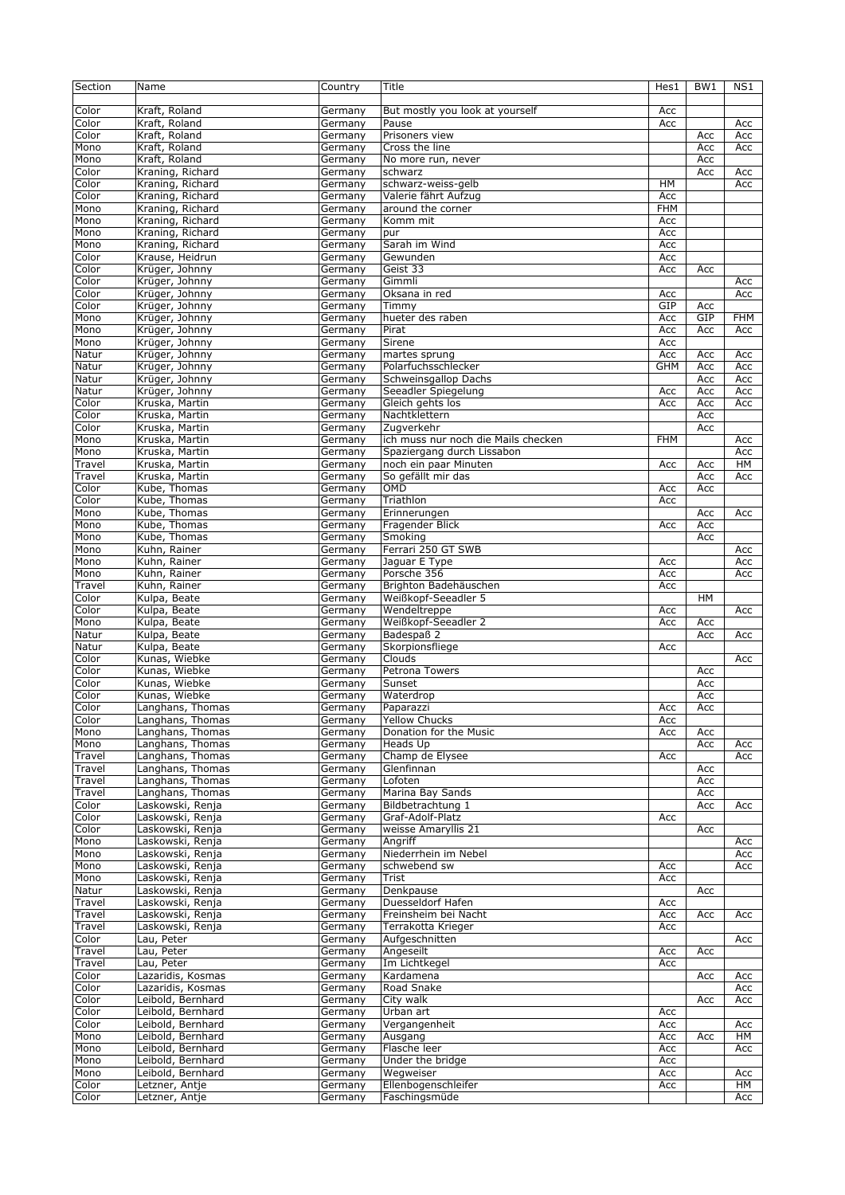| Section | Name              | Country | Title                               | Hes1       | BW1       | NS1        |
|---------|-------------------|---------|-------------------------------------|------------|-----------|------------|
|         |                   |         |                                     |            |           |            |
| Color   | Kraft, Roland     | Germany | But mostly you look at yourself     | Acc        |           |            |
| Color   | Kraft, Roland     |         | Pause                               | Acc        |           |            |
|         |                   | Germany |                                     |            |           | Acc        |
| Color   | Kraft, Roland     | Germany | Prisoners view                      |            | Acc       | Acc        |
| Mono    | Kraft, Roland     | Germany | Cross the line                      |            | Acc       | Acc        |
| Mono    | Kraft, Roland     | Germany | No more run, never                  |            | Acc       |            |
| Color   | Kraning, Richard  | Germany | schwarz                             |            | Acc       | Acc        |
| Color   | Kraning, Richard  | Germany | schwarz-weiss-gelb                  | HM         |           | Acc        |
| Color   | Kraning, Richard  | Germany | Valerie fährt Aufzug                | Acc        |           |            |
| Mono    | Kraning, Richard  | Germany | around the corner                   | <b>FHM</b> |           |            |
| Mono    | Kraning, Richard  | Germany | Komm mit                            | Acc        |           |            |
| Mono    | Kraning, Richard  | Germany | pur                                 | Acc        |           |            |
|         |                   |         |                                     |            |           |            |
| Mono    | Kraning, Richard  | Germany | Sarah im Wind                       | Acc        |           |            |
| Color   | Krause, Heidrun   | Germany | Gewunden                            | Acc        |           |            |
| Color   | Krüger, Johnny    | Germany | Geist 33                            | Acc        | Acc       |            |
| Color   | Krüger, Johnny    | Germany | Gimmli                              |            |           | Acc        |
| Color   | Krüger, Johnny    | Germany | Oksana in red                       | Acc        |           | Acc        |
| Color   | Krüger, Johnny    | Germany | Timmy                               | GIP        | Acc       |            |
| Mono    | Krüger, Johnny    | Germany | hueter des raben                    | Acc        | GIP       | <b>FHM</b> |
| Mono    | Krüger, Johnny    |         | Pirat                               | Acc        | Acc       | Acc        |
|         |                   | Germany |                                     |            |           |            |
| Mono    | Krüger, Johnny    | Germany | Sirene                              | Acc        |           |            |
| Natur   | Krüger, Johnny    | Germany | martes sprung                       | Acc        | Acc       | Acc        |
| Natur   | Krüger, Johnny    | Germany | Polarfuchsschlecker                 | <b>GHM</b> | Acc       | Acc        |
| Natur   | Krüger, Johnny    | Germany | Schweinsgallop Dachs                |            | Acc       | Acc        |
| Natur   | Krüger, Johnny    | Germany | Seeadler Spiegelung                 | Acc        | Acc       | Acc        |
| Color   | Kruska, Martin    | Germany | Gleich gehts los                    | Acc        | Acc       | Acc        |
| Color   | Kruska, Martin    | Germany | Nachtklettern                       |            | Acc       |            |
|         |                   |         |                                     |            |           |            |
| Color   | Kruska, Martin    | Germany | Zugverkehr                          |            | Acc       |            |
| Mono    | Kruska, Martin    | Germany | ich muss nur noch die Mails checken | <b>FHM</b> |           | Acc        |
| Mono    | Kruska, Martin    | Germany | Spaziergang durch Lissabon          |            |           | Acc        |
| Travel  | Kruska, Martin    | Germany | noch ein paar Minuten               | Acc        | Acc       | HM         |
| Travel  | Kruska, Martin    | Germany | So gefällt mir das                  |            | Acc       | Acc        |
| Color   | Kube, Thomas      | Germany | OMD                                 | Acc        | Acc       |            |
|         |                   |         |                                     |            |           |            |
| Color   | Kube, Thomas      | Germany | Triathlon                           | Acc        |           |            |
| Mono    | Kube, Thomas      | Germany | Erinnerungen                        |            | Acc       | Acc        |
| Mono    | Kube, Thomas      | Germany | Fragender Blick                     | Acc        | Acc       |            |
| Mono    | Kube, Thomas      | Germany | Smoking                             |            | Acc       |            |
| Mono    | Kuhn, Rainer      | Germany | Ferrari 250 GT SWB                  |            |           | Acc        |
| Mono    | Kuhn, Rainer      | Germany | Jaguar E Type                       | Acc        |           | Acc        |
| Mono    | Kuhn, Rainer      | Germany | Porsche 356                         | Acc        |           | Acc        |
|         |                   |         |                                     |            |           |            |
| Travel  | Kuhn, Rainer      | Germany | Brighton Badehäuschen               | Acc        |           |            |
| Color   | Kulpa, Beate      | Germany | Weißkopf-Seeadler 5                 |            | <b>HM</b> |            |
| Color   | Kulpa, Beate      | Germany | Wendeltreppe                        | Acc        |           | Acc        |
| Mono    | Kulpa, Beate      | Germany | Weißkopf-Seeadler 2                 | Acc        | Acc       |            |
| Natur   | Kulpa, Beate      | Germany | Badespaß 2                          |            | Acc       | Acc        |
| Natur   | Kulpa, Beate      | Germany | Skorpionsfliege                     | Acc        |           |            |
| Color   | Kunas, Wiebke     | Germany | Clouds                              |            |           | Acc        |
|         |                   |         |                                     |            |           |            |
| Color   | Kunas, Wiebke     | Germany | Petrona Towers                      |            | Acc       |            |
| Color   | Kunas, Wiebke     | Germany | Sunset                              |            | Acc       |            |
| Color   | Kunas, Wiebke     | Germany | Waterdrop                           |            | Acc       |            |
| Color   | Langhans, Thomas  | Germany | Paparazzi                           | Acc        | Acc       |            |
| Color   | Langhans, Thomas  | Germany | <b>Yellow Chucks</b>                | Acc        |           |            |
| Mono    | Langhans, Thomas  | Germany | Donation for the Music              | Acc        | Acc       |            |
| Mono    | Langhans, Thomas  | Germany | Heads Up                            |            | Acc       | Acc        |
|         |                   |         |                                     |            |           |            |
| Travel  | Langhans, Thomas  | Germany | Champ de Elysee                     | Acc        |           | Acc        |
| Travel  | Langhans, Thomas  | Germany | Glenfinnan                          |            | Acc       |            |
| Travel  | Langhans, Thomas  | Germany | Lofoten                             |            | Acc       |            |
| Travel  | Langhans, Thomas  | Germany | Marina Bay Sands                    |            | Acc       |            |
| Color   | Laskowski, Renja  | Germany | Bildbetrachtung 1                   |            | Acc       | Acc        |
| Color   | Laskowski, Renja  | Germany | Graf-Adolf-Platz                    | Acc        |           |            |
| Color   | Laskowski, Renja  | Germany | weisse Amaryllis 21                 |            | Acc       |            |
| Mono    | Laskowski, Renja  | Germany | Angriff                             |            |           | Acc        |
|         |                   |         |                                     |            |           |            |
| Mono    | Laskowski, Renja  | Germany | Niederrhein im Nebel                |            |           | Acc        |
| Mono    | Laskowski, Renja  | Germany | schwebend sw                        | Acc        |           | Acc        |
| Mono    | Laskowski, Renja  | Germany | Trist                               | Acc        |           |            |
| Natur   | Laskowski, Renja  | Germany | Denkpause                           |            | Acc       |            |
| Travel  | Laskowski, Renja  | Germany | Duesseldorf Hafen                   | Acc        |           |            |
| Travel  | Laskowski, Renja  | Germany | Freinsheim bei Nacht                | Acc        | Acc       | Acc        |
| Travel  | Laskowski, Renja  | Germany | Terrakotta Krieger                  | Acc        |           |            |
|         |                   |         |                                     |            |           |            |
| Color   | Lau, Peter        | Germany | Aufgeschnitten                      |            |           | Acc        |
| Travel  | Lau, Peter        | Germany | Angeseilt                           | Acc        | Acc       |            |
| Travel  | Lau, Peter        | Germany | Im Lichtkegel                       | Acc        |           |            |
| Color   | Lazaridis, Kosmas | Germany | Kardamena                           |            | Acc       | Acc        |
| Color   | Lazaridis, Kosmas | Germany | Road Snake                          |            |           | Acc        |
| Color   | Leibold, Bernhard | Germany | City walk                           |            | Acc       | Acc        |
|         |                   |         |                                     |            |           |            |
| Color   | Leibold, Bernhard | Germany | Urban art                           | Acc        |           |            |
| Color   | Leibold, Bernhard | Germany | Vergangenheit                       | Acc        |           | Acc        |
| Mono    | Leibold, Bernhard | Germany | Ausgang                             | Acc        | Acc       | HМ         |
| Mono    | Leibold, Bernhard | Germany | Flasche leer                        | Acc        |           | Acc        |
| Mono    | Leibold, Bernhard | Germany | Under the bridge                    | Acc        |           |            |
| Mono    | Leibold, Bernhard | Germany | Wegweiser                           | Acc        |           | Acc        |
| Color   | Letzner, Antje    | Germany | Ellenbogenschleifer                 | Acc        |           | HM         |
|         |                   |         |                                     |            |           |            |
| Color   | Letzner, Antje    | Germany | Faschingsmüde                       |            |           | Acc        |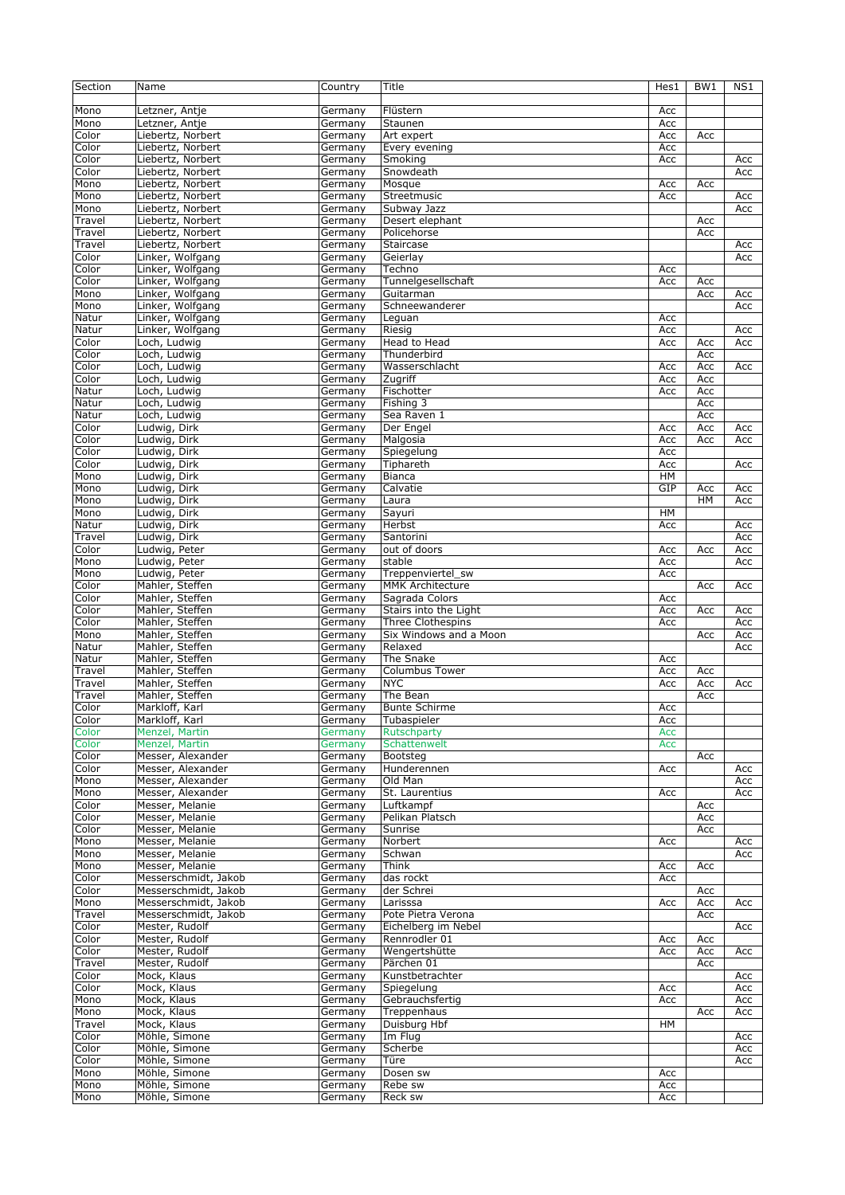| Mono<br>Flüstern<br>Letzner, Antje<br>Germany<br>Acc<br>Mono<br>Letzner, Antje<br>Acc<br>Germany<br>Staunen<br>Color<br>Liebertz, Norbert<br>Art expert<br>Acc<br>Germany<br>Acc<br>Liebertz, Norbert<br>Color<br>Every evening<br>Acc<br>Germany<br>Color<br>Liebertz, Norbert<br>Smoking<br>Acc<br>Acc<br>Germany<br>Liebertz, Norbert<br>Snowdeath<br>Color<br>Germany<br>Acc<br>Liebertz, Norbert<br>Mono<br>Mosque<br>Acc<br>Germany<br>Acc<br>Mono<br>Liebertz, Norbert<br>Streetmusic<br>Germany<br>Acc<br>Acc<br>Mono<br>Liebertz, Norbert<br>Subway Jazz<br>Acc<br>Germany<br>Travel<br>Liebertz, Norbert<br>Desert elephant<br>Germany<br>Acc<br>Travel<br>Liebertz, Norbert<br>Germany<br>Policehorse<br>Acc<br>Travel<br>Liebertz, Norbert<br>Staircase<br>Acc<br>Germany<br>Linker, Wolfgang<br>Color<br>Germany<br>Geierlay<br>Acc<br>Linker, Wolfgang<br>Color<br>Techno<br>Acc<br>Germany<br>Linker, Wolfgang<br>Color<br>Tunnelgesellschaft<br>Acc<br>Acc<br>Germany<br>Linker, Wolfgang<br>Mono<br>Germany<br>Guitarman<br>Acc<br>Acc<br>Mono<br>Linker, Wolfgang<br>Schneewanderer<br>Acc<br>Germany<br>Linker, Wolfgang<br>Germany<br>Acc<br>Natur<br>Leguan<br>Natur<br>Linker, Wolfgang<br>Riesig<br>Acc<br>Acc<br>Germany<br>Head to Head<br>Color<br>Loch, Ludwig<br>Germany<br>Acc<br>Acc<br>Acc<br>Loch, Ludwig<br>Color<br>Thunderbird<br>Acc<br>Germany<br>Color<br>Loch, Ludwig<br>Wasserschlacht<br>Acc<br>Acc<br>Acc<br>Germany<br>Color<br>Loch, Ludwig<br>Zugriff<br>Acc<br>Acc<br>Germany<br>Fischotter<br>Natur<br>Loch, Ludwig<br>Germany<br>Acc<br>Acc<br>Loch, Ludwig<br>Fishing 3<br>Natur<br>Germany<br>Acc<br>Natur<br>Loch, Ludwig<br>Sea Raven 1<br>Germany<br>Acc<br>Der Engel<br>Color<br>Ludwig, Dirk<br>Germany<br>Acc<br>Acc<br>Acc<br>Color<br>Ludwig, Dirk<br>Germany<br>Malgosia<br>Acc<br>Acc<br>Acc<br>Ludwig, Dirk<br>Color<br>Spiegelung<br>Acc<br>Germany<br>Color<br>Ludwig, Dirk<br>Tiphareth<br>Acc<br>Germany<br>Acc<br>HM<br>Mono<br>Ludwig, Dirk<br><b>Bianca</b><br>Germany<br>GIP<br>Mono<br>Ludwig, Dirk<br>Germany<br>Calvatie<br>Acc<br>Acc<br>Mono<br>Ludwig, Dirk<br>Laura<br>HM<br>Acc<br>Germany<br>Mono<br>Ludwig, Dirk<br>Sayuri<br>HM<br>Germany<br>Natur<br>Ludwig, Dirk<br>Herbst<br>Acc<br>Acc<br>Germany<br>Travel<br>Ludwig, Dirk<br>Santorini<br>Acc<br>Germany<br>Color<br>Ludwig, Peter<br>out of doors<br>Acc<br>Germany<br>Acc<br>Acc<br>Mono<br>Ludwig, Peter<br>stable<br>Acc<br>Acc<br>Germany<br>Ludwig, Peter<br>Mono<br>Germany<br>Treppenviertel_sw<br>Acc<br>Mahler, Steffen<br>Color<br>Germany<br><b>MMK Architecture</b><br>Acc<br>Acc<br>Mahler, Steffen<br>Color<br>Germany<br>Sagrada Colors<br>Acc<br>Mahler, Steffen<br>Stairs into the Light<br>Color<br>Germany<br>Acc<br>Acc<br>Acc<br>Mahler, Steffen<br>Three Clothespins<br>Color<br>Acc<br>Acc<br>Germany<br>Mono<br>Mahler, Steffen<br>Six Windows and a Moon<br>Germany<br>Acc<br>Acc<br>Relaxed<br>Natur<br>Mahler, Steffen<br>Acc<br>Germany<br>Mahler, Steffen<br>The Snake<br>Natur<br>Germany<br>Acc<br>Mahler, Steffen<br>Travel<br>Germany<br><b>Columbus Tower</b><br>Acc<br>Acc<br>Mahler, Steffen<br>Travel<br>Germany<br><b>NYC</b><br>Acc<br>Acc<br>Acc<br>Mahler, Steffen<br>The Bean<br>Travel<br>Germany<br>Acc<br>Color<br>Markloff, Karl<br><b>Bunte Schirme</b><br>Germany<br>Acc<br>Color<br>Markloff, Karl<br>Tubaspieler<br>Acc<br>Germany<br>Color<br>Menzel, Martin<br>Germany<br>Rutschparty<br>Acc<br>Color<br>Menzel, Martin<br>Schattenwelt<br>Germany<br>Acc<br>Color<br>Messer, Alexander<br>Bootsteg<br>Germany<br>Acc<br>Messer, Alexander<br>Color<br>Germany<br>Hunderennen<br>Acc<br>Acc<br>Messer, Alexander<br>Old Man<br>Mono<br>Germany<br>Acc<br>Messer, Alexander<br>Germany<br>St. Laurentius<br>Mono<br>Acc<br>Acc<br>Messer, Melanie<br>Color<br>Germany<br>Luftkampf<br>Acc<br>Color<br>Messer, Melanie<br>Pelikan Platsch<br>Germany<br>Acc<br>Messer, Melanie<br>Color<br>Germany<br>Sunrise<br>Acc<br>Mono<br>Messer, Melanie<br>Norbert<br>Acc<br>Germany<br>Acc<br>Messer, Melanie<br>Schwan<br>Mono<br>Germany<br>Acc<br>Messer, Melanie<br>Mono<br>Germany<br>Think<br>Acc<br>Acc<br>Color<br>Messerschmidt, Jakob<br>Germany<br>das rockt<br>Acc<br>Messerschmidt, Jakob<br>Color<br>Germany<br>der Schrei<br>Acc<br>Messerschmidt, Jakob<br>Mono<br>Germany<br>Larisssa<br>Acc<br>Acc<br>Acc<br>Messerschmidt, Jakob<br>Travel<br>Pote Pietra Verona<br>Germany<br>Acc<br>Mester, Rudolf<br>Color<br>Germany<br>Eichelberg im Nebel<br>Acc<br>Color<br>Mester, Rudolf<br>Germany<br>Rennrodler 01<br>Acc<br>Acc<br>Mester, Rudolf<br>Color<br>Wengertshütte<br>Germany<br>Acc<br>Acc<br>Acc<br>Travel<br>Mester, Rudolf<br>Germany<br>Pärchen 01<br>Acc<br>Color<br>Mock, Klaus<br>Germany<br>Kunstbetrachter<br>Acc<br>Mock, Klaus<br>Spiegelung<br>Color<br>Germany<br>Acc<br>Acc<br>Mono<br>Mock, Klaus<br>Germany<br>Gebrauchsfertig<br>Acc<br>Acc<br>Mono<br>Mock, Klaus<br>Treppenhaus<br>Germany<br>Acc<br>Acc<br>Mock, Klaus<br>Travel<br>Germany<br>Duisburg Hbf<br>HМ<br>Color<br>Möhle, Simone<br>Im Flug<br>Germany<br>Acc<br>Möhle, Simone<br>Germany<br>Scherbe<br>Color<br>Acc<br>Color<br>Möhle, Simone<br>Türe<br>Germany<br>Acc<br>Möhle, Simone<br>Mono<br>Germany<br>Dosen sw<br>Acc<br>Mono<br>Möhle, Simone<br>Rebe sw<br>Acc<br>Germany | Section | Name          | Country | Title   | Hes1 | BW <sub>1</sub> | NS1 |
|----------------------------------------------------------------------------------------------------------------------------------------------------------------------------------------------------------------------------------------------------------------------------------------------------------------------------------------------------------------------------------------------------------------------------------------------------------------------------------------------------------------------------------------------------------------------------------------------------------------------------------------------------------------------------------------------------------------------------------------------------------------------------------------------------------------------------------------------------------------------------------------------------------------------------------------------------------------------------------------------------------------------------------------------------------------------------------------------------------------------------------------------------------------------------------------------------------------------------------------------------------------------------------------------------------------------------------------------------------------------------------------------------------------------------------------------------------------------------------------------------------------------------------------------------------------------------------------------------------------------------------------------------------------------------------------------------------------------------------------------------------------------------------------------------------------------------------------------------------------------------------------------------------------------------------------------------------------------------------------------------------------------------------------------------------------------------------------------------------------------------------------------------------------------------------------------------------------------------------------------------------------------------------------------------------------------------------------------------------------------------------------------------------------------------------------------------------------------------------------------------------------------------------------------------------------------------------------------------------------------------------------------------------------------------------------------------------------------------------------------------------------------------------------------------------------------------------------------------------------------------------------------------------------------------------------------------------------------------------------------------------------------------------------------------------------------------------------------------------------------------------------------------------------------------------------------------------------------------------------------------------------------------------------------------------------------------------------------------------------------------------------------------------------------------------------------------------------------------------------------------------------------------------------------------------------------------------------------------------------------------------------------------------------------------------------------------------------------------------------------------------------------------------------------------------------------------------------------------------------------------------------------------------------------------------------------------------------------------------------------------------------------------------------------------------------------------------------------------------------------------------------------------------------------------------------------------------------------------------------------------------------------------------------------------------------------------------------------------------------------------------------------------------------------------------------------------------------------------------------------------------------------------------------------------------------------------------------------------------------------------------------------------------------------------------------------------------------------------------------------------------------------------------------------------------------------------------------------------------------------------------------------------------------------------------------------------------------------------------------------------------------------------------------------------------------------------------------------------------------------------------------------------------------------------------------------------------------------------------------------------------------------------------------------------------------------------------------------------------------------------------|---------|---------------|---------|---------|------|-----------------|-----|
|                                                                                                                                                                                                                                                                                                                                                                                                                                                                                                                                                                                                                                                                                                                                                                                                                                                                                                                                                                                                                                                                                                                                                                                                                                                                                                                                                                                                                                                                                                                                                                                                                                                                                                                                                                                                                                                                                                                                                                                                                                                                                                                                                                                                                                                                                                                                                                                                                                                                                                                                                                                                                                                                                                                                                                                                                                                                                                                                                                                                                                                                                                                                                                                                                                                                                                                                                                                                                                                                                                                                                                                                                                                                                                                                                                                                                                                                                                                                                                                                                                                                                                                                                                                                                                                                                                                                                                                                                                                                                                                                                                                                                                                                                                                                                                                                                                                                                                                                                                                                                                                                                                                                                                                                                                                                                                                                                                                  |         |               |         |         |      |                 |     |
|                                                                                                                                                                                                                                                                                                                                                                                                                                                                                                                                                                                                                                                                                                                                                                                                                                                                                                                                                                                                                                                                                                                                                                                                                                                                                                                                                                                                                                                                                                                                                                                                                                                                                                                                                                                                                                                                                                                                                                                                                                                                                                                                                                                                                                                                                                                                                                                                                                                                                                                                                                                                                                                                                                                                                                                                                                                                                                                                                                                                                                                                                                                                                                                                                                                                                                                                                                                                                                                                                                                                                                                                                                                                                                                                                                                                                                                                                                                                                                                                                                                                                                                                                                                                                                                                                                                                                                                                                                                                                                                                                                                                                                                                                                                                                                                                                                                                                                                                                                                                                                                                                                                                                                                                                                                                                                                                                                                  |         |               |         |         |      |                 |     |
|                                                                                                                                                                                                                                                                                                                                                                                                                                                                                                                                                                                                                                                                                                                                                                                                                                                                                                                                                                                                                                                                                                                                                                                                                                                                                                                                                                                                                                                                                                                                                                                                                                                                                                                                                                                                                                                                                                                                                                                                                                                                                                                                                                                                                                                                                                                                                                                                                                                                                                                                                                                                                                                                                                                                                                                                                                                                                                                                                                                                                                                                                                                                                                                                                                                                                                                                                                                                                                                                                                                                                                                                                                                                                                                                                                                                                                                                                                                                                                                                                                                                                                                                                                                                                                                                                                                                                                                                                                                                                                                                                                                                                                                                                                                                                                                                                                                                                                                                                                                                                                                                                                                                                                                                                                                                                                                                                                                  |         |               |         |         |      |                 |     |
|                                                                                                                                                                                                                                                                                                                                                                                                                                                                                                                                                                                                                                                                                                                                                                                                                                                                                                                                                                                                                                                                                                                                                                                                                                                                                                                                                                                                                                                                                                                                                                                                                                                                                                                                                                                                                                                                                                                                                                                                                                                                                                                                                                                                                                                                                                                                                                                                                                                                                                                                                                                                                                                                                                                                                                                                                                                                                                                                                                                                                                                                                                                                                                                                                                                                                                                                                                                                                                                                                                                                                                                                                                                                                                                                                                                                                                                                                                                                                                                                                                                                                                                                                                                                                                                                                                                                                                                                                                                                                                                                                                                                                                                                                                                                                                                                                                                                                                                                                                                                                                                                                                                                                                                                                                                                                                                                                                                  |         |               |         |         |      |                 |     |
|                                                                                                                                                                                                                                                                                                                                                                                                                                                                                                                                                                                                                                                                                                                                                                                                                                                                                                                                                                                                                                                                                                                                                                                                                                                                                                                                                                                                                                                                                                                                                                                                                                                                                                                                                                                                                                                                                                                                                                                                                                                                                                                                                                                                                                                                                                                                                                                                                                                                                                                                                                                                                                                                                                                                                                                                                                                                                                                                                                                                                                                                                                                                                                                                                                                                                                                                                                                                                                                                                                                                                                                                                                                                                                                                                                                                                                                                                                                                                                                                                                                                                                                                                                                                                                                                                                                                                                                                                                                                                                                                                                                                                                                                                                                                                                                                                                                                                                                                                                                                                                                                                                                                                                                                                                                                                                                                                                                  |         |               |         |         |      |                 |     |
|                                                                                                                                                                                                                                                                                                                                                                                                                                                                                                                                                                                                                                                                                                                                                                                                                                                                                                                                                                                                                                                                                                                                                                                                                                                                                                                                                                                                                                                                                                                                                                                                                                                                                                                                                                                                                                                                                                                                                                                                                                                                                                                                                                                                                                                                                                                                                                                                                                                                                                                                                                                                                                                                                                                                                                                                                                                                                                                                                                                                                                                                                                                                                                                                                                                                                                                                                                                                                                                                                                                                                                                                                                                                                                                                                                                                                                                                                                                                                                                                                                                                                                                                                                                                                                                                                                                                                                                                                                                                                                                                                                                                                                                                                                                                                                                                                                                                                                                                                                                                                                                                                                                                                                                                                                                                                                                                                                                  |         |               |         |         |      |                 |     |
|                                                                                                                                                                                                                                                                                                                                                                                                                                                                                                                                                                                                                                                                                                                                                                                                                                                                                                                                                                                                                                                                                                                                                                                                                                                                                                                                                                                                                                                                                                                                                                                                                                                                                                                                                                                                                                                                                                                                                                                                                                                                                                                                                                                                                                                                                                                                                                                                                                                                                                                                                                                                                                                                                                                                                                                                                                                                                                                                                                                                                                                                                                                                                                                                                                                                                                                                                                                                                                                                                                                                                                                                                                                                                                                                                                                                                                                                                                                                                                                                                                                                                                                                                                                                                                                                                                                                                                                                                                                                                                                                                                                                                                                                                                                                                                                                                                                                                                                                                                                                                                                                                                                                                                                                                                                                                                                                                                                  |         |               |         |         |      |                 |     |
|                                                                                                                                                                                                                                                                                                                                                                                                                                                                                                                                                                                                                                                                                                                                                                                                                                                                                                                                                                                                                                                                                                                                                                                                                                                                                                                                                                                                                                                                                                                                                                                                                                                                                                                                                                                                                                                                                                                                                                                                                                                                                                                                                                                                                                                                                                                                                                                                                                                                                                                                                                                                                                                                                                                                                                                                                                                                                                                                                                                                                                                                                                                                                                                                                                                                                                                                                                                                                                                                                                                                                                                                                                                                                                                                                                                                                                                                                                                                                                                                                                                                                                                                                                                                                                                                                                                                                                                                                                                                                                                                                                                                                                                                                                                                                                                                                                                                                                                                                                                                                                                                                                                                                                                                                                                                                                                                                                                  |         |               |         |         |      |                 |     |
|                                                                                                                                                                                                                                                                                                                                                                                                                                                                                                                                                                                                                                                                                                                                                                                                                                                                                                                                                                                                                                                                                                                                                                                                                                                                                                                                                                                                                                                                                                                                                                                                                                                                                                                                                                                                                                                                                                                                                                                                                                                                                                                                                                                                                                                                                                                                                                                                                                                                                                                                                                                                                                                                                                                                                                                                                                                                                                                                                                                                                                                                                                                                                                                                                                                                                                                                                                                                                                                                                                                                                                                                                                                                                                                                                                                                                                                                                                                                                                                                                                                                                                                                                                                                                                                                                                                                                                                                                                                                                                                                                                                                                                                                                                                                                                                                                                                                                                                                                                                                                                                                                                                                                                                                                                                                                                                                                                                  |         |               |         |         |      |                 |     |
|                                                                                                                                                                                                                                                                                                                                                                                                                                                                                                                                                                                                                                                                                                                                                                                                                                                                                                                                                                                                                                                                                                                                                                                                                                                                                                                                                                                                                                                                                                                                                                                                                                                                                                                                                                                                                                                                                                                                                                                                                                                                                                                                                                                                                                                                                                                                                                                                                                                                                                                                                                                                                                                                                                                                                                                                                                                                                                                                                                                                                                                                                                                                                                                                                                                                                                                                                                                                                                                                                                                                                                                                                                                                                                                                                                                                                                                                                                                                                                                                                                                                                                                                                                                                                                                                                                                                                                                                                                                                                                                                                                                                                                                                                                                                                                                                                                                                                                                                                                                                                                                                                                                                                                                                                                                                                                                                                                                  |         |               |         |         |      |                 |     |
|                                                                                                                                                                                                                                                                                                                                                                                                                                                                                                                                                                                                                                                                                                                                                                                                                                                                                                                                                                                                                                                                                                                                                                                                                                                                                                                                                                                                                                                                                                                                                                                                                                                                                                                                                                                                                                                                                                                                                                                                                                                                                                                                                                                                                                                                                                                                                                                                                                                                                                                                                                                                                                                                                                                                                                                                                                                                                                                                                                                                                                                                                                                                                                                                                                                                                                                                                                                                                                                                                                                                                                                                                                                                                                                                                                                                                                                                                                                                                                                                                                                                                                                                                                                                                                                                                                                                                                                                                                                                                                                                                                                                                                                                                                                                                                                                                                                                                                                                                                                                                                                                                                                                                                                                                                                                                                                                                                                  |         |               |         |         |      |                 |     |
|                                                                                                                                                                                                                                                                                                                                                                                                                                                                                                                                                                                                                                                                                                                                                                                                                                                                                                                                                                                                                                                                                                                                                                                                                                                                                                                                                                                                                                                                                                                                                                                                                                                                                                                                                                                                                                                                                                                                                                                                                                                                                                                                                                                                                                                                                                                                                                                                                                                                                                                                                                                                                                                                                                                                                                                                                                                                                                                                                                                                                                                                                                                                                                                                                                                                                                                                                                                                                                                                                                                                                                                                                                                                                                                                                                                                                                                                                                                                                                                                                                                                                                                                                                                                                                                                                                                                                                                                                                                                                                                                                                                                                                                                                                                                                                                                                                                                                                                                                                                                                                                                                                                                                                                                                                                                                                                                                                                  |         |               |         |         |      |                 |     |
|                                                                                                                                                                                                                                                                                                                                                                                                                                                                                                                                                                                                                                                                                                                                                                                                                                                                                                                                                                                                                                                                                                                                                                                                                                                                                                                                                                                                                                                                                                                                                                                                                                                                                                                                                                                                                                                                                                                                                                                                                                                                                                                                                                                                                                                                                                                                                                                                                                                                                                                                                                                                                                                                                                                                                                                                                                                                                                                                                                                                                                                                                                                                                                                                                                                                                                                                                                                                                                                                                                                                                                                                                                                                                                                                                                                                                                                                                                                                                                                                                                                                                                                                                                                                                                                                                                                                                                                                                                                                                                                                                                                                                                                                                                                                                                                                                                                                                                                                                                                                                                                                                                                                                                                                                                                                                                                                                                                  |         |               |         |         |      |                 |     |
|                                                                                                                                                                                                                                                                                                                                                                                                                                                                                                                                                                                                                                                                                                                                                                                                                                                                                                                                                                                                                                                                                                                                                                                                                                                                                                                                                                                                                                                                                                                                                                                                                                                                                                                                                                                                                                                                                                                                                                                                                                                                                                                                                                                                                                                                                                                                                                                                                                                                                                                                                                                                                                                                                                                                                                                                                                                                                                                                                                                                                                                                                                                                                                                                                                                                                                                                                                                                                                                                                                                                                                                                                                                                                                                                                                                                                                                                                                                                                                                                                                                                                                                                                                                                                                                                                                                                                                                                                                                                                                                                                                                                                                                                                                                                                                                                                                                                                                                                                                                                                                                                                                                                                                                                                                                                                                                                                                                  |         |               |         |         |      |                 |     |
|                                                                                                                                                                                                                                                                                                                                                                                                                                                                                                                                                                                                                                                                                                                                                                                                                                                                                                                                                                                                                                                                                                                                                                                                                                                                                                                                                                                                                                                                                                                                                                                                                                                                                                                                                                                                                                                                                                                                                                                                                                                                                                                                                                                                                                                                                                                                                                                                                                                                                                                                                                                                                                                                                                                                                                                                                                                                                                                                                                                                                                                                                                                                                                                                                                                                                                                                                                                                                                                                                                                                                                                                                                                                                                                                                                                                                                                                                                                                                                                                                                                                                                                                                                                                                                                                                                                                                                                                                                                                                                                                                                                                                                                                                                                                                                                                                                                                                                                                                                                                                                                                                                                                                                                                                                                                                                                                                                                  |         |               |         |         |      |                 |     |
|                                                                                                                                                                                                                                                                                                                                                                                                                                                                                                                                                                                                                                                                                                                                                                                                                                                                                                                                                                                                                                                                                                                                                                                                                                                                                                                                                                                                                                                                                                                                                                                                                                                                                                                                                                                                                                                                                                                                                                                                                                                                                                                                                                                                                                                                                                                                                                                                                                                                                                                                                                                                                                                                                                                                                                                                                                                                                                                                                                                                                                                                                                                                                                                                                                                                                                                                                                                                                                                                                                                                                                                                                                                                                                                                                                                                                                                                                                                                                                                                                                                                                                                                                                                                                                                                                                                                                                                                                                                                                                                                                                                                                                                                                                                                                                                                                                                                                                                                                                                                                                                                                                                                                                                                                                                                                                                                                                                  |         |               |         |         |      |                 |     |
|                                                                                                                                                                                                                                                                                                                                                                                                                                                                                                                                                                                                                                                                                                                                                                                                                                                                                                                                                                                                                                                                                                                                                                                                                                                                                                                                                                                                                                                                                                                                                                                                                                                                                                                                                                                                                                                                                                                                                                                                                                                                                                                                                                                                                                                                                                                                                                                                                                                                                                                                                                                                                                                                                                                                                                                                                                                                                                                                                                                                                                                                                                                                                                                                                                                                                                                                                                                                                                                                                                                                                                                                                                                                                                                                                                                                                                                                                                                                                                                                                                                                                                                                                                                                                                                                                                                                                                                                                                                                                                                                                                                                                                                                                                                                                                                                                                                                                                                                                                                                                                                                                                                                                                                                                                                                                                                                                                                  |         |               |         |         |      |                 |     |
|                                                                                                                                                                                                                                                                                                                                                                                                                                                                                                                                                                                                                                                                                                                                                                                                                                                                                                                                                                                                                                                                                                                                                                                                                                                                                                                                                                                                                                                                                                                                                                                                                                                                                                                                                                                                                                                                                                                                                                                                                                                                                                                                                                                                                                                                                                                                                                                                                                                                                                                                                                                                                                                                                                                                                                                                                                                                                                                                                                                                                                                                                                                                                                                                                                                                                                                                                                                                                                                                                                                                                                                                                                                                                                                                                                                                                                                                                                                                                                                                                                                                                                                                                                                                                                                                                                                                                                                                                                                                                                                                                                                                                                                                                                                                                                                                                                                                                                                                                                                                                                                                                                                                                                                                                                                                                                                                                                                  |         |               |         |         |      |                 |     |
|                                                                                                                                                                                                                                                                                                                                                                                                                                                                                                                                                                                                                                                                                                                                                                                                                                                                                                                                                                                                                                                                                                                                                                                                                                                                                                                                                                                                                                                                                                                                                                                                                                                                                                                                                                                                                                                                                                                                                                                                                                                                                                                                                                                                                                                                                                                                                                                                                                                                                                                                                                                                                                                                                                                                                                                                                                                                                                                                                                                                                                                                                                                                                                                                                                                                                                                                                                                                                                                                                                                                                                                                                                                                                                                                                                                                                                                                                                                                                                                                                                                                                                                                                                                                                                                                                                                                                                                                                                                                                                                                                                                                                                                                                                                                                                                                                                                                                                                                                                                                                                                                                                                                                                                                                                                                                                                                                                                  |         |               |         |         |      |                 |     |
|                                                                                                                                                                                                                                                                                                                                                                                                                                                                                                                                                                                                                                                                                                                                                                                                                                                                                                                                                                                                                                                                                                                                                                                                                                                                                                                                                                                                                                                                                                                                                                                                                                                                                                                                                                                                                                                                                                                                                                                                                                                                                                                                                                                                                                                                                                                                                                                                                                                                                                                                                                                                                                                                                                                                                                                                                                                                                                                                                                                                                                                                                                                                                                                                                                                                                                                                                                                                                                                                                                                                                                                                                                                                                                                                                                                                                                                                                                                                                                                                                                                                                                                                                                                                                                                                                                                                                                                                                                                                                                                                                                                                                                                                                                                                                                                                                                                                                                                                                                                                                                                                                                                                                                                                                                                                                                                                                                                  |         |               |         |         |      |                 |     |
|                                                                                                                                                                                                                                                                                                                                                                                                                                                                                                                                                                                                                                                                                                                                                                                                                                                                                                                                                                                                                                                                                                                                                                                                                                                                                                                                                                                                                                                                                                                                                                                                                                                                                                                                                                                                                                                                                                                                                                                                                                                                                                                                                                                                                                                                                                                                                                                                                                                                                                                                                                                                                                                                                                                                                                                                                                                                                                                                                                                                                                                                                                                                                                                                                                                                                                                                                                                                                                                                                                                                                                                                                                                                                                                                                                                                                                                                                                                                                                                                                                                                                                                                                                                                                                                                                                                                                                                                                                                                                                                                                                                                                                                                                                                                                                                                                                                                                                                                                                                                                                                                                                                                                                                                                                                                                                                                                                                  |         |               |         |         |      |                 |     |
|                                                                                                                                                                                                                                                                                                                                                                                                                                                                                                                                                                                                                                                                                                                                                                                                                                                                                                                                                                                                                                                                                                                                                                                                                                                                                                                                                                                                                                                                                                                                                                                                                                                                                                                                                                                                                                                                                                                                                                                                                                                                                                                                                                                                                                                                                                                                                                                                                                                                                                                                                                                                                                                                                                                                                                                                                                                                                                                                                                                                                                                                                                                                                                                                                                                                                                                                                                                                                                                                                                                                                                                                                                                                                                                                                                                                                                                                                                                                                                                                                                                                                                                                                                                                                                                                                                                                                                                                                                                                                                                                                                                                                                                                                                                                                                                                                                                                                                                                                                                                                                                                                                                                                                                                                                                                                                                                                                                  |         |               |         |         |      |                 |     |
|                                                                                                                                                                                                                                                                                                                                                                                                                                                                                                                                                                                                                                                                                                                                                                                                                                                                                                                                                                                                                                                                                                                                                                                                                                                                                                                                                                                                                                                                                                                                                                                                                                                                                                                                                                                                                                                                                                                                                                                                                                                                                                                                                                                                                                                                                                                                                                                                                                                                                                                                                                                                                                                                                                                                                                                                                                                                                                                                                                                                                                                                                                                                                                                                                                                                                                                                                                                                                                                                                                                                                                                                                                                                                                                                                                                                                                                                                                                                                                                                                                                                                                                                                                                                                                                                                                                                                                                                                                                                                                                                                                                                                                                                                                                                                                                                                                                                                                                                                                                                                                                                                                                                                                                                                                                                                                                                                                                  |         |               |         |         |      |                 |     |
|                                                                                                                                                                                                                                                                                                                                                                                                                                                                                                                                                                                                                                                                                                                                                                                                                                                                                                                                                                                                                                                                                                                                                                                                                                                                                                                                                                                                                                                                                                                                                                                                                                                                                                                                                                                                                                                                                                                                                                                                                                                                                                                                                                                                                                                                                                                                                                                                                                                                                                                                                                                                                                                                                                                                                                                                                                                                                                                                                                                                                                                                                                                                                                                                                                                                                                                                                                                                                                                                                                                                                                                                                                                                                                                                                                                                                                                                                                                                                                                                                                                                                                                                                                                                                                                                                                                                                                                                                                                                                                                                                                                                                                                                                                                                                                                                                                                                                                                                                                                                                                                                                                                                                                                                                                                                                                                                                                                  |         |               |         |         |      |                 |     |
|                                                                                                                                                                                                                                                                                                                                                                                                                                                                                                                                                                                                                                                                                                                                                                                                                                                                                                                                                                                                                                                                                                                                                                                                                                                                                                                                                                                                                                                                                                                                                                                                                                                                                                                                                                                                                                                                                                                                                                                                                                                                                                                                                                                                                                                                                                                                                                                                                                                                                                                                                                                                                                                                                                                                                                                                                                                                                                                                                                                                                                                                                                                                                                                                                                                                                                                                                                                                                                                                                                                                                                                                                                                                                                                                                                                                                                                                                                                                                                                                                                                                                                                                                                                                                                                                                                                                                                                                                                                                                                                                                                                                                                                                                                                                                                                                                                                                                                                                                                                                                                                                                                                                                                                                                                                                                                                                                                                  |         |               |         |         |      |                 |     |
|                                                                                                                                                                                                                                                                                                                                                                                                                                                                                                                                                                                                                                                                                                                                                                                                                                                                                                                                                                                                                                                                                                                                                                                                                                                                                                                                                                                                                                                                                                                                                                                                                                                                                                                                                                                                                                                                                                                                                                                                                                                                                                                                                                                                                                                                                                                                                                                                                                                                                                                                                                                                                                                                                                                                                                                                                                                                                                                                                                                                                                                                                                                                                                                                                                                                                                                                                                                                                                                                                                                                                                                                                                                                                                                                                                                                                                                                                                                                                                                                                                                                                                                                                                                                                                                                                                                                                                                                                                                                                                                                                                                                                                                                                                                                                                                                                                                                                                                                                                                                                                                                                                                                                                                                                                                                                                                                                                                  |         |               |         |         |      |                 |     |
|                                                                                                                                                                                                                                                                                                                                                                                                                                                                                                                                                                                                                                                                                                                                                                                                                                                                                                                                                                                                                                                                                                                                                                                                                                                                                                                                                                                                                                                                                                                                                                                                                                                                                                                                                                                                                                                                                                                                                                                                                                                                                                                                                                                                                                                                                                                                                                                                                                                                                                                                                                                                                                                                                                                                                                                                                                                                                                                                                                                                                                                                                                                                                                                                                                                                                                                                                                                                                                                                                                                                                                                                                                                                                                                                                                                                                                                                                                                                                                                                                                                                                                                                                                                                                                                                                                                                                                                                                                                                                                                                                                                                                                                                                                                                                                                                                                                                                                                                                                                                                                                                                                                                                                                                                                                                                                                                                                                  |         |               |         |         |      |                 |     |
|                                                                                                                                                                                                                                                                                                                                                                                                                                                                                                                                                                                                                                                                                                                                                                                                                                                                                                                                                                                                                                                                                                                                                                                                                                                                                                                                                                                                                                                                                                                                                                                                                                                                                                                                                                                                                                                                                                                                                                                                                                                                                                                                                                                                                                                                                                                                                                                                                                                                                                                                                                                                                                                                                                                                                                                                                                                                                                                                                                                                                                                                                                                                                                                                                                                                                                                                                                                                                                                                                                                                                                                                                                                                                                                                                                                                                                                                                                                                                                                                                                                                                                                                                                                                                                                                                                                                                                                                                                                                                                                                                                                                                                                                                                                                                                                                                                                                                                                                                                                                                                                                                                                                                                                                                                                                                                                                                                                  |         |               |         |         |      |                 |     |
|                                                                                                                                                                                                                                                                                                                                                                                                                                                                                                                                                                                                                                                                                                                                                                                                                                                                                                                                                                                                                                                                                                                                                                                                                                                                                                                                                                                                                                                                                                                                                                                                                                                                                                                                                                                                                                                                                                                                                                                                                                                                                                                                                                                                                                                                                                                                                                                                                                                                                                                                                                                                                                                                                                                                                                                                                                                                                                                                                                                                                                                                                                                                                                                                                                                                                                                                                                                                                                                                                                                                                                                                                                                                                                                                                                                                                                                                                                                                                                                                                                                                                                                                                                                                                                                                                                                                                                                                                                                                                                                                                                                                                                                                                                                                                                                                                                                                                                                                                                                                                                                                                                                                                                                                                                                                                                                                                                                  |         |               |         |         |      |                 |     |
|                                                                                                                                                                                                                                                                                                                                                                                                                                                                                                                                                                                                                                                                                                                                                                                                                                                                                                                                                                                                                                                                                                                                                                                                                                                                                                                                                                                                                                                                                                                                                                                                                                                                                                                                                                                                                                                                                                                                                                                                                                                                                                                                                                                                                                                                                                                                                                                                                                                                                                                                                                                                                                                                                                                                                                                                                                                                                                                                                                                                                                                                                                                                                                                                                                                                                                                                                                                                                                                                                                                                                                                                                                                                                                                                                                                                                                                                                                                                                                                                                                                                                                                                                                                                                                                                                                                                                                                                                                                                                                                                                                                                                                                                                                                                                                                                                                                                                                                                                                                                                                                                                                                                                                                                                                                                                                                                                                                  |         |               |         |         |      |                 |     |
|                                                                                                                                                                                                                                                                                                                                                                                                                                                                                                                                                                                                                                                                                                                                                                                                                                                                                                                                                                                                                                                                                                                                                                                                                                                                                                                                                                                                                                                                                                                                                                                                                                                                                                                                                                                                                                                                                                                                                                                                                                                                                                                                                                                                                                                                                                                                                                                                                                                                                                                                                                                                                                                                                                                                                                                                                                                                                                                                                                                                                                                                                                                                                                                                                                                                                                                                                                                                                                                                                                                                                                                                                                                                                                                                                                                                                                                                                                                                                                                                                                                                                                                                                                                                                                                                                                                                                                                                                                                                                                                                                                                                                                                                                                                                                                                                                                                                                                                                                                                                                                                                                                                                                                                                                                                                                                                                                                                  |         |               |         |         |      |                 |     |
|                                                                                                                                                                                                                                                                                                                                                                                                                                                                                                                                                                                                                                                                                                                                                                                                                                                                                                                                                                                                                                                                                                                                                                                                                                                                                                                                                                                                                                                                                                                                                                                                                                                                                                                                                                                                                                                                                                                                                                                                                                                                                                                                                                                                                                                                                                                                                                                                                                                                                                                                                                                                                                                                                                                                                                                                                                                                                                                                                                                                                                                                                                                                                                                                                                                                                                                                                                                                                                                                                                                                                                                                                                                                                                                                                                                                                                                                                                                                                                                                                                                                                                                                                                                                                                                                                                                                                                                                                                                                                                                                                                                                                                                                                                                                                                                                                                                                                                                                                                                                                                                                                                                                                                                                                                                                                                                                                                                  |         |               |         |         |      |                 |     |
|                                                                                                                                                                                                                                                                                                                                                                                                                                                                                                                                                                                                                                                                                                                                                                                                                                                                                                                                                                                                                                                                                                                                                                                                                                                                                                                                                                                                                                                                                                                                                                                                                                                                                                                                                                                                                                                                                                                                                                                                                                                                                                                                                                                                                                                                                                                                                                                                                                                                                                                                                                                                                                                                                                                                                                                                                                                                                                                                                                                                                                                                                                                                                                                                                                                                                                                                                                                                                                                                                                                                                                                                                                                                                                                                                                                                                                                                                                                                                                                                                                                                                                                                                                                                                                                                                                                                                                                                                                                                                                                                                                                                                                                                                                                                                                                                                                                                                                                                                                                                                                                                                                                                                                                                                                                                                                                                                                                  |         |               |         |         |      |                 |     |
|                                                                                                                                                                                                                                                                                                                                                                                                                                                                                                                                                                                                                                                                                                                                                                                                                                                                                                                                                                                                                                                                                                                                                                                                                                                                                                                                                                                                                                                                                                                                                                                                                                                                                                                                                                                                                                                                                                                                                                                                                                                                                                                                                                                                                                                                                                                                                                                                                                                                                                                                                                                                                                                                                                                                                                                                                                                                                                                                                                                                                                                                                                                                                                                                                                                                                                                                                                                                                                                                                                                                                                                                                                                                                                                                                                                                                                                                                                                                                                                                                                                                                                                                                                                                                                                                                                                                                                                                                                                                                                                                                                                                                                                                                                                                                                                                                                                                                                                                                                                                                                                                                                                                                                                                                                                                                                                                                                                  |         |               |         |         |      |                 |     |
|                                                                                                                                                                                                                                                                                                                                                                                                                                                                                                                                                                                                                                                                                                                                                                                                                                                                                                                                                                                                                                                                                                                                                                                                                                                                                                                                                                                                                                                                                                                                                                                                                                                                                                                                                                                                                                                                                                                                                                                                                                                                                                                                                                                                                                                                                                                                                                                                                                                                                                                                                                                                                                                                                                                                                                                                                                                                                                                                                                                                                                                                                                                                                                                                                                                                                                                                                                                                                                                                                                                                                                                                                                                                                                                                                                                                                                                                                                                                                                                                                                                                                                                                                                                                                                                                                                                                                                                                                                                                                                                                                                                                                                                                                                                                                                                                                                                                                                                                                                                                                                                                                                                                                                                                                                                                                                                                                                                  |         |               |         |         |      |                 |     |
|                                                                                                                                                                                                                                                                                                                                                                                                                                                                                                                                                                                                                                                                                                                                                                                                                                                                                                                                                                                                                                                                                                                                                                                                                                                                                                                                                                                                                                                                                                                                                                                                                                                                                                                                                                                                                                                                                                                                                                                                                                                                                                                                                                                                                                                                                                                                                                                                                                                                                                                                                                                                                                                                                                                                                                                                                                                                                                                                                                                                                                                                                                                                                                                                                                                                                                                                                                                                                                                                                                                                                                                                                                                                                                                                                                                                                                                                                                                                                                                                                                                                                                                                                                                                                                                                                                                                                                                                                                                                                                                                                                                                                                                                                                                                                                                                                                                                                                                                                                                                                                                                                                                                                                                                                                                                                                                                                                                  |         |               |         |         |      |                 |     |
|                                                                                                                                                                                                                                                                                                                                                                                                                                                                                                                                                                                                                                                                                                                                                                                                                                                                                                                                                                                                                                                                                                                                                                                                                                                                                                                                                                                                                                                                                                                                                                                                                                                                                                                                                                                                                                                                                                                                                                                                                                                                                                                                                                                                                                                                                                                                                                                                                                                                                                                                                                                                                                                                                                                                                                                                                                                                                                                                                                                                                                                                                                                                                                                                                                                                                                                                                                                                                                                                                                                                                                                                                                                                                                                                                                                                                                                                                                                                                                                                                                                                                                                                                                                                                                                                                                                                                                                                                                                                                                                                                                                                                                                                                                                                                                                                                                                                                                                                                                                                                                                                                                                                                                                                                                                                                                                                                                                  |         |               |         |         |      |                 |     |
|                                                                                                                                                                                                                                                                                                                                                                                                                                                                                                                                                                                                                                                                                                                                                                                                                                                                                                                                                                                                                                                                                                                                                                                                                                                                                                                                                                                                                                                                                                                                                                                                                                                                                                                                                                                                                                                                                                                                                                                                                                                                                                                                                                                                                                                                                                                                                                                                                                                                                                                                                                                                                                                                                                                                                                                                                                                                                                                                                                                                                                                                                                                                                                                                                                                                                                                                                                                                                                                                                                                                                                                                                                                                                                                                                                                                                                                                                                                                                                                                                                                                                                                                                                                                                                                                                                                                                                                                                                                                                                                                                                                                                                                                                                                                                                                                                                                                                                                                                                                                                                                                                                                                                                                                                                                                                                                                                                                  |         |               |         |         |      |                 |     |
|                                                                                                                                                                                                                                                                                                                                                                                                                                                                                                                                                                                                                                                                                                                                                                                                                                                                                                                                                                                                                                                                                                                                                                                                                                                                                                                                                                                                                                                                                                                                                                                                                                                                                                                                                                                                                                                                                                                                                                                                                                                                                                                                                                                                                                                                                                                                                                                                                                                                                                                                                                                                                                                                                                                                                                                                                                                                                                                                                                                                                                                                                                                                                                                                                                                                                                                                                                                                                                                                                                                                                                                                                                                                                                                                                                                                                                                                                                                                                                                                                                                                                                                                                                                                                                                                                                                                                                                                                                                                                                                                                                                                                                                                                                                                                                                                                                                                                                                                                                                                                                                                                                                                                                                                                                                                                                                                                                                  |         |               |         |         |      |                 |     |
|                                                                                                                                                                                                                                                                                                                                                                                                                                                                                                                                                                                                                                                                                                                                                                                                                                                                                                                                                                                                                                                                                                                                                                                                                                                                                                                                                                                                                                                                                                                                                                                                                                                                                                                                                                                                                                                                                                                                                                                                                                                                                                                                                                                                                                                                                                                                                                                                                                                                                                                                                                                                                                                                                                                                                                                                                                                                                                                                                                                                                                                                                                                                                                                                                                                                                                                                                                                                                                                                                                                                                                                                                                                                                                                                                                                                                                                                                                                                                                                                                                                                                                                                                                                                                                                                                                                                                                                                                                                                                                                                                                                                                                                                                                                                                                                                                                                                                                                                                                                                                                                                                                                                                                                                                                                                                                                                                                                  |         |               |         |         |      |                 |     |
|                                                                                                                                                                                                                                                                                                                                                                                                                                                                                                                                                                                                                                                                                                                                                                                                                                                                                                                                                                                                                                                                                                                                                                                                                                                                                                                                                                                                                                                                                                                                                                                                                                                                                                                                                                                                                                                                                                                                                                                                                                                                                                                                                                                                                                                                                                                                                                                                                                                                                                                                                                                                                                                                                                                                                                                                                                                                                                                                                                                                                                                                                                                                                                                                                                                                                                                                                                                                                                                                                                                                                                                                                                                                                                                                                                                                                                                                                                                                                                                                                                                                                                                                                                                                                                                                                                                                                                                                                                                                                                                                                                                                                                                                                                                                                                                                                                                                                                                                                                                                                                                                                                                                                                                                                                                                                                                                                                                  |         |               |         |         |      |                 |     |
|                                                                                                                                                                                                                                                                                                                                                                                                                                                                                                                                                                                                                                                                                                                                                                                                                                                                                                                                                                                                                                                                                                                                                                                                                                                                                                                                                                                                                                                                                                                                                                                                                                                                                                                                                                                                                                                                                                                                                                                                                                                                                                                                                                                                                                                                                                                                                                                                                                                                                                                                                                                                                                                                                                                                                                                                                                                                                                                                                                                                                                                                                                                                                                                                                                                                                                                                                                                                                                                                                                                                                                                                                                                                                                                                                                                                                                                                                                                                                                                                                                                                                                                                                                                                                                                                                                                                                                                                                                                                                                                                                                                                                                                                                                                                                                                                                                                                                                                                                                                                                                                                                                                                                                                                                                                                                                                                                                                  |         |               |         |         |      |                 |     |
|                                                                                                                                                                                                                                                                                                                                                                                                                                                                                                                                                                                                                                                                                                                                                                                                                                                                                                                                                                                                                                                                                                                                                                                                                                                                                                                                                                                                                                                                                                                                                                                                                                                                                                                                                                                                                                                                                                                                                                                                                                                                                                                                                                                                                                                                                                                                                                                                                                                                                                                                                                                                                                                                                                                                                                                                                                                                                                                                                                                                                                                                                                                                                                                                                                                                                                                                                                                                                                                                                                                                                                                                                                                                                                                                                                                                                                                                                                                                                                                                                                                                                                                                                                                                                                                                                                                                                                                                                                                                                                                                                                                                                                                                                                                                                                                                                                                                                                                                                                                                                                                                                                                                                                                                                                                                                                                                                                                  |         |               |         |         |      |                 |     |
|                                                                                                                                                                                                                                                                                                                                                                                                                                                                                                                                                                                                                                                                                                                                                                                                                                                                                                                                                                                                                                                                                                                                                                                                                                                                                                                                                                                                                                                                                                                                                                                                                                                                                                                                                                                                                                                                                                                                                                                                                                                                                                                                                                                                                                                                                                                                                                                                                                                                                                                                                                                                                                                                                                                                                                                                                                                                                                                                                                                                                                                                                                                                                                                                                                                                                                                                                                                                                                                                                                                                                                                                                                                                                                                                                                                                                                                                                                                                                                                                                                                                                                                                                                                                                                                                                                                                                                                                                                                                                                                                                                                                                                                                                                                                                                                                                                                                                                                                                                                                                                                                                                                                                                                                                                                                                                                                                                                  |         |               |         |         |      |                 |     |
|                                                                                                                                                                                                                                                                                                                                                                                                                                                                                                                                                                                                                                                                                                                                                                                                                                                                                                                                                                                                                                                                                                                                                                                                                                                                                                                                                                                                                                                                                                                                                                                                                                                                                                                                                                                                                                                                                                                                                                                                                                                                                                                                                                                                                                                                                                                                                                                                                                                                                                                                                                                                                                                                                                                                                                                                                                                                                                                                                                                                                                                                                                                                                                                                                                                                                                                                                                                                                                                                                                                                                                                                                                                                                                                                                                                                                                                                                                                                                                                                                                                                                                                                                                                                                                                                                                                                                                                                                                                                                                                                                                                                                                                                                                                                                                                                                                                                                                                                                                                                                                                                                                                                                                                                                                                                                                                                                                                  |         |               |         |         |      |                 |     |
|                                                                                                                                                                                                                                                                                                                                                                                                                                                                                                                                                                                                                                                                                                                                                                                                                                                                                                                                                                                                                                                                                                                                                                                                                                                                                                                                                                                                                                                                                                                                                                                                                                                                                                                                                                                                                                                                                                                                                                                                                                                                                                                                                                                                                                                                                                                                                                                                                                                                                                                                                                                                                                                                                                                                                                                                                                                                                                                                                                                                                                                                                                                                                                                                                                                                                                                                                                                                                                                                                                                                                                                                                                                                                                                                                                                                                                                                                                                                                                                                                                                                                                                                                                                                                                                                                                                                                                                                                                                                                                                                                                                                                                                                                                                                                                                                                                                                                                                                                                                                                                                                                                                                                                                                                                                                                                                                                                                  |         |               |         |         |      |                 |     |
|                                                                                                                                                                                                                                                                                                                                                                                                                                                                                                                                                                                                                                                                                                                                                                                                                                                                                                                                                                                                                                                                                                                                                                                                                                                                                                                                                                                                                                                                                                                                                                                                                                                                                                                                                                                                                                                                                                                                                                                                                                                                                                                                                                                                                                                                                                                                                                                                                                                                                                                                                                                                                                                                                                                                                                                                                                                                                                                                                                                                                                                                                                                                                                                                                                                                                                                                                                                                                                                                                                                                                                                                                                                                                                                                                                                                                                                                                                                                                                                                                                                                                                                                                                                                                                                                                                                                                                                                                                                                                                                                                                                                                                                                                                                                                                                                                                                                                                                                                                                                                                                                                                                                                                                                                                                                                                                                                                                  |         |               |         |         |      |                 |     |
|                                                                                                                                                                                                                                                                                                                                                                                                                                                                                                                                                                                                                                                                                                                                                                                                                                                                                                                                                                                                                                                                                                                                                                                                                                                                                                                                                                                                                                                                                                                                                                                                                                                                                                                                                                                                                                                                                                                                                                                                                                                                                                                                                                                                                                                                                                                                                                                                                                                                                                                                                                                                                                                                                                                                                                                                                                                                                                                                                                                                                                                                                                                                                                                                                                                                                                                                                                                                                                                                                                                                                                                                                                                                                                                                                                                                                                                                                                                                                                                                                                                                                                                                                                                                                                                                                                                                                                                                                                                                                                                                                                                                                                                                                                                                                                                                                                                                                                                                                                                                                                                                                                                                                                                                                                                                                                                                                                                  |         |               |         |         |      |                 |     |
|                                                                                                                                                                                                                                                                                                                                                                                                                                                                                                                                                                                                                                                                                                                                                                                                                                                                                                                                                                                                                                                                                                                                                                                                                                                                                                                                                                                                                                                                                                                                                                                                                                                                                                                                                                                                                                                                                                                                                                                                                                                                                                                                                                                                                                                                                                                                                                                                                                                                                                                                                                                                                                                                                                                                                                                                                                                                                                                                                                                                                                                                                                                                                                                                                                                                                                                                                                                                                                                                                                                                                                                                                                                                                                                                                                                                                                                                                                                                                                                                                                                                                                                                                                                                                                                                                                                                                                                                                                                                                                                                                                                                                                                                                                                                                                                                                                                                                                                                                                                                                                                                                                                                                                                                                                                                                                                                                                                  |         |               |         |         |      |                 |     |
|                                                                                                                                                                                                                                                                                                                                                                                                                                                                                                                                                                                                                                                                                                                                                                                                                                                                                                                                                                                                                                                                                                                                                                                                                                                                                                                                                                                                                                                                                                                                                                                                                                                                                                                                                                                                                                                                                                                                                                                                                                                                                                                                                                                                                                                                                                                                                                                                                                                                                                                                                                                                                                                                                                                                                                                                                                                                                                                                                                                                                                                                                                                                                                                                                                                                                                                                                                                                                                                                                                                                                                                                                                                                                                                                                                                                                                                                                                                                                                                                                                                                                                                                                                                                                                                                                                                                                                                                                                                                                                                                                                                                                                                                                                                                                                                                                                                                                                                                                                                                                                                                                                                                                                                                                                                                                                                                                                                  |         |               |         |         |      |                 |     |
|                                                                                                                                                                                                                                                                                                                                                                                                                                                                                                                                                                                                                                                                                                                                                                                                                                                                                                                                                                                                                                                                                                                                                                                                                                                                                                                                                                                                                                                                                                                                                                                                                                                                                                                                                                                                                                                                                                                                                                                                                                                                                                                                                                                                                                                                                                                                                                                                                                                                                                                                                                                                                                                                                                                                                                                                                                                                                                                                                                                                                                                                                                                                                                                                                                                                                                                                                                                                                                                                                                                                                                                                                                                                                                                                                                                                                                                                                                                                                                                                                                                                                                                                                                                                                                                                                                                                                                                                                                                                                                                                                                                                                                                                                                                                                                                                                                                                                                                                                                                                                                                                                                                                                                                                                                                                                                                                                                                  |         |               |         |         |      |                 |     |
|                                                                                                                                                                                                                                                                                                                                                                                                                                                                                                                                                                                                                                                                                                                                                                                                                                                                                                                                                                                                                                                                                                                                                                                                                                                                                                                                                                                                                                                                                                                                                                                                                                                                                                                                                                                                                                                                                                                                                                                                                                                                                                                                                                                                                                                                                                                                                                                                                                                                                                                                                                                                                                                                                                                                                                                                                                                                                                                                                                                                                                                                                                                                                                                                                                                                                                                                                                                                                                                                                                                                                                                                                                                                                                                                                                                                                                                                                                                                                                                                                                                                                                                                                                                                                                                                                                                                                                                                                                                                                                                                                                                                                                                                                                                                                                                                                                                                                                                                                                                                                                                                                                                                                                                                                                                                                                                                                                                  |         |               |         |         |      |                 |     |
|                                                                                                                                                                                                                                                                                                                                                                                                                                                                                                                                                                                                                                                                                                                                                                                                                                                                                                                                                                                                                                                                                                                                                                                                                                                                                                                                                                                                                                                                                                                                                                                                                                                                                                                                                                                                                                                                                                                                                                                                                                                                                                                                                                                                                                                                                                                                                                                                                                                                                                                                                                                                                                                                                                                                                                                                                                                                                                                                                                                                                                                                                                                                                                                                                                                                                                                                                                                                                                                                                                                                                                                                                                                                                                                                                                                                                                                                                                                                                                                                                                                                                                                                                                                                                                                                                                                                                                                                                                                                                                                                                                                                                                                                                                                                                                                                                                                                                                                                                                                                                                                                                                                                                                                                                                                                                                                                                                                  |         |               |         |         |      |                 |     |
|                                                                                                                                                                                                                                                                                                                                                                                                                                                                                                                                                                                                                                                                                                                                                                                                                                                                                                                                                                                                                                                                                                                                                                                                                                                                                                                                                                                                                                                                                                                                                                                                                                                                                                                                                                                                                                                                                                                                                                                                                                                                                                                                                                                                                                                                                                                                                                                                                                                                                                                                                                                                                                                                                                                                                                                                                                                                                                                                                                                                                                                                                                                                                                                                                                                                                                                                                                                                                                                                                                                                                                                                                                                                                                                                                                                                                                                                                                                                                                                                                                                                                                                                                                                                                                                                                                                                                                                                                                                                                                                                                                                                                                                                                                                                                                                                                                                                                                                                                                                                                                                                                                                                                                                                                                                                                                                                                                                  |         |               |         |         |      |                 |     |
|                                                                                                                                                                                                                                                                                                                                                                                                                                                                                                                                                                                                                                                                                                                                                                                                                                                                                                                                                                                                                                                                                                                                                                                                                                                                                                                                                                                                                                                                                                                                                                                                                                                                                                                                                                                                                                                                                                                                                                                                                                                                                                                                                                                                                                                                                                                                                                                                                                                                                                                                                                                                                                                                                                                                                                                                                                                                                                                                                                                                                                                                                                                                                                                                                                                                                                                                                                                                                                                                                                                                                                                                                                                                                                                                                                                                                                                                                                                                                                                                                                                                                                                                                                                                                                                                                                                                                                                                                                                                                                                                                                                                                                                                                                                                                                                                                                                                                                                                                                                                                                                                                                                                                                                                                                                                                                                                                                                  |         |               |         |         |      |                 |     |
|                                                                                                                                                                                                                                                                                                                                                                                                                                                                                                                                                                                                                                                                                                                                                                                                                                                                                                                                                                                                                                                                                                                                                                                                                                                                                                                                                                                                                                                                                                                                                                                                                                                                                                                                                                                                                                                                                                                                                                                                                                                                                                                                                                                                                                                                                                                                                                                                                                                                                                                                                                                                                                                                                                                                                                                                                                                                                                                                                                                                                                                                                                                                                                                                                                                                                                                                                                                                                                                                                                                                                                                                                                                                                                                                                                                                                                                                                                                                                                                                                                                                                                                                                                                                                                                                                                                                                                                                                                                                                                                                                                                                                                                                                                                                                                                                                                                                                                                                                                                                                                                                                                                                                                                                                                                                                                                                                                                  |         |               |         |         |      |                 |     |
|                                                                                                                                                                                                                                                                                                                                                                                                                                                                                                                                                                                                                                                                                                                                                                                                                                                                                                                                                                                                                                                                                                                                                                                                                                                                                                                                                                                                                                                                                                                                                                                                                                                                                                                                                                                                                                                                                                                                                                                                                                                                                                                                                                                                                                                                                                                                                                                                                                                                                                                                                                                                                                                                                                                                                                                                                                                                                                                                                                                                                                                                                                                                                                                                                                                                                                                                                                                                                                                                                                                                                                                                                                                                                                                                                                                                                                                                                                                                                                                                                                                                                                                                                                                                                                                                                                                                                                                                                                                                                                                                                                                                                                                                                                                                                                                                                                                                                                                                                                                                                                                                                                                                                                                                                                                                                                                                                                                  |         |               |         |         |      |                 |     |
|                                                                                                                                                                                                                                                                                                                                                                                                                                                                                                                                                                                                                                                                                                                                                                                                                                                                                                                                                                                                                                                                                                                                                                                                                                                                                                                                                                                                                                                                                                                                                                                                                                                                                                                                                                                                                                                                                                                                                                                                                                                                                                                                                                                                                                                                                                                                                                                                                                                                                                                                                                                                                                                                                                                                                                                                                                                                                                                                                                                                                                                                                                                                                                                                                                                                                                                                                                                                                                                                                                                                                                                                                                                                                                                                                                                                                                                                                                                                                                                                                                                                                                                                                                                                                                                                                                                                                                                                                                                                                                                                                                                                                                                                                                                                                                                                                                                                                                                                                                                                                                                                                                                                                                                                                                                                                                                                                                                  |         |               |         |         |      |                 |     |
|                                                                                                                                                                                                                                                                                                                                                                                                                                                                                                                                                                                                                                                                                                                                                                                                                                                                                                                                                                                                                                                                                                                                                                                                                                                                                                                                                                                                                                                                                                                                                                                                                                                                                                                                                                                                                                                                                                                                                                                                                                                                                                                                                                                                                                                                                                                                                                                                                                                                                                                                                                                                                                                                                                                                                                                                                                                                                                                                                                                                                                                                                                                                                                                                                                                                                                                                                                                                                                                                                                                                                                                                                                                                                                                                                                                                                                                                                                                                                                                                                                                                                                                                                                                                                                                                                                                                                                                                                                                                                                                                                                                                                                                                                                                                                                                                                                                                                                                                                                                                                                                                                                                                                                                                                                                                                                                                                                                  |         |               |         |         |      |                 |     |
|                                                                                                                                                                                                                                                                                                                                                                                                                                                                                                                                                                                                                                                                                                                                                                                                                                                                                                                                                                                                                                                                                                                                                                                                                                                                                                                                                                                                                                                                                                                                                                                                                                                                                                                                                                                                                                                                                                                                                                                                                                                                                                                                                                                                                                                                                                                                                                                                                                                                                                                                                                                                                                                                                                                                                                                                                                                                                                                                                                                                                                                                                                                                                                                                                                                                                                                                                                                                                                                                                                                                                                                                                                                                                                                                                                                                                                                                                                                                                                                                                                                                                                                                                                                                                                                                                                                                                                                                                                                                                                                                                                                                                                                                                                                                                                                                                                                                                                                                                                                                                                                                                                                                                                                                                                                                                                                                                                                  |         |               |         |         |      |                 |     |
|                                                                                                                                                                                                                                                                                                                                                                                                                                                                                                                                                                                                                                                                                                                                                                                                                                                                                                                                                                                                                                                                                                                                                                                                                                                                                                                                                                                                                                                                                                                                                                                                                                                                                                                                                                                                                                                                                                                                                                                                                                                                                                                                                                                                                                                                                                                                                                                                                                                                                                                                                                                                                                                                                                                                                                                                                                                                                                                                                                                                                                                                                                                                                                                                                                                                                                                                                                                                                                                                                                                                                                                                                                                                                                                                                                                                                                                                                                                                                                                                                                                                                                                                                                                                                                                                                                                                                                                                                                                                                                                                                                                                                                                                                                                                                                                                                                                                                                                                                                                                                                                                                                                                                                                                                                                                                                                                                                                  |         |               |         |         |      |                 |     |
|                                                                                                                                                                                                                                                                                                                                                                                                                                                                                                                                                                                                                                                                                                                                                                                                                                                                                                                                                                                                                                                                                                                                                                                                                                                                                                                                                                                                                                                                                                                                                                                                                                                                                                                                                                                                                                                                                                                                                                                                                                                                                                                                                                                                                                                                                                                                                                                                                                                                                                                                                                                                                                                                                                                                                                                                                                                                                                                                                                                                                                                                                                                                                                                                                                                                                                                                                                                                                                                                                                                                                                                                                                                                                                                                                                                                                                                                                                                                                                                                                                                                                                                                                                                                                                                                                                                                                                                                                                                                                                                                                                                                                                                                                                                                                                                                                                                                                                                                                                                                                                                                                                                                                                                                                                                                                                                                                                                  |         |               |         |         |      |                 |     |
|                                                                                                                                                                                                                                                                                                                                                                                                                                                                                                                                                                                                                                                                                                                                                                                                                                                                                                                                                                                                                                                                                                                                                                                                                                                                                                                                                                                                                                                                                                                                                                                                                                                                                                                                                                                                                                                                                                                                                                                                                                                                                                                                                                                                                                                                                                                                                                                                                                                                                                                                                                                                                                                                                                                                                                                                                                                                                                                                                                                                                                                                                                                                                                                                                                                                                                                                                                                                                                                                                                                                                                                                                                                                                                                                                                                                                                                                                                                                                                                                                                                                                                                                                                                                                                                                                                                                                                                                                                                                                                                                                                                                                                                                                                                                                                                                                                                                                                                                                                                                                                                                                                                                                                                                                                                                                                                                                                                  |         |               |         |         |      |                 |     |
|                                                                                                                                                                                                                                                                                                                                                                                                                                                                                                                                                                                                                                                                                                                                                                                                                                                                                                                                                                                                                                                                                                                                                                                                                                                                                                                                                                                                                                                                                                                                                                                                                                                                                                                                                                                                                                                                                                                                                                                                                                                                                                                                                                                                                                                                                                                                                                                                                                                                                                                                                                                                                                                                                                                                                                                                                                                                                                                                                                                                                                                                                                                                                                                                                                                                                                                                                                                                                                                                                                                                                                                                                                                                                                                                                                                                                                                                                                                                                                                                                                                                                                                                                                                                                                                                                                                                                                                                                                                                                                                                                                                                                                                                                                                                                                                                                                                                                                                                                                                                                                                                                                                                                                                                                                                                                                                                                                                  |         |               |         |         |      |                 |     |
|                                                                                                                                                                                                                                                                                                                                                                                                                                                                                                                                                                                                                                                                                                                                                                                                                                                                                                                                                                                                                                                                                                                                                                                                                                                                                                                                                                                                                                                                                                                                                                                                                                                                                                                                                                                                                                                                                                                                                                                                                                                                                                                                                                                                                                                                                                                                                                                                                                                                                                                                                                                                                                                                                                                                                                                                                                                                                                                                                                                                                                                                                                                                                                                                                                                                                                                                                                                                                                                                                                                                                                                                                                                                                                                                                                                                                                                                                                                                                                                                                                                                                                                                                                                                                                                                                                                                                                                                                                                                                                                                                                                                                                                                                                                                                                                                                                                                                                                                                                                                                                                                                                                                                                                                                                                                                                                                                                                  |         |               |         |         |      |                 |     |
|                                                                                                                                                                                                                                                                                                                                                                                                                                                                                                                                                                                                                                                                                                                                                                                                                                                                                                                                                                                                                                                                                                                                                                                                                                                                                                                                                                                                                                                                                                                                                                                                                                                                                                                                                                                                                                                                                                                                                                                                                                                                                                                                                                                                                                                                                                                                                                                                                                                                                                                                                                                                                                                                                                                                                                                                                                                                                                                                                                                                                                                                                                                                                                                                                                                                                                                                                                                                                                                                                                                                                                                                                                                                                                                                                                                                                                                                                                                                                                                                                                                                                                                                                                                                                                                                                                                                                                                                                                                                                                                                                                                                                                                                                                                                                                                                                                                                                                                                                                                                                                                                                                                                                                                                                                                                                                                                                                                  |         |               |         |         |      |                 |     |
|                                                                                                                                                                                                                                                                                                                                                                                                                                                                                                                                                                                                                                                                                                                                                                                                                                                                                                                                                                                                                                                                                                                                                                                                                                                                                                                                                                                                                                                                                                                                                                                                                                                                                                                                                                                                                                                                                                                                                                                                                                                                                                                                                                                                                                                                                                                                                                                                                                                                                                                                                                                                                                                                                                                                                                                                                                                                                                                                                                                                                                                                                                                                                                                                                                                                                                                                                                                                                                                                                                                                                                                                                                                                                                                                                                                                                                                                                                                                                                                                                                                                                                                                                                                                                                                                                                                                                                                                                                                                                                                                                                                                                                                                                                                                                                                                                                                                                                                                                                                                                                                                                                                                                                                                                                                                                                                                                                                  |         |               |         |         |      |                 |     |
|                                                                                                                                                                                                                                                                                                                                                                                                                                                                                                                                                                                                                                                                                                                                                                                                                                                                                                                                                                                                                                                                                                                                                                                                                                                                                                                                                                                                                                                                                                                                                                                                                                                                                                                                                                                                                                                                                                                                                                                                                                                                                                                                                                                                                                                                                                                                                                                                                                                                                                                                                                                                                                                                                                                                                                                                                                                                                                                                                                                                                                                                                                                                                                                                                                                                                                                                                                                                                                                                                                                                                                                                                                                                                                                                                                                                                                                                                                                                                                                                                                                                                                                                                                                                                                                                                                                                                                                                                                                                                                                                                                                                                                                                                                                                                                                                                                                                                                                                                                                                                                                                                                                                                                                                                                                                                                                                                                                  |         |               |         |         |      |                 |     |
|                                                                                                                                                                                                                                                                                                                                                                                                                                                                                                                                                                                                                                                                                                                                                                                                                                                                                                                                                                                                                                                                                                                                                                                                                                                                                                                                                                                                                                                                                                                                                                                                                                                                                                                                                                                                                                                                                                                                                                                                                                                                                                                                                                                                                                                                                                                                                                                                                                                                                                                                                                                                                                                                                                                                                                                                                                                                                                                                                                                                                                                                                                                                                                                                                                                                                                                                                                                                                                                                                                                                                                                                                                                                                                                                                                                                                                                                                                                                                                                                                                                                                                                                                                                                                                                                                                                                                                                                                                                                                                                                                                                                                                                                                                                                                                                                                                                                                                                                                                                                                                                                                                                                                                                                                                                                                                                                                                                  |         |               |         |         |      |                 |     |
|                                                                                                                                                                                                                                                                                                                                                                                                                                                                                                                                                                                                                                                                                                                                                                                                                                                                                                                                                                                                                                                                                                                                                                                                                                                                                                                                                                                                                                                                                                                                                                                                                                                                                                                                                                                                                                                                                                                                                                                                                                                                                                                                                                                                                                                                                                                                                                                                                                                                                                                                                                                                                                                                                                                                                                                                                                                                                                                                                                                                                                                                                                                                                                                                                                                                                                                                                                                                                                                                                                                                                                                                                                                                                                                                                                                                                                                                                                                                                                                                                                                                                                                                                                                                                                                                                                                                                                                                                                                                                                                                                                                                                                                                                                                                                                                                                                                                                                                                                                                                                                                                                                                                                                                                                                                                                                                                                                                  |         |               |         |         |      |                 |     |
|                                                                                                                                                                                                                                                                                                                                                                                                                                                                                                                                                                                                                                                                                                                                                                                                                                                                                                                                                                                                                                                                                                                                                                                                                                                                                                                                                                                                                                                                                                                                                                                                                                                                                                                                                                                                                                                                                                                                                                                                                                                                                                                                                                                                                                                                                                                                                                                                                                                                                                                                                                                                                                                                                                                                                                                                                                                                                                                                                                                                                                                                                                                                                                                                                                                                                                                                                                                                                                                                                                                                                                                                                                                                                                                                                                                                                                                                                                                                                                                                                                                                                                                                                                                                                                                                                                                                                                                                                                                                                                                                                                                                                                                                                                                                                                                                                                                                                                                                                                                                                                                                                                                                                                                                                                                                                                                                                                                  |         |               |         |         |      |                 |     |
|                                                                                                                                                                                                                                                                                                                                                                                                                                                                                                                                                                                                                                                                                                                                                                                                                                                                                                                                                                                                                                                                                                                                                                                                                                                                                                                                                                                                                                                                                                                                                                                                                                                                                                                                                                                                                                                                                                                                                                                                                                                                                                                                                                                                                                                                                                                                                                                                                                                                                                                                                                                                                                                                                                                                                                                                                                                                                                                                                                                                                                                                                                                                                                                                                                                                                                                                                                                                                                                                                                                                                                                                                                                                                                                                                                                                                                                                                                                                                                                                                                                                                                                                                                                                                                                                                                                                                                                                                                                                                                                                                                                                                                                                                                                                                                                                                                                                                                                                                                                                                                                                                                                                                                                                                                                                                                                                                                                  |         |               |         |         |      |                 |     |
|                                                                                                                                                                                                                                                                                                                                                                                                                                                                                                                                                                                                                                                                                                                                                                                                                                                                                                                                                                                                                                                                                                                                                                                                                                                                                                                                                                                                                                                                                                                                                                                                                                                                                                                                                                                                                                                                                                                                                                                                                                                                                                                                                                                                                                                                                                                                                                                                                                                                                                                                                                                                                                                                                                                                                                                                                                                                                                                                                                                                                                                                                                                                                                                                                                                                                                                                                                                                                                                                                                                                                                                                                                                                                                                                                                                                                                                                                                                                                                                                                                                                                                                                                                                                                                                                                                                                                                                                                                                                                                                                                                                                                                                                                                                                                                                                                                                                                                                                                                                                                                                                                                                                                                                                                                                                                                                                                                                  |         |               |         |         |      |                 |     |
|                                                                                                                                                                                                                                                                                                                                                                                                                                                                                                                                                                                                                                                                                                                                                                                                                                                                                                                                                                                                                                                                                                                                                                                                                                                                                                                                                                                                                                                                                                                                                                                                                                                                                                                                                                                                                                                                                                                                                                                                                                                                                                                                                                                                                                                                                                                                                                                                                                                                                                                                                                                                                                                                                                                                                                                                                                                                                                                                                                                                                                                                                                                                                                                                                                                                                                                                                                                                                                                                                                                                                                                                                                                                                                                                                                                                                                                                                                                                                                                                                                                                                                                                                                                                                                                                                                                                                                                                                                                                                                                                                                                                                                                                                                                                                                                                                                                                                                                                                                                                                                                                                                                                                                                                                                                                                                                                                                                  |         |               |         |         |      |                 |     |
|                                                                                                                                                                                                                                                                                                                                                                                                                                                                                                                                                                                                                                                                                                                                                                                                                                                                                                                                                                                                                                                                                                                                                                                                                                                                                                                                                                                                                                                                                                                                                                                                                                                                                                                                                                                                                                                                                                                                                                                                                                                                                                                                                                                                                                                                                                                                                                                                                                                                                                                                                                                                                                                                                                                                                                                                                                                                                                                                                                                                                                                                                                                                                                                                                                                                                                                                                                                                                                                                                                                                                                                                                                                                                                                                                                                                                                                                                                                                                                                                                                                                                                                                                                                                                                                                                                                                                                                                                                                                                                                                                                                                                                                                                                                                                                                                                                                                                                                                                                                                                                                                                                                                                                                                                                                                                                                                                                                  |         |               |         |         |      |                 |     |
|                                                                                                                                                                                                                                                                                                                                                                                                                                                                                                                                                                                                                                                                                                                                                                                                                                                                                                                                                                                                                                                                                                                                                                                                                                                                                                                                                                                                                                                                                                                                                                                                                                                                                                                                                                                                                                                                                                                                                                                                                                                                                                                                                                                                                                                                                                                                                                                                                                                                                                                                                                                                                                                                                                                                                                                                                                                                                                                                                                                                                                                                                                                                                                                                                                                                                                                                                                                                                                                                                                                                                                                                                                                                                                                                                                                                                                                                                                                                                                                                                                                                                                                                                                                                                                                                                                                                                                                                                                                                                                                                                                                                                                                                                                                                                                                                                                                                                                                                                                                                                                                                                                                                                                                                                                                                                                                                                                                  |         |               |         |         |      |                 |     |
|                                                                                                                                                                                                                                                                                                                                                                                                                                                                                                                                                                                                                                                                                                                                                                                                                                                                                                                                                                                                                                                                                                                                                                                                                                                                                                                                                                                                                                                                                                                                                                                                                                                                                                                                                                                                                                                                                                                                                                                                                                                                                                                                                                                                                                                                                                                                                                                                                                                                                                                                                                                                                                                                                                                                                                                                                                                                                                                                                                                                                                                                                                                                                                                                                                                                                                                                                                                                                                                                                                                                                                                                                                                                                                                                                                                                                                                                                                                                                                                                                                                                                                                                                                                                                                                                                                                                                                                                                                                                                                                                                                                                                                                                                                                                                                                                                                                                                                                                                                                                                                                                                                                                                                                                                                                                                                                                                                                  |         |               |         |         |      |                 |     |
|                                                                                                                                                                                                                                                                                                                                                                                                                                                                                                                                                                                                                                                                                                                                                                                                                                                                                                                                                                                                                                                                                                                                                                                                                                                                                                                                                                                                                                                                                                                                                                                                                                                                                                                                                                                                                                                                                                                                                                                                                                                                                                                                                                                                                                                                                                                                                                                                                                                                                                                                                                                                                                                                                                                                                                                                                                                                                                                                                                                                                                                                                                                                                                                                                                                                                                                                                                                                                                                                                                                                                                                                                                                                                                                                                                                                                                                                                                                                                                                                                                                                                                                                                                                                                                                                                                                                                                                                                                                                                                                                                                                                                                                                                                                                                                                                                                                                                                                                                                                                                                                                                                                                                                                                                                                                                                                                                                                  |         |               |         |         |      |                 |     |
|                                                                                                                                                                                                                                                                                                                                                                                                                                                                                                                                                                                                                                                                                                                                                                                                                                                                                                                                                                                                                                                                                                                                                                                                                                                                                                                                                                                                                                                                                                                                                                                                                                                                                                                                                                                                                                                                                                                                                                                                                                                                                                                                                                                                                                                                                                                                                                                                                                                                                                                                                                                                                                                                                                                                                                                                                                                                                                                                                                                                                                                                                                                                                                                                                                                                                                                                                                                                                                                                                                                                                                                                                                                                                                                                                                                                                                                                                                                                                                                                                                                                                                                                                                                                                                                                                                                                                                                                                                                                                                                                                                                                                                                                                                                                                                                                                                                                                                                                                                                                                                                                                                                                                                                                                                                                                                                                                                                  |         |               |         |         |      |                 |     |
|                                                                                                                                                                                                                                                                                                                                                                                                                                                                                                                                                                                                                                                                                                                                                                                                                                                                                                                                                                                                                                                                                                                                                                                                                                                                                                                                                                                                                                                                                                                                                                                                                                                                                                                                                                                                                                                                                                                                                                                                                                                                                                                                                                                                                                                                                                                                                                                                                                                                                                                                                                                                                                                                                                                                                                                                                                                                                                                                                                                                                                                                                                                                                                                                                                                                                                                                                                                                                                                                                                                                                                                                                                                                                                                                                                                                                                                                                                                                                                                                                                                                                                                                                                                                                                                                                                                                                                                                                                                                                                                                                                                                                                                                                                                                                                                                                                                                                                                                                                                                                                                                                                                                                                                                                                                                                                                                                                                  |         |               |         |         |      |                 |     |
|                                                                                                                                                                                                                                                                                                                                                                                                                                                                                                                                                                                                                                                                                                                                                                                                                                                                                                                                                                                                                                                                                                                                                                                                                                                                                                                                                                                                                                                                                                                                                                                                                                                                                                                                                                                                                                                                                                                                                                                                                                                                                                                                                                                                                                                                                                                                                                                                                                                                                                                                                                                                                                                                                                                                                                                                                                                                                                                                                                                                                                                                                                                                                                                                                                                                                                                                                                                                                                                                                                                                                                                                                                                                                                                                                                                                                                                                                                                                                                                                                                                                                                                                                                                                                                                                                                                                                                                                                                                                                                                                                                                                                                                                                                                                                                                                                                                                                                                                                                                                                                                                                                                                                                                                                                                                                                                                                                                  |         |               |         |         |      |                 |     |
|                                                                                                                                                                                                                                                                                                                                                                                                                                                                                                                                                                                                                                                                                                                                                                                                                                                                                                                                                                                                                                                                                                                                                                                                                                                                                                                                                                                                                                                                                                                                                                                                                                                                                                                                                                                                                                                                                                                                                                                                                                                                                                                                                                                                                                                                                                                                                                                                                                                                                                                                                                                                                                                                                                                                                                                                                                                                                                                                                                                                                                                                                                                                                                                                                                                                                                                                                                                                                                                                                                                                                                                                                                                                                                                                                                                                                                                                                                                                                                                                                                                                                                                                                                                                                                                                                                                                                                                                                                                                                                                                                                                                                                                                                                                                                                                                                                                                                                                                                                                                                                                                                                                                                                                                                                                                                                                                                                                  |         |               |         |         |      |                 |     |
|                                                                                                                                                                                                                                                                                                                                                                                                                                                                                                                                                                                                                                                                                                                                                                                                                                                                                                                                                                                                                                                                                                                                                                                                                                                                                                                                                                                                                                                                                                                                                                                                                                                                                                                                                                                                                                                                                                                                                                                                                                                                                                                                                                                                                                                                                                                                                                                                                                                                                                                                                                                                                                                                                                                                                                                                                                                                                                                                                                                                                                                                                                                                                                                                                                                                                                                                                                                                                                                                                                                                                                                                                                                                                                                                                                                                                                                                                                                                                                                                                                                                                                                                                                                                                                                                                                                                                                                                                                                                                                                                                                                                                                                                                                                                                                                                                                                                                                                                                                                                                                                                                                                                                                                                                                                                                                                                                                                  |         |               |         |         |      |                 |     |
|                                                                                                                                                                                                                                                                                                                                                                                                                                                                                                                                                                                                                                                                                                                                                                                                                                                                                                                                                                                                                                                                                                                                                                                                                                                                                                                                                                                                                                                                                                                                                                                                                                                                                                                                                                                                                                                                                                                                                                                                                                                                                                                                                                                                                                                                                                                                                                                                                                                                                                                                                                                                                                                                                                                                                                                                                                                                                                                                                                                                                                                                                                                                                                                                                                                                                                                                                                                                                                                                                                                                                                                                                                                                                                                                                                                                                                                                                                                                                                                                                                                                                                                                                                                                                                                                                                                                                                                                                                                                                                                                                                                                                                                                                                                                                                                                                                                                                                                                                                                                                                                                                                                                                                                                                                                                                                                                                                                  |         |               |         |         |      |                 |     |
|                                                                                                                                                                                                                                                                                                                                                                                                                                                                                                                                                                                                                                                                                                                                                                                                                                                                                                                                                                                                                                                                                                                                                                                                                                                                                                                                                                                                                                                                                                                                                                                                                                                                                                                                                                                                                                                                                                                                                                                                                                                                                                                                                                                                                                                                                                                                                                                                                                                                                                                                                                                                                                                                                                                                                                                                                                                                                                                                                                                                                                                                                                                                                                                                                                                                                                                                                                                                                                                                                                                                                                                                                                                                                                                                                                                                                                                                                                                                                                                                                                                                                                                                                                                                                                                                                                                                                                                                                                                                                                                                                                                                                                                                                                                                                                                                                                                                                                                                                                                                                                                                                                                                                                                                                                                                                                                                                                                  |         |               |         |         |      |                 |     |
|                                                                                                                                                                                                                                                                                                                                                                                                                                                                                                                                                                                                                                                                                                                                                                                                                                                                                                                                                                                                                                                                                                                                                                                                                                                                                                                                                                                                                                                                                                                                                                                                                                                                                                                                                                                                                                                                                                                                                                                                                                                                                                                                                                                                                                                                                                                                                                                                                                                                                                                                                                                                                                                                                                                                                                                                                                                                                                                                                                                                                                                                                                                                                                                                                                                                                                                                                                                                                                                                                                                                                                                                                                                                                                                                                                                                                                                                                                                                                                                                                                                                                                                                                                                                                                                                                                                                                                                                                                                                                                                                                                                                                                                                                                                                                                                                                                                                                                                                                                                                                                                                                                                                                                                                                                                                                                                                                                                  |         |               |         |         |      |                 |     |
|                                                                                                                                                                                                                                                                                                                                                                                                                                                                                                                                                                                                                                                                                                                                                                                                                                                                                                                                                                                                                                                                                                                                                                                                                                                                                                                                                                                                                                                                                                                                                                                                                                                                                                                                                                                                                                                                                                                                                                                                                                                                                                                                                                                                                                                                                                                                                                                                                                                                                                                                                                                                                                                                                                                                                                                                                                                                                                                                                                                                                                                                                                                                                                                                                                                                                                                                                                                                                                                                                                                                                                                                                                                                                                                                                                                                                                                                                                                                                                                                                                                                                                                                                                                                                                                                                                                                                                                                                                                                                                                                                                                                                                                                                                                                                                                                                                                                                                                                                                                                                                                                                                                                                                                                                                                                                                                                                                                  |         |               |         |         |      |                 |     |
|                                                                                                                                                                                                                                                                                                                                                                                                                                                                                                                                                                                                                                                                                                                                                                                                                                                                                                                                                                                                                                                                                                                                                                                                                                                                                                                                                                                                                                                                                                                                                                                                                                                                                                                                                                                                                                                                                                                                                                                                                                                                                                                                                                                                                                                                                                                                                                                                                                                                                                                                                                                                                                                                                                                                                                                                                                                                                                                                                                                                                                                                                                                                                                                                                                                                                                                                                                                                                                                                                                                                                                                                                                                                                                                                                                                                                                                                                                                                                                                                                                                                                                                                                                                                                                                                                                                                                                                                                                                                                                                                                                                                                                                                                                                                                                                                                                                                                                                                                                                                                                                                                                                                                                                                                                                                                                                                                                                  |         |               |         |         |      |                 |     |
|                                                                                                                                                                                                                                                                                                                                                                                                                                                                                                                                                                                                                                                                                                                                                                                                                                                                                                                                                                                                                                                                                                                                                                                                                                                                                                                                                                                                                                                                                                                                                                                                                                                                                                                                                                                                                                                                                                                                                                                                                                                                                                                                                                                                                                                                                                                                                                                                                                                                                                                                                                                                                                                                                                                                                                                                                                                                                                                                                                                                                                                                                                                                                                                                                                                                                                                                                                                                                                                                                                                                                                                                                                                                                                                                                                                                                                                                                                                                                                                                                                                                                                                                                                                                                                                                                                                                                                                                                                                                                                                                                                                                                                                                                                                                                                                                                                                                                                                                                                                                                                                                                                                                                                                                                                                                                                                                                                                  |         |               |         |         |      |                 |     |
|                                                                                                                                                                                                                                                                                                                                                                                                                                                                                                                                                                                                                                                                                                                                                                                                                                                                                                                                                                                                                                                                                                                                                                                                                                                                                                                                                                                                                                                                                                                                                                                                                                                                                                                                                                                                                                                                                                                                                                                                                                                                                                                                                                                                                                                                                                                                                                                                                                                                                                                                                                                                                                                                                                                                                                                                                                                                                                                                                                                                                                                                                                                                                                                                                                                                                                                                                                                                                                                                                                                                                                                                                                                                                                                                                                                                                                                                                                                                                                                                                                                                                                                                                                                                                                                                                                                                                                                                                                                                                                                                                                                                                                                                                                                                                                                                                                                                                                                                                                                                                                                                                                                                                                                                                                                                                                                                                                                  | Mono    | Möhle, Simone | Germany | Reck sw | Acc  |                 |     |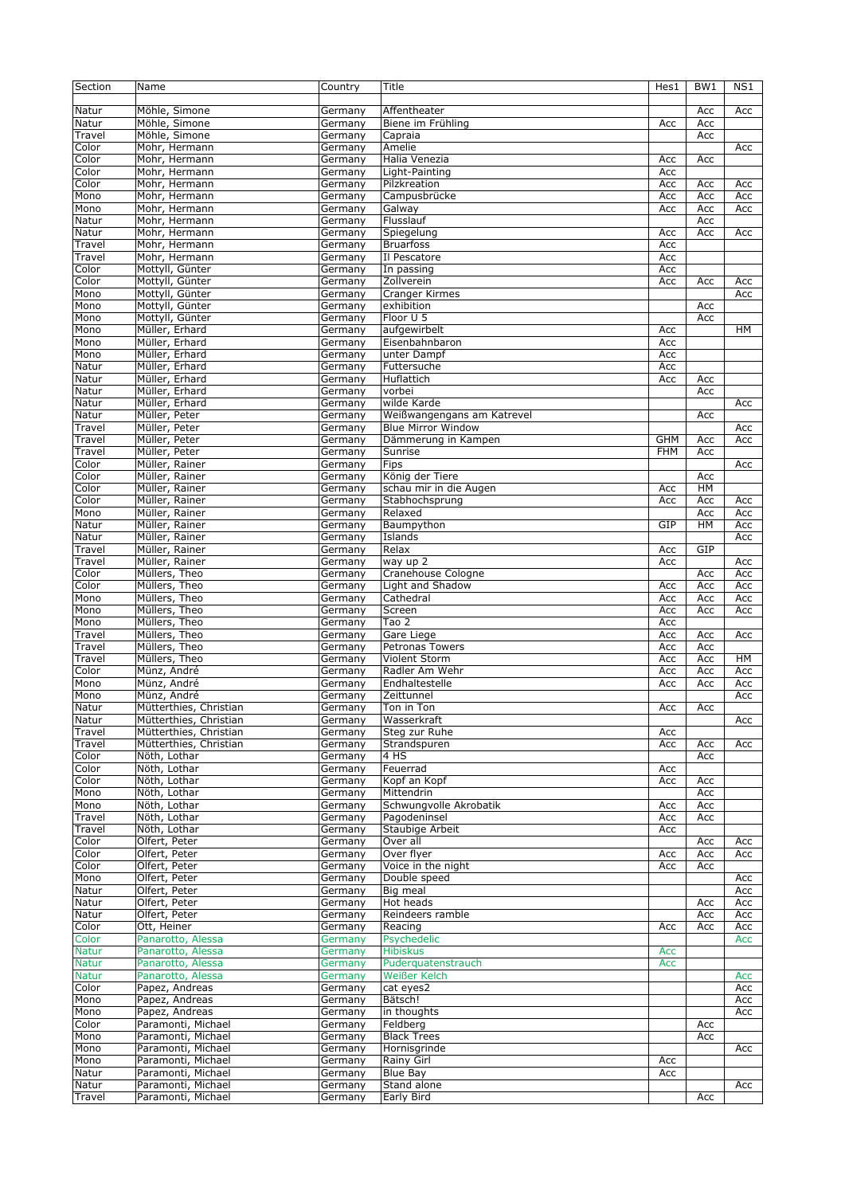| Section      | Name                   | Country | Title                      | Hes1       | BW1 | NS1 |
|--------------|------------------------|---------|----------------------------|------------|-----|-----|
| Natur        | Möhle, Simone          | Germany | Affentheater               |            | Acc | Acc |
| Natur        | Möhle, Simone          | Germany | Biene im Frühling          | Acc        | Acc |     |
| Travel       | Möhle, Simone          | Germany | Capraia                    |            | Acc |     |
| Color        | Mohr, Hermann          | Germany | Amelie                     |            |     | Acc |
| Color        | Mohr, Hermann          | Germany | Halia Venezia              | Acc        | Acc |     |
| Color        | Mohr, Hermann          | Germany | Light-Painting             | Acc        |     |     |
| Color        | Mohr, Hermann          | Germany | Pilzkreation               | Acc        | Acc | Acc |
| Mono         | Mohr, Hermann          | Germany | Campusbrücke               | Acc        | Acc | Acc |
| Mono         | Mohr, Hermann          | Germany | Galway                     | Acc        | Acc | Acc |
| Natur        | Mohr, Hermann          | Germany | Flusslauf                  |            | Acc |     |
| Natur        | Mohr, Hermann          | Germany | Spiegelung                 | Acc        | Acc | Acc |
| Travel       | Mohr, Hermann          | Germany | <b>Bruarfoss</b>           | Acc        |     |     |
| Travel       | Mohr, Hermann          | Germany | Il Pescatore               | Acc        |     |     |
| Color        | Mottyll, Günter        | Germany | In passing                 | Acc        |     |     |
| Color        | Mottyll, Günter        | Germany | Zollverein                 | Acc        | Acc | Acc |
| Mono         | Mottyll, Günter        | Germany | Cranger Kirmes             |            |     | Acc |
| Mono         | Mottyll, Günter        | Germany | exhibition                 |            | Acc |     |
| Mono         | Mottyll, Günter        | Germany | Floor U 5                  |            | Acc |     |
| Mono         | Müller, Erhard         | Germany | aufgewirbelt               | Acc        |     | HM  |
| Mono         | Müller, Erhard         | Germany | Eisenbahnbaron             | Acc        |     |     |
| Mono         | Müller, Erhard         | Germany | unter Dampf                | Acc        |     |     |
| Natur        | Müller, Erhard         | Germany | Futtersuche                | Acc        |     |     |
| Natur        | Müller, Erhard         | Germany | Huflattich                 | Acc        | Acc |     |
| Natur        | Müller, Erhard         | Germany | vorbei                     |            | Acc |     |
| Natur        | Müller, Erhard         | Germany | wilde Karde                |            |     | Acc |
| Natur        | Müller, Peter          |         | Weißwangengans am Katrevel |            | Acc |     |
|              |                        | Germany |                            |            |     |     |
| Travel       | Müller, Peter          | Germany | <b>Blue Mirror Window</b>  |            |     | Acc |
| Travel       | Müller, Peter          | Germany | Dämmerung in Kampen        | <b>GHM</b> | Acc | Acc |
| Travel       | Müller, Peter          | Germany | Sunrise                    | <b>FHM</b> | Acc |     |
| Color        | Müller, Rainer         | Germany | Fips                       |            |     | Acc |
| Color        | Müller, Rainer         | Germany | König der Tiere            |            | Acc |     |
| Color        | Müller, Rainer         | Germany | schau mir in die Augen     | Acc        | HM  |     |
| Color        | Müller, Rainer         | Germany | Stabhochsprung             | Acc        | Acc | Acc |
| Mono         | Müller, Rainer         | Germany | Relaxed                    |            | Acc | Acc |
| Natur        | Müller, Rainer         | Germany | Baumpython                 | GIP        | HM  | Acc |
| Natur        | Müller, Rainer         | Germany | Islands                    |            |     | Acc |
| Travel       | Müller, Rainer         | Germany | Relax                      | Acc        | GIP |     |
| Travel       | Müller, Rainer         | Germany | way up 2                   | Acc        |     | Acc |
| Color        | Müllers, Theo          | Germany | Cranehouse Cologne         |            | Acc | Acc |
| Color        | Müllers, Theo          | Germany | Light and Shadow           | Acc        | Acc | Acc |
| Mono         | Müllers, Theo          | Germany | Cathedral                  | Acc        | Acc | Acc |
| Mono         | Müllers, Theo          | Germany | Screen                     | Acc        | Acc | Acc |
| Mono         | Müllers, Theo          | Germany | Tao 2                      | Acc        |     |     |
| Travel       | Müllers, Theo          | Germany | Gare Liege                 | Acc        | Acc | Acc |
| Travel       | Müllers, Theo          | Germany | Petronas Towers            | Acc        | Acc |     |
| Travel       | Müllers, Theo          | Germany | Violent Storm              | Acc        | Acc | HМ  |
| Color        | Münz, André            | Germany | Radler Am Wehr             | Acc        | Acc | Acc |
| Mono         | Münz, André            | Germany | Endhaltestelle             | Acc        | Acc | Acc |
| Mono         | Münz, André            | Germany | Zeittunnel                 |            |     | Acc |
| Natur        | Mütterthies, Christian | Germany | Ton in Ton                 | Acc        | Acc |     |
| Natur        | Mütterthies, Christian | Germany | Wasserkraft                |            |     | Acc |
| Travel       | Mütterthies, Christian | Germany | Steg zur Ruhe              | Acc        |     |     |
| Travel       | Mütterthies, Christian | Germany | Strandspuren               | Acc        | Acc | Acc |
| Color        | Nöth, Lothar           | Germany | 4 HS                       |            | Acc |     |
| Color        | Nöth, Lothar           | Germany | Feuerrad                   | Acc        |     |     |
| Color        | Nöth, Lothar           | Germany | Kopf an Kopf               | Acc        | Acc |     |
| Mono         | Nöth, Lothar           | Germany | Mittendrin                 |            | Acc |     |
| Mono         | Nöth, Lothar           | Germany | Schwungvolle Akrobatik     | Acc        | Acc |     |
| Travel       | Nöth, Lothar           | Germany | Pagodeninsel               | Acc        | Acc |     |
| Travel       | Nöth, Lothar           | Germany | Staubige Arbeit            | Acc        |     |     |
| Color        | Olfert, Peter          | Germany | Over all                   |            | Acc | Acc |
| Color        | Olfert, Peter          | Germany | Over flyer                 | Acc        | Acc | Acc |
| Color        | Olfert, Peter          | Germany | Voice in the night         | Acc        | Acc |     |
| Mono         | Olfert, Peter          | Germany | Double speed               |            |     | Acc |
| Natur        | Olfert, Peter          | Germany | Big meal                   |            |     | Acc |
| Natur        | Olfert, Peter          | Germany | Hot heads                  |            | Acc | Acc |
| Natur        | Olfert, Peter          | Germany | Reindeers ramble           |            | Acc |     |
|              |                        |         |                            |            |     | Acc |
| Color        | Ott, Heiner            | Germany | Reacing                    | Acc        | Acc | Acc |
| Color        | Panarotto, Alessa      | Germany | Psychedelic                |            |     | Acc |
| <b>Natur</b> | Panarotto, Alessa      | Germany | <b>Hibiskus</b>            | Acc        |     |     |
| <b>Natur</b> | Panarotto, Alessa      | Germany | Puderquatenstrauch         | Acc        |     |     |
| Natur        | Panarotto, Alessa      | Germany | Weißer Kelch               |            |     | Acc |
| Color        | Papez, Andreas         | Germany | cat eyes2                  |            |     | Acc |
| Mono         | Papez, Andreas         | Germany | Bätsch!                    |            |     | Acc |
| Mono         | Papez, Andreas         | Germany | in thoughts                |            |     | Acc |
| Color        | Paramonti, Michael     | Germany | Feldberg                   |            | Acc |     |
| Mono         | Paramonti, Michael     | Germany | <b>Black Trees</b>         |            | Acc |     |
| Mono         | Paramonti, Michael     | Germany | Hornisgrinde               |            |     | Acc |
| Mono         | Paramonti, Michael     | Germany | Rainy Girl                 | Acc        |     |     |
| Natur        | Paramonti, Michael     | Germany | <b>Blue Bay</b>            | Acc        |     |     |
| Natur        | Paramonti, Michael     | Germany | Stand alone                |            |     | Acc |
| Travel       | Paramonti, Michael     | Germany | Early Bird                 |            | Acc |     |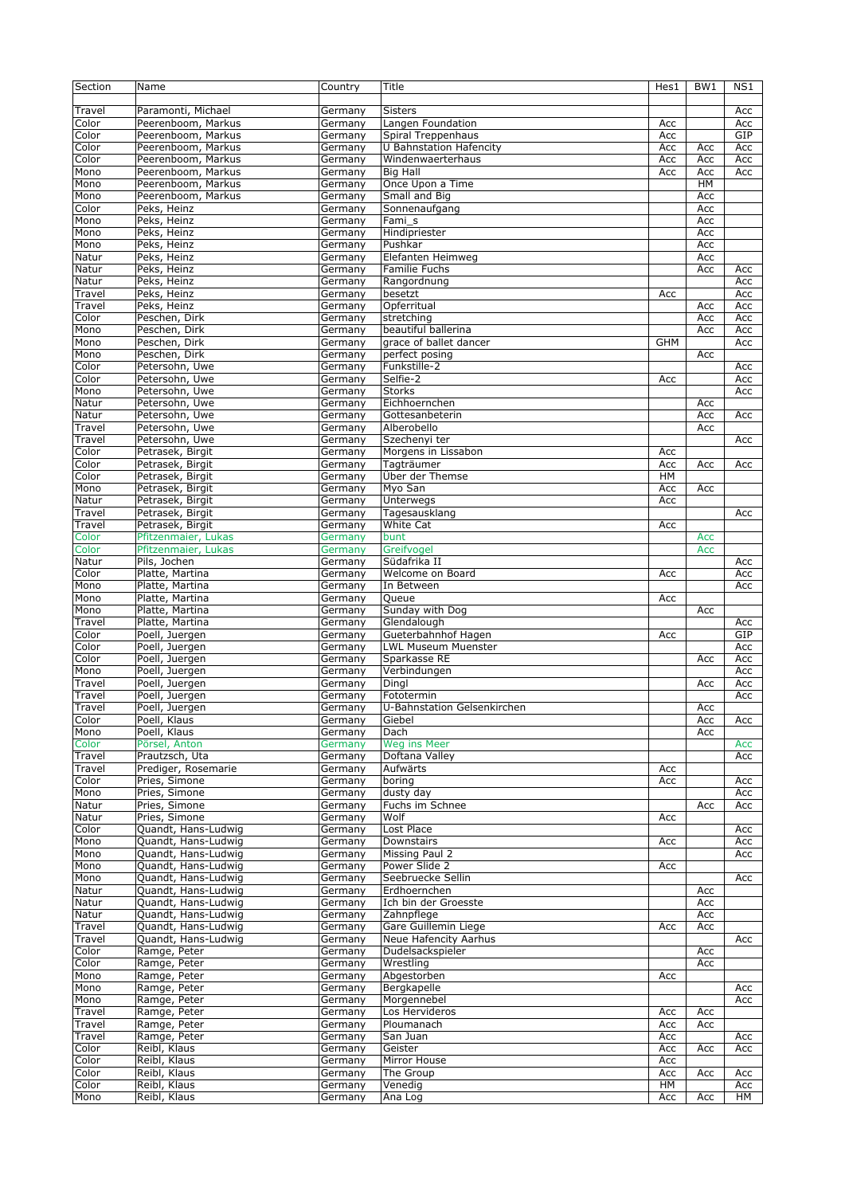| Section       | Name                         | Country            | Title                       | Hes1       | BW <sub>1</sub> | N <sub>S1</sub> |
|---------------|------------------------------|--------------------|-----------------------------|------------|-----------------|-----------------|
|               |                              |                    |                             |            |                 |                 |
| Travel        | Paramonti, Michael           | Germany            | <b>Sisters</b>              |            |                 | Acc             |
| Color         | Peerenboom, Markus           |                    | Langen Foundation           | Acc        |                 | Acc             |
|               |                              | Germany            |                             |            |                 |                 |
| Color         | Peerenboom, Markus           | Germany            | Spiral Treppenhaus          | Acc        |                 | GIP             |
| Color         | Peerenboom, Markus           | Germany            | U Bahnstation Hafencity     | Acc        | Acc             | Acc             |
| Color         | Peerenboom, Markus           | Germany            | Windenwaerterhaus           | Acc        | Acc             | Acc             |
| Mono          | Peerenboom, Markus           | Germany            | <b>Big Hall</b>             | Acc        | Acc             | Acc             |
| Mono          | Peerenboom, Markus           | Germany            | Once Upon a Time            |            | HM              |                 |
| Mono          | Peerenboom, Markus           | Germany            | Small and Big               |            | Acc             |                 |
| Color         | Peks, Heinz                  | Germany            | Sonnenaufgang               |            | Acc             |                 |
| Mono          | Peks, Heinz                  | Germany            | Fami_s                      |            | Acc             |                 |
| Mono          | Peks, Heinz                  | Germany            | Hindipriester               |            | Acc             |                 |
|               |                              |                    |                             |            |                 |                 |
| Mono          | Peks, Heinz                  | Germany            | Pushkar                     |            | Acc             |                 |
| Natur         | Peks, Heinz                  | Germany            | Elefanten Heimweg           |            | Acc             |                 |
| Natur         | Peks, Heinz                  | Germany            | Familie Fuchs               |            | Acc             | Acc             |
| Natur         | Peks, Heinz                  | Germany            | Rangordnung                 |            |                 | Acc             |
| Travel        | Peks, Heinz                  | Germany            | besetzt                     | Acc        |                 | Acc             |
| Travel        | Peks, Heinz                  | Germany            | Opferritual                 |            | Acc             | Acc             |
| Color         | Peschen, Dirk                | Germany            | stretching                  |            | Acc             | Acc             |
| Mono          | Peschen, Dirk                | Germany            | beautiful ballerina         |            | Acc             | Acc             |
|               |                              |                    |                             |            |                 |                 |
| Mono          | Peschen, Dirk                | Germany            | grace of ballet dancer      | <b>GHM</b> |                 | Acc             |
| Mono          | Peschen, Dirk                | Germany            | perfect posing              |            | Acc             |                 |
| Color         | Petersohn, Uwe               | Germany            | Funkstille-2                |            |                 | Acc             |
| Color         | Petersohn, Uwe               | Germany            | Selfie-2                    | Acc        |                 | Acc             |
| Mono          | Petersohn, Uwe               | Germany            | <b>Storks</b>               |            |                 | Acc             |
| Natur         | Petersohn, Uwe               | Germany            | Eichhoernchen               |            | Acc             |                 |
| Natur         | Petersohn, Uwe               | Germany            | Gottesanbeterin             |            | Acc             | Acc             |
| Travel        | Petersohn, Uwe               | Germany            | Alberobello                 |            | Acc             |                 |
|               | Petersohn, Uwe               |                    |                             |            |                 |                 |
| Travel        |                              | Germany            | Szechenyi ter               |            |                 | Acc             |
| Color         | Petrasek, Birgit             | Germany            | Morgens in Lissabon         | Acc        |                 |                 |
| Color         | Petrasek, Birgit             | Germany            | Tagträumer                  | Acc        | Acc             | Acc             |
| Color         | Petrasek, Birgit             | Germany            | Über der Themse             | HM         |                 |                 |
| Mono          | Petrasek, Birgit             | Germany            | Myo San                     | Acc        | Acc             |                 |
| Natur         | Petrasek, Birgit             | Germany            | Unterwegs                   | Acc        |                 |                 |
| Travel        | Petrasek, Birgit             | Germany            | Tagesausklang               |            |                 | Acc             |
| Travel        | Petrasek, Birgit             | Germany            | White Cat                   | Acc        |                 |                 |
|               |                              |                    |                             |            |                 |                 |
| Color         | Pfitzenmaier, Lukas          | Germany            | bunt                        |            | Acc             |                 |
| Color         | Pfitzenmaier, Lukas          | Germany            | Greifvogel                  |            | Acc             |                 |
| Natur         | Pils, Jochen                 | Germany            | Südafrika II                |            |                 | Acc             |
| Color         | Platte, Martina              | Germany            | Welcome on Board            | Acc        |                 | Acc             |
| Mono          | Platte, Martina              | Germany            | In Between                  |            |                 | Acc             |
| Mono          | Platte, Martina              | Germany            | Queue                       | Acc        |                 |                 |
| Mono          | Platte, Martina              | Germany            | Sunday with Dog             |            | Acc             |                 |
| Travel        | Platte, Martina              | Germany            | Glendalough                 |            |                 | Acc             |
|               |                              |                    | Gueterbahnhof Hagen         |            |                 | GIP             |
| Color         | Poell, Juergen               | Germany            |                             | Acc        |                 |                 |
| Color         | Poell, Juergen               | Germany            | <b>LWL Museum Muenster</b>  |            |                 | Acc             |
| Color         | Poell, Juergen               | Germany            | Sparkasse RE                |            | Acc             | Acc             |
| Mono          | Poell, Juergen               | Germany            | Verbindungen                |            |                 | Acc             |
| Travel        |                              |                    | Dingl                       |            |                 |                 |
|               | Poell, Juergen               | Germany            |                             |            | Acc             | Acc             |
|               |                              |                    |                             |            |                 |                 |
| Travel        | Poell, Juergen               | Germany            | Fototermin                  |            |                 | Acc             |
| Travel        | Poell, Juergen               | Germany            | U-Bahnstation Gelsenkirchen |            | Acc             |                 |
| Color         | Poell, Klaus                 | Germany            | Giebel                      |            | Acc             | Acc             |
| Mono          | Poell, Klaus                 | Germany            | Dach                        |            | Acc             |                 |
| Color         | Pörsel, Anton                | Germany            | Weg ins Meer                |            |                 | Acc             |
| Travel        | Prautzsch, Uta               | Germany            | Doftana Valley              |            |                 | Acc             |
| Travel        | Prediger, Rosemarie          | Germany            | Aufwärts                    | Acc        |                 |                 |
| Color         | Pries, Simone                | Germany            | boring                      | Acc        |                 | Acc             |
| Mono          | Pries, Simone                | Germany            | dusty day                   |            |                 | Acc             |
|               |                              |                    |                             |            |                 |                 |
| Natur         | Pries, Simone                | Germany            | Fuchs im Schnee             |            | Acc             | Acc             |
| Natur         | Pries, Simone                | Germany            | Wolf                        | Acc        |                 |                 |
| Color         | Ouandt, Hans-Ludwig          | Germany            | Lost Place                  |            |                 | Acc             |
| Mono          | Quandt, Hans-Ludwig          | Germany            | Downstairs                  | Acc        |                 | Acc             |
| Mono          | Quandt, Hans-Ludwig          | Germany            | Missing Paul 2              |            |                 | Acc             |
| Mono          | Quandt, Hans-Ludwig          | Germany            | Power Slide 2               | Acc        |                 |                 |
| Mono          | Quandt, Hans-Ludwig          | Germany            | Seebruecke Sellin           |            |                 | Acc             |
| Natur         | Quandt, Hans-Ludwig          | Germany            | Erdhoernchen                |            | Acc             |                 |
| Natur         | Quandt, Hans-Ludwig          | Germany            | Ich bin der Groesste        |            | Acc             |                 |
|               |                              |                    |                             |            |                 |                 |
| Natur         | Quandt, Hans-Ludwig          | Germany            | Zahnpflege                  |            | Acc             |                 |
| Travel        | Quandt, Hans-Ludwig          | Germany            | Gare Guillemin Liege        | Acc        | Acc             |                 |
| Travel        | Quandt, Hans-Ludwig          | Germany            | Neue Hafencity Aarhus       |            |                 | Acc             |
| Color         | Ramge, Peter                 | Germany            | Dudelsackspieler            |            | Acc             |                 |
| Color         | Ramge, Peter                 | Germany            | Wrestling                   |            | Acc             |                 |
| Mono          | Ramge, Peter                 | Germany            | Abgestorben                 | Acc        |                 |                 |
| Mono          | Ramge, Peter                 | Germany            | Bergkapelle                 |            |                 | Acc             |
|               |                              |                    | Morgennebel                 |            |                 |                 |
| Mono          | Ramge, Peter                 | Germany            |                             |            |                 | Acc             |
| Travel        | Ramge, Peter                 | Germany            | Los Hervideros              | Acc        | Acc             |                 |
| Travel        | Ramge, Peter                 | Germany            | Ploumanach                  | Acc        | Acc             |                 |
| Travel        | Ramge, Peter                 | Germany            | San Juan                    | Acc        |                 | Acc             |
| Color         | Reibl, Klaus                 | Germany            | Geister                     | Acc        | Acc             | Acc             |
| Color         | Reibl, Klaus                 | Germany            | Mirror House                | Acc        |                 |                 |
| Color         | Reibl, Klaus                 | Germany            | The Group                   | Acc        | Acc             | Acc             |
| Color<br>Mono | Reibl, Klaus<br>Reibl, Klaus | Germany<br>Germany | Venedig<br>Ana Log          | HM         |                 | Acc<br>HM       |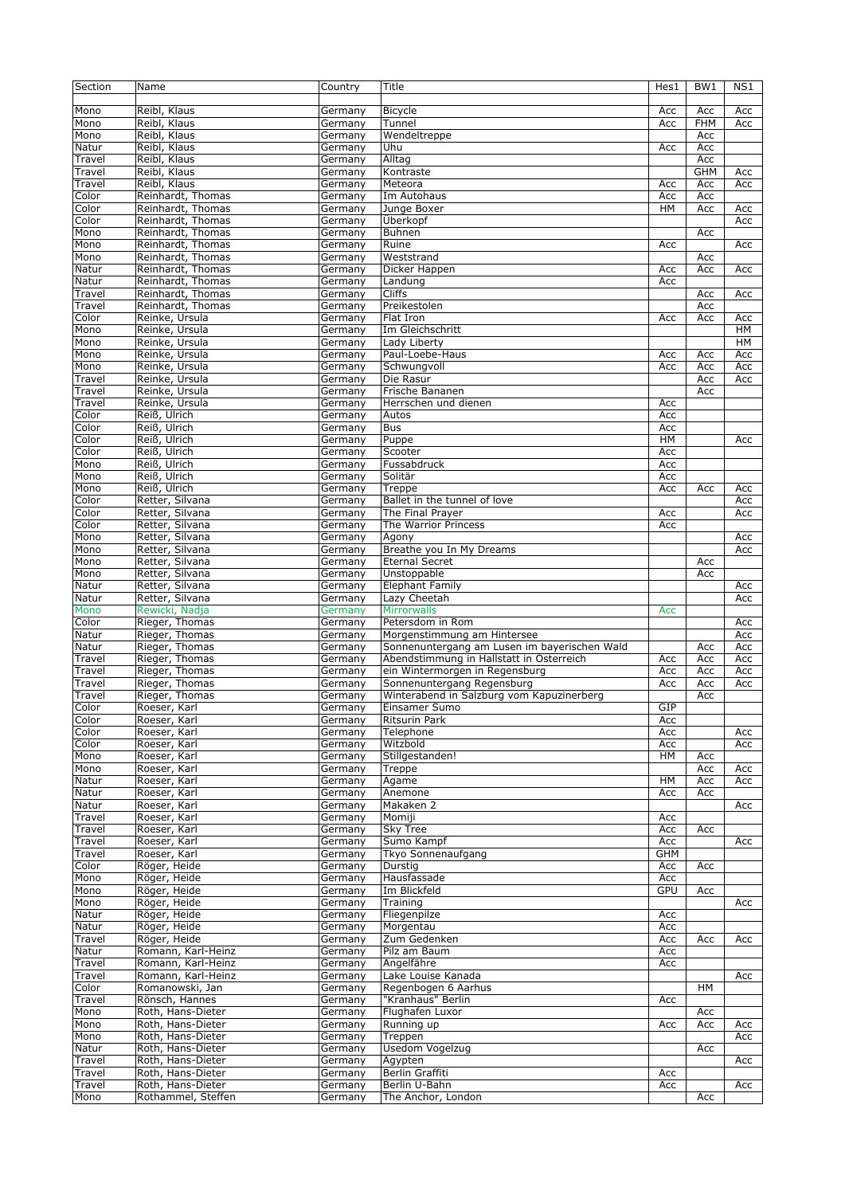| Section         | Name                                   | Country            | Title                                        | Hes1       | BW1        | NS1       |
|-----------------|----------------------------------------|--------------------|----------------------------------------------|------------|------------|-----------|
| Mono            | Reibl, Klaus                           | Germany            | <b>Bicycle</b>                               | Acc        | Acc        | Acc       |
| Mono            | Reibl, Klaus                           | Germany            | Tunnel                                       | Acc        | <b>FHM</b> | Acc       |
| Mono            | Reibl, Klaus                           | Germany            | Wendeltreppe                                 |            | Acc        |           |
| Natur           | Reibl, Klaus                           | Germany            | Uhu                                          | Acc        | Acc        |           |
| Travel          | Reibl, Klaus                           | Germany            | Alltag                                       |            | Acc        |           |
| Travel          | Reibl, Klaus                           | Germany            | Kontraste                                    |            | <b>GHM</b> | Acc       |
| Travel          | Reibl, Klaus                           | Germany            | Meteora                                      | Acc        | Acc        | Acc       |
| Color           | Reinhardt, Thomas                      | Germany            | Im Autohaus                                  | Acc        | Acc        |           |
| Color           | Reinhardt, Thomas                      | Germany            | Junge Boxer                                  | <b>HM</b>  | Acc        | Acc       |
| Color           | Reinhardt, Thomas                      | Germany            | Überkopf                                     |            |            | Acc       |
| Mono            | Reinhardt, Thomas                      | Germany            | Buhnen                                       |            | Acc        |           |
| Mono            | Reinhardt, Thomas                      | Germany            | Ruine                                        | Acc        |            | Acc       |
| Mono            | Reinhardt, Thomas                      | Germany            | Weststrand                                   |            | Acc        |           |
| Natur           | Reinhardt, Thomas                      | Germany            | Dicker Happen                                | Acc        | Acc        | Acc       |
| Natur           | Reinhardt, Thomas                      | Germany            | Landung                                      | Acc        |            |           |
| Travel          | Reinhardt, Thomas                      | Germany            | <b>Cliffs</b>                                |            | Acc        | Acc       |
| Travel          | Reinhardt, Thomas                      | Germany            | Preikestolen                                 |            | Acc        |           |
| Color           | Reinke, Ursula                         | Germany            | Flat Iron                                    | Acc        | Acc        | Acc       |
| Mono            | Reinke, Ursula                         | Germany            | Im Gleichschritt                             |            |            | <b>HM</b> |
| Mono            | Reinke, Ursula                         | Germany            | Lady Liberty                                 |            |            | HM        |
| Mono            | Reinke, Ursula                         | Germany            | Paul-Loebe-Haus                              | Acc        | Acc        | Acc       |
| Mono            | Reinke, Ursula                         | Germany            | Schwungvoll                                  | Acc        | Acc        | Acc       |
| Travel          | Reinke, Ursula                         | Germany            | Die Rasur<br>Frische Bananen                 |            | Acc        | Acc       |
| Travel          | Reinke, Ursula                         | Germany            |                                              |            | Acc        |           |
| Travel<br>Color | Reinke, Ursula<br>Reiß, Ulrich         | Germany            | Herrschen und dienen<br>Autos                | Acc        |            |           |
| Color           | Reiß, Ulrich                           | Germany<br>Germany | <b>Bus</b>                                   | Acc<br>Acc |            |           |
| Color           | Reiß, Ulrich                           | Germany            | Puppe                                        | HM         |            | Acc       |
| Color           | Reiß, Ulrich                           | Germany            | Scooter                                      | Acc        |            |           |
| Mono            | Reiß, Ulrich                           | Germany            | Fussabdruck                                  | Acc        |            |           |
| Mono            | Reiß, Ulrich                           | Germany            | Solitär                                      | Acc        |            |           |
| Mono            | Reiß, Ulrich                           | Germany            | Treppe                                       | Acc        | Acc        | Acc       |
| Color           | Retter, Silvana                        | Germany            | Ballet in the tunnel of love                 |            |            | Acc       |
| Color           | Retter, Silvana                        | Germany            | The Final Prayer                             | Acc        |            | Acc       |
| Color           | Retter, Silvana                        | Germany            | The Warrior Princess                         | Acc        |            |           |
| Mono            | Retter, Silvana                        | Germany            | Agony                                        |            |            | Acc       |
| Mono            | Retter, Silvana                        | Germany            | Breathe you In My Dreams                     |            |            | Acc       |
| Mono            | Retter, Silvana                        | Germany            | <b>Eternal Secret</b>                        |            | Acc        |           |
| Mono            | Retter, Silvana                        | Germany            | Unstoppable                                  |            | Acc        |           |
| Natur           | Retter, Silvana                        | Germany            | <b>Elephant Family</b>                       |            |            | Acc       |
| Natur           | Retter, Silvana                        | Germany            | Lazy Cheetah                                 |            |            | Acc       |
| Mono            | Rewicki, Nadja                         | Germany            | <b>Mirrorwalls</b>                           | Acc        |            |           |
| Color           | Rieger, Thomas                         | Germany            | Petersdom in Rom                             |            |            | Acc       |
| Natur           | Rieger, Thomas                         | Germany            | Morgenstimmung am Hintersee                  |            |            | Acc       |
| Natur           | Rieger, Thomas                         | Germany            | Sonnenuntergang am Lusen im bayerischen Wald |            | Acc        | Acc       |
| Travel          | Rieger, Thomas                         | Germany            | Abendstimmung in Hallstatt in Österreich     | Acc        | Acc        | Acc       |
| Travel          | Rieger, Thomas                         | Germany            | ein Wintermorgen in Regensburg               | Acc        | Acc        | Acc       |
| Travel          | Rieger, Thomas                         | Germany            | Sonnenuntergang Regensburg                   | Acc        | Acc        | Acc       |
| Travel          | Rieger, Thomas                         | Germany            | Winterabend in Salzburg vom Kapuzinerberg    |            | Acc        |           |
| Color           | Roeser, Karl                           | Germany            | Einsamer Sumo                                | GIP        |            |           |
| Color           | Roeser, Karl                           | Germany            | <b>Ritsurin Park</b>                         | Acc        |            |           |
| Color           | Roeser, Karl                           | Germany            | Telephone                                    | Acc        |            | Acc       |
| Color           | Roeser, Karl                           | Germany            | Witzbold                                     | Acc        |            | Acc       |
| Mono            | Roeser, Karl                           | Germany            | Stillgestanden!                              | HМ         | Acc        |           |
| Mono            | Roeser, Karl                           | Germany            | Treppe                                       |            | Acc        | Acc       |
| Natur           | Roeser, Karl                           | Germany            | Agame                                        | HM         | Acc        | Acc       |
| Natur           | Roeser, Karl                           | Germany            | Anemone                                      | Acc        | Acc        |           |
| Natur           | Roeser, Karl                           | Germany            | Makaken 2                                    |            |            | Acc       |
| Travel          | Roeser, Karl                           | Germany            | Momiji                                       | Acc        |            |           |
| Travel          | Roeser, Karl                           | Germany            | <b>Sky Tree</b>                              | Acc        | Acc        |           |
| Travel          | Roeser, Karl                           | Germany            | Sumo Kampf                                   | Acc        |            | Acc       |
| Travel          | Roeser, Karl                           | Germany            | Tkyo Sonnenaufgang                           | <b>GHM</b> |            |           |
| Color           | Röger, Heide                           | Germany            | Durstig                                      | Acc        | Acc        |           |
| Mono            | Röger, Heide                           | Germany            | Hausfassade                                  | Acc        |            |           |
| Mono            | Röger, Heide                           | Germany            | Im Blickfeld                                 | <b>GPU</b> | Acc        |           |
| Mono            | Röger, Heide                           | Germany            | Training                                     |            |            | Acc       |
| Natur           | Röger, Heide                           | Germany            | Fliegenpilze                                 | Acc        |            |           |
| Natur           | Röger, Heide                           | Germany            | Morgentau                                    | Acc        |            |           |
| Travel          | Röger, Heide                           | Germany            | Zum Gedenken                                 | Acc        | Acc        | Acc       |
| Natur           | Romann, Karl-Heinz                     | Germany            | Pilz am Baum                                 | Acc        |            |           |
| Travel          | Romann, Karl-Heinz                     | Germany            | Angelfähre                                   | Acc        |            |           |
| Travel          | Romann, Karl-Heinz                     | Germany            | Lake Louise Kanada<br>Regenbogen 6 Aarhus    |            |            | Acc       |
| Color           | Romanowski, Jan                        | Germany            |                                              |            | <b>HM</b>  |           |
| Travel          | Rönsch, Hannes                         | Germany            | "Kranhaus" Berlin                            | Acc        |            |           |
| Mono            | Roth, Hans-Dieter                      | Germany            | Flughafen Luxor                              |            | Acc        |           |
| Mono            | Roth, Hans-Dieter                      | Germany            | Running up                                   | Acc        | Acc        | Acc       |
| Mono            | Roth, Hans-Dieter<br>Roth, Hans-Dieter | Germany            | Treppen<br>Usedom Vogelzug                   |            |            | Acc       |
| Natur<br>Travel | Roth, Hans-Dieter                      | Germany<br>Germany | Agypten                                      |            | Acc        | Acc       |
| Travel          | Roth, Hans-Dieter                      | Germany            | Berlin Graffiti                              | Acc        |            |           |
| Travel          | Roth, Hans-Dieter                      | Germany            | Berlin U-Bahn                                | Acc        |            | Acc       |
| Mono            | Rothammel, Steffen                     | Germany            | The Anchor, London                           |            | Acc        |           |
|                 |                                        |                    |                                              |            |            |           |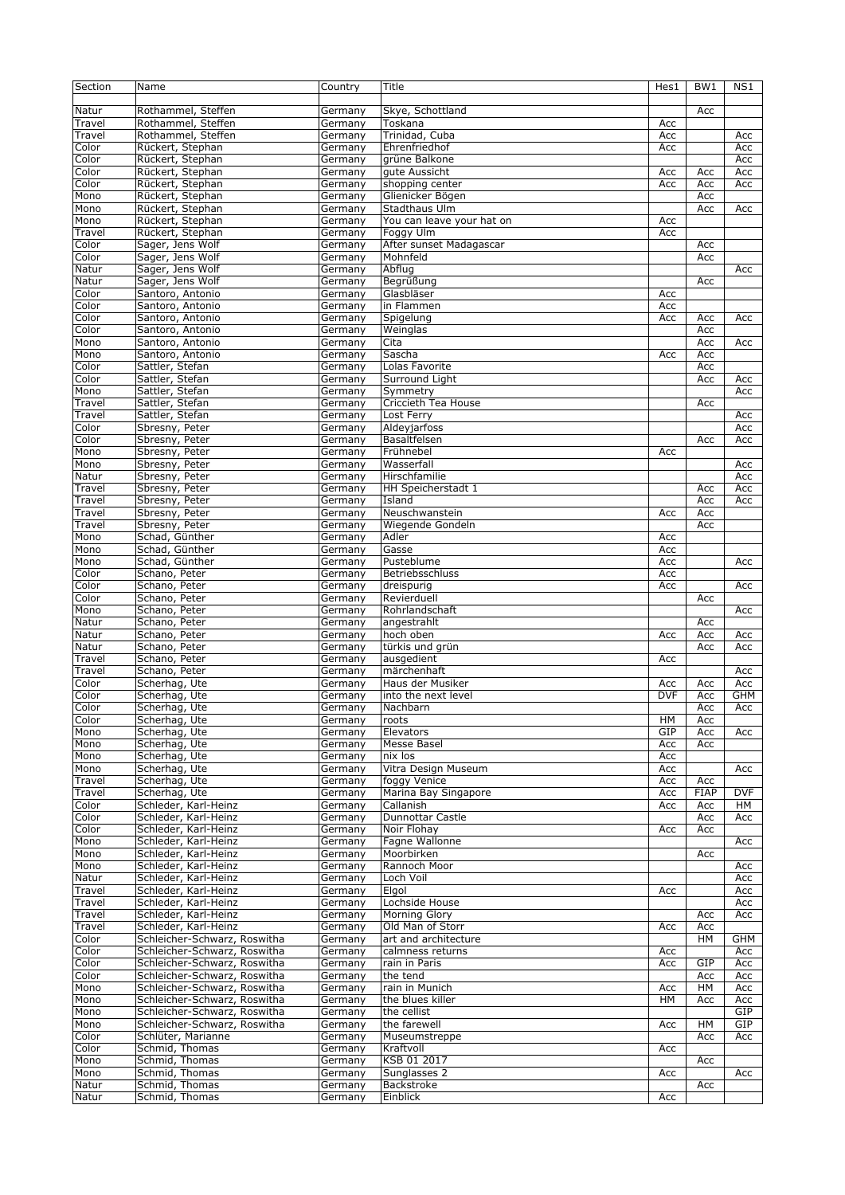| Section        | Name                                                 | Country            | Title                             | Hes1       | BW1         | NS1        |
|----------------|------------------------------------------------------|--------------------|-----------------------------------|------------|-------------|------------|
| Natur          | Rothammel, Steffen                                   | Germany            | Skye, Schottland                  |            | Acc         |            |
| Travel         | Rothammel, Steffen                                   | Germany            | Toskana                           | Acc        |             |            |
| Travel         | Rothammel, Steffen                                   | Germany            | Trinidad, Cuba                    | Acc        |             | Acc        |
| Color          | Rückert, Stephan                                     | Germany            | Ehrenfriedhof                     | Acc        |             | Acc        |
| Color          | Rückert, Stephan                                     | Germany            | grüne Balkone                     |            |             | Acc        |
| Color          | Rückert, Stephan                                     | Germany            | gute Aussicht                     | Acc        | Acc         | Acc        |
| Color          | Rückert, Stephan                                     | Germany            | shopping center                   | Acc        | Acc         | Acc        |
| Mono           | Rückert, Stephan                                     | Germany            | Glienicker Bögen                  |            | Acc         |            |
| Mono           | Rückert, Stephan                                     | Germany            | Stadthaus Ulm                     |            | Acc         | Acc        |
| Mono           | Rückert, Stephan                                     | Germany            | You can leave your hat on         | Acc        |             |            |
| Travel         | Rückert, Stephan                                     | Germany            | Foggy Ulm                         | Acc        |             |            |
| Color          | Sager, Jens Wolf                                     | Germany            | After sunset Madagascar           |            | Acc         |            |
| Color          | Sager, Jens Wolf                                     | Germany            | Mohnfeld                          |            | Acc         |            |
| Natur          | Sager, Jens Wolf                                     | Germany            | Abflug                            |            |             | Acc        |
| Natur          | Sager, Jens Wolf                                     | Germany            | Begrüßung                         |            | Acc         |            |
| Color          | Santoro, Antonio                                     | Germany            | Glasbläser                        | Acc        |             |            |
| Color          | Santoro, Antonio                                     | Germany            | in Flammen                        | Acc        |             |            |
| Color          | Santoro, Antonio                                     | Germany            | Spigelung                         | Acc        | Acc         | Acc        |
| Color          | Santoro, Antonio                                     | Germany            | Weinglas                          |            | Acc         |            |
| Mono           | Santoro, Antonio                                     | Germany            | Cita                              |            | Acc         | Acc        |
| Mono           | Santoro, Antonio                                     | Germany            | Sascha                            | Acc        | Acc         |            |
| Color          | Sattler, Stefan                                      | Germany            | Lolas Favorite                    |            | Acc         |            |
| Color          | Sattler, Stefan                                      | Germany            | Surround Liaht                    |            | Acc         | Acc        |
| Mono           | Sattler, Stefan                                      | Germany            | Symmetry                          |            |             | Acc        |
| Travel         | Sattler, Stefan                                      | Germany            | Criccieth Tea House               |            | Acc         |            |
| Travel         | Sattler, Stefan                                      | Germany            | Lost Ferry                        |            |             | Acc        |
| Color          | Sbresny, Peter                                       | Germany            | Aldeyjarfoss                      |            |             | Acc        |
| Color          | Sbresny, Peter                                       | Germany            | Basaltfelsen                      |            | Acc         | Acc        |
| Mono           | Sbresny, Peter                                       | Germany            | Frühnebel                         | Acc        |             |            |
| Mono           | Sbresny, Peter                                       | Germany            | Wasserfall                        |            |             | Acc        |
| Natur          | Sbresny, Peter                                       | Germany            | Hirschfamilie                     |            |             | Acc        |
| Travel         | Sbresny, Peter                                       | Germany            | HH Speicherstadt 1                |            | Acc         | Acc        |
| Travel         | Sbresny, Peter                                       | Germany            | Island                            |            | Acc         | Acc        |
| Travel         | Sbresny, Peter                                       | Germany            | Neuschwanstein                    | Acc        | Acc         |            |
| Travel         | Sbresny, Peter                                       | Germany            | Wiegende Gondeln                  |            | Acc         |            |
| Mono           | Schad, Günther                                       | Germany            | Adler                             | Acc        |             |            |
| Mono           | Schad, Günther                                       | Germany            | Gasse                             | Acc        |             |            |
| Mono           | Schad, Günther                                       | Germany            | Pusteblume                        | Acc        |             | Acc        |
| Color          | Schano, Peter                                        | Germany            | Betriebsschluss                   | Acc        |             |            |
| Color          | Schano, Peter                                        | Germany            | dreispurig                        | Acc        |             | Acc        |
| Color          | Schano, Peter                                        | Germany            | Revierduell                       |            | Acc         |            |
| Mono           | Schano, Peter                                        | Germany            | Rohrlandschaft                    |            |             | Acc        |
| Natur          | Schano, Peter                                        | Germany            | angestrahlt                       |            | Acc         |            |
| Natur          | Schano, Peter                                        | Germany            | hoch oben                         | Acc        | Acc         | Acc        |
| Natur          | Schano, Peter                                        | Germany            | türkis und grün                   |            | Acc         | Acc        |
| Travel         | Schano, Peter                                        | Germany            | ausgedient                        | Acc        |             |            |
| Travel         | Schano, Peter                                        | Germany            | märchenhaft                       |            |             | Acc        |
| Color          | Scherhag, Ute                                        | Germany            | Haus der Musiker                  | Acc        | Acc         | Acc        |
| Color          | Scherhag, Ute                                        | Germany            | into the next level               | <b>DVF</b> | Acc         | GHM        |
| Color          | Scherhag, Ute                                        | Germany            | Nachbarn                          |            | Acc         | Acc        |
| Color          | Scherhag, Ute                                        | Germany            | roots                             | HМ         | Acc         |            |
| Mono           | Scherhag, Ute                                        | Germany            | Elevators                         | GIP        | Acc         | Acc        |
| Mono           | Scherhag, Ute                                        | Germany            | Messe Basel                       | Acc        | Acc         |            |
| Mono           | Scherhag, Ute                                        | Germany            | nix los                           | Acc        |             |            |
| Mono           | Scherhag, Ute                                        | Germany            | Vitra Design Museum               | Acc        |             | Acc        |
| Travel         | Scherhag, Ute                                        | Germany            | foggy Venice                      | Acc        | Acc         |            |
| Travel         | Scherhag, Ute                                        | Germany            | Marina Bay Singapore              | Acc        | <b>FIAP</b> | <b>DVF</b> |
| Color          | Schleder, Karl-Heinz                                 | Germany            | Callanish                         | Acc        | Acc         | HМ         |
| Color          | Schleder, Karl-Heinz                                 | Germany            | Dunnottar Castle                  |            | Acc         | Acc        |
| Color          | Schleder, Karl-Heinz                                 | Germany            | Noir Flohay                       | Acc        | Acc         |            |
| Mono           | Schleder, Karl-Heinz                                 | Germany            | Fagne Wallonne                    |            |             | Acc        |
| Mono           | Schleder, Karl-Heinz                                 | Germany            | Moorbirken                        |            | Acc         |            |
| Mono           | Schleder, Karl-Heinz                                 | Germany            | Rannoch Moor                      |            |             | Acc        |
| Natur          | Schleder, Karl-Heinz                                 | Germany            | Loch Voil                         |            |             | Acc        |
| Travel         | Schleder, Karl-Heinz                                 | Germany            | Elgol                             | Acc        |             | Acc        |
| Travel         | Schleder, Karl-Heinz                                 | Germany            | Lochside House                    |            |             | Acc        |
| Travel         | Schleder, Karl-Heinz                                 | Germany            | Morning Glory                     |            | Acc         | Acc        |
| Travel         | Schleder, Karl-Heinz<br>Schleicher-Schwarz, Roswitha | Germany            | Old Man of Storr                  | Acc        | Acc         |            |
| Color<br>Color | Schleicher-Schwarz, Roswitha                         | Germany            | art and architecture              |            | HМ          | GHM        |
| Color          | Schleicher-Schwarz, Roswitha                         | Germany            | calmness returns<br>rain in Paris | Acc        | GIP         | Acc<br>Acc |
| Color          | Schleicher-Schwarz, Roswitha                         | Germany            | the tend                          | Acc        | Acc         | Acc        |
| Mono           |                                                      | Germany            | rain in Munich                    |            | HM          | Acc        |
|                | Schleicher-Schwarz, Roswitha                         | Germany            |                                   | Acc        |             |            |
| Mono           | Schleicher-Schwarz, Roswitha                         | Germany            | the blues killer                  | HM         | Acc         | Acc        |
| Mono           | Schleicher-Schwarz, Roswitha                         | Germany            | the cellist                       |            |             | GIP        |
| Mono           | Schleicher-Schwarz, Roswitha                         | Germany            | the farewell                      | Acc        | HМ          | GIP        |
| Color          | Schlüter, Marianne<br>Schmid, Thomas                 | Germany            | Museumstreppe                     |            | Acc         | Acc        |
| Color<br>Mono  | Schmid, Thomas                                       | Germany            | Kraftvoll<br>KSB 01 2017          | Acc        |             |            |
|                | Schmid, Thomas                                       | Germany            | Sunglasses 2                      |            | Acc         |            |
| Mono<br>Natur  | Schmid, Thomas                                       | Germany<br>Germany | Backstroke                        | Acc        | Acc         | Acc        |
| Natur          | Schmid, Thomas                                       | Germany            | Einblick                          | Acc        |             |            |
|                |                                                      |                    |                                   |            |             |            |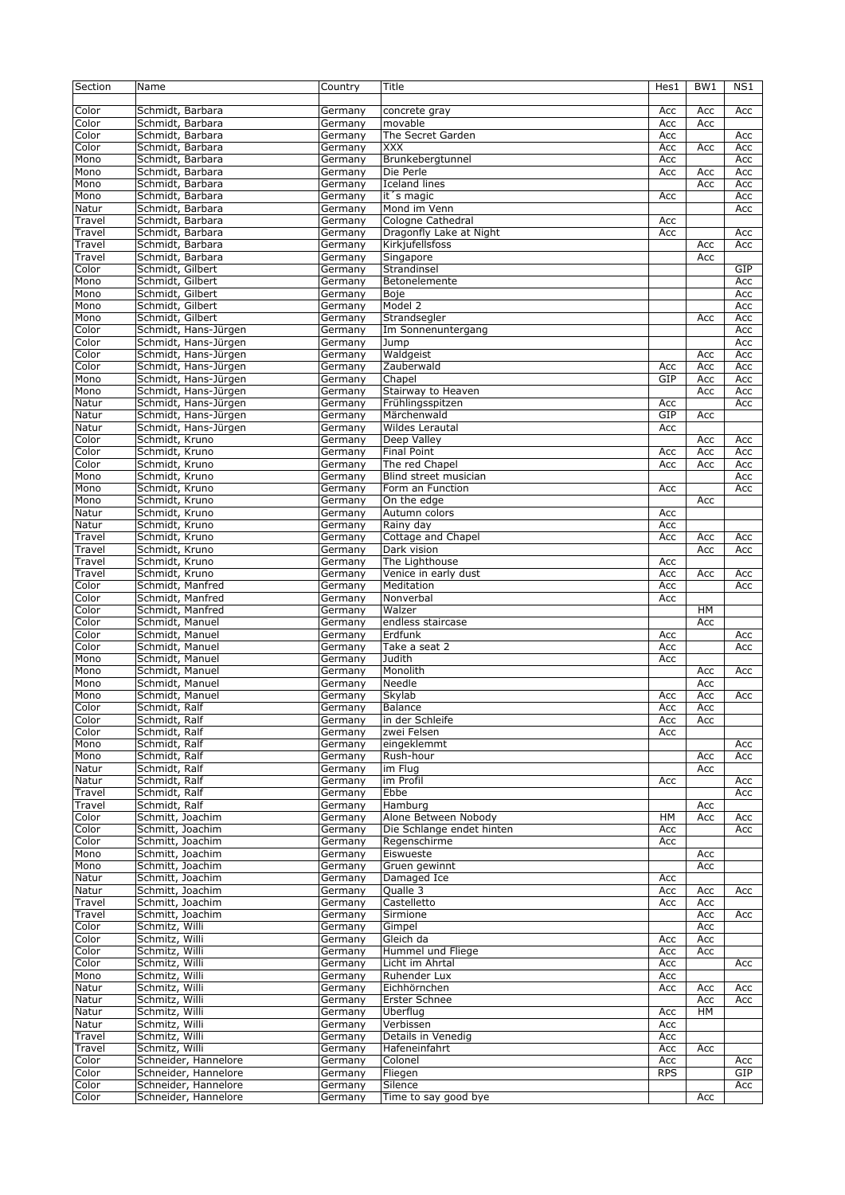| Section         | Name                                         | Country            | Title                             | Hes1       | BW <sub>1</sub> | NS1        |
|-----------------|----------------------------------------------|--------------------|-----------------------------------|------------|-----------------|------------|
| Color           | Schmidt, Barbara                             | Germany            | concrete gray                     | Acc        | Acc             | Acc        |
| Color           | Schmidt, Barbara                             | Germany            | movable                           | Acc        | Acc             |            |
| Color           | Schmidt, Barbara                             | Germany            | The Secret Garden                 | Acc        |                 | Acc        |
| Color           | Schmidt, Barbara                             | Germany            | <b>XXX</b>                        | Acc        | Acc             | Acc        |
| Mono            | Schmidt, Barbara                             | Germany            | Brunkebergtunnel                  | Acc        |                 | Acc        |
| Mono            | Schmidt, Barbara                             | Germany            | Die Perle                         | Acc        | Acc             | Acc        |
| Mono            | Schmidt, Barbara                             | Germany            | <b>Iceland lines</b>              |            | Acc             | Acc        |
| Mono            | Schmidt, Barbara                             | Germany            | it 's magic                       | Acc        |                 | Acc        |
| Natur<br>Travel | Schmidt, Barbara<br>Schmidt, Barbara         | Germany<br>Germany | Mond im Venn<br>Cologne Cathedral | Acc        |                 | Acc        |
| Travel          | Schmidt, Barbara                             | Germany            | Dragonfly Lake at Night           | Acc        |                 | Acc        |
| Travel          | Schmidt, Barbara                             | Germany            | Kirkjufellsfoss                   |            | Acc             | Acc        |
| Travel          | Schmidt, Barbara                             | Germany            | Singapore                         |            | Acc             |            |
| Color           | Schmidt, Gilbert                             | Germany            | Strandinsel                       |            |                 | GIP        |
| Mono            | Schmidt, Gilbert                             | Germany            | Betonelemente                     |            |                 | Acc        |
| Mono            | Schmidt, Gilbert                             | Germany            | Boje                              |            |                 | Acc        |
| Mono            | Schmidt, Gilbert                             | Germany            | Model 2                           |            |                 | Acc        |
| Mono            | Schmidt, Gilbert                             | Germany            | Strandsegler                      |            | Acc             | Acc        |
| Color           | Schmidt, Hans-Jürgen                         | Germany            | Im Sonnenuntergang                |            |                 | Acc        |
| Color           | Schmidt, Hans-Jürgen                         | Germany            | Jump                              |            |                 | Acc        |
| Color           | Schmidt, Hans-Jürgen                         | Germany            | Waldgeist                         |            | Acc             | Acc        |
| Color           | Schmidt, Hans-Jürgen                         | Germany            | Zauberwald                        | Acc        | Acc             | Acc        |
| Mono<br>Mono    | Schmidt, Hans-Jürgen<br>Schmidt, Hans-Jürgen | Germany<br>Germany | Chapel<br>Stairway to Heaven      | GIP        | Acc<br>Acc      | Acc<br>Acc |
| Natur           | Schmidt, Hans-Jürgen                         | Germany            | Frühlingsspitzen                  | Acc        |                 | Acc        |
| Natur           | Schmidt, Hans-Jürgen                         | Germany            | Märchenwald                       | GIP        | Acc             |            |
| Natur           | Schmidt, Hans-Jürgen                         | Germany            | <b>Wildes Lerautal</b>            | Acc        |                 |            |
| Color           | Schmidt, Kruno                               | Germany            | Deep Valley                       |            | Acc             | Acc        |
| Color           | Schmidt, Kruno                               | Germany            | <b>Final Point</b>                | Acc        | Acc             | Acc        |
| Color           | Schmidt, Kruno                               | Germany            | The red Chapel                    | Acc        | Acc             | Acc        |
| Mono            | Schmidt, Kruno                               | Germany            | Blind street musician             |            |                 | Acc        |
| Mono            | Schmidt, Kruno                               | Germany            | Form an Function                  | Acc        |                 | Acc        |
| Mono            | Schmidt, Kruno                               | Germany            | On the edge                       |            | Acc             |            |
| Natur<br>Natur  | Schmidt, Kruno<br>Schmidt, Kruno             | Germany            | Autumn colors<br>Rainy day        | Acc<br>Acc |                 |            |
| Travel          | Schmidt, Kruno                               | Germany<br>Germany | Cottage and Chapel                | Acc        | Acc             | Acc        |
| Travel          | Schmidt, Kruno                               | Germany            | Dark vision                       |            | Acc             | Acc        |
| Travel          | Schmidt, Kruno                               | Germany            | The Lighthouse                    | Acc        |                 |            |
| Travel          | Schmidt, Kruno                               | Germany            | Venice in early dust              | Acc        | Acc             | Acc        |
| Color           | Schmidt, Manfred                             | Germany            | Meditation                        | Acc        |                 | Acc        |
| Color           | Schmidt, Manfred                             | Germany            | Nonverbal                         | Acc        |                 |            |
| Color           | Schmidt, Manfred                             | Germany            | Walzer                            |            | HM              |            |
| Color           | Schmidt, Manuel                              | Germany            | endless staircase                 |            | Acc             |            |
| Color           | Schmidt, Manuel                              | Germany            | Erdfunk<br>Take a seat 2          | Acc        |                 | Acc        |
| Color<br>Mono   | Schmidt, Manuel<br>Schmidt, Manuel           | Germany<br>Germany | Judith                            | Acc<br>Acc |                 | Acc        |
| Mono            | Schmidt, Manuel                              | Germany            | Monolith                          |            | Acc             | Acc        |
| Mono            | Schmidt, Manuel                              | Germany            | Needle                            |            | Acc             |            |
| Mono            | Schmidt, Manuel                              | Germany            | Skylab                            | Acc        | Acc             | Acc        |
| Color           | Schmidt, Ralf                                | Germany            | Balance                           | Acc        | Acc             |            |
| Color           | Schmidt, Ralf                                | Germany            | in der Schleife                   | Acc        | Acc             |            |
| Color           | Schmidt, Ralf                                | Germany            | zwei Felsen                       | Acc        |                 |            |
| Mono            | Schmidt, Ralf                                | Germany            | eingeklemmt                       |            |                 | Acc        |
| Mono            | Schmidt, Ralf<br>Schmidt, Ralf               | Germany            | Rush-hour<br>im Flug              |            | Acc             | Acc        |
| Natur<br>Natur  | Schmidt, Ralf                                | Germany<br>Germany | im Profil                         |            | Acc             | Acc        |
| Travel          | Schmidt, Ralf                                | Germany            | Ebbe                              | Acc        |                 | Acc        |
| Travel          | Schmidt, Ralf                                | Germany            | Hamburg                           |            | Acc             |            |
| Color           | Schmitt, Joachim                             | Germany            | Alone Between Nobody              | HМ         | Acc             | Acc        |
| Color           | Schmitt, Joachim                             | Germany            | Die Schlange endet hinten         | Acc        |                 | Acc        |
| Color           | Schmitt, Joachim                             | Germany            | Regenschirme                      | Acc        |                 |            |
| Mono            | Schmitt, Joachim                             | Germany            | Eiswueste                         |            | Acc             |            |
| Mono            | Schmitt, Joachim                             | Germany            | Gruen gewinnt                     |            | Acc             |            |
| Natur           | Schmitt, Joachim                             | Germany            | Damaged Ice                       | Acc        |                 |            |
| Natur<br>Travel | Schmitt, Joachim<br>Schmitt, Joachim         | Germany<br>Germany | Qualle 3<br>Castelletto           | Acc<br>Acc | Acc<br>Acc      | Acc        |
| Travel          | Schmitt, Joachim                             | Germany            | Sirmione                          |            | Acc             | Acc        |
| Color           | Schmitz, Willi                               | Germany            | Gimpel                            |            | Acc             |            |
| Color           | Schmitz, Willi                               | Germany            | Gleich da                         | Acc        | Acc             |            |
| Color           | Schmitz, Willi                               | Germany            | Hummel und Fliege                 | Acc        | Acc             |            |
| Color           | Schmitz, Willi                               | Germany            | Licht im Ahrtal                   | Acc        |                 | Acc        |
| Mono            | Schmitz, Willi                               | Germany            | Ruhender Lux                      | Acc        |                 |            |
| Natur           | Schmitz, Willi                               | Germany            | Eichhörnchen                      | Acc        | Acc             | Acc        |
| Natur           | Schmitz, Willi                               | Germany            | Erster Schnee                     |            | Acc             | Acc        |
| Natur           | Schmitz, Willi                               | Germany            | Überflug                          | Acc        | HM              |            |
| Natur<br>Travel | Schmitz, Willi<br>Schmitz, Willi             | Germany<br>Germany | Verbissen<br>Details in Venedig   | Acc<br>Acc |                 |            |
| Travel          | Schmitz, Willi                               | Germany            | Hafeneinfahrt                     | Acc        | Acc             |            |
| Color           | Schneider, Hannelore                         | Germany            | Colonel                           | Acc        |                 | Acc        |
| Color           | Schneider, Hannelore                         | Germany            | Fliegen                           | <b>RPS</b> |                 | GIP        |
| Color           | Schneider, Hannelore                         | Germany            | Silence                           |            |                 | Acc        |
| Color           | Schneider, Hannelore                         | Germany            | Time to say good bye              |            | Acc             |            |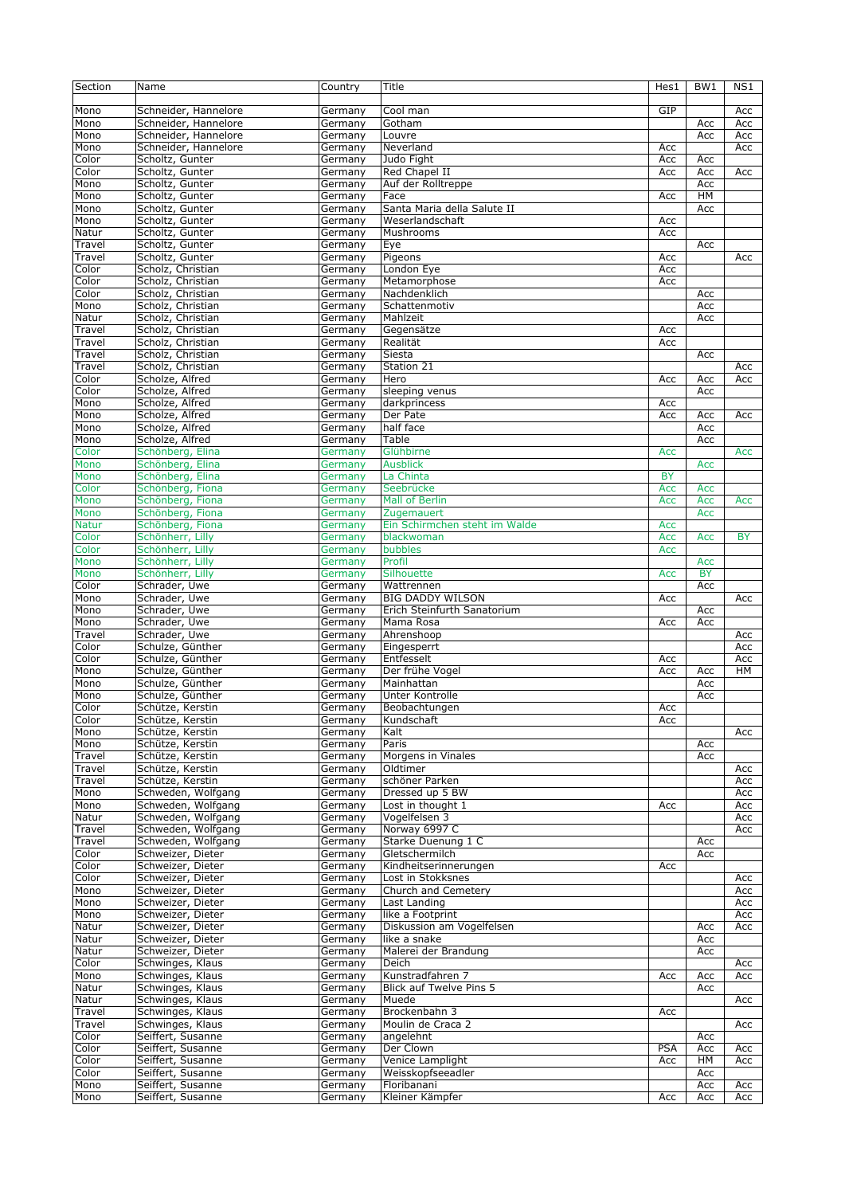| Section      | Name                                     | Country | Title                               | Hes1       | BW1        | NS1       |
|--------------|------------------------------------------|---------|-------------------------------------|------------|------------|-----------|
|              |                                          |         |                                     |            |            |           |
| Mono         | Schneider, Hannelore                     | Germany | Cool man                            | GIP        |            | Acc       |
| Mono         | Schneider, Hannelore                     | Germany | Gotham                              |            | Acc        | Acc       |
| Mono         | Schneider, Hannelore                     | Germany | Louvre                              |            | Acc        | Acc       |
| Mono         | Schneider, Hannelore                     | Germany | Neverland                           | Acc        |            | Acc       |
| Color        | Scholtz, Gunter                          | Germany | Judo Fight                          | Acc        | Acc        |           |
| Color        | Scholtz, Gunter                          | Germany | Red Chapel II                       | Acc        | Acc        | Acc       |
| Mono         | Scholtz, Gunter                          | Germany | Auf der Rolltreppe                  |            | Acc        |           |
| Mono         | Scholtz, Gunter                          | Germany | Face                                | Acc        | HM         |           |
| Mono         | Scholtz, Gunter                          | Germany | Santa Maria della Salute II         |            | Acc        |           |
| Mono         | Scholtz, Gunter                          | Germany | Weserlandschaft                     | Acc        |            |           |
| Natur        | Scholtz, Gunter                          | Germany | Mushrooms                           | Acc        |            |           |
| Travel       | Scholtz, Gunter                          | Germany | Eye                                 |            | Acc        |           |
| Travel       | Scholtz, Gunter                          | Germany | Pigeons                             | Acc        |            | Acc       |
| Color        | Scholz, Christian                        | Germany | London Eye                          | Acc        |            |           |
| Color        | Scholz, Christian                        | Germany | Metamorphose                        | Acc        |            |           |
| Color        | Scholz, Christian                        | Germany | Nachdenklich                        |            | Acc        |           |
| Mono         | Scholz, Christian                        | Germany | Schattenmotiv                       |            | Acc        |           |
| Natur        | Scholz, Christian                        | Germany | Mahlzeit                            |            | Acc        |           |
| Travel       | Scholz, Christian                        | Germany | Gegensätze                          | Acc        |            |           |
| Travel       | Scholz, Christian                        | Germany | Realität                            | Acc        |            |           |
| Travel       | Scholz, Christian                        | Germany | Siesta                              |            | Acc        |           |
| Travel       | Scholz, Christian                        | Germany | Station 21                          |            |            | Acc       |
|              | Scholze, Alfred                          |         | Hero                                |            |            |           |
| Color        | Scholze, Alfred                          | Germany |                                     | Acc        | Acc        | Acc       |
| Color        |                                          | Germany | sleeping venus                      |            | Acc        |           |
| Mono         | Scholze, Alfred                          | Germany | darkprincess                        | Acc        |            |           |
| Mono         | Scholze, Alfred                          | Germany | Der Pate                            | Acc        | Acc        | Acc       |
| Mono         | Scholze, Alfred                          | Germany | half face                           |            | Acc        |           |
| Mono         | Scholze, Alfred                          | Germany | Table                               |            | Acc        |           |
| Color        | Schönberg, Elina                         | Germany | Glühbirne                           | Acc        |            | Acc       |
| Mono         | Schönberg, Elina                         | Germany | <b>Ausblick</b>                     |            | Acc        |           |
| Mono         | Schönberg, Elina                         | Germany | La Chinta                           | <b>BY</b>  |            |           |
| Color        | Schönberg, Fiona                         | Germany | Seebrücke                           | Acc        | Acc        |           |
| Mono         | Schönberg, Fiona                         | Germany | Mall of Berlin                      | Acc        | Acc        | Acc       |
| Mono         | Schönberg, Fiona                         | Germany | Zugemauert                          |            | Acc        |           |
| <b>Natur</b> | Schönberg, Fiona                         | Germany | Ein Schirmchen steht im Walde       | Acc        |            |           |
| Color        | Schönherr, Lilly                         | Germany | blackwoman                          | Acc        | Acc        | <b>BY</b> |
| Color        | Schönherr, Lilly                         | Germany | bubbles                             | Acc        |            |           |
| Mono         | Schönherr, Lilly                         | Germany | Profil                              |            | Acc        |           |
| Mono         | Schönherr, Lilly                         | Germany | Silhouette                          | Acc        | <b>BY</b>  |           |
| Color        | Schrader, Uwe                            | Germany | Wattrennen                          |            | Acc        |           |
| Mono         | Schrader, Uwe                            | Germany | <b>BIG DADDY WILSON</b>             | Acc        |            | Acc       |
| Mono         | Schrader, Uwe                            | Germany | Erich Steinfurth Sanatorium         |            | Acc        |           |
| Mono         | Schrader, Uwe                            | Germany | Mama Rosa                           | Acc        | Acc        |           |
| Travel       | Schrader, Uwe                            | Germany | Ahrenshoop                          |            |            | Acc       |
| Color        | Schulze, Günther                         | Germany | Eingesperrt                         |            |            | Acc       |
| Color        | Schulze, Günther                         | Germany | Entfesselt                          | Acc        |            | Acc       |
| Mono         | Schulze, Günther                         | Germany | Der frühe Vogel                     | Acc        | Acc        | HM        |
| Mono         | Schulze, Günther                         | Germany | Mainhattan                          |            | Acc        |           |
| Mono         | Schulze, Günther                         | Germany | Unter Kontrolle                     |            | Acc        |           |
| Color        | Schütze, Kerstin                         | Germany | Beobachtungen                       | Acc        |            |           |
| Color        | Schütze, Kerstin                         | Germany | Kundschaft                          | Acc        |            |           |
| Mono         | Schütze, Kerstin                         | Germany | Kalt                                |            |            | Acc       |
| Mono         | Schütze, Kerstin                         | Germany | Paris                               |            | Acc        |           |
| Travel       | Schütze, Kerstin                         | Germany | Morgens in Vinales                  |            | Acc        |           |
| Travel       | Schütze, Kerstin                         | Germany | Oldtimer                            |            |            | Acc       |
| Travel       | Schütze, Kerstin                         | Germany | schöner Parken                      |            |            | Acc       |
| Mono         | Schweden, Wolfgang                       | Germany | Dressed up 5 BW                     |            |            | Acc       |
|              | Schweden, Wolfgang                       |         |                                     |            |            |           |
| Mono         |                                          | Germany | Lost in thought 1                   | Acc        |            | Acc       |
| Natur        | Schweden, Wolfgang                       | Germany | Vogelfelsen 3                       |            |            | Acc       |
| Travel       | Schweden, Wolfgang<br>Schweden, Wolfgang | Germany | Norway 6997 C<br>Starke Duenung 1 C |            |            | Acc       |
| Travel       |                                          | Germany |                                     |            | Acc        |           |
| Color        | Schweizer, Dieter                        | Germany | Gletschermilch                      |            | Acc        |           |
| Color        | Schweizer, Dieter                        | Germany | Kindheitserinnerungen               | Acc        |            |           |
| Color        | Schweizer, Dieter                        | Germany | Lost in Stokksnes                   |            |            | Acc       |
| Mono         | Schweizer, Dieter                        | Germany | Church and Cemetery                 |            |            | Acc       |
| Mono         | Schweizer, Dieter                        | Germany | Last Landing                        |            |            | Acc       |
| Mono         | Schweizer, Dieter                        | Germany | like a Footprint                    |            |            | Acc       |
| Natur        | Schweizer, Dieter                        | Germany | Diskussion am Vogelfelsen           |            | Acc        | Acc       |
| Natur        | Schweizer, Dieter                        | Germany | like a snake                        |            | Acc        |           |
| Natur        | Schweizer, Dieter                        | Germany | Malerei der Brandung                |            | Acc        |           |
| Color        | Schwinges, Klaus                         | Germany | Deich                               |            |            | Acc       |
| Mono         | Schwinges, Klaus                         | Germany | Kunstradfahren 7                    | Acc        | Acc        | Acc       |
| Natur        |                                          |         | Blick auf Twelve Pins 5             |            |            |           |
| Natur        | Schwinges, Klaus                         | Germany |                                     |            | Acc        |           |
|              | Schwinges, Klaus                         | Germany | Muede                               |            |            | Acc       |
| Travel       | Schwinges, Klaus                         | Germany | Brockenbahn 3                       | Acc        |            |           |
| Travel       | Schwinges, Klaus                         | Germany | Moulin de Craca 2                   |            |            | Acc       |
| Color        | Seiffert, Susanne                        | Germany | angelehnt                           |            | Acc        |           |
| Color        | Seiffert, Susanne                        | Germany | Der Clown                           | <b>PSA</b> | Acc        | Acc       |
| Color        | Seiffert, Susanne                        | Germany | Venice Lamplight                    | Acc        | HМ         | Acc       |
| Color        | Seiffert, Susanne                        | Germany | Weisskopfseeadler                   |            | Acc        |           |
| Mono<br>Mono | Seiffert, Susanne<br>Seiffert, Susanne   | Germany | Floribanani<br>Kleiner Kämpfer      |            | Acc<br>Acc | Acc       |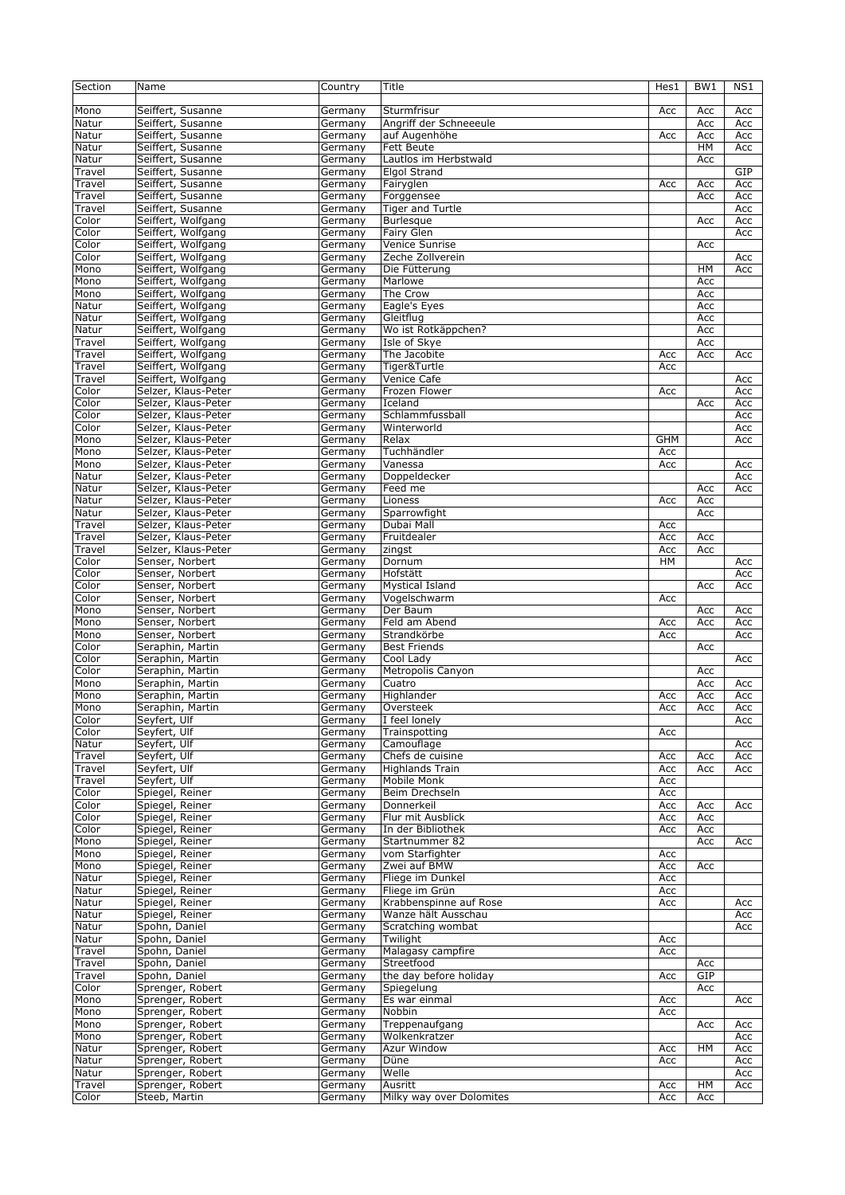| Section         | Name                              | Country            | Title                               | Hes1       | BW1       | NS1 |
|-----------------|-----------------------------------|--------------------|-------------------------------------|------------|-----------|-----|
|                 |                                   |                    |                                     |            |           |     |
| Mono            | Seiffert, Susanne                 | Germany            | Sturmfrisur                         | Acc        | Acc       | Acc |
| Natur           | Seiffert, Susanne                 |                    | Angriff der Schneeeule              |            | Acc       | Acc |
|                 |                                   | Germany            |                                     |            |           |     |
| Natur           | Seiffert, Susanne                 | Germany            | auf Augenhöhe                       | Acc        | Acc       | Acc |
| Natur           | Seiffert, Susanne                 | Germany            | Fett Beute                          |            | HM        | Acc |
| Natur           | Seiffert, Susanne                 | Germany            | Lautlos im Herbstwald               |            | Acc       |     |
| Travel          | Seiffert, Susanne                 | Germany            | <b>Elgol Strand</b>                 |            |           | GIP |
| Travel          | Seiffert, Susanne                 | Germany            | Fairyglen                           | Acc        | Acc       | Acc |
| Travel          | Seiffert, Susanne                 | Germany            | Forggensee                          |            | Acc       | Acc |
| Travel          | Seiffert, Susanne                 | Germany            | <b>Tiger and Turtle</b>             |            |           | Acc |
|                 |                                   |                    |                                     |            |           | Acc |
| Color           | Seiffert, Wolfgang                | Germany            | <b>Burlesque</b>                    |            | Acc       |     |
| Color           | Seiffert, Wolfgang                | Germany            | Fairy Glen                          |            |           | Acc |
| Color           | Seiffert, Wolfgang                | Germany            | Venice Sunrise                      |            | Acc       |     |
| Color           | Seiffert, Wolfgang                | Germany            | Zeche Zollverein                    |            |           | Acc |
| Mono            | Seiffert, Wolfgang                | Germany            | Die Fütterung                       |            | $H$ M     | Acc |
| Mono            | Seiffert, Wolfgang                | Germany            | Marlowe                             |            | Acc       |     |
| Mono            | Seiffert, Wolfgang                | Germany            | The Crow                            |            | Acc       |     |
|                 | Seiffert, Wolfgang                |                    |                                     |            |           |     |
| Natur           |                                   | Germany            | Eagle's Eyes                        |            | Acc       |     |
| Natur           | Seiffert, Wolfgang                | Germany            | Gleitflug                           |            | Acc       |     |
| Natur           | Seiffert, Wolfgang                | Germany            | Wo ist Rotkäppchen?                 |            | Acc       |     |
| Travel          | Seiffert, Wolfgang                | Germany            | Isle of Skye                        |            | Acc       |     |
| Travel          | Seiffert, Wolfgang                | Germany            | The Jacobite                        | Acc        | Acc       | Acc |
| Travel          | Seiffert, Wolfgang                | Germany            | Tiger&Turtle                        | Acc        |           |     |
| Travel          |                                   |                    | Venice Cafe                         |            |           |     |
|                 | Seiffert, Wolfgang                | Germany            |                                     |            |           | Acc |
| Color           | Selzer, Klaus-Peter               | Germany            | Frozen Flower                       | Acc        |           | Acc |
| Color           | Selzer, Klaus-Peter               | Germany            | Iceland                             |            | Acc       | Acc |
| Color           | Selzer, Klaus-Peter               | Germany            | Schlammfussball                     |            |           | Acc |
| Color           | Selzer, Klaus-Peter               | Germany            | Winterworld                         |            |           | Acc |
| Mono            | Selzer, Klaus-Peter               | Germany            | Relax                               | <b>GHM</b> |           | Acc |
| Mono            | Selzer, Klaus-Peter               |                    | Tuchhändler                         | Acc        |           |     |
|                 |                                   | Germany            |                                     |            |           |     |
| Mono            | Selzer, Klaus-Peter               | Germany            | Vanessa                             | Acc        |           | Acc |
| Natur           | Selzer, Klaus-Peter               | Germany            | Doppeldecker                        |            |           | Acc |
| Natur           | Selzer, Klaus-Peter               | Germany            | Feed me                             |            | Acc       | Acc |
| Natur           | Selzer, Klaus-Peter               | Germany            | Lioness                             | Acc        | Acc       |     |
| Natur           | Selzer, Klaus-Peter               | Germany            | Sparrowfight                        |            | Acc       |     |
| Travel          | Selzer, Klaus-Peter               | Germany            | Dubai Mall                          | Acc        |           |     |
|                 |                                   |                    |                                     |            |           |     |
| Travel          | Selzer, Klaus-Peter               | Germany            | Fruitdealer                         | Acc        | Acc       |     |
| Travel          | Selzer, Klaus-Peter               | Germany            | zingst                              | Acc        | Acc       |     |
| Color           | Senser, Norbert                   | Germany            | Dornum                              | HМ         |           | Acc |
| Color           | Senser, Norbert                   | Germany            | Hofstätt                            |            |           | Acc |
| Color           | Senser, Norbert                   | Germany            | <b>Mystical Island</b>              |            | Acc       | Acc |
|                 |                                   |                    |                                     |            |           |     |
|                 |                                   |                    |                                     |            |           |     |
| Color           | Senser, Norbert                   | Germany            | Vogelschwarm                        | Acc        |           |     |
| Mono            | Senser, Norbert                   | Germany            | Der Baum                            |            | Acc       | Acc |
| Mono            | Senser, Norbert                   | Germany            | Feld am Abend                       | Acc        | Acc       | Acc |
| Mono            | Senser, Norbert                   | Germany            | Strandkörbe                         | Acc        |           | Acc |
| Color           | Seraphin, Martin                  |                    | <b>Best Friends</b>                 |            | Acc       |     |
|                 |                                   | Germany            |                                     |            |           |     |
| Color           | Seraphin, Martin                  | Germany            | Cool Lady                           |            |           | Acc |
| Color           | Seraphin, Martin                  | Germany            | Metropolis Canyon                   |            | Acc       |     |
| Mono            | Seraphin, Martin                  | Germany            | Cuatro                              |            | Acc       | Acc |
| Mono            | Seraphin, Martin                  | Germany            | Highlander                          | Acc        | Acc       | Acc |
| Mono            | Seraphin, Martin                  | Germany            | Oversteek                           | Acc        | Acc       | Acc |
| Color           | Seyfert, Ulf                      | Germany            | I feel lonely                       |            |           | Acc |
| Color           | Seyfert, Ulf                      | Germany            |                                     |            |           |     |
|                 |                                   |                    | Trainspotting                       | Acc        |           |     |
| Natur           | Seyfert, Ulf                      | Germany            | Camouflage                          |            |           | Acc |
| Travel          | Seyfert, Ulf                      | Germany            | Chefs de cuisine                    | Acc        | Acc       | Acc |
| Travel          | Seyfert, Ulf                      | Germany            | <b>Highlands Train</b>              | Acc        | Acc       | Acc |
| Travel          | Seyfert, Ulf                      | Germany            | <b>Mobile Monk</b>                  | Acc        |           |     |
| Color           | Spiegel, Reiner                   | Germany            | Beim Drechseln                      | Acc        |           |     |
| Color           | Spiegel, Reiner                   | Germany            | Donnerkeil                          | Acc        | Acc       | Acc |
| Color           | Spiegel, Reiner                   | Germany            | Flur mit Ausblick                   | Acc        | Acc       |     |
|                 |                                   |                    |                                     |            |           |     |
| Color           | Spiegel, Reiner                   | Germany            | In der Bibliothek                   | Acc        | Acc       |     |
| Mono            | Spiegel, Reiner                   | Germany            | Startnummer 82                      |            | Acc       | Acc |
| Mono            | Spiegel, Reiner                   | Germany            | vom Starfighter                     | Acc        |           |     |
| Mono            | Spiegel, Reiner                   | Germany            | Zwei auf BMW                        | Acc        | Acc       |     |
| Natur           | Spiegel, Reiner                   | Germany            | Fliege im Dunkel                    | Acc        |           |     |
| Natur           | Spiegel, Reiner                   | Germany            | Fliege im Grün                      | Acc        |           |     |
|                 |                                   |                    |                                     |            |           |     |
| Natur           | Spiegel, Reiner                   | Germany            | Krabbenspinne auf Rose              | Acc        |           | Acc |
| Natur           | Spiegel, Reiner                   | Germany            | Wanze hält Ausschau                 |            |           | Acc |
| Natur           | Spohn, Daniel                     | Germany            | Scratching wombat                   |            |           | Acc |
| Natur           | Spohn, Daniel                     | Germany            | Twilight                            | Acc        |           |     |
| Travel          | Spohn, Daniel                     | Germany            | Malagasy campfire                   | Acc        |           |     |
| Travel          | Spohn, Daniel                     | Germany            | Streetfood                          |            | Acc       |     |
| Travel          | Spohn, Daniel                     | Germany            | the day before holiday              | Acc        | GIP       |     |
|                 |                                   |                    |                                     |            |           |     |
| Color           | Sprenger, Robert                  | Germany            | Spiegelung                          |            | Acc       |     |
| Mono            | Sprenger, Robert                  | Germany            | Es war einmal                       | Acc        |           | Acc |
| Mono            | Sprenger, Robert                  | Germany            | Nobbin                              | Acc        |           |     |
| Mono            | Sprenger, Robert                  | Germany            | Treppenaufgang                      |            | Acc       | Acc |
| Mono            | Sprenger, Robert                  | Germany            | Wolkenkratzer                       |            |           | Acc |
| Natur           | Sprenger, Robert                  | Germany            | Azur Window                         | Acc        | HМ        | Acc |
|                 |                                   |                    |                                     |            |           |     |
| Natur           | Sprenger, Robert                  | Germany            | Düne                                | Acc        |           | Acc |
| Natur           | Sprenger, Robert                  | Germany            | Welle                               |            |           | Acc |
| Travel<br>Color | Sprenger, Robert<br>Steeb, Martin | Germany<br>Germany | Ausritt<br>Milky way over Dolomites | Acc<br>Acc | HM<br>Acc | Acc |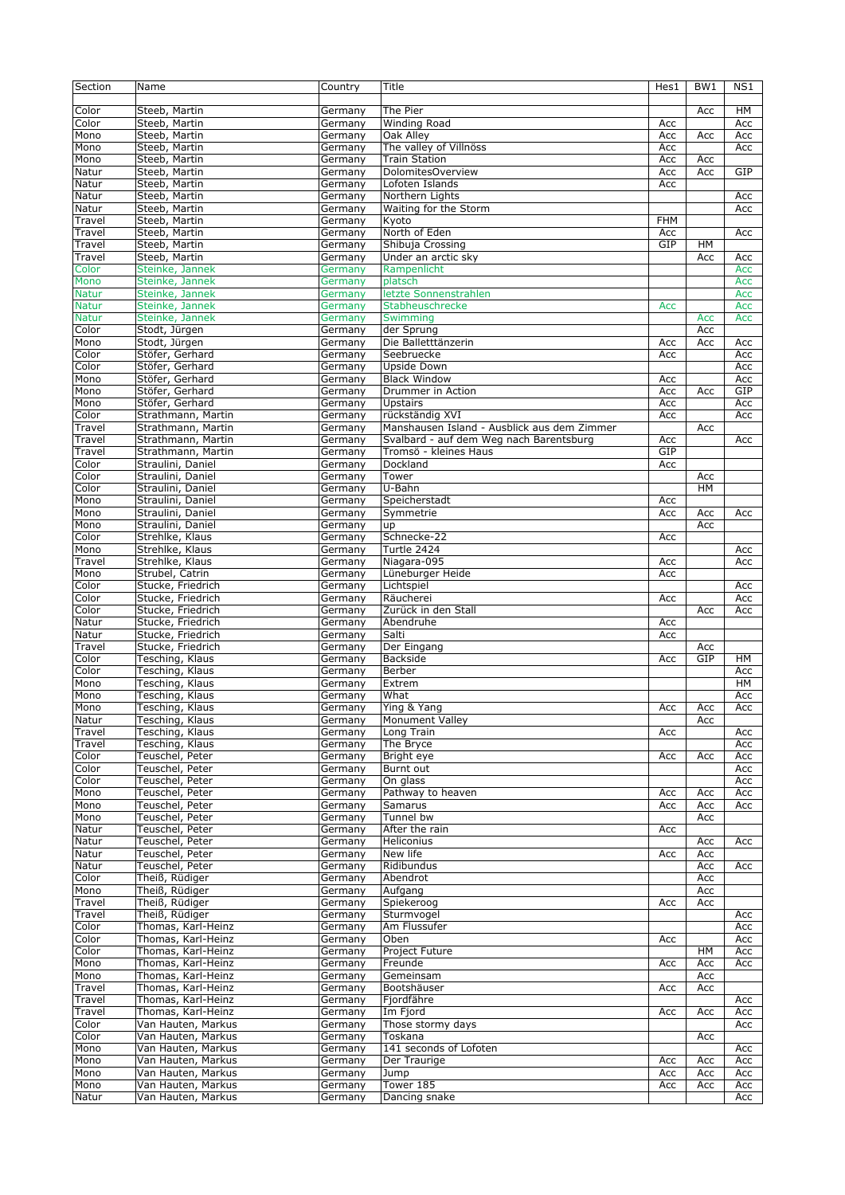| Section              | Name                                     | Country            | Title                                       | Hes1       | BW1       | NS1        |
|----------------------|------------------------------------------|--------------------|---------------------------------------------|------------|-----------|------------|
| Color                | Steeb, Martin                            | Germany            | The Pier                                    |            | Acc       | HМ         |
| Color                | Steeb, Martin                            | Germany            | <b>Winding Road</b>                         | Acc        |           | Acc        |
| Mono                 | Steeb, Martin                            | Germany            | Oak Alley                                   | Acc        | Acc       | Acc        |
| Mono                 | Steeb, Martin                            | Germany            | The valley of Villnöss                      | Acc        |           | Acc        |
| Mono                 | Steeb, Martin                            | Germany            | <b>Train Station</b>                        | Acc        | Acc       |            |
| Natur                | Steeb, Martin                            | Germany            | DolomitesOverview                           | Acc        | Acc       | GIP        |
| Natur                | Steeb, Martin                            | Germany            | Lofoten Islands                             | Acc        |           |            |
| Natur                | Steeb, Martin                            | Germany            | Northern Lights                             |            |           | Acc        |
| Natur                | Steeb, Martin                            | Germany            | Waiting for the Storm                       |            |           | Acc        |
| Travel               | Steeb, Martin                            | Germany            | Kyoto                                       | <b>FHM</b> |           |            |
| Travel               | Steeb, Martin                            | Germany            | North of Eden                               | Acc        |           | Acc        |
| Travel               | Steeb, Martin                            | Germany            | Shibuja Crossing                            | GIP        | HM        |            |
| Travel               | Steeb, Martin                            | Germany            | Under an arctic sky                         |            | Acc       | Acc        |
| Color                | Steinke, Jannek                          | Germany            | Rampenlicht                                 |            |           | Acc        |
| Mono<br><b>Natur</b> | Steinke, Jannek<br>Steinke, Jannek       | Germany            | platsch<br>letzte Sonnenstrahlen            |            |           | Acc        |
| <b>Natur</b>         | Steinke, Jannek                          | Germany<br>Germany | Stabheuschrecke                             | Acc        |           | Acc<br>Acc |
| <b>Natur</b>         | Steinke, Jannek                          | Germany            | Swimming                                    |            | Acc       | Acc        |
| Color                | Stodt, Jürgen                            | Germany            | der Sprung                                  |            | Acc       |            |
| Mono                 | Stodt, Jürgen                            | Germany            | Die Balletttänzerin                         | Acc        | Acc       | Acc        |
| Color                | Stöfer, Gerhard                          | Germany            | Seebruecke                                  | Acc        |           | Acc        |
| Color                | Stöfer, Gerhard                          | Germany            | Upside Down                                 |            |           | Acc        |
| Mono                 | Stöfer, Gerhard                          | Germany            | <b>Black Window</b>                         | Acc        |           | Acc        |
| Mono                 | Stöfer, Gerhard                          | Germany            | Drummer in Action                           | Acc        | Acc       | GIP        |
| Mono                 | Stöfer, Gerhard                          | Germany            | <b>Upstairs</b>                             | Acc        |           | Acc        |
| Color                | Strathmann, Martin                       | Germany            | rückständig XVI                             | Acc        |           | Acc        |
| Travel               | Strathmann, Martin                       | Germany            | Manshausen Island - Ausblick aus dem Zimmer |            | Acc       |            |
| Travel               | Strathmann, Martin                       | Germany            | Svalbard - auf dem Weg nach Barentsburg     | Acc        |           | Acc        |
| Travel               | Strathmann, Martin                       | Germany            | Tromsö - kleines Haus                       | GIP        |           |            |
| Color                | Straulini, Daniel                        | Germany            | Dockland                                    | Acc        |           |            |
| Color                | Straulini, Daniel                        | Germany            | Tower                                       |            | Acc       |            |
| Color                | Straulini, Daniel                        | Germany            | U-Bahn                                      |            | <b>HM</b> |            |
| Mono                 | Straulini, Daniel                        | Germany            | Speicherstadt                               | Acc        |           |            |
| Mono                 | Straulini, Daniel                        | Germany            | Symmetrie                                   | Acc        | Acc       | Acc        |
| Mono                 | Straulini, Daniel                        | Germany            | up                                          |            | Acc       |            |
| Color                | Strehlke, Klaus                          | Germany            | Schnecke-22                                 | Acc        |           |            |
| Mono                 | Strehlke, Klaus                          | Germany            | Turtle 2424                                 |            |           | Acc        |
| Travel               | Strehlke, Klaus                          | Germany            | Niagara-095                                 | Acc        |           | Acc        |
| Mono                 | Strubel, Catrin                          | Germany            | Lüneburger Heide                            | Acc        |           |            |
| Color                | Stucke, Friedrich                        | Germany            | Lichtspiel                                  |            |           | Acc        |
| $C$ olor<br>Color    | Stucke, Friedrich                        | Germany            | Räucherei                                   | Acc        |           | Acc        |
| Natur                | Stucke, Friedrich<br>Stucke, Friedrich   | Germany            | Zurück in den Stall<br>Abendruhe            | Acc        | Acc       | Acc        |
| Natur                | Stucke, Friedrich                        | Germany<br>Germany | Salti                                       | Acc        |           |            |
| Travel               | Stucke, Friedrich                        | Germany            | Der Eingang                                 |            | Acc       |            |
| Color                | Tesching, Klaus                          | Germany            | <b>Backside</b>                             | Acc        | GIP       | HM         |
| Color                | Tesching, Klaus                          | Germany            | Berber                                      |            |           | Acc        |
| Mono                 | Tesching, Klaus                          | Germany            | Extrem                                      |            |           | HM         |
| Mono                 | Tesching, Klaus                          | Germany            | What                                        |            |           | Acc        |
| Mono                 | Tesching, Klaus                          | Germany            | Ying & Yang                                 | Acc        | Acc       | Acc        |
| Natur                | Tesching, Klaus                          | Germany            | <b>Monument Valley</b>                      |            | Acc       |            |
| Travel               | Tesching, Klaus                          | Germany            | Long Train                                  | Acc        |           | Acc        |
| Travel               | Tesching, Klaus                          | Germany            | The Bryce                                   |            |           | Acc        |
| Color                | Teuschel, Peter                          | Germany            | Bright eye                                  | Acc        | Acc       | Acc        |
| Color                | Teuschel, Peter                          | Germany            | Burnt out                                   |            |           | Acc        |
| Color                | Teuschel, Peter                          | Germany            | On glass                                    |            |           | Acc        |
| Mono                 | Teuschel, Peter                          | Germany            | Pathway to heaven                           | Acc        | Acc       | Acc        |
| Mono                 | Teuschel, Peter                          | Germany            | Samarus                                     | Acc        | Acc       | Acc        |
| Mono                 | Teuschel, Peter                          | Germany            | Tunnel bw                                   |            | Acc       |            |
| Natur<br>Natur       | Teuschel, Peter<br>Teuschel, Peter       | Germany            | After the rain<br>Heliconius                | Acc        | Acc       | Acc        |
| Natur                | Teuschel, Peter                          | Germany<br>Germany | New life                                    | Acc        | Acc       |            |
| Natur                | Teuschel, Peter                          | Germany            | Ridibundus                                  |            | Acc       | Acc        |
| Color                | Theiß, Rüdiger                           | Germany            | Abendrot                                    |            | Acc       |            |
| Mono                 | Theiß, Rüdiger                           | Germany            | Aufgang                                     |            | Acc       |            |
| Travel               | Theiß, Rüdiger                           | Germany            | Spiekeroog                                  | Acc        | Acc       |            |
| Travel               | Theiß, Rüdiger                           | Germany            | Sturmvogel                                  |            |           | Acc        |
| Color                | Thomas, Karl-Heinz                       | Germany            | Am Flussufer                                |            |           | Acc        |
| Color                | Thomas, Karl-Heinz                       | Germany            | Oben                                        | Acc        |           | Acc        |
| Color                | Thomas, Karl-Heinz                       | Germany            | Project Future                              |            | HM        | Acc        |
| Mono                 | Thomas, Karl-Heinz                       | Germany            | Freunde                                     | Acc        | Acc       | Acc        |
| Mono                 | Thomas, Karl-Heinz                       | Germany            | Gemeinsam                                   |            | Acc       |            |
| Travel               | Thomas, Karl-Heinz                       | Germany            | Bootshäuser                                 | Acc        | Acc       |            |
| Travel               | Thomas, Karl-Heinz                       | Germany            | Fjordfähre                                  |            |           | Acc        |
| Travel               | Thomas, Karl-Heinz                       | Germany            | Im Fjord                                    | Acc        | Acc       | Acc        |
| Color                | Van Hauten, Markus                       | Germany            | Those stormy days                           |            |           | Acc        |
| Color                | Van Hauten, Markus                       | Germany            | Toskana                                     |            | Acc       |            |
| Mono                 | Van Hauten, Markus                       | Germany            | 141 seconds of Lofoten                      |            |           | Acc        |
| Mono                 | Van Hauten, Markus                       | Germany            | Der Traurige                                | Acc        | Acc       | Acc        |
| Mono                 | Van Hauten, Markus                       | Germany            | Jump                                        | Acc        | Acc       | Acc        |
| Mono<br>Natur        | Van Hauten, Markus<br>Van Hauten, Markus | Germany            | Tower 185                                   | Acc        | Acc       | Acc        |
|                      |                                          | Germany            | Dancing snake                               |            |           | Acc        |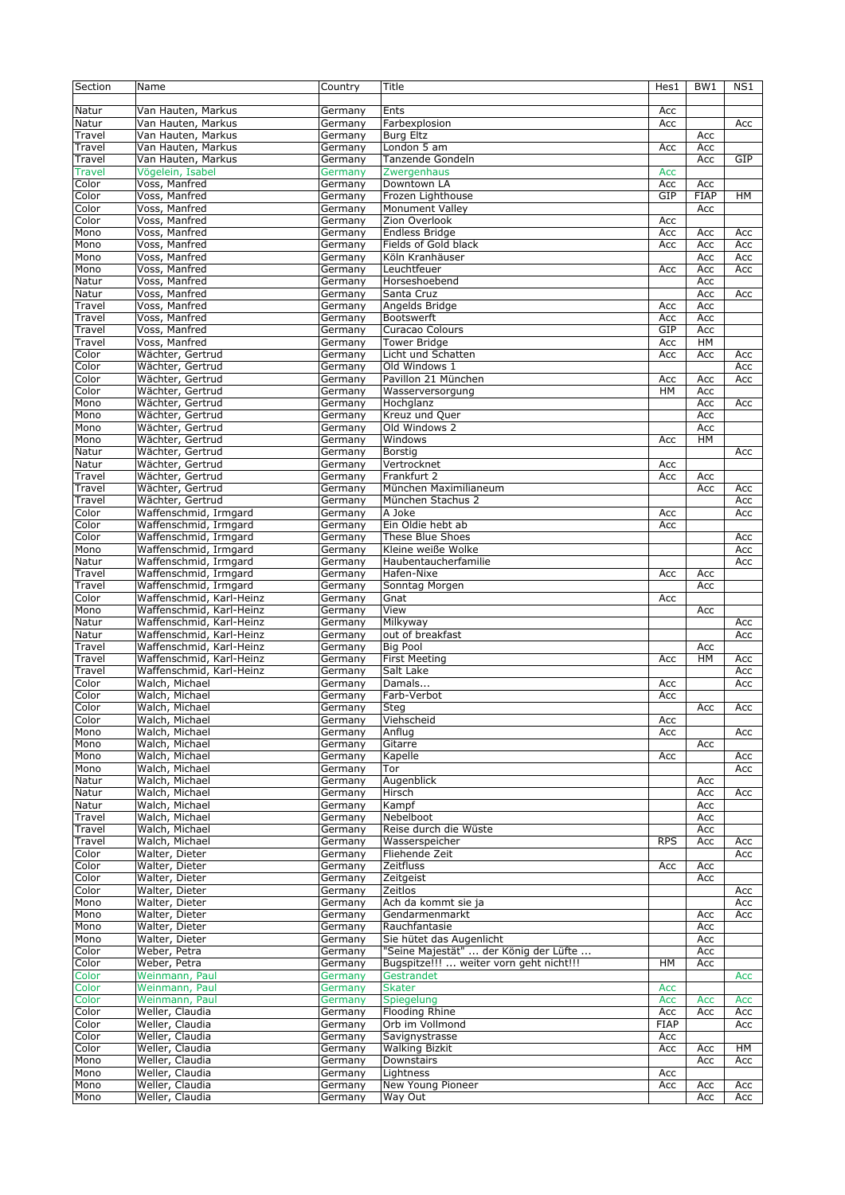| Section         | Name                               | Country            | Title                                   | Hes1        | BW <sub>1</sub> | NS1        |
|-----------------|------------------------------------|--------------------|-----------------------------------------|-------------|-----------------|------------|
|                 |                                    |                    |                                         |             |                 |            |
| Natur           | Van Hauten, Markus                 | Germany            | Ents                                    | Acc         |                 |            |
| Natur           | Van Hauten, Markus                 | Germany            | Farbexplosion                           | Acc         |                 | Acc        |
| Travel          | Van Hauten, Markus                 |                    | <b>Burg Eltz</b>                        |             |                 |            |
|                 |                                    | Germany            |                                         |             | Acc             |            |
| Travel          | Van Hauten, Markus                 | Germany            | London 5 am                             | Acc         | Acc             |            |
| Travel          | Van Hauten, Markus                 | Germany            | Tanzende Gondeln                        |             | Acc             | GIP        |
| <b>Travel</b>   | Vögelein, Isabel                   | Germany            | Zwergenhaus                             | Acc         |                 |            |
| Color           | Voss, Manfred                      | Germany            | Downtown LA                             | Acc         | Acc             |            |
| Color           | Voss, Manfred                      | Germany            | Frozen Lighthouse                       | GIP         | <b>FIAP</b>     | HM         |
| Color           | Voss, Manfred                      | Germany            | <b>Monument Valley</b>                  |             | Acc             |            |
| Color           | Voss, Manfred                      | Germany            | Zion Overlook                           | Acc         |                 |            |
| Mono            | Voss, Manfred                      | Germany            | <b>Endless Bridge</b>                   | Acc         | Acc             | Acc        |
| Mono            | Voss, Manfred                      | Germany            | Fields of Gold black                    | Acc         | Acc             | Acc        |
|                 | Voss, Manfred                      |                    |                                         |             |                 |            |
| Mono            |                                    | Germany            | Köln Kranhäuser                         |             | Acc             | Acc        |
| Mono            | Voss, Manfred                      | Germany            | Leuchtfeuer                             | Acc         | Acc             | Acc        |
| Natur           | Voss, Manfred                      | Germany            | Horseshoebend                           |             | Acc             |            |
| Natur           | Voss, Manfred                      | Germany            | Santa Cruz                              |             | Acc             | Acc        |
| Travel          | Voss, Manfred                      | Germany            | Angelds Bridge                          | Acc         | Acc             |            |
| Travel          | Voss, Manfred                      | Germany            | <b>Bootswerft</b>                       | Acc         | Acc             |            |
| Travel          | Voss, Manfred                      | Germany            | Curacao Colours                         | GIP         | Acc             |            |
| Travel          | Voss, Manfred                      | Germany            | <b>Tower Bridge</b>                     | Acc         | HM              |            |
| Color           | Wächter, Gertrud                   | Germany            | Licht und Schatten                      | Acc         | Acc             | Acc        |
| Color           | Wächter, Gertrud                   |                    | Old Windows 1                           |             |                 | Acc        |
|                 |                                    | Germany            |                                         |             |                 |            |
| Color           | Wächter, Gertrud                   | Germany            | Pavillon 21 München                     | Acc         | Acc             | Acc        |
| Co <sub>I</sub> | Wächter, Gertrud                   | Germany            | Wasserversorgung                        | HМ          | Acc             |            |
| Mono            | Wächter, Gertrud                   | Germany            | Hochglanz                               |             | Acc             | Acc        |
| Mono            | Wächter, Gertrud                   | Germany            | Kreuz und Quer                          |             | Acc             |            |
| Mono            | Wächter, Gertrud                   | Germany            | Old Windows 2                           |             | Acc             |            |
| Mono            | Wächter, Gertrud                   | Germany            | Windows                                 | Acc         | HM              |            |
| Natur           | Wächter, Gertrud                   | Germany            | Borstig                                 |             |                 | Acc        |
| Natur           | Wächter, Gertrud                   | Germany            | Vertrocknet                             | Acc         |                 |            |
| Travel          | Wächter, Gertrud                   | Germany            | Frankfurt 2                             | Acc         | Acc             |            |
|                 | Wächter, Gertrud                   |                    | München Maximilianeum                   |             |                 |            |
| Travel          |                                    | Germany            |                                         |             | Acc             | Acc        |
| Travel          | Wächter, Gertrud                   | Germany            | München Stachus 2                       |             |                 | Acc        |
| Color           | Waffenschmid, Irmgard              | Germany            | A Joke                                  | Acc         |                 | Acc        |
| Color           | Waffenschmid, Irmgard              | Germany            | Ein Oldie hebt ab                       | Acc         |                 |            |
| Color           | Waffenschmid, Irmgard              | Germany            | These Blue Shoes                        |             |                 | Acc        |
| Mono            | Waffenschmid, Irmgard              | Germany            | Kleine weiße Wolke                      |             |                 | Acc        |
| Natur           | Waffenschmid, Irmgard              | Germany            | Haubentaucherfamilie                    |             |                 | Acc        |
| Travel          | Waffenschmid, Irmgard              | Germany            | Hafen-Nixe                              | Acc         | Acc             |            |
| Travel          | Waffenschmid, Irmgard              | Germany            | Sonntag Morgen                          |             | Acc             |            |
| Color           | Waffenschmid, Karl-Heinz           | Germany            | Gnat                                    | Acc         |                 |            |
|                 | Waffenschmid, Karl-Heinz           | Germany            | View                                    |             |                 |            |
| Mono            | Waffenschmid, Karl-Heinz           |                    | Milkyway                                |             | Acc             |            |
|                 |                                    |                    |                                         |             |                 | Acc        |
| Natur           |                                    | Germany            |                                         |             |                 |            |
| Natur           | Waffenschmid, Karl-Heinz           | Germany            | out of breakfast                        |             |                 | Acc        |
| Travel          | Waffenschmid, Karl-Heinz           | Germany            | <b>Big Pool</b>                         |             | Acc             |            |
| Travel          | Waffenschmid, Karl-Heinz           | Germany            | <b>First Meeting</b>                    | Acc         | HM              | Acc        |
| Travel          | Waffenschmid, Karl-Heinz           | Germany            | Salt Lake                               |             |                 | Acc        |
| Color           |                                    |                    |                                         | Acc         |                 | Acc        |
|                 | Walch, Michael                     | Germany            | Damals                                  |             |                 |            |
| Color           | Walch, Michael                     | Germany            | Farb-Verbot                             | Acc         |                 |            |
| Color           | Walch, Michael                     | Germany            | Steg                                    |             | Acc             | Acc        |
| Color           | Walch, Michael                     | Germany            | Viehscheid                              | Acc         |                 |            |
| Mono            | Walch, Michael                     | Germany            | Anflug                                  | Acc         |                 | Acc        |
| Mono            | Walch, Michael                     | Germany            | Gitarre                                 |             | Acc             |            |
| Mono            | Walch, Michael                     | Germany            | Kapelle                                 | Acc         |                 | Acc        |
| Mono            | Walch, Michael                     | Germany            | Tor                                     |             |                 | Acc        |
| Natur           | Walch, Michael                     | Germany            | Augenblick                              |             | Acc             |            |
| Natur           | Walch, Michael                     | Germany            | Hirsch                                  |             | Acc             | Acc        |
| Natur           |                                    | Germany            | Kampf                                   |             | Acc             |            |
| Travel          | Walch, Michael<br>Walch, Michael   | Germany            | Nebelboot                               |             | Acc             |            |
|                 |                                    |                    |                                         |             |                 |            |
| Travel          | Walch, Michael                     | Germany            | Reise durch die Wüste                   |             | Acc             |            |
| Travel          | Walch, Michael                     | Germany            | Wasserspeicher                          | <b>RPS</b>  | Асс             | Acc        |
| Color           | Walter, Dieter                     | Germany            | Fliehende Zeit                          |             |                 | Acc        |
| Color           | Walter, Dieter                     | Germany            | Zeitfluss                               | Acc         | Acc             |            |
| Color           | Walter, Dieter                     | Germany            | Zeitgeist                               |             | Acc             |            |
| Color           | Walter, Dieter                     | Germany            | Zeitlos                                 |             |                 | Acc        |
| Mono            | Walter, Dieter                     | Germany            | Ach da kommt sie ja                     |             |                 | Acc        |
| Mono            | Walter, Dieter                     | Germany            | Gendarmenmarkt                          |             | Acc             | Acc        |
| Mono            | Walter, Dieter                     | Germany            | Rauchfantasie                           |             | Асс             |            |
| Mono            | Walter, Dieter                     | Germany            | Sie hütet das Augenlicht                |             | Acc             |            |
|                 |                                    |                    |                                         |             |                 |            |
| Color           | Weber, Petra                       | Germany            | "Seine Majestät"  der König der Lüfte   |             | Acc             |            |
| Color           | Weber, Petra                       | Germany            | Bugspitze!!!  weiter vorn geht nicht!!! | HM          | Acc             |            |
| Color           | Weinmann, Paul                     | Germany            | Gestrandet                              |             |                 | Acc        |
| Color           | Weinmann, Paul                     | Germany            | <b>Skater</b>                           | Acc         |                 |            |
| Color           | Weinmann, Paul                     | Germany            | Spiegelung                              | Acc         | Acc             | Acc        |
| Color           | Weller, Claudia                    | Germany            | Flooding Rhine                          | Acc         | Acc             | Acc        |
| Color           | Weller, Claudia                    | Germany            | Orb im Vollmond                         | <b>FIAP</b> |                 | Acc        |
| Color           | Weller, Claudia                    | Germany            | Savignystrasse                          | Acc         |                 |            |
| Color           | Weller, Claudia                    | Germany            | <b>Walking Bizkit</b>                   | Acc         | Acc             | HM         |
| Mono            | Weller, Claudia                    | Germany            | Downstairs                              |             | Acc             | Acc        |
|                 |                                    |                    |                                         |             |                 |            |
| Mono            | Weller, Claudia                    | Germany            | Lightness                               | Acc         |                 |            |
| Mono<br>Mono    | Weller, Claudia<br>Weller, Claudia | Germany<br>Germany | New Young Pioneer<br>Way Out            | Acc         | Acc<br>Acc      | Acc<br>Acc |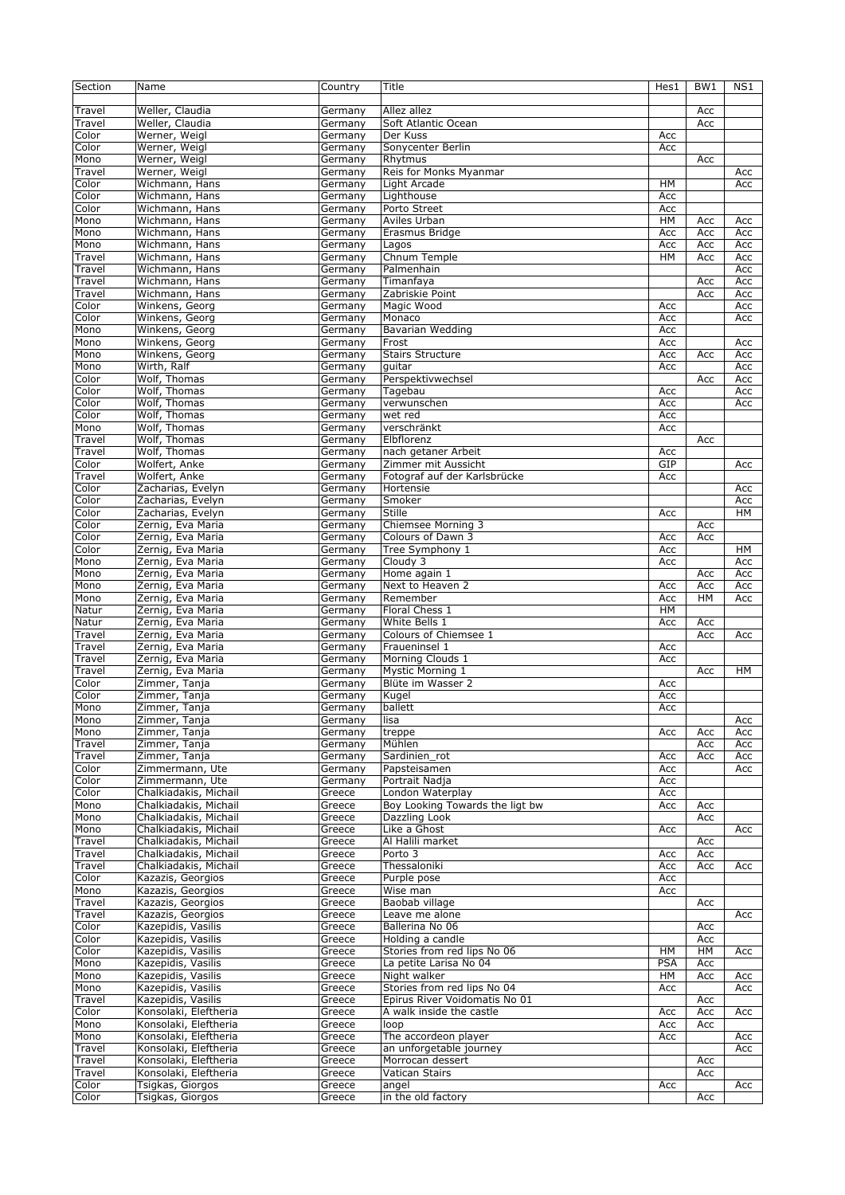| Section        | Name                                     | Country            | Title                                               | Hes1       | BW1 | NS1 |
|----------------|------------------------------------------|--------------------|-----------------------------------------------------|------------|-----|-----|
| Travel         | Weller, Claudia                          | Germany            | Allez allez                                         |            | Acc |     |
| Travel         | Weller, Claudia                          | Germany            | Soft Atlantic Ocean                                 |            | Acc |     |
| Color          | Werner, Weigl                            | Germany            | Der Kuss                                            | Acc        |     |     |
| Color          | Werner, Weigl                            | Germany            | Sonycenter Berlin                                   | Acc        |     |     |
| Mono           | Werner, Weigl                            | Germany            | Rhytmus                                             |            | Acc |     |
| Travel         | Werner, Weigl                            | Germany            | Reis for Monks Myanmar                              |            |     | Acc |
| Color          | Wichmann, Hans                           | Germany            | Light Arcade                                        | HM         |     | Acc |
| Color          | Wichmann, Hans                           | Germany            | Lighthouse                                          | Acc        |     |     |
| Color          | Wichmann, Hans                           | Germany            | Porto Street                                        | Acc        |     |     |
| Mono           | Wichmann, Hans                           | Germany            | Aviles Urban                                        | HM         | Acc | Acc |
| Mono           | Wichmann, Hans                           | Germany            | Erasmus Bridge                                      | Acc        | Acc | Acc |
| Mono           | Wichmann, Hans                           | Germany            | Lagos                                               | Acc        | Acc | Acc |
| Travel         | Wichmann, Hans                           | Germany            | Chnum Temple                                        | HМ         | Acc | Acc |
| Travel         | Wichmann, Hans                           | Germany            | Palmenhain                                          |            |     | Acc |
| Travel         | Wichmann, Hans                           | Germany            | Timanfaya                                           |            | Acc | Acc |
| Travel         | Wichmann, Hans                           | Germany            | Zabriskie Point                                     |            | Acc | Acc |
| Color          | Winkens, Georg                           | Germany            | Magic Wood                                          | Acc        |     | Acc |
| Color          | Winkens, Georg<br>Winkens, Georg         | Germany            | Monaco<br><b>Bavarian Wedding</b>                   | Acc        |     | Acc |
| Mono<br>Mono   | Winkens, Georg                           | Germany<br>Germany | Frost                                               | Acc<br>Acc |     | Acc |
| Mono           | Winkens, Georg                           | Germany            | <b>Stairs Structure</b>                             | Acc        | Acc | Acc |
| Mono           | Wirth, Ralf                              | Germany            | quitar                                              | Acc        |     | Acc |
| Color          | Wolf, Thomas                             | Germany            | Perspektivwechsel                                   |            | Acc | Acc |
| Color          | Wolf, Thomas                             | Germany            | Tagebau                                             | Acc        |     | Acc |
| Color          | Wolf, Thomas                             | Germany            | verwunschen                                         | Acc        |     | Acc |
| Color          | Wolf, Thomas                             | Germany            | wet red                                             | Acc        |     |     |
| Mono           | Wolf, Thomas                             | Germany            | verschränkt                                         | Acc        |     |     |
| Travel         | Wolf, Thomas                             | Germany            | Elbflorenz                                          |            | Acc |     |
| Travel         | Wolf, Thomas                             | Germany            | nach getaner Arbeit                                 | Acc        |     |     |
| Color          | Wolfert, Anke                            | Germany            | Zimmer mit Aussicht                                 | GIP        |     | Acc |
| Travel         | Wolfert, Anke                            | Germany            | Fotograf auf der Karlsbrücke                        | Acc        |     |     |
| Color          | Zacharias, Evelyn                        | Germany            | Hortensie                                           |            |     | Acc |
| Color          | Zacharias, Evelyn                        | Germany            | Smoker                                              |            |     | Acc |
| Color          | Zacharias, Evelyn                        | Germany            | Stille                                              | Acc        |     | HM  |
| Color          | Zernig, Eva Maria                        | Germany            | Chiemsee Morning 3                                  |            | Acc |     |
| Color          | Zernig, Eva Maria                        | Germany            | Colours of Dawn 3                                   | Acc        | Acc |     |
| Color          | Zernig, Eva Maria                        | Germany            | Tree Symphony 1                                     | Acc        |     | HМ  |
| Mono           | Zernig, Eva Maria                        | Germany            | Cloudy 3                                            | Acc        |     | Acc |
| Mono           | Zernig, Eva Maria                        | Germany            | Home again 1                                        |            | Acc | Acc |
| Mono           | Zernig, Eva Maria                        | Germany            | Next to Heaven 2                                    | Acc        | Acc | Acc |
| Mono           | Zernig, Eva Maria                        | Germany            | Remember                                            | Acc        | HM  | Acc |
| Natur          | Zernig, Eva Maria                        | Germany            | Floral Chess 1                                      | HM         |     |     |
| Natur          | Zernig, Eva Maria                        | Germany            | White Bells 1                                       | Acc        | Acc |     |
| Travel         | Zernig, Eva Maria                        | Germany            | Colours of Chiemsee 1                               |            | Acc | Acc |
| Travel         | Zernig, Eva Maria                        | Germany            | Fraueninsel 1                                       | Acc        |     |     |
| Travel         | Zernig, Eva Maria                        | Germany            | Morning Clouds 1                                    | Acc        |     |     |
| Travel         | Zernig, Eva Maria                        | Germany            | <b>Mystic Morning 1</b>                             |            | Acc | HМ  |
| Color          | Zimmer, Tanja                            | Germany            | Blüte im Wasser 2                                   | Acc        |     |     |
| Color          | Zimmer, Tanja                            | Germany            | Kugel                                               | Acc        |     |     |
| Mono           | Zimmer, Tanja                            | Germany            | ballett                                             | Acc        |     |     |
| Mono           | Zimmer, Tanja                            | Germany            | lisa                                                |            |     | Acc |
| Mono           | Zimmer, Tanja                            | Germany            | treppe                                              | Acc        | Acc | Acc |
| Travel         | Zimmer, Tanja                            | Germany            | Mühlen                                              |            | Acc | Acc |
| Travel         | Zimmer, Tanja                            | Germany            | Sardinien_rot                                       | Acc        | Acc | Acc |
| Color          | Zimmermann, Ute                          | Germany            | Papsteisamen                                        | Acc        |     | Acc |
| Color<br>Color | Zimmermann, Ute<br>Chalkiadakis, Michail | Germany            | Portrait Nadja                                      | Acc        |     |     |
| Mono           | Chalkiadakis, Michail                    | Greece<br>Greece   | London Waterplay<br>Boy Looking Towards the ligt bw | Acc<br>Acc | Acc |     |
| Mono           | Chalkiadakis, Michail                    | Greece             | Dazzling Look                                       |            | Acc |     |
| Mono           | Chalkiadakis, Michail                    | Greece             | Like a Ghost                                        | Acc        |     | Acc |
| Travel         | Chalkiadakis, Michail                    | Greece             | Al Halili market                                    |            | Acc |     |
| Travel         | Chalkiadakis, Michail                    | Greece             | Porto 3                                             | Acc        | Acc |     |
| Travel         | Chalkiadakis, Michail                    | Greece             | Thessaloniki                                        | Acc        | Acc | Acc |
| Color          | Kazazis, Georgios                        | Greece             | Purple pose                                         | Acc        |     |     |
| Mono           | Kazazis, Georgios                        | Greece             | Wise man                                            | Acc        |     |     |
| Travel         | Kazazis, Georgios                        | Greece             | Baobab village                                      |            | Acc |     |
| Travel         | Kazazis, Georgios                        | Greece             | Leave me alone                                      |            |     | Acc |
| Color          | Kazepidis, Vasilis                       | Greece             | Ballerina No 06                                     |            | Acc |     |
| Color          | Kazepidis, Vasilis                       | Greece             | Holding a candle                                    |            | Acc |     |
| Color          | Kazepidis, Vasilis                       | Greece             | Stories from red lips No 06                         | HM         | HМ  | Acc |
| Mono           | Kazepidis, Vasilis                       | Greece             | La petite Larisa No 04                              | <b>PSA</b> | Acc |     |
| Mono           | Kazepidis, Vasilis                       | Greece             | Night walker                                        | HМ         | Acc | Acc |
| Mono           | Kazepidis, Vasilis                       | Greece             | Stories from red lips No 04                         | Acc        |     | Acc |
| Travel         | Kazepidis, Vasilis                       | Greece             | Epirus River Voidomatis No 01                       |            | Acc |     |
| Color          | Konsolaki, Eleftheria                    | Greece             | A walk inside the castle                            | Acc        | Acc | Acc |
| Mono           | Konsolaki, Eleftheria                    | Greece             | loop                                                | Acc        | Acc |     |
| Mono           | Konsolaki, Eleftheria                    | Greece             | The accordeon player                                | Acc        |     | Acc |
| Travel         | Konsolaki, Eleftheria                    | Greece             | an unforgetable journey                             |            |     | Acc |
| Travel         | Konsolaki, Eleftheria                    | Greece             | Morrocan dessert                                    |            | Acc |     |
| Travel         | Konsolaki, Eleftheria                    | Greece             | Vatican Stairs                                      |            | Acc |     |
| Color          | Tsigkas, Giorgos                         | Greece             | angel                                               | Acc        |     | Acc |
| Color          | Tsigkas, Giorgos                         | Greece             | in the old factory                                  |            | Acc |     |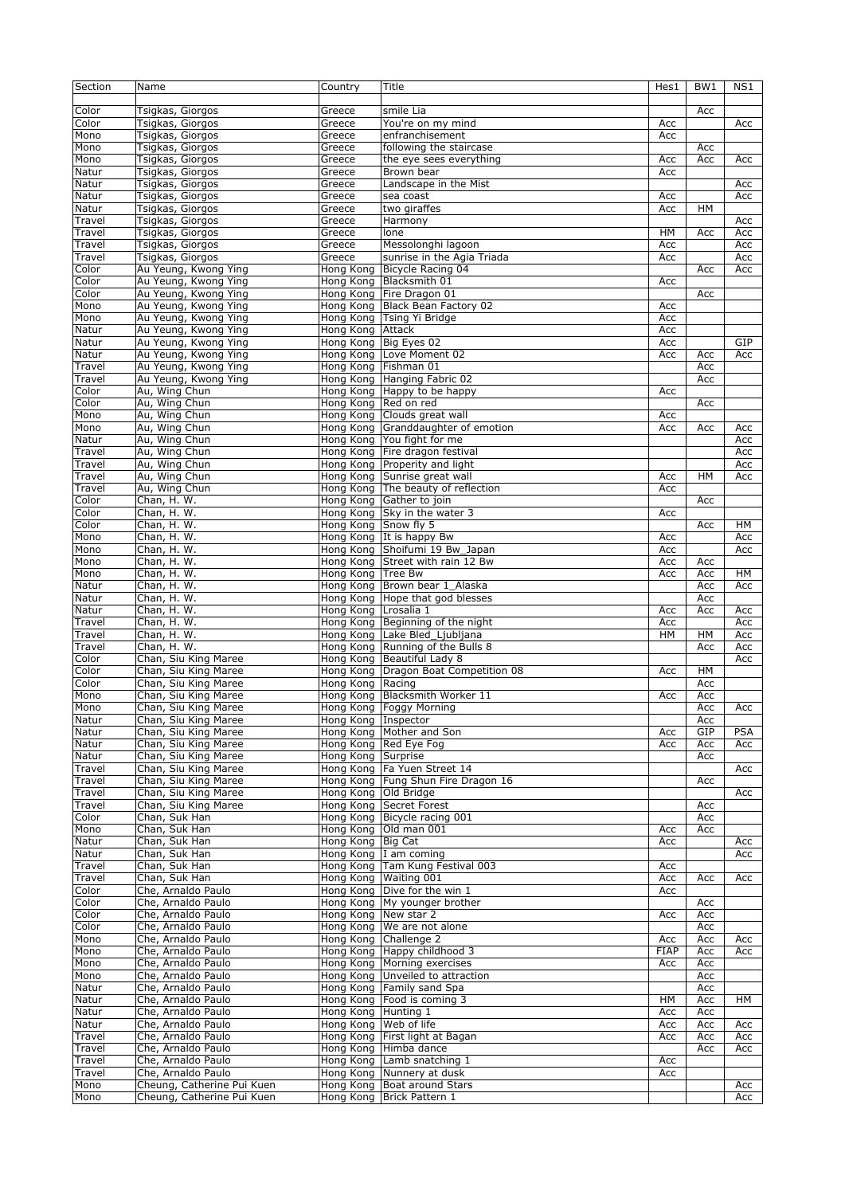| Section | Name                                     | Country               | Title                                | Hes1        | BW1       | NS1        |
|---------|------------------------------------------|-----------------------|--------------------------------------|-------------|-----------|------------|
|         |                                          |                       |                                      |             |           |            |
| Color   | Tsigkas, Giorgos                         | Greece                | smile Lia                            |             | Acc       |            |
| Color   | Tsigkas, Giorgos                         | Greece                | You're on my mind                    | Acc         |           | Acc        |
| Mono    | Tsigkas, Giorgos                         | Greece                | enfranchisement                      | Acc         |           |            |
| Mono    | Tsigkas, Giorgos                         | Greece                | following the staircase              |             | Acc       |            |
| Mono    | Tsigkas, Giorgos                         | Greece                | the eye sees everything              | Acc         | Acc       | Acc        |
| Natur   | Tsigkas, Giorgos                         | Greece                | Brown bear                           | Acc         |           |            |
| Natur   | Tsigkas, Giorgos                         | Greece                | Landscape in the Mist                |             |           | Acc        |
| Natur   | Tsigkas, Giorgos                         | Greece                | sea coast                            | Acc         |           | Acc        |
| Natur   | Tsigkas, Giorgos                         | Greece                | two giraffes                         | Acc         | HM        |            |
| Travel  | Tsigkas, Giorgos                         |                       |                                      |             |           |            |
|         | Tsigkas, Giorgos                         | Greece                | Harmony<br>lone                      | HМ          |           | Acc        |
| Travel  | Tsigkas, Giorgos                         | Greece                |                                      |             | Acc       | Acc        |
| Travel  | Tsigkas, Giorgos                         | Greece                | Messolonghi lagoon                   | Acc         |           | Acc        |
| Travel  | Au Yeung, Kwong Ying                     | Greece                | sunrise in the Agia Triada           | Acc         |           | Acc        |
| Color   |                                          |                       | Hong Kong Bicycle Racing 04          |             | Acc       | Acc        |
| Color   | Au Yeung, Kwong Ying                     | Hong Kong             | Blacksmith 01                        | Acc         |           |            |
| Color   | Au Yeung, Kwong Ying                     | Hong Kong             | Fire Dragon 01                       |             | Acc       |            |
| Mono    | Au Yeung, Kwong Ying                     |                       | Hong Kong Black Bean Factory 02      | Acc         |           |            |
| Mono    | Au Yeung, Kwong Ying                     | Hong Kong             | Tsing Yi Bridge                      | Acc         |           |            |
| Natur   | Au Yeung, Kwong Ying                     | Hong Kong Attack      |                                      | Acc         |           |            |
| Natur   | Au Yeung, Kwong Ying                     | Hong Kong Big Eyes 02 |                                      | Acc         |           | GIP        |
| Natur   | Au Yeung, Kwong Ying                     | Hong Kong             | Love Moment 02                       | Acc         | Acc       | Acc        |
| Travel  | Au Yeung, Kwong Ying                     | Hong Kong Fishman 01  |                                      |             | Acc       |            |
| Travel  | Au Yeung, Kwong Ying                     |                       | Hong Kong Hanging Fabric 02          |             | Acc       |            |
| Color   | Au, Wing Chun                            |                       | Hong Kong Happy to be happy          | Acc         |           |            |
| Color   | Au, Wing Chun                            | Hong Kong             | Red on red                           |             | Acc       |            |
| Mono    | Au, Wing Chun                            | Hong Kong             | Clouds great wall                    | Acc         |           |            |
| Mono    | Au, Wing Chun                            | Hong Kong             | Granddaughter of emotion             | Acc         | Acc       | Acc        |
| Natur   | Au, Wing Chun                            |                       | Hong Kong You fight for me           |             |           | Acc        |
| Travel  | Au, Wing Chun                            | Hong Kong             | Fire dragon festival                 |             |           | Acc        |
| Travel  | Au, Wing Chun                            |                       | Hong Kong Properity and light        |             |           | Acc        |
| Travel  | Au, Wing Chun                            |                       | Hong Kong Sunrise great wall         | Acc         | <b>HM</b> | Acc        |
| Travel  | Au, Wing Chun                            | Hong Kong             | The beauty of reflection             | Acc         |           |            |
| Color   | Chan, H. W.                              | Hong Kong             | Gather to join                       |             | Acc       |            |
| Color   | Chan, H. W.                              |                       | Hong Kong Sky in the water 3         | Acc         |           |            |
| Color   | Chan, H. W.                              | Hong Kong Snow fly 5  |                                      |             | Acc       | HМ         |
| Mono    | Chan, H. W.                              |                       | Hong Kong It is happy Bw             | Acc         |           | Acc        |
| Mono    | Chan, H. W.                              |                       | Hong Kong Shoifumi 19 Bw Japan       | Acc         |           | Acc        |
| Mono    | Chan, H. W.                              |                       | Hong Kong Street with rain 12 Bw     | Acc         | Acc       |            |
| Mono    | Chan, H. W.                              | Hong Kong Tree Bw     |                                      | Acc         | Acc       | HМ         |
| Natur   | Chan, H. W.                              |                       | Hong Kong Brown bear 1_Alaska        |             | Acc       | Acc        |
| Natur   | Chan, H. W.                              |                       | Hong Kong Hope that god blesses      |             | Acc       |            |
| Natur   | Chan, H. W.                              | Hong Kong             | Lrosalia 1                           | Acc         | Acc       | Acc        |
| Travel  | Chan, H. W.                              | Hong Kong             | Beginning of the night               | Acc         |           | Acc        |
| Travel  | Chan, H. W.                              | Hong Kong             | Lake Bled_Ljubljana                  | HM          | HM        | Acc        |
| Travel  | Chan, H. W.                              |                       | Hong Kong   Running of the Bulls 8   |             | Acc       | Acc        |
| Color   | Chan, Siu King Maree                     |                       | Hong Kong Beautiful Lady 8           |             |           | Acc        |
| Color   | Chan, Siu King Maree                     |                       | Hong Kong Dragon Boat Competition 08 | Acc         | HM        |            |
| Color   | Chan, Siu King Maree                     | Hong Kong Racing      |                                      |             | Acc       |            |
| Mono    | Chan, Siu King Maree                     |                       | Hong Kong Blacksmith Worker 11       | Acc         | Acc       |            |
| Mono    | Chan, Siu King Maree                     |                       | Hong Kong Foggy Morning              |             | Acc       | Acc        |
| Natur   | Chan, Siu King Maree                     | Hong Kong   Inspector |                                      |             | Acc       |            |
| Natur   | Chan, Siu King Maree                     |                       | Hong Kong   Mother and Son           | Acc         | GIP       | <b>PSA</b> |
| Natur   | Chan, Siu King Maree                     |                       | Hong Kong   Red Eye Fog              | Acc         | Acc       | Acc        |
| Natur   | Chan, Siu King Maree                     | Hong Kong Surprise    |                                      |             | Acc       |            |
| Travel  | Chan, Siu King Maree                     |                       | Hong Kong   Fa Yuen Street 14        |             |           | Acc        |
| Travel  | Chan, Siu King Maree                     |                       | Hong Kong   Fung Shun Fire Dragon 16 |             | Acc       |            |
| Travel  | Chan, Siu King Maree                     | Hong Kong Old Bridge  |                                      |             |           | Acc        |
| Travel  | Chan, Siu King Maree                     |                       | Hong Kong Secret Forest              |             | Acc       |            |
| Color   | Chan, Suk Han                            |                       | Hong Kong Bicycle racing 001         |             | Acc       |            |
| Mono    | Chan, Suk Han                            | Hong Kong             | Old man 001                          | Acc         | Acc       |            |
| Natur   | Chan, Suk Han                            | Hong Kong Big Cat     |                                      | Acc         |           | Acc        |
| Natur   | Chan, Suk Han                            |                       | Hong Kong  I am coming               |             |           | Acc        |
| Travel  | Chan, Suk Han                            |                       | Hong Kong Tam Kung Festival 003      | Acc         |           |            |
| Travel  | Chan, Suk Han                            |                       | Hong Kong Waiting 001                | Acc         | Acc       | Acc        |
| Color   | Che, Arnaldo Paulo                       | Hong Kong             | Dive for the win 1                   | Acc         |           |            |
| Color   | Che, Arnaldo Paulo                       |                       | Hong Kong My younger brother         |             | Acc       |            |
| Color   | Che, Arnaldo Paulo                       | Hong Kong             | New star 2                           | Acc         | Acc       |            |
| Color   | Che, Arnaldo Paulo                       | Hong Kong             | We are not alone                     |             | Acc       |            |
| Mono    | Che, Arnaldo Paulo                       | Hong Kong             | Challenge 2                          | Acc         | Acc       | Acc        |
| Mono    | Che, Arnaldo Paulo                       |                       | Hong Kong Happy childhood 3          | <b>FIAP</b> | Acc       | Acc        |
| Mono    | Che, Arnaldo Paulo                       |                       | Hong Kong Morning exercises          | Acc         | Acc       |            |
| Mono    | Che, Arnaldo Paulo                       |                       | Hong Kong Unveiled to attraction     |             | Acc       |            |
| Natur   | Che, Arnaldo Paulo                       |                       | Hong Kong Family sand Spa            |             | Acc       |            |
| Natur   | Che, Arnaldo Paulo                       | Hong Kong             | Food is coming 3                     | HМ          |           | HМ         |
|         | Che, Arnaldo Paulo                       | Hong Kong Hunting 1   |                                      |             | Acc       |            |
| Natur   | Che, Arnaldo Paulo                       |                       | Web of life                          | Acc         | Acc       |            |
| Natur   |                                          | Hong Kong             | Hong Kong First light at Bagan       | Acc         | Acc       | Acc        |
| Travel  | Che, Arnaldo Paulo<br>Che, Arnaldo Paulo |                       |                                      | Acc         | Acc       | Acc        |
| Travel  | Che, Arnaldo Paulo                       |                       | Hong Kong Himba dance                |             | Acc       | Acc        |
| Travel  |                                          |                       | Hong Kong Lamb snatching 1           | Acc         |           |            |
| Travel  | Che, Arnaldo Paulo                       |                       | Hong Kong Nunnery at dusk            | Acc         |           |            |
| Mono    | Cheung, Catherine Pui Kuen               |                       | Hong Kong Boat around Stars          |             |           | Acc        |
| Mono    | Cheung, Catherine Pui Kuen               |                       | Hong Kong   Brick Pattern 1          |             |           | Acc        |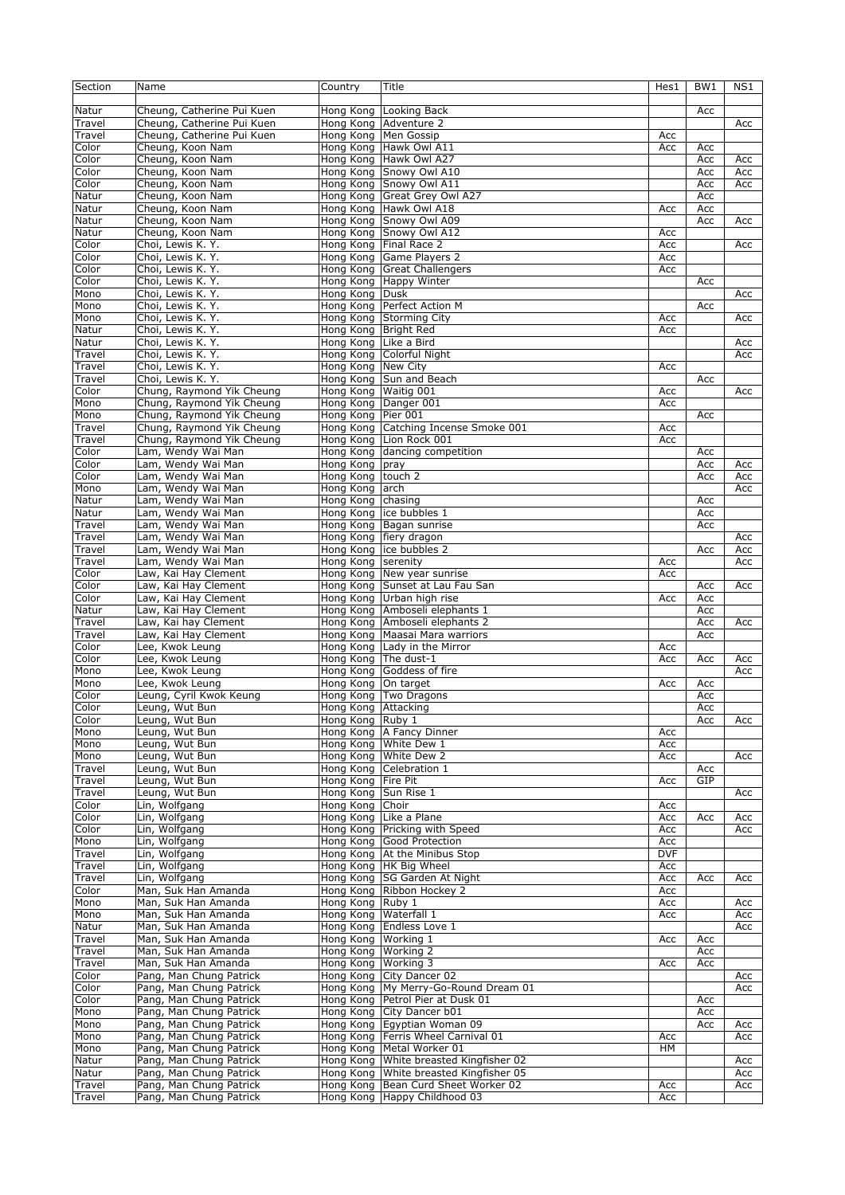| Section | Name                       | Country               | Title                            | Hes1       | BW1 | NS1 |
|---------|----------------------------|-----------------------|----------------------------------|------------|-----|-----|
|         |                            |                       |                                  |            |     |     |
| Natur   | Cheung, Catherine Pui Kuen | Hong Kong             | Looking Back                     |            | Acc |     |
| Travel  | Cheung, Catherine Pui Kuen | Hong Kong             | Adventure 2                      |            |     | Acc |
| Travel  | Cheung, Catherine Pui Kuen |                       | Hong Kong   Men Gossip           | Acc        |     |     |
| Color   | Cheung, Koon Nam           | Hong Kong             | Hawk Owl A11                     | Acc        | Acc |     |
| Color   | Cheung, Koon Nam           | Hong Kong             | Hawk Owl A27                     |            | Acc | Acc |
| Color   | Cheung, Koon Nam           | Hong Kong             | Snowy Owl A10                    |            | Acc | Acc |
| Color   | Cheung, Koon Nam           | Hong Kong             | Snowy Owl A11                    |            | Acc | Acc |
| Natur   | Cheung, Koon Nam           | Hong Kong             | Great Grey Owl A27               |            | Acc |     |
| Natur   | Cheung, Koon Nam           | Hong Kong             | Hawk Owl A18                     | Acc        | Acc |     |
| Natur   | Cheung, Koon Nam           |                       | Hong Kong Snowy Owl A09          |            | Acc | Acc |
| Natur   | Cheung, Koon Nam           | Hong Kong             | Snowy Owl A12                    | Acc        |     |     |
| Color   | Choi, Lewis K. Y.          |                       | Hong Kong Final Race 2           | Acc        |     | Acc |
| Color   | Choi, Lewis K. Y.          | Hong Kong             | Game Players 2                   | Acc        |     |     |
| Color   | Choi, Lewis K. Y.          | Hong Kong             | <b>Great Challengers</b>         | Acc        |     |     |
| Color   | Choi, Lewis K. Y.          |                       | Hong Kong Happy Winter           |            | Acc |     |
| Mono    | Choi, Lewis K. Y.          | Hong Kong             | Dusk                             |            |     | Acc |
| Mono    | Choi, Lewis K. Y.          | Hong Kong             | Perfect Action M                 |            | Acc |     |
| Mono    | Choi, Lewis K. Y.          | Hong Kong             | <b>Storming City</b>             | Acc        |     | Acc |
| Natur   | Choi, Lewis K. Y.          | Hong Kong Bright Red  |                                  | Acc        |     |     |
| Natur   | Choi, Lewis K. Y.          | Hong Kong Like a Bird |                                  |            |     | Acc |
| Travel  | Choi, Lewis K. Y.          |                       | Hong Kong Colorful Night         |            |     | Acc |
| Travel  | Choi, Lewis K. Y.          | Hong Kong             | <b>New City</b>                  | Acc        |     |     |
| Travel  | Choi, Lewis K. Y.          |                       | Hong Kong Sun and Beach          |            | Acc |     |
| Color   | Chung, Raymond Yik Cheung  | Hong Kong Waitig 001  |                                  | Acc        |     | Acc |
| Mono    | Chung, Raymond Yik Cheung  | Hong Kong             | Danger 001                       | Acc        |     |     |
| Mono    | Chung, Raymond Yik Cheung  | Hong Kong             | Pier 001                         |            | Acc |     |
| Travel  | Chung, Raymond Yik Cheung  | Hong Kong             | Catching Incense Smoke 001       | Acc        |     |     |
| Travel  | Chung, Raymond Yik Cheung  |                       | Hong Kong Lion Rock 001          | Acc        |     |     |
| Color   | Lam, Wendy Wai Man         | Hong Kong             | dancing competition              |            | Acc |     |
| Color   | Lam, Wendy Wai Man         | Hong Kong             | pray                             |            | Acc | Acc |
| Color   | Lam, Wendy Wai Man         | Hong Kong             | touch 2                          |            | Acc | Acc |
| Mono    | Lam, Wendy Wai Man         | Hong Kong             | arch                             |            |     | Acc |
| Natur   | Lam, Wendy Wai Man         | Hong Kong             | chasing                          |            | Acc |     |
| Natur   | Lam, Wendy Wai Man         | Hong Kong             | ice bubbles 1                    |            | Acc |     |
| Travel  | Lam, Wendy Wai Man         |                       | Hong Kong Bagan sunrise          |            | Acc |     |
| Travel  | Lam, Wendy Wai Man         |                       | Hong Kong   fiery dragon         |            |     | Acc |
| Travel  | Lam, Wendy Wai Man         | Hong Kong             | ice bubbles 2                    |            | Acc | Acc |
| Travel  | Lam, Wendy Wai Man         | Hong Kong             | serenity                         | Acc        |     | Acc |
| Color   | Law, Kai Hay Clement       | Hong Kong             | New year sunrise                 | Acc        |     |     |
| Color   | Law, Kai Hay Clement       |                       | Hong Kong Sunset at Lau Fau San  |            | Acc | Acc |
| Color   | Law, Kai Hay Clement       | Hong Kong             | Urban high rise                  | Acc        | Acc |     |
| Natur   | Law, Kai Hay Clement       |                       | Hong Kong Amboseli elephants 1   |            | Acc |     |
| Travel  | Law, Kai hay Clement       |                       | Hong Kong Amboseli elephants 2   |            | Acc | Acc |
| Travel  | Law, Kai Hay Clement       |                       | Hong Kong   Maasai Mara warriors |            | Acc |     |
| Color   | Lee, Kwok Leung            |                       | Hong Kong Lady in the Mirror     | Acc        |     |     |
| Color   | Lee, Kwok Leung            | Hong Kong The dust-1  |                                  | Acc        | Acc | Acc |
| Mono    | Lee, Kwok Leung            | Hong Kong             | Goddess of fire                  |            |     | Acc |
| Mono    | Lee, Kwok Leung            | Hong Kong             | On target                        | Acc        | Acc |     |
| Color   | Leung, Cyril Kwok Keung    |                       | Hong Kong Two Dragons            |            | Acc |     |
| Color   | Leung, Wut Bun             | Hong Kong Attacking   |                                  |            | Асс |     |
| Color   | Leung, Wut Bun             | Hong Kong Ruby 1      |                                  |            | Acc | Acc |
| Mono    | Leung, Wut Bun             |                       | Hong Kong   A Fancy Dinner       | Acc        |     |     |
| Mono    | Leung, Wut Bun             | Hong Kong             | White Dew 1                      | Acc        |     |     |
| Mono    | Leung, Wut Bun             |                       | Hong Kong White Dew 2            | Acc        |     | Acc |
| Travel  | Leung, Wut Bun             | Hong Kong             | Celebration 1                    |            | Acc |     |
| Travel  | Leung, Wut Bun             | Hong Kong Fire Pit    |                                  | Acc        | GIP |     |
| Travel  | Leung, Wut Bun             | Hong Kong Sun Rise 1  |                                  |            |     | Acc |
| Color   | Lin, Wolfgang              | Hong Kong             | Choir                            | Acc        |     |     |
| Color   | Lin, Wolfgang              |                       | Hong Kong Like a Plane           | Acc        | Acc | Acc |
| Color   | Lin, Wolfgang              | Hong Kong             | Pricking with Speed              | Acc        |     | Acc |
| Mono    | Lin, Wolfgang              |                       | Hong Kong Good Protection        | Acc        |     |     |
| Travel  | Lin, Wolfgang              |                       | Hong Kong At the Minibus Stop    | <b>DVF</b> |     |     |
| Travel  | Lin, Wolfgang              |                       | Hong Kong  HK Big Wheel          | Acc        |     |     |
| Travel  | Lin, Wolfgang              |                       | Hong Kong SG Garden At Night     | Acc        | Acc | Acc |
| Color   | Man, Suk Han Amanda        | Hong Kong             | Ribbon Hockey 2                  | Acc        |     |     |
| Mono    | Man, Suk Han Amanda        | Hong Kong Ruby 1      |                                  | Acc        |     | Acc |
| Mono    | Man, Suk Han Amanda        | Hong Kong             | Waterfall 1                      | Acc        |     | Acc |
| Natur   | Man, Suk Han Amanda        |                       | Hong Kong Endless Love 1         |            |     | Acc |
| Travel  | Man, Suk Han Amanda        | Hong Kong             | Working 1                        | Acc        | Acc |     |
| Travel  | Man, Suk Han Amanda        | Hong Kong             | Working 2                        |            | Acc |     |
| Travel  | Man, Suk Han Amanda        | Hong Kong             | Working 3                        | Acc        | Acc |     |
| Color   | Pang, Man Chung Patrick    | Hong Kong             | City Dancer 02                   |            |     | Acc |
| Color   | Pang, Man Chung Patrick    | Hong Kong             | My Merry-Go-Round Dream 01       |            |     | Acc |
| Color   | Pang, Man Chung Patrick    | Hong Kong             | Petrol Pier at Dusk 01           |            | Acc |     |
| Mono    | Pang, Man Chung Patrick    | Hong Kong             | City Dancer b01                  |            | Acc |     |
| Mono    | Pang, Man Chung Patrick    | Hong Kong             | Egyptian Woman 09                |            | Acc | Acc |
| Mono    | Pang, Man Chung Patrick    | Hong Kong             | Ferris Wheel Carnival 01         | Acc        |     | Acc |
| Mono    | Pang, Man Chung Patrick    | Hong Kong             | Metal Worker 01                  | HM         |     |     |
| Natur   | Pang, Man Chung Patrick    | Hong Kong             | White breasted Kingfisher 02     |            |     | Acc |
| Natur   | Pang, Man Chung Patrick    | Hong Kong             | White breasted Kingfisher 05     |            |     | Acc |
| Travel  | Pang, Man Chung Patrick    | Hong Kong             | Bean Curd Sheet Worker 02        | Acc        |     | Acc |
| Travel  | Pang, Man Chung Patrick    |                       | Hong Kong Happy Childhood 03     | Acc        |     |     |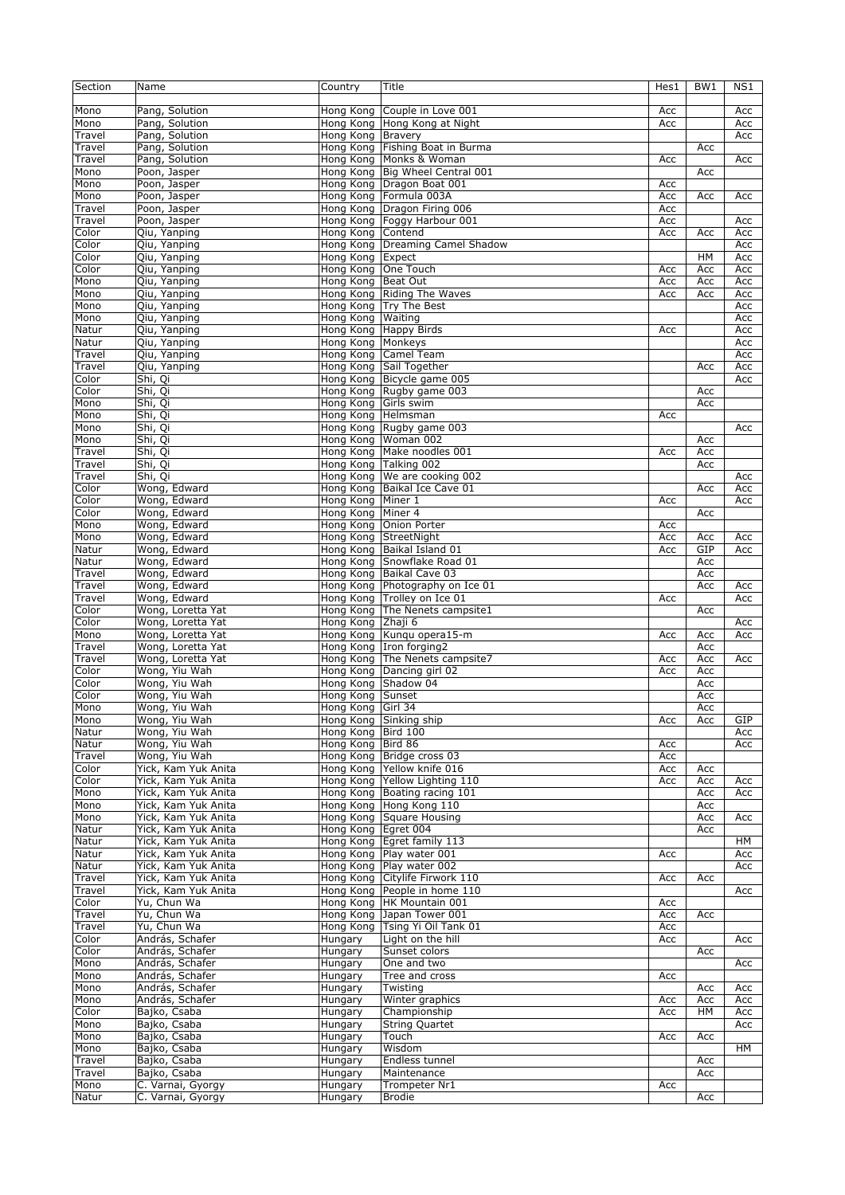| Section         | Name                                       | Country               | Title                                                          | Hes1       | BW1        | NS1        |
|-----------------|--------------------------------------------|-----------------------|----------------------------------------------------------------|------------|------------|------------|
| Mono            | Pang, Solution                             | Hong Kong             | Couple in Love 001                                             | Acc        |            | Acc        |
| Mono            | Pang, Solution                             |                       | Hong Kong Hong Kong at Night                                   | Acc        |            | Acc        |
| Travel          | Pang, Solution                             | Hong Kong Bravery     |                                                                |            |            | Acc        |
| Travel          | Pang, Solution                             |                       | Hong Kong Fishing Boat in Burma                                |            | Acc        |            |
| Travel          | Pang, Solution                             |                       | Hong Kong Monks & Woman                                        | Acc        |            | Acc        |
| Mono            | Poon, Jasper                               |                       | Hong Kong Big Wheel Central 001                                |            | Acc        |            |
| Mono            | Poon, Jasper                               | Hong Kong             | Dragon Boat 001                                                | Acc        |            |            |
| Mono            | Poon, Jasper                               |                       | Hong Kong Formula 003A                                         | Acc        | Acc        | Acc        |
| Travel          | Poon, Jasper                               |                       | Hong Kong Dragon Firing 006                                    | Acc        |            |            |
| Travel<br>Color | Poon, Jasper<br>Qiu, Yanping               | Hong Kong Contend     | Hong Kong Foggy Harbour 001                                    | Acc<br>Acc | Acc        | Acc<br>Acc |
| Color           | Qiu, Yanping                               |                       | Hong Kong Dreaming Camel Shadow                                |            |            | Acc        |
| Color           | Qiu, Yanping                               | Hong Kong Expect      |                                                                |            | HM         | Acc        |
| Color           | Qiu, Yanping                               | Hong Kong One Touch   |                                                                | Acc        | Acc        | Acc        |
| Mono            | Qiu, Yanping                               | Hong Kong Beat Out    |                                                                | Acc        | Acc        | Acc        |
| Mono            | Qiu, Yanping                               | Hong Kong             | Riding The Waves                                               | Acc        | Acc        | Acc        |
| Mono            | Qiu, Yanping                               |                       | Hong Kong   Try The Best                                       |            |            | Acc        |
| Mono            | Qiu, Yanping                               | Hong Kong             | Waiting                                                        |            |            | Acc        |
| Natur           | Qiu, Yanping                               |                       | Hong Kong Happy Birds                                          | Acc        |            | Acc        |
| Natur           | Qiu, Yanping                               | Hong Kong Monkeys     |                                                                |            |            | Acc        |
| Travel          | Qiu, Yanping                               | Hong Kong             | Camel Team                                                     |            |            | Acc        |
| Travel<br>Color | Qiu, Yanping<br>Shi, Qi                    |                       | Hong Kong Sail Together<br>Bicycle game 005                    |            | Acc        | Acc        |
| Color           | Shi, Qi                                    | Hong Kong             | Hong Kong Rugby game 003                                       |            | Acc        | Acc        |
| Mono            | Shi, Qi                                    | Hong Kong Girls swim  |                                                                |            | Acc        |            |
| Mono            | Shi, Qi                                    | Hong Kong Helmsman    |                                                                | Acc        |            |            |
| Mono            | Shi, Qi                                    |                       | Hong Kong Rugby game 003                                       |            |            | Acc        |
| Mono            | Shi, Qi                                    | Hong Kong             | Woman 002                                                      |            | Acc        |            |
| Travel          | Shi, Qi                                    |                       | Hong Kong   Make noodles 001                                   | Acc        | Acc        |            |
| Travel          | Shi, Qi                                    | Hong Kong Talking 002 |                                                                |            | Acc        |            |
| Travel          | Shi, Qi                                    |                       | Hong Kong   We are cooking 002                                 |            |            | Acc        |
| Color           | Wong, Edward                               | Hong Kong             | Baikal Ice Cave 01                                             |            | Acc        | Acc        |
| Color           | Wong, Edward                               | Hong Kong             | Miner 1                                                        | Acc        |            | Acc        |
| Color           | Wong, Edward                               | Hong Kong             | Miner 4                                                        |            | Acc        |            |
| Mono<br>Mono    | Wong, Edward                               | Hong Kong             | Onion Porter                                                   | Acc<br>Acc |            |            |
| Natur           | Wong, Edward<br>Wong, Edward               | Hong Kong StreetNight | Hong Kong Baikal Island 01                                     | Acc        | Acc<br>GIP | Acc<br>Acc |
| Natur           | Wong, Edward                               |                       | Hong Kong Snowflake Road 01                                    |            | Acc        |            |
| Travel          | Wong, Edward                               |                       | Hong Kong Baikal Cave 03                                       |            | Acc        |            |
|                 |                                            |                       |                                                                |            | Acc        | Acc        |
| Travel          |                                            |                       |                                                                |            |            |            |
| Travel          | Wong, Edward<br>Wong, Edward               |                       | Hong Kong Photography on Ice 01<br>Hong Kong Trolley on Ice 01 | Acc        |            | Acc        |
| Color           | Wong, Loretta Yat                          |                       | Hong Kong The Nenets campsite1                                 |            | Acc        |            |
| Color           | Wong, Loretta Yat                          | Hong Kong Zhaji 6     |                                                                |            |            | Acc        |
| Mono            | Wong, Loretta Yat                          |                       | Hong Kong Kungu opera15-m                                      | Acc        | Acc        | Acc        |
| Travel          | Wong, Loretta Yat                          |                       | Hong Kong Iron forging2                                        |            | Acc        |            |
| Travel          | Wong, Loretta Yat                          |                       | Hong Kong The Nenets campsite7                                 | Acc        | Acc        | Acc        |
| Color           | Wong, Yiu Wah                              | Hong Kong             | Dancing girl 02                                                | Acc        | Acc        |            |
| Color           | Wong, Yiu Wah                              | Hong Kong             | Shadow 04                                                      |            | Acc        |            |
| Color           | Wong, Yiu Wah                              | Hong Kong Sunset      |                                                                |            | Acc        |            |
| Mono            | Wong, Yiu Wah                              | Hong Kong Girl 34     |                                                                |            | Acc        |            |
| Mono            | Wong, Yiu Wah<br>Wong, Yiu Wah             | Hong Kong Bird 100    | Hong Kong Sinking ship                                         | Acc        | Acc        | GIP        |
| Natur<br>Natur  | Wong, Yiu Wah                              | Hong Kong             | Bird 86                                                        | Acc        |            | Acc<br>Acc |
| Travel          | Wong, Yiu Wah                              |                       | Hong Kong Bridge cross 03                                      | Acc        |            |            |
| Color           | Yick, Kam Yuk Anita                        |                       | Hong Kong Yellow knife 016                                     | Acc        | Acc        |            |
| Color           | Yick, Kam Yuk Anita                        | Hong Kong             | Yellow Lighting 110                                            | Acc        | Acc        | Acc        |
| Mono            | Yick, Kam Yuk Anita                        |                       | Hong Kong Boating racing 101                                   |            | Acc        | Acc        |
| Mono            | Yick, Kam Yuk Anita                        | Hong Kong             | Hong Kong 110                                                  |            | Acc        |            |
| Mono            | Yick, Kam Yuk Anita                        |                       | Hong Kong Square Housing                                       |            | Acc        | Acc        |
| Natur           | Yick, Kam Yuk Anita                        | Hong Kong Egret 004   |                                                                |            | Acc        |            |
| Natur           | Yick, Kam Yuk Anita                        |                       | Hong Kong Egret family 113                                     |            |            | HM         |
| Natur           | Yick, Kam Yuk Anita<br>Yick, Kam Yuk Anita |                       | Hong Kong Play water 001                                       | Acc        |            | Acc<br>Acc |
| Natur<br>Travel | Yick, Kam Yuk Anita                        | Hong Kong             | Hong Kong Play water 002<br>Citylife Firwork 110               | Acc        | Acc        |            |
| Travel          | Yick, Kam Yuk Anita                        | Hong Kong             | People in home 110                                             |            |            | Acc        |
| Color           | Yu, Chun Wa                                | Hong Kong             | HK Mountain 001                                                | Acc        |            |            |
| Travel          | Yu, Chun Wa                                | Hong Kong             | Japan Tower 001                                                | Acc        | Acc        |            |
| Travel          | Yu, Chun Wa                                | Hong Kong             | Tsing Yi Oil Tank 01                                           | Acc        |            |            |
| Color           | András, Schafer                            | Hungary               | Light on the hill                                              | Acc        |            | Acc        |
| Color           | András, Schafer                            | Hungary               | Sunset colors                                                  |            | Acc        |            |
| Mono            | András, Schafer                            | Hungary               | One and two                                                    |            |            | Acc        |
| Mono            | András, Schafer                            | Hungary               | Tree and cross                                                 | Acc        |            |            |
| Mono            | András, Schafer                            | Hungary               | Twisting                                                       |            | Acc        | Acc        |
| Mono            | András, Schafer                            | Hungary               | Winter graphics                                                | Acc        | Acc        | Acc        |
| Color           | Bajko, Csaba                               | Hungary               | Championship                                                   | Acc        | HM         | Acc        |
| Mono<br>Mono    | Bajko, Csaba<br>Bajko, Csaba               | Hungary<br>Hungary    | <b>String Quartet</b><br>Touch                                 | Acc        | Acc        | Acc        |
| Mono            | Bajko, Csaba                               | Hungary               | Wisdom                                                         |            |            | HM         |
| Travel          | Bajko, Csaba                               | Hungary               | Endless tunnel                                                 |            | Acc        |            |
| Travel          | Bajko, Csaba                               | Hungary               | Maintenance                                                    |            | Acc        |            |
| Mono<br>Natur   | C. Varnai, Gyorgy<br>C. Varnai, Gyorgy     | Hungary<br>Hungary    | Trompeter Nr1<br><b>Brodie</b>                                 | Acc        | Acc        |            |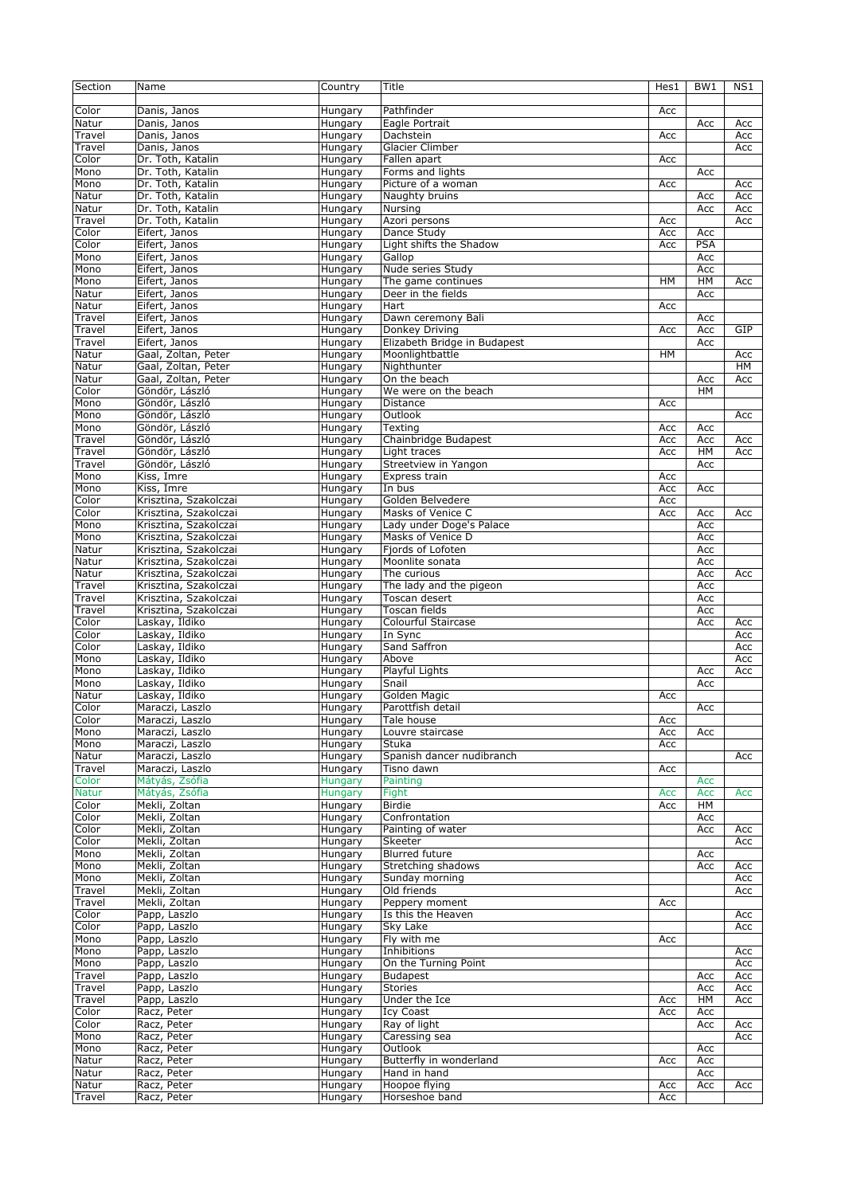| Section          | Name                                   | Country            | Title                                   | Hes1       | BW1        | NS1        |
|------------------|----------------------------------------|--------------------|-----------------------------------------|------------|------------|------------|
| Color            | Danis, Janos                           | Hungary            | Pathfinder                              | Acc        |            |            |
| Natur            | Danis, Janos                           | Hungary            | Eagle Portrait                          |            | Acc        | Acc        |
| Travel           | Danis, Janos                           | Hungary            | Dachstein                               | Acc        |            | Acc        |
| Travel           | Danis, Janos                           | Hungary            | Glacier Climber                         |            |            | Acc        |
| Color            | Dr. Toth, Katalin                      | Hungary            | Fallen apart                            | Acc        |            |            |
| Mono             | Dr. Toth, Katalin<br>Dr. Toth, Katalin | Hungary            | Forms and lights<br>Picture of a woman  |            | Acc        |            |
| Mono<br>Natur    | Dr. Toth, Katalin                      | Hungary<br>Hungary | Naughty bruins                          | Acc        | Acc        | Acc<br>Acc |
| Natur            | Dr. Toth, Katalin                      | Hungary            | Nursing                                 |            | Acc        | Acc        |
| Travel           | Dr. Toth, Katalin                      | Hungary            | Azori persons                           | Acc        |            | Acc        |
| Color            | Eifert, Janos                          | Hungary            | Dance Study                             | Acc        | Acc        |            |
| Color            | Eifert, Janos                          | Hungary            | Light shifts the Shadow                 | Acc        | PSA        |            |
| Mono             | Eifert, Janos                          | Hungary            | Gallop                                  |            | Acc        |            |
| Mono             | Eifert, Janos                          | Hungary            | Nude series Study                       |            | Acc        |            |
| Mono             | Eifert, Janos                          | Hungary            | The game continues                      | HM         | HM         | Acc        |
| Natur            | Eifert, Janos                          | Hungary            | Deer in the fields                      |            | Acc        |            |
| Natur            | Eifert, Janos                          | Hungary            | Hart                                    | Acc        |            |            |
| Travel<br>Travel | Eifert, Janos<br>Eifert, Janos         | Hungary            | Dawn ceremony Bali<br>Donkey Driving    |            | Acc<br>Acc | GIP        |
| Travel           | Eifert, Janos                          | Hungary<br>Hungary | Elizabeth Bridge in Budapest            | Acc        | Acc        |            |
| Natur            | Gaal, Zoltan, Peter                    | Hungary            | Moonlightbattle                         | <b>HM</b>  |            | Acc        |
| Natur            | Gaal, Zoltan, Peter                    | Hungary            | Nighthunter                             |            |            | HM         |
| Natur            | Gaal, Zoltan, Peter                    | Hungary            | On the beach                            |            | Acc        | Acc        |
| Color            | Göndör, László                         | Hungary            | We were on the beach                    |            | <b>HM</b>  |            |
| Mono             | Göndör, László                         | Hungary            | Distance                                | Acc        |            |            |
| Mono             | Göndör, László                         | Hungary            | Outlook                                 |            |            | Acc        |
| Mono             | Göndör, László                         | Hungary            | Texting                                 | Acc        | Acc        |            |
| Travel           | Göndör, László                         | Hungary            | Chainbridge Budapest                    | Acc        | Acc        | Acc        |
| Travel           | Göndör, László                         | Hungary            | Light traces                            | Acc        | HM         | Acc        |
| Travel           | Göndör, László                         | Hungary<br>Hungary | Streetview in Yangon                    |            | Acc        |            |
| Mono<br>Mono     | Kiss, Imre<br>Kiss, Imre               | Hungary            | Express train<br>In bus                 | Acc<br>Acc | Acc        |            |
| Color            | Krisztina, Szakolczai                  | Hungary            | Golden Belvedere                        | Acc        |            |            |
| Color            | Krisztina, Szakolczai                  | Hungary            | Masks of Venice C                       | Acc        | Acc        | Acc        |
| Mono             | Krisztina, Szakolczai                  | Hungary            | Lady under Doge's Palace                |            | Acc        |            |
| Mono             | Krisztina, Szakolczai                  | Hungary            | Masks of Venice D                       |            | Acc        |            |
| Natur            | Krisztina, Szakolczai                  | Hungary            | Fjords of Lofoten                       |            | Acc        |            |
| Natur            | Krisztina, Szakolczai                  | Hungary            | Moonlite sonata                         |            | Acc        |            |
| Natur            | Krisztina, Szakolczai                  | Hungary            | The curious                             |            | Acc        | Acc        |
| Travel           | Krisztina, Szakolczai                  | Hungary            | The lady and the pigeon                 |            | Acc        |            |
| Travel           | Krisztina, Szakolczai                  | Hungary            | Toscan desert                           |            | Acc        |            |
| Travel           | Krisztina, Szakolczai                  | Hungary            | Toscan fields                           |            | Acc        |            |
| Color<br>Color   | Laskay, Ildiko<br>Laskay, Ildiko       | Hungary<br>Hungary | Colourful Staircase<br>In Sync          |            | Acc        | Acc<br>Acc |
| Color            | Laskay, Ildiko                         | Hungary            | Sand Saffron                            |            |            | Acc        |
| Mono             | Laskay, Ildiko                         | Hungary            | Above                                   |            |            | Acc        |
| Mono             | Laskay, Ildiko                         | Hungary            | Playful Lights                          |            | Acc        | Acc        |
| Mono             | Laskay, Ildiko                         | Hungary            | Snail                                   |            | Acc        |            |
| Natur            | Laskay, Ildiko                         | Hungary            | Golden Magic                            | Acc        |            |            |
| Color            | Maraczi, Laszlo                        | Hungary            | Parottfish detail                       |            | Acc        |            |
| Color            | Maraczi, Laszlo                        | Hungary            | Tale house                              | Acc        |            |            |
| Mono             | Maraczi, Laszlo                        | Hungary            | Louvre staircase                        | Acc        | Acc        |            |
| Mono             | Maraczi, Laszlo                        | Hungary            | Stuka                                   | Acc        |            |            |
| Natur            | Maraczi, Laszlo<br>Maraczi, Laszlo     | Hungary            | Spanish dancer nudibranch               |            |            | Acc        |
| Travel<br>Color  | Mátyás, Zsófia                         | Hungary<br>Hungary | Tisno dawn<br>Painting                  | Acc        | Acc        |            |
| <b>Natur</b>     | Mátyás, Zsófia                         | Hungary            | Fight                                   | Acc        | Acc        | Acc        |
| Color            | Mekli, Zoltan                          | Hungary            | <b>Birdie</b>                           | Acc        | HM         |            |
| Color            | Mekli, Zoltan                          | Hungary            | Confrontation                           |            | Acc        |            |
| Color            | Mekli, Zoltan                          | Hungary            | Painting of water                       |            | Acc        | Acc        |
| Color            | Mekli, Zoltan                          | Hungary            | Skeeter                                 |            |            | Acc        |
| Mono             | Mekli, Zoltan                          | Hungary            | <b>Blurred future</b>                   |            | Acc        |            |
| Mono             | Mekli, Zoltan                          | Hungary            | Stretching shadows                      |            | Acc        | Acc        |
| Mono             | Mekli, Zoltan                          | Hungary            | Sunday morning                          |            |            | Acc        |
| Travel           | Mekli, Zoltan                          | Hungary            | Old friends                             |            |            | Acc        |
| Travel<br>Color  | Mekli, Zoltan<br>Papp, Laszlo          | Hungary<br>Hungary | Peppery moment<br>Is this the Heaven    | Acc        |            |            |
| Color            | Papp, Laszlo                           | Hungary            | Sky Lake                                |            |            | Acc<br>Acc |
| Mono             | Papp, Laszlo                           | Hungary            | Fly with me                             | Acc        |            |            |
| Mono             | Papp, Laszlo                           | Hungary            | Inhibitions                             |            |            | Acc        |
| Mono             | Papp, Laszlo                           | Hungary            | On the Turning Point                    |            |            | Acc        |
| Travel           | Papp, Laszlo                           | Hungary            | <b>Budapest</b>                         |            | Acc        | Acc        |
| Travel           | Papp, Laszlo                           | Hungary            | <b>Stories</b>                          |            | Acc        | Acc        |
| Travel           | Papp, Laszlo                           | Hungary            | Under the Ice                           | Acc        | HM         | Acc        |
| Color            | Racz, Peter                            | Hungary            | Icy Coast                               | Acc        | Acc        |            |
| Color            | Racz, Peter                            | Hungary            | Ray of light                            |            | Acc        | Acc        |
| Mono             | Racz, Peter                            | Hungary            | Caressing sea                           |            |            | Acc        |
| Mono             | Racz, Peter                            | Hungary            | Outlook                                 |            | Acc        |            |
| Natur<br>Natur   | Racz, Peter<br>Racz, Peter             | Hungary<br>Hungary | Butterfly in wonderland<br>Hand in hand | Acc        | Acc<br>Acc |            |
| Natur            | Racz, Peter                            | Hungary            | Hoopoe flying                           | Acc        | Acc        | Acc        |
| Travel           | Racz, Peter                            | Hungary            | Horseshoe band                          | Acc        |            |            |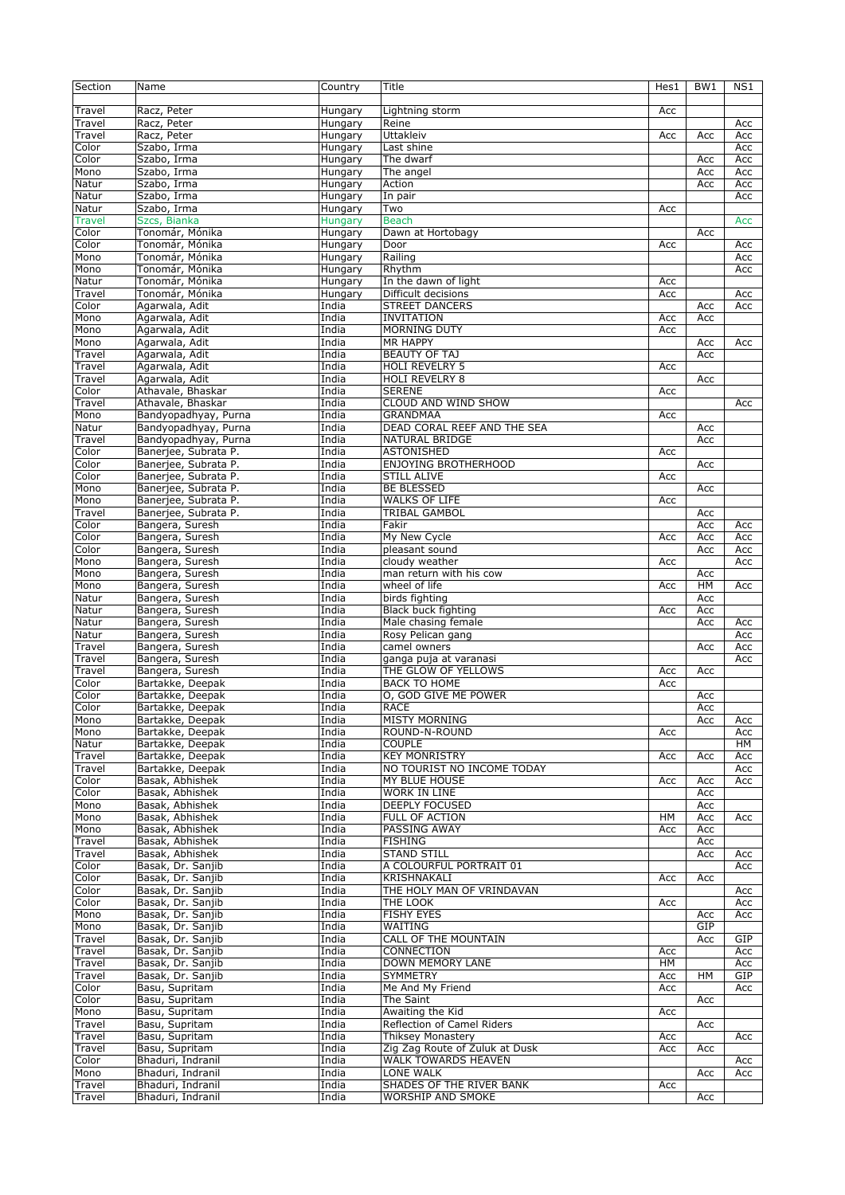| Section       | Name                 | Country        | Title                          | Hes1 | BW1 | NS1 |
|---------------|----------------------|----------------|--------------------------------|------|-----|-----|
|               |                      |                |                                |      |     |     |
| Travel        | Racz, Peter          | Hungary        | Lightning storm                | Acc  |     |     |
| Travel        | Racz, Peter          | Hungary        | Reine                          |      |     | Acc |
| Travel        | Racz, Peter          | Hungary        | Uttakleiv                      | Acc  | Acc | Acc |
| Color         |                      | Hungary        |                                |      |     |     |
|               | Szabo, Irma          |                | Last shine                     |      |     | Acc |
| Color         | Szabo, Irma          | Hungary        | The dwarf                      |      | Acc | Acc |
| Mono          | Szabo, Irma          | Hungary        | The angel                      |      | Acc | Acc |
| Natur         | Szabo, Irma          | Hungary        | Action                         |      | Acc | Acc |
| Natur         | Szabo, Irma          | Hungary        | In pair                        |      |     | Acc |
| Natur         | Szabo, Irma          | Hungary        | Two                            | Acc  |     |     |
| <b>Travel</b> | Szcs, Bianka         | <b>Hungary</b> | <b>Beach</b>                   |      |     | Acc |
| Color         | Tonomár, Mónika      | Hungary        | Dawn at Hortobagy              |      | Acc |     |
| Color         | Tonomár, Mónika      | Hungary        | Door                           | Acc  |     | Acc |
| Mono          | Tonomár, Mónika      |                | Railing                        |      |     | Acc |
|               |                      | Hungary        |                                |      |     |     |
| Mono          | Tonomár, Mónika      | Hungary        | Rhythm                         |      |     | Acc |
| Natur         | Tonomár, Mónika      | Hungary        | In the dawn of light           | Acc  |     |     |
| Travel        | Tonomár, Mónika      | Hungary        | Difficult decisions            | Acc  |     | Acc |
| Color         | Agarwala, Adit       | India          | <b>STREET DANCERS</b>          |      | Acc | Acc |
| Mono          | Agarwala, Adit       | India          | <b>INVITATION</b>              | Acc  | Acc |     |
| Mono          | Agarwala, Adit       | India          | <b>MORNING DUTY</b>            | Acc  |     |     |
| Mono          | Agarwala, Adit       | India          | <b>MR HAPPY</b>                |      | Acc | Acc |
| Travel        | Agarwala, Adit       | India          | <b>BEAUTY OF TAJ</b>           |      | Acc |     |
|               |                      |                |                                |      |     |     |
| Travel        | Agarwala, Adit       | India          | <b>HOLI REVELRY 5</b>          | Acc  |     |     |
| Travel        | Agarwala, Adit       | India          | <b>HOLI REVELRY 8</b>          |      | Acc |     |
| Color         | Athavale, Bhaskar    | India          | <b>SERENE</b>                  | Acc  |     |     |
| Travel        | Athavale, Bhaskar    | India          | CLOUD AND WIND SHOW            |      |     | Acc |
| Mono          | Bandyopadhyay, Purna | India          | <b>GRANDMAA</b>                | Acc  |     |     |
| Natur         | Bandyopadhyay, Purna | India          | DEAD CORAL REEF AND THE SEA    |      | Acc |     |
| Travel        | Bandyopadhyay, Purna | India          | NATURAL BRIDGE                 |      | Acc |     |
|               |                      |                |                                |      |     |     |
| Color         | Banerjee, Subrata P. | India          | <b>ASTONISHED</b>              | Acc  |     |     |
| Color         | Baneriee, Subrata P. | India          | <b>ENJOYING BROTHERHOOD</b>    |      | Acc |     |
| Color         | Banerjee, Subrata P. | India          | <b>STILL ALIVE</b>             | Acc  |     |     |
| Mono          | Banerjee, Subrata P. | India          | <b>BE BLESSED</b>              |      | Acc |     |
| Mono          | Banerjee, Subrata P. | India          | <b>WALKS OF LIFE</b>           | Acc  |     |     |
| Travel        | Banerjee, Subrata P. | India          | <b>TRIBAL GAMBOL</b>           |      | Acc |     |
| Color         | Bangera, Suresh      | India          | Fakir                          |      | Acc | Acc |
|               |                      |                |                                |      |     |     |
| Color         | Bangera, Suresh      | India          | My New Cycle                   | Acc  | Acc | Acc |
| Color         | Bangera, Suresh      | India          | pleasant sound                 |      | Acc | Acc |
| Mono          | Bangera, Suresh      | India          | cloudy weather                 | Acc  |     | Acc |
| Mono          | Bangera, Suresh      | India          | man return with his cow        |      | Acc |     |
| Mono          | Bangera, Suresh      | India          | wheel of life                  | Acc  | HM  | Acc |
| Natur         | Bangera, Suresh      | India          | birds fighting                 |      | Acc |     |
|               | Bangera, Suresh      | India          | Black buck fighting            |      |     |     |
| Natur         |                      |                |                                | Acc  | Acc |     |
| Natur         | Bangera, Suresh      | India          | Male chasing female            |      | Acc | Acc |
| Natur         | Bangera, Suresh      | India          | Rosy Pelican gang              |      |     | Acc |
| Travel        | Bangera, Suresh      | India          | camel owners                   |      | Acc | Acc |
| Travel        | Bangera, Suresh      | India          | ganga puja at varanasi         |      |     | Acc |
| Travel        | Bangera, Suresh      | India          | THE GLOW OF YELLOWS            | Acc  | Acc |     |
| Color         | Bartakke, Deepak     | India          | <b>BACK TO HOME</b>            | Acc  |     |     |
| Color         | Bartakke, Deepak     | India          | O, GOD GIVE ME POWER           |      | Acc |     |
|               |                      |                |                                |      |     |     |
| Color         | Bartakke, Deepak     | India          | <b>RACE</b>                    |      | Acc |     |
| Mono          | Bartakke, Deepak     | India          | <b>MISTY MORNING</b>           |      | Acc | Acc |
| Mono          | Bartakke, Deepak     | India          | ROUND-N-ROUND                  | Acc  |     | Acc |
| Natur         | Bartakke, Deepak     | India          | <b>COUPLE</b>                  |      |     | HМ  |
| Travel        | Bartakke, Deepak     | India          | <b>KEY MONRISTRY</b>           | Acc  | Acc | Acc |
| Travel        | Bartakke, Deepak     | India          | NO TOURIST NO INCOME TODAY     |      |     | Acc |
| Color         | Basak, Abhishek      | India          | MY BLUE HOUSE                  | Acc  | Acc | Acc |
|               |                      |                |                                |      |     |     |
| Color         | Basak, Abhishek      | India          | <b>WORK IN LINE</b>            |      | Acc |     |
| Mono          | Basak, Abhishek      | India          | <b>DEEPLY FOCUSED</b>          |      | Acc |     |
| Mono          | Basak, Abhishek      | India          | <b>FULL OF ACTION</b>          | HM   | Acc | Acc |
| Mono          | Basak, Abhishek      | India          | PASSING AWAY                   | Acc  | Acc |     |
| Travel        | Basak, Abhishek      | India          | <b>FISHING</b>                 |      | Acc |     |
| Travel        | Basak, Abhishek      | India          | <b>STAND STILL</b>             |      | Acc | Acc |
| Color         | Basak, Dr. Sanjib    | India          | A COLOURFUL PORTRAIT 01        |      |     | Acc |
| Color         | Basak, Dr. Sanjib    | India          | KRISHNAKALI                    | Acc  | Acc |     |
|               |                      |                | THE HOLY MAN OF VRINDAVAN      |      |     |     |
| Color         | Basak, Dr. Sanjib    | India          |                                |      |     | Acc |
| Color         | Basak, Dr. Sanjib    | India          | THE LOOK                       | Acc  |     | Acc |
| Mono          | Basak, Dr. Sanjib    | India          | <b>FISHY EYES</b>              |      | Acc | Acc |
| Mono          | Basak, Dr. Sanjib    | India          | WAITING                        |      | GIP |     |
| Travel        | Basak, Dr. Sanjib    | India          | CALL OF THE MOUNTAIN           |      | Acc | GIP |
| Travel        | Basak, Dr. Sanjib    | India          | CONNECTION                     | Acc  |     | Acc |
| Travel        | Basak, Dr. Sanjib    | India          | DOWN MEMORY LANE               | HМ   |     | Acc |
|               |                      |                |                                |      |     |     |
| Travel        | Basak, Dr. Sanjib    | India          | <b>SYMMETRY</b>                | Acc  | HМ  | GIP |
| Color         | Basu, Supritam       | India          | Me And My Friend               | Acc  |     | Acc |
| Color         | Basu, Supritam       | India          | The Saint                      |      | Acc |     |
| Mono          | Basu, Supritam       | India          | Awaiting the Kid               | Acc  |     |     |
| Travel        | Basu, Supritam       | India          | Reflection of Camel Riders     |      | Acc |     |
| Travel        | Basu, Supritam       | India          | <b>Thiksey Monastery</b>       | Acc  |     | Acc |
| Travel        | Basu, Supritam       | India          | Zig Zag Route of Zuluk at Dusk |      |     |     |
|               |                      |                |                                | Acc  | Acc |     |
| Color         | Bhaduri, Indranil    | India          | WALK TOWARDS HEAVEN            |      |     | Acc |
| Mono          | Bhaduri, Indranil    | India          | LONE WALK                      |      | Acc | Acc |
| Travel        | Bhaduri, Indranil    | India          | SHADES OF THE RIVER BANK       | Acc  |     |     |
| Travel        | Bhaduri, Indranil    | India          | <b>WORSHIP AND SMOKE</b>       |      | Acc |     |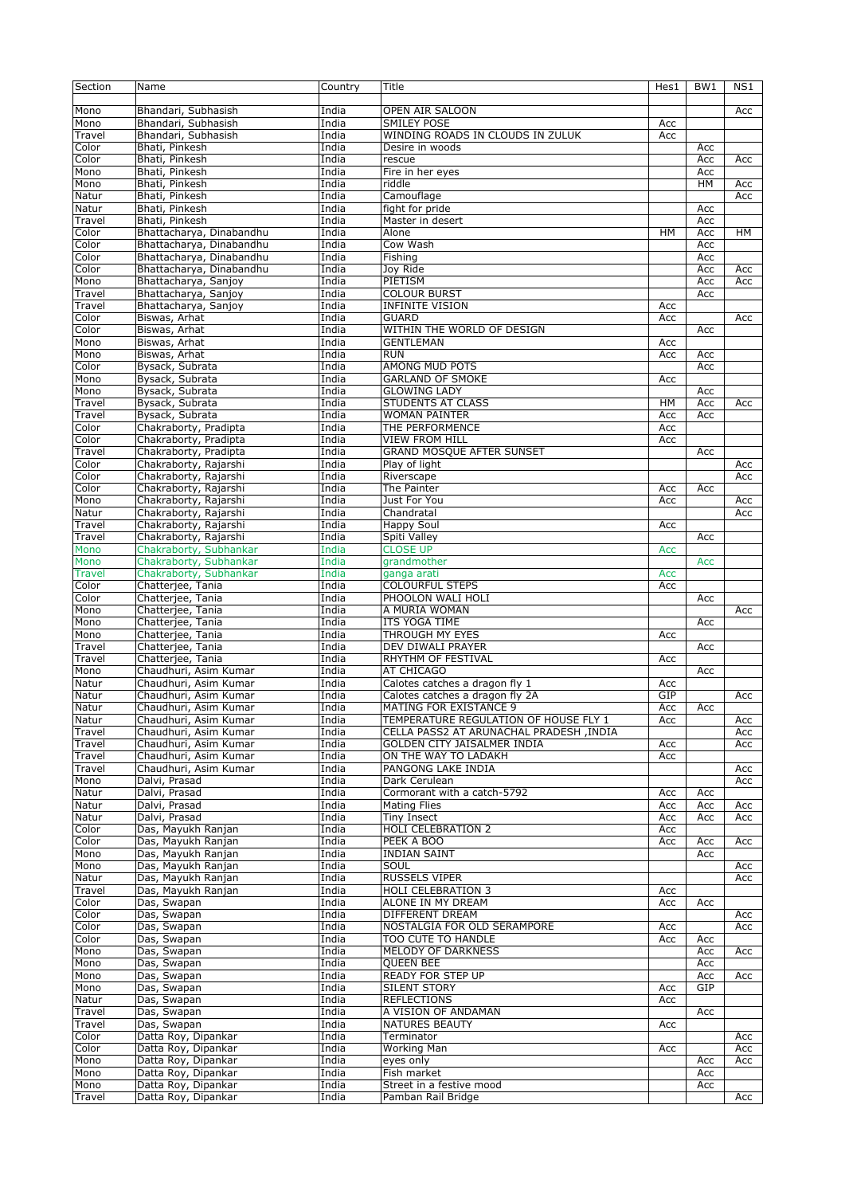| Section         | Name                                           | Country        | Title                                   | Hes1 | BW1        | NS1        |
|-----------------|------------------------------------------------|----------------|-----------------------------------------|------|------------|------------|
| Mono            | Bhandari, Subhasish                            | India          | OPEN AIR SALOON                         |      |            | Acc        |
| Mono            | Bhandari, Subhasish                            | India          | <b>SMILEY POSE</b>                      | Acc  |            |            |
| Travel          | Bhandari, Subhasish                            | India          | WINDING ROADS IN CLOUDS IN ZULUK        | Acc  |            |            |
| Color           | Bhati, Pinkesh                                 | India          | Desire in woods                         |      | Acc        |            |
| Color           | Bhati, Pinkesh                                 | India          | rescue                                  |      | Acc        | Acc        |
| Mono            | Bhati, Pinkesh                                 | India          | Fire in her eyes                        |      | Acc        |            |
| Mono            | Bhati, Pinkesh                                 | India          | riddle                                  |      | <b>HM</b>  | Acc        |
| Natur           | Bhati, Pinkesh                                 | India          | Camouflage                              |      |            | Acc        |
| Natur           | Bhati, Pinkesh                                 | India          | fight for pride                         |      | Acc        |            |
| Travel          | Bhati, Pinkesh                                 | India          | Master in desert                        |      | Acc        |            |
| Color           | Bhattacharya, Dinabandhu                       | India          | Alone                                   | HM   | Acc        | HM         |
| Color           | Bhattacharya, Dinabandhu                       | India          | Cow Wash                                |      | Acc        |            |
| Color           | Bhattacharya, Dinabandhu                       | India          | Fishing                                 |      | Acc        |            |
| Color           | Bhattacharya, Dinabandhu                       | India          | Joy Ride                                |      | Acc        | Acc        |
| Mono            | Bhattacharya, Sanjoy                           | India          | PIETISM                                 |      | Acc        | Acc        |
| Travel          | Bhattacharya, Sanjoy                           | India          | <b>COLOUR BURST</b>                     |      | Acc        |            |
| Travel          | Bhattacharya, Sanjoy                           | India          | <b>INFINITE VISION</b>                  | Acc  |            |            |
| Color           | Biswas, Arhat                                  | India          | <b>GUARD</b>                            | Acc  |            | Acc        |
| Color           | Biswas, Arhat                                  | India          | WITHIN THE WORLD OF DESIGN              |      | Acc        |            |
| Mono            | Biswas, Arhat                                  | India          | <b>GENTLEMAN</b>                        | Acc  |            |            |
| Mono            | Biswas, Arhat                                  | India          | <b>RUN</b>                              | Acc  | Acc        |            |
| Color           | Bysack, Subrata                                | India          | <b>AMONG MUD POTS</b>                   |      | Acc        |            |
| Mono            | Bysack, Subrata                                | India          | <b>GARLAND OF SMOKE</b>                 | Acc  |            |            |
| Mono            | Bysack, Subrata                                | India          | <b>GLOWING LADY</b>                     |      | Acc        |            |
| Travel          | Bysack, Subrata                                | India          | <b>STUDENTS AT CLASS</b>                | HМ   | Acc        | Acc        |
| Travel<br>Color | Bysack, Subrata                                | India          | <b>WOMAN PAINTER</b>                    | Acc  | Acc        |            |
|                 | Chakraborty, Pradipta                          | India          | THE PERFORMENCE                         | Acc  |            |            |
| Color           | Chakraborty, Pradipta                          | India          | <b>VIEW FROM HILL</b>                   | Acc  |            |            |
| Travel<br>Color | Chakraborty, Pradipta                          | India<br>India | <b>GRAND MOSQUE AFTER SUNSET</b>        |      | Acc        |            |
| Color           | Chakraborty, Rajarshi<br>Chakraborty, Rajarshi | India          | Play of light<br>Riverscape             |      |            | Acc<br>Acc |
| Color           |                                                | India          | The Painter                             | Acc  | Acc        |            |
| Mono            | Chakraborty, Rajarshi<br>Chakraborty, Rajarshi | India          | Just For You                            |      |            | Acc        |
| Natur           | Chakraborty, Rajarshi                          | India          | Chandratal                              | Acc  |            | Acc        |
| Travel          | Chakraborty, Rajarshi                          | India          | Happy Soul                              | Acc  |            |            |
| Travel          | Chakraborty, Rajarshi                          | India          | Spiti Valley                            |      | Acc        |            |
| Mono            | Chakraborty, Subhankar                         | India          | <b>CLOSE UP</b>                         | Acc  |            |            |
| Mono            | Chakraborty, Subhankar                         | India          | grandmother                             |      | Acc        |            |
| <b>Travel</b>   | Chakraborty, Subhankar                         | India          | ganga arati                             | Acc  |            |            |
| Color           | Chatterjee, Tania                              | India          | <b>COLOURFUL STEPS</b>                  | Acc  |            |            |
| Color           | Chatterjee, Tania                              | India          | PHOOLON WALI HOLI                       |      | Acc        |            |
| Mono            | Chatterjee, Tania                              | India          | A MURIA WOMAN                           |      |            | Acc        |
| Mono            | Chatterjee, Tania                              | India          | ITS YOGA TIME                           |      | Acc        |            |
| Mono            | Chatterjee, Tania                              | India          | THROUGH MY EYES                         | Acc  |            |            |
| Travel          | Chatterjee, Tania                              | India          | DEV DIWALI PRAYER                       |      | Acc        |            |
| Travel          | Chatterjee, Tania                              | India          | RHYTHM OF FESTIVAL                      | Acc  |            |            |
| Mono            | Chaudhuri, Asim Kumar                          | India          | AT CHICAGO                              |      | Acc        |            |
| Natur           | Chaudhuri, Asim Kumar                          | India          | Calotes catches a dragon fly 1          | Acc  |            |            |
| Natur           | Chaudhuri, Asim Kumar                          | India          | Calotes catches a dragon fly 2A         | GIP  |            | Acc        |
| Natur           | Chaudhuri, Asim Kumar                          | India          | MATING FOR EXISTANCE 9                  | Acc  | Acc        |            |
| Natur           | Chaudhuri, Asim Kumar                          | India          | TEMPERATURE REGULATION OF HOUSE FLY 1   | Acc  |            | Acc        |
| Travel          | Chaudhuri, Asim Kumar                          | India          | CELLA PASS2 AT ARUNACHAL PRADESH, INDIA |      |            | Acc        |
| Travel          | Chaudhuri, Asim Kumar                          | India          | GOLDEN CITY JAISALMER INDIA             | Acc  |            | Acc        |
| Travel          | Chaudhuri, Asim Kumar                          | India          | ON THE WAY TO LADAKH                    | Acc  |            |            |
| Travel          | Chaudhuri, Asim Kumar                          | India          | PANGONG LAKE INDIA                      |      |            | Acc        |
| Mono            | Dalvi, Prasad                                  | India          | Dark Cerulean                           |      |            | Acc        |
| Natur           | Dalvi, Prasad                                  | India          | Cormorant with a catch-5792             | Acc  | Acc        |            |
| Natur           | Dalvi, Prasad                                  | India          | <b>Mating Flies</b>                     | Acc  | Acc        | Acc        |
| Natur           | Dalvi, Prasad                                  | India          | Tiny Insect                             | Acc  | Acc        | Acc        |
| Color           | Das, Mayukh Ranjan                             | India          | <b>HOLI CELEBRATION 2</b>               | Acc  |            |            |
| Color           | Das, Mayukh Ranjan                             | India          | PEEK A BOO                              | Acc  | Acc        | Acc        |
| Mono            | Das, Mayukh Ranjan                             | India          | <b>INDIAN SAINT</b>                     |      | Acc        |            |
| Mono            | Das, Mayukh Ranjan                             | India          | SOUL                                    |      |            | Acc        |
| Natur           | Das, Mayukh Ranjan                             | India          | <b>RUSSELS VIPER</b>                    |      |            | Acc        |
| Travel          | Das, Mayukh Ranjan                             | India          | <b>HOLI CELEBRATION 3</b>               | Acc  |            |            |
| Color           | Das, Swapan                                    | India          | ALONE IN MY DREAM                       | Acc  | Acc        |            |
| Color           | Das, Swapan                                    | India          | DIFFERENT DREAM                         |      |            | Acc        |
| Color           | Das, Swapan                                    | India          | NOSTALGIA FOR OLD SERAMPORE             | Acc  |            | Acc        |
| Color           | Das, Swapan                                    | India          | TOO CUTE TO HANDLE                      | Acc  | Acc        |            |
| Mono            | Das, Swapan                                    | India          | MELODY OF DARKNESS                      |      | Acc        | Acc        |
| Mono            | Das, Swapan                                    | India          | <b>QUEEN BEE</b>                        |      | Acc        |            |
| Mono            | Das, Swapan                                    | India          | <b>READY FOR STEP UP</b>                |      | Acc        | Acc        |
| Mono            | Das, Swapan                                    | India          | <b>SILENT STORY</b>                     | Acc  | GIP        |            |
| Natur           | Das, Swapan                                    | India          | <b>REFLECTIONS</b>                      | Acc  |            |            |
| Travel          | Das, Swapan                                    | India          | A VISION OF ANDAMAN                     |      | Acc        |            |
| Travel          | Das, Swapan                                    | India          | NATURES BEAUTY                          | Acc  |            |            |
| Color           | Datta Roy, Dipankar                            | India          | Terminator                              |      |            | Acc        |
| Color           | Datta Roy, Dipankar                            | India<br>India | Working Man                             | Acc  |            | Acc        |
| Mono<br>Mono    | Datta Roy, Dipankar<br>Datta Roy, Dipankar     | India          | eyes only<br>Fish market                |      | Acc<br>Acc | Acc        |
| Mono            | Datta Roy, Dipankar                            | India          | Street in a festive mood                |      | Acc        |            |
| Travel          | Datta Roy, Dipankar                            | India          | Pamban Rail Bridge                      |      |            | Acc        |
|                 |                                                |                |                                         |      |            |            |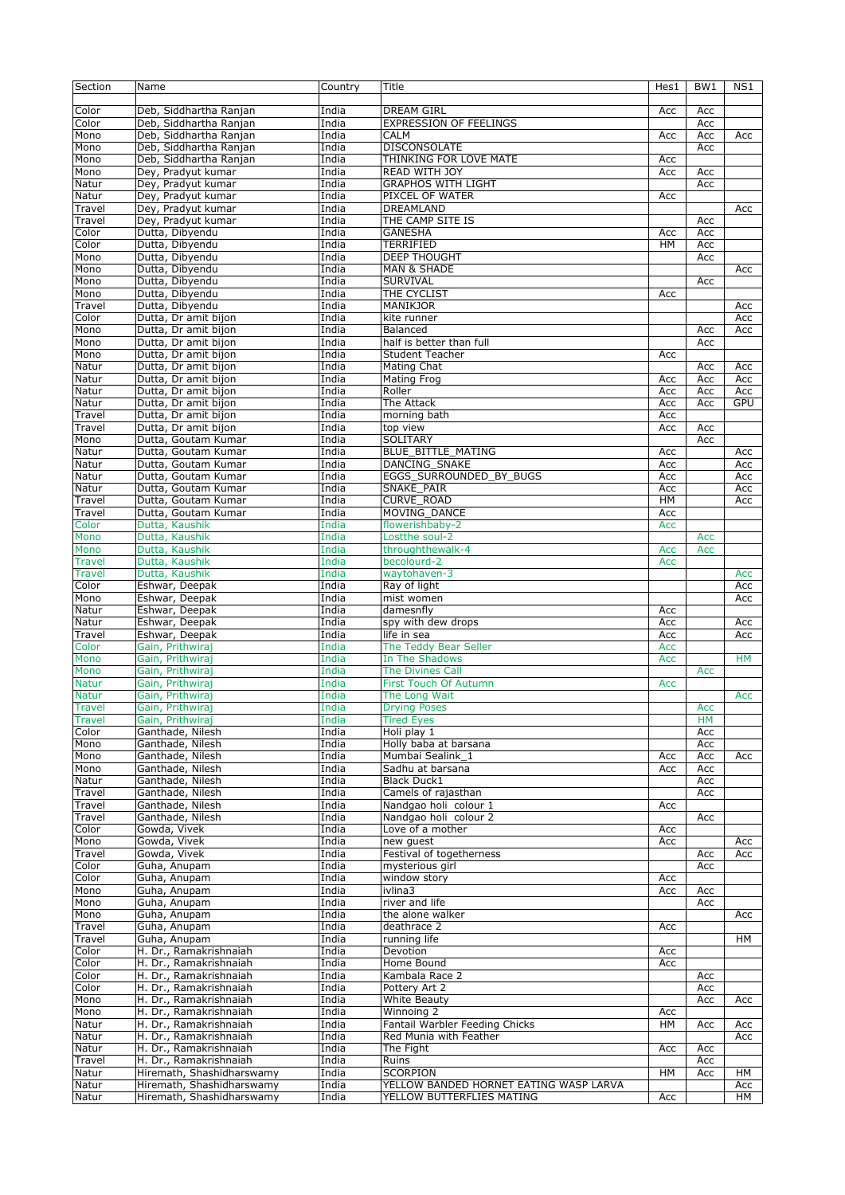| Section         | Name                      | Country | Title                                  | Hes1      | BW1 | NS1       |
|-----------------|---------------------------|---------|----------------------------------------|-----------|-----|-----------|
|                 |                           |         |                                        |           |     |           |
| Color           | Deb, Siddhartha Ranjan    | India   | <b>DREAM GIRL</b>                      | Acc       | Acc |           |
| Color           | Deb, Siddhartha Ranian    | India   | <b>EXPRESSION OF FEELINGS</b>          |           | Acc |           |
| Mono            | Deb, Siddhartha Ranjan    | India   | <b>CALM</b>                            | Acc       | Acc | Acc       |
| Mono            | Deb, Siddhartha Ranjan    | India   | <b>DISCONSOLATE</b>                    |           | Acc |           |
| Mono            | Deb, Siddhartha Ranjan    | India   | THINKING FOR LOVE MATE                 | Acc       |     |           |
| Mono            | Dey, Pradyut kumar        | India   | <b>READ WITH JOY</b>                   | Acc       | Acc |           |
| Natur           | Dey, Pradyut kumar        | India   | <b>GRAPHOS WITH LIGHT</b>              |           | Acc |           |
| Natur           | Dey, Pradyut kumar        | India   | PIXCEL OF WATER                        | Acc       |     |           |
| Travel          | Dey, Pradyut kumar        | India   | DREAMLAND                              |           |     | Acc       |
| Travel          | Dey, Pradyut kumar        | India   | THE CAMP SITE IS                       |           | Acc |           |
| Color           | Dutta, Dibyendu           | India   | <b>GANESHA</b>                         | Acc       | Acc |           |
| Color           | Dutta, Dibyendu           | India   | <b>TERRIFIED</b>                       | <b>HM</b> | Acc |           |
| Mono            | Dutta, Dibyendu           | India   | <b>DEEP THOUGHT</b>                    |           | Acc |           |
| Mono            | Dutta, Dibyendu           | India   | <b>MAN &amp; SHADE</b>                 |           |     |           |
|                 |                           |         |                                        |           |     | Acc       |
| Mono            | Dutta, Dibyendu           | India   | SURVIVAL                               |           | Acc |           |
| Mono            | Dutta, Dibyendu           | India   | THE CYCLIST                            | Acc       |     |           |
| Travel          | Dutta, Dibyendu           | India   | <b>MANIKJOR</b>                        |           |     | Acc       |
| Color           | Dutta, Dr amit bijon      | India   | kite runner                            |           |     | Acc       |
| Mono            | Dutta, Dr amit bijon      | India   | Balanced                               |           | Acc | Acc       |
| Mono            | Dutta, Dr amit bijon      | India   | half is better than full               |           | Acc |           |
| Mono            | Dutta, Dr amit bijon      | India   | <b>Student Teacher</b>                 | Acc       |     |           |
| Natur           | Dutta, Dr amit bijon      | India   | Mating Chat                            |           | Acc | Acc       |
| Natur           | Dutta, Dr amit bijon      | India   | <b>Mating Frog</b>                     | Acc       | Acc | Acc       |
| Natur           | Dutta, Dr amit bijon      | India   | Roller                                 | Acc       | Acc | Acc       |
| Natur           | Dutta, Dr amit bijon      | India   | The Attack                             | Acc       | Acc | GPU       |
| Travel          | Dutta, Dr amit bijon      | India   | morning bath                           | Acc       |     |           |
| Travel          | Dutta, Dr amit bijon      | India   | top view                               | Acc       | Acc |           |
| Mono            | Dutta, Goutam Kumar       | India   | SOLITARY                               |           | Acc |           |
| Natur           | Dutta, Goutam Kumar       | India   | <b>BLUE BITTLE MATING</b>              | Acc       |     | Acc       |
| Natur           | Dutta, Goutam Kumar       | India   | DANCING SNAKE                          | Acc       |     | Acc       |
| Natur           | Dutta, Goutam Kumar       | India   | EGGS SURROUNDED BY BUGS                | Acc       |     | Acc       |
| Natur           | Dutta, Goutam Kumar       | India   | SNAKE PAIR                             | Acc       |     | Acc       |
| Travel          | Dutta, Goutam Kumar       | India   | <b>CURVE ROAD</b>                      | HM        |     | Acc       |
|                 | Dutta, Goutam Kumar       |         | MOVING DANCE                           |           |     |           |
| Travel<br>Color | Dutta, Kaushik            | India   |                                        | Acc       |     |           |
|                 |                           | India   | flowerishbaby-2                        | Acc       |     |           |
| Mono            | Dutta, Kaushik            | India   | Lostthe soul-2                         |           | Acc |           |
| Mono            | Dutta, Kaushik            | India   | throughthewalk-4                       | Acc       | Acc |           |
| <b>Travel</b>   | Dutta, Kaushik            | India   | becolourd-2                            | Acc       |     |           |
| <b>Travel</b>   | Dutta, Kaushik            | India   | waytohaven-3                           |           |     | Acc       |
| Color           | Eshwar, Deepak            | India   | Ray of light                           |           |     | Acc       |
| Mono            | Eshwar, Deepak            | India   | mist women                             |           |     | Acc       |
| Natur           | Eshwar, Deepak            | India   | damesnfly                              | Acc       |     |           |
| Natur           | Eshwar, Deepak            | India   | spy with dew drops                     | Acc       |     | Acc       |
| Travel          | Eshwar, Deepak            | India   | life in sea                            | Acc       |     | Acc       |
| Color           | Gain, Prithwiraj          | India   | The Teddy Bear Seller                  | Acc       |     |           |
| Mono            | Gain, Prithwiraj          | India   | In The Shadows                         | Acc       |     | <b>HM</b> |
| Mono            | Gain, Prithwiraj          | India   | <b>The Divines Call</b>                |           | Acc |           |
| <b>Natur</b>    | Gain, Prithwiraj          | India   | <b>First Touch Of Autumn</b>           | Acc       |     |           |
| <b>Natur</b>    | Gain, Prithwiraj          | India   | The Long Wait                          |           |     | Acc       |
| <b>Travel</b>   | Gain, Prithwiraj          | India   | <b>Drying Poses</b>                    |           | Acc |           |
| Travel          | Gain, Prithwiraj          | India   | <b>Tired Eyes</b>                      |           | HM  |           |
| Color           | Ganthade, Nilesh          | India   | Holi play 1                            |           | Acc |           |
| Mono            | Ganthade, Nilesh          | India   | Holly baba at barsana                  |           | Acc |           |
| Mono            | Ganthade, Nilesh          | India   | Mumbai Sealink_1                       | Acc       | Acc | Acc       |
| Mono            | Ganthade, Nilesh          | India   | Sadhu at barsana                       | Acc       | Acc |           |
| Natur           | Ganthade, Nilesh          | India   | <b>Black Duck1</b>                     |           | Acc |           |
| Travel          | Ganthade, Nilesh          | India   | Camels of rajasthan                    |           | Acc |           |
| Travel          | Ganthade, Nilesh          | India   | Nandgao holi colour 1                  |           |     |           |
| Travel          |                           | India   | Nandgao holi colour 2                  | Acc       |     |           |
|                 | Ganthade, Nilesh          |         | Love of a mother                       |           | Acc |           |
| Color           | Gowda, Vivek              | India   |                                        | Acc       |     |           |
| Mono            | Gowda, Vivek              | India   | new guest                              | Acc       |     | Acc       |
| Travel          | Gowda, Vivek              | India   | Festival of togetherness               |           | Acc | Acc       |
| Color           | Guha, Anupam              | India   | mysterious girl                        |           | Acc |           |
| Color           | Guha, Anupam              | India   | window story                           | Acc       |     |           |
| Mono            | Guha, Anupam              | India   | ivlina3                                | Acc       | Acc |           |
| Mono            | Guha, Anupam              | India   | river and life                         |           | Acc |           |
| Mono            | Guha, Anupam              | India   | the alone walker                       |           |     | Acc       |
| Travel          | Guha, Anupam              | India   | deathrace 2                            | Acc       |     |           |
| Travel          | Guha, Anupam              | India   | running life                           |           |     | HМ        |
| Color           | H. Dr., Ramakrishnaiah    | India   | Devotion                               | Acc       |     |           |
| Color           | H. Dr., Ramakrishnaiah    | India   | Home Bound                             | Acc       |     |           |
| Color           | H. Dr., Ramakrishnaiah    | India   | Kambala Race 2                         |           | Acc |           |
| Color           | H. Dr., Ramakrishnaiah    | India   | Pottery Art 2                          |           | Acc |           |
| Mono            | H. Dr., Ramakrishnaiah    | India   | White Beauty                           |           | Acc | Acc       |
| Mono            | H. Dr., Ramakrishnaiah    | India   | Winnoing 2                             | Acc       |     |           |
| Natur           | H. Dr., Ramakrishnaiah    | India   | Fantail Warbler Feeding Chicks         | <b>HM</b> | Acc | Acc       |
| Natur           | H. Dr., Ramakrishnaiah    | India   | Red Munia with Feather                 |           |     | Acc       |
| Natur           | H. Dr., Ramakrishnaiah    | India   | The Fight                              | Acc       | Acc |           |
| Travel          | H. Dr., Ramakrishnaiah    | India   | Ruins                                  |           | Acc |           |
| Natur           | Hiremath, Shashidharswamy | India   | <b>SCORPION</b>                        | HM        | Acc | HМ        |
| Natur           | Hiremath, Shashidharswamy | India   | YELLOW BANDED HORNET EATING WASP LARVA |           |     |           |
| Natur           | Hiremath, Shashidharswamy |         |                                        |           |     | Acc       |
|                 |                           | India   | YELLOW BUTTERFLIES MATING              | Acc       |     | HМ        |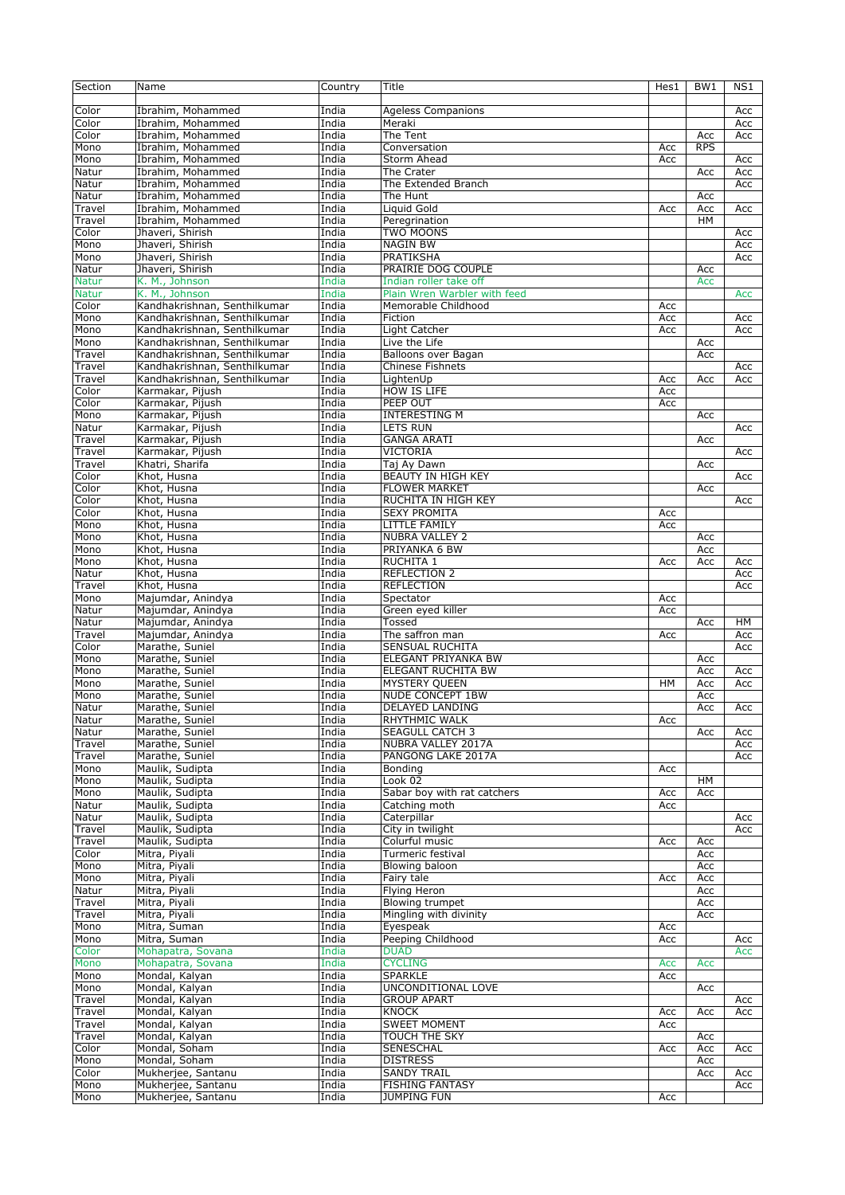| Section      | Name                         | Country | Title                        | Hes1 | BW1        | NS1 |
|--------------|------------------------------|---------|------------------------------|------|------------|-----|
|              |                              |         |                              |      |            |     |
| Color        | Ibrahim, Mohammed            | India   | <b>Ageless Companions</b>    |      |            | Acc |
| Color        | Ibrahim, Mohammed            | India   | Meraki                       |      |            | Acc |
|              |                              |         |                              |      |            |     |
| Color        | Ibrahim, Mohammed            | India   | The Tent                     |      | Acc        | Acc |
| Mono         | Ibrahim, Mohammed            | India   | Conversation                 | Acc  | <b>RPS</b> |     |
| Mono         | Ibrahim, Mohammed            | India   | Storm Ahead                  | Acc  |            | Acc |
| Natur        | Ibrahim, Mohammed            | India   | The Crater                   |      | Acc        | Acc |
| Natur        | Ibrahim, Mohammed            | India   | The Extended Branch          |      |            | Acc |
| Natur        | Ibrahim, Mohammed            | India   | The Hunt                     |      | Acc        |     |
| Travel       | Ibrahim, Mohammed            | India   | Liquid Gold                  | Acc  | Acc        | Acc |
|              | Ibrahim, Mohammed            | India   |                              |      | <b>HM</b>  |     |
| Travel       |                              |         | Peregrination                |      |            |     |
| Color        | Jhaveri, Shirish             | India   | TWO MOONS                    |      |            | Acc |
| Mono         | Jhaveri, Shirish             | India   | <b>NAGIN BW</b>              |      |            | Acc |
| Mono         | Jhaveri, Shirish             | India   | PRATIKSHA                    |      |            | Acc |
| Natur        | Jhaveri, Shirish             | India   | PRAIRIE DOG COUPLE           |      | Acc        |     |
| <b>Natur</b> | K. M., Johnson               | India   | Indian roller take off       |      | Acc        |     |
|              |                              |         |                              |      |            |     |
| <b>Natur</b> | K. M., Johnson               | India   | Plain Wren Warbler with feed |      |            | Acc |
| Color        | Kandhakrishnan, Senthilkumar | India   | Memorable Childhood          | Acc  |            |     |
| Mono         | Kandhakrishnan, Senthilkumar | India   | Fiction                      | Acc  |            | Acc |
| Mono         | Kandhakrishnan, Senthilkumar | India   | Light Catcher                | Acc  |            | Acc |
| Mono         | Kandhakrishnan, Senthilkumar | India   | Live the Life                |      | Acc        |     |
| Travel       | Kandhakrishnan, Senthilkumar | India   | Balloons over Bagan          |      | Acc        |     |
|              |                              |         |                              |      |            |     |
| Travel       | Kandhakrishnan, Senthilkumar | India   | <b>Chinese Fishnets</b>      |      |            | Acc |
| Travel       | Kandhakrishnan, Senthilkumar | India   | LightenUp                    | Acc  | Acc        | Acc |
| Color        | Karmakar, Pijush             | India   | <b>HOW IS LIFE</b>           | Acc  |            |     |
| Color        | Karmakar, Pijush             | India   | PEEP OUT                     | Acc  |            |     |
| Mono         | Karmakar, Pijush             | India   | <b>INTERESTING M</b>         |      | Acc        |     |
|              | Karmakar, Pijush             | India   |                              |      |            | Acc |
| Natur        |                              |         | LETS RUN                     |      |            |     |
| Travel       | Karmakar, Pijush             | India   | <b>GANGA ARATI</b>           |      | Acc        |     |
| Travel       | Karmakar, Pijush             | India   | <b>VICTORIA</b>              |      |            | Acc |
| Travel       | Khatri, Sharifa              | India   | Taj Ay Dawn                  |      | Acc        |     |
| Color        | Khot, Husna                  | India   | BEAUTY IN HIGH KEY           |      |            | Acc |
| Color        |                              | India   | <b>FLOWER MARKET</b>         |      |            |     |
|              | Khot, Husna                  |         |                              |      | Acc        |     |
| Color        | Khot, Husna                  | India   | RUCHITA IN HIGH KEY          |      |            | Acc |
| Color        | Khot, Husna                  | India   | <b>SEXY PROMITA</b>          | Acc  |            |     |
| Mono         | Khot, Husna                  | India   | LITTLE FAMILY                | Acc  |            |     |
| Mono         | Khot, Husna                  | India   | <b>NUBRA VALLEY 2</b>        |      | Acc        |     |
| Mono         | Khot, Husna                  | India   | PRIYANKA 6 BW                |      | Acc        |     |
|              |                              |         |                              |      |            |     |
| Mono         | Khot, Husna                  | India   | <b>RUCHITA 1</b>             | Acc  | Acc        | Acc |
| Natur        | Khot, Husna                  | India   | <b>REFLECTION 2</b>          |      |            | Acc |
| Travel       | Khot, Husna                  | India   | <b>REFLECTION</b>            |      |            | Acc |
| Mono         | Majumdar, Anindya            | India   | Spectator                    | Acc  |            |     |
| Natur        | Majumdar, Anindya            | India   | Green eyed killer            | Acc  |            |     |
|              |                              |         |                              |      |            |     |
| Natur        | Majumdar, Anindya            | India   | Tossed                       |      | Acc        | HM  |
| Travel       | Majumdar, Anindya            | India   | The saffron man              | Acc  |            | Acc |
| Color        | Marathe, Suniel              | India   | SENSUAL RUCHITA              |      |            | Acc |
| Mono         | Marathe, Suniel              | India   | ELEGANT PRIYANKA BW          |      | Acc        |     |
| Mono         | Marathe, Suniel              | India   | <b>ELEGANT RUCHITA BW</b>    |      | Acc        | Acc |
| Mono         | Marathe, Suniel              | India   | MYSTERY QUEEN                | HM   | Acc        | Acc |
|              |                              |         |                              |      |            |     |
| Mono         | Marathe, Suniel              | India   | <b>NUDE CONCEPT 1BW</b>      |      | Acc        |     |
| Natur        | Marathe, Suniel              | India   | DELAYED LANDING              |      | Acc        | Acc |
| Natur        | Marathe, Suniel              | India   | RHYTHMIC WALK                | Acc  |            |     |
| Natur        | Marathe, Suniel              | India   | SEAGULL CATCH 3              |      | Acc        | Acc |
| Travel       | Marathe, Suniel              | India   | NUBRA VALLEY 2017A           |      |            | Acc |
|              |                              | India   | PANGONG LAKE 2017A           |      |            |     |
| Travel       | Marathe, Suniel              |         |                              |      |            | Acc |
| Mono         | Maulik, Sudipta              | India   | Bonding                      | Acc  |            |     |
| Mono         | Maulik, Sudipta              | India   | Look 02                      |      | HM         |     |
| Mono         | Maulik, Sudipta              | India   | Sabar boy with rat catchers  | Acc  | Acc        |     |
| Natur        | Maulik, Sudipta              | India   | Catching moth                | Acc  |            |     |
| Natur        | Maulik, Sudipta              | India   | Caterpillar                  |      |            | Acc |
|              |                              | India   | City in twilight             |      |            |     |
| Travel       | Maulik, Sudipta              |         |                              |      |            | Acc |
| Travel       | Maulik, Sudipta              | India   | Colurful music               | Acc  | Acc        |     |
| Color        | Mitra, Piyali                | India   | Turmeric festival            |      | Acc        |     |
| Mono         | Mitra, Piyali                | India   | Blowing baloon               |      | Acc        |     |
| Mono         | Mitra, Piyali                | India   | Fairy tale                   | Acc  | Acc        |     |
| Natur        | Mitra, Piyali                | India   | <b>Flying Heron</b>          |      | Acc        |     |
|              |                              |         |                              |      |            |     |
| Travel       | Mitra, Piyali                | India   | Blowing trumpet              |      | Acc        |     |
| Travel       | Mitra, Piyali                | India   | Mingling with divinity       |      | Acc        |     |
| Mono         | Mitra, Suman                 | India   | Eyespeak                     | Acc  |            |     |
| Mono         | Mitra, Suman                 | India   | Peeping Childhood            | Acc  |            | Acc |
| Color        | Mohapatra, Sovana            | India   | <b>DUAD</b>                  |      |            | Acc |
| Mono         | Mohapatra, Sovana            | India   | <b>CYCLING</b>               | Acc  | Acc        |     |
|              |                              |         |                              |      |            |     |
| Mono         | Mondal, Kalyan               | India   | <b>SPARKLE</b>               | Acc  |            |     |
| Mono         | Mondal, Kalyan               | India   | UNCONDITIONAL LOVE           |      | Acc        |     |
| Travel       | Mondal, Kalyan               | India   | <b>GROUP APART</b>           |      |            | Acc |
| Travel       | Mondal, Kalyan               | India   | <b>KNOCK</b>                 | Acc  | Acc        | Acc |
| Travel       | Mondal, Kalyan               | India   | <b>SWEET MOMENT</b>          | Acc  |            |     |
|              |                              |         |                              |      |            |     |
| Travel       | Mondal, Kalyan               | India   | TOUCH THE SKY                |      | Acc        |     |
| Color        | Mondal, Soham                | India   | SENESCHAL                    | Acc  | Acc        | Acc |
| Mono         | Mondal, Soham                | India   | <b>DISTRESS</b>              |      | Acc        |     |
| Color        | Mukherjee, Santanu           | India   | <b>SANDY TRAIL</b>           |      | Acc        | Acc |
| Mono         | Mukherjee, Santanu           | India   | <b>FISHING FANTASY</b>       |      |            | Acc |
|              |                              |         |                              |      |            |     |
| Mono         | Mukherjee, Santanu           | India   | <b>JUMPING FUN</b>           | Acc  |            |     |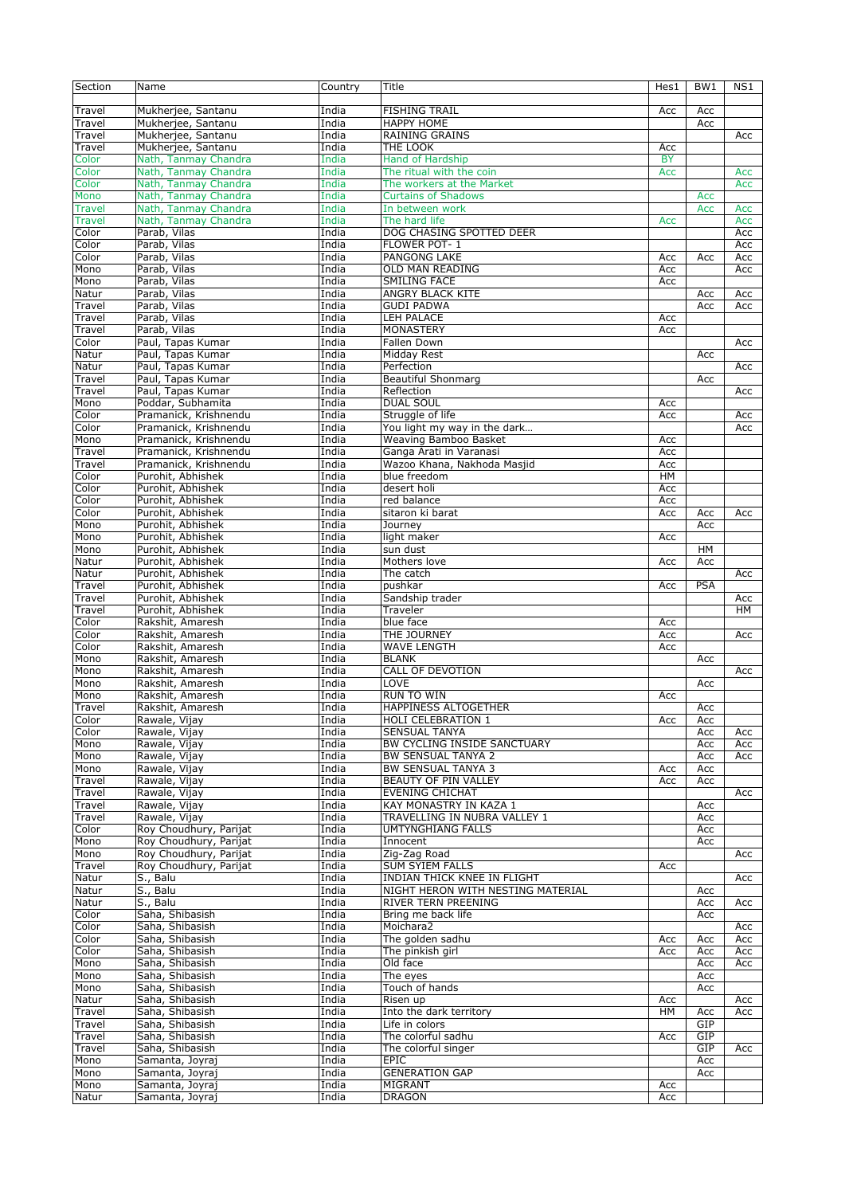| Section       | Name                   | Country | Title                              | Hes1      | BW <sub>1</sub> | NS1 |
|---------------|------------------------|---------|------------------------------------|-----------|-----------------|-----|
|               |                        |         |                                    |           |                 |     |
| Travel        | Mukherjee, Santanu     | India   | <b>FISHING TRAIL</b>               | Acc       | Acc             |     |
| Travel        | Mukherjee, Santanu     | India   | <b>HAPPY HOME</b>                  |           | Acc             |     |
| Travel        |                        | India   | <b>RAINING GRAINS</b>              |           |                 |     |
|               | Mukherjee, Santanu     |         |                                    |           |                 | Acc |
| Travel        | Mukherjee, Santanu     | India   | THE LOOK                           | Acc       |                 |     |
| Color         | Nath, Tanmay Chandra   | India   | <b>Hand of Hardship</b>            | <b>BY</b> |                 |     |
| Color         | Nath, Tanmay Chandra   | India   | The ritual with the coin           | Acc       |                 | Acc |
| Color         | Nath, Tanmay Chandra   | India   | The workers at the Market          |           |                 | Acc |
| Mono          | Nath, Tanmay Chandra   | India   | <b>Curtains of Shadows</b>         |           | Acc             |     |
| <b>Travel</b> | Nath, Tanmay Chandra   | India   | In between work                    |           | Acc             | Acc |
| Travel        | Nath, Tanmay Chandra   | India   | The hard life                      | Acc       |                 | Acc |
| Color         | Parab, Vilas           | India   | DOG CHASING SPOTTED DEER           |           |                 | Acc |
|               |                        |         |                                    |           |                 |     |
| Color         | Parab, Vilas           | India   | FLOWER POT-1                       |           |                 | Acc |
| Color         | Parab, Vilas           | India   | PANGONG LAKE                       | Acc       | Acc             | Acc |
| Mono          | Parab, Vilas           | India   | <b>OLD MAN READING</b>             | Acc       |                 | Acc |
| Mono          | Parab, Vilas           | India   | <b>SMILING FACE</b>                | Acc       |                 |     |
| Natur         | Parab, Vilas           | India   | ANGRY BLACK KITE                   |           | Acc             | Acc |
| Travel        | Parab, Vilas           | India   | <b>GUDI PADWA</b>                  |           | Acc             | Acc |
| Travel        | Parab, Vilas           | India   | LEH PALACE                         | Acc       |                 |     |
| Travel        | Parab, Vilas           | India   | <b>MONASTERY</b>                   | Acc       |                 |     |
|               |                        |         |                                    |           |                 |     |
| Color         | Paul, Tapas Kumar      | India   | Fallen Down                        |           |                 | Acc |
| Natur         | Paul, Tapas Kumar      | India   | Midday Rest                        |           | Acc             |     |
| Natur         | Paul, Tapas Kumar      | India   | Perfection                         |           |                 | Acc |
| Travel        | Paul, Tapas Kumar      | India   | <b>Beautiful Shonmarg</b>          |           | Acc             |     |
| Travel        | Paul, Tapas Kumar      | India   | Reflection                         |           |                 | Acc |
| Mono          | Poddar, Subhamita      | India   | <b>DUAL SOUL</b>                   | Acc       |                 |     |
| Color         |                        | India   |                                    |           |                 | Acc |
|               | Pramanick, Krishnendu  |         | Struggle of life                   | Acc       |                 |     |
| Color         | Pramanick, Krishnendu  | India   | You light my way in the dark       |           |                 | Acc |
| Mono          | Pramanick, Krishnendu  | India   | <b>Weaving Bamboo Basket</b>       | Acc       |                 |     |
| Travel        | Pramanick, Krishnendu  | India   | Ganga Arati in Varanasi            | Acc       |                 |     |
| Travel        | Pramanick, Krishnendu  | India   | Wazoo Khana, Nakhoda Masjid        | Acc       |                 |     |
| Color         | Purohit, Abhishek      | India   | blue freedom                       | <b>HM</b> |                 |     |
| Color         | Purohit, Abhishek      | India   | desert holi                        | Acc       |                 |     |
|               |                        |         |                                    |           |                 |     |
| Color         | Purohit, Abhishek      | India   | red balance                        | Acc       |                 |     |
| Color         | Purohit, Abhishek      | India   | sitaron ki barat                   | Acc       | Acc             | Acc |
| Mono          | Purohit, Abhishek      | India   | Journey                            |           | Acc             |     |
| Mono          | Purohit, Abhishek      | India   | light maker                        | Acc       |                 |     |
| Mono          | Purohit, Abhishek      | India   | sun dust                           |           | HM              |     |
| Natur         | Purohit, Abhishek      | India   | Mothers love                       | Acc       | Acc             |     |
|               |                        | India   | The catch                          |           |                 |     |
| Natur         | Purohit, Abhishek      |         |                                    |           |                 | Acc |
| Travel        | Purohit, Abhishek      | India   | pushkar                            | Acc       | PSA             |     |
| Travel        | Purohit, Abhishek      | India   | Sandship trader                    |           |                 | Acc |
| Travel        | Purohit, Abhishek      | India   | Traveler                           |           |                 | HМ  |
| Color         | Rakshit, Amaresh       | India   | blue face                          | Acc       |                 |     |
| Color         | Rakshit, Amaresh       | India   | THE JOURNEY                        | Acc       |                 | Acc |
| Color         | Rakshit, Amaresh       | India   | <b>WAVE LENGTH</b>                 | Acc       |                 |     |
|               | Rakshit, Amaresh       | India   | <b>BLANK</b>                       |           |                 |     |
| Mono          |                        |         |                                    |           | Acc             |     |
| Mono          | Rakshit, Amaresh       | India   | CALL OF DEVOTION                   |           |                 | Acc |
| Mono          | Rakshit, Amaresh       | India   | LOVE                               |           | Acc             |     |
| Mono          | Rakshit, Amaresh       | India   | RUN TO WIN                         | Acc       |                 |     |
| Travel        | Rakshit, Amaresh       | India   | HAPPINESS ALTOGETHER               |           | Acc             |     |
| Color         | Rawale, Vijay          | India   | HOLI CELEBRATION 1                 | Acc       | Acc             |     |
| Color         | Rawale, Vijay          | India   | <b>SENSUAL TANYA</b>               |           | Acc             | Acc |
| Mono          | Rawale, Vijay          | India   | BW CYCLING INSIDE SANCTUARY        |           | Acc             | Acc |
|               |                        |         |                                    |           |                 |     |
| Mono          | Rawale, Vijay          | India   | <b>BW SENSUAL TANYA 2</b>          |           | Acc             | Acc |
| Mono          | Rawale, Vijay          | India   | <b>BW SENSUAL TANYA 3</b>          | Acc       | Acc             |     |
| Travel        | Rawale, Vijay          | India   | BEAUTY OF PIN VALLEY               | Acc       | Acc             |     |
| Travel        | Rawale, Vijay          | India   | <b>EVENING CHICHAT</b>             |           |                 | Acc |
| Travel        | Rawale, Vijay          | India   | KAY MONASTRY IN KAZA 1             |           | Acc             |     |
| Travel        | Rawale, Vijay          | India   | TRAVELLING IN NUBRA VALLEY 1       |           | Acc             |     |
| Color         | Roy Choudhury, Parijat | India   | <b>UMTYNGHIANG FALLS</b>           |           | Acc             |     |
| Mono          | Roy Choudhury, Parijat | India   | Innocent                           |           | Acc             |     |
|               |                        |         |                                    |           |                 |     |
| Mono          | Roy Choudhury, Parijat | India   | Zig-Zag Road                       |           |                 | Acc |
| Travel        | Roy Choudhury, Parijat | India   | <b>SUM SYIEM FALLS</b>             | Acc       |                 |     |
| Natur         | S., Balu               | India   | <b>INDIAN THICK KNEE IN FLIGHT</b> |           |                 | Acc |
| Natur         | S., Balu               | India   | NIGHT HERON WITH NESTING MATERIAL  |           | Acc             |     |
| Natur         | S., Balu               | India   | RIVER TERN PREENING                |           | Acc             | Acc |
| Color         | Saha, Shibasish        | India   | Bring me back life                 |           | Acc             |     |
| Color         | Saha, Shibasish        | India   | Moichara2                          |           |                 | Acc |
|               |                        |         |                                    |           |                 |     |
| Color         | Saha, Shibasish        | India   | The golden sadhu                   | Acc       | Acc             | Acc |
| Color         | Saha, Shibasish        | India   | The pinkish girl                   | Acc       | Acc             | Acc |
| Mono          | Saha, Shibasish        | India   | Old face                           |           | Acc             | Acc |
| Mono          | Saha, Shibasish        | India   | The eyes                           |           | Acc             |     |
| Mono          | Saha, Shibasish        | India   | Touch of hands                     |           | Acc             |     |
| Natur         | Saha, Shibasish        | India   | Risen up                           | Acc       |                 | Acc |
|               |                        |         |                                    |           |                 |     |
| Travel        | Saha, Shibasish        | India   | Into the dark territory            | HМ        | Acc             | Acc |
| Travel        | Saha, Shibasish        | India   | Life in colors                     |           | GIP             |     |
| Travel        | Saha, Shibasish        | India   | The colorful sadhu                 | Acc       | GIP             |     |
| Travel        | Saha, Shibasish        | India   | The colorful singer                |           | GIP             | Acc |
| Mono          | Samanta, Joyraj        | India   | <b>EPIC</b>                        |           | Acc             |     |
| Mono          | Samanta, Joyraj        | India   | <b>GENERATION GAP</b>              |           | Acc             |     |
| Mono          | Samanta, Joyraj        | India   | MIGRANT                            | Acc       |                 |     |
|               |                        |         |                                    |           |                 |     |
| Natur         | Samanta, Joyraj        | India   | <b>DRAGON</b>                      | Acc       |                 |     |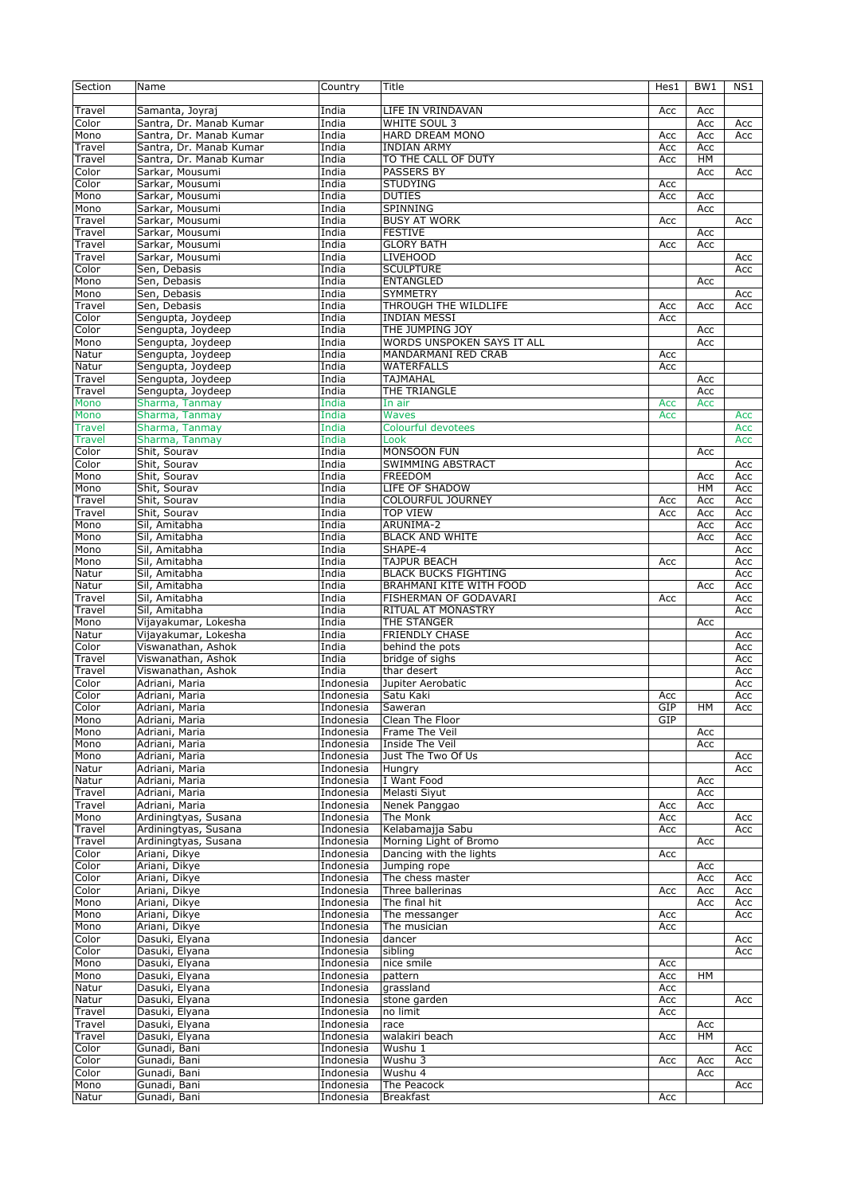| Section       | Name                    | Country   | Title                       | Hes1 | BW1       | NS1 |
|---------------|-------------------------|-----------|-----------------------------|------|-----------|-----|
|               |                         |           |                             |      |           |     |
| Travel        | Samanta, Joyraj         | India     | LIFE IN VRINDAVAN           | Acc  | Acc       |     |
| Color         | Santra, Dr. Manab Kumar | India     | WHITE SOUL 3                |      | Acc       | Acc |
| Mono          | Santra, Dr. Manab Kumar | India     | HARD DREAM MONO             | Acc  | Acc       | Acc |
|               | Santra, Dr. Manab Kumar | India     | <b>INDIAN ARMY</b>          |      |           |     |
| Travel        |                         |           |                             | Acc  | Acc       |     |
| Travel        | Santra, Dr. Manab Kumar | India     | TO THE CALL OF DUTY         | Acc  | HM        |     |
| Color         | Sarkar, Mousumi         | India     | <b>PASSERS BY</b>           |      | Acc       | Acc |
| Color         | Sarkar, Mousumi         | India     | <b>STUDYING</b>             | Acc  |           |     |
| Mono          | Sarkar, Mousumi         | India     | <b>DUTIES</b>               | Acc  | Acc       |     |
| Mono          | Sarkar, Mousumi         | India     | SPINNING                    |      | Acc       |     |
| Travel        | Sarkar, Mousumi         | India     | <b>BUSY AT WORK</b>         | Acc  |           | Acc |
| Travel        | Sarkar, Mousumi         | India     | <b>FESTIVE</b>              |      | Acc       |     |
| Travel        | Sarkar, Mousumi         | India     | <b>GLORY BATH</b>           | Acc  | Acc       |     |
| Travel        | Sarkar, Mousumi         | India     | <b>LIVEHOOD</b>             |      |           | Acc |
| Color         | Sen, Debasis            | India     | <b>SCULPTURE</b>            |      |           | Acc |
|               |                         |           |                             |      |           |     |
| Mono          | Sen, Debasis            | India     | <b>ENTANGLED</b>            |      | Acc       |     |
| Mono          | Sen, Debasis            | India     | <b>SYMMETRY</b>             |      |           | Acc |
| Travel        | Sen, Debasis            | India     | THROUGH THE WILDLIFE        | Acc  | Acc       | Acc |
| Color         | Sengupta, Joydeep       | India     | <b>INDIAN MESSI</b>         | Acc  |           |     |
| Color         | Sengupta, Joydeep       | India     | THE JUMPING JOY             |      | Acc       |     |
| Mono          | Sengupta, Joydeep       | India     | WORDS UNSPOKEN SAYS IT ALL  |      | Acc       |     |
| Natur         | Sengupta, Joydeep       | India     | MANDARMANI RED CRAB         | Acc  |           |     |
| Natur         | Sengupta, Joydeep       | India     | <b>WATERFALLS</b>           | Acc  |           |     |
| Travel        | Sengupta, Joydeep       | India     | <b>TAJMAHAL</b>             |      | Acc       |     |
| Travel        | Sengupta, Joydeep       | India     | THE TRIANGLE                |      | Acc       |     |
| Mono          | Sharma, Tanmay          | India     | In air                      | Acc  |           |     |
| Mono          | Sharma, Tanmay          | India     |                             | Acc  | Acc       | Acc |
|               |                         |           | <b>Waves</b>                |      |           |     |
| <b>Travel</b> | Sharma, Tanmay          | India     | Colourful devotees          |      |           | Acc |
| <b>Travel</b> | Sharma, Tanmay          | India     | Look                        |      |           | Acc |
| Color         | Shit, Sourav            | India     | <b>MONSOON FUN</b>          |      | Acc       |     |
| Color         | Shit, Sourav            | India     | SWIMMING ABSTRACT           |      |           | Acc |
| Mono          | Shit, Sourav            | India     | <b>FREEDOM</b>              |      | Acc       | Acc |
| Mono          | Shit, Sourav            | India     | LIFE OF SHADOW              |      | HM        | Acc |
| Travel        | Shit, Sourav            | India     | COLOURFUL JOURNEY           | Acc  | Acc       | Acc |
| Travel        | Shit, Sourav            | India     | <b>TOP VIEW</b>             | Acc  | Acc       | Acc |
| Mono          | Sil, Amitabha           | India     | ARUNIMA-2                   |      | Acc       | Acc |
| Mono          | Sil, Amitabha           | India     | <b>BLACK AND WHITE</b>      |      | Acc       | Acc |
|               |                         |           |                             |      |           |     |
| Mono          | Sil, Amitabha           | India     | SHAPE-4                     |      |           | Acc |
| Mono          | Sil, Amitabha           | India     | <b>TAJPUR BEACH</b>         | Acc  |           | Acc |
| Natur         | Sil, Amitabha           | India     | <b>BLACK BUCKS FIGHTING</b> |      |           | Acc |
| Natur         | Sil, Amitabha           | India     | BRAHMANI KITE WITH FOOD     |      | Acc       | Acc |
| Travel        | Sil, Amitabha           | India     | FISHERMAN OF GODAVARI       | Acc  |           | Acc |
| Travel        | Sil, Amitabha           | India     | RITUAL AT MONASTRY          |      |           | Acc |
| Mono          | Vijayakumar, Lokesha    | India     | THE STANGER                 |      | Acc       |     |
| Natur         | Vijavakumar, Lokesha    | India     | <b>FRIENDLY CHASE</b>       |      |           | Acc |
| Color         | Viswanathan, Ashok      | India     | behind the pots             |      |           | Acc |
| Travel        | Viswanathan, Ashok      | India     | bridge of sighs             |      |           | Acc |
| Travel        | Viswanathan, Ashok      | India     | thar desert                 |      |           | Acc |
| Color         | Adriani, Maria          | Indonesia | Jupiter Aerobatic           |      |           | Acc |
|               |                         |           |                             |      |           |     |
| Color         | Adriani, Maria          | Indonesia | Satu Kaki                   | Acc  |           | Acc |
| Color         | Adriani, Maria          | Indonesia | Saweran                     | GIP  | HM        | Acc |
| Mono          | Adriani, Maria          | Indonesia | Clean The Floor             | GIP  |           |     |
| Mono          | Adriani, Maria          | Indonesia | Frame The Veil              |      | Acc       |     |
| Mono          | Adriani, Maria          | Indonesia | Inside The Veil             |      | Acc       |     |
| Mono          | Adriani, Maria          | Indonesia | Just The Two Of Us          |      |           | Acc |
| Natur         | Adriani, Maria          | Indonesia | Hungry                      |      |           | Acc |
| Natur         | Adriani, Maria          | Indonesia | I Want Food                 |      | Acc       |     |
| Travel        | Adriani, Maria          | Indonesia | Melasti Siyut               |      | Acc       |     |
| Travel        | Adriani, Maria          | Indonesia | Nenek Panggao               | Acc  | Acc       |     |
| Mono          |                         |           |                             |      |           |     |
|               | Ardiningtyas, Susana    | Indonesia | The Monk                    | Acc  |           | Acc |
| Travel        | Ardiningtyas, Susana    | Indonesia | Kelabamajja Sabu            | Acc  |           | Acc |
| Travel        | Ardiningtyas, Susana    | Indonesia | Morning Light of Bromo      |      | Acc       |     |
| Color         | Ariani, Dikye           | Indonesia | Dancing with the lights     | Acc  |           |     |
| Color         | Ariani, Dikye           | Indonesia | Jumping rope                |      | Acc       |     |
| Color         | Ariani, Dikye           | Indonesia | The chess master            |      | Acc       | Acc |
| Color         | Ariani, Dikye           | Indonesia | Three ballerinas            | Acc  | Acc       | Acc |
| Mono          | Ariani, Dikye           | Indonesia | The final hit               |      | Acc       | Acc |
| Mono          | Ariani, Dikye           | Indonesia | The messanger               | Acc  |           | Acc |
| Mono          | Ariani, Dikye           | Indonesia | The musician                | Acc  |           |     |
| Color         | Dasuki, Elyana          | Indonesia | dancer                      |      |           | Acc |
| Color         | Dasuki, Elyana          | Indonesia | sibling                     |      |           | Acc |
|               |                         |           |                             |      |           |     |
| Mono          | Dasuki, Elyana          | Indonesia | nice smile                  | Acc  |           |     |
| Mono          | Dasuki, Elyana          | Indonesia | pattern                     | Acc  | <b>HM</b> |     |
| Natur         | Dasuki, Elyana          | Indonesia | grassland                   | Acc  |           |     |
| Natur         | Dasuki, Elyana          | Indonesia | stone garden                | Acc  |           | Acc |
| Travel        | Dasuki, Elyana          | Indonesia | no limit                    | Acc  |           |     |
| Travel        | Dasuki, Elyana          | Indonesia | race                        |      | Acc       |     |
| Travel        | Dasuki, Elyana          | Indonesia | walakiri beach              | Acc  | HM        |     |
| Color         | Gunadi, Bani            | Indonesia | Wushu 1                     |      |           | Acc |
| Color         | Gunadi, Bani            | Indonesia | Wushu 3                     | Acc  | Acc       | Acc |
| Color         | Gunadi, Bani            | Indonesia | Wushu 4                     |      | Acc       |     |
| Mono          | Gunadi, Bani            | Indonesia | The Peacock                 |      |           |     |
|               |                         |           |                             |      |           | Acc |
| Natur         | Gunadi, Bani            | Indonesia | <b>Breakfast</b>            | Acc  |           |     |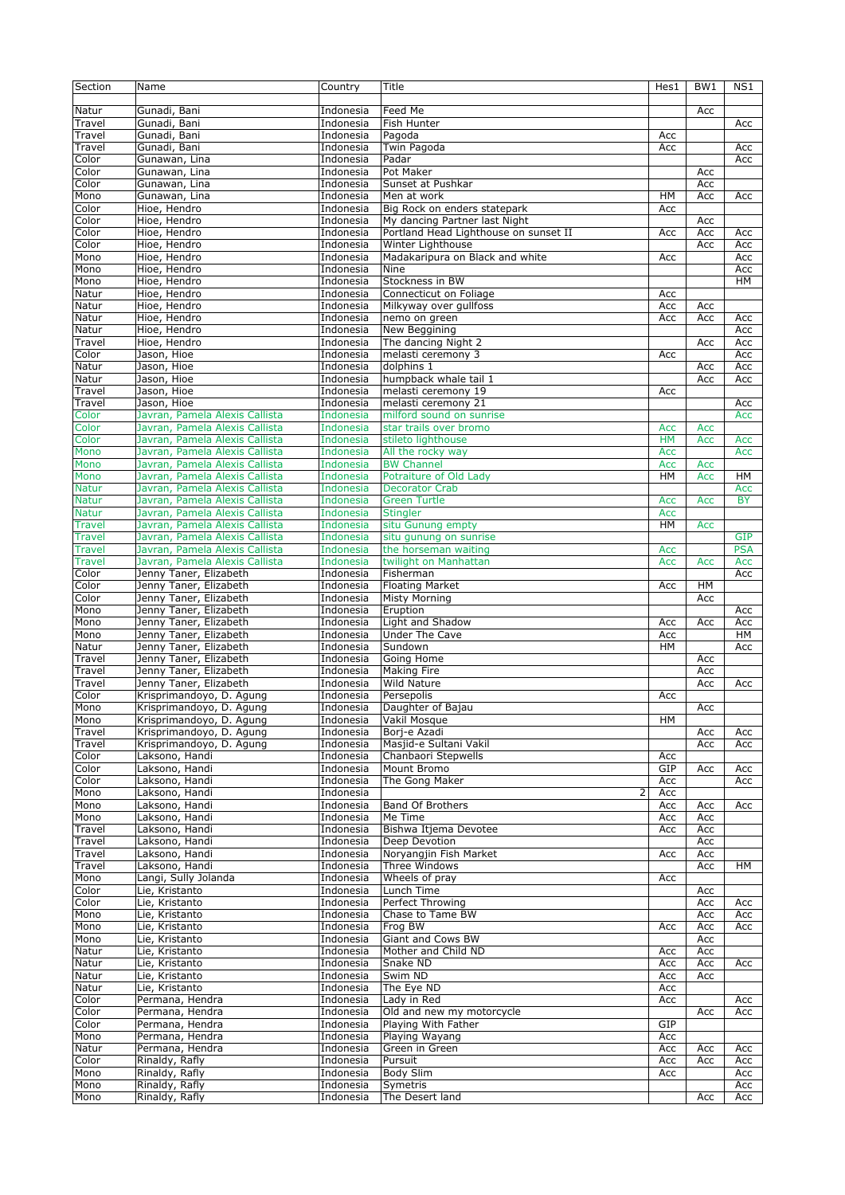| Section                       | Name                                                             | Country                | Title                                         | Hes1       | BW1        | NS1        |
|-------------------------------|------------------------------------------------------------------|------------------------|-----------------------------------------------|------------|------------|------------|
| Natur                         | Gunadi, Bani                                                     | Indonesia              | Feed Me                                       |            | Acc        |            |
| Travel                        | Gunadi, Bani                                                     | Indonesia              | Fish Hunter                                   |            |            | Acc        |
| Travel                        | Gunadi, Bani                                                     | Indonesia              | Pagoda                                        | Acc        |            |            |
| Travel                        | Gunadi, Bani                                                     | Indonesia              | Twin Pagoda                                   | Acc        |            | Acc        |
| Color                         | Gunawan, Lina                                                    | Indonesia              | Padar<br>Pot Maker                            |            |            | Acc        |
| Color<br>Color                | Gunawan, Lina<br>Gunawan, Lina                                   | Indonesia<br>Indonesia | Sunset at Pushkar                             |            | Acc<br>Acc |            |
| Mono                          | Gunawan, Lina                                                    | Indonesia              | Men at work                                   | HM         | Acc        | Acc        |
| Color                         | Hioe, Hendro                                                     | Indonesia              | Big Rock on enders statepark                  | Acc        |            |            |
| Color                         | Hioe, Hendro                                                     | Indonesia              | My dancing Partner last Night                 |            | Acc        |            |
| Color                         | Hioe, Hendro                                                     | Indonesia              | Portland Head Lighthouse on sunset II         | Acc        | Acc        | Acc        |
| Color                         | Hioe, Hendro                                                     | Indonesia              | Winter Lighthouse                             |            | Acc        | Acc        |
| Mono                          | Hioe, Hendro                                                     | Indonesia              | Madakaripura on Black and white               | Acc        |            | Acc        |
| Mono                          | Hioe, Hendro                                                     | Indonesia              | Nine<br>Stockness in BW                       |            |            | Acc        |
| Mono<br>Natur                 | Hioe, Hendro<br>Hioe, Hendro                                     | Indonesia<br>Indonesia | Connecticut on Foliage                        | Acc        |            | HМ         |
| Natur                         | Hioe, Hendro                                                     | Indonesia              | Milkyway over gullfoss                        | Acc        | Acc        |            |
| Natur                         | Hioe, Hendro                                                     | Indonesia              | nemo on green                                 | Acc        | Acc        | Acc        |
| Natur                         | Hioe, Hendro                                                     | Indonesia              | New Beggining                                 |            |            | Acc        |
| Travel                        | Hioe, Hendro                                                     | Indonesia              | The dancing Night 2                           |            | Acc        | Acc        |
| Color                         | Jason, Hioe                                                      | Indonesia              | melasti ceremony 3                            | Acc        |            | Acc        |
| Natur                         | Jason, Hioe                                                      | Indonesia              | dolphins 1                                    |            | Acc        | Acc        |
| Natur                         | Jason, Hioe                                                      | Indonesia              | humpback whale tail 1                         |            | Acc        | Acc        |
| Travel<br>Travel              | Jason, Hioe<br>Jason, Hioe                                       | Indonesia<br>Indonesia | melasti ceremony 19<br>melasti ceremony 21    | Acc        |            | Acc        |
| Color                         | Javran, Pamela Alexis Callista                                   | Indonesia              | milford sound on sunrise                      |            |            | Acc        |
| Color                         | Javran, Pamela Alexis Callista                                   | Indonesia              | star trails over bromo                        | Acc        | Acc        |            |
| Color                         | Javran, Pamela Alexis Callista                                   | Indonesia              | stileto lighthouse                            | <b>HM</b>  | Acc        | Acc        |
| Mono                          | Javran, Pamela Alexis Callista                                   | Indonesia              | All the rocky way                             | Acc        |            | Acc        |
| Mono                          | Javran, Pamela Alexis Callista                                   | Indonesia              | <b>BW Channel</b>                             | Acc        | Acc        |            |
| Mono                          | Javran, Pamela Alexis Callista                                   | Indonesia              | Potraiture of Old Lady                        | HМ         | Acc        | H M        |
| <b>Natur</b>                  | Javran, Pamela Alexis Callista                                   | Indonesia              | <b>Decorator Crab</b>                         |            |            | Acc        |
| <b>Natur</b>                  | Javran, Pamela Alexis Callista<br>Javran, Pamela Alexis Callista | Indonesia              | <b>Green Turtle</b>                           | Acc        | Acc        | <b>BY</b>  |
| <b>Natur</b><br><b>Travel</b> | Javran, Pamela Alexis Callista                                   | Indonesia<br>Indonesia | <b>Stingler</b><br>situ Gunung empty          | Acc<br>HM  | Acc        |            |
| <b>Travel</b>                 | Javran, Pamela Alexis Callista                                   | Indonesia              | situ gunung on sunrise                        |            |            | <b>GIP</b> |
| <b>Travel</b>                 | Javran, Pamela Alexis Callista                                   | Indonesia              | the horseman waiting                          | Acc        |            | <b>PSA</b> |
| <b>Travel</b>                 | Javran, Pamela Alexis Callista                                   | Indonesia              | twilight on Manhattan                         | Acc        | Acc        | Acc        |
| Color                         | Jenny Taner, Elizabeth                                           | Indonesia              | Fisherman                                     |            |            | Acc        |
| Color                         | Jenny Taner, Elizabeth                                           | Indonesia              | <b>Floating Market</b>                        | Acc        | HM         |            |
|                               |                                                                  |                        |                                               |            |            |            |
| Color                         | Jenny Taner, Elizabeth                                           | Indonesia              | <b>Misty Morning</b>                          |            | Acc        |            |
| Mono                          | Jenny Taner, Elizabeth                                           | Indonesia              | Eruption                                      |            |            | Acc        |
| Mono                          | Jenny Taner, Elizabeth                                           | Indonesia              | Light and Shadow                              | Acc        | Acc        | Acc        |
| Mono                          | Jenny Taner, Elizabeth                                           | Indonesia              | Under The Cave                                | Acc        |            | HM         |
| Natur<br>Travel               | Jenny Taner, Elizabeth<br>Jenny Taner, Elizabeth                 | Indonesia<br>Indonesia | Sundown<br>Going Home                         | <b>HM</b>  | Acc        | Acc        |
| Travel                        | Jenny Taner, Elizabeth                                           | Indonesia              | Making Fire                                   |            | Acc        |            |
| Travel                        | Jenny Taner, Elizabeth                                           | Indonesia              | <b>Wild Nature</b>                            |            | Acc        | Acc        |
| Color                         | Krisprimandoyo, D. Agung                                         | Indonesia              | Persepolis                                    | Acc        |            |            |
| Mono                          | Krisprimandoyo, D. Agung                                         | Indonesia              | Daughter of Bajau                             |            | Acc        |            |
| Mono                          | Krisprimandoyo, D. Agung                                         | Indonesia              | Vakil Mosque                                  | HМ         |            |            |
| Travel                        | Krisprimandoyo, D. Agung                                         | Indonesia              | Borj-e Azadi                                  |            | Acc        | Acc        |
| Travel<br>Color               | Krisprimandoyo, D. Agung<br>Laksono, Handi                       | Indonesia<br>Indonesia | Masjid-e Sultani Vakil<br>Chanbaori Stepwells | Acc        | Acc        | Acc        |
| Color                         | Laksono, Handi                                                   | Indonesia              | Mount Bromo                                   | GIP        | Acc        | Acc        |
| Color                         | Laksono, Handi                                                   | Indonesia              | The Gong Maker                                | Acc        |            | Acc        |
| Mono                          | Laksono, Handi                                                   | Indonesia              | 2                                             | Acc        |            |            |
| Mono                          | Laksono, Handi                                                   | Indonesia              | <b>Band Of Brothers</b>                       | Acc        | Acc        | Acc        |
| Mono                          | Laksono, Handi                                                   | Indonesia              | Me Time                                       | Acc        | Acc        |            |
| Travel                        | Laksono, Handi                                                   | Indonesia              | Bishwa Itjema Devotee                         | Acc        | Acc        |            |
| Travel                        | Laksono, Handi                                                   | Indonesia              | Deep Devotion                                 |            | Acc        |            |
| Travel                        | Laksono, Handi                                                   | Indonesia              | Noryangjin Fish Market                        | Acc        | Acc        | HM         |
| Travel<br>Mono                | Laksono, Handi                                                   | Indonesia<br>Indonesia | Three Windows<br>Wheels of pray               | Acc        | Acc        |            |
| Color                         | Langi, Sully Jolanda<br>Lie, Kristanto                           | Indonesia              | Lunch Time                                    |            | Acc        |            |
| Color                         | Lie, Kristanto                                                   | Indonesia              | Perfect Throwing                              |            | Acc        | Acc        |
| Mono                          | Lie, Kristanto                                                   | Indonesia              | Chase to Tame BW                              |            | Acc        | Acc        |
| Mono                          | Lie, Kristanto                                                   | Indonesia              | Frog BW                                       | Acc        | Acc        | Acc        |
| Mono                          | Lie, Kristanto                                                   | Indonesia              | Giant and Cows BW                             |            | Acc        |            |
| Natur                         | Lie, Kristanto                                                   | Indonesia              | Mother and Child ND                           | Acc        | Acc        |            |
| Natur                         | Lie, Kristanto                                                   | Indonesia              | Snake ND                                      | Acc        | Acc        | Acc        |
| Natur<br>Natur                | Lie, Kristanto<br>Lie, Kristanto                                 | Indonesia<br>Indonesia | Swim ND<br>The Eye ND                         | Acc<br>Acc | Acc        |            |
| Color                         | Permana, Hendra                                                  | Indonesia              | Lady in Red                                   | Acc        |            | Acc        |
| Color                         | Permana, Hendra                                                  | Indonesia              | Old and new my motorcycle                     |            | Acc        | Acc        |
| Color                         | Permana, Hendra                                                  | Indonesia              | Playing With Father                           | GIP        |            |            |
| Mono                          | Permana, Hendra                                                  | Indonesia              | Playing Wayang                                | Acc        |            |            |
| Natur                         | Permana, Hendra                                                  | Indonesia              | Green in Green                                | Acc        | Acc        | Acc        |
| Color                         | Rinaldy, Rafly                                                   | Indonesia              | Pursuit                                       | Acc        | Acc        | Acc        |
| Mono<br>Mono                  | Rinaldy, Rafly<br>Rinaldy, Rafly<br>Rinaldy, Rafly               | Indonesia<br>Indonesia | <b>Body Slim</b><br>Symetris                  | Acc        |            | Acc<br>Acc |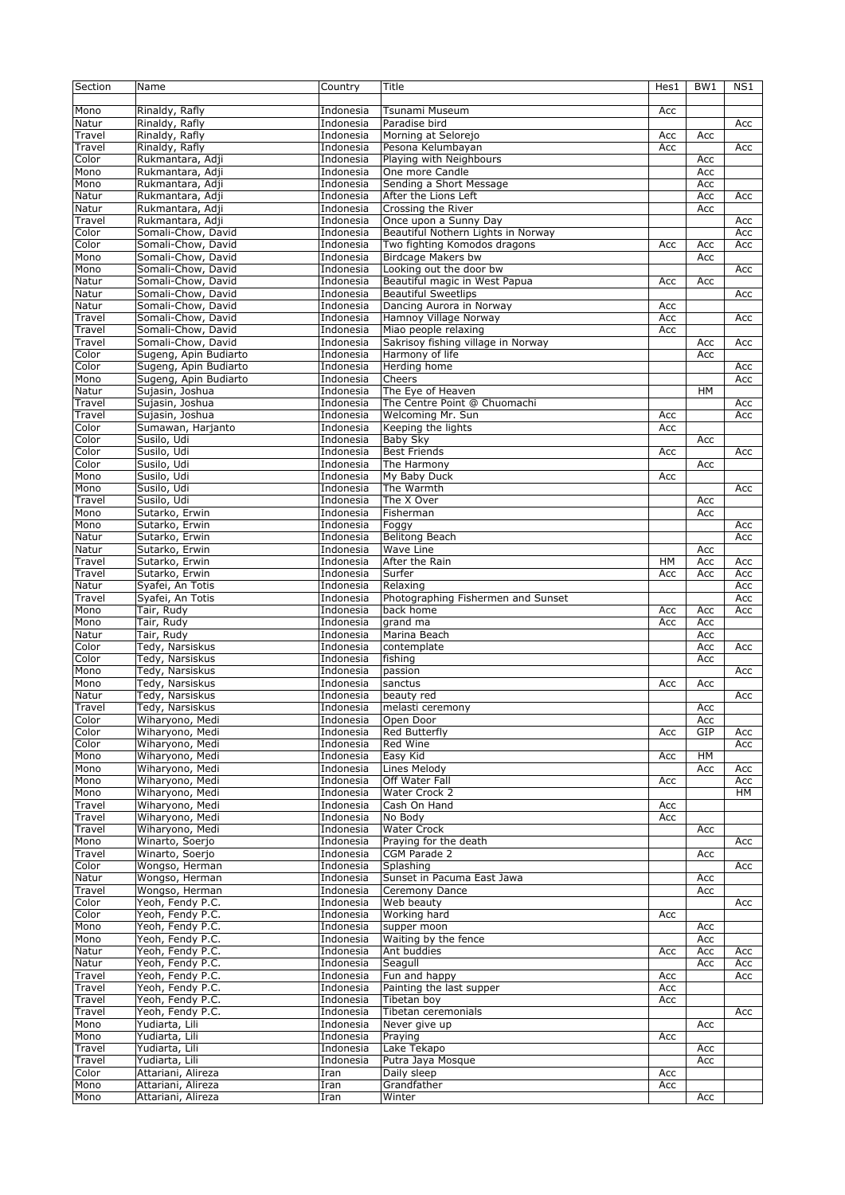| Section         | Name                                     | Country                | Title                                             | Hes1       | BW1        | NS1 |
|-----------------|------------------------------------------|------------------------|---------------------------------------------------|------------|------------|-----|
| Mono            | Rinaldy, Rafly                           | Indonesia              | Tsunami Museum                                    | Acc        |            |     |
| Natur           | Rinaldy, Rafly                           | Indonesia              | Paradise bird                                     |            |            | Acc |
| Travel          | Rinaldy, Rafly                           | Indonesia              | Morning at Selorejo                               | Acc        | Acc        |     |
| Travel          | Rinaldy, Rafly                           | Indonesia              | Pesona Kelumbayan                                 | Acc        |            | Acc |
| Color           | Rukmantara, Adji                         | Indonesia              | Playing with Neighbours                           |            | Acc        |     |
| Mono<br>Mono    | Rukmantara, Adji                         | Indonesia              | One more Candle<br>Sending a Short Message        |            | Acc        |     |
| Natur           | Rukmantara, Adji<br>Rukmantara, Adji     | Indonesia<br>Indonesia | After the Lions Left                              |            | Acc<br>Acc | Acc |
| Natur           | Rukmantara, Adji                         | Indonesia              | Crossing the River                                |            | Acc        |     |
| Travel          | Rukmantara, Adii                         | Indonesia              | Once upon a Sunny Day                             |            |            | Acc |
| Color           | Somali-Chow, David                       | Indonesia              | Beautiful Nothern Lights in Norway                |            |            | Acc |
| Color           | Somali-Chow, David                       | Indonesia              | Two fighting Komodos dragons                      | Acc        | Acc        | Acc |
| Mono            | Somali-Chow, David                       | Indonesia              | <b>Birdcage Makers bw</b>                         |            | Acc        |     |
| Mono            | Somali-Chow, David                       | Indonesia              | Looking out the door bw                           |            |            | Acc |
| Natur           | Somali-Chow, David                       | Indonesia              | Beautiful magic in West Papua                     | Acc        | Acc        |     |
| Natur           | Somali-Chow, David                       | Indonesia              | <b>Beautiful Sweetlips</b>                        |            |            | Acc |
| Natur<br>Travel | Somali-Chow, David<br>Somali-Chow, David | Indonesia<br>Indonesia | Dancing Aurora in Norway<br>Hamnoy Village Norway | Acc<br>Acc |            | Acc |
| Travel          | Somali-Chow, David                       | Indonesia              | Miao people relaxing                              | Acc        |            |     |
| Travel          | Somali-Chow, David                       | Indonesia              | Sakrisoy fishing village in Norway                |            | Acc        | Acc |
| Color           | Sugeng, Apin Budiarto                    | Indonesia              | Harmony of life                                   |            | Acc        |     |
| Color           | Sugeng, Apin Budiarto                    | Indonesia              | Herding home                                      |            |            | Acc |
| Mono            | Sugeng, Apin Budiarto                    | Indonesia              | Cheers                                            |            |            | Acc |
| Natur           | Sujasin, Joshua                          | Indonesia              | The Eye of Heaven                                 |            | <b>HM</b>  |     |
| Travel          | Sujasin, Joshua                          | Indonesia              | The Centre Point @ Chuomachi                      |            |            | Acc |
| Travel          | Sujasin, Joshua                          | Indonesia              | Welcoming Mr. Sun                                 | Acc        |            | Acc |
| Color           | Sumawan, Harjanto                        | Indonesia              | Keeping the lights                                | Acc        |            |     |
| Color           | Susilo, Udi                              | Indonesia              | <b>Baby Sky</b>                                   |            | Acc        |     |
| Color<br>Color  | Susilo, Udi<br>Susilo, Udi               | Indonesia<br>Indonesia | <b>Best Friends</b><br>The Harmony                | Acc        | Acc        | Acc |
| Mono            | Susilo, Udi                              | Indonesia              | My Baby Duck                                      | Acc        |            |     |
| Mono            | Susilo, Udi                              | Indonesia              | The Warmth                                        |            |            | Acc |
| Travel          | Susilo, Udi                              | Indonesia              | The X Over                                        |            | Acc        |     |
| Mono            | Sutarko, Erwin                           | Indonesia              | Fisherman                                         |            | Acc        |     |
| Mono            | Sutarko, Erwin                           | Indonesia              | Foggy                                             |            |            | Acc |
| Natur           | Sutarko, Erwin                           | Indonesia              | <b>Belitong Beach</b>                             |            |            | Acc |
| Natur           | Sutarko, Erwin                           | Indonesia              | Wave Line                                         |            | Acc        |     |
| Travel          | Sutarko, Erwin                           | Indonesia              | After the Rain                                    | HM         | Acc        | Acc |
| Travel          | Sutarko, Erwin                           | Indonesia              | Surfer                                            | Acc        | Acc        | Acc |
| Natur           | Syafei, An Totis                         | Indonesia              | Relaxing                                          |            |            | Acc |
| Travel          | Syafei, An Totis<br>Tair, Rudy           | Indonesia              | Photographing Fishermen and Sunset<br>back home   |            |            | Acc |
| Mono<br>Mono    | Tair, Rudy                               | Indonesia<br>Indonesia | grand ma                                          | Acc<br>Acc | Acc<br>Acc | Acc |
| Natur           | Tair, Rudy                               | Indonesia              | Marina Beach                                      |            | Acc        |     |
| Color           | Tedy, Narsiskus                          | Indonesia              | contemplate                                       |            | Acc        | Acc |
| Color           | Tedy, Narsiskus                          | Indonesia              | fishing                                           |            | Acc        |     |
| Mono            | Tedy, Narsiskus                          | Indonesia              | passion                                           |            |            | Acc |
| Mono            | Tedy, Narsiskus                          | Indonesia              | sanctus                                           | Acc        | Acc        |     |
| Natur           | Tedy, Narsiskus                          | Indonesia              | beauty red                                        |            |            | Acc |
| Travel          | Tedy, Narsiskus                          | Indonesia              | melasti ceremony                                  |            | Acc        |     |
| Color           | Wiharyono, Medi                          | Indonesia              | Open Door                                         |            | Acc        |     |
| Color<br>Color  | Wiharyono, Medi<br>Wiharyono, Medi       | Indonesia              | Red Butterfly<br>Red Wine                         | Acc        | GIP        | Acc |
| Mono            | Wiharyono, Medi                          | Indonesia<br>Indonesia | Easy Kid                                          | Acc        | HM         | Acc |
| Mono            | Wiharyono, Medi                          | Indonesia              | Lines Melody                                      |            | Acc        | Acc |
| Mono            | Wiharyono, Medi                          | Indonesia              | <b>Off Water Fall</b>                             | Acc        |            | Acc |
| Mono            | Wiharyono, Medi                          | Indonesia              | Water Crock 2                                     |            |            | HМ  |
| Travel          | Wiharyono, Medi                          | Indonesia              | Cash On Hand                                      | Acc        |            |     |
| Travel          | Wiharyono, Medi                          | Indonesia              | No Body                                           | Acc        |            |     |
| Travel          | Wiharyono, Medi                          | Indonesia              | <b>Water Crock</b>                                |            | Acc        |     |
| Mono            | Winarto, Soerjo                          | Indonesia              | Praying for the death                             |            |            | Acc |
| Travel          | Winarto, Soerjo                          | Indonesia              | CGM Parade 2                                      |            | Acc        |     |
| Color           | Wongso, Herman                           | Indonesia              | Splashing                                         |            |            | Acc |
| Natur<br>Travel | Wongso, Herman<br>Wongso, Herman         | Indonesia<br>Indonesia | Sunset in Pacuma East Jawa<br>Ceremony Dance      |            | Acc<br>Acc |     |
| Color           | Yeoh, Fendy P.C.                         | Indonesia              | Web beauty                                        |            |            | Acc |
| Color           | Yeoh, Fendy P.C.                         | Indonesia              | Working hard                                      | Acc        |            |     |
| Mono            | Yeoh, Fendy P.C.                         | Indonesia              | supper moon                                       |            | Acc        |     |
| Mono            | Yeoh, Fendy P.C.                         | Indonesia              | Waiting by the fence                              |            | Acc        |     |
| Natur           | Yeoh, Fendy P.C.                         | Indonesia              | Ant buddies                                       | Acc        | Acc        | Acc |
| Natur           | Yeoh, Fendy P.C.                         | Indonesia              | Seagull                                           |            | Acc        | Acc |
| Travel          | Yeoh, Fendy P.C.                         | Indonesia              | Fun and happy                                     | Acc        |            | Acc |
| Travel          | Yeoh, Fendy P.C.                         | Indonesia              | Painting the last supper                          | Acc        |            |     |
| Travel          | Yeoh, Fendy P.C.                         | Indonesia              | Tibetan boy                                       | Acc        |            |     |
| Travel          | Yeoh, Fendy P.C.                         | Indonesia              | Tibetan ceremonials                               |            |            | Acc |
| Mono<br>Mono    | Yudiarta, Lili<br>Yudiarta, Lili         | Indonesia<br>Indonesia | Never give up<br>Praying                          | Acc        | Acc        |     |
| Travel          | Yudiarta, Lili                           | Indonesia              | Lake Tekapo                                       |            | Acc        |     |
| Travel          | Yudiarta, Lili                           | Indonesia              | Putra Jaya Mosque                                 |            | Acc        |     |
| Color           | Attariani, Alireza                       | Iran                   | Daily sleep                                       | Acc        |            |     |
| Mono            | Attariani, Alireza                       | Iran                   | Grandfather                                       | Acc        |            |     |
| Mono            | Attariani, Alireza                       | Iran                   | Winter                                            |            | Acc        |     |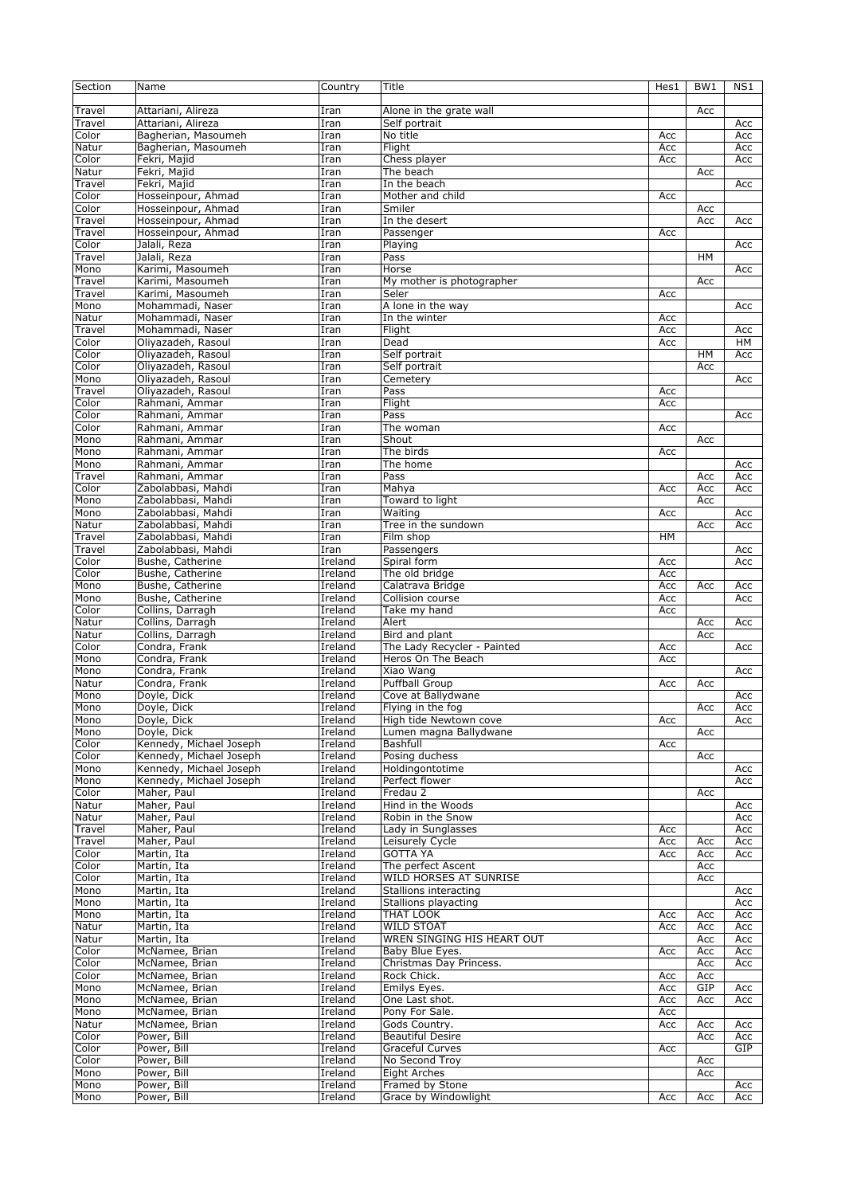| Section | Name                    | Country | Title                       | Hes1      | BW1       | NS1 |
|---------|-------------------------|---------|-----------------------------|-----------|-----------|-----|
|         |                         |         |                             |           |           |     |
| Travel  | Attariani, Alireza      | Iran    | Alone in the grate wall     |           | Acc       |     |
| Travel  | Attariani, Alireza      | Iran    | Self portrait               |           |           | Acc |
| Color   | Bagherian, Masoumeh     | Iran    | No title                    | Acc       |           | Acc |
| Natur   | Bagherian, Masoumeh     | Iran    | Flight                      | Acc       |           | Acc |
| Color   | Fekri, Majid            | Iran    | Chess player                | Acc       |           | Acc |
| Natur   | Fekri, Majid            | Iran    | The beach                   |           | Acc       |     |
| Travel  | Fekri, Majid            | Iran    | In the beach                |           |           | Acc |
| Color   | Hosseinpour, Ahmad      | Iran    | Mother and child            | Acc       |           |     |
| Color   | Hosseinpour, Ahmad      | Iran    | Smiler                      |           | Acc       |     |
| Travel  | Hosseinpour, Ahmad      | Iran    | In the desert               |           | Acc       | Acc |
| Travel  | Hosseinpour, Ahmad      | Iran    | Passenger                   | Acc       |           |     |
| Color   | Jalali, Reza            | Iran    | Playing                     |           |           | Acc |
| Travel  | Jalali, Reza            | Iran    | Pass                        |           | HM        |     |
| Mono    | Karimi, Masoumeh        | Iran    | Horse                       |           |           | Acc |
| Travel  | Karimi, Masoumeh        | Iran    | My mother is photographer   |           | Acc       |     |
| Travel  | Karimi, Masoumeh        | Iran    | Seler                       | Асс       |           |     |
| Mono    | Mohammadi, Naser        | Iran    | A lone in the way           |           |           | Acc |
| Natur   | Mohammadi, Naser        | Iran    | In the winter               | Acc       |           |     |
| Travel  | Mohammadi, Naser        | Iran    | Flight                      | Acc       |           | Acc |
|         |                         |         |                             |           |           |     |
| Color   | Oliyazadeh, Rasoul      | Iran    | Dead                        | Acc       |           | HМ  |
| Color   | Oliyazadeh, Rasoul      | Iran    | Self portrait               |           | <b>HM</b> | Acc |
| Color   | Oliyazadeh, Rasoul      | Iran    | Self portrait               |           | Acc       |     |
| Mono    | Oliyazadeh, Rasoul      | Iran    | Cemetery                    |           |           | Acc |
| Travel  | Oliyazadeh, Rasoul      | Iran    | Pass                        | Acc       |           |     |
| Color   | Rahmani, Ammar          | Iran    | Flight                      | Acc       |           |     |
| Color   | Rahmani, Ammar          | Iran    | Pass                        |           |           | Acc |
| Color   | Rahmani, Ammar          | Iran    | The woman                   | Acc       |           |     |
| Mono    | Rahmani, Ammar          | Iran    | Shout                       |           | Acc       |     |
| Mono    | Rahmani, Ammar          | Iran    | The birds                   | Acc       |           |     |
| Mono    | Rahmani, Ammar          | Iran    | The home                    |           |           | Acc |
| Travel  | Rahmani, Ammar          | Iran    | Pass                        |           | Acc       | Acc |
| Color   | Zabolabbasi, Mahdi      | Iran    | Mahya                       | Acc       | Acc       | Acc |
| Mono    | Zabolabbasi, Mahdi      | Iran    | Toward to light             |           | Acc       |     |
| Mono    | Zabolabbasi, Mahdi      | Iran    | Waiting                     | Acc       |           | Acc |
| Natur   | Zabolabbasi, Mahdi      | Iran    | Tree in the sundown         |           | Acc       | Acc |
| Travel  | Zabolabbasi, Mahdi      | Iran    | Film shop                   | <b>HM</b> |           |     |
| Travel  | Zabolabbasi, Mahdi      | Iran    | Passengers                  |           |           | Acc |
| Color   | Bushe, Catherine        | Ireland | Spiral form                 | Acc       |           | Acc |
| Color   | Bushe, Catherine        | Ireland | The old bridge              | Acc       |           |     |
| Mono    | Bushe, Catherine        | Ireland | Calatrava Bridge            | Acc       | Acc       | Acc |
| Mono    | Bushe, Catherine        | Ireland | Collision course            | Acc       |           | Acc |
| Color   | Collins, Darragh        | Ireland | Take my hand                | Acc       |           |     |
| Natur   | Collins, Darragh        | Ireland | Alert                       |           | Acc       | Acc |
| Natur   | Collins, Darragh        | Ireland | Bird and plant              |           | Acc       |     |
| Color   | Condra, Frank           | Ireland | The Lady Recycler - Painted | Acc       |           | Acc |
| Mono    | Condra, Frank           | Ireland | Heros On The Beach          | Acc       |           |     |
| Mono    | Condra, Frank           | Ireland | Xiao Wang                   |           |           | Acc |
| Natur   | Condra, Frank           | Ireland | <b>Puffball Group</b>       | Acc       | Acc       |     |
| Mono    | Doyle, Dick             | Ireland | Cove at Ballydwane          |           |           | Acc |
| Mono    | Doyle, Dick             | Ireland | Flying in the fog           |           | Acc       | Acc |
| Mono    | Doyle, Dick             | Ireland | High tide Newtown cove      | Acc       |           | Acc |
| Mono    | Doyle, Dick             | Ireland | Lumen magna Ballydwane      |           | Acc       |     |
| Color   | Kennedy, Michael Joseph | Ireland | Bashfull                    | Acc       |           |     |
| Color   | Kennedy, Michael Joseph | Ireland | Posing duchess              |           | Acc       |     |
| Mono    | Kennedy, Michael Joseph | Ireland | Holdingontotime             |           |           | Acc |
| Mono    | Kennedy, Michael Joseph | Ireland | Perfect flower              |           |           | Acc |
| Color   | Maher, Paul             | Ireland | Fredau 2                    |           | Acc       |     |
| Natur   | Maher, Paul             | Ireland | Hind in the Woods           |           |           | Acc |
| Natur   | Maher, Paul             | Ireland | Robin in the Snow           |           |           | Acc |
| Travel  | Maher, Paul             | Ireland | Lady in Sunglasses          | Acc       |           | Acc |
| Travel  | Maher, Paul             | Ireland | Leisurely Cycle             | Acc       | Acc       | Acc |
| Color   | Martin, Ita             | Ireland | <b>GOTTA YA</b>             | Acc       | Acc       | Acc |
| Color   | Martin, Ita             | Ireland | The perfect Ascent          |           | Acc       |     |
| Color   | Martin, Ita             | Ireland | WILD HORSES AT SUNRISE      |           | Acc       |     |
| Mono    | Martin, Ita             | Ireland | Stallions interacting       |           |           | Acc |
| Mono    | Martin, Ita             | Ireland | Stallions playacting        |           |           | Acc |
| Mono    |                         | Ireland | THAT LOOK                   |           |           |     |
|         | Martin, Ita             |         | <b>WILD STOAT</b>           | Acc       | Acc       | Acc |
| Natur   | Martin, Ita             | Ireland | WREN SINGING HIS HEART OUT  | Acc       | Acc       | Acc |
| Natur   | Martin, Ita             | Ireland |                             |           | Acc       | Acc |
| Color   | McNamee, Brian          | Ireland | Baby Blue Eyes.             | Acc       | Acc       | Acc |
| Color   | McNamee, Brian          | Ireland | Christmas Day Princess.     |           | Acc       | Acc |
| Color   | McNamee, Brian          | Ireland | Rock Chick.                 | Acc       | Acc       |     |
| Mono    | McNamee, Brian          | Ireland | Emilys Eyes.                | Acc       | GIP       | Acc |
| Mono    | McNamee, Brian          | Ireland | One Last shot.              | Acc       | Acc       | Acc |
| Mono    | McNamee, Brian          | Ireland | Pony For Sale.              | Acc       |           |     |
| Natur   | McNamee, Brian          | Ireland | Gods Country.               | Acc       | Acc       | Acc |
| Color   | Power, Bill             | Ireland | <b>Beautiful Desire</b>     |           | Acc       | Acc |
| Color   | Power, Bill             | Ireland | Graceful Curves             | Acc       |           | GIP |
| Color   | Power, Bill             | Ireland | No Second Troy              |           | Acc       |     |
| Mono    | Power, Bill             | Ireland | <b>Eight Arches</b>         |           | Acc       |     |
| Mono    | Power, Bill             | Ireland | Framed by Stone             |           |           | Acc |
| Mono    | Power, Bill             | Ireland | Grace by Windowlight        | Acc       | Acc       | Acc |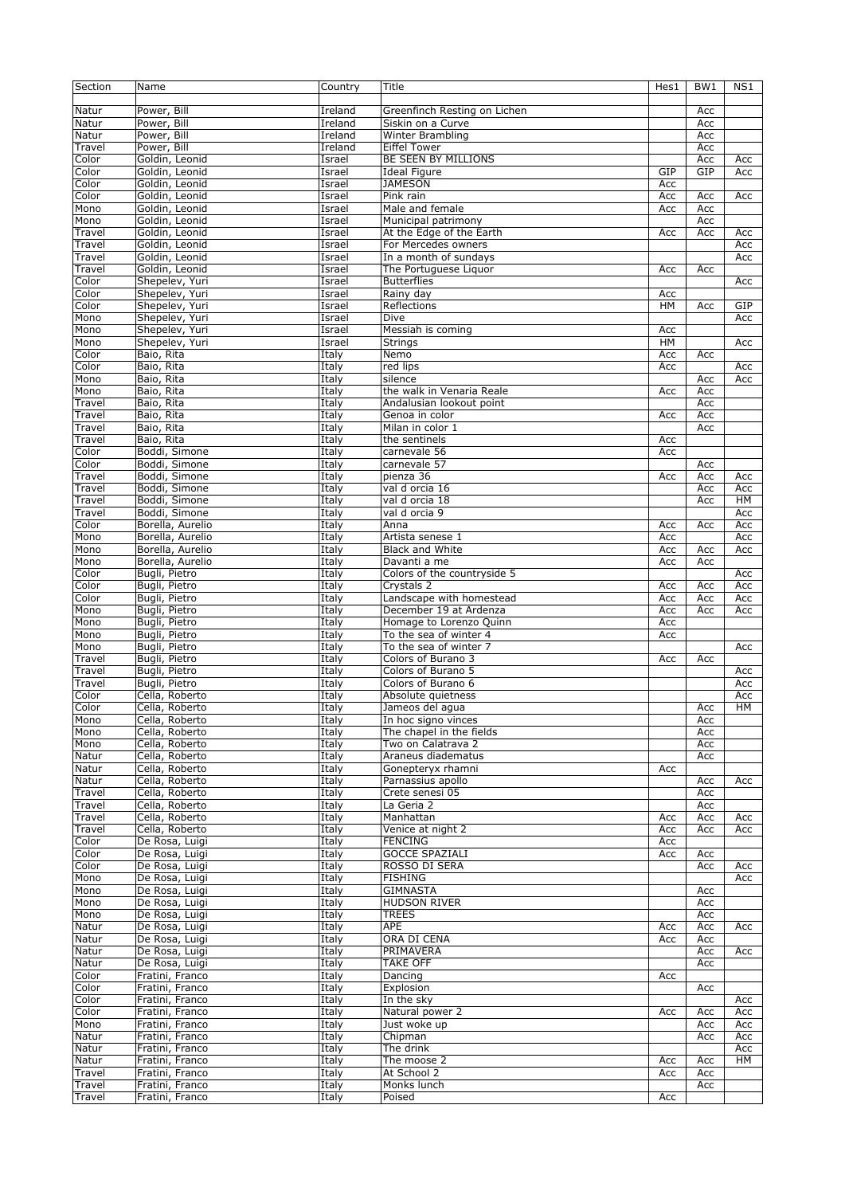| Section          | Name                               | Country          | Title                                       | Hes1             | BW <sub>1</sub> | NS1        |
|------------------|------------------------------------|------------------|---------------------------------------------|------------------|-----------------|------------|
| Natur            | Power, Bill                        | Ireland          | Greenfinch Resting on Lichen                |                  | Acc             |            |
| Natur            | Power, Bill                        | Ireland          | Siskin on a Curve                           |                  | Acc             |            |
| Natur            | Power, Bill                        | Ireland          | Winter Brambling                            |                  | Acc             |            |
| Travel           | Power, Bill                        | Ireland          | <b>Eiffel Tower</b>                         |                  | Acc             |            |
| Color            | Goldin, Leonid                     | Israel           | BE SEEN BY MILLIONS                         |                  | Acc             | Acc        |
| Color<br>Color   | Goldin, Leonid<br>Goldin, Leonid   | Israel<br>Israel | <b>Ideal Figure</b><br><b>JAMESON</b>       | GIP              | GIP             | Acc        |
| Color            | Goldin, Leonid                     | Israel           | Pink rain                                   | Acc<br>Acc       | Acc             | Acc        |
| Mono             | Goldin, Leonid                     | Israel           | Male and female                             | Acc              | Acc             |            |
| Mono             | Goldin, Leonid                     | Israel           | Municipal patrimony                         |                  | Acc             |            |
| Travel           | Goldin, Leonid                     | Israel           | At the Edge of the Earth                    | Acc              | Acc             | Acc        |
| Travel           | Goldin, Leonid                     | Israel           | For Mercedes owners                         |                  |                 | Acc        |
| Travel           | Goldin, Leonid                     | Israel           | In a month of sundays                       |                  |                 | Acc        |
| Travel           | Goldin, Leonid                     | Israel           | The Portuguese Liquor                       | Acc              | Acc             |            |
| Color            | Shepelev, Yuri                     | Israel           | <b>Butterflies</b>                          |                  |                 | Acc        |
| Color<br>Color   | Shepelev, Yuri                     | Israel           | Rainy day<br>Reflections                    | Acc<br><b>HM</b> |                 | GIP        |
| Mono             | Shepelev, Yuri<br>Shepelev, Yuri   | Israel<br>Israel | Dive                                        |                  | Acc             | Acc        |
| Mono             | Shepelev, Yuri                     | Israel           | Messiah is coming                           | Acc              |                 |            |
| Mono             | Shepelev, Yuri                     | Israel           | Strings                                     | HM               |                 | Acc        |
| Color            | Baio, Rita                         | Italy            | Nemo                                        | Acc              | Acc             |            |
| Color            | Baio, Rita                         | Italy            | red lips                                    | Acc              |                 | Acc        |
| Mono             | Baio, Rita                         | Italy            | silence                                     |                  | Acc             | Acc        |
| Mono             | Baio, Rita                         | Italy            | the walk in Venaria Reale                   | Acc              | Acc             |            |
| Travel           | Baio, Rita                         | Italy            | Andalusian lookout point                    |                  | Acc             |            |
| Travel           | Baio, Rita                         | Italy            | Genoa in color                              | Acc              | Acc             |            |
| Travel<br>Travel | Baio, Rita<br>Baio, Rita           | Italy<br>Italy   | Milan in color 1<br>the sentinels           | Acc              | Acc             |            |
| Color            | Boddi, Simone                      | Italy            | carnevale 56                                | Acc              |                 |            |
| Color            | Boddi, Simone                      | Italy            | carnevale 57                                |                  | Acc             |            |
| Travel           | Boddi, Simone                      | Italy            | pienza 36                                   | Acc              | Acc             | Acc        |
| Travel           | Boddi, Simone                      | Italy            | val d orcia 16                              |                  | Acc             | Acc        |
| Travel           | Boddi, Simone                      | Italy            | val d orcia 18                              |                  | Acc             | HМ         |
| Travel           | Boddi, Simone                      | Italy            | val d orcia 9                               |                  |                 | Acc        |
| Color            | Borella, Aurelio                   | Italy            | Anna                                        | Acc              | Acc             | Acc        |
| Mono             | Borella, Aurelio                   | Italy            | Artista senese 1                            | Acc              |                 | Acc        |
| Mono             | Borella, Aurelio                   | Italy            | <b>Black and White</b>                      | Acc              | Acc             | Acc        |
| Mono<br>Color    | Borella, Aurelio<br>Bugli, Pietro  | Italy<br>Italy   | Davanti a me<br>Colors of the countryside 5 | Acc              | Acc             | Acc        |
| Color            | Bugli, Pietro                      | Italy            | Crystals 2                                  | Acc              | Acc             | Acc        |
| Color            | Bugli, Pietro                      | Italy            | Landscape with homestead                    | Acc              | Acc             | Acc        |
| Mono             | Bugli, Pietro                      | Italy            | December 19 at Ardenza                      | Acc              | Acc             | Acc        |
| Mono             | Bugli, Pietro                      | Italy            | Homage to Lorenzo Quinn                     | Acc              |                 |            |
| Mono             | Bugli, Pietro                      | Italy            | To the sea of winter 4                      | Acc              |                 |            |
| Mono             | Bugli, Pietro                      | Italy            | To the sea of winter 7                      |                  |                 | Acc        |
| Travel           | Bugli, Pietro                      | Italy            | Colors of Burano 3                          | Acc              | Acc             |            |
| Travel           | Bugli, Pietro                      | Italy            | Colors of Burano 5                          |                  |                 | Acc        |
| Travel<br>Color  | Bugli, Pietro<br>Cella, Roberto    | Italy<br>Italy   | Colors of Burano 6<br>Absolute quietness    |                  |                 | Acc<br>Acc |
| Color            | Cella, Roberto                     | Italy            | Jameos del agua                             |                  | Acc             | HМ         |
| Mono             | Cella, Roberto                     | Italy            | In hoc signo vinces                         |                  | Acc             |            |
| Mono             | Cella, Roberto                     | Italy            | The chapel in the fields                    |                  | Acc             |            |
| Mono             | Cella, Roberto                     | Italy            | Two on Calatrava 2                          |                  | Acc             |            |
| Natur            | Cella, Roberto                     | Italy            | Araneus diadematus                          |                  | Acc             |            |
| Natur            | Cella, Roberto                     | Italy            | Gonepteryx rhamni                           | Acc              |                 |            |
| Natur            | Cella, Roberto                     | Italy            | Parnassius apollo                           |                  | Acc             | Acc        |
| Travel           | Cella, Roberto                     | Italy            | Crete senesi 05                             |                  | Acc             |            |
| Travel<br>Travel | Cella, Roberto<br>Cella, Roberto   | Italy<br>Italy   | La Geria 2<br>Manhattan                     | Acc              | Acc<br>Acc      | Acc        |
| Travel           | Cella, Roberto                     | Italy            | Venice at night 2                           | Acc              | Acc             | Acc        |
| Color            | De Rosa, Luigi                     | Italy            | <b>FENCING</b>                              | Acc              |                 |            |
| Color            | De Rosa, Luigi                     | Italy            | <b>GOCCE SPAZIALI</b>                       | Acc              | Acc             |            |
| Color            | De Rosa, Luigi                     | Italy            | ROSSO DI SERA                               |                  | Acc             | Acc        |
| Mono             | De Rosa, Luigi                     | Italy            | <b>FISHING</b>                              |                  |                 | Acc        |
| Mono             | De Rosa, Luigi                     | Italy            | <b>GIMNASTA</b>                             |                  | Acc             |            |
| Mono             | De Rosa, Luigi                     | Italy            | <b>HUDSON RIVER</b>                         |                  | Acc             |            |
| Mono             | De Rosa, Luigi                     | Italy            | TREES                                       |                  | Acc             |            |
| Natur<br>Natur   | De Rosa, Luigi<br>De Rosa, Luigi   | Italy<br>Italy   | APE<br>ORA DI CENA                          | Acc<br>Acc       | Acc             | Acc        |
| Natur            | De Rosa, Luigi                     | Italy            | PRIMAVERA                                   |                  | Acc<br>Acc      | Acc        |
| Natur            | De Rosa, Luigi                     | Italy            | TAKE OFF                                    |                  | Acc             |            |
| Color            | Fratini, Franco                    | Italy            | Dancing                                     | Acc              |                 |            |
| Color            | Fratini, Franco                    | Italy            | Explosion                                   |                  | Acc             |            |
| Color            | Fratini, Franco                    | Italy            | In the sky                                  |                  |                 | Acc        |
| Color            | Fratini, Franco                    | Italy            | Natural power 2                             | Acc              | Acc             | Acc        |
| Mono             | Fratini, Franco                    | Italy            | Just woke up                                |                  | Acc             | Acc        |
| Natur            | Fratini, Franco                    | Italy            | Chipman                                     |                  | Acc             | Acc        |
| Natur<br>Natur   | Fratini, Franco<br>Fratini, Franco | Italy<br>Italy   | The drink<br>The moose 2                    | Acc              | Acc             | Acc<br>HМ  |
| Travel           | Fratini, Franco                    | Italy            | At School 2                                 | Acc              | Acc             |            |
| Travel           | Fratini, Franco                    | Italy            | Monks lunch                                 |                  | Acc             |            |
| Travel           | Fratini, Franco                    | Italy            | Poised                                      | Acc              |                 |            |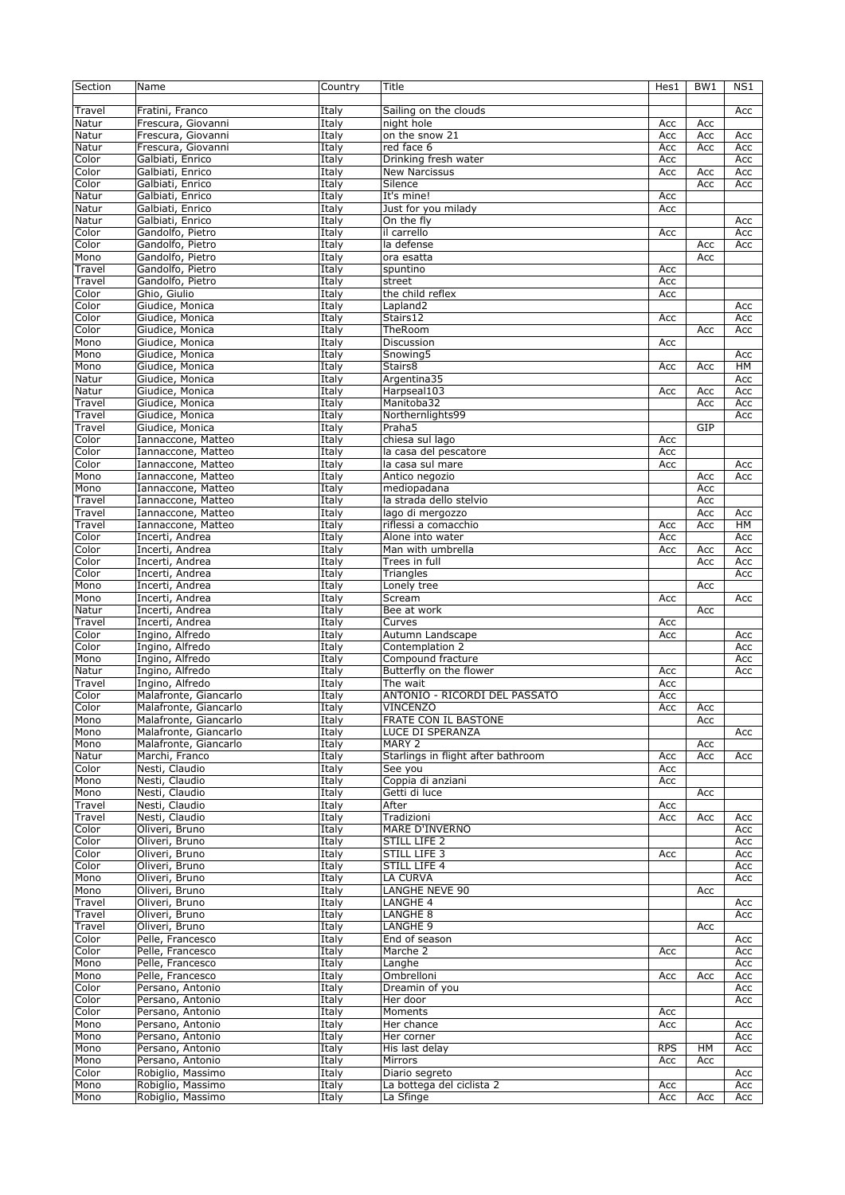| Section | Name                  | Country | Title                              | Hes1       | BW1 | NS1 |
|---------|-----------------------|---------|------------------------------------|------------|-----|-----|
|         |                       |         |                                    |            |     |     |
| Travel  | Fratini, Franco       | Italy   | Sailing on the clouds              |            |     | Acc |
| Natur   | Frescura, Giovanni    | Italy   | night hole                         | Acc        | Acc |     |
| Natur   | Frescura, Giovanni    | Italy   | on the snow 21                     | Acc        | Acc | Acc |
| Natur   | Frescura, Giovanni    | Italy   | red face 6                         | Acc        | Acc | Acc |
| Color   | Galbiati, Enrico      | Italy   | Drinking fresh water               | Acc        |     | Acc |
| Color   | Galbiati, Enrico      | Italy   | New Narcissus                      | Acc        | Acc | Acc |
| Color   | Galbiati, Enrico      | Italy   | Silence                            |            | Acc | Acc |
| Natur   | Galbiati, Enrico      | Italy   | It's mine!                         | Acc        |     |     |
|         |                       |         |                                    |            |     |     |
| Natur   | Galbiati, Enrico      | Italy   | Just for you milady                | Acc        |     |     |
| Natur   | Galbiati, Enrico      | Italy   | On the fly                         |            |     | Acc |
| Color   | Gandolfo, Pietro      | Italy   | il carrello                        | Acc        |     | Acc |
| Color   | Gandolfo, Pietro      | Italy   | la defense                         |            | Acc | Acc |
| Mono    | Gandolfo, Pietro      | Italy   | ora esatta                         |            | Acc |     |
| Travel  | Gandolfo, Pietro      | Italy   | spuntino                           | Acc        |     |     |
| Travel  | Gandolfo, Pietro      | Italy   | street                             | Acc        |     |     |
| Color   | Ghio, Giulio          | Italy   | the child reflex                   | Acc        |     |     |
| Color   | Giudice, Monica       | Italy   | Lapland <sub>2</sub>               |            |     | Acc |
| Color   | Giudice, Monica       | Italy   | Stairs12                           | Acc        |     | Acc |
| Color   | Giudice, Monica       | Italy   | TheRoom                            |            | Acc | Acc |
| Mono    | Giudice, Monica       | Italy   | Discussion                         | Acc        |     |     |
| Mono    | Giudice, Monica       | Italy   | Snowing5                           |            |     | Acc |
| Mono    | Giudice, Monica       | Italy   | Stairs8                            | Acc        | Acc | HМ  |
| Natur   | Giudice, Monica       | Italy   | Argentina35                        |            |     | Acc |
| Natur   | Giudice, Monica       | Italy   | Harpseal103                        | Acc        | Acc | Acc |
| Travel  | Giudice, Monica       | Italy   | Manitoba32                         |            | Acc | Acc |
| Travel  | Giudice, Monica       | Italy   | Northernlights99                   |            |     | Acc |
| Travel  | Giudice, Monica       | Italy   | Praha5                             |            | GIP |     |
| Color   | Iannaccone, Matteo    | Italy   | chiesa sul lago                    | Acc        |     |     |
| Color   |                       |         |                                    | Acc        |     |     |
|         | Iannaccone, Matteo    | Italy   | la casa del pescatore              |            |     |     |
| Color   | Iannaccone, Matteo    | Italy   | la casa sul mare                   | Acc        |     | Acc |
| Mono    | Iannaccone, Matteo    | Italy   | Antico negozio                     |            | Acc | Acc |
| Mono    | Iannaccone, Matteo    | Italy   | mediopadana                        |            | Acc |     |
| Travel  | Iannaccone, Matteo    | Italy   | la strada dello stelvio            |            | Acc |     |
| Travel  | Iannaccone, Matteo    | Italy   | lago di mergozzo                   |            | Acc | Acc |
| Travel  | Iannaccone, Matteo    | Italy   | riflessi a comacchio               | Acc        | Acc | HМ  |
| Color   | Incerti, Andrea       | Italy   | Alone into water                   | Acc        |     | Acc |
| Color   | Incerti, Andrea       | Italy   | Man with umbrella                  | Acc        | Acc | Acc |
| Color   | Incerti, Andrea       | Italy   | Trees in full                      |            | Acc | Acc |
| Color   | Incerti, Andrea       | Italy   | Triangles                          |            |     | Acc |
| Mono    | Incerti, Andrea       | Italy   | Lonely tree                        |            | Acc |     |
| Mono    | Incerti, Andrea       | Italy   | Scream                             | Acc        |     | Acc |
| Natur   | Incerti, Andrea       | Italy   | Bee at work                        |            | Acc |     |
| Travel  | Incerti, Andrea       | Italy   | Curves                             | Acc        |     |     |
| Color   | Ingino, Alfredo       | Italy   | Autumn Landscape                   | Acc        |     | Acc |
| Color   | Ingino, Alfredo       | Italy   | Contemplation 2                    |            |     | Acc |
| Mono    | Ingino, Alfredo       | Italy   | Compound fracture                  |            |     | Acc |
| Natur   | Ingino, Alfredo       | Italy   | Butterfly on the flower            | Acc        |     | Acc |
|         | Ingino, Alfredo       |         |                                    |            |     |     |
| Travel  |                       | Italy   | The wait                           | Acc        |     |     |
| Color   | Malafronte, Giancarlo | Italy   | ANTONIO - RICORDI DEL PASSATO      | Acc        |     |     |
| Color   | Malafronte, Giancarlo | Italy   | <b>VINCENZO</b>                    | Acc        | Acc |     |
| Mono    | Malafronte, Giancarlo | Italy   | FRATE CON IL BASTONE               |            | Acc |     |
| Mono    | Malafronte, Giancarlo | Italy   | LUCE DI SPERANZA                   |            |     | Acc |
| Mono    | Malafronte, Giancarlo | Italy   | MARY 2                             |            | Acc |     |
| Natur   | Marchi, Franco        | Italy   | Starlings in flight after bathroom | Acc        | Acc | Acc |
| Color   | Nesti, Claudio        | Italy   | See you                            | Acc        |     |     |
| Mono    | Nesti, Claudio        | Italy   | Coppia di anziani                  | Acc        |     |     |
| Mono    | Nesti, Claudio        | Italy   | Getti di luce                      |            | Acc |     |
| Travel  | Nesti, Claudio        | Italy   | After                              | Асс        |     |     |
| Travel  | Nesti, Claudio        | Italy   | Tradizioni                         | Acc        | Acc | Acc |
| Color   | Oliveri, Bruno        | Italy   | MARE D'INVERNO                     |            |     | Acc |
| Color   | Oliveri, Bruno        | Italy   | STILL LIFE 2                       |            |     | Acc |
| Color   | Oliveri, Bruno        | Italy   | STILL LIFE 3                       | Acc        |     | Acc |
| Color   | Oliveri, Bruno        | Italy   | STILL LIFE 4                       |            |     | Acc |
| Mono    | Oliveri, Bruno        | Italy   | LA CURVA                           |            |     | Acc |
| Mono    | Oliveri, Bruno        | Italy   | <b>LANGHE NEVE 90</b>              |            | Acc |     |
| Travel  | Oliveri, Bruno        | Italy   | LANGHE 4                           |            |     | Acc |
| Travel  | Oliveri, Bruno        | Italy   | LANGHE 8                           |            |     | Acc |
| Travel  | Oliveri, Bruno        | Italy   | LANGHE 9                           |            | Acc |     |
| Color   | Pelle, Francesco      | Italy   | End of season                      |            |     |     |
| Color   | Pelle, Francesco      | Italy   | Marche 2                           | Acc        |     | Acc |
|         |                       |         |                                    |            |     | Acc |
| Mono    | Pelle, Francesco      | Italy   | Langhe                             |            |     | Acc |
| Mono    | Pelle, Francesco      | Italy   | Ombrelloni                         | Acc        | Acc | Acc |
| Color   | Persano, Antonio      | Italy   | Dreamin of you                     |            |     | Acc |
| Color   | Persano, Antonio      | Italy   | Her door                           |            |     | Acc |
| Color   | Persano, Antonio      | Italy   | Moments                            | Acc        |     |     |
| Mono    | Persano, Antonio      | Italy   | Her chance                         | Acc        |     | Acc |
| Mono    | Persano, Antonio      | Italy   | Her corner                         |            |     | Acc |
| Mono    | Persano, Antonio      | Italy   | His last delay                     | <b>RPS</b> | HM  | Acc |
| Mono    | Persano, Antonio      | Italy   | Mirrors                            | Acc        | Acc |     |
| Color   | Robiglio, Massimo     | Italy   | Diario segreto                     |            |     | Acc |
| Mono    | Robiglio, Massimo     | Italy   | La bottega del ciclista 2          | Acc        |     | Acc |
| Mono    | Robiglio, Massimo     | Italy   | La Sfinge                          | Acc        | Acc | Acc |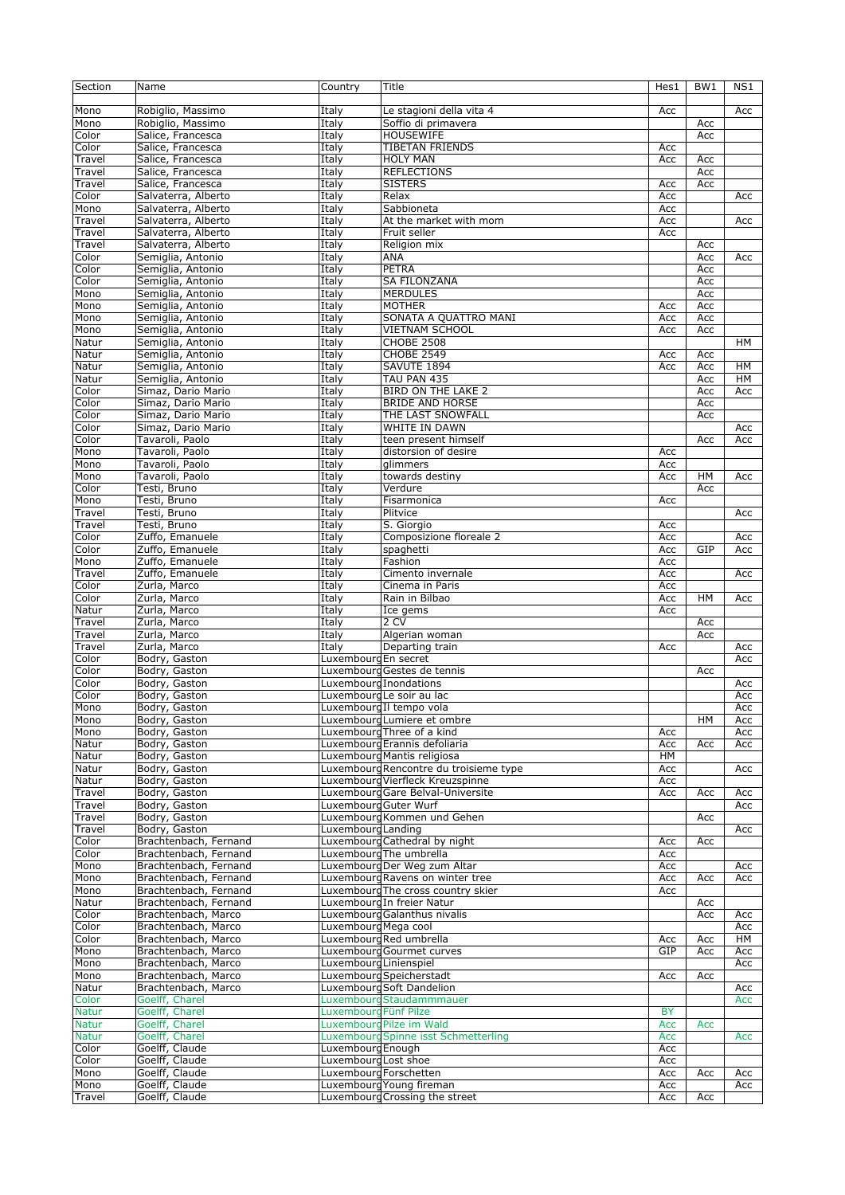| Section      | Name                  | Country                | Title                                  | Hes1      | BW1       | NS1       |
|--------------|-----------------------|------------------------|----------------------------------------|-----------|-----------|-----------|
|              |                       |                        |                                        |           |           |           |
| Mono         | Robiglio, Massimo     | Italy                  | Le stagioni della vita 4               | Acc       |           | Acc       |
| Mono         | Robiglio, Massimo     | Italy                  | Soffio di primavera                    |           | Acc       |           |
| Color        |                       |                        | <b>HOUSEWIFE</b>                       |           | Acc       |           |
|              | Salice, Francesca     | Italy                  |                                        |           |           |           |
| Color        | Salice, Francesca     | Italy                  | TIBETAN FRIENDS                        | Acc       |           |           |
| Travel       | Salice, Francesca     | Italy                  | <b>HOLY MAN</b>                        | Acc       | Acc       |           |
| Travel       | Salice, Francesca     | Italy                  | <b>REFLECTIONS</b>                     |           | Acc       |           |
| Travel       | Salice, Francesca     | Italy                  | <b>SISTERS</b>                         | Acc       | Acc       |           |
| Color        | Salvaterra, Alberto   | Italy                  | Relax                                  | Acc       |           | Acc       |
| Mono         | Salvaterra, Alberto   | Italy                  | Sabbioneta                             | Acc       |           |           |
| Travel       | Salvaterra, Alberto   | Italy                  | At the market with mom                 | Acc       |           | Acc       |
| Travel       |                       |                        | Fruit seller                           | Acc       |           |           |
|              | Salvaterra, Alberto   | Italy                  |                                        |           |           |           |
| Travel       | Salvaterra, Alberto   | Italy                  | Religion mix                           |           | Acc       |           |
| Color        | Semiglia, Antonio     | Italy                  | ANA                                    |           | Acc       | Acc       |
| Color        | Semiglia, Antonio     | Italy                  | <b>PETRA</b>                           |           | Acc       |           |
| Color        | Semiglia, Antonio     | Italy                  | <b>SA FILONZANA</b>                    |           | Acc       |           |
| Mono         | Semiglia, Antonio     | Italy                  | <b>MERDULES</b>                        |           | Acc       |           |
| Mono         | Semiglia, Antonio     | Italy                  | <b>MOTHER</b>                          | Acc       | Acc       |           |
| Mono         | Semiglia, Antonio     | Italy                  | SONATA A QUATTRO MANI                  | Acc       | Acc       |           |
| Mono         | Semiglia, Antonio     | Italy                  | VIETNAM SCHOOL                         | Acc       | Acc       |           |
|              |                       |                        |                                        |           |           |           |
| Natur        | Semiglia, Antonio     | Italy                  | <b>CHOBE 2508</b>                      |           |           | HM        |
| Natur        | Semiglia, Antonio     | Italy                  | <b>CHOBE 2549</b>                      | Acc       | Acc       |           |
| Natur        | Semiglia, Antonio     | Italy                  | SAVUTE 1894                            | Acc       | Acc       | <b>HM</b> |
| Natur        | Semiglia, Antonio     | Italy                  | TAU PAN 435                            |           | Acc       | HМ        |
| Color        | Simaz, Dario Mario    | Italy                  | <b>BIRD ON THE LAKE 2</b>              |           | Acc       | Acc       |
| Color        | Simaz, Dario Mario    | Italy                  | <b>BRIDE AND HORSE</b>                 |           | Acc       |           |
| Color        | Simaz, Dario Mario    | Italy                  | THE LAST SNOWFALL                      |           | Acc       |           |
|              |                       |                        |                                        |           |           |           |
| Color        | Simaz, Dario Mario    | Italy                  | WHITE IN DAWN                          |           |           | Acc       |
| Color        | Tavaroli, Paolo       | Italy                  | teen present himself                   |           | Acc       | Acc       |
| Mono         | Tavaroli, Paolo       | Italy                  | distorsion of desire                   | Acc       |           |           |
| Mono         | Tavaroli, Paolo       | Italy                  | glimmers                               | Acc       |           |           |
| Mono         | Tavaroli, Paolo       | Italy                  | towards destiny                        | Acc       | <b>HM</b> | Acc       |
| Color        | Testi, Bruno          | Italy                  | Verdure                                |           | Acc       |           |
|              |                       |                        |                                        |           |           |           |
| Mono         | Testi, Bruno          | Italy                  | Fisarmonica                            | Acc       |           |           |
| Travel       | Testi, Bruno          | Italy                  | Plitvice                               |           |           | Acc       |
| Travel       | Testi, Bruno          | Italy                  | S. Giorgio                             | Acc       |           |           |
| Color        | Zuffo, Emanuele       | Italy                  | Composizione floreale 2                | Acc       |           | Acc       |
| Color        | Zuffo, Emanuele       | Italy                  | spaghetti                              | Acc       | GIP       | Acc       |
| Mono         | Zuffo, Emanuele       | Italy                  | Fashion                                | Acc       |           |           |
| Travel       | Zuffo, Emanuele       | Italy                  | Cimento invernale                      | Acc       |           | Acc       |
|              | Zurla, Marco          |                        |                                        |           |           |           |
| Color        |                       | Italy                  | Cinema in Paris                        | Acc       |           |           |
| Color        | Zurla, Marco          | Italy                  | Rain in Bilbao                         | Acc       | HM        | Acc       |
| Natur        | Zurla, Marco          | Italy                  | Ice gems                               | Acc       |           |           |
| Travel       | Zurla, Marco          | Italy                  | 2 CV                                   |           | Acc       |           |
| Travel       | Zurla, Marco          | Italy                  | Algerian woman                         |           | Acc       |           |
| Travel       | Zurla, Marco          | Italy                  | Departing train                        | Acc       |           | Acc       |
| Color        | Bodry, Gaston         | Luxembourd En secret   |                                        |           |           | Acc       |
|              |                       |                        |                                        |           |           |           |
| Color        | Bodry, Gaston         |                        | Luxembourg Gestes de tennis            |           | Acc       |           |
| Color        | Bodry, Gaston         |                        | Luxembourd Inondations                 |           |           | Acc       |
| Color        | Bodry, Gaston         |                        | Luxembourg Le soir au lac              |           |           | Acc       |
| Mono         | Bodry, Gaston         |                        | Luxembourg II tempo vola               |           |           | Acc       |
| Mono         | Bodry, Gaston         |                        | Luxembourg Lumiere et ombre            |           | HM        | Acc       |
| Mono         | Bodry, Gaston         |                        | Luxembourd Three of a kind             | Acc       |           | Acc       |
| Natur        | Bodry, Gaston         |                        | Luxembourg Erannis defoliaria          | Acc       | Acc       | Acc       |
|              |                       |                        | Luxembourg Mantis religiosa            |           |           |           |
| Natur        | Bodry, Gaston         |                        |                                        | HМ        |           |           |
| Natur        | Bodry, Gaston         |                        | Luxembourg Rencontre du troisieme type | Acc       |           | Acc       |
| Natur        | Bodry, Gaston         |                        | Luxembourg Vierfleck Kreuzspinne       | Acc       |           |           |
| Travel       | Bodry, Gaston         |                        | Luxembourg Gare Belval-Universite      | Acc       | Acc       | Acc       |
| Travel       | Bodry, Gaston         | Luxembourd Guter Wurf  |                                        |           |           | Acc       |
| Travel       | Bodry, Gaston         |                        | Luxembourg Kommen und Gehen            |           | Acc       |           |
| Travel       | Bodry, Gaston         | Luxembourg Landing     |                                        |           |           | Acc       |
| Color        | Brachtenbach, Fernand |                        | Luxembourg Cathedral by night          | Acc       | Acc       |           |
|              |                       |                        |                                        |           |           |           |
| Color        | Brachtenbach, Fernand |                        | Luxembourg The umbrella                | Acc       |           |           |
| Mono         | Brachtenbach, Fernand |                        | Luxembourg Der Weg zum Altar           | Acc       |           | Acc       |
| Mono         | Brachtenbach, Fernand |                        | Luxembourg Ravens on winter tree       | Acc       | Acc       | Acc       |
| Mono         | Brachtenbach, Fernand |                        | Luxembourd The cross country skier     | Acc       |           |           |
| Natur        | Brachtenbach, Fernand |                        | Luxembourg In freier Natur             |           | Acc       |           |
| Color        | Brachtenbach, Marco   |                        | Luxembourg Galanthus nivalis           |           | Acc       | Acc       |
| Color        | Brachtenbach, Marco   | Luxembourg Mega cool   |                                        |           |           | Acc       |
|              |                       |                        | Luxembourg Red umbrella                |           |           |           |
| Color        | Brachtenbach, Marco   |                        |                                        | Acc       | Acc       | HM        |
| Mono         | Brachtenbach, Marco   |                        | Luxembourg Gourmet curves              | GIP       | Acc       | Acc       |
| Mono         | Brachtenbach, Marco   | Luxembourg Linienspiel |                                        |           |           | Acc       |
| Mono         | Brachtenbach, Marco   |                        | Luxembourg Speicherstadt               | Acc       | Acc       |           |
| Natur        | Brachtenbach, Marco   |                        | Luxembourg Soft Dandelion              |           |           | Acc       |
| Color        | Goelff, Charel        |                        | Luxembourg Staudammmauer               |           |           | Acc       |
| <b>Natur</b> | Goelff, Charel        | Luxembourg Fünf Pilze  |                                        | <b>BY</b> |           |           |
| <b>Natur</b> | Goelff, Charel        |                        | Luxembourg Pilze im Wald               | Acc       |           |           |
|              |                       |                        |                                        |           | Acc       |           |
| <b>Natur</b> | Goelff, Charel        |                        | Luxembourg Spinne isst Schmetterling   | Acc       |           | Acc       |
| Color        | Goelff, Claude        | Luxembourg Enough      |                                        | Acc       |           |           |
| Color        | Goelff, Claude        | Luxembourg Lost shoe   |                                        | Acc       |           |           |
| Mono         | Goelff, Claude        |                        | Luxembourg Forschetten                 | Acc       | Acc       | Acc       |
| Mono         | Goelff, Claude        |                        | Luxembourg Young fireman               | Acc       |           | Acc       |
| Travel       | Goelff, Claude        |                        | Luxembourg Crossing the street         | Acc       | Acc       |           |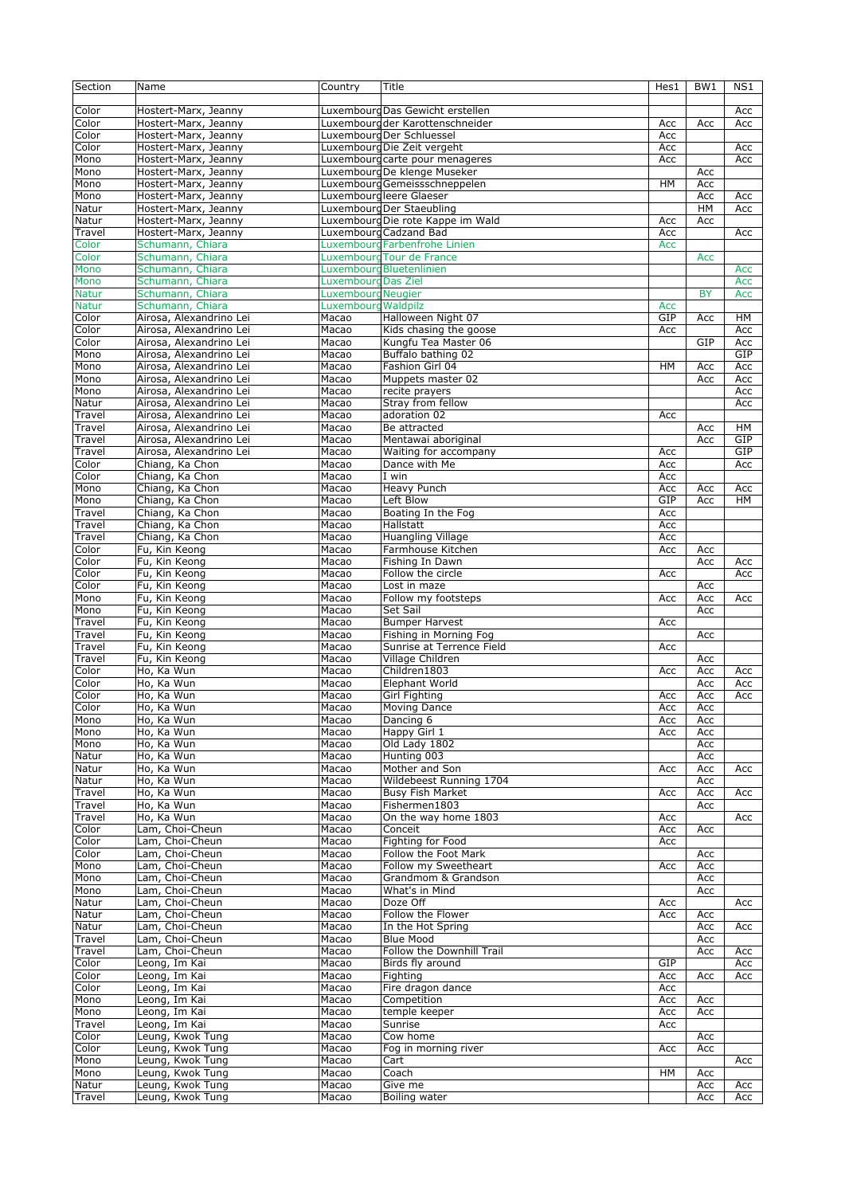| Section      | Name                                 | Country                    | Title                                       | Hes1 | BW1       | NS1        |
|--------------|--------------------------------------|----------------------------|---------------------------------------------|------|-----------|------------|
|              |                                      |                            |                                             |      |           |            |
| Color        | Hostert-Marx, Jeanny                 |                            | Luxembourg Das Gewicht erstellen            |      |           | Acc        |
| Color        | Hostert-Marx, Jeanny                 |                            | Luxembourd der Karottenschneider            | Acc  | Acc       | Acc        |
| Color        | Hostert-Marx, Jeanny                 |                            | Luxembourg Der Schluessel                   | Acc  |           |            |
| Color        | Hostert-Marx, Jeanny                 |                            | Luxembourg Die Zeit vergeht                 | Acc  |           | Acc        |
| Mono         | Hostert-Marx, Jeanny                 |                            | Luxembourg carte pour menageres             | Acc  |           | Acc        |
| Mono         | Hostert-Marx, Jeanny                 |                            | Luxembourg De klenge Museker                |      | Acc       |            |
| Mono         | Hostert-Marx, Jeanny                 |                            | Luxembourg Gemeissschneppelen               | HM   | Acc       |            |
| Mono         | Hostert-Marx, Jeanny                 |                            | Luxembourgleere Glaeser                     |      | Acc       | Acc        |
| Natur        | Hostert-Marx, Jeanny                 |                            | Luxembourg Der Staeubling                   |      | HM        | Acc        |
| Natur        | Hostert-Marx, Jeanny                 |                            | Luxembourg Die rote Kappe im Wald           | Acc  | Acc       |            |
| Travel       | Hostert-Marx, Jeanny                 |                            | Luxembourg Cadzand Bad                      | Acc  |           | Acc        |
| Color        | Schumann, Chiara                     |                            | Luxembourg Farbenfrohe Linien               | Acc  |           |            |
| Color        | Schumann, Chiara                     |                            | Luxembourd Tour de France                   |      | Acc       |            |
| Mono         | Schumann, Chiara                     |                            | Luxembourg Bluetenlinien                    |      |           | Acc        |
|              | Schumann, Chiara                     | <b>Luxembourg Das Ziel</b> |                                             |      |           |            |
| Mono         |                                      |                            |                                             |      |           | Acc        |
| <b>Natur</b> | Schumann, Chiara                     | <b>Luxembourg Neugier</b>  |                                             |      | <b>BY</b> | Acc        |
| <b>Natur</b> | Schumann, Chiara                     | Luxembourg Waldpilz        |                                             | Acc  |           |            |
| Color        | Airosa, Alexandrino Lei              | Macao                      | Halloween Night 07                          | GIP  | Acc       | HM         |
| Color        | Airosa, Alexandrino Lei              | Macao                      | Kids chasing the goose                      | Acc  |           | Acc        |
| Color        | Airosa, Alexandrino Lei              | Macao                      | Kungfu Tea Master 06                        |      | GIP       | Acc        |
| Mono         | Airosa, Alexandrino Lei              | Macao                      | Buffalo bathing 02                          |      |           | GIP        |
| Mono         | Airosa, Alexandrino Lei              | Macao                      | Fashion Girl 04                             | HM   | Acc       | Acc        |
| Mono         | Airosa, Alexandrino Lei              | Macao                      | Muppets master 02                           |      | Acc       | Acc        |
| Mono         | Airosa, Alexandrino Lei              | Macao                      | recite prayers                              |      |           | Acc        |
| Natur        | Airosa, Alexandrino Lei              | Macao                      | Strav from fellow                           |      |           | Acc        |
| Travel       | Airosa, Alexandrino Lei              | Macao                      | adoration 02                                | Acc  |           |            |
| Travel       | Airosa, Alexandrino Lei              | Macao                      | Be attracted                                |      | Acc       | HМ         |
| Travel       | Airosa, Alexandrino Lei              | Macao                      | Mentawai aboriginal                         |      | Acc       | GIP        |
| Travel       | Airosa, Alexandrino Lei              | Macao                      | Waiting for accompany                       | Acc  |           | <b>GIP</b> |
| Color        | Chiang, Ka Chon                      | Macao                      | Dance with Me                               | Acc  |           | Acc        |
| Color        | Chiang, Ka Chon                      | Macao                      | I win                                       | Acc  |           |            |
| Mono         | Chiang, Ka Chon                      | Macao                      | <b>Heavy Punch</b>                          | Acc  | Acc       | Acc        |
| Mono         | Chiang, Ka Chon                      | Macao                      | Left Blow                                   | GIP  | Acc       | <b>HM</b>  |
| Travel       | Chiang, Ka Chon                      | Macao                      | Boating In the Fog                          | Acc  |           |            |
| Travel       | Chiang, Ka Chon                      | Macao                      | Hallstatt                                   | Acc  |           |            |
| Travel       | Chiang, Ka Chon                      | Macao                      | <b>Huangling Village</b>                    | Acc  |           |            |
| Color        | Fu, Kin Keong                        | Macao                      | Farmhouse Kitchen                           | Acc  |           |            |
|              |                                      |                            |                                             |      | Acc       |            |
| Color        | Fu, Kin Keong                        | Macao                      | Fishing In Dawn                             |      | Acc       | Acc        |
| Color        | Fu, Kin Keong                        | Macao                      | Follow the circle                           | Acc  |           | Acc        |
| Color        | Fu, Kin Keong                        | Macao                      | Lost in maze                                |      | Acc       |            |
| Mono         | Fu, Kin Keong                        | Macao                      | Follow my footsteps                         | Acc  | Acc       | Acc        |
| Mono         | Fu, Kin Keong                        | Macao                      | Set Sail                                    |      | Acc       |            |
| Travel       | Fu, Kin Keong                        | Macao                      | <b>Bumper Harvest</b>                       | Acc  |           |            |
| Travel       | Fu, Kin Keong                        | Macao                      | Fishing in Morning Fog                      |      | Acc       |            |
| Travel       | Fu, Kin Keona                        | Macao                      | Sunrise at Terrence Field                   | Acc  |           |            |
| Travel       | Fu, Kin Keong                        | Macao                      | Village Children                            |      | Acc       |            |
| Color        | Ho, Ka Wun                           | Macao                      | Children1803                                | Acc  | Acc       | Acc        |
| Color        | Ho, Ka Wun                           | Macao                      | <b>Elephant World</b>                       |      | Acc       | Acc        |
| Color        | Ho, Ka Wun                           | Macao                      | <b>Girl Fighting</b>                        | Acc  | Acc       | Acc        |
| Color        | Ho, Ka Wun                           | Macao                      | Moving Dance                                | Acc  | Acc       |            |
| Mono         | Ho, Ka Wun                           | Macao                      | Dancing 6                                   | Acc  | Acc       |            |
| Mono         | Ho, Ka Wun                           | Macao                      | Happy Girl 1                                | Acc  | Acc       |            |
| Mono         | Ho, Ka Wun                           | Macao                      | Old Lady 1802                               |      | Acc       |            |
| Natur        | Ho, Ka Wun                           | Macao                      | Hunting 003                                 |      | Acc       |            |
| Natur        | Ho, Ka Wun                           | Macao                      | Mother and Son                              | Acc  | Acc       | Acc        |
| Natur        | Ho, Ka Wun                           | Macao                      | Wildebeest Running 1704                     |      | Acc       |            |
| Travel       | Ho, Ka Wun                           | Macao                      | <b>Busy Fish Market</b>                     | Acc  | Acc       | Acc        |
| Travel       | Ho, Ka Wun                           | Macao                      | Fishermen1803                               |      | Acc       |            |
| Travel       | Ho, Ka Wun                           | Macao                      | On the way home 1803                        | Acc  |           | Acc        |
| Color        | Lam, Choi-Cheun                      | Macao                      | Conceit                                     | Acc  | Acc       |            |
| Color        | Lam, Choi-Cheun                      | Macao                      | Fighting for Food                           | Acc  |           |            |
| Color        | Lam, Choi-Cheun                      | Macao                      | Follow the Foot Mark                        |      | Acc       |            |
| Mono         |                                      |                            |                                             |      |           |            |
|              | Lam, Choi-Cheun                      | Macao                      | Follow my Sweetheart<br>Grandmom & Grandson | Acc  | Acc       |            |
| Mono         | Lam, Choi-Cheun                      | Macao                      |                                             |      | Acc       |            |
| Mono         | Lam, Choi-Cheun                      | Macao                      | What's in Mind                              |      | Acc       |            |
| Natur        | Lam, Choi-Cheun                      | Macao                      | Doze Off                                    | Acc  |           | Acc        |
| Natur        | Lam, Choi-Cheun                      | Macao                      | Follow the Flower                           | Acc  | Acc       |            |
| Natur        | Lam, Choi-Cheun                      | Macao                      | In the Hot Spring                           |      | Acc       | Acc        |
| Travel       | Lam, Choi-Cheun                      | Macao                      | <b>Blue Mood</b>                            |      | Acc       |            |
| Travel       | Lam, Choi-Cheun                      | Macao                      | Follow the Downhill Trail                   |      | Acc       | Acc        |
| Color        | Leong, Im Kai                        | Macao                      | Birds fly around                            | GIP  |           | Acc        |
| Color        | Leong, Im Kai                        | Macao                      | Fighting                                    | Acc  | Acc       | Acc        |
| Color        | Leong, Im Kai                        | Macao                      | Fire dragon dance                           | Acc  |           |            |
| Mono         | Leong, Im Kai                        | Macao                      | Competition                                 | Acc  | Acc       |            |
| Mono         | Leong, Im Kai                        | Macao                      | temple keeper                               | Acc  | Acc       |            |
| Travel       | Leong, Im Kai                        | Macao                      | Sunrise                                     | Acc  |           |            |
| Color        | Leung, Kwok Tung                     | Macao                      | Cow home                                    |      | Acc       |            |
| Color        | Leung, Kwok Tung                     | Macao                      | Fog in morning river                        | Acc  | Acc       |            |
| Mono         |                                      |                            |                                             |      |           | Acc        |
|              | Leung, Kwok Tung                     | Macao                      | Cart                                        |      |           |            |
| Mono         |                                      | Macao                      | Coach                                       | HM   | Acc       |            |
| Natur        | Leung, Kwok Tung<br>Leung, Kwok Tung | Macao                      | Give me                                     |      | Acc       | Acc        |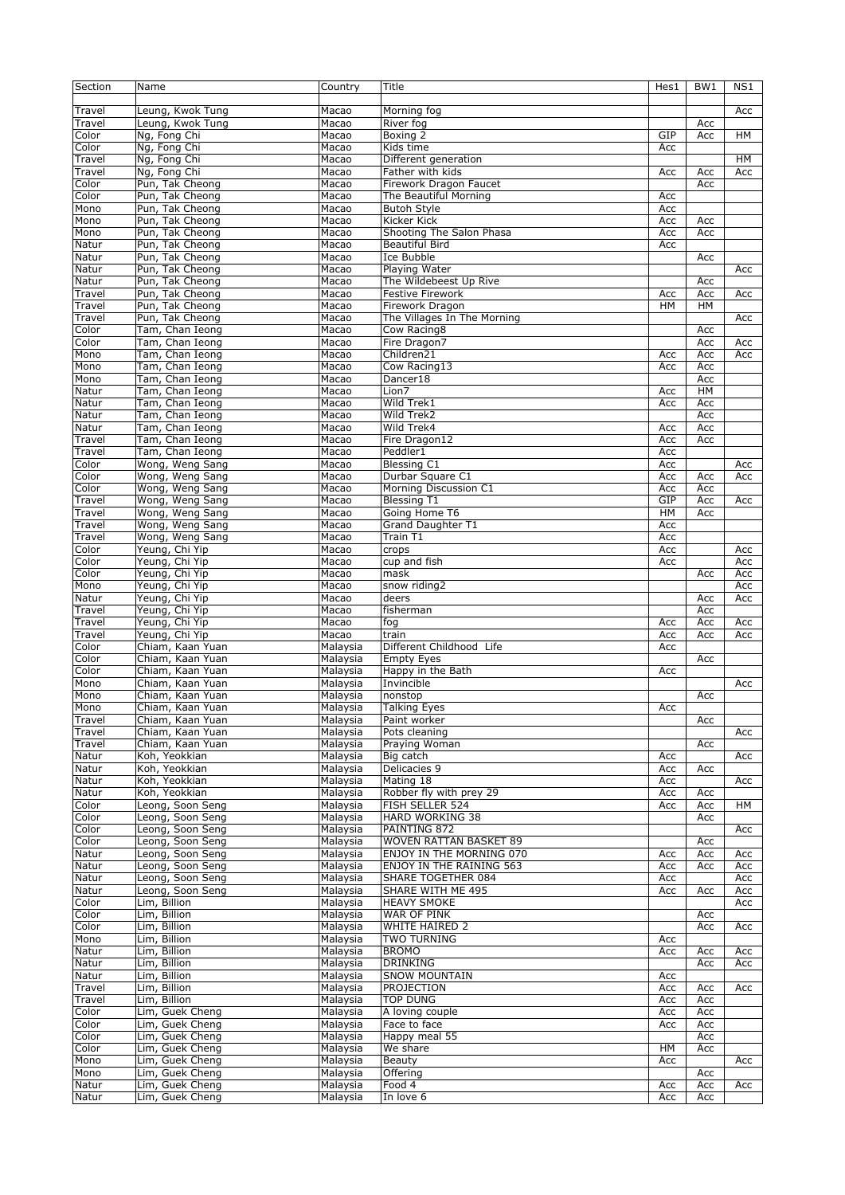| Section          | Name                                 | Country              | Title                                          | Hes1       | BW <sub>1</sub> | NS1        |
|------------------|--------------------------------------|----------------------|------------------------------------------------|------------|-----------------|------------|
| Travel           | Leung, Kwok Tung                     | Macao                | Morning fog                                    |            |                 | Acc        |
| Travel           | Leung, Kwok Tung                     | Macao                | River fog                                      |            | Acc             |            |
| Color            | Ng, Fong Chi                         | Macao                | Boxing 2                                       | GIP        | Acc             | <b>HM</b>  |
| Color            | Ng, Fong Chi                         | Macao                | Kids time                                      | Acc        |                 |            |
| Travel           | Ng, Fong Chi                         | Macao                | Different generation                           |            |                 | HM         |
| Travel           | Ng, Fong Chi                         | Macao                | Father with kids                               | Acc        | Acc             | Acc        |
| Color            | Pun, Tak Cheong                      | Macao                | Firework Dragon Faucet                         |            | Acc             |            |
| Color            | Pun, Tak Cheong                      | Macao                | The Beautiful Morning                          | Acc        |                 |            |
| Mono<br>Mono     | Pun, Tak Cheong<br>Pun, Tak Cheong   | Macao<br>Macao       | <b>Butoh Style</b><br>Kicker Kick              | Acc<br>Acc | Acc             |            |
| Mono             | Pun, Tak Cheong                      | Macao                | Shooting The Salon Phasa                       | Acc        | Acc             |            |
| Natur            | Pun, Tak Cheong                      | Macao                | <b>Beautiful Bird</b>                          | Acc        |                 |            |
| Natur            | Pun, Tak Cheong                      | Macao                | Ice Bubble                                     |            | Acc             |            |
| Natur            | Pun, Tak Cheong                      | Macao                | Playing Water                                  |            |                 | Acc        |
| Natur            | Pun, Tak Cheong                      | Macao                | The Wildebeest Up Rive                         |            | Acc             |            |
| Travel           | Pun, Tak Cheong                      | Macao                | Festive Firework                               | Acc        | Acc             | Acc        |
| Travel           | Pun, Tak Cheong                      | Macao                | Firework Dragon                                | <b>HM</b>  | <b>HM</b>       |            |
| Travel           | Pun, Tak Cheong                      | Macao                | The Villages In The Morning                    |            |                 | Acc        |
| Color            | Tam, Chan Ieong                      | Macao                | Cow Racing8                                    |            | Acc             |            |
| Color            | Tam, Chan Ieong                      | Macao                | Fire Dragon7                                   |            | Acc             | Acc        |
| Mono             | Tam, Chan Ieong                      | Macao                | Children21                                     | Acc        | Acc             | Acc        |
| Mono             | Tam, Chan Ieong                      | Macao                | Cow Racing13                                   | Acc        | Acc             |            |
| Mono             | Tam, Chan Ieong                      | Macao                | Dancer18                                       |            | Acc             |            |
| Natur            | Tam, Chan Ieong                      | Macao                | Lion7                                          | Acc        | HM              |            |
| Natur            | Tam, Chan Ieong                      | Macao                | Wild Trek1                                     | Acc        | Acc             |            |
| Natur            | Tam, Chan Ieong                      | Macao                | Wild Trek2                                     |            | Acc             |            |
| Natur            | Tam, Chan Ieong                      | Macao                | Wild Trek4                                     | Acc        | Acc             |            |
| Travel           | Tam, Chan Ieong                      | Macao                | Fire Dragon12                                  | Acc        | Acc             |            |
| Travel           | Tam, Chan Ieong                      | Macao                | Peddler1                                       | Acc        |                 |            |
| Color            | Wong, Weng Sang                      | Macao                | <b>Blessing C1</b>                             | Acc        |                 | Acc        |
| Color            | Wong, Weng Sang                      | Macao                | Durbar Square C1                               | Acc        | Acc             | Acc        |
| Color            | Wong, Weng Sang                      | Macao                | Morning Discussion C1                          | Acc        | Acc             |            |
| Travel           | Wong, Weng Sang                      | Macao                | <b>Blessing T1</b>                             | GIP        | Acc             | Acc        |
| Travel           | Wong, Weng Sang<br>Wong, Weng Sang   | Macao                | Going Home T6<br>Grand Daughter T1             | HM         | Acc             |            |
| Travel<br>Travel |                                      | Macao<br>Macao       | Train T1                                       | Acc<br>Acc |                 |            |
| Color            | Wong, Weng Sang<br>Yeung, Chi Yip    | Macao                | crops                                          | Acc        |                 | Acc        |
| Color            | Yeung, Chi Yip                       | Macao                | cup and fish                                   | Acc        |                 | Acc        |
| Color            | Yeung, Chi Yip                       | Macao                | mask                                           |            | Acc             | Acc        |
| Mono             | Yeung, Chi Yip                       | Macao                | snow riding2                                   |            |                 | Acc        |
| Natur            | Yeung, Chi Yip                       | Macao                | deers                                          |            | Acc             | Acc        |
| Travel           | Yeung, Chi Yip                       | Macao                | fisherman                                      |            | Acc             |            |
| Travel           | Yeung, Chi Yip                       | Macao                | fog                                            | Acc        | Acc             | Acc        |
| Travel           | Yeung, Chi Yip                       | Macao                | train                                          | Acc        | Acc             | Acc        |
| Color            | Chiam, Kaan Yuan                     | Malaysia             | Different Childhood Life                       | Acc        |                 |            |
| Color            | Chiam, Kaan Yuan                     | Malaysia             | <b>Empty Eyes</b>                              |            | Acc             |            |
| Color            | Chiam, Kaan Yuan                     | Malaysia             | Happy in the Bath                              | Acc        |                 |            |
| Mono             | Chiam, Kaan Yuan                     | Malaysia             | Invincible                                     |            |                 | Acc        |
| Mono             | Chiam, Kaan Yuan                     | Malaysia             | nonstop                                        |            | Acc             |            |
| Mono             | Chiam, Kaan Yuan                     | Malaysia             | <b>Talking Eyes</b>                            | Acc        |                 |            |
| Travel           | Chiam, Kaan Yuan                     | Malaysia             | Paint worker                                   |            | Acc             |            |
| Travel           | Chiam, Kaan Yuan                     | Malaysia             | Pots cleaning                                  |            |                 | Acc        |
| Travel           | Chiam, Kaan Yuan                     | Malaysia             | Praying Woman                                  |            | Acc             |            |
| Natur            | Koh, Yeokkian                        | Malaysia             | Big catch                                      | Acc        |                 | Acc        |
| Natur            | Koh, Yeokkian                        | Malaysia             | Delicacies 9                                   | Acc        | Acc             |            |
| Natur            | Koh, Yeokkian                        | Malaysia             | Mating 18                                      | Acc        |                 | Acc        |
| Natur            | Koh, Yeokkian                        | Malaysia             | Robber fly with prey 29                        | Acc        | Acc             |            |
| Color            | Leong, Soon Seng                     | Malaysia             | FISH SELLER 524                                | Acc        | Acc             | HМ         |
| Color            | Leong, Soon Seng                     | Malaysia             | HARD WORKING 38                                |            | Acc             |            |
| Color            | Leong, Soon Seng                     | Malaysia             | PAINTING 872                                   |            |                 | Acc        |
| Color            | Leong, Soon Seng                     | Malaysia             | WOVEN RATTAN BASKET 89                         |            | Acc             |            |
| Natur            | Leong, Soon Seng                     | Malaysia             | ENJOY IN THE MORNING 070                       | Acc        | Acc             | Acc        |
| Natur            | Leong, Soon Seng<br>Leong, Soon Seng | Malaysia             | ENJOY IN THE RAINING 563<br>SHARE TOGETHER 084 | Acc        | Acc             | Acc<br>Acc |
| Natur<br>Natur   | Leong, Soon Seng                     | Malaysia<br>Malaysia | SHARE WITH ME 495                              | Acc<br>Acc | Acc             | Acc        |
| Color            | Lim, Billion                         | Malaysia             | <b>HEAVY SMOKE</b>                             |            |                 | Acc        |
| Color            | Lim, Billion                         | Malaysia             | <b>WAR OF PINK</b>                             |            | Acc             |            |
| Color            | Lim, Billion                         | Malaysia             | WHITE HAIRED 2                                 |            | Acc             | Acc        |
| Mono             | Lim, Billion                         | Malaysia             | <b>TWO TURNING</b>                             | Acc        |                 |            |
| Natur            | Lim, Billion                         | Malaysia             | <b>BROMO</b>                                   | Acc        | Acc             | Acc        |
| Natur            | Lim, Billion                         | Malaysia             | <b>DRINKING</b>                                |            | Acc             | Acc        |
| Natur            | Lim, Billion                         | Malaysia             | <b>SNOW MOUNTAIN</b>                           | Acc        |                 |            |
| Travel           | Lim, Billion                         | Malaysia             | PROJECTION                                     | Acc        | Acc             | Acc        |
| Travel           | Lim, Billion                         | Malaysia             | <b>TOP DUNG</b>                                | Acc        | Acc             |            |
| Color            | Lim, Guek Cheng                      | Malaysia             | A loving couple                                | Acc        | Acc             |            |
| Color            | Lim, Guek Cheng                      | Malaysia             | Face to face                                   | Acc        | Acc             |            |
| Color            | Lim, Guek Cheng                      | Malaysia             | Happy meal 55                                  |            | Acc             |            |
| Color            | Lim, Guek Cheng                      | Malaysia             | We share                                       | HМ         | Acc             |            |
| Mono             | Lim, Guek Cheng                      | Malaysia             | Beauty                                         | Acc        |                 | Acc        |
| Mono             | Lim, Guek Cheng                      | Malaysia             | Offering                                       |            | Acc             |            |
| Natur            | Lim, Guek Cheng                      | Malaysia             | Food 4                                         | Acc        | Acc             | Acc        |
| Natur            | Lim, Guek Cheng                      | Malaysia             | In love 6                                      | Асс        | Acc             |            |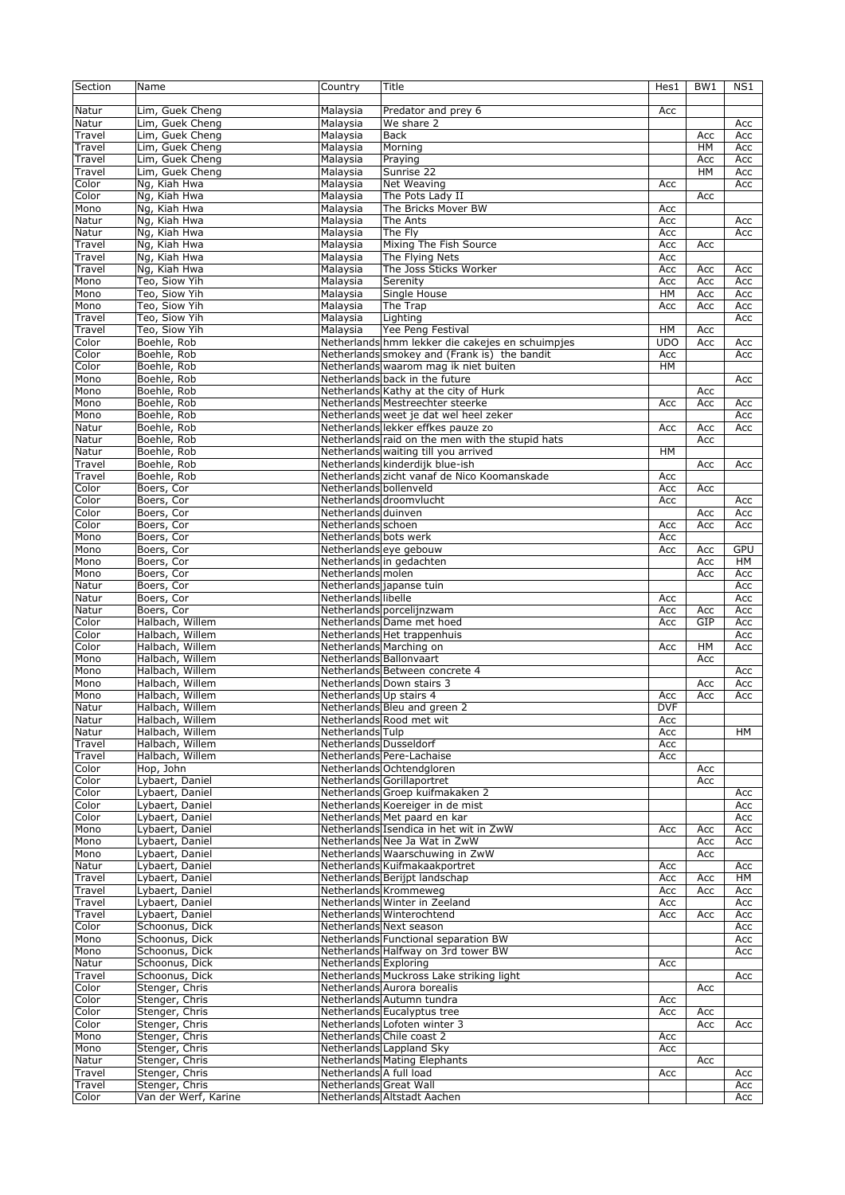| Section | Name                               | Country                       | Title                                            | Hes1       | BW1 | NS1 |
|---------|------------------------------------|-------------------------------|--------------------------------------------------|------------|-----|-----|
|         |                                    |                               |                                                  |            |     |     |
| Natur   | Lim, Guek Cheng                    | Malaysia                      | Predator and prey 6                              | Acc        |     |     |
| Natur   | Lim, Guek Cheng                    | Malaysia                      | We share 2                                       |            |     | Acc |
| Travel  | Lim, Guek Cheng                    | Malaysia                      | <b>Back</b>                                      |            | Acc | Acc |
| Travel  | Lim, Guek Cheng                    | Malaysia                      | Morning                                          |            | HM  | Acc |
| Travel  | Lim, Guek Cheng                    | Malaysia                      | Praying                                          |            | Acc | Acc |
| Travel  | Lim, Guek Cheng                    | Malaysia                      | Sunrise 22                                       |            | HM  | Acc |
| Color   | Ng, Kiah Hwa                       | Malaysia                      | Net Weaving                                      | Acc        |     | Acc |
| Color   | Ng, Kiah Hwa                       | Malaysia                      | The Pots Lady II                                 |            | Acc |     |
| Mono    | Ng, Kiah Hwa                       | Malaysia                      | The Bricks Mover BW                              | Acc        |     |     |
| Natur   | Ng, Kiah Hwa                       | Malaysia                      | The Ants                                         | Acc        |     | Acc |
|         | Ng, Kiah Hwa                       |                               | The Fly                                          |            |     |     |
| Natur   |                                    | Malaysia                      |                                                  | Acc        |     | Acc |
| Travel  | Ng, Kiah Hwa                       | Malaysia                      | Mixing The Fish Source                           | Acc        | Acc |     |
| Travel  | Ng, Kiah Hwa                       | Malaysia                      | The Flying Nets                                  | Acc        |     |     |
| Travel  | Ng, Kiah Hwa                       | Malaysia                      | The Joss Sticks Worker                           | Acc        | Acc | Acc |
| Mono    | Teo, Siow Yih                      | Malaysia                      | Serenity                                         | Acc        | Acc | Acc |
| Mono    | Teo, Siow Yih                      | Malaysia                      | Single House                                     | HM         | Acc | Acc |
| Mono    | Teo, Siow Yih                      | Malaysia                      | The Trap                                         | Acc        | Acc | Acc |
| Travel  | Teo, Siow Yih                      | Malaysia                      | Lighting                                         |            |     | Acc |
| Travel  | Teo, Siow Yih                      | Malaysia                      | Yee Peng Festival                                | HM         | Acc |     |
| Color   | Boehle, Rob                        |                               | Netherlands hmm lekker die cakejes en schuimpjes | UDO        | Acc | Acc |
| Color   | Boehle, Rob                        |                               | Netherlands smokey and (Frank is) the bandit     | Acc        |     | Acc |
| Color   | Boehle, Rob                        |                               | Netherlands waarom mag ik niet buiten            | HM         |     |     |
| Mono    | Boehle, Rob                        |                               | Netherlands back in the future                   |            |     | Acc |
| Mono    | Boehle, Rob                        |                               | Netherlands Kathy at the city of Hurk            |            | Acc |     |
| Mono    | Boehle, Rob                        |                               | Netherlands Mestreechter steerke                 | Acc        | Acc | Acc |
| Mono    | Boehle, Rob                        |                               | Netherlands weet je dat wel heel zeker           |            |     | Acc |
| Natur   | Boehle, Rob                        |                               | Netherlands lekker effkes pauze zo               | Acc        | Acc | Acc |
| Natur   | Boehle, Rob                        |                               | Netherlands raid on the men with the stupid hats |            | Acc |     |
| Natur   | Boehle, Rob                        |                               | Netherlands waiting till you arrived             | HM         |     |     |
| Travel  | Boehle, Rob                        |                               | Netherlands kinderdijk blue-ish                  |            | Acc | Acc |
| Travel  | Boehle, Rob                        |                               | Netherlands zicht vanaf de Nico Koomanskade      | Acc        |     |     |
| Color   | Boers, Cor                         | Netherlands bollenveld        |                                                  | Acc        | Acc |     |
| Color   | Boers, Cor                         |                               | Netherlands droomvlucht                          | Acc        |     | Acc |
| Color   | Boers, Cor                         | Netherlands duinven           |                                                  |            | Acc | Acc |
| Color   | Boers, Cor                         | Netherlands schoen            |                                                  | Acc        | Acc | Acc |
| Mono    | Boers, Cor                         | Netherlands bots werk         |                                                  | Acc        |     |     |
| Mono    | Boers, Cor                         |                               | Netherlands eye gebouw                           | Acc        | Acc | GPU |
| Mono    | Boers, Cor                         |                               | Netherlands in gedachten                         |            | Acc | HM  |
| Mono    | Boers, Cor                         | Netherlands molen             |                                                  |            | Acc | Acc |
| Natur   | Boers, Cor                         |                               | Netherlands japanse tuin                         |            |     | Acc |
| Natur   | Boers, Cor                         | Netherlands libelle           |                                                  | Acc        |     | Acc |
| Natur   | Boers, Cor                         |                               | Netherlands porcelijnzwam                        | Acc        | Acc | Acc |
| Color   | Halbach, Willem                    |                               | Netherlands Dame met hoed                        | Acc        | GIP | Acc |
| Color   | Halbach, Willem                    |                               | Netherlands Het trappenhuis                      |            |     | Acc |
| Color   | Halbach, Willem                    |                               | Netherlands Marching on                          | Acc        | HM  | Acc |
| Mono    | Halbach, Willem                    | Netherlands Ballonvaart       |                                                  |            | Acc |     |
| Mono    | Halbach, Willem                    |                               | Netherlands Between concrete 4                   |            |     | Acc |
| Mono    | Halbach, Willem                    |                               | Netherlands Down stairs 3                        |            | Acc | Acc |
| Mono    | Halbach, Willem                    | Netherlands Up stairs 4       |                                                  | Acc        | Acc | Acc |
| Natur   | Halbach, Willem                    |                               | Netherlands Bleu and green 2                     | <b>DVF</b> |     |     |
| Natur   | Halbach, Willem                    |                               | Netherlands Rood met wit                         | Acc        |     |     |
| Natur   | Halbach, Willem                    | Netherlands Tulp              |                                                  | Acc        |     | HM  |
| Travel  | Halbach, Willem                    | <b>Netherlands Dusseldorf</b> |                                                  | Acc        |     |     |
| Travel  | Halbach, Willem                    |                               | Netherlands Pere-Lachaise                        | Acc        |     |     |
| Color   | Hop, John                          |                               | Netherlands Ochtendgloren                        |            | Acc |     |
| Color   | Lybaert, Daniel                    |                               | Netherlands Gorillaportret                       |            | Acc |     |
| Color   | Lybaert, Daniel                    |                               | Netherlands Groep kuifmakaken 2                  |            |     | Acc |
| Color   | Lybaert, Daniel                    |                               | Netherlands Koereiger in de mist                 |            |     | Acc |
| Color   | Lybaert, Daniel                    |                               | Netherlands Met paard en kar                     |            |     | Acc |
| Mono    | Lybaert, Daniel                    |                               | Netherlands Isendica in het wit in ZwW           | Acc        | Acc | Acc |
| Mono    | Lybaert, Daniel                    |                               | Netherlands Nee Ja Wat in ZwW                    |            | Acc | Acc |
| Mono    | Lybaert, Daniel                    |                               | Netherlands Waarschuwing in ZwW                  |            | Acc |     |
| Natur   | Lybaert, Daniel                    |                               | Netherlands Kuifmakaakportret                    | Acc        |     | Acc |
| Travel  | Lybaert, Daniel                    |                               | Netherlands Berijpt landschap                    | Acc        |     | HM  |
| Travel  |                                    |                               | Netherlands Krommeweg                            |            | Acc | Acc |
| Travel  | Lybaert, Daniel<br>Lybaert, Daniel |                               | Netherlands Winter in Zeeland                    | Acc<br>Acc | Acc | Acc |
| Travel  | Lybaert, Daniel                    |                               | Netherlands Winterochtend                        |            |     | Acc |
| Color   |                                    |                               | Netherlands Next season                          | Acc        | Acc |     |
|         | Schoonus, Dick                     |                               |                                                  |            |     | Acc |
| Mono    | Schoonus, Dick                     |                               | Netherlands Functional separation BW             |            |     | Acc |
| Mono    | Schoonus, Dick                     |                               | Netherlands Halfway on 3rd tower BW              |            |     | Acc |
| Natur   | Schoonus, Dick                     | Netherlands Exploring         |                                                  | Acc        |     |     |
| Travel  | Schoonus, Dick                     |                               | Netherlands Muckross Lake striking light         |            |     | Acc |
| Color   | Stenger, Chris                     |                               | Netherlands Aurora borealis                      |            | Acc |     |
| Color   | Stenger, Chris                     |                               | Netherlands Autumn tundra                        | Acc        |     |     |
| Color   | Stenger, Chris                     |                               | Netherlands Eucalyptus tree                      | Acc        | Acc |     |
| Color   | Stenger, Chris                     |                               | Netherlands Lofoten winter 3                     |            | Acc | Acc |
| Mono    | Stenger, Chris                     |                               | Netherlands Chile coast 2                        | Acc        |     |     |
| Mono    | Stenger, Chris                     |                               | Netherlands Lappland Sky                         | Acc        |     |     |
| Natur   | Stenger, Chris                     |                               | Netherlands Mating Elephants                     |            | Acc |     |
| Travel  | Stenger, Chris                     | Netherlands A full load       |                                                  | Acc        |     | Acc |
| Travel  | Stenger, Chris                     | Netherlands Great Wall        |                                                  |            |     | Acc |
| Color   | Van der Werf, Karine               |                               | Netherlands Altstadt Aachen                      |            |     | Acc |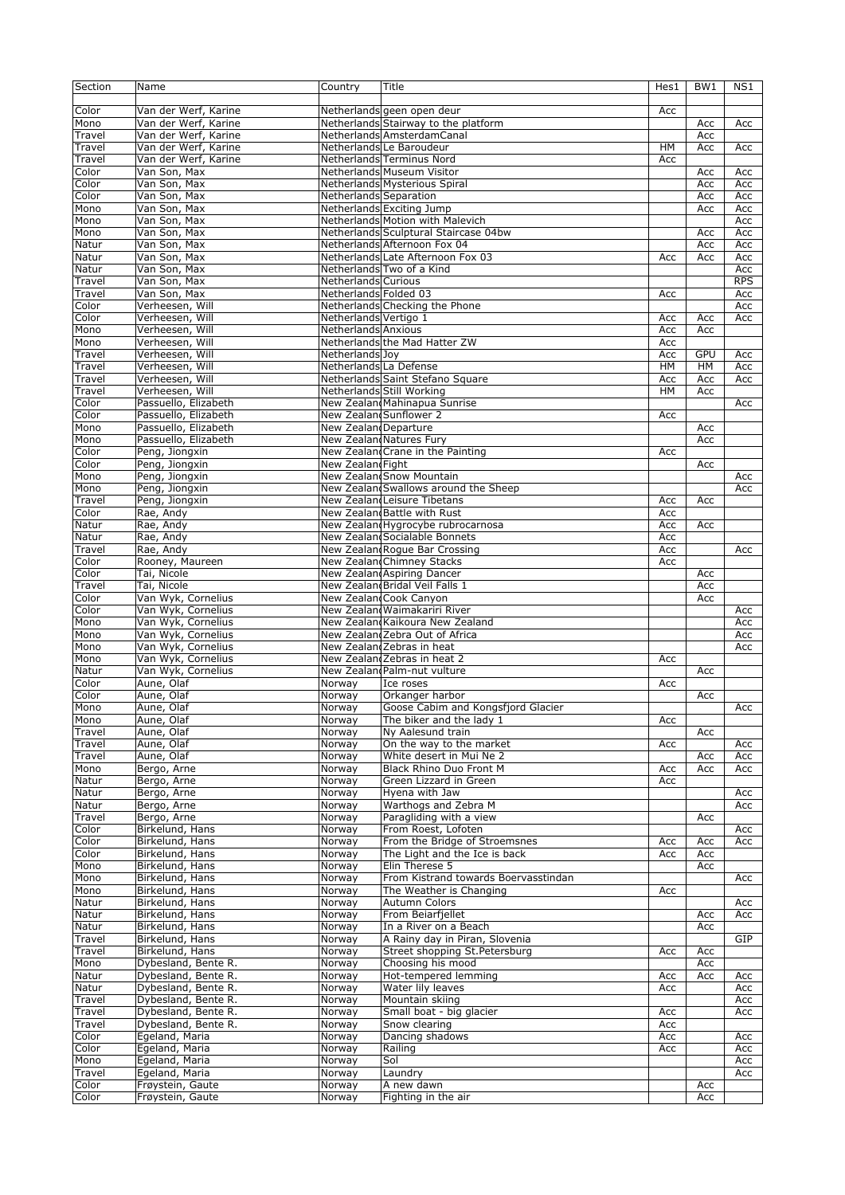| Section                   | Name                 | Country                       | Title                                 | Hes1      | BW1       | NS1        |
|---------------------------|----------------------|-------------------------------|---------------------------------------|-----------|-----------|------------|
|                           |                      |                               |                                       |           |           |            |
| Color                     | Van der Werf, Karine |                               | Netherlands geen open deur            | Acc       |           |            |
| Mono                      | Van der Werf, Karine |                               | Netherlands Stairway to the platform  |           | Acc       | Acc        |
| Travel                    | Van der Werf, Karine |                               | Netherlands AmsterdamCanal            |           | Acc       |            |
| Travel                    | Van der Werf, Karine |                               |                                       | <b>HM</b> |           |            |
|                           |                      |                               | Netherlands Le Baroudeur              |           | Acc       | Acc        |
| Travel                    | Van der Werf, Karine |                               | Netherlands Terminus Nord             | Acc       |           |            |
| Color                     | Van Son, Max         |                               | Netherlands Museum Visitor            |           | Acc       | Acc        |
| Color                     | Van Son, Max         |                               | Netherlands Mysterious Spiral         |           | Acc       | Acc        |
| Color                     | Van Son, Max         | <b>Netherlands Separation</b> |                                       |           | Acc       | Acc        |
| Mono                      | Van Son, Max         |                               | Netherlands Exciting Jump             |           | Acc       | Acc        |
| Mono                      | Van Son, Max         |                               | Netherlands Motion with Malevich      |           |           | Acc        |
| Mono                      | Van Son, Max         |                               | Netherlands Sculptural Staircase 04bw |           | Acc       | Acc        |
| Natur                     | Van Son, Max         |                               | Netherlands Afternoon Fox 04          |           | Acc       | Acc        |
| Natur                     | Van Son, Max         |                               | Netherlands Late Afternoon Fox 03     | Acc       | Acc       | Acc        |
|                           | Van Son, Max         |                               | Netherlands Two of a Kind             |           |           |            |
| Natur                     |                      |                               |                                       |           |           | Acc        |
| Travel                    | Van Son, Max         | Netherlands Curious           |                                       |           |           | <b>RPS</b> |
| Travel                    | Van Son, Max         | Netherlands Folded 03         |                                       | Acc       |           | Acc        |
| Color                     | Verheesen, Will      |                               | Netherlands Checking the Phone        |           |           | Acc        |
| Color                     | Verheesen, Will      | Netherlands Vertigo 1         |                                       | Acc       | Acc       | Acc        |
| Mono                      | Verheesen, Will      | Netherlands Anxious           |                                       | Acc       | Acc       |            |
| Mono                      | Verheesen, Will      |                               | Netherlands the Mad Hatter ZW         | Acc       |           |            |
| Travel                    | Verheesen, Will      | Netherlands Joy               |                                       | Acc       | GPU       | Acc        |
| Travel                    | Verheesen, Will      | Netherlands La Defense        |                                       | HM        | <b>HM</b> | Acc        |
| Travel                    | Verheesen, Will      |                               | Netherlands Saint Stefano Square      | Acc       | Acc       | Acc        |
| Travel                    | Verheesen, Will      |                               | Netherlands Still Working             | <b>HM</b> | Acc       |            |
|                           |                      |                               | New Zealand Mahinapua Sunrise         |           |           |            |
| Color                     | Passuello, Elizabeth |                               |                                       |           |           | Acc        |
| Color                     | Passuello, Elizabeth |                               | New Zealand Sunflower 2               | Acc       |           |            |
| Mono                      | Passuello, Elizabeth | New ZealandDeparture          |                                       |           | Acc       |            |
| Mono                      | Passuello, Elizabeth |                               | New Zealand Natures Fury              |           | Acc       |            |
| Color                     | Peng, Jiongxin       |                               | New Zealand Crane in the Painting     | Acc       |           |            |
| Color                     | Peng, Jiongxin       | New Zealand Fight             |                                       |           | Acc       |            |
| Mono                      | Peng, Jiongxin       |                               | New Zealand Snow Mountain             |           |           | Acc        |
| Mono                      | Peng, Jiongxin       |                               | New Zealand Swallows around the Sheep |           |           | Acc        |
| Travel                    | Peng, Jiongxin       |                               | New Zealand Leisure Tibetans          | Acc       | Acc       |            |
| $\overline{\text{Color}}$ | Rae, Andy            |                               | New Zealand Battle with Rust          | Acc       |           |            |
|                           |                      |                               |                                       |           |           |            |
| Natur                     | Rae, Andy            |                               | New Zealand Hygrocybe rubrocarnosa    | Acc       | Acc       |            |
| Natur                     | Rae, Andy            |                               | New Zealand Socialable Bonnets        | Acc       |           |            |
| Travel                    | Rae, Andy            |                               | New Zealand Rogue Bar Crossing        | Acc       |           | Acc        |
| Color                     | Rooney, Maureen      |                               | New Zealan Chimney Stacks             | Acc       |           |            |
| Color                     | Tai, Nicole          |                               | New ZealandAspiring Dancer            |           | Acc       |            |
| Travel                    | Tai, Nicole          |                               | New Zealand Bridal Veil Falls 1       |           | Acc       |            |
| Color                     | Van Wyk, Cornelius   |                               | New Zealan Cook Canyon                |           | Acc       |            |
| Color                     | Van Wyk, Cornelius   |                               | New Zealand Waimakariri River         |           |           | Acc        |
| Mono                      | Van Wyk, Cornelius   |                               | New Zealand Kaikoura New Zealand      |           |           | Acc        |
| Mono                      | Van Wyk, Cornelius   |                               | New Zealand Zebra Out of Africa       |           |           | Acc        |
| Mono                      | Van Wyk, Cornelius   |                               | New Zealand Zebras in heat            |           |           | Acc        |
|                           |                      |                               |                                       |           |           |            |
| Mono                      | Van Wyk, Cornelius   |                               | New Zealand Zebras in heat 2          | Acc       |           |            |
| Natur                     | Van Wyk, Cornelius   |                               | New Zealand Palm-nut vulture          |           | Acc       |            |
| Color                     | Aune, Olaf           | Norway                        | Ice roses                             | Acc       |           |            |
| Color                     | Aune, Olaf           | Norway                        | Orkanger harbor                       |           | Acc       |            |
| Mono                      | Aune, Olaf           | Norway                        | Goose Cabim and Kongsfjord Glacier    |           |           | Acc        |
| Mono                      | Aune, Olaf           | Norway                        | The biker and the lady 1              | Acc       |           |            |
| Travel                    | Aune, Olaf           | Norway                        | Ny Aalesund train                     |           | Acc       |            |
| Travel                    | Aune, Olaf           | Norway                        | On the way to the market              | Acc       |           | Acc        |
| Travel                    | Aune, Olaf           | Norway                        | White desert in Mui Ne 2              |           | Acc       | Acc        |
|                           |                      |                               |                                       |           |           |            |
| Mono                      | Bergo, Arne          | Norway                        | Black Rhino Duo Front M               | Acc       | Acc       | Acc        |
| Natur                     | Bergo, Arne          | Norway                        | Green Lizzard in Green                | Acc       |           |            |
| Natur                     | Bergo, Arne          | Norway                        | Hyena with Jaw                        |           |           | Acc        |
| Natur                     | Bergo, Arne          | Norway                        | Warthogs and Zebra M                  |           |           | Acc        |
| Travel                    | Bergo, Arne          | Norway                        | Paragliding with a view               |           | Acc       |            |
| Color                     | Birkelund, Hans      | Norway                        | From Roest, Lofoten                   |           |           | Acc        |
| Color                     | Birkelund, Hans      | Norway                        | From the Bridge of Stroemsnes         | Acc       | Acc       | Acc        |
| Color                     | Birkelund, Hans      | Norway                        | The Light and the Ice is back         | Acc       | Acc       |            |
| Mono                      | Birkelund, Hans      | Norway                        | Elin Therese 5                        |           | Acc       |            |
| Mono                      | Birkelund, Hans      | Norway                        | From Kistrand towards Boervasstindan  |           |           | Acc        |
|                           |                      |                               |                                       |           |           |            |
| Mono                      | Birkelund, Hans      | Norway                        | The Weather is Changing               | Acc       |           |            |
| Natur                     | Birkelund, Hans      | Norway                        | Autumn Colors                         |           |           | Acc        |
| Natur                     | Birkelund, Hans      | Norway                        | From Beiarfjellet                     |           | Acc       | Acc        |
| Natur                     | Birkelund, Hans      | Norway                        | In a River on a Beach                 |           | Acc       |            |
| Travel                    | Birkelund, Hans      | Norway                        | A Rainy day in Piran, Slovenia        |           |           | GIP        |
| Travel                    | Birkelund, Hans      | Norway                        | Street shopping St.Petersburg         | Acc       | Acc       |            |
| Mono                      | Dybesland, Bente R.  | Norway                        | Choosing his mood                     |           | Acc       |            |
| Natur                     | Dybesland, Bente R.  | Norway                        | Hot-tempered lemming                  | Acc       | Acc       | Acc        |
| Natur                     | Dybesland, Bente R.  | Norway                        | Water lily leaves                     | Acc       |           | Acc        |
| Travel                    | Dybesland, Bente R.  |                               | Mountain skiing                       |           |           |            |
|                           |                      | Norway                        |                                       |           |           | Acc        |
| Travel                    | Dybesland, Bente R.  | Norway                        | Small boat - big glacier              | Acc       |           | Acc        |
| Travel                    | Dybesland, Bente R.  | Norway                        | Snow clearing                         | Acc       |           |            |
| Color                     | Egeland, Maria       | Norway                        | Dancing shadows                       | Acc       |           | Acc        |
| Color                     | Egeland, Maria       | Norway                        | Railing                               | Acc       |           | Acc        |
| Mono                      | Egeland, Maria       | Norway                        | Sol                                   |           |           | Acc        |
| Travel                    | Egeland, Maria       | Norway                        | Laundry                               |           |           | Acc        |
| Color                     | Frøystein, Gaute     | Norway                        | A new dawn                            |           | Acc       |            |
| Color                     | Frøystein, Gaute     | Norway                        | Fighting in the air                   |           | Acc       |            |
|                           |                      |                               |                                       |           |           |            |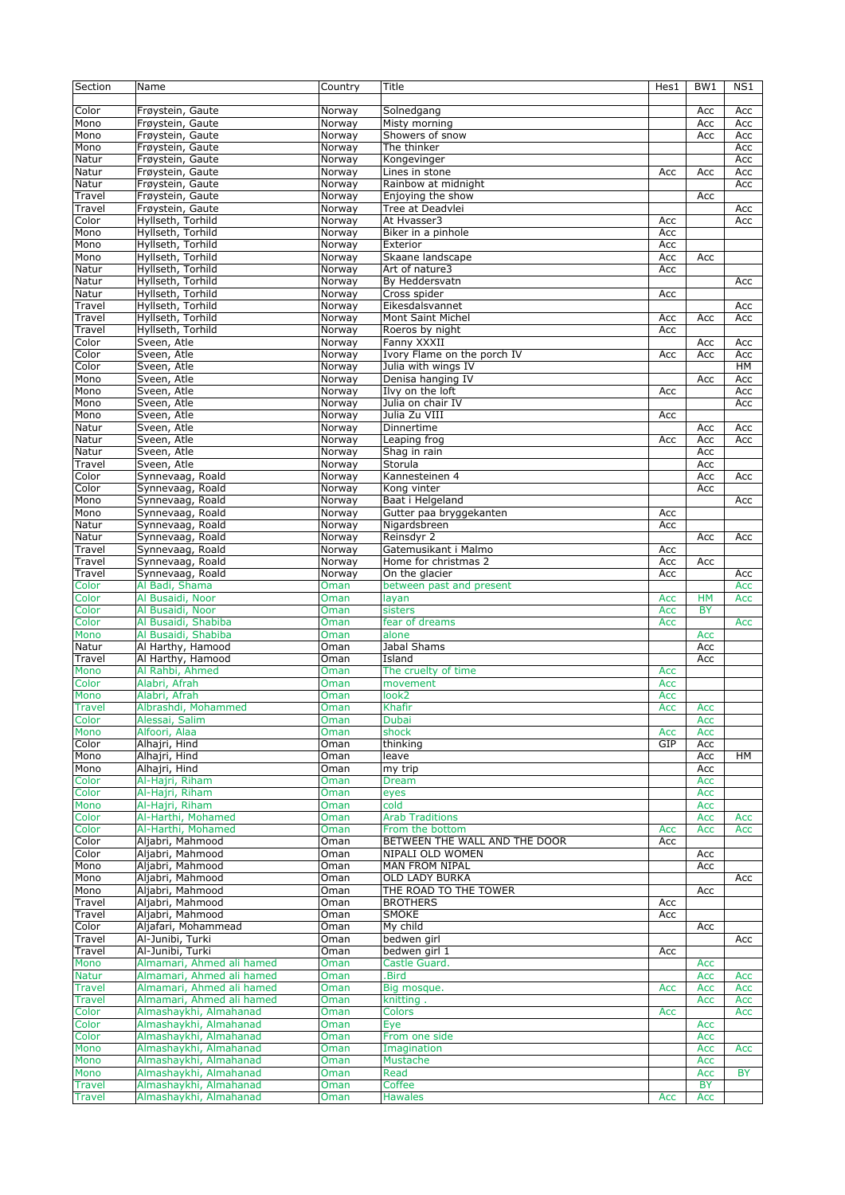| Section       | Name                      | Country | Title                         | Hes1 | BW1        | NS1       |
|---------------|---------------------------|---------|-------------------------------|------|------------|-----------|
|               |                           |         |                               |      |            |           |
| Color         | Frøystein, Gaute          | Norway  | Solnedgang                    |      | Acc        | Acc       |
| Mono          | Frøystein, Gaute          | Norway  | Misty morning                 |      | Acc        | Acc       |
|               |                           |         |                               |      |            |           |
| Mono          | Frøystein, Gaute          | Norway  | Showers of snow               |      | Acc        | Acc       |
| Mono          | Frøystein, Gaute          | Norway  | The thinker                   |      |            | Acc       |
| Natur         | Frøystein, Gaute          | Norway  | Kongevinger                   |      |            | Acc       |
| Natur         | Frøystein, Gaute          | Norway  | Lines in stone                | Acc  | Acc        | Acc       |
| Natur         | Frøystein, Gaute          | Norway  | Rainbow at midnight           |      |            | Acc       |
| Travel        | Frøystein, Gaute          | Norway  | Enjoying the show             |      | Acc        |           |
| Travel        | Frøystein, Gaute          | Norway  | Tree at Deadvlei              |      |            | Acc       |
| Color         | Hyllseth, Torhild         | Norway  | At Hvasser3                   | Acc  |            | Acc       |
| Mono          | Hyllseth, Torhild         | Norway  | Biker in a pinhole            | Acc  |            |           |
| Mono          |                           |         | Exterior                      | Acc  |            |           |
|               | Hyllseth, Torhild         | Norway  |                               |      |            |           |
| Mono          | Hyllseth, Torhild         | Norway  | Skaane landscape              | Acc  | Acc        |           |
| Natur         | Hyllseth, Torhild         | Norway  | Art of nature3                | Acc  |            |           |
| Natur         | Hyllseth, Torhild         | Norway  | By Heddersvatn                |      |            | Acc       |
| Natur         | Hyllseth, Torhild         | Norway  | Cross spider                  | Acc  |            |           |
| Travel        | Hyllseth, Torhild         | Norway  | Eikesdalsvannet               |      |            | Acc       |
| Travel        | Hyllseth, Torhild         | Norway  | <b>Mont Saint Michel</b>      | Acc  | Acc        | Acc       |
| Travel        | Hyllseth, Torhild         | Norway  | Roeros by night               | Acc  |            |           |
| Color         | Sveen, Atle               | Norway  | Fanny XXXII                   |      | Acc        | Acc       |
|               |                           |         |                               |      |            |           |
| Color         | Sveen, Atle               | Norway  | Ivory Flame on the porch IV   | Acc  | Acc        | Acc       |
| Color         | Sveen, Atle               | Norway  | Julia with wings IV           |      |            | HM        |
| Mono          | Sveen, Atle               | Norway  | Denisa hanging IV             |      | Acc        | Acc       |
| Mono          | Sveen, Atle               | Norway  | Ilvy on the loft              | Acc  |            | Acc       |
| Mono          | Sveen, Atle               | Norway  | Julia on chair IV             |      |            | Acc       |
| Mono          | Sveen, Atle               | Norway  | Julia Zu VIII                 | Acc  |            |           |
| Natur         | Sveen, Atle               | Norway  | Dinnertime                    |      | Acc        | Acc       |
|               | Sveen, Atle               |         |                               |      |            |           |
| Natur         |                           | Norway  | Leaping frog                  | Acc  | Acc        | Acc       |
| Natur         | Sveen, Atle               | Norway  | Shag in rain                  |      | Acc        |           |
| Travel        | Sveen, Atle               | Norway  | Storula                       |      | Acc        |           |
| Color         | Synnevaag, Roald          | Norway  | Kannesteinen 4                |      | Acc        | Acc       |
| Color         | Synnevaag, Roald          | Norway  | Kong vinter                   |      | Acc        |           |
| Mono          | Synnevaag, Roald          | Norway  | Baat i Helgeland              |      |            | Acc       |
| Mono          | Synnevaag, Roald          | Norway  | Gutter paa bryggekanten       | Acc  |            |           |
|               |                           |         |                               |      |            |           |
| Natur         | Synnevaag, Roald          | Norway  | Nigardsbreen                  | Acc  |            |           |
| Natur         | Synnevaag, Roald          | Norway  | Reinsdyr 2                    |      | Acc        | Acc       |
| Travel        | Synnevaag, Roald          | Norway  | Gatemusikant i Malmo          | Acc  |            |           |
| Travel        | Synnevaag, Roald          | Norway  | Home for christmas 2          | Acc  | Acc        |           |
| Travel        | Synnevaag, Roald          | Norway  | On the glacier                | Acc  |            | Acc       |
| Color         | Al Badi, Shama            | Oman    | between past and present      |      |            | Acc       |
| Color         | Al Busaidi, Noor          | Oman    | layan                         | Acc  | <b>HM</b>  | Acc       |
| Color         | Al Busaidi, Noor          | Oman    | sisters                       | Acc  | <b>BY</b>  |           |
|               |                           |         |                               |      |            |           |
| Color         | Al Busaidi, Shabiba       | Oman    | fear of dreams                | Acc  |            | Acc       |
| Mono          | Al Busaidi, Shabiba       | Oman    | alone                         |      | Acc        |           |
| Natur         | Al Harthy, Hamood         | Oman    | Jabal Shams                   |      | Acc        |           |
| Travel        | Al Harthy, Hamood         | Oman    | Island                        |      | Acc        |           |
| Mono          | Al Rahbi, Ahmed           | Oman    | The cruelty of time           | Acc  |            |           |
| Color         | Alabri, Afrah             | Oman    | movement                      | Acc  |            |           |
| Mono          | Alabri, Afrah             | Oman    | look2                         | Acc  |            |           |
|               | Albrashdi, Mohammed       |         | Khafir                        | Acc  |            |           |
| <b>Travel</b> |                           | Oman    |                               |      | Acc        |           |
| Color         | Alessai, Salim            | Oman    | Dubai                         |      | Acc        |           |
| Mono          | Alfoori, Alaa             | Oman    | shock                         | Acc  | <b>Acc</b> |           |
| Color         | Alhajri, Hind             | Oman    | thinking                      | GIP  | Acc        |           |
| Mono          | Alhajri, Hind             | Oman    | leave                         |      | Acc        | HM        |
| Mono          | Alhajri, Hind             | Oman    | my trip                       |      | Acc        |           |
| Color         | Al-Hajri, Riham           | Oman    | Dream                         |      | Acc        |           |
| Color         | Al-Hajri, Riham           | Oman    | eyes                          |      | Acc        |           |
| Mono          | Al-Hajri, Riham           | Oman    | cold                          |      | Acc        |           |
|               |                           |         | <b>Arab Traditions</b>        |      |            |           |
| Color         | Al-Harthi, Mohamed        | Oman    |                               |      | Acc        | Acc       |
| Color         | Al-Harthi, Mohamed        | Oman    | From the bottom               | Acc  | Acc        | Acc       |
| Color         | Aljabri, Mahmood          | Oman    | BETWEEN THE WALL AND THE DOOR | Acc  |            |           |
| Color         | Aljabri, Mahmood          | Oman    | NIPALI OLD WOMEN              |      | Acc        |           |
| Mono          | Aljabri, Mahmood          | Oman    | MAN FROM NIPAL                |      | Acc        |           |
| Mono          | Aljabri, Mahmood          | Oman    | <b>OLD LADY BURKA</b>         |      |            | Acc       |
| Mono          | Aljabri, Mahmood          | Oman    | THE ROAD TO THE TOWER         |      | Acc        |           |
|               |                           |         | <b>BROTHERS</b>               |      |            |           |
| Travel        | Aljabri, Mahmood          | Oman    |                               | Acc  |            |           |
| Travel        | Aljabri, Mahmood          | Oman    | SMOKE                         | Acc  |            |           |
| Color         | Aljafari, Mohammead       | Oman    | My child                      |      | Acc        |           |
| Travel        | Al-Junibi, Turki          | Oman    | bedwen girl                   |      |            | Acc       |
| Travel        | Al-Junibi, Turki          | Oman    | bedwen girl 1                 | Acc  |            |           |
| Mono          | Almamari, Ahmed ali hamed | Oman    | Castle Guard.                 |      | Acc        |           |
| <b>Natur</b>  | Almamari, Ahmed ali hamed | Oman    | .Bird                         |      | Acc        | Acc       |
| <b>Travel</b> | Almamari, Ahmed ali hamed | Oman    | Big mosque.                   | Acc  | Acc        | Acc       |
|               |                           |         |                               |      |            |           |
| <b>Travel</b> | Almamari, Ahmed ali hamed | Oman    | knitting.                     |      | Acc        | Acc       |
| Color         | Almashaykhi, Almahanad    | Oman    | <b>Colors</b>                 | Acc  |            | Acc       |
| Color         | Almashaykhi, Almahanad    | Oman    | Eye                           |      | Acc        |           |
| Color         | Almashaykhi, Almahanad    | Oman    | From one side                 |      | Acc        |           |
| Mono          | Almashaykhi, Almahanad    | Oman    | Imagination                   |      | Acc        | Acc       |
| Mono          | Almashaykhi, Almahanad    | Oman    | Mustache                      |      | Acc        |           |
| Mono          | Almashaykhi, Almahanad    | Oman    | Read                          |      | Acc        | <b>BY</b> |
|               | Almashaykhi, Almahanad    |         | Coffee                        |      | <b>BY</b>  |           |
| <b>Travel</b> |                           | Oman    |                               |      |            |           |
| <b>Travel</b> | Almashaykhi, Almahanad    | Oman    | <b>Hawales</b>                | Acc  | Acc        |           |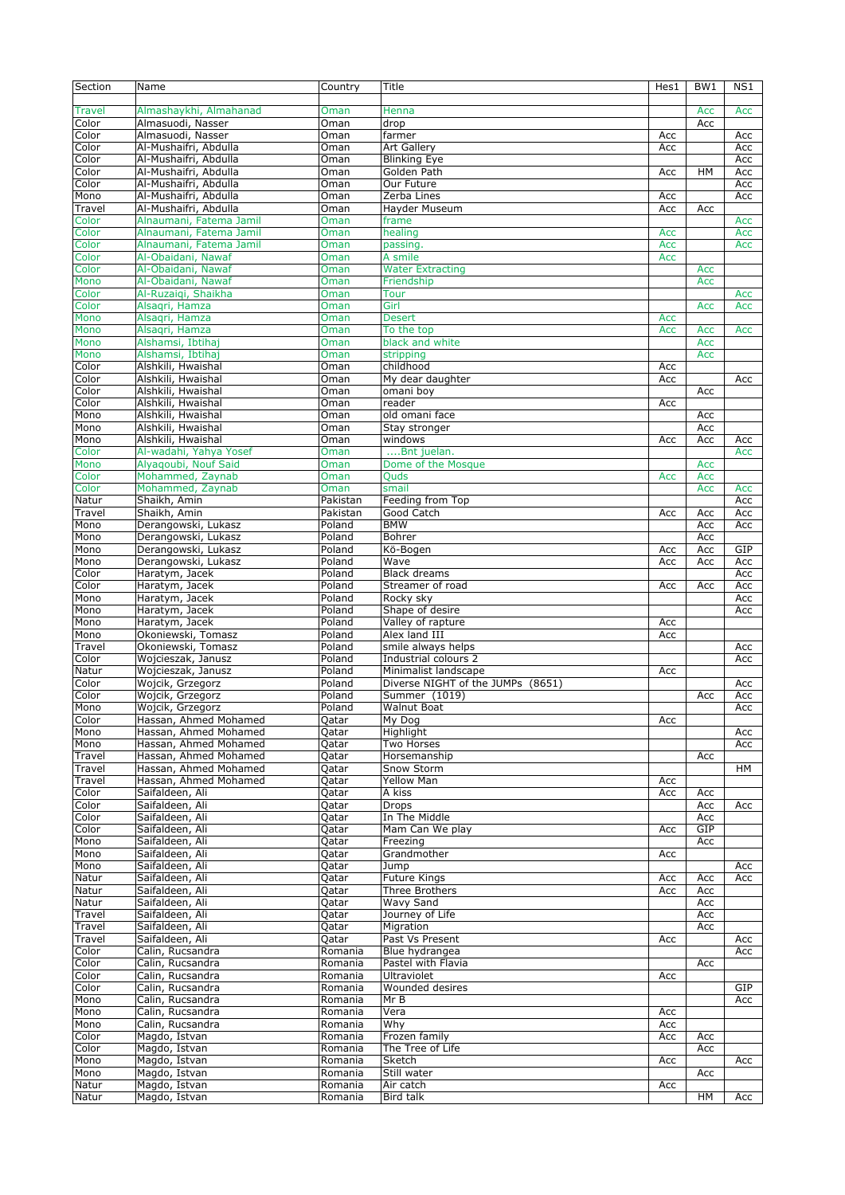| Section  | Name                    | Country  | Title                             | Hes1 | BW1 | NS1 |
|----------|-------------------------|----------|-----------------------------------|------|-----|-----|
|          |                         |          |                                   |      |     |     |
| Travel   | Almashaykhi, Almahanad  | Oman     | Henna                             |      | Acc | Acc |
| Color    | Almasuodi, Nasser       | Oman     | drop                              |      | Acc |     |
| Color    | Almasuodi, Nasser       | Oman     | farmer                            | Acc  |     |     |
|          | Al-Mushaifri, Abdulla   |          |                                   |      |     | Acc |
| Color    |                         | Oman     | <b>Art Gallery</b>                | Acc  |     | Acc |
| Color    | Al-Mushaifri, Abdulla   | Oman     | <b>Blinking Eye</b>               |      |     | Acc |
| Color    | Al-Mushaifri, Abdulla   | Oman     | Golden Path                       | Acc  | HM  | Acc |
| Color    | Al-Mushaifri, Abdulla   | Oman     | Our Future                        |      |     | Acc |
| Mono     | Al-Mushaifri, Abdulla   | Oman     | Zerba Lines                       | Acc  |     | Acc |
| Travel   | Al-Mushaifri, Abdulla   | Oman     | Hayder Museum                     | Acc  | Acc |     |
| Color    | Alnaumani, Fatema Jamil | Oman     | frame                             |      |     | Acc |
| Color    | Alnaumani, Fatema Jamil | Oman     | healing                           | Acc  |     | Acc |
| Color    | Alnaumani, Fatema Jamil | Oman     | passing.                          | Acc  |     | Acc |
| Color    | Al-Obaidani, Nawaf      | Oman     | A smile                           | Acc  |     |     |
| Color    | Al-Obaidani, Nawaf      | Oman     | <b>Water Extracting</b>           |      | Acc |     |
| Mono     | Al-Obaidani, Nawaf      | Oman     | Friendship                        |      | Acc |     |
|          | Al-Ruzaigi, Shaikha     |          | <b>Tour</b>                       |      |     |     |
| Color    |                         | Oman     |                                   |      |     | Acc |
| Color    | Alsaqri, Hamza          | Oman     | Girl                              |      | Acc | Acc |
| Mono     | Alsagri, Hamza          | Oman     | <b>Desert</b>                     | Acc  |     |     |
| Mono     | Alsagri, Hamza          | Oman     | To the top                        | Acc  | Acc | Acc |
| Mono     | Alshamsi, Ibtihaj       | Oman     | black and white                   |      | Acc |     |
| Mono     | Alshamsi, Ibtihaj       | Oman     | stripping                         |      | Acc |     |
| $C$ olor | Alshkili, Hwaishal      | Oman     | childhood                         | Acc  |     |     |
| Color    | Alshkili, Hwaishal      | Oman     | My dear daughter                  | Acc  |     | Acc |
| Color    | Alshkili, Hwaishal      | Oman     | omani boy                         |      | Acc |     |
| Color    | Alshkili, Hwaishal      | Oman     | reader                            | Acc  |     |     |
| Mono     | Alshkili, Hwaishal      | Oman     | old omani face                    |      | Acc |     |
| Mono     | Alshkili, Hwaishal      | Oman     | Stay stronger                     |      | Acc |     |
| Mono     | Alshkili, Hwaishal      | Oman     | windows                           | Acc  | Acc | Acc |
|          |                         |          |                                   |      |     |     |
| Color    | Al-wadahi, Yahya Yosef  | Oman     | Bnt juelan.                       |      |     | Acc |
| Mono     | Alyagoubi, Nouf Said    | Oman     | Dome of the Mosque                |      | Acc |     |
| Color    | Mohammed, Zaynab        | Oman     | <b>Quds</b>                       | Acc  | Acc |     |
| Color    | Mohammed, Zaynab        | Oman     | smail                             |      | Acc | Acc |
| Natur    | Shaikh, Amin            | Pakistan | Feeding from Top                  |      |     | Acc |
| Travel   | Shaikh, Amin            | Pakistan | Good Catch                        | Acc  | Acc | Acc |
| Mono     | Derangowski, Lukasz     | Poland   | <b>BMW</b>                        |      | Acc | Acc |
| Mono     | Derangowski, Lukasz     | Poland   | Bohrer                            |      | Acc |     |
| Mono     | Derangowski, Lukasz     | Poland   | Kö-Bogen                          | Acc  | Acc | GIP |
| Mono     | Derangowski, Lukasz     | Poland   | Wave                              | Acc  | Acc | Acc |
| Color    | Haratym, Jacek          | Poland   | <b>Black dreams</b>               |      |     | Acc |
| Color    | Haratym, Jacek          | Poland   | Streamer of road                  | Acc  | Acc | Acc |
|          | Haratym, Jacek          | Poland   | Rocky sky                         |      |     |     |
| Mono     |                         |          |                                   |      |     | Acc |
| Mono     | Haratym, Jacek          | Poland   | Shape of desire                   |      |     | Acc |
| Mono     | Haratym, Jacek          | Poland   | Valley of rapture                 | Acc  |     |     |
| Mono     | Okoniewski, Tomasz      | Poland   | Alex land III                     | Acc  |     |     |
| Travel   | Okoniewski, Tomasz      | Poland   | smile always helps                |      |     | Acc |
| Color    | Wojcieszak, Janusz      | Poland   | Industrial colours 2              |      |     | Acc |
| Natur    | Wojcieszak, Janusz      | Poland   | Minimalist landscape              | Acc  |     |     |
| Color    | Wojcik, Grzegorz        | Poland   | Diverse NIGHT of the JUMPs (8651) |      |     | Acc |
| Color    | Wojcik, Grzegorz        | Poland   | Summer (1019)                     |      | Acc | Acc |
| Mono     | Wojcik, Grzegorz        | Poland   | <b>Walnut Boat</b>                |      |     | Acc |
| Color    | Hassan, Ahmed Mohamed   | Qatar    | My Dog                            | Acc  |     |     |
| Mono     | Hassan, Ahmed Mohamed   | Qatar    | Highlight                         |      |     | Acc |
|          | Hassan, Ahmed Mohamed   |          | Two Horses                        |      |     |     |
| Mono     | Hassan, Ahmed Mohamed   | Qatar    |                                   |      |     | Acc |
| Travel   |                         | Qatar    | Horsemanship                      |      | Acc |     |
| Travel   | Hassan, Ahmed Mohamed   | Qatar    | Snow Storm                        |      |     | HМ  |
| Travel   | Hassan, Ahmed Mohamed   | Qatar    | Yellow Man                        | Acc  |     |     |
| Color    | Saifaldeen, Ali         | Qatar    | A kiss                            | Acc  | Acc |     |
| Color    | Saifaldeen, Ali         | Qatar    | <b>Drops</b>                      |      | Acc | Acc |
| Color    | Saifaldeen, Ali         | Qatar    | In The Middle                     |      | Acc |     |
| Color    | Saifaldeen, Ali         | Qatar    | Mam Can We play                   | Acc  | GIP |     |
| Mono     | Saifaldeen, Ali         | Qatar    | Freezing                          |      | Acc |     |
| Mono     | Saifaldeen, Ali         | Qatar    | Grandmother                       | Acc  |     |     |
| Mono     | Saifaldeen, Ali         | Qatar    | Jump                              |      |     | Acc |
| Natur    | Saifaldeen, Ali         | Qatar    | <b>Future Kings</b>               | Acc  | Acc | Acc |
| Natur    | Saifaldeen, Ali         | Qatar    | <b>Three Brothers</b>             | Acc  | Acc |     |
| Natur    | Saifaldeen, Ali         | Qatar    | Wavy Sand                         |      | Acc |     |
| Travel   | Saifaldeen, Ali         | Qatar    | Journey of Life                   |      | Acc |     |
|          | Saifaldeen, Ali         |          |                                   |      |     |     |
| Travel   |                         | Qatar    | Migration                         |      | Acc |     |
| Travel   | Saifaldeen, Ali         | Qatar    | Past Vs Present                   | Acc  |     | Acc |
| Color    | Calin, Rucsandra        | Romania  | Blue hydrangea                    |      |     | Acc |
| Color    | Calin, Rucsandra        | Romania  | Pastel with Flavia                |      | Acc |     |
| Color    | Calin, Rucsandra        | Romania  | <b>Ultraviolet</b>                | Acc  |     |     |
| Color    | Calin, Rucsandra        | Romania  | Wounded desires                   |      |     | GIP |
| Mono     | Calin, Rucsandra        | Romania  | Mr B                              |      |     | Acc |
| Mono     | Calin, Rucsandra        | Romania  | Vera                              | Acc  |     |     |
| Mono     | Calin, Rucsandra        | Romania  | Why                               | Acc  |     |     |
| Color    | Magdo, Istvan           | Romania  | Frozen family                     | Acc  | Acc |     |
| Color    | Magdo, Istvan           | Romania  | The Tree of Life                  |      | Acc |     |
| Mono     | Magdo, Istvan           | Romania  | Sketch                            | Acc  |     | Acc |
| Mono     | Magdo, Istvan           | Romania  | Still water                       |      | Acc |     |
| Natur    | Magdo, Istvan           | Romania  | Air catch                         |      |     |     |
|          |                         |          |                                   | Acc  |     |     |
| Natur    | Magdo, Istvan           | Romania  | Bird talk                         |      | HM  | Acc |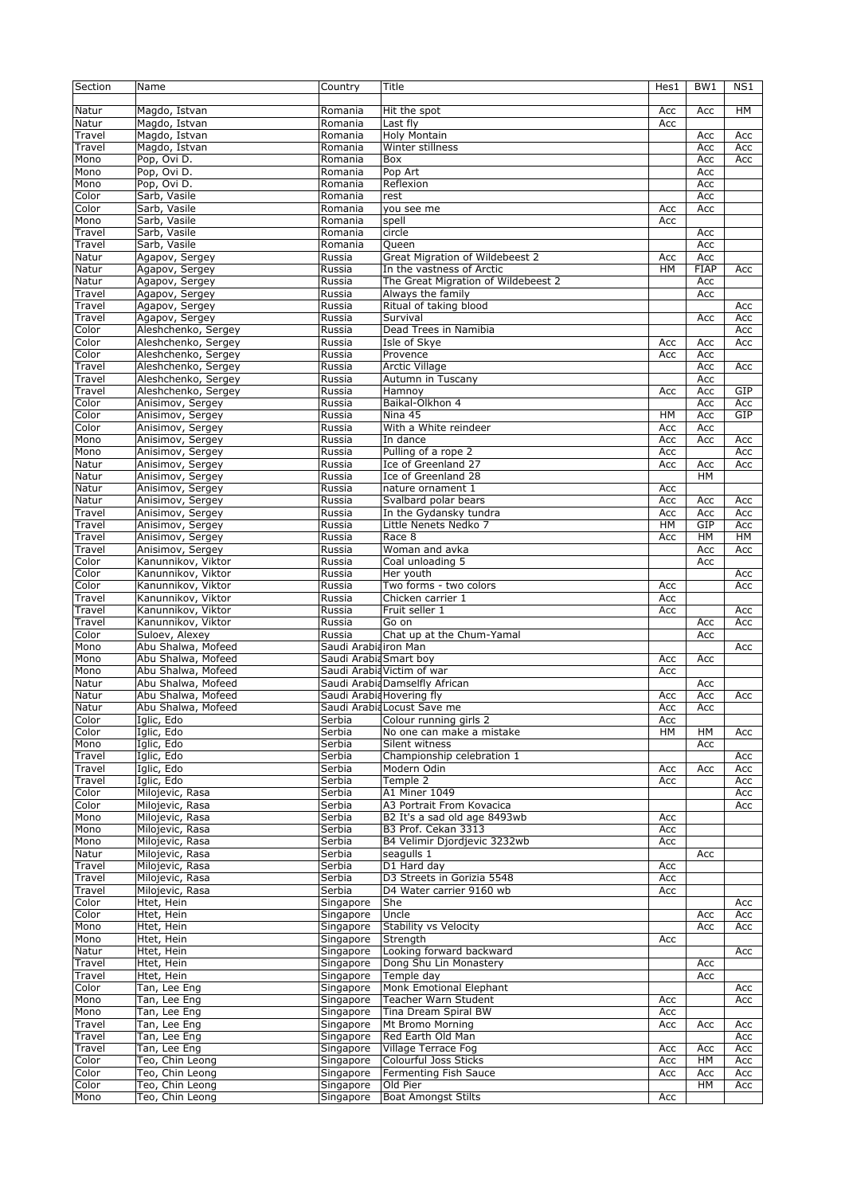| Section | Name                | Country                | Title                                  | Hes1 | BW1         | NS1 |
|---------|---------------------|------------------------|----------------------------------------|------|-------------|-----|
|         |                     |                        |                                        |      |             |     |
| Natur   | Magdo, Istvan       | Romania                | Hit the spot                           | Acc  | Acc         | HМ  |
| Natur   | Magdo, Istvan       | Romania                | Last fly                               | Acc  |             |     |
|         |                     |                        |                                        |      |             |     |
| Travel  | Magdo, Istvan       | Romania                | Holy Montain                           |      | Acc         | Acc |
| Travel  | Magdo, Istvan       | Romania                | Winter stillness                       |      | Acc         | Acc |
| Mono    | Pop, Ovi D.         | Romania                | Box                                    |      | Acc         | Acc |
| Mono    | Pop, Ovi D.         | Romania                | Pop Art                                |      | Acc         |     |
| Mono    | Pop, Ovi D.         | Romania                | Reflexion                              |      | Acc         |     |
| Color   | Sarb, Vasile        | Romania                | rest                                   |      | Acc         |     |
| Color   | Sarb, Vasile        | Romania                | you see me                             | Acc  | Acc         |     |
|         |                     |                        |                                        |      |             |     |
| Mono    | Sarb, Vasile        | Romania                | spell                                  | Acc  |             |     |
| Travel  | Sarb, Vasile        | Romania                | circle                                 |      | Acc         |     |
| Travel  | Sarb, Vasile        | Romania                | Queen                                  |      | Acc         |     |
| Natur   | Agapov, Sergey      | Russia                 | <b>Great Migration of Wildebeest 2</b> | Acc  | Acc         |     |
| Natur   | Agapov, Sergey      | Russia                 | In the vastness of Arctic              | HM   | <b>FIAP</b> | Acc |
| Natur   | Agapov, Sergey      | Russia                 | The Great Migration of Wildebeest 2    |      | Acc         |     |
|         |                     |                        |                                        |      |             |     |
| Travel  | Agapov, Sergey      | Russia                 | Always the family                      |      | Acc         |     |
| Travel  | Agapov, Sergey      | Russia                 | Ritual of taking blood                 |      |             | Acc |
| Travel  | Agapov, Sergey      | Russia                 | Survival                               |      | Acc         | Acc |
| Color   | Aleshchenko, Sergey | Russia                 | Dead Trees in Namibia                  |      |             | Acc |
| Color   | Aleshchenko, Sergey | Russia                 | Isle of Skye                           | Acc  | Acc         | Acc |
| Color   | Aleshchenko, Sergey | Russia                 | Provence                               | Acc  | Acc         |     |
|         |                     |                        |                                        |      |             |     |
| Travel  | Aleshchenko, Sergey | Russia                 | <b>Arctic Village</b>                  |      | Acc         | Acc |
| Travel  | Aleshchenko, Sergey | Russia                 | Autumn in Tuscany                      |      | Acc         |     |
| Travel  | Aleshchenko, Sergey | Russia                 | Hamnoy                                 | Acc  | Acc         | GIP |
| Color   | Anisimov, Sergey    | Russia                 | Baikal-Olkhon 4                        |      | Acc         | Acc |
| Color   | Anisimov, Sergey    | Russia                 | Nina 45                                | HM   | Acc         | GIP |
| Color   | Anisimov, Sergey    | Russia                 | With a White reindeer                  | Acc  | Acc         |     |
|         |                     | Russia                 |                                        |      |             |     |
| Mono    | Anisimov, Sergey    |                        | In dance                               | Acc  | Acc         | Acc |
| Mono    | Anisimov, Sergey    | Russia                 | Pulling of a rope 2                    | Acc  |             | Acc |
| Natur   | Anisimov, Sergey    | Russia                 | Ice of Greenland 27                    | Acc  | Acc         | Acc |
| Natur   | Anisimov, Sergey    | Russia                 | Ice of Greenland 28                    |      | <b>HM</b>   |     |
| Natur   | Anisimov, Sergey    | Russia                 | nature ornament 1                      | Acc  |             |     |
| Natur   | Anisimov, Sergey    | Russia                 | Svalbard polar bears                   | Acc  | Acc         | Acc |
|         |                     |                        |                                        |      |             |     |
| Travel  | Anisimov, Sergey    | Russia                 | In the Gydansky tundra                 | Acc  | Acc         | Acc |
| Travel  | Anisimov, Sergey    | Russia                 | Little Nenets Nedko 7                  | HM   | GIP         | Acc |
| Travel  | Anisimov, Sergey    | Russia                 | Race 8                                 | Acc  | HM          | HМ  |
| Travel  | Anisimov, Sergey    | Russia                 | Woman and avka                         |      | Acc         | Acc |
| Color   | Kanunnikov, Viktor  | Russia                 | Coal unloading 5                       |      | Acc         |     |
| Color   | Kanunnikov, Viktor  | Russia                 | Her youth                              |      |             | Acc |
|         |                     |                        |                                        |      |             |     |
| Color   | Kanunnikov, Viktor  | Russia                 | Two forms - two colors                 | Acc  |             | Acc |
| Travel  | Kanunnikov, Viktor  | Russia                 | Chicken carrier 1                      | Acc  |             |     |
| Travel  | Kanunnikov, Viktor  | Russia                 | Fruit seller 1                         | Acc  |             | Acc |
| Travel  | Kanunnikov, Viktor  | Russia                 | Go on                                  |      | Acc         | Acc |
| Color   | Suloev, Alexey      | Russia                 | Chat up at the Chum-Yamal              |      | Acc         |     |
| Mono    | Abu Shalwa, Mofeed  | Saudi Arabia iron Man  |                                        |      |             | Acc |
|         |                     |                        |                                        |      |             |     |
| Mono    | Abu Shalwa, Mofeed  | Saudi Arabia Smart boy |                                        | Acc  | Acc         |     |
| Mono    | Abu Shalwa, Mofeed  |                        | Saudi Arabia Victim of war             | Acc  |             |     |
| Natur   | Abu Shalwa, Mofeed  |                        | Saudi ArabiaDamselfly African          |      | Acc         |     |
| Natur   | Abu Shalwa, Mofeed  |                        | Saudi Arabia Hovering fly              | Acc  | Acc         | Acc |
| Natur   | Abu Shalwa, Mofeed  |                        | Saudi Arabia Locust Save me            | Acc  | Acc         |     |
| Color   | Iglic, Edo          | Serbia                 | Colour running girls 2                 | Acc  |             |     |
|         |                     |                        |                                        |      |             |     |
| Color   | Iglic, Edo          | Serbia                 | No one can make a mistake              | HМ   | HМ          | Acc |
| Mono    | Iglic, Edo          | Serbia                 | Silent witness                         |      | Acc         |     |
| Travel  | Iglic, Edo          | Serbia                 | Championship celebration 1             |      |             | Acc |
| Travel  | Iglic, Edo          | Serbia                 | Modern Odin                            | Acc  | Acc         | Acc |
| Travel  | Iglic, Edo          | Serbia                 | Temple 2                               | Acc  |             | Acc |
| Color   | Milojevic, Rasa     | Serbia                 | A1 Miner 1049                          |      |             | Acc |
| Color   | Milojevic, Rasa     | Serbia                 | A3 Portrait From Kovacica              |      |             | Acc |
|         |                     |                        |                                        |      |             |     |
| Mono    | Milojevic, Rasa     | Serbia                 | B2 It's a sad old age 8493wb           | Acc  |             |     |
| Mono    | Milojevic, Rasa     | Serbia                 | B3 Prof. Cekan 3313                    | Acc  |             |     |
| Mono    | Milojevic, Rasa     | Serbia                 | B4 Velimir Djordjevic 3232wb           | Acc  |             |     |
| Natur   | Milojevic, Rasa     | Serbia                 | seagulls 1                             |      | Acc         |     |
| Travel  | Milojevic, Rasa     | Serbia                 | D1 Hard day                            | Acc  |             |     |
| Travel  | Milojevic, Rasa     | Serbia                 | D3 Streets in Gorizia 5548             | Acc  |             |     |
| Travel  |                     |                        | D4 Water carrier 9160 wb               |      |             |     |
|         | Milojevic, Rasa     | Serbia                 |                                        | Acc  |             |     |
| Color   | Htet, Hein          | Singapore              | She                                    |      |             | Acc |
| Color   | Htet, Hein          | Singapore              | Uncle                                  |      | Acc         | Acc |
| Mono    | Htet, Hein          | Singapore              | Stability vs Velocity                  |      | Acc         | Acc |
| Mono    | Htet, Hein          | Singapore              | Strength                               | Acc  |             |     |
| Natur   | Htet, Hein          | Singapore              | Looking forward backward               |      |             | Acc |
| Travel  | Htet, Hein          | Singapore              | Dong Shu Lin Monastery                 |      |             |     |
|         |                     |                        |                                        |      | Acc         |     |
| Travel  | Htet, Hein          | Singapore              | Temple day                             |      | Acc         |     |
| Color   | Tan, Lee Eng        | Singapore              | Monk Emotional Elephant                |      |             | Acc |
| Mono    | Tan, Lee Eng        | Singapore              | Teacher Warn Student                   | Acc  |             | Acc |
| Mono    | Tan, Lee Eng        | Singapore              | Tina Dream Spiral BW                   | Acc  |             |     |
| Travel  | Tan, Lee Eng        | Singapore              | Mt Bromo Morning                       | Acc  | Acc         | Acc |
|         |                     |                        |                                        |      |             |     |
| Travel  | Tan, Lee Eng        | Singapore              | Red Earth Old Man                      |      |             | Acc |
| Travel  | Tan, Lee Eng        | Singapore              | Village Terrace Fog                    | Асс  | Acc         | Acc |
| Color   | Teo, Chin Leong     | Singapore              | Colourful Joss Sticks                  | Acc  | HM          | Acc |
| Color   | Teo, Chin Leong     | Singapore              | Fermenting Fish Sauce                  | Acc  | Acc         | Acc |
| Color   | Teo, Chin Leong     | Singapore              | Old Pier                               |      | HM          | Acc |
| Mono    | Teo, Chin Leong     | Singapore              | <b>Boat Amongst Stilts</b>             | Acc  |             |     |
|         |                     |                        |                                        |      |             |     |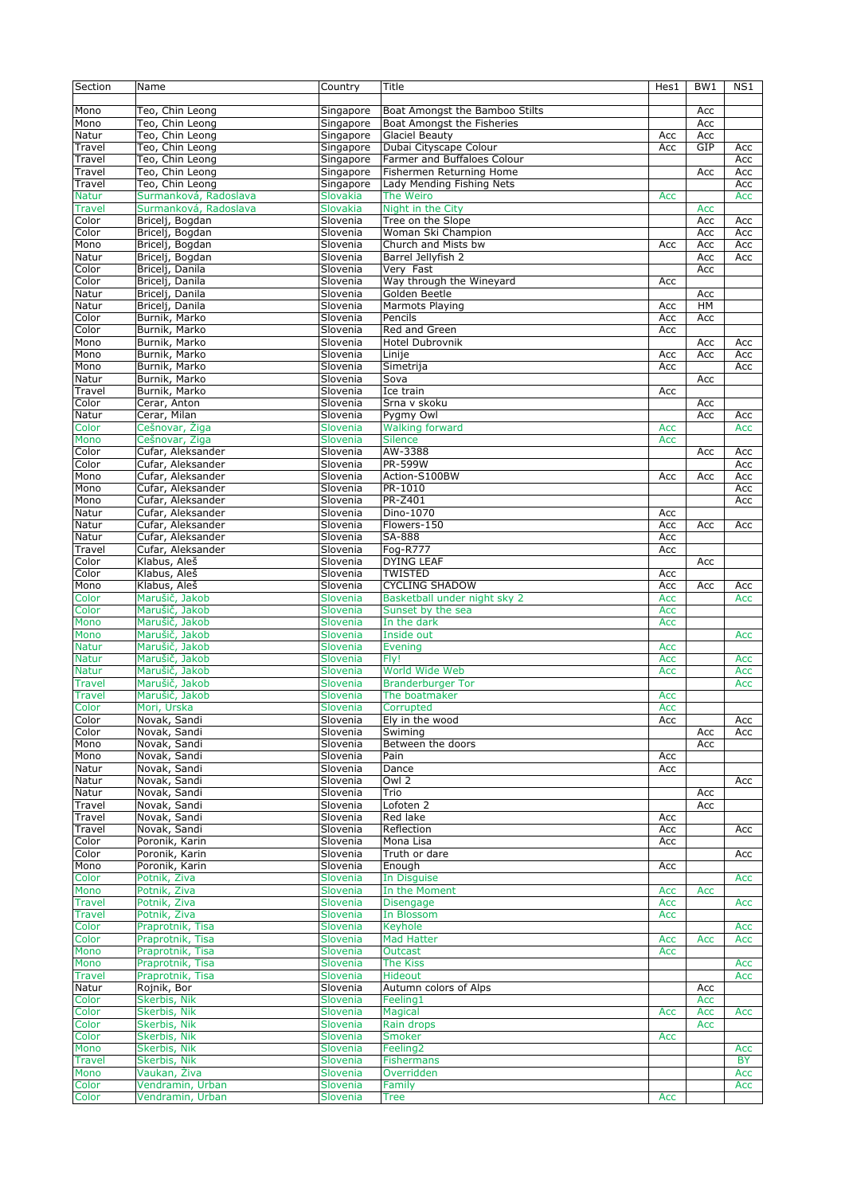| Section       | Name                           | Country         | Title                          | Hes1 | BW1 | NS1              |
|---------------|--------------------------------|-----------------|--------------------------------|------|-----|------------------|
|               |                                |                 |                                |      |     |                  |
| Mono          | Teo, Chin Leong                | Singapore       | Boat Amongst the Bamboo Stilts |      | Acc |                  |
| Mono          | Teo, Chin Leong                | Singapore       | Boat Amongst the Fisheries     |      | Acc |                  |
| Natur         | Teo, Chin Leong                | Singapore       | Glaciel Beauty                 | Acc  | Acc |                  |
| Travel        | Teo, Chin Leong                | Singapore       | Dubai Cityscape Colour         | Acc  | GIP | Acc              |
| Travel        | Teo, Chin Leong                | Singapore       | Farmer and Buffaloes Colour    |      |     | Acc              |
| Travel        | Teo, Chin Leong                | Singapore       | Fishermen Returning Home       |      | Acc | Acc              |
| Travel        | Teo, Chin Leong                | Singapore       | Lady Mending Fishing Nets      |      |     | Acc              |
| <b>Natur</b>  | Surmanková, Radoslava          | Slovakia        | The Weiro                      | Acc  |     | Acc              |
|               | Surmanková, Radoslava          |                 |                                |      |     |                  |
| <b>Travel</b> |                                | Slovakia        | Night in the City              |      | Acc |                  |
| Color         | Bricelj, Bogdan                | Slovenia        | Tree on the Slope              |      | Acc | Acc              |
| Color         | Briceli, Bogdan                | Slovenia        | Woman Ski Champion             |      | Acc | Acc              |
| Mono          | Bricelj, Bogdan                | Slovenia        | Church and Mists bw            | Acc  | Acc | Acc              |
| Natur         | Bricelj, Bogdan                | Slovenia        | Barrel Jellyfish 2             |      | Acc | Acc              |
| Color         | Bricelj, Danila                | Slovenia        | Very Fast                      |      | Acc |                  |
| Color         | Bricelj, Danila                | Slovenia        | Way through the Wineyard       | Acc  |     |                  |
| Natur         | Bricelj, Danila                | Slovenia        | Golden Beetle                  |      | Acc |                  |
| Natur         | Bricelj, Danila                | Slovenia        | Marmots Playing                | Acc  | HM  |                  |
| Color         | Burnik, Marko                  | Slovenia        | Pencils                        | Acc  | Acc |                  |
| Color         | Burnik, Marko                  | Slovenia        | Red and Green                  | Acc  |     |                  |
| Mono          | Burnik, Marko                  | Slovenia        | Hotel Dubrovnik                |      | Acc | Acc              |
| Mono          | Burnik, Marko                  | Slovenia        | Linije                         | Acc  | Acc | Acc              |
| Mono          | Burnik, Marko                  | Slovenia        | Simetrija                      | Acc  |     | Acc              |
| Natur         | Burnik, Marko                  | Slovenia        | Sova                           |      | Acc |                  |
| Travel        | Burnik, Marko                  | Slovenia        | Ice train                      |      |     |                  |
| Color         | Cerar, Anton                   |                 |                                | Acc  |     |                  |
|               |                                | Slovenia        | Srna v skoku                   |      | Acc |                  |
| Natur         | Cerar, Milan                   | Slovenia        | Pygmy Owl                      |      | Acc | Acc              |
| Color         | Cešnovar, Žiga                 | Slovenia        | <b>Walking forward</b>         | Acc  |     | Acc              |
| Mono          | Cešnovar, Žiga                 | Slovenia        | <b>Silence</b>                 | Acc  |     |                  |
| Color         | Cufar, Aleksander              | Slovenia        | AW-3388                        |      | Acc | Acc              |
| Color         | Cufar, Aleksander              | Slovenia        | PR-599W                        |      |     | Acc              |
| Mono          | Cufar, Aleksander              | Slovenia        | Action-S100BW                  | Acc  | Acc | Acc              |
| Mono          | Cufar, Aleksander              | Slovenia        | PR-1010                        |      |     | Acc              |
| Mono          | Cufar, Aleksander              | Slovenia        | <b>PR-Z401</b>                 |      |     | Acc              |
| Natur         | Cufar, Aleksander              | Slovenia        | Dino-1070                      | Acc  |     |                  |
| Natur         | Cufar, Aleksander              | Slovenia        | Flowers-150                    | Acc  | Acc | Acc              |
| Natur         | Cufar, Aleksander              | Slovenia        | SA-888                         | Acc  |     |                  |
| Travel        | Cufar, Aleksander              | Slovenia        | Fog-R777                       | Acc  |     |                  |
| Color         | Klabus, Aleš                   | Slovenia        | <b>DYING LEAF</b>              |      | Acc |                  |
| Color         | Klabus, Aleš                   | Slovenia        | <b>TWISTED</b>                 | Acc  |     |                  |
| Mono          | Klabus, Aleš                   | Slovenia        | <b>CYCLING SHADOW</b>          | Acc  | Acc | Acc              |
| Color         | Marušič, Jakob                 | Slovenia        | Basketball under night sky 2   | Acc  |     | Acc              |
| Color         | Marušič, Jakob                 | Slovenia        |                                | Acc  |     |                  |
|               |                                |                 | Sunset by the sea              |      |     |                  |
| Mono          | Marušič, Jakob                 | Slovenia        | In the dark                    | Acc  |     |                  |
| Mono          | Marušič, Jakob                 | Slovenia        | Inside out                     |      |     | Acc              |
| <b>Natur</b>  | Marušič, Jakob                 | Slovenia        | Evening                        | Acc  |     |                  |
| <b>Natur</b>  | Marušič, Jakob                 | <b>Slovenia</b> | Fly!                           | Acc  |     | Acc              |
| <b>Natur</b>  | Marušič, Jakob                 | Slovenia        | World Wide Web                 | Acc  |     | Acc              |
| <b>Travel</b> | Marušič, Jakob                 | Slovenia        | <b>Branderburger Tor</b>       |      |     | Acc              |
| <b>Travel</b> | Marušič, Jakob                 | Slovenia        | The boatmaker                  | Acc  |     |                  |
| Color         | Mori, Urska                    | Slovenia        | Corrupted                      | Acc  |     |                  |
| Color         | Novak, Sandi                   | Slovenia        | Ely in the wood                | Acc  |     | Acc              |
| Color         | Novak, Sandi                   | Slovenia        | Swiming                        |      | Acc | Acc              |
| Mono          | Novak, Sandi                   | Slovenia        | Between the doors              |      | Acc |                  |
| Mono          | Novak, Sandi                   | Slovenia        | Pain                           | Acc  |     |                  |
| Natur         | Novak, Sandi                   | Slovenia        | Dance                          | Acc  |     |                  |
| Natur         | Novak, Sandi                   | Slovenia        | Owl 2                          |      |     | Acc              |
| Natur         | Novak, Sandi                   | Slovenia        | Trio                           |      | Acc |                  |
| Travel        | Novak, Sandi                   | Slovenia        | Lofoten 2                      |      | Acc |                  |
| Travel        | Novak, Sandi                   | Slovenia        | Red lake                       | Acc  |     |                  |
| Travel        |                                |                 | Reflection                     |      |     |                  |
|               | Novak, Sandi<br>Poronik, Karin | Slovenia        | Mona Lisa                      | Acc  |     | Acc              |
| Color         |                                | Slovenia        |                                | Acc  |     |                  |
| Color         | Poronik, Karin                 | Slovenia        | Truth or dare                  |      |     | Acc              |
| Mono          | Poronik, Karin                 | Slovenia        | Enough                         | Acc  |     |                  |
| Color         | Potnik, Ziva                   | Slovenia        | In Disguise                    |      |     | Acc              |
| Mono          | Potnik, Ziva                   | Slovenia        | In the Moment                  | Acc  | Acc |                  |
| <b>Travel</b> | Potnik, Ziva                   | Slovenia        | <b>Disengage</b>               | Acc  |     | Acc              |
| <b>Travel</b> | Potnik, Ziva                   | Slovenia        | In Blossom                     | Acc  |     |                  |
| Color         | Praprotnik, Tisa               | Slovenia        | Keyhole                        |      |     | Acc              |
| Color         | Praprotnik, Tisa               | Slovenia        | <b>Mad Hatter</b>              | Acc  | Acc | Acc              |
| Mono          | Praprotnik, Tisa               | Slovenia        | Outcast                        | Acc  |     |                  |
| Mono          | Praprotnik, Tisa               | Slovenia        | <b>The Kiss</b>                |      |     | Acc              |
| <b>Travel</b> | Praprotnik, Tisa               | Slovenia        | Hideout                        |      |     | Acc              |
| Natur         | Rojnik, Bor                    | Slovenia        | Autumn colors of Alps          |      | Acc |                  |
| Color         | Skerbis, Nik                   | Slovenia        | Feeling1                       |      | Acc |                  |
| Color         | Skerbis, Nik                   | Slovenia        | Magical                        | Acc  | Acc | Acc              |
| Color         | Skerbis, Nik                   | Slovenia        | Rain drops                     |      | Acc |                  |
| Color         | Skerbis, Nik                   | Slovenia        | Smoker                         | Acc  |     |                  |
| Mono          | Skerbis, Nik                   | Slovenia        | Feeling <sub>2</sub>           |      |     |                  |
| <b>Travel</b> | Skerbis, Nik                   | Slovenia        | <b>Fishermans</b>              |      |     | Acc<br><b>BY</b> |
|               |                                |                 |                                |      |     |                  |
| Mono          | Vaukan, Živa                   | Slovenia        | Overridden                     |      |     | Acc              |
| Color         | Vendramin, Urban               | <b>Slovenia</b> | Family                         |      |     | Acc              |
| Color         | Vendramin, Urban               | Slovenia        | Tree                           | Acc  |     |                  |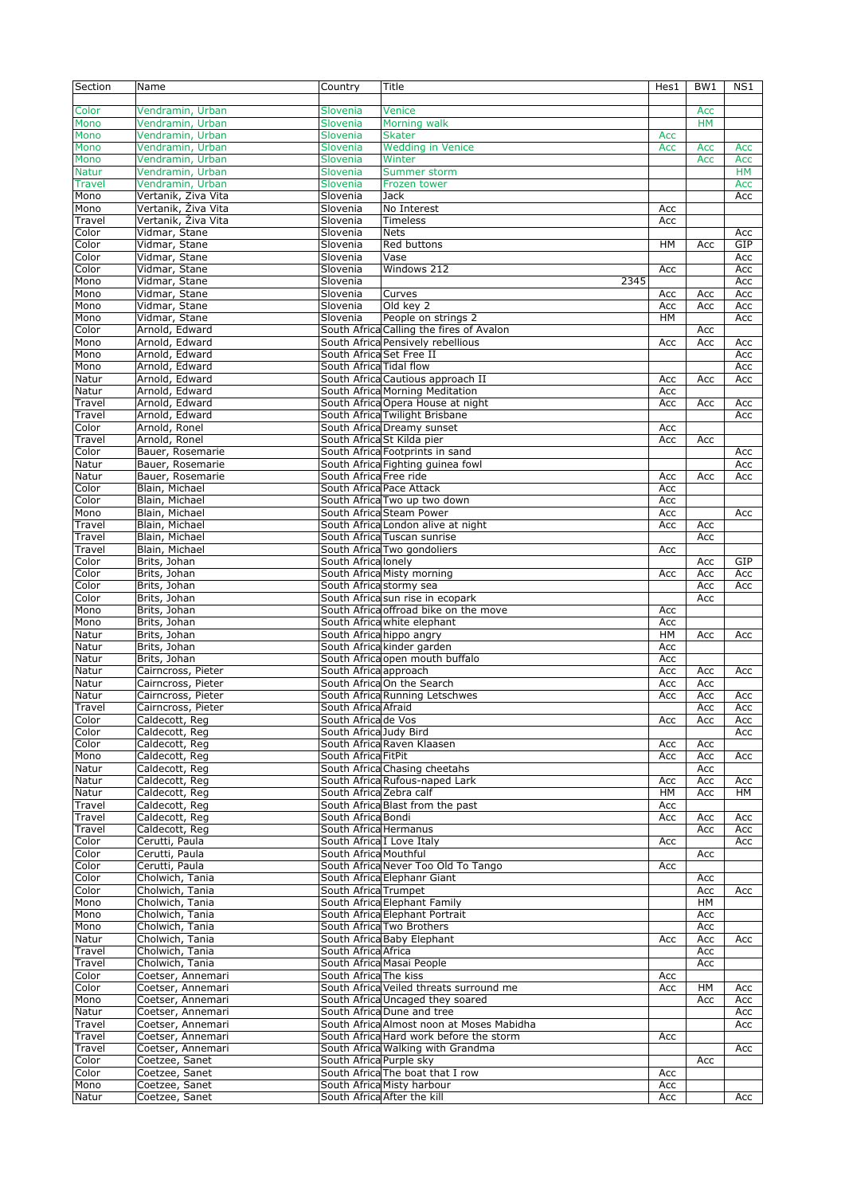| Section                       | Name                                     | Country                   | Title                                                                     | Hes1       | BW1        | NS1              |
|-------------------------------|------------------------------------------|---------------------------|---------------------------------------------------------------------------|------------|------------|------------------|
| Color                         | Vendramin, Urban                         | Slovenia                  | Venice                                                                    |            | Acc        |                  |
| Mono                          | Vendramin, Urban                         | Slovenia                  | Morning walk                                                              |            | <b>HM</b>  |                  |
| Mono                          | Vendramin, Urban                         | Slovenia                  | <b>Skater</b>                                                             | Acc        |            |                  |
| Mono                          | Vendramin, Urban                         | Slovenia                  | <b>Wedding in Venice</b>                                                  | Acc        | Acc        | Acc              |
| Mono                          | Vendramin, Urban                         | Slovenia                  | Winter                                                                    |            | Acc        | Acc              |
| <b>Natur</b><br><b>Travel</b> | Vendramin, Urban<br>Vendramin, Urban     | Slovenia<br>Slovenia      | Summer storm<br>Frozen tower                                              |            |            | <b>HM</b><br>Acc |
| Mono                          | Vertanik, Živa Vita                      | Slovenia                  | <b>Jack</b>                                                               |            |            | Acc              |
| Mono                          | Vertanik, Živa Vita                      | Slovenia                  | No Interest                                                               | Acc        |            |                  |
| Travel                        | Vertanik, Živa Vita                      | Slovenia                  | <b>Timeless</b>                                                           | Acc        |            |                  |
| Color                         | Vidmar, Stane                            | Slovenia                  | <b>Nets</b>                                                               |            |            | Acc              |
| Color                         | Vidmar, Stane                            | Slovenia                  | Red buttons                                                               | HM         | Acc        | GIP              |
| Color                         | Vidmar, Stane                            | Slovenia                  | Vase                                                                      |            |            | Acc              |
| Color                         | Vidmar, Stane                            | Slovenia                  | Windows 212                                                               | Acc        |            | Acc              |
| Mono<br>Mono                  | Vidmar, Stane<br>Vidmar, Stane           | Slovenia<br>Slovenia      | 2345<br>Curves                                                            | Acc        |            | Acc<br>Acc       |
| Mono                          | Vidmar, Stane                            | Slovenia                  | Old key 2                                                                 | Acc        | Acc<br>Acc | Acc              |
| Mono                          | Vidmar, Stane                            | Slovenia                  | People on strings 2                                                       | HМ         |            | Acc              |
| Color                         | Arnold, Edward                           |                           | South Africa Calling the fires of Avalon                                  |            | Acc        |                  |
| Mono                          | Arnold, Edward                           |                           | South Africa Pensively rebellious                                         | Acc        | Acc        | Acc              |
| Mono                          | Arnold, Edward                           | South Africa Set Free II  |                                                                           |            |            | Acc              |
| Mono                          | Arnold, Edward                           | South Africa Tidal flow   |                                                                           |            |            | Acc              |
| Natur                         | Arnold, Edward                           |                           | South Africa Cautious approach II                                         | Acc        | Acc        | Acc              |
| Natur<br>Travel               | Arnold, Edward<br>Arnold, Edward         |                           | South Africa Morning Meditation<br>South Africa Opera House at night      | Acc<br>Acc | Acc        | Acc              |
| Travel                        | Arnold, Edward                           |                           | South Africa Twilight Brisbane                                            |            |            | Acc              |
| Color                         | Arnold, Ronel                            |                           | South Africa Dreamy sunset                                                | Acc        |            |                  |
| Travel                        | Arnold, Ronel                            |                           | South Africa St Kilda pier                                                | Acc        | Acc        |                  |
| Color                         | Bauer, Rosemarie                         |                           | South Africa Footprints in sand                                           |            |            | Acc              |
| Natur                         | Bauer, Rosemarie                         |                           | South Africa Fighting guinea fowl                                         |            |            | Acc              |
| Natur                         | Bauer, Rosemarie                         | South Africa Free ride    |                                                                           | Acc        | Acc        | Acc              |
| Color                         | Blain, Michael<br>Blain, Michael         | South Africa Pace Attack  | South Africa Two up two down                                              | Acc<br>Acc |            |                  |
| Color<br>Mono                 | Blain, Michael                           |                           | South Africa Steam Power                                                  | Acc        |            | Acc              |
| Travel                        | Blain, Michael                           |                           | South Africa London alive at night                                        | Acc        | Acc        |                  |
| Travel                        | Blain, Michael                           |                           | South Africa Tuscan sunrise                                               |            | Acc        |                  |
| Travel                        | Blain, Michael                           |                           | South Africa Two gondoliers                                               | Acc        |            |                  |
| Color                         | Brits, Johan                             | South Africa lonely       |                                                                           |            | Acc        | GIP              |
| Color                         | Brits, Johan                             |                           | South Africa Misty morning                                                | Acc        | Acc        | Acc              |
| Color                         | Brits, Johan                             | South Africa stormy sea   |                                                                           |            | Acc        | Acc              |
| Color<br>Mono                 | Brits, Johan<br>Brits, Johan             |                           | South Africa sun rise in ecopark<br>South Africa offroad bike on the move | Acc        | Acc        |                  |
| Mono                          | Brits, Johan                             |                           | South Africa white elephant                                               | Acc        |            |                  |
| Natur                         | Brits, Johan                             |                           | South Africa hippo angry                                                  | HM         | Acc        | Acc              |
| Natur                         | Brits, Johan                             |                           | South Africa kinder garden                                                | Acc        |            |                  |
| Natur                         | Brits, Johan                             |                           | South Africa open mouth buffalo                                           | Acc        |            |                  |
| Natur                         | Cairncross, Pieter                       | South Africa approach     |                                                                           | Acc        | Acc        | Acc              |
| Natur                         | Cairncross, Pieter                       |                           | South Africa On the Search                                                | Acc        | Acc        |                  |
| Natur<br>Travel               | Cairncross, Pieter<br>Cairncross, Pieter | South Africa Afraid       | South Africa Running Letschwes                                            | Acc        | Acc<br>Acc | Acc<br>Acc       |
| Color                         | Caldecott, Reg                           | South Africa de Vos       |                                                                           | Acc        | Acc        | Acc              |
| Color                         | Caldecott, Reg                           | South Africa Judy Bird    |                                                                           |            |            | Acc              |
| Color                         | Caldecott, Req                           |                           | South Africa Raven Klaasen                                                | Acc        | Acc        |                  |
| Mono                          | Caldecott, Reg                           | South Africa FitPit       |                                                                           | Acc        | Acc        | Acc              |
| Natur                         | Caldecott, Reg                           |                           | South Africa Chasing cheetahs                                             |            | Acc        |                  |
| Natur<br>Natur                | Caldecott, Reg<br>Caldecott, Reg         | South Africa Zebra calf   | South Africa Rufous-naped Lark                                            | Acc<br>HM  | Acc<br>Acc | Acc<br>HМ        |
| Travel                        | Caldecott, Reg.                          |                           | South Africa Blast from the past                                          | Acc        |            |                  |
| Travel                        | Caldecott, Reg.                          | South Africa Bondi        |                                                                           | Acc        | Acc        | Acc              |
| Travel                        | Caldecott, Reg                           | South Africa Hermanus     |                                                                           |            | Acc        | Acc              |
| Color                         | Cerutti, Paula                           | South Africa I Love Italy |                                                                           | Acc        |            | Acc              |
| Color                         | Cerutti, Paula                           | South Africa Mouthful     |                                                                           |            | Acc        |                  |
| Color                         | Cerutti, Paula                           |                           | South Africa Never Too Old To Tango                                       | Acc        |            |                  |
| Color<br>Color                | Cholwich, Tania<br>Cholwich, Tania       | South Africa Trumpet      | South Africa Elephanr Giant                                               |            | Acc<br>Acc | Acc              |
| Mono                          | Cholwich, Tania                          |                           | South Africa Elephant Family                                              |            | HM         |                  |
| Mono                          | Cholwich, Tania                          |                           | South Africa Elephant Portrait                                            |            | Acc        |                  |
| Mono                          | Cholwich, Tania                          |                           | South Africa Two Brothers                                                 |            | Acc        |                  |
| Natur                         | Cholwich, Tania                          |                           | South Africa Baby Elephant                                                | Acc        | Acc        | Acc              |
| Travel                        | Cholwich, Tania                          | South Africa Africa       |                                                                           |            | Acc        |                  |
| Travel                        | Cholwich, Tania                          |                           | South Africa Masai People                                                 |            | Acc        |                  |
| Color<br>Color                | Coetser, Annemari<br>Coetser, Annemari   | South Africa The kiss     | South Africa Veiled threats surround me                                   | Acc<br>Acc | HM         | Acc              |
| Mono                          | Coetser, Annemari                        |                           | South Africa Uncaged they soared                                          |            | Acc        | Acc              |
| Natur                         | Coetser, Annemari                        |                           | South Africa Dune and tree                                                |            |            | Acc              |
| Travel                        | Coetser, Annemari                        |                           | South Africa Almost noon at Moses Mabidha                                 |            |            | Acc              |
| Travel                        | Coetser, Annemari                        |                           | South Africa Hard work before the storm                                   | Acc        |            |                  |
| Travel                        | Coetser, Annemari                        |                           | South Africa Walking with Grandma                                         |            |            | Acc              |
| Color                         | Coetzee, Sanet                           | South Africa Purple sky   |                                                                           |            | Acc        |                  |
| Color<br>Mono                 | Coetzee, Sanet<br>Coetzee, Sanet         |                           | South Africa The boat that I row<br>South Africa Misty harbour            | Acc<br>Acc |            |                  |
| Natur                         | Coetzee, Sanet                           |                           | South Africa After the kill                                               | Acc        |            | Acc              |
|                               |                                          |                           |                                                                           |            |            |                  |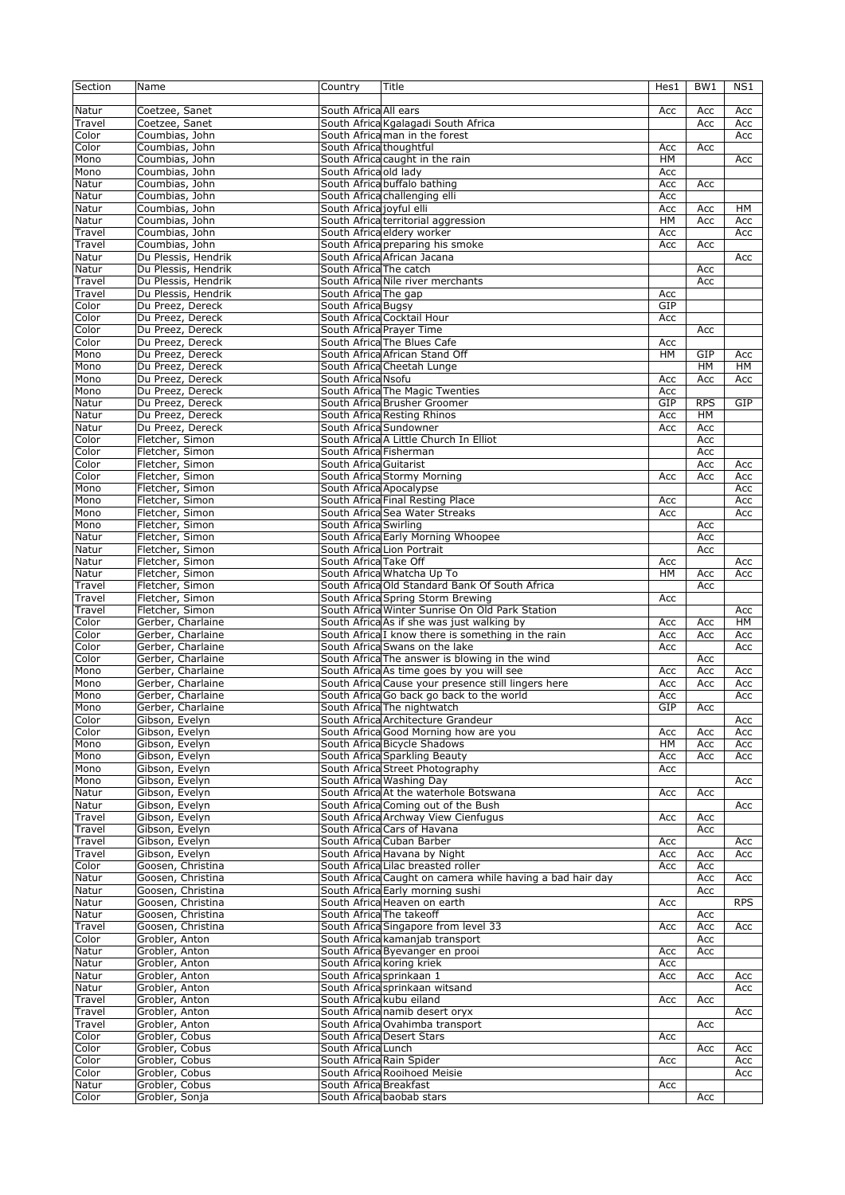| Section         | Name                                   | Country                  | Title                                                     | Hes1      | BW1        | NS1        |
|-----------------|----------------------------------------|--------------------------|-----------------------------------------------------------|-----------|------------|------------|
|                 |                                        |                          |                                                           |           |            |            |
| Natur           | Coetzee, Sanet                         | South Africa All ears    |                                                           | Acc       | Acc        | Acc        |
| Travel          | Coetzee, Sanet                         |                          | South Africa Kgalagadi South Africa                       |           | Acc        | Acc        |
| Color           | Coumbias, John                         |                          | South Africa man in the forest                            |           |            | Acc        |
| Color           | Coumbias, John                         | South Africa thoughtful  |                                                           | Acc       | Acc        |            |
| Mono            | Coumbias, John                         |                          | South Africa caught in the rain                           | <b>HM</b> |            | Acc        |
| Mono            | Coumbias, John                         | South Africa old lady    |                                                           | Acc       |            |            |
| Natur           | Coumbias, John                         |                          | South Africa buffalo bathing                              | Acc       | Acc        |            |
| Natur           | Coumbias, John                         |                          | South Africa challenging elli                             | Acc       |            |            |
| Natur           | Coumbias, John                         | South Africa joyful elli |                                                           | Acc       | Acc        | HМ         |
| Natur           | Coumbias, John                         |                          | South Africa territorial aggression                       | HM        | Acc        | Acc        |
| Travel          | Coumbias, John                         |                          | South Africa eldery worker                                | Acc       |            | Acc        |
| Travel          | Coumbias, John                         |                          | South Africa preparing his smoke                          | Acc       | Acc        |            |
| Natur           | Du Plessis, Hendrik                    |                          | South Africa African Jacana                               |           |            | Acc        |
| Natur           | Du Plessis, Hendrik                    | South Africa The catch   |                                                           |           | Acc        |            |
| Travel          | Du Plessis, Hendrik                    |                          | South Africa Nile river merchants                         |           | Acc        |            |
| Travel          | Du Plessis, Hendrik                    | South Africa The gap     |                                                           | Acc       |            |            |
| Color           | Du Preez, Dereck                       | South Africa Bugsy       |                                                           | GIP       |            |            |
| Color           | Du Preez, Dereck                       |                          | South Africa Cocktail Hour                                | Acc       |            |            |
| Color           | Du Preez, Dereck                       |                          | South Africa Prayer Time                                  |           | Acc        |            |
| Color           | Du Preez, Dereck                       |                          | South Africa The Blues Cafe                               | Acc       |            |            |
| Mono            | Du Preez, Dereck                       |                          | South Africa African Stand Off                            | HM        | GIP        | Acc        |
| Mono            | Du Preez, Dereck                       |                          | South Africa Cheetah Lunge                                |           | <b>HM</b>  | HM         |
| Mono            | Du Preez, Dereck                       | South Africa Nsofu       |                                                           | Acc       | Acc        | Acc        |
| Mono            | Du Preez, Dereck                       |                          | South Africa The Magic Twenties                           | Acc       |            |            |
| Natur           | Du Preez, Dereck                       |                          | South Africa Brusher Groomer                              | GIP       | <b>RPS</b> | GIP        |
| Natur           | Du Preez, Dereck                       |                          | South Africa Resting Rhinos                               | Acc       | HM         |            |
| Natur           | Du Preez, Dereck                       | South Africa Sundowner   | South Africa A Little Church In Elliot                    | Acc       | Acc        |            |
| Color<br>Color  | Fletcher, Simon<br>Fletcher, Simon     | South Africa Fisherman   |                                                           |           | Acc<br>Acc |            |
| Color           | Fletcher, Simon                        | South Africa Guitarist   |                                                           |           | Acc        |            |
| Color           | Fletcher, Simon                        |                          | South Africa Stormy Morning                               | Acc       | Acc        | Acc<br>Acc |
| Mono            | Fletcher, Simon                        | South Africa Apocalypse  |                                                           |           |            | Acc        |
| Mono            | Fletcher, Simon                        |                          | South Africa Final Resting Place                          | Acc       |            | Acc        |
| Mono            | Fletcher, Simon                        |                          | South Africa Sea Water Streaks                            | Acc       |            | Acc        |
| Mono            | Fletcher, Simon                        | South Africa Swirling    |                                                           |           | Acc        |            |
| Natur           | Fletcher, Simon                        |                          | South Africa Early Morning Whoopee                        |           | Acc        |            |
| Natur           | Fletcher, Simon                        |                          | South Africa Lion Portrait                                |           | Acc        |            |
| Natur           | Fletcher, Simon                        | South Africa Take Off    |                                                           | Acc       |            | Acc        |
| Natur           | Fletcher, Simon                        |                          | South Africa Whatcha Up To                                | <b>HM</b> | Acc        | Acc        |
| Travel          | Fletcher, Simon                        |                          | South Africa Old Standard Bank Of South Africa            |           | Acc        |            |
| Travel          | Fletcher, Simon                        |                          | South Africa Spring Storm Brewing                         | Acc       |            |            |
| Travel          | Fletcher, Simon                        |                          | South Africa Winter Sunrise On Old Park Station           |           |            | Acc        |
| Color           | Gerber, Charlaine                      |                          | South Africa As if she was just walking by                | Acc       | Acc        | HM         |
| Color           | Gerber, Charlaine                      |                          | South Africal I know there is something in the rain       | Acc       | Acc        | Acc        |
| Color           | Gerber, Charlaine                      |                          | South Africa Swans on the lake                            | Acc       |            | Acc        |
| Color           | Gerber, Charlaine                      |                          | South Africa The answer is blowing in the wind            |           | Acc        |            |
| Mono            | Gerber, Charlaine                      |                          | South Africa As time goes by you will see                 | Acc       | Acc        | Acc        |
| Mono            | Gerber, Charlaine                      |                          | South Africa Cause your presence still lingers here       | Acc       | Acc        | Acc        |
| Mono            | Gerber, Charlaine                      |                          | South Africa Go back go back to the world                 | Acc       |            | Acc        |
| Mono            | Gerber, Charlaine                      |                          | South Africa The nightwatch                               | GIP       | Acc        |            |
| Color           | Gibson, Evelyn                         |                          | South Africa Architecture Grandeur                        |           |            | Acc        |
| Color           | Gibson, Evelyn                         |                          | South Africa Good Morning how are you                     | Acc       | Acc        | Acc        |
| Mono            | Gibson, Evelyn                         |                          | South Africa Bicycle Shadows                              | HM        | Acc        | Acc        |
| Mono            | Gibson, Evelyn                         |                          | South Africa Sparkling Beauty                             | Acc       | Acc        | Acc        |
| Mono            | Gibson, Evelyn                         |                          | South Africa Street Photography                           | Acc       |            |            |
| Mono            | Gibson, Evelyn                         |                          | South Africa Washing Day                                  |           |            | Acc        |
| Natur           | Gibson, Evelyn                         |                          | South Africa At the waterhole Botswana                    | Acc       | Acc        |            |
| Natur           | Gibson, Evelyn                         |                          | South Africa Coming out of the Bush                       |           |            | Acc        |
| Travel          | Gibson, Evelyn                         |                          | South Africa Archway View Cienfugus                       | Acc       | Acc        |            |
| Travel          | Gibson, Evelyn                         |                          | South Africa Cars of Havana                               |           | Acc        |            |
| Travel          | Gibson, Evelyn                         |                          | South Africa Cuban Barber                                 | Acc       |            | Acc        |
| Travel          | Gibson, Evelyn                         |                          | South Africa Havana by Night                              | Acc       | Acc        | Acc        |
| Color           | Goosen, Christina                      |                          | South Africa Lilac breasted roller                        | Acc       | Acc        |            |
| Natur           | Goosen, Christina                      |                          | South Africa Caught on camera while having a bad hair day |           | Acc        | Acc        |
| Natur           | Goosen, Christina                      |                          | South Africa Early morning sushi                          |           | Acc        |            |
| Natur<br>Natur  | Goosen, Christina<br>Goosen, Christina |                          | South Africa Heaven on earth<br>South Africa The takeoff  | Acc       | Acc        | <b>RPS</b> |
|                 |                                        |                          | South Africa Singapore from level 33                      |           |            |            |
| Travel<br>Color | Goosen, Christina<br>Grobler, Anton    |                          | South Africa kamanjab transport                           | Acc       | Acc<br>Acc | Acc        |
| Natur           | Grobler, Anton                         |                          | South Africa Byevanger en prooi                           | Acc       | Acc        |            |
| Natur           | Grobler, Anton                         |                          | South Africa koring kriek                                 | Acc       |            |            |
| Natur           | Grobler, Anton                         | South Africa sprinkaan 1 |                                                           | Acc       | Acc        | Acc        |
| Natur           | Grobler, Anton                         |                          | South Africa sprinkaan witsand                            |           |            | Acc        |
| Travel          | Grobler, Anton                         |                          | South Africa kubu eiland                                  | Acc       | Acc        |            |
| Travel          | Grobler, Anton                         |                          | South Africa namib desert oryx                            |           |            | Acc        |
| Travel          | Grobler, Anton                         |                          | South Africa Ovahimba transport                           |           | Acc        |            |
| Color           | Grobler, Cobus                         |                          | South Africa Desert Stars                                 | Acc       |            |            |
| Color           | Grobler, Cobus                         | South Africa Lunch       |                                                           |           | Acc        | Acc        |
| Color           | Grobler, Cobus                         | South Africa Rain Spider |                                                           | Acc       |            | Acc        |
| Color           | Grobler, Cobus                         |                          | South Africa Rooihoed Meisie                              |           |            | Acc        |
| Natur           | Grobler, Cobus                         | South Africa Breakfast   |                                                           | Acc       |            |            |
| Color           | Grobler, Sonja                         |                          | South Africa baobab stars                                 |           | Acc        |            |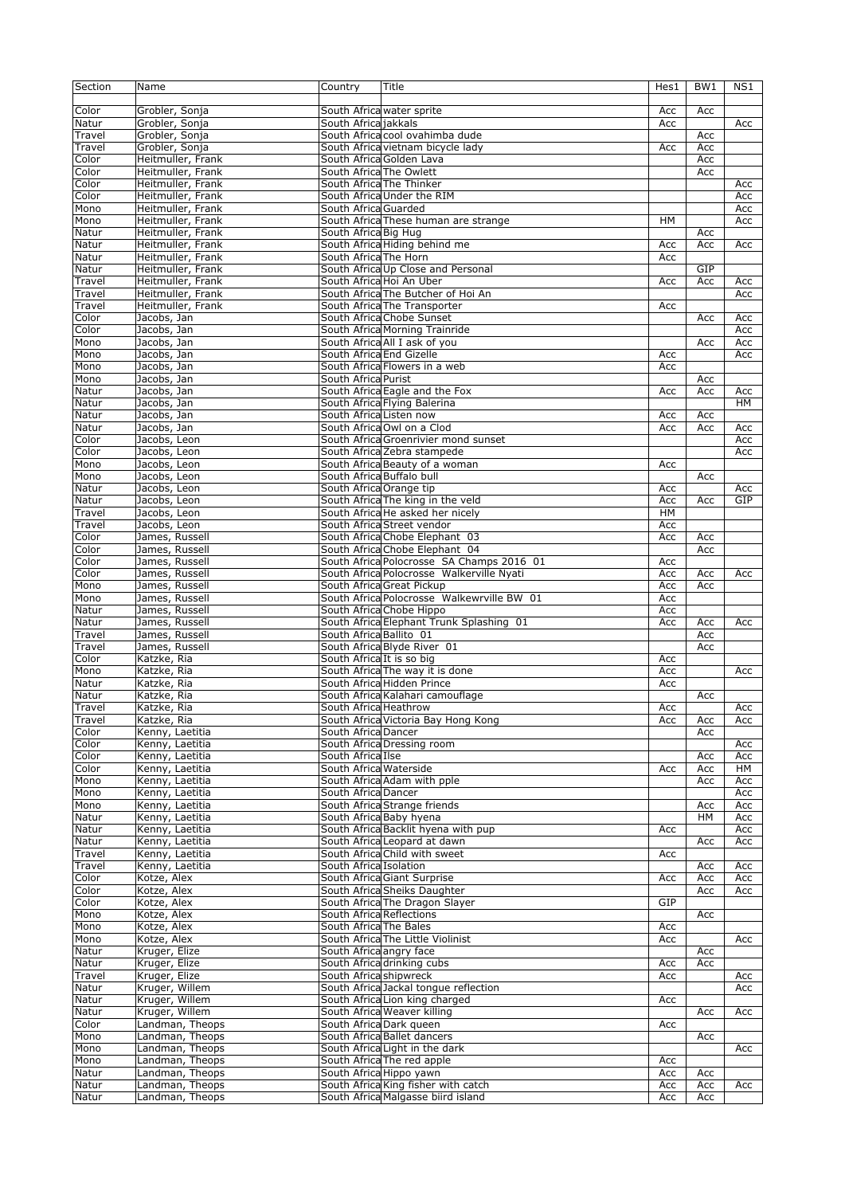| Section | Name              | Country                   | Title                                      | Hes1 | BW1 | NS1 |
|---------|-------------------|---------------------------|--------------------------------------------|------|-----|-----|
|         |                   |                           |                                            |      |     |     |
| Color   | Grobler, Sonja    |                           | South Africa water sprite                  | Acc  | Acc |     |
| Natur   | Grobler, Sonja    | South Africa jakkals      |                                            | Acc  |     | Acc |
| Travel  | Grobler, Sonja    |                           | South Africa cool ovahimba dude            |      | Acc |     |
| Travel  | Grobler, Sonja    |                           | South Africa vietnam bicycle lady          | Acc  | Acc |     |
| Color   | Heitmuller, Frank |                           | South Africa Golden Lava                   |      | Acc |     |
| Color   | Heitmuller, Frank | South Africa The Owlett   |                                            |      | Acc |     |
| Color   | Heitmuller, Frank |                           | South Africa The Thinker                   |      |     | Acc |
| Color   | Heitmuller, Frank |                           | South Africa Under the RIM                 |      |     | Acc |
| Mono    | Heitmuller, Frank | South Africa Guarded      |                                            |      |     | Acc |
| Mono    | Heitmuller, Frank |                           | South Africa These human are strange       | HМ   |     | Acc |
| Natur   | Heitmuller, Frank | South Africa Big Hug      |                                            |      | Acc |     |
|         | Heitmuller, Frank |                           | South Africa Hiding behind me              | Acc  |     | Acc |
| Natur   |                   |                           |                                            |      | Acc |     |
| Natur   | Heitmuller, Frank | South Africa The Horn     |                                            | Acc  |     |     |
| Natur   | Heitmuller, Frank |                           | South Africa Up Close and Personal         |      | GIP |     |
| Travel  | Heitmuller, Frank |                           | South Africa Hoi An Uber                   | Acc  | Acc | Acc |
| Travel  | Heitmuller, Frank |                           | South Africa The Butcher of Hoi An         |      |     | Acc |
| Travel  | Heitmuller, Frank |                           | South Africa The Transporter               | Acc  |     |     |
| Color   | Jacobs, Jan       |                           | South Africa Chobe Sunset                  |      | Acc | Acc |
| Color   | Jacobs, Jan       |                           | South Africa Morning Trainride             |      |     | Acc |
| Mono    | Jacobs, Jan       |                           | South Africa All I ask of you              |      | Acc | Acc |
| Mono    | Jacobs, Jan       | South Africa End Gizelle  |                                            | Acc  |     | Acc |
| Mono    | Jacobs, Jan       |                           | South Africa Flowers in a web              | Acc  |     |     |
| Mono    | Jacobs, Jan       | South Africa Purist       |                                            |      | Acc |     |
| Natur   | Jacobs, Jan       |                           | South Africa Eagle and the Fox             | Acc  | Acc | Acc |
| Natur   | Jacobs, Jan       |                           | South Africa Flying Balerina               |      |     | HM  |
| Natur   | Jacobs, Jan       | South Africa Listen now   |                                            | Acc  | Acc |     |
| Natur   | Jacobs, Jan       |                           | South Africa Owl on a Clod                 | Acc  | Acc | Acc |
| Color   | Jacobs, Leon      |                           | South Africa Groenrivier mond sunset       |      |     | Acc |
| Color   | Jacobs, Leon      |                           | South Africa Zebra stampede                |      |     | Acc |
| Mono    | Jacobs, Leon      |                           | South Africa Beauty of a woman             | Acc  |     |     |
| Mono    | Jacobs, Leon      | South Africa Buffalo bull |                                            |      | Acc |     |
| Natur   | Jacobs, Leon      | South Africa Orange tip   |                                            | Acc  |     | Acc |
| Natur   | Jacobs, Leon      |                           | South Africa The king in the veld          | Acc  | Acc | GIP |
| Travel  | Jacobs, Leon      |                           | South Africa He asked her nicely           | HM   |     |     |
| Travel  | Jacobs, Leon      |                           | South Africa Street vendor                 | Acc  |     |     |
| Color   | James, Russell    |                           | South Africa Chobe Elephant 03             | Acc  | Acc |     |
| Color   | James, Russell    |                           | South Africa Chobe Elephant 04             |      | Acc |     |
| Color   | James, Russell    |                           | South Africa Polocrosse SA Champs 2016 01  | Acc  |     |     |
| Color   | James, Russell    |                           | South Africa Polocrosse Walkerville Nyati  | Acc  | Acc | Acc |
| Mono    | James, Russell    |                           | South Africa Great Pickup                  | Acc  | Acc |     |
| Mono    | James, Russell    |                           | South Africa Polocrosse Walkewrville BW 01 | Acc  |     |     |
|         |                   |                           |                                            |      |     |     |
| Natur   | James, Russell    |                           | South Africa Chobe Hippo                   | Acc  |     |     |
| Natur   | James, Russell    |                           | South Africa Elephant Trunk Splashing 01   | Acc  | Acc | Acc |
| Travel  | James, Russell    | South Africa Ballito 01   |                                            |      | Acc |     |
| Travel  | James, Russell    |                           | South Africa Blyde River 01                |      | Acc |     |
| Color   | Katzke, Ria       | South Africa It is so big |                                            | Acc  |     |     |
| Mono    | Katzke, Ria       |                           | South Africa The way it is done            | Acc  |     | Acc |
| Natur   | Katzke, Ria       |                           | South Africa Hidden Prince                 | Acc  |     |     |
| Natur   | Katzke, Ria       |                           | South Africa Kalahari camouflage           |      | Acc |     |
| Travel  | Katzke, Ria       | South Africa Heathrow     |                                            | Acc  |     | Acc |
| Travel  | Katzke, Ria       |                           | South Africa Victoria Bay Hong Kong        | Acc  | Acc | Acc |
| Color   | Kenny, Laetitia   | South Africa Dancer       |                                            |      | Acc |     |
| Color   | Kenny, Laetitia   |                           | South Africa Dressing room                 |      |     | Acc |
| Color   | Kenny, Laetitia   | South Africa Ilse         |                                            |      | Acc | Acc |
| Color   | Kenny, Laetitia   | South Africa Waterside    |                                            | Acc  | Acc | HМ  |
| Mono    | Kenny, Laetitia   |                           | South Africa Adam with pple                |      | Acc | Acc |
| Mono    | Kenny, Laetitia   | South Africa Dancer       |                                            |      |     | Acc |
| Mono    | Kenny, Laetitia   |                           | South Africa Strange friends               |      | Acc | Acc |
| Natur   | Kenny, Laetitia   |                           | South Africa Baby hyena                    |      | HM  | Acc |
| Natur   | Kenny, Laetitia   |                           | South Africa Backlit hyena with pup        | Acc  |     | Acc |
| Natur   | Kenny, Laetitia   |                           | South Africa Leopard at dawn               |      | Acc | Acc |
| Travel  | Kenny, Laetitia   |                           | South Africa Child with sweet              | Acc  |     |     |
| Travel  | Kenny, Laetitia   | South Africa Isolation    |                                            |      | Acc | Acc |
| Color   | Kotze, Alex       |                           | South Africa Giant Surprise                | Acc  | Acc | Acc |
| Color   | Kotze, Alex       |                           | South Africa Sheiks Daughter               |      | Acc | Acc |
| Color   | Kotze, Alex       |                           | South Africa The Dragon Slayer             | GIP  |     |     |
| Mono    | Kotze, Alex       | South Africa Reflections  |                                            |      | Acc |     |
| Mono    | Kotze, Alex       | South Africa The Bales    |                                            | Acc  |     |     |
| Mono    | Kotze, Alex       |                           | South Africa The Little Violinist          | Acc  |     | Acc |
| Natur   | Kruger, Elize     | South Africa angry face   |                                            |      | Acc |     |
| Natur   | Kruger, Elize     |                           | South Africa drinking cubs                 | Acc  | Acc |     |
| Travel  | Kruger, Elize     | South Africa shipwreck    |                                            | Acc  |     | Acc |
| Natur   | Kruger, Willem    |                           | South Africa Jackal tongue reflection      |      |     | Acc |
| Natur   | Kruger, Willem    |                           | South Africa Lion king charged             | Acc  |     |     |
| Natur   | Kruger, Willem    |                           | South Africa Weaver killing                |      | Acc | Acc |
| Color   | Landman, Theops   |                           | South Africa Dark queen                    | Acc  |     |     |
| Mono    | Landman, Theops   |                           | South Africa Ballet dancers                |      | Acc |     |
| Mono    | Landman, Theops   |                           | South Africa Light in the dark             |      |     | Acc |
| Mono    | Landman, Theops   |                           | South Africa The red apple                 | Acc  |     |     |
| Natur   | Landman, Theops   | South Africa Hippo yawn   |                                            | Acc  | Acc |     |
| Natur   | Landman, Theops   |                           | South Africa King fisher with catch        | Acc  | Acc | Acc |
| Natur   | Landman, Theops   |                           | South Africa Malgasse biird island         | Acc  | Acc |     |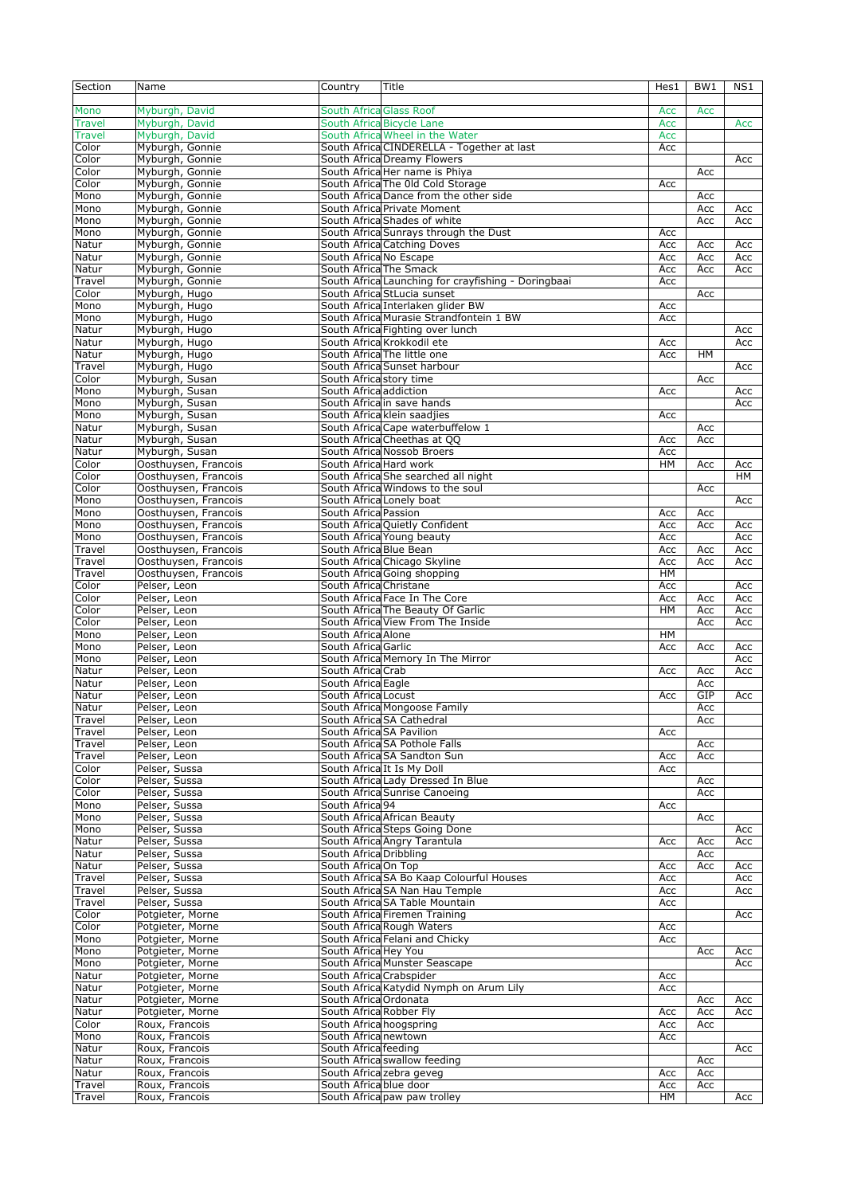| Section       | Name                 | Country                        | Title                                               | Hes1 | BW <sub>1</sub> | NS1       |
|---------------|----------------------|--------------------------------|-----------------------------------------------------|------|-----------------|-----------|
|               |                      |                                |                                                     |      |                 |           |
| Mono          | Myburgh, David       | <b>South Africa Glass Roof</b> |                                                     | Acc  | Acc             |           |
| <b>Travel</b> | Myburgh, David       |                                | South Africa Bicycle Lane                           | Acc  |                 | Acc       |
| <b>Travel</b> | Myburgh, David       |                                | South Africa Wheel in the Water                     | Acc  |                 |           |
| Color         | Myburgh, Gonnie      |                                | South Africa CINDERELLA - Together at last          | Acc  |                 |           |
| Color         | Myburgh, Gonnie      |                                | South Africa Dreamy Flowers                         |      |                 | Acc       |
| $C$ olor      | Myburgh, Gonnie      |                                | South Africa Her name is Phiya                      |      | Acc             |           |
| Color         | Myburgh, Gonnie      |                                | South Africa The Old Cold Storage                   | Acc  |                 |           |
| Mono          | Myburgh, Gonnie      |                                | South Africa Dance from the other side              |      | Acc             |           |
| Mono          | Myburgh, Gonnie      |                                | South Africa Private Moment                         |      | Acc             | Acc       |
| Mono          | Myburgh, Gonnie      |                                | South Africa Shades of white                        |      | Acc             | Acc       |
| Mono          | Myburgh, Gonnie      |                                | South Africa Sunrays through the Dust               | Acc  |                 |           |
| Natur         | Myburgh, Gonnie      |                                | South Africa Catching Doves                         | Acc  | Acc             | Acc       |
| Natur         | Myburgh, Gonnie      | South Africa No Escape         |                                                     | Acc  | Acc             | Acc       |
| Natur         | Myburgh, Gonnie      | South Africa The Smack         |                                                     | Acc  | Acc             | Acc       |
| Travel        | Myburgh, Gonnie      |                                | South Africa Launching for crayfishing - Doringbaai | Acc  |                 |           |
| Color         | Myburgh, Hugo        |                                | South Africa StLucia sunset                         |      | Acc             |           |
| Mono          | Myburgh, Hugo        |                                | South Africa Interlaken glider BW                   | Acc  |                 |           |
| Mono          | Myburgh, Hugo        |                                | South Africa Murasie Strandfontein 1 BW             | Acc  |                 |           |
| Natur         | Myburgh, Hugo        |                                | South Africa Fighting over lunch                    |      |                 | Acc       |
| Natur         | Myburgh, Hugo        |                                | South Africa Krokkodil ete                          | Acc  |                 | Acc       |
| Natur         | Myburgh, Hugo        |                                | South Africa The little one                         | Acc  | HM              |           |
| Travel        | Myburgh, Hugo        |                                | South Africa Sunset harbour                         |      |                 | Acc       |
| Color         | Myburgh, Susan       | South Africa story time        |                                                     |      | Acc             |           |
| Mono          | Myburgh, Susan       | South Africa addiction         |                                                     | Acc  |                 | Acc       |
| Mono          | Myburgh, Susan       |                                | South Africa in save hands                          |      |                 | Acc       |
| Mono          | Myburgh, Susan       |                                | South Africa klein saadjies                         | Acc  |                 |           |
| Natur         | Myburgh, Susan       |                                | South Africa Cape waterbuffelow 1                   |      | Acc             |           |
| Natur         | Myburgh, Susan       |                                | South Africa Cheethas at QQ                         | Acc  | Acc             |           |
| Natur         | Myburgh, Susan       |                                | South Africa Nossob Broers                          | Acc  |                 |           |
| Color         | Oosthuysen, Francois | South Africa Hard work         |                                                     | HМ   | Acc             | Acc       |
| Color         | Oosthuysen, Francois |                                | South Africa She searched all night                 |      |                 | <b>HM</b> |
| Color         | Oosthuysen, Francois |                                | South Africa Windows to the soul                    |      | Acc             |           |
| Mono          | Oosthuysen, Francois | South Africa Lonely boat       |                                                     |      |                 | Acc       |
| Mono          | Oosthuysen, Francois | South Africa Passion           |                                                     | Acc  | Acc             |           |
| Mono          | Oosthuysen, Francois |                                | South Africa Quietly Confident                      | Acc  | Acc             | Acc       |
| Mono          | Oosthuysen, Francois |                                | South Africa Young beauty                           | Acc  |                 | Acc       |
| Travel        | Oosthuysen, Francois | South Africa Blue Bean         |                                                     | Acc  | Acc             | Acc       |
| Travel        | Oosthuysen, Francois |                                | South Africa Chicago Skyline                        | Acc  | Acc             | Acc       |
| Travel        | Oosthuysen, Francois |                                | South Africa Going shopping                         | HM   |                 |           |
| Color         | Pelser, Leon         | South Africa Christane         |                                                     | Acc  |                 | Acc       |
| $C$ olor      | Pelser, Leon         |                                | South Africa Face In The Core                       | Acc  | Acc             | Acc       |
| Color         | Pelser, Leon         |                                | South Africa The Beauty Of Garlic                   | HM   | Acc             | Acc       |
| Color         | Pelser, Leon         |                                | South Africa View From The Inside                   |      | Acc             | Acc       |
| Mono          | Pelser, Leon         | South Africa Alone             |                                                     | HМ   |                 |           |
| Mono          | Pelser, Leon         | South Africa Garlic            |                                                     | Acc  | Acc             | Acc       |
| Mono          | Pelser, Leon         |                                | South Africa Memory In The Mirror                   |      |                 | Acc       |
| Natur         | Pelser, Leon         | South Africa Crab              |                                                     | Acc  | Acc             | Acc       |
| Natur         | Pelser, Leon         | South Africa Eagle             |                                                     |      | Acc             |           |
| Natur         | Pelser, Leon         | South Africa Locust            |                                                     | Acc  | GIP             | Acc       |
| Natur         | Pelser, Leon         |                                | South Africa Mongoose Family                        |      | Acc             |           |
| Travel        | Pelser, Leon         |                                | South Africa SA Cathedral                           |      | Acc             |           |
| Travel        | Pelser, Leon         | South Africa SA Pavilion       |                                                     | Acc  |                 |           |
| Travel        | Pelser, Leon         |                                | South Africa SA Pothole Falls                       |      | Acc             |           |
| Travel        | Pelser, Leon         |                                | South Africa SA Sandton Sun                         | Acc  | Acc             |           |
| Color         | Pelser, Sussa        |                                | South Africa It Is My Doll                          | Acc  |                 |           |
| Color         | Pelser, Sussa        |                                | South Africa Lady Dressed In Blue                   |      | Acc             |           |
| Color         | Pelser, Sussa        |                                | South Africa Sunrise Canoeing                       |      | Acc             |           |
| Mono          | Pelser, Sussa        | South Africa 94                |                                                     | Acc  |                 |           |
| Mono          | Pelser, Sussa        |                                | South Africa African Beauty                         |      | Acc             |           |
| Mono          | Pelser, Sussa        |                                | South Africa Steps Going Done                       |      |                 | Acc       |
| Natur         | Pelser, Sussa        |                                | South Africa Angry Tarantula                        | Acc  | Acc             | Acc       |
| Natur         | Pelser, Sussa        | South Africa Dribbling         |                                                     |      | Acc             |           |
| Natur         | Pelser, Sussa        | South Africa On Top            |                                                     | Acc  | Acc             | Acc       |
| Travel        | Pelser, Sussa        |                                | South Africa SA Bo Kaap Colourful Houses            | Acc  |                 | Acc       |
| Travel        | Pelser, Sussa        |                                | South Africa SA Nan Hau Temple                      | Acc  |                 | Acc       |
| Travel        | Pelser, Sussa        |                                | South Africa SA Table Mountain                      | Acc  |                 |           |
| Color         | Potgieter, Morne     |                                | South Africa Firemen Training                       |      |                 | Acc       |
| Color         | Potgieter, Morne     |                                | South Africa Rough Waters                           | Acc  |                 |           |
| Mono          | Potgieter, Morne     |                                | South Africa Felani and Chicky                      | Acc  |                 |           |
| Mono          | Potgieter, Morne     | South Africa Hey You           |                                                     |      | Acc             | Acc       |
| Mono          | Potgieter, Morne     |                                | South Africa Munster Seascape                       |      |                 | Acc       |
| Natur         | Potgieter, Morne     | South Africa Crabspider        |                                                     | Acc  |                 |           |
| Natur         | Potgieter, Morne     |                                | South Africa Katydid Nymph on Arum Lily             | Acc  |                 |           |
| Natur         | Potgieter, Morne     | South Africa Ordonata          |                                                     |      | Acc             | Acc       |
| Natur         | Potgieter, Morne     | South Africa Robber Fly        |                                                     | Acc  | Acc             | Acc       |
| Color         | Roux, Francois       | South Africa hoogspring        |                                                     | Acc  | Acc             |           |
| Mono          | Roux, Francois       | South Africa newtown           |                                                     | Acc  |                 |           |
| Natur         | Roux, Francois       | South Africa feeding           |                                                     |      |                 | Acc       |
| Natur         | Roux, Francois       |                                | South Africa swallow feeding                        |      | Acc             |           |
| Natur         | Roux, Francois       |                                | South Africa zebra geveg                            | Acc  | Acc             |           |
| Travel        | Roux, Francois       | South Africa blue door         |                                                     | Acc  | Acc             |           |
| Travel        | Roux, Francois       |                                | South Africa paw paw trolley                        | HM   |                 | Acc       |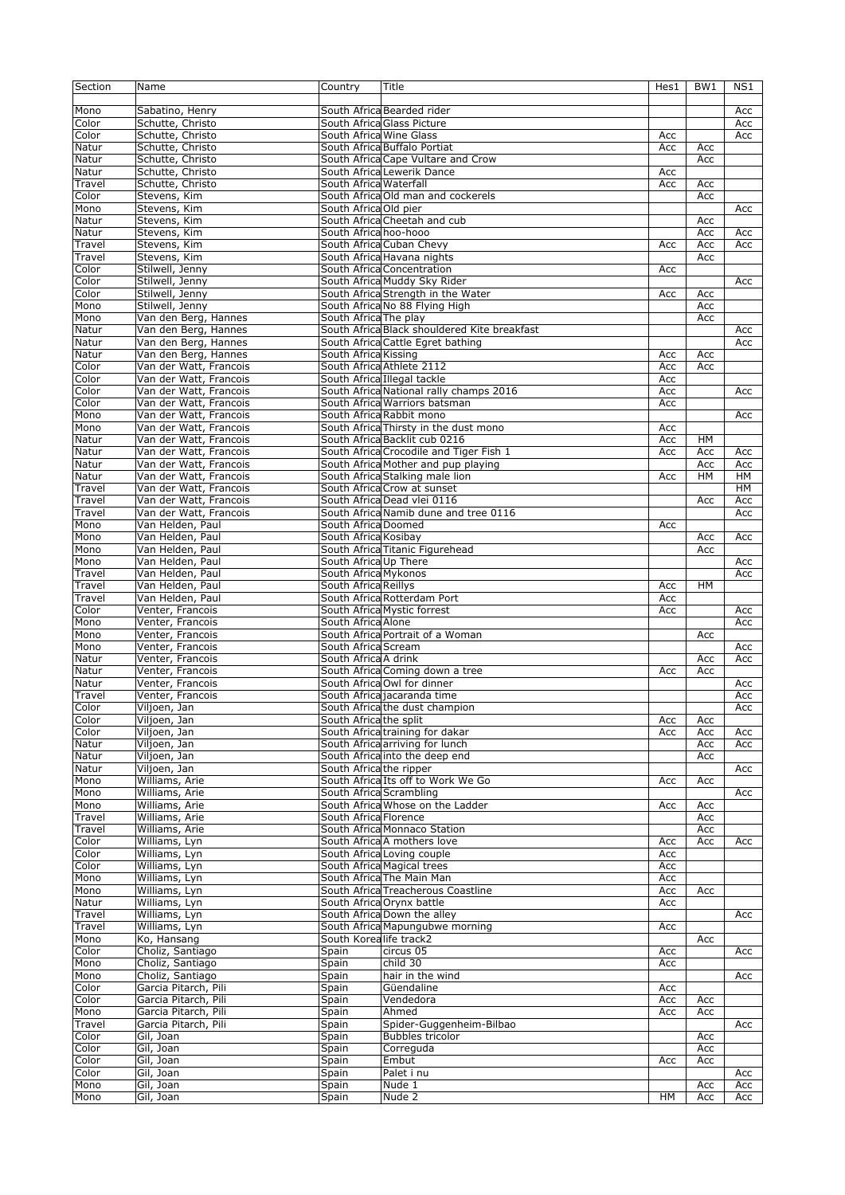| Section         | Name                                 | Country                 | Title                                        | Hes1       | BW1       | NS1        |
|-----------------|--------------------------------------|-------------------------|----------------------------------------------|------------|-----------|------------|
|                 |                                      |                         |                                              |            |           |            |
| Mono            | Sabatino, Henry                      |                         | South Africa Bearded rider                   |            |           | Acc        |
| Color           | Schutte, Christo                     |                         | South Africa Glass Picture                   |            |           | Acc        |
| Color           | Schutte, Christo                     | South Africa Wine Glass |                                              | Acc        |           | Acc        |
| Natur           | Schutte, Christo                     |                         | South Africa Buffalo Portiat                 | Acc        | Acc       |            |
| Natur           | Schutte, Christo                     |                         | South Africa Cape Vultare and Crow           |            | Acc       |            |
| Natur           | Schutte, Christo                     |                         | South Africa Lewerik Dance                   | Acc        |           |            |
| Travel          | Schutte, Christo                     | South Africa Waterfall  |                                              | Acc        | Acc       |            |
| Color           | Stevens, Kim                         |                         | South Africa Old man and cockerels           |            | Acc       |            |
| Mono            | Stevens, Kim                         | South Africa Old pier   |                                              |            |           | Acc        |
| Natur           | Stevens, Kim                         |                         | South Africa Cheetah and cub                 |            | Acc       |            |
| Natur           | Stevens, Kim                         | South Africa hoo-hooo   |                                              |            | Acc       | Acc        |
| Travel          | Stevens, Kim                         |                         | South Africa Cuban Chevy                     | Acc        | Acc       | Acc        |
| Travel          | Stevens, Kim                         |                         | South Africa Havana nights                   |            | Acc       |            |
| Color           | Stilwell, Jenny                      |                         | South Africa Concentration                   | Acc        |           |            |
| Color           | Stilwell, Jenny                      |                         | South Africa Muddy Sky Rider                 |            |           | Acc        |
| Color           | Stilwell, Jenny                      |                         | South Africa Strength in the Water           | Acc        | Acc       |            |
| Mono            | Stilwell, Jenny                      |                         | South Africa No 88 Flying High               |            | Acc       |            |
| Mono            | Van den Berg, Hannes                 | South Africa The play   |                                              |            | Acc       |            |
| Natur           | Van den Berg, Hannes                 |                         | South Africa Black shouldered Kite breakfast |            |           | Acc        |
| Natur           | Van den Berg, Hannes                 |                         | South Africa Cattle Egret bathing            |            |           | Acc        |
| Natur           | Van den Berg, Hannes                 | South Africa Kissing    |                                              | Acc        | Acc       |            |
| Color           | Van der Watt, Francois               |                         | South Africa Athlete 2112                    | Acc        | Acc       |            |
| Color           | Van der Watt, Francois               |                         | South Africa Illegal tackle                  | Acc        |           |            |
| Color           | Van der Watt, Francois               |                         | South Africa National rally champs 2016      | Acc        |           | Acc        |
| Color           | Van der Watt, Francois               |                         | South Africa Warriors batsman                | Acc        |           |            |
| Mono            | Van der Watt, Francois               |                         | South Africa Rabbit mono                     |            |           | Acc        |
| Mono            | Van der Watt, Francois               |                         | South Africa Thirsty in the dust mono        | Acc        |           |            |
| Natur           | Van der Watt, Francois               |                         | South Africa Backlit cub 0216                | Acc        | HM        |            |
| Natur           | Van der Watt, Francois               |                         | South Africa Crocodile and Tiger Fish 1      | Acc        | Acc       | Acc        |
| Natur           | Van der Watt, Francois               |                         | South Africa Mother and pup playing          |            | Acc       | Acc        |
| Natur           | Van der Watt, Francois               |                         | South Africa Stalking male lion              | Acc        | <b>HM</b> | HM         |
| Travel          | Van der Watt, Francois               |                         | South Africa Crow at sunset                  |            |           | HM         |
| Travel          | Van der Watt, Francois               |                         | South Africa Dead vlei 0116                  |            | Acc       | Acc        |
| Travel          | Van der Watt, Francois               |                         | South Africa Namib dune and tree 0116        |            |           | Acc        |
| Mono            | Van Helden, Paul                     | South Africa Doomed     |                                              | Acc        |           |            |
| Mono            | Van Helden, Paul                     | South Africa Kosibay    |                                              |            | Acc       | Acc        |
| Mono            | Van Helden, Paul                     |                         | South Africa Titanic Figurehead              |            | Acc       |            |
| Mono            | Van Helden, Paul                     | South Africa Up There   |                                              |            |           | Acc        |
| Travel          | Van Helden, Paul                     | South Africa Mykonos    |                                              |            |           | Acc        |
| Travel          | Van Helden, Paul                     | South Africa Reillys    |                                              | Acc        | <b>HM</b> |            |
| Travel          | Van Helden, Paul                     |                         | South Africa Rotterdam Port                  | Acc        |           |            |
| Color           | Venter, Francois                     |                         | South Africa Mystic forrest                  | Acc        |           | Acc        |
| Mono<br>Mono    | Venter, Francois                     | South Africa Alone      | South Africa Portrait of a Woman             |            |           | Acc        |
| Mono            | Venter, Francois                     | South Africa Scream     |                                              |            | Acc       |            |
| Natur           | Venter, Francois                     |                         |                                              |            |           | Acc<br>Acc |
| Natur           | Venter, Francois<br>Venter, Francois | South Africa A drink    | South Africa Coming down a tree              | Acc        | Acc       |            |
| Natur           | Venter, Francois                     |                         | South Africa Owl for dinner                  |            | Acc       |            |
|                 | Venter, Francois                     |                         | South Africa jacaranda time                  |            |           | Acc        |
| Travel<br>Color | Viljoen, Jan                         |                         | South Africa the dust champion               |            |           | Acc<br>Acc |
| Color           | Viljoen, Jan                         | South Africa the split  |                                              |            | Acc       |            |
| Color           | Viljoen, Jan                         |                         | South Africatraining for dakar               | Acc<br>Acc | Acc       | Acc        |
| Natur           | Viljoen, Jan                         |                         | South Africa arriving for lunch              |            | Acc       | Acc        |
| Natur           | Viljoen, Jan                         |                         | South Africa into the deep end               |            | Acc       |            |
| Natur           | Viljoen, Jan                         | South Africa the ripper |                                              |            |           | Acc        |
| Mono            | Williams, Arie                       |                         | South Africa Its off to Work We Go           | Acc        | Acc       |            |
| Mono            | Williams, Arie                       | South Africa Scrambling |                                              |            |           | Acc        |
| Mono            | Williams, Arie                       |                         | South Africa Whose on the Ladder             | Acc        | Acc       |            |
| Travel          | Williams, Arie                       | South Africa Florence   |                                              |            | Acc       |            |
| Travel          | Williams, Arie                       |                         | South Africa Monnaco Station                 |            | Acc       |            |
| Color           | Williams, Lyn                        |                         | South Africa A mothers love                  | Acc        | Acc       | Acc        |
| Color           | Williams, Lyn                        |                         | South Africa Loving couple                   | Acc        |           |            |
| Color           | Williams, Lyn                        |                         | South Africa Magical trees                   | Acc        |           |            |
| Mono            | Williams, Lyn                        |                         | South Africa The Main Man                    | Acc        |           |            |
| Mono            | Williams, Lyn                        |                         | South Africa Treacherous Coastline           | Acc        | Acc       |            |
| Natur           | Williams, Lyn                        |                         | South Africa Orynx battle                    | Acc        |           |            |
| Travel          | Williams, Lyn                        |                         | South Africa Down the alley                  |            |           | Acc        |
| Travel          | Williams, Lyn                        |                         | South Africa Mapungubwe morning              | Acc        |           |            |
| Mono            | Ko, Hansang                          | South Korealife track2  |                                              |            | Acc       |            |
| Color           | Choliz, Santiago                     | Spain                   | circus 05                                    | Acc        |           | Acc        |
| Mono            | Choliz, Santiago                     | Spain                   | child 30                                     | Acc        |           |            |
| Mono            | Choliz, Santiago                     | Spain                   | hair in the wind                             |            |           | Acc        |
| Color           | Garcia Pitarch, Pili                 | Spain                   | Güendaline                                   | Acc        |           |            |
| Color           | Garcia Pitarch, Pili                 | Spain                   | Vendedora                                    | Acc        | Acc       |            |
| Mono            | Garcia Pitarch, Pili                 | Spain                   | Ahmed                                        | Acc        | Acc       |            |
| Travel          | Garcia Pitarch, Pili                 | Spain                   | Spider-Guggenheim-Bilbao                     |            |           | Acc        |
| Color           | Gil, Joan                            | Spain                   | <b>Bubbles tricolor</b>                      |            | Acc       |            |
| Color           | Gil, Joan                            | Spain                   | Correguda                                    |            | Acc       |            |
| Color           | Gil, Joan                            | Spain                   | Embut                                        | Acc        | Acc       |            |
| Color           | Gil, Joan                            | Spain                   | Palet i nu                                   |            |           | Acc        |
| Mono            | Gil, Joan                            | Spain                   | Nude 1                                       |            | Acc       | Acc        |
| Mono            | Gil, Joan                            | Spain                   | Nude 2                                       | HM         | Acc       | Acc        |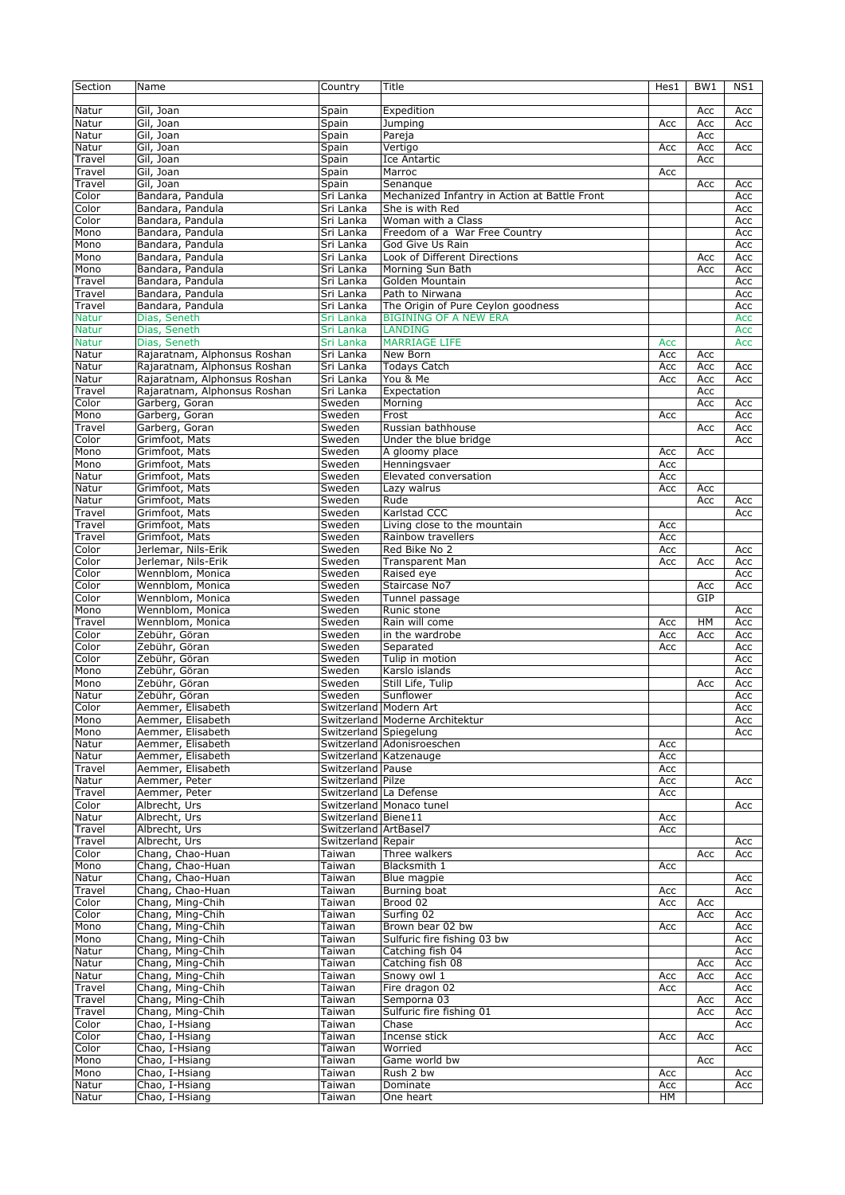| Section               | Name                              | Country                      | Title                                          | Hes1      | BW <sub>1</sub> | NS1        |
|-----------------------|-----------------------------------|------------------------------|------------------------------------------------|-----------|-----------------|------------|
| Natur                 | Gil, Joan                         | Spain                        | Expedition                                     |           | Acc             | Acc        |
| Natur                 | Gil, Joan                         | Spain                        | Jumping                                        | Acc       | Acc             | Acc        |
| Natur                 | Gil, Joan                         | Spain                        | Pareja                                         |           | Acc             |            |
| Natur                 | Gil, Joan                         | Spain                        | Vertigo                                        | Acc       | Acc             | Acc        |
| Travel                | Gil, Joan                         | Spain                        | Ice Antartic                                   |           | Acc             |            |
| Travel                | Gil, Joan                         | Spain                        | Marroc                                         | Acc       |                 |            |
| Travel                | Gil, Joan                         | Spain                        | Senangue                                       |           | Acc             | Acc        |
| Color                 | Bandara, Pandula                  | Sri Lanka                    | Mechanized Infantry in Action at Battle Front  |           |                 | Acc        |
| Color                 | Bandara, Pandula                  | Sri Lanka                    | She is with Red                                |           |                 | Acc        |
| Color                 | Bandara, Pandula                  | Sri Lanka                    | Woman with a Class                             |           |                 | Acc        |
| Mono                  | Bandara, Pandula                  | Sri Lanka                    | Freedom of a War Free Country                  |           |                 | Acc        |
| Mono                  | Bandara, Pandula                  | Sri Lanka                    | God Give Us Rain                               |           |                 | Acc        |
| Mono                  | Bandara, Pandula                  | Sri Lanka                    | Look of Different Directions                   |           | Acc             | Acc        |
| Mono                  | Bandara, Pandula                  | Sri Lanka                    | Morning Sun Bath                               |           | Acc             | Acc        |
| Travel                | Bandara, Pandula                  | Sri Lanka                    | Golden Mountain                                |           |                 | Acc        |
| Travel                | Bandara, Pandula                  | Sri Lanka                    | Path to Nirwana                                |           |                 | Acc        |
| Travel                | Bandara, Pandula                  | Sri Lanka                    | The Origin of Pure Ceylon goodness             |           |                 | Acc        |
| <b>Natur</b>          | Dias, Seneth<br>Dias, Seneth      | Sri Lanka<br>Sri Lanka       | <b>BIGINING OF A NEW ERA</b><br><b>LANDING</b> |           |                 | Acc<br>Acc |
| <b>Natur</b>          | Dias, Seneth                      |                              | <b>MARRIAGE LIFE</b>                           | Acc       |                 |            |
| <b>Natur</b><br>Natur | Rajaratnam, Alphonsus Roshan      | Sri Lanka<br>Sri Lanka       | New Born                                       | Acc       | Acc             | Acc        |
| Natur                 | Rajaratnam, Alphonsus Roshan      | Sri Lanka                    | <b>Todays Catch</b>                            | Acc       | Acc             | Acc        |
| Natur                 | Rajaratnam, Alphonsus Roshan      | Sri Lanka                    | You & Me                                       | Acc       | Acc             | Acc        |
| Travel                | Rajaratnam, Alphonsus Roshan      | Sri Lanka                    | Expectation                                    |           | Acc             |            |
| Color                 | Garberg, Goran                    | Sweden                       | Mornina                                        |           | Acc             | Acc        |
| Mono                  | Garberg, Goran                    | Sweden                       | Frost                                          | Acc       |                 | Acc        |
| Travel                | Garberg, Goran                    | Sweden                       | Russian bathhouse                              |           | Acc             | Acc        |
| Color                 | Grimfoot, Mats                    | Sweden                       | Under the blue bridge                          |           |                 | Acc        |
| Mono                  | Grimfoot, Mats                    | Sweden                       | A gloomy place                                 | Acc       | Acc             |            |
| Mono                  | Grimfoot, Mats                    | Sweden                       | Henningsvaer                                   | Acc       |                 |            |
| Natur                 | Grimfoot, Mats                    | Sweden                       | Elevated conversation                          | Acc       |                 |            |
| Natur                 | Grimfoot, Mats                    | Sweden                       | Lazy walrus                                    | Acc       | Acc             |            |
| Natur                 | Grimfoot, Mats                    | Sweden                       | Rude                                           |           | Acc             | Acc        |
| Travel                | Grimfoot, Mats                    | Sweden                       | Karlstad CCC                                   |           |                 | Acc        |
| Travel                | Grimfoot, Mats                    | Sweden                       | Living close to the mountain                   | Acc       |                 |            |
| Travel                | Grimfoot, Mats                    | Sweden                       | Rainbow travellers                             | Acc       |                 |            |
| Color                 | Jerlemar, Nils-Erik               | Sweden                       | Red Bike No 2                                  | Acc       |                 | Acc        |
| Color                 | Jerlemar, Nils-Erik               | Sweden                       | <b>Transparent Man</b>                         | Acc       | Acc             | Acc        |
| Color                 | Wennblom, Monica                  | Sweden                       | Raised eye                                     |           |                 | Acc        |
|                       | Wennblom, Monica                  | Sweden                       | Staircase No7                                  |           | Acc             | Acc        |
| Color                 |                                   |                              |                                                |           |                 |            |
| Color                 | Wennblom, Monica                  | Sweden                       | Tunnel passage                                 |           | GIP             |            |
| Mono                  | Wennblom, Monica                  | Sweden                       | Runic stone                                    |           |                 | Acc        |
| Travel                | Wennblom, Monica                  | Sweden                       | Rain will come                                 | Acc       | HM              | Acc        |
| Color                 | Zebühr, Göran                     | Sweden                       | in the wardrobe                                | Acc       | Acc             | Acc        |
| Color                 | Zebühr, Göran                     | Sweden                       | Separated                                      | Acc       |                 | Acc        |
| Color                 | Zebühr, Göran                     | Sweden                       | Tulip in motion                                |           |                 | Acc        |
| Mono                  | Zebühr, Göran                     | Sweden                       | Karslo islands                                 |           |                 | Acc        |
| Mono                  | Zebühr, Göran                     | Sweden                       | Still Life, Tulip                              |           | Acc             | Acc        |
| Natur                 | Zebühr, Göran                     | Sweden                       | Sunflower                                      |           |                 | Acc        |
| Color                 | Aemmer, Elisabeth                 |                              | Switzerland   Modern Art                       |           |                 | Acc        |
| Mono                  | Aemmer, Elisabeth                 |                              | Switzerland Moderne Architektur                |           |                 | Acc        |
| Mono                  | Aemmer, Elisabeth                 | Switzerland Spiegelung       |                                                |           |                 | Acc        |
| Natur                 | Aemmer, Elisabeth                 |                              | Switzerland Adonisroeschen                     | Acc       |                 |            |
| Natur                 | Aemmer, Elisabeth                 |                              | Switzerland Katzenauge                         | Acc       |                 |            |
| Travel                | Aemmer, Elisabeth                 | Switzerland   Pause          |                                                | Acc       |                 |            |
| Natur                 | Aemmer, Peter                     | Switzerland Pilze            |                                                | Acc       |                 | Acc        |
| Travel                | Aemmer, Peter                     |                              | Switzerland La Defense                         | Acc       |                 |            |
| Color                 | Albrecht, Urs                     |                              | Switzerland Monaco tunel                       |           |                 | Acc        |
| Natur                 | Albrecht, Urs                     | Switzerland Biene11          |                                                | Acc       |                 |            |
| Travel                | Albrecht, Urs                     | Switzerland ArtBasel7        |                                                | Acc       |                 |            |
| Travel<br>Color       | Albrecht, Urs<br>Chang, Chao-Huan | Switzerland Repair<br>Taiwan | Three walkers                                  |           | Acc             | Acc<br>Acc |
| Mono                  | Chang, Chao-Huan                  | Taiwan                       | Blacksmith 1                                   | Acc       |                 |            |
| Natur                 | Chang, Chao-Huan                  | Taiwan                       | Blue magpie                                    |           |                 | Acc        |
| Travel                | Chang, Chao-Huan                  | Taiwan                       | Burning boat                                   | Acc       |                 | Acc        |
| Color                 | Chang, Ming-Chih                  | Taiwan                       | Brood 02                                       | Acc       | Acc             |            |
| Color                 | Chang, Ming-Chih                  | Taiwan                       | Surfing 02                                     |           | Acc             | Acc        |
| Mono                  | Chang, Ming-Chih                  | Taiwan                       | Brown bear 02 bw                               | Acc       |                 | Acc        |
| Mono                  | Chang, Ming-Chih                  | Taiwan                       | Sulfuric fire fishing 03 bw                    |           |                 | Acc        |
| Natur                 | Chang, Ming-Chih                  | Taiwan                       | Catching fish 04                               |           |                 | Acc        |
| Natur                 | Chang, Ming-Chih                  | Taiwan                       | Catching fish 08                               |           | Acc             | Acc        |
| Natur                 | Chang, Ming-Chih                  | Taiwan                       | Snowy owl 1                                    | Acc       | Acc             | Acc        |
| Travel                | Chang, Ming-Chih                  | Taiwan                       | Fire dragon 02                                 | Acc       |                 | Acc        |
| Travel                | Chang, Ming-Chih                  | Taiwan                       | Semporna 03                                    |           | Acc             | Acc        |
| Travel                | Chang, Ming-Chih                  | Taiwan                       | Sulfuric fire fishing 01                       |           | Acc             | Acc        |
| Color                 | Chao, I-Hsiang                    | Taiwan                       | Chase                                          |           |                 | Acc        |
| Color                 | Chao, I-Hsiang                    | Taiwan                       | Incense stick                                  | Acc       | Acc             |            |
| Color                 | Chao, I-Hsiang                    | Taiwan                       | Worried                                        |           |                 | Acc        |
| Mono                  | Chao, I-Hsiang                    | Taiwan                       | Game world bw                                  |           | Acc             |            |
| Mono                  | Chao, I-Hsiang                    | Taiwan                       | Rush 2 bw                                      | Acc       |                 | Acc        |
| Natur<br>Natur        | Chao, I-Hsiang<br>Chao, I-Hsiang  | Taiwan<br>Taiwan             | Dominate<br>One heart                          | Acc<br>HM |                 | Acc        |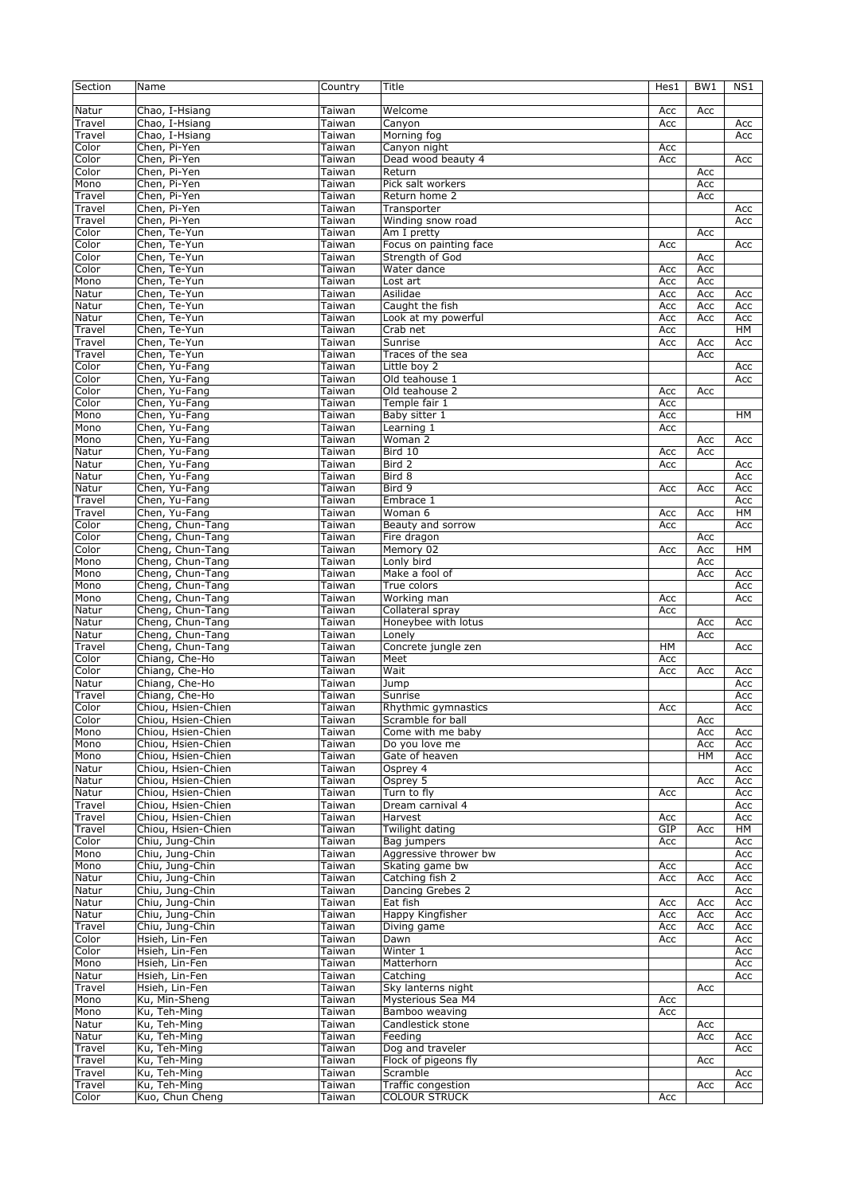| Section         | Name                                     | Country          | Title                            | Hes1       | BW <sub>1</sub> | NS1        |
|-----------------|------------------------------------------|------------------|----------------------------------|------------|-----------------|------------|
| Natur           | Chao, I-Hsiang                           | Taiwan           | Welcome                          | Acc        | Acc             |            |
| Travel          | Chao, I-Hsiang                           | Taiwan           | Canyon                           | Acc        |                 | Acc        |
| Travel          | Chao, I-Hsiang                           | Taiwan           | Morning fog                      |            |                 | Acc        |
| Color           | Chen, Pi-Yen                             | Taiwan           | Canyon night                     | Acc        |                 |            |
| Color           | Chen, Pi-Yen                             | Taiwan           | Dead wood beauty 4               | Acc        |                 | Acc        |
| Color           | Chen, Pi-Yen                             | Taiwan           | Return                           |            | Acc             |            |
| Mono            | Chen, Pi-Yen                             | Taiwan           | Pick salt workers                |            | Acc             |            |
| Travel          | Chen, Pi-Yen                             | Taiwan           | Return home 2                    |            | Acc             |            |
| Travel          | Chen, Pi-Yen                             | Taiwan           | Transporter                      |            |                 | Acc        |
| Travel          | Chen, Pi-Yen                             | Taiwan           | Winding snow road                |            |                 | Acc        |
| Color           | Chen, Te-Yun                             | Taiwan           | Am I pretty                      |            | Acc             |            |
| Color           | Chen, Te-Yun                             | Taiwan           | Focus on painting face           | Acc        |                 | Acc        |
| Color           | Chen, Te-Yun                             | Taiwan           | Strength of God                  |            | Acc             |            |
| Color           | Chen, Te-Yun                             | Taiwan           | Water dance                      | Acc        | Acc             |            |
| Mono            | Chen, Te-Yun                             | Taiwan           | Lost art                         | Acc        | Acc             |            |
| Natur           | Chen, Te-Yun                             | Taiwan           | Asilidae                         | Acc        | Acc             | Acc        |
| Natur           | Chen, Te-Yun                             | Taiwan           | Caught the fish                  | Acc        | Acc             | Acc        |
| Natur           | Chen, Te-Yun                             | Taiwan           | Look at my powerful              | Acc        | Acc             | Acc        |
| Travel          | Chen, Te-Yun                             | Taiwan           | Crab net                         | Acc        |                 | HM         |
| Travel          | Chen, Te-Yun                             | Taiwan           | Sunrise                          | Acc        | Acc             | Acc        |
| Travel          | Chen, Te-Yun                             | Taiwan           | Traces of the sea                |            | Acc             |            |
| Color<br>Color  | Chen, Yu-Fang                            | Taiwan           | Little boy 2                     |            |                 | Acc        |
| Color           | Chen, Yu-Fang<br>Chen, Yu-Fang           | Taiwan<br>Taiwan | Old teahouse 1<br>Old teahouse 2 |            |                 | Acc        |
| Color           | Chen, Yu-Fang                            | Taiwan           | Temple fair 1                    | Acc<br>Acc | Acc             |            |
| Mono            | Chen, Yu-Fang                            | Taiwan           | Baby sitter 1                    | Acc        |                 | HM         |
| Mono            | Chen, Yu-Fang                            | Taiwan           | Learning 1                       | Acc        |                 |            |
| Mono            | Chen, Yu-Fang                            | Taiwan           | Woman 2                          |            | Acc             | Acc        |
| Natur           | Chen, Yu-Fang                            | Taiwan           | Bird 10                          | Acc        | Acc             |            |
| Natur           | Chen, Yu-Fang                            | Taiwan           | Bird 2                           | Acc        |                 | Acc        |
| Natur           | Chen, Yu-Fang                            | Taiwan           | Bird 8                           |            |                 | Acc        |
| Natur           | Chen, Yu-Fang                            | Taiwan           | Bird 9                           | Acc        | Acc             | Acc        |
| Travel          | Chen, Yu-Fang                            | Taiwan           | Embrace 1                        |            |                 | Acc        |
| Travel          | Chen, Yu-Fang                            | Taiwan           | Woman 6                          | Acc        | Acc             | HМ         |
| Color           | Cheng, Chun-Tang                         | Taiwan           | Beauty and sorrow                | Acc        |                 | Acc        |
| Color           | Cheng, Chun-Tang                         | Taiwan           | Fire dragon                      |            | Acc             |            |
| Color           | Cheng, Chun-Tang                         | Taiwan           | Memory 02                        | Acc        | Acc             | <b>HM</b>  |
| Mono            | Cheng, Chun-Tang                         | Taiwan           | Lonly bird                       |            | Acc             |            |
| Mono            | Cheng, Chun-Tang                         | Taiwan           | Make a fool of                   |            | Acc             | Acc        |
| Mono            | Cheng, Chun-Tang                         | Taiwan           | True colors                      |            |                 | Acc        |
| Mono            | Cheng, Chun-Tang                         | Taiwan           | Working man                      | Acc        |                 | Acc        |
| Natur           | Cheng, Chun-Tang                         | Taiwan           | Collateral spray                 | Acc        |                 |            |
| Natur           | Cheng, Chun-Tang                         | Taiwan           | Honeybee with lotus              |            | Acc             | Acc        |
| Natur           | Cheng, Chun-Tang                         | Taiwan           | Lonely                           |            | Acc             |            |
| Travel          | Cheng, Chun-Tang                         | Taiwan           | Concrete jungle zen              | <b>HM</b>  |                 | Acc        |
| Color           | Chiang, Che-Ho                           | Taiwan           | Meet                             | Acc        |                 |            |
| Color           | Chiang, Che-Ho                           | Taiwan           | Wait                             | Acc        | Acc             | Acc        |
| Natur           | Chiang, Che-Ho                           | Taiwan           | Jump                             |            |                 | Acc        |
| Travel          | Chiang, Che-Ho                           | Taiwan           | Sunrise                          |            |                 | Acc        |
| Color           | Chiou, Hsien-Chien                       | Taiwan           | Rhythmic gymnastics              | Acc        |                 | Acc        |
| Color           | Chiou, Hsien-Chien                       | Taiwan           | Scramble for ball                |            | Acc             |            |
| Mono            | Chiou, Hsien-Chien                       | Taiwan           | Come with me baby                |            | Acc             | Acc        |
| Mono            | Chiou, Hsien-Chien                       | Taiwan           | Do you love me                   |            | Acc             | Acc        |
| Mono            | Chiou, Hsien-Chien                       | Taiwan           | Gate of heaven                   |            | HM              | Acc        |
| Natur           | Chiou, Hsien-Chien                       | Taiwan           | Osprey 4                         |            |                 | Acc        |
| Natur           | Chiou, Hsien-Chien                       | Taiwan           | Osprey 5                         |            | Acc             | Acc        |
| Natur<br>Travel | Chiou, Hsien-Chien<br>Chiou, Hsien-Chien | Taiwan<br>Taiwan | Turn to fly<br>Dream carnival 4  | Acc        |                 | Acc        |
| Travel          | Chiou, Hsien-Chien                       | Taiwan           | Harvest                          | Acc        |                 | Acc<br>Acc |
| Travel          | Chiou, Hsien-Chien                       | Taiwan           | Twilight dating                  | GIP        | Acc             | HМ         |
| Color           | Chiu, Jung-Chin                          | Taiwan           | Bag jumpers                      | Acc        |                 | Acc        |
| Mono            | Chiu, Jung-Chin                          | Taiwan           | Aggressive thrower bw            |            |                 | Acc        |
| Mono            | Chiu, Jung-Chin                          | Taiwan           | Skating game bw                  | Acc        |                 | Acc        |
| Natur           | Chiu, Jung-Chin                          | Taiwan           | Catching fish 2                  | Acc        | Acc             | Acc        |
| Natur           | Chiu, Jung-Chin                          | Taiwan           | Dancing Grebes 2                 |            |                 | Acc        |
| Natur           | Chiu, Jung-Chin                          | Taiwan           | Eat fish                         | Acc        | Acc             | Acc        |
| Natur           | Chiu, Jung-Chin                          | Taiwan           | Happy Kingfisher                 | Acc        | Acc             | Acc        |
| Travel          | Chiu, Jung-Chin                          | Taiwan           | Diving game                      | Acc        | Acc             | Acc        |
| Color           | Hsieh, Lin-Fen                           | Taiwan           | Dawn                             | Acc        |                 | Acc        |
| Color           | Hsieh, Lin-Fen                           | Taiwan           | Winter 1                         |            |                 | Acc        |
| Mono            | Hsieh, Lin-Fen                           | Taiwan           | Matterhorn                       |            |                 | Acc        |
| Natur           | Hsieh, Lin-Fen                           | Taiwan           | Catching                         |            |                 | Acc        |
| Travel          | Hsieh, Lin-Fen                           | Taiwan           | Sky lanterns night               |            | Acc             |            |
| Mono            | Ku, Min-Sheng                            | Taiwan           | Mysterious Sea M4                | Acc        |                 |            |
| Mono            | Ku, Teh-Ming                             | Taiwan           | Bamboo weaving                   | Acc        |                 |            |
| Natur           | Ku, Teh-Ming                             | Taiwan           | Candlestick stone                |            | Acc             |            |
| Natur           | Ku, Teh-Ming                             | Taiwan           | Feeding                          |            | Acc             | Acc        |
| Travel          | Ku, Teh-Ming                             | Taiwan           | Dog and traveler                 |            |                 | Acc        |
| Travel          | Ku, Teh-Ming                             | Taiwan           | Flock of pigeons fly             |            | Acc             |            |
| Travel          | Ku, Teh-Ming                             | Taiwan           | Scramble                         |            |                 | Acc        |
| Travel          | Ku, Teh-Ming                             | Taiwan           | <b>Traffic congestion</b>        |            | Acc             | Acc        |
| Color           | Kuo, Chun Cheng                          | Taiwan           | <b>COLOUR STRUCK</b>             | Acc        |                 |            |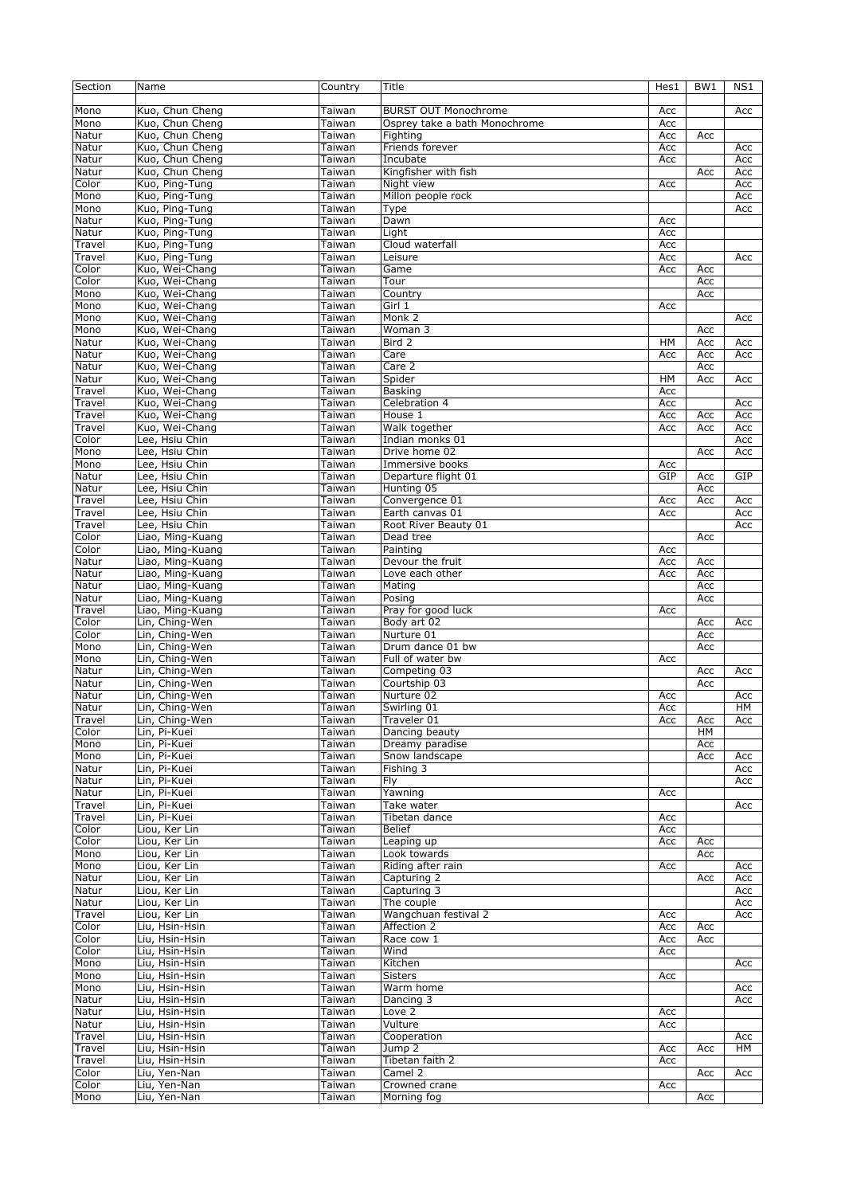| Section | Name             | Country | Title                         | Hes1 | BW1 | NS1 |
|---------|------------------|---------|-------------------------------|------|-----|-----|
|         |                  |         |                               |      |     |     |
| Mono    | Kuo, Chun Cheng  | Taiwan  | <b>BURST OUT Monochrome</b>   | Acc  |     | Acc |
| Mono    | Kuo, Chun Cheng  | Taiwan  | Osprey take a bath Monochrome | Acc  |     |     |
| Natur   | Kuo, Chun Cheng  | Taiwan  | Fighting                      | Acc  | Acc |     |
| Natur   | Kuo, Chun Cheng  | Taiwan  | Friends forever               | Acc  |     | Acc |
| Natur   | Kuo, Chun Cheng  | Taiwan  | Incubate                      | Acc  |     | Acc |
| Natur   | Kuo, Chun Cheng  | Taiwan  | Kingfisher with fish          |      | Acc | Acc |
| Color   | Kuo, Ping-Tung   | Taiwan  | Night view                    | Acc  |     | Acc |
| Mono    | Kuo, Ping-Tung   | Taiwan  | Millon people rock            |      |     | Acc |
| Mono    |                  | Taiwan  |                               |      |     |     |
|         | Kuo, Ping-Tung   |         | Type                          |      |     | Acc |
| Natur   | Kuo, Ping-Tung   | Taiwan  | Dawn                          | Acc  |     |     |
| Natur   | Kuo, Ping-Tung   | Taiwan  | Light                         | Acc  |     |     |
| Travel  | Kuo, Ping-Tung   | Taiwan  | Cloud waterfall               | Acc  |     |     |
| Travel  | Kuo, Ping-Tung   | Taiwan  | Leisure                       | Acc  |     | Acc |
| Color   | Kuo, Wei-Chang   | Taiwan  | Game                          | Acc  | Acc |     |
| Color   | Kuo, Wei-Chang   | Taiwan  | Tour                          |      | Acc |     |
| Mono    | Kuo, Wei-Chang   | Taiwan  | Country                       |      | Acc |     |
| Mono    | Kuo, Wei-Chang   | Taiwan  | Girl 1                        | Acc  |     |     |
| Mono    | Kuo, Wei-Chang   | Taiwan  | Monk 2                        |      |     | Acc |
| Mono    | Kuo, Wei-Chang   | Taiwan  | Woman 3                       |      | Acc |     |
| Natur   | Kuo, Wei-Chang   | Taiwan  | Bird 2                        | HM   | Acc | Acc |
| Natur   | Kuo, Wei-Chang   | Taiwan  | Care                          | Acc  | Acc | Acc |
| Natur   | Kuo, Wei-Chang   | Taiwan  | Care 2                        |      | Acc |     |
| Natur   | Kuo, Wei-Chang   | Taiwan  | Spider                        | HМ   | Acc | Acc |
| Travel  | Kuo, Wei-Chang   | Taiwan  | <b>Basking</b>                | Acc  |     |     |
| Travel  | Kuo, Wei-Chang   | Taiwan  | Celebration 4                 | Acc  |     | Acc |
| Travel  | Kuo, Wei-Chang   | Taiwan  | House 1                       | Acc  | Acc | Acc |
| Travel  | Kuo, Wei-Chang   | Taiwan  | Walk together                 | Acc  | Acc | Acc |
| Color   | Lee, Hsiu Chin   |         | Indian monks 01               |      |     |     |
|         |                  | Taiwan  | Drive home 02                 |      |     | Acc |
| Mono    | Lee, Hsiu Chin   | Taiwan  |                               |      | Acc | Acc |
| Mono    | Lee, Hsiu Chin   | Taiwan  | Immersive books               | Acc  |     |     |
| Natur   | Lee, Hsiu Chin   | Taiwan  | Departure flight 01           | GIP  | Acc | GIP |
| Natur   | Lee, Hsiu Chin   | Taiwan  | Hunting 05                    |      | Acc |     |
| Travel  | Lee, Hsiu Chin   | Taiwan  | Convergence 01                | Acc  | Acc | Acc |
| Travel  | Lee, Hsiu Chin   | Taiwan  | Earth canvas 01               | Acc  |     | Acc |
| Travel  | Lee, Hsiu Chin   | Taiwan  | Root River Beauty 01          |      |     | Acc |
| Color   | Liao, Ming-Kuang | Taiwan  | Dead tree                     |      | Acc |     |
| Color   | Liao, Ming-Kuang | Taiwan  | Painting                      | Acc  |     |     |
| Natur   | Liao, Ming-Kuang | Taiwan  | Devour the fruit              | Acc  | Acc |     |
| Natur   | Liao, Ming-Kuang | Taiwan  | Love each other               | Acc  | Acc |     |
| Natur   | Liao, Ming-Kuang | Taiwan  | Mating                        |      | Acc |     |
| Natur   | Liao, Ming-Kuang | Taiwan  | Posing                        |      | Acc |     |
| Travel  | Liao, Ming-Kuang | Taiwan  | Pray for good luck            | Acc  |     |     |
| Color   | Lin, Ching-Wen   | Taiwan  | Body art 02                   |      | Acc | Acc |
| Color   | Lin, Ching-Wen   | Taiwan  | Nurture 01                    |      | Acc |     |
| Mono    | Lin, Ching-Wen   | Taiwan  | Drum dance 01 bw              |      | Acc |     |
| Mono    | Lin, Ching-Wen   | Taiwan  | Full of water bw              | Acc  |     |     |
| Natur   | Lin, Ching-Wen   | Taiwan  | Competing 03                  |      |     | Acc |
|         |                  |         |                               |      | Acc |     |
| Natur   | Lin, Ching-Wen   | Taiwan  | Courtship 03                  |      | Acc |     |
| Natur   | Lin, Ching-Wen   | Taiwan  | Nurture 02                    | Acc  |     | Acc |
| Natur   | Lin, Ching-Wen   | Taiwan  | Swirling 01                   | Acc  |     | HM  |
| Travel  | Lin, Ching-Wen   | Taiwan  | Traveler 01                   | Acc  | Acc | Acc |
| Color   | Lin, Pi-Kuei     | Taiwan  | Dancing beauty                |      | HM  |     |
| Mono    | Lin, Pi-Kuei     | Taiwan  | Dreamy paradise               |      | Acc |     |
| Mono    | Lin, Pi-Kuei     | Taiwan  | Snow landscape                |      | Acc | Acc |
| Natur   | Lin, Pi-Kuei     | Taiwan  | Fishing 3                     |      |     | Acc |
| Natur   | Lin, Pi-Kuei     | Taiwan  | Fly                           |      |     | Acc |
| Natur   | Lin, Pi-Kuei     | Taiwan  | Yawning                       | Acc  |     |     |
| Travel  | Lin, Pi-Kuei     | Taiwan  | Take water                    |      |     | Acc |
| Travel  | Lin, Pi-Kuei     | Taiwan  | Tibetan dance                 | Acc  |     |     |
| Color   | Liou, Ker Lin    | Taiwan  | <b>Belief</b>                 | Acc  |     |     |
| Color   | Liou, Ker Lin    | Taiwan  | Leaping up                    | Acc  | Acc |     |
| Mono    | Liou, Ker Lin    | Taiwan  | Look towards                  |      | Acc |     |
| Mono    | Liou, Ker Lin    | Taiwan  | Riding after rain             | Acc  |     | Acc |
| Natur   | Liou, Ker Lin    | Taiwan  | Capturing 2                   |      | Acc | Acc |
| Natur   | Liou, Ker Lin    | Taiwan  | Capturing 3                   |      |     | Acc |
| Natur   | Liou, Ker Lin    | Taiwan  | The couple                    |      |     | Acc |
| Travel  | Liou, Ker Lin    | Taiwan  | Wangchuan festival 2          | Acc  |     | Acc |
| Color   | Liu, Hsin-Hsin   | Taiwan  | Affection 2                   | Acc  | Acc |     |
| Color   | Liu, Hsin-Hsin   | Taiwan  | Race cow 1                    | Acc  | Acc |     |
| Color   | Liu, Hsin-Hsin   | Taiwan  | Wind                          | Acc  |     |     |
|         |                  |         | Kitchen                       |      |     |     |
| Mono    | Liu, Hsin-Hsin   | Taiwan  |                               |      |     | Acc |
| Mono    | Liu, Hsin-Hsin   | Taiwan  | <b>Sisters</b>                | Acc  |     |     |
| Mono    | Liu, Hsin-Hsin   | Taiwan  | Warm home                     |      |     | Acc |
| Natur   | Liu, Hsin-Hsin   | Taiwan  | Dancing 3                     |      |     | Acc |
| Natur   | Liu, Hsin-Hsin   | Taiwan  | Love 2                        | Acc  |     |     |
| Natur   | Liu, Hsin-Hsin   | Taiwan  | Vulture                       | Acc  |     |     |
| Travel  | Liu, Hsin-Hsin   | Taiwan  | Cooperation                   |      |     | Acc |
| Travel  | Liu, Hsin-Hsin   | Taiwan  | Jump 2                        | Acc  | Acc | HМ  |
| Travel  | Liu, Hsin-Hsin   | Taiwan  | Tibetan faith 2               | Acc  |     |     |
| Color   | Liu, Yen-Nan     | Taiwan  | Camel 2                       |      | Acc | Acc |
| Color   | Liu, Yen-Nan     | Taiwan  | Crowned crane                 | Acc  |     |     |
| Mono    | Liu, Yen-Nan     | Taiwan  | Morning fog                   |      | Acc |     |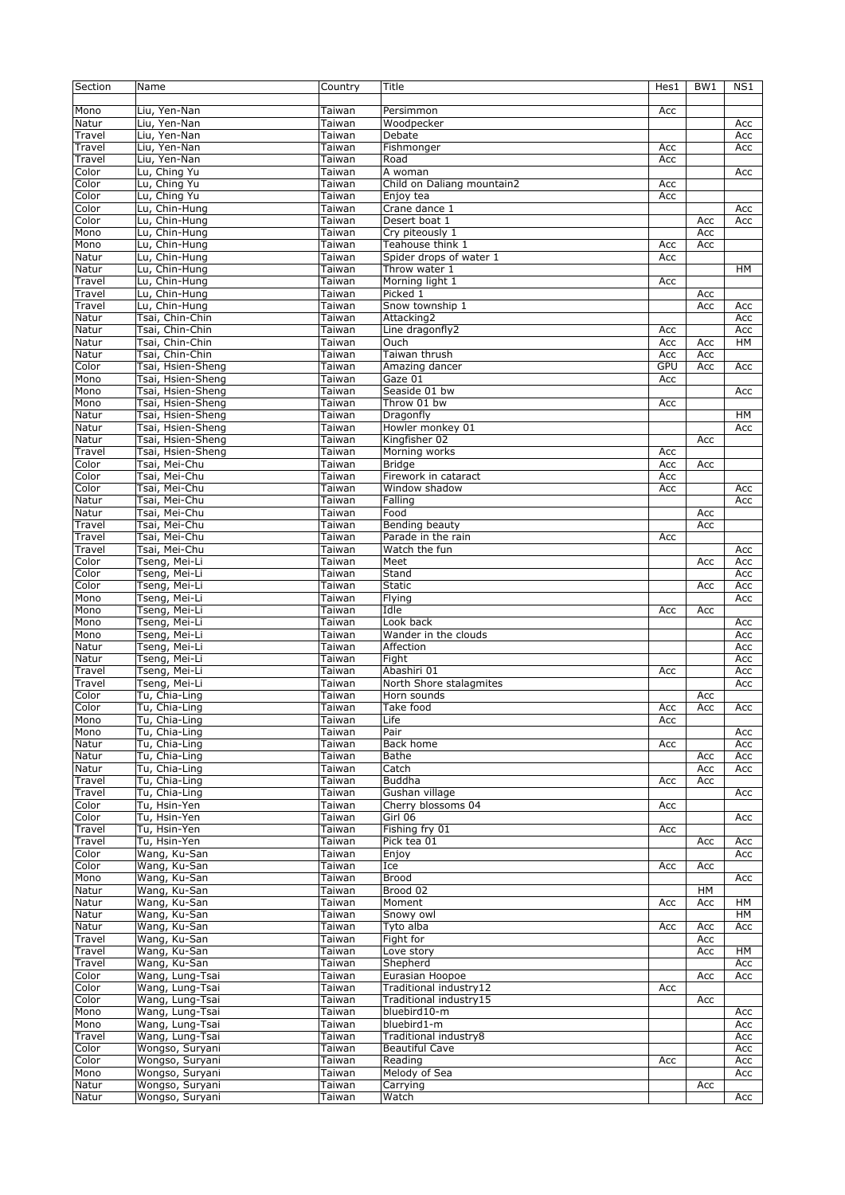| Section         | Name                                   | Country          | Title                                            | Hes1 | BW1        | NS1        |
|-----------------|----------------------------------------|------------------|--------------------------------------------------|------|------------|------------|
| Mono            | Liu, Yen-Nan                           | Taiwan           | Persimmon                                        | Acc  |            |            |
| Natur           | Liu, Yen-Nan                           | Taiwan           | Woodpecker                                       |      |            | Acc        |
| Travel          | Liu, Yen-Nan                           | Taiwan           | Debate                                           |      |            | Acc        |
| Travel          | Liu, Yen-Nan                           | Taiwan           | Fishmonger                                       | Acc  |            | Acc        |
| Travel          | Liu, Yen-Nan                           | Taiwan           | Road                                             | Acc  |            |            |
| Color           | Lu, Ching Yu                           | Taiwan           | A woman                                          |      |            | Acc        |
| Color           | Lu, Ching Yu                           | Taiwan           | Child on Daliang mountain2                       | Acc  |            |            |
| Color           | Lu, Ching Yu                           | Taiwan           | Enjoy tea                                        | Acc  |            |            |
| Color           | Lu, Chin-Hung                          | Taiwan           | Crane dance 1                                    |      |            | Acc        |
| Color<br>Mono   | Lu, Chin-Hung                          | Taiwan<br>Taiwan | Desert boat 1<br>Cry piteously 1                 |      | Acc<br>Acc | Acc        |
| Mono            | Lu, Chin-Hung<br>Lu, Chin-Hung         | Taiwan           | Teahouse think 1                                 | Acc  | Acc        |            |
| Natur           | Lu, Chin-Hung                          | Taiwan           | Spider drops of water 1                          | Acc  |            |            |
| Natur           | Lu, Chin-Hung                          | Taiwan           | Throw water 1                                    |      |            | HМ         |
| Travel          | Lu, Chin-Hung                          | Taiwan           | Morning light 1                                  | Acc  |            |            |
| Travel          | Lu, Chin-Hung                          | Taiwan           | Picked 1                                         |      | Acc        |            |
| Travel          | Lu, Chin-Hung                          | Taiwan           | Snow township 1                                  |      | Acc        | Acc        |
| Natur           | Tsai, Chin-Chin                        | Taiwan           | Attacking2                                       |      |            | Acc        |
| Natur           | Tsai, Chin-Chin                        | Taiwan           | Line dragonfly2                                  | Acc  |            | Acc        |
| Natur           | Tsai, Chin-Chin                        | Taiwan           | Ouch                                             | Acc  | Acc        | HM         |
| Natur           | Tsai, Chin-Chin                        | Taiwan           | Taiwan thrush                                    | Acc  | Acc        |            |
| Color           | Tsai, Hsien-Sheng                      | Taiwan           | Amazing dancer                                   | GPU  | Acc        | Acc        |
| Mono            | Tsai, Hsien-Sheng                      | Taiwan           | Gaze 01                                          | Acc  |            |            |
| Mono            | Tsai, Hsien-Sheng                      | Taiwan           | Seaside 01 bw                                    |      |            | Acc        |
| Mono            | Tsai, Hsien-Sheng                      | Taiwan           | Throw 01 bw<br>Dragonfly                         | Acc  |            | HM         |
| Natur<br>Natur  | Tsai, Hsien-Sheng<br>Tsai, Hsien-Sheng | Taiwan<br>Taiwan | Howler monkey 01                                 |      |            | Acc        |
| Natur           | Tsai, Hsien-Sheng                      | Taiwan           | Kingfisher 02                                    |      | Acc        |            |
| Travel          | Tsai, Hsien-Sheng                      | Taiwan           | Morning works                                    | Acc  |            |            |
| Color           | Tsai, Mei-Chu                          | Taiwan           | <b>Bridge</b>                                    | Acc  | Acc        |            |
| $C$ olor        | Tsai, Mei-Chu                          | Taiwan           | Firework in cataract                             | Acc  |            |            |
| Color           | Tsai, Mei-Chu                          | Taiwan           | Window shadow                                    | Acc  |            | Acc        |
| Natur           | Tsai, Mei-Chu                          | Taiwan           | Falling                                          |      |            | Acc        |
| Natur           | Tsai, Mei-Chu                          | Taiwan           | Food                                             |      | Acc        |            |
| Travel          | Tsai, Mei-Chu                          | Taiwan           | Bending beauty                                   |      | Acc        |            |
| Travel          | Tsai, Mei-Chu                          | Taiwan           | Parade in the rain                               | Acc  |            |            |
| Travel          | Tsai, Mei-Chu                          | Taiwan           | Watch the fun                                    |      |            | Acc        |
| Color<br>Color  | Tseng, Mei-Li<br>Tseng, Mei-Li         | Taiwan<br>Taiwan | Meet<br>Stand                                    |      | Acc        | Acc<br>Acc |
| Color           | Tseng, Mei-Li                          | Taiwan           | <b>Static</b>                                    |      | Acc        | Acc        |
| Mono            | Tseng, Mei-Li                          | Taiwan           | Flying                                           |      |            | Acc        |
| Mono            | Tseng, Mei-Li                          | Taiwan           | Idle                                             | Acc  | Acc        |            |
| Mono            | Tseng, Mei-Li                          | Taiwan           | Look back                                        |      |            | Acc        |
| Mono            | Tseng, Mei-Li                          | Taiwan           | Wander in the clouds                             |      |            | Acc        |
| Natur           | Tseng, Mei-Li                          | Taiwan           | Affection                                        |      |            | Acc        |
| Natur           | Tseng, Mei-Li                          | Taiwan           | Fight                                            |      |            | Acc        |
| Travel          | Tseng, Mei-Li                          | Taiwan           | Abashiri 01                                      | Acc  |            | Acc        |
| Travel<br>Color | Tseng, Mei-Li<br>Tu, Chia-Ling         | Taiwan           | North Shore stalagmites<br>Horn sounds           |      |            | Acc        |
| Color           | Tu, Chia-Ling                          | Taiwan<br>Taiwan | Take food                                        | Acc  | Acc<br>Acc | Acc        |
| Mono            | Tu, Chia-Ling                          | Taiwan           | Life                                             | Acc  |            |            |
| Mono            | Tu, Chia-Ling                          | Taiwan           | Pair                                             |      |            | Acc        |
| Natur           | Tu, Chia-Ling                          | Taiwan           | Back home                                        | Acc  |            | Acc        |
| Natur           | Tu, Chia-Ling                          | Taiwan           | Bathe                                            |      | Acc        | Acc        |
| Natur           | Tu, Chia-Ling                          | Taiwan           | Catch                                            |      | Acc        | Acc        |
| Travel          | Tu, Chia-Ling                          | Taiwan           | <b>Buddha</b>                                    | Acc  | Acc        |            |
| Travel          | Tu, Chia-Ling                          | Taiwan           | Gushan village                                   |      |            | Acc        |
| Color           | Tu, Hsin-Yen                           | Taiwan           | Cherry blossoms 04                               | Acc  |            |            |
| Color           | Tu, Hsin-Yen                           | Taiwan           | Girl 06                                          |      |            | Acc        |
| Travel          | Tu, Hsin-Yen                           | Taiwan           | Fishing fry 01                                   | Acc  |            |            |
| Travel<br>Color | Tu, Hsin-Yen<br>Wang, Ku-San           | Taiwan           | Pick tea 01                                      |      | Acc        | Acc        |
| Color           | Wang, Ku-San                           | Taiwan<br>Taiwan | Enjoy<br>Ice                                     | Acc  | Acc        | Acc        |
| Mono            | Wang, Ku-San                           | Taiwan           | <b>Brood</b>                                     |      |            | Acc        |
| Natur           | Wang, Ku-San                           | Taiwan           | Brood 02                                         |      | HМ         |            |
| Natur           | Wang, Ku-San                           | Taiwan           | Moment                                           | Acc  | Acc        | HМ         |
| Natur           | Wang, Ku-San                           | Taiwan           | Snowy owl                                        |      |            | HМ         |
| Natur           | Wang, Ku-San                           | Taiwan           | Tyto alba                                        | Acc  | Acc        | Acc        |
| Travel          | Wang, Ku-San                           | Taiwan           | Fight for                                        |      | Acc        |            |
| Travel          | Wang, Ku-San                           | Taiwan           | Love story                                       |      | Acc        | HМ         |
| Travel          | Wang, Ku-San                           | Taiwan           | Shepherd                                         |      |            | Acc        |
| Color           | Wang, Lung-Tsai                        | Taiwan           | Eurasian Hoopoe                                  |      | Acc        | Acc        |
| Color<br>Color  | Wang, Lung-Tsai<br>Wang, Lung-Tsai     | Taiwan<br>Taiwan | Traditional industry12<br>Traditional industry15 | Acc  | Acc        |            |
| Mono            | Wang, Lung-Tsai                        | Taiwan           | bluebird10-m                                     |      |            | Acc        |
| Mono            | Wang, Lung-Tsai                        | Taiwan           | bluebird1-m                                      |      |            | Acc        |
| Travel          | Wang, Lung-Tsai                        | Taiwan           | Traditional industry8                            |      |            | Acc        |
| Color           | Wongso, Suryani                        | Taiwan           | <b>Beautiful Cave</b>                            |      |            | Acc        |
| Color           | Wongso, Suryani                        | Taiwan           | Reading                                          | Acc  |            | Acc        |
| Mono            | Wongso, Suryani                        | Taiwan           | Melody of Sea                                    |      |            | Acc        |
| Natur           | Wongso, Suryani                        | Taiwan           | Carrying                                         |      | Acc        |            |
| Natur           | Wongso, Suryani                        | Taiwan           | Watch                                            |      |            | Acc        |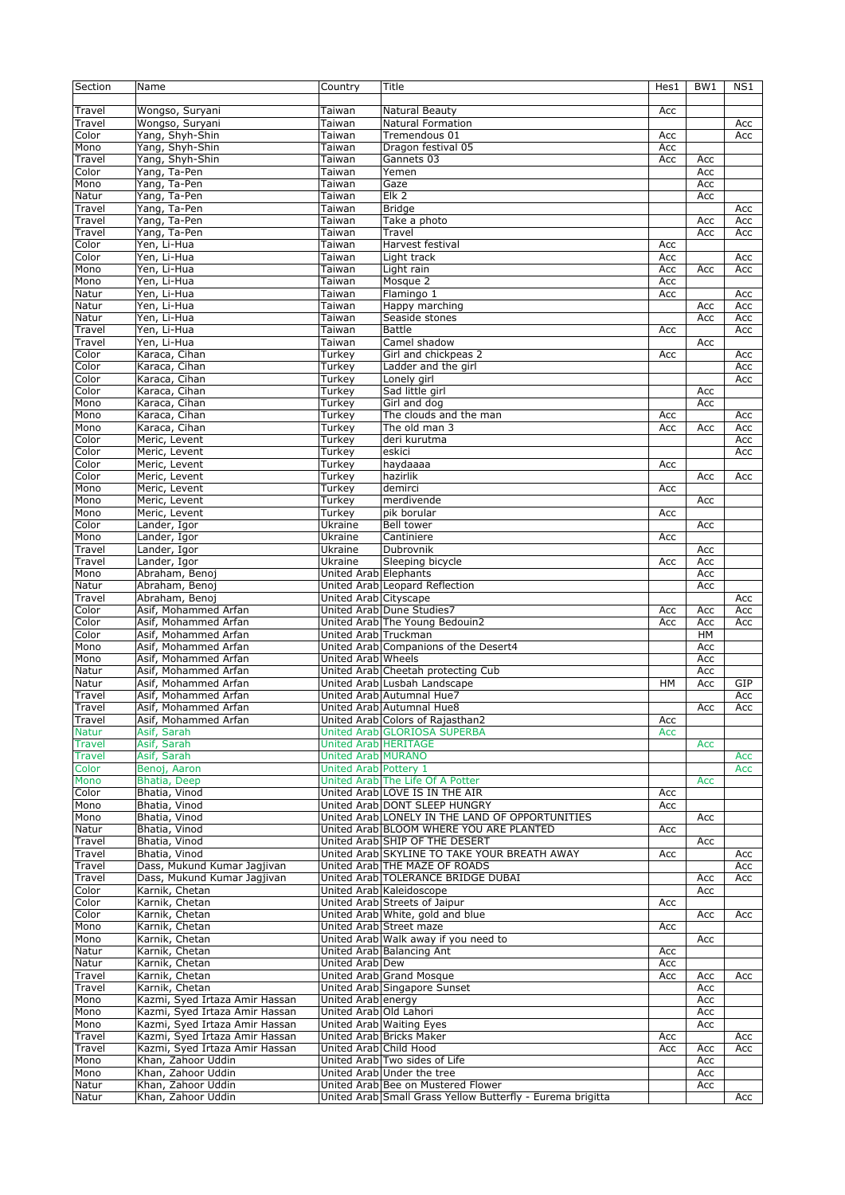| Section                        | Name                                     | Country                     | Title                                                                                            | Hes1 | BW <sub>1</sub> | NS1 |
|--------------------------------|------------------------------------------|-----------------------------|--------------------------------------------------------------------------------------------------|------|-----------------|-----|
|                                |                                          |                             |                                                                                                  |      |                 |     |
| Travel                         | Wongso, Suryani                          | Taiwan                      | Natural Beauty                                                                                   | Acc  |                 |     |
| Travel                         | Wongso, Suryani                          | Taiwan                      | <b>Natural Formation</b>                                                                         |      |                 | Acc |
| Color                          | Yang, Shyh-Shin                          | Taiwan                      | Tremendous 01                                                                                    | Acc  |                 | Acc |
| Mono                           | Yang, Shyh-Shin                          | Taiwan                      | Dragon festival 05                                                                               | Acc  |                 |     |
| Travel                         | Yang, Shyh-Shin                          | Taiwan                      | Gannets 03                                                                                       | Acc  | Acc             |     |
| Color                          | Yang, Ta-Pen                             | Taiwan                      | Yemen                                                                                            |      | Acc             |     |
| Mono                           | Yang, Ta-Pen                             | Taiwan                      | Gaze                                                                                             |      | Acc             |     |
| Natur                          | Yang, Ta-Pen                             | Taiwan                      | Elk 2                                                                                            |      | Acc             |     |
| Travel                         | Yang, Ta-Pen                             | Taiwan                      | <b>Bridge</b>                                                                                    |      |                 | Acc |
|                                | Yang, Ta-Pen                             |                             |                                                                                                  |      |                 | Acc |
| Travel                         | Yang, Ta-Pen                             | Taiwan                      | Take a photo                                                                                     |      | Acc             |     |
| Travel                         |                                          | Taiwan                      | Travel                                                                                           |      | Acc             | Acc |
| Color                          | Yen, Li-Hua                              | Taiwan                      | Harvest festival                                                                                 | Acc  |                 |     |
| Color                          | Yen, Li-Hua                              | Taiwan                      | Light track                                                                                      | Acc  |                 | Acc |
| Mono                           | Yen, Li-Hua                              | Taiwan                      | Light rain                                                                                       | Acc  | Acc             | Acc |
| Mono                           | Yen, Li-Hua                              | Taiwan                      | Mosque 2                                                                                         | Acc  |                 |     |
| Natur                          | Yen, Li-Hua                              | Taiwan                      | Flamingo 1                                                                                       | Acc  |                 | Acc |
| Natur                          | Yen, Li-Hua                              | Taiwan                      | Happy marching                                                                                   |      | Acc             | Acc |
| Natur                          | Yen, Li-Hua                              | Taiwan                      | Seaside stones                                                                                   |      | Acc             | Acc |
| Travel                         | Yen, Li-Hua                              | Taiwan                      | <b>Battle</b>                                                                                    | Acc  |                 | Acc |
| Travel                         | Yen, Li-Hua                              | Taiwan                      | Camel shadow                                                                                     |      | Acc             |     |
| Color                          | Karaca, Cihan                            | Turkey                      | Girl and chickpeas 2                                                                             | Acc  |                 | Acc |
| Color                          | Karaca, Cihan                            | Turkey                      | Ladder and the girl                                                                              |      |                 | Acc |
| Color                          | Karaca, Cihan                            | Turkev                      | Lonely girl                                                                                      |      |                 | Acc |
| Color                          | Karaca, Cihan                            | Turkey                      | Sad little girl                                                                                  |      | Acc             |     |
| Mono                           | Karaca, Cihan                            | Turkey                      | Girl and dog                                                                                     |      | Acc             |     |
| Mono                           | Karaca, Cihan                            | Turkey                      | The clouds and the man                                                                           | Acc  |                 | Acc |
| Mono                           | Karaca, Cihan                            | Turkey                      | The old man 3                                                                                    | Acc  | Acc             | Acc |
| Color                          | Meric, Levent                            | Turkey                      | deri kurutma                                                                                     |      |                 | Acc |
| Color                          | Meric, Levent                            | Turkey                      | eskici                                                                                           |      |                 | Acc |
| Color                          | Meric, Levent                            | Turkey                      | haydaaaa                                                                                         | Acc  |                 |     |
| Color                          | Meric, Levent                            | <b>Turkey</b>               | hazirlik                                                                                         |      | Acc             | Acc |
|                                |                                          |                             |                                                                                                  |      |                 |     |
| Mono                           | Meric, Levent                            | Turkey                      | demirci                                                                                          | Acc  |                 |     |
| Mono                           | Meric, Levent                            | Turkey                      | merdivende                                                                                       |      | Acc             |     |
| Mono                           | Meric, Levent                            | Turkey                      | pik borular                                                                                      | Acc  |                 |     |
| Color                          | Lander, Igor                             | Ukraine                     | Bell tower                                                                                       |      | Acc             |     |
| Mono                           | Lander, Igor                             | Ukraine                     | Cantiniere                                                                                       | Acc  |                 |     |
| Travel                         | Lander, Igor                             | Ukraine                     | Dubrovnik                                                                                        |      | Acc             |     |
| Travel                         | Lander, Igor                             | Ukraine                     | Sleeping bicycle                                                                                 | Acc  | Acc             |     |
| Mono                           | Abraham, Benoj                           | United Arab Elephants       |                                                                                                  |      | Acc             |     |
| Natur                          | Abraham, Benoj                           |                             | United Arab Leopard Reflection                                                                   |      | Acc             |     |
| Travel                         | Abraham, Benoj                           | United Arab Cityscape       |                                                                                                  |      |                 | Acc |
| Color                          | Asif, Mohammed Arfan                     |                             | United Arab Dune Studies7                                                                        | Acc  | Acc             | Acc |
| Color                          | Asif, Mohammed Arfan                     |                             | United Arab The Young Bedouin2                                                                   | Acc  | Acc             | Acc |
| Color                          | Asif, Mohammed Arfan                     | United Arab Truckman        |                                                                                                  |      | HM              |     |
| Mono                           | Asif, Mohammed Arfan                     |                             | United Arab Companions of the Desert4                                                            |      | Acc             |     |
| Mono                           | Asif, Mohammed Arfan                     | United Arab Wheels          |                                                                                                  |      | Acc             |     |
| Natur                          | Asif, Mohammed Arfan                     |                             | United Arab Cheetah protecting Cub                                                               |      | Acc             |     |
| Natur                          | Asif, Mohammed Arfan                     |                             | United Arab Lusbah Landscape                                                                     | HM   | Acc             | GIP |
| Travel                         | Asif, Mohammed Arfan                     |                             | United Arab Autumnal Hue7                                                                        |      |                 | Acc |
| Travel                         | Asif, Mohammed Arfan                     |                             | United Arab Autumnal Hue8                                                                        |      | Acc             | Acc |
|                                |                                          |                             | United Arab Colors of Rajasthan2                                                                 |      |                 |     |
| Travel<br><b>Natur</b>         | Asif, Mohammed Arfan                     |                             |                                                                                                  |      |                 |     |
|                                |                                          |                             |                                                                                                  | Acc  |                 |     |
| <b>Travel</b><br><b>Travel</b> | Asif, Sarah                              |                             | United Arab GLORIOSA SUPERBA                                                                     | Acc  |                 |     |
|                                | Asif, Sarah                              | <b>United Arab HERITAGE</b> |                                                                                                  |      | Acc             |     |
|                                | Asif, Sarah                              | <b>United Arab MURANO</b>   |                                                                                                  |      |                 | Acc |
| Color                          | Benoj, Aaron                             | United Arab Pottery 1       |                                                                                                  |      |                 | Acc |
| Mono                           | Bhatia, Deep                             |                             | United Arab The Life Of A Potter                                                                 |      | Acc             |     |
| Color                          | Bhatia, Vinod                            |                             | United Arab LOVE IS IN THE AIR                                                                   | Acc  |                 |     |
| Mono                           | Bhatia, Vinod                            |                             | United Arab DONT SLEEP HUNGRY                                                                    | Acc  |                 |     |
| Mono                           | Bhatia, Vinod                            |                             | United Arab LONELY IN THE LAND OF OPPORTUNITIES                                                  |      | Acc             |     |
| Natur                          | Bhatia, Vinod                            |                             | United Arab BLOOM WHERE YOU ARE PLANTED                                                          | Acc  |                 |     |
| Travel                         | Bhatia, Vinod                            |                             | United Arab SHIP OF THE DESERT                                                                   |      | Acc             |     |
| Travel                         | Bhatia, Vinod                            |                             | United Arab SKYLINE TO TAKE YOUR BREATH AWAY                                                     | Acc  |                 | Acc |
| Travel                         | Dass, Mukund Kumar Jagjivan              |                             | United Arab THE MAZE OF ROADS                                                                    |      |                 | Acc |
| Travel                         | Dass, Mukund Kumar Jagjivan              |                             | United Arab TOLERANCE BRIDGE DUBAI                                                               |      | Acc             | Acc |
| Color                          | Karnik, Chetan                           |                             | United Arab Kaleidoscope                                                                         |      | Acc             |     |
| Color                          | Karnik, Chetan                           |                             | United Arab Streets of Jaipur                                                                    | Acc  |                 |     |
| Color                          | Karnik, Chetan                           |                             | United Arab White, gold and blue                                                                 |      | Acc             | Acc |
| Mono                           | Karnik, Chetan                           |                             | United Arab Street maze                                                                          | Acc  |                 |     |
| Mono                           | Karnik, Chetan                           |                             | United Arab Walk away if you need to                                                             |      | Acc             |     |
| Natur                          | Karnik, Chetan                           |                             | United Arab Balancing Ant                                                                        | Acc  |                 |     |
| Natur                          | Karnik, Chetan                           | United Arab Dew             |                                                                                                  | Acc  |                 |     |
| Travel                         |                                          |                             |                                                                                                  | Acc  | Acc             | Acc |
|                                | Karnik, Chetan                           |                             | United Arab Grand Mosque                                                                         |      |                 |     |
| Travel                         | Karnik, Chetan                           |                             | United Arab Singapore Sunset                                                                     |      | Acc             |     |
| Mono                           | Kazmi, Syed Irtaza Amir Hassan           | United Arab energy          |                                                                                                  |      | Acc             |     |
| Mono                           | Kazmi, Syed Irtaza Amir Hassan           | United Arab Old Lahori      |                                                                                                  |      | Acc             |     |
| Mono                           | Kazmi, Syed Irtaza Amir Hassan           |                             | United Arab Waiting Eyes                                                                         |      | Acc             |     |
| Travel                         | Kazmi, Syed Irtaza Amir Hassan           |                             | United Arab Bricks Maker                                                                         | Acc  |                 | Acc |
| Travel                         | Kazmi, Syed Irtaza Amir Hassan           | United Arab Child Hood      |                                                                                                  | Acc  | Acc             | Acc |
| Mono                           | Khan, Zahoor Uddin                       |                             | United Arab Two sides of Life                                                                    |      | Acc             |     |
| Mono                           | Khan, Zahoor Uddin                       |                             | United Arab Under the tree                                                                       |      | Acc             |     |
| Natur<br>Natur                 | Khan, Zahoor Uddin<br>Khan, Zahoor Uddin |                             | United Arab Bee on Mustered Flower<br>United Arab Small Grass Yellow Butterfly - Eurema brigitta |      | Acc             | Acc |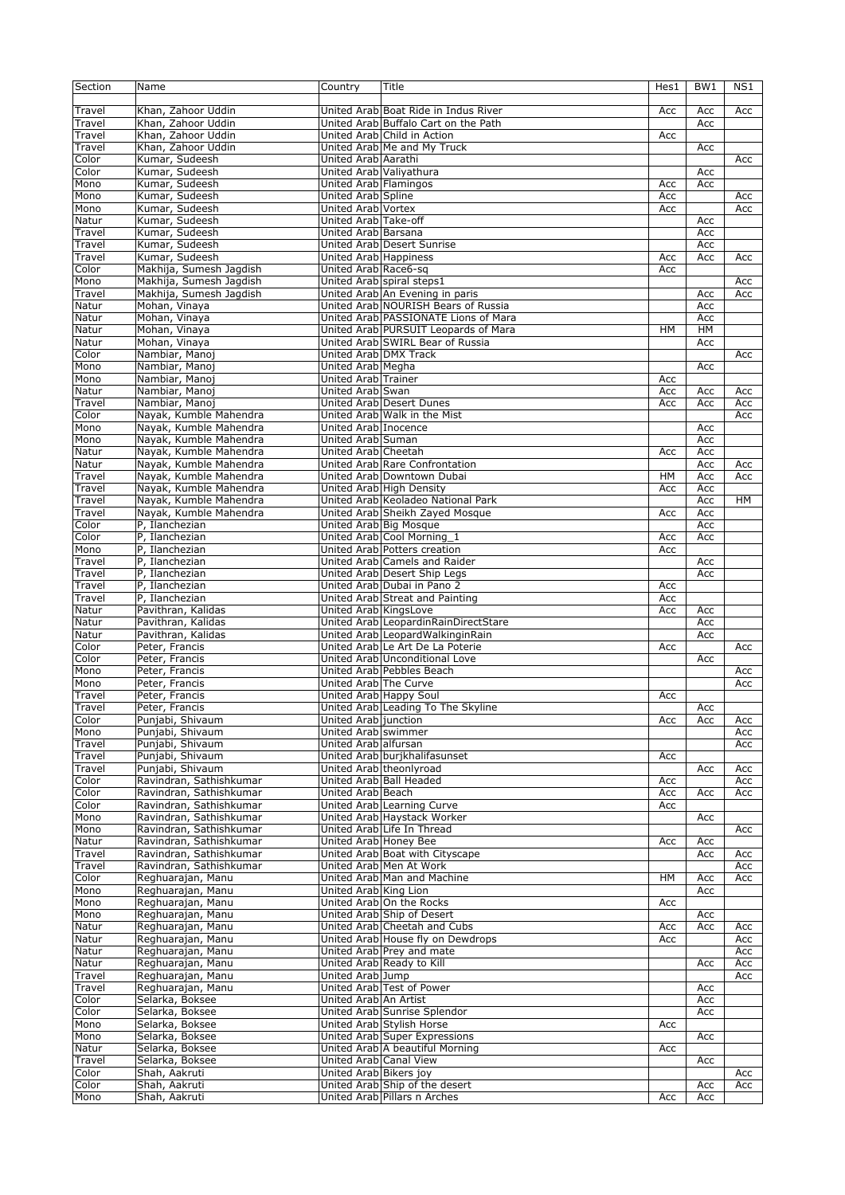| Section | Name                    | Country                      | Title                                | Hes1      | BW1       | NS1 |
|---------|-------------------------|------------------------------|--------------------------------------|-----------|-----------|-----|
|         |                         |                              |                                      |           |           |     |
| Travel  | Khan, Zahoor Uddin      |                              | United Arab Boat Ride in Indus River | Acc       | Acc       | Acc |
| Travel  | Khan, Zahoor Uddin      |                              | United Arab Buffalo Cart on the Path |           | Acc       |     |
| Travel  | Khan, Zahoor Uddin      |                              | United Arab Child in Action          | Acc       |           |     |
| Travel  | Khan, Zahoor Uddin      |                              | United Arab Me and My Truck          |           | Acc       |     |
| Color   | Kumar, Sudeesh          | United Arab Aarathi          |                                      |           |           | Acc |
| Color   | Kumar, Sudeesh          | United Arab Valiyathura      |                                      |           | Acc       |     |
| Mono    | Kumar, Sudeesh          | United Arab Flamingos        |                                      | Acc       | Acc       |     |
| Mono    | Kumar, Sudeesh          | United Arab Spline           |                                      | Acc       |           | Acc |
| Mono    | Kumar, Sudeesh          | United Arab Vortex           |                                      | Acc       |           | Acc |
| Natur   | Kumar, Sudeesh          | United Arab Take-off         |                                      |           | Acc       |     |
| Travel  | Kumar, Sudeesh          | United Arab Barsana          |                                      |           | Acc       |     |
| Travel  | Kumar, Sudeesh          |                              | United Arab Desert Sunrise           |           | Acc       |     |
| Travel  | Kumar, Sudeesh          | United Arab Happiness        |                                      | Acc       | Acc       | Acc |
| Color   | Makhija, Sumesh Jagdish | United Arab Race6-sq         |                                      | Acc       |           |     |
| Mono    | Makhija, Sumesh Jagdish |                              | United Arab spiral steps1            |           |           | Acc |
| Travel  | Makhija, Sumesh Jagdish |                              | United Arab An Evening in paris      |           | Acc       | Acc |
| Natur   | Mohan, Vinaya           |                              | United Arab NOURISH Bears of Russia  |           | Acc       |     |
| Natur   | Mohan, Vinaya           |                              | United Arab PASSIONATE Lions of Mara |           | Acc       |     |
| Natur   | Mohan, Vinaya           |                              | United Arab PURSUIT Leopards of Mara | <b>HM</b> | <b>HM</b> |     |
| Natur   | Mohan, Vinaya           |                              | United Arab SWIRL Bear of Russia     |           | Acc       |     |
| Color   | Nambiar, Manoj          | <b>United Arab DMX Track</b> |                                      |           |           | Acc |
| Mono    | Nambiar, Manoj          | United Arab Megha            |                                      |           | Acc       |     |
| Mono    | Nambiar, Manoj          | United Arab Trainer          |                                      | Acc       |           |     |
| Natur   | Nambiar, Manoj          | United Arab Swan             |                                      | Acc       | Acc       | Acc |
| Travel  | Nambiar, Manoj          |                              | United Arab Desert Dunes             | Acc       | Acc       | Acc |
| Color   | Nayak, Kumble Mahendra  |                              | United Arab Walk in the Mist         |           |           | Acc |
| Mono    | Nayak, Kumble Mahendra  | United Arab Inocence         |                                      |           | Acc       |     |
| Mono    | Nayak, Kumble Mahendra  | United Arab Suman            |                                      |           | Acc       |     |
| Natur   | Nayak, Kumble Mahendra  | United Arab Cheetah          |                                      | Acc       | Acc       |     |
| Natur   | Nayak, Kumble Mahendra  |                              | United Arab Rare Confrontation       |           | Acc       | Acc |
| Travel  |                         |                              |                                      |           |           |     |
|         | Nayak, Kumble Mahendra  |                              | United Arab Downtown Dubai           | HM        | Acc       | Acc |
| Travel  | Nayak, Kumble Mahendra  |                              | United Arab High Density             | Acc       | Acc       |     |
| Travel  | Nayak, Kumble Mahendra  |                              | United Arab Keoladeo National Park   |           | Acc       | HM  |
| Travel  | Nayak, Kumble Mahendra  |                              | United Arab Sheikh Zayed Mosque      | Acc       | Acc       |     |
| Color   | P, Ilanchezian          | United Arab Big Mosque       |                                      |           | Acc       |     |
| Color   | P, Ilanchezian          |                              | United Arab Cool Morning 1           | Acc       | Acc       |     |
| Mono    | P, Ilanchezian          |                              | United Arab Potters creation         | Acc       |           |     |
| Travel  | P, Ilanchezian          |                              | United Arab Camels and Raider        |           | Acc       |     |
| Travel  | P, Ilanchezian          |                              | United Arab Desert Ship Legs         |           | Acc       |     |
| Travel  | P, Ilanchezian          |                              | United Arab Dubai in Pano 2          | Acc       |           |     |
| Travel  | P, Ilanchezian          |                              | United Arab Streat and Painting      | Acc       |           |     |
| Natur   | Pavithran, Kalidas      | United Arab KingsLove        |                                      | Acc       | Acc       |     |
| Natur   | Pavithran, Kalidas      |                              | United Arab LeopardinRainDirectStare |           | Acc       |     |
| Natur   | Pavithran, Kalidas      |                              | United Arab LeopardWalkinginRain     |           | Acc       |     |
| Color   | Peter, Francis          |                              | United Arab Le Art De La Poterie     | Acc       |           | Acc |
| Color   | Peter, Francis          |                              | United Arab Unconditional Love       |           | Acc       |     |
| Mono    | Peter, Francis          |                              | United Arab Pebbles Beach            |           |           | Acc |
| Mono    | Peter, Francis          | United Arab The Curve        |                                      |           |           | Acc |
| Travel  | Peter, Francis          | United Arab Happy Soul       |                                      | Acc       |           |     |
| Travel  | Peter, Francis          |                              | United Arab Leading To The Skyline   |           | Acc       |     |
| Color   | Punjabi, Shivaum        | United Arab junction         |                                      | Acc       | Acc       | Acc |
| Mono    | Punjabi, Shivaum        | United Arab swimmer          |                                      |           |           | Acc |
| Travel  | Punjabi, Shivaum        | United Arab alfursan         |                                      |           |           | Acc |
| Travel  | Punjabi, Shivaum        |                              | United Arab burjkhalifasunset        | Acc       |           |     |
| Travel  | Punjabi, Shivaum        |                              | United Arab theonlyroad              |           | Acc       | Acc |
| Color   | Ravindran, Sathishkumar |                              | United Arab Ball Headed              | Acc       |           | Acc |
| Color   | Ravindran, Sathishkumar | United Arab Beach            |                                      | Acc       | Acc       | Acc |
| Color   | Ravindran, Sathishkumar |                              | United Arab Learning Curve           | Acc       |           |     |
| Mono    | Ravindran, Sathishkumar |                              | United Arab Haystack Worker          |           | Acc       |     |
| Mono    | Ravindran, Sathishkumar |                              | United Arab Life In Thread           |           |           | Acc |
| Natur   | Ravindran, Sathishkumar | United Arab Honey Bee        |                                      | Acc       | Acc       |     |
| Travel  | Ravindran, Sathishkumar |                              | United Arab Boat with Cityscape      |           | Acc       | Acc |
| Travel  | Ravindran, Sathishkumar |                              | United Arab Men At Work              |           |           | Acc |
| Color   | Reghuarajan, Manu       |                              | United Arab Man and Machine          | HM        | Acc       | Acc |
| Mono    | Reghuarajan, Manu       | United Arab King Lion        |                                      |           | Acc       |     |
| Mono    | Reghuarajan, Manu       |                              | United Arab On the Rocks             | Acc       |           |     |
| Mono    | Reghuarajan, Manu       |                              | United Arab Ship of Desert           |           | Acc       |     |
| Natur   | Reghuarajan, Manu       |                              | United Arab Cheetah and Cubs         | Acc       | Acc       | Acc |
| Natur   | Reghuarajan, Manu       |                              | United Arab House fly on Dewdrops    | Acc       |           | Acc |
| Natur   | Reghuarajan, Manu       |                              | United Arab Prey and mate            |           |           | Acc |
| Natur   | Reghuarajan, Manu       |                              | United Arab Ready to Kill            |           | Acc       | Acc |
| Travel  | Reghuarajan, Manu       | United Arab Jump             |                                      |           |           | Acc |
| Travel  | Reghuarajan, Manu       |                              | United Arab Test of Power            |           | Acc       |     |
| Color   | Selarka, Boksee         | United Arab An Artist        |                                      |           | Acc       |     |
| Color   | Selarka, Boksee         |                              | United Arab Sunrise Splendor         |           | Acc       |     |
| Mono    | Selarka, Boksee         |                              | United Arab Stylish Horse            | Acc       |           |     |
| Mono    | Selarka, Boksee         |                              | United Arab Super Expressions        |           | Acc       |     |
| Natur   | Selarka, Boksee         |                              | United Arab A beautiful Morning      |           |           |     |
| Travel  | Selarka, Boksee         | United Arab Canal View       |                                      | Acc       | Acc       |     |
| Color   | Shah, Aakruti           | United Arab Bikers joy       |                                      |           |           | Acc |
| Color   | Shah, Aakruti           |                              | United Arab Ship of the desert       |           |           |     |
|         |                         |                              |                                      |           | Acc       | Acc |
| Mono    | Shah, Aakruti           |                              | United Arab Pillars n Arches         | Acc       | Acc       |     |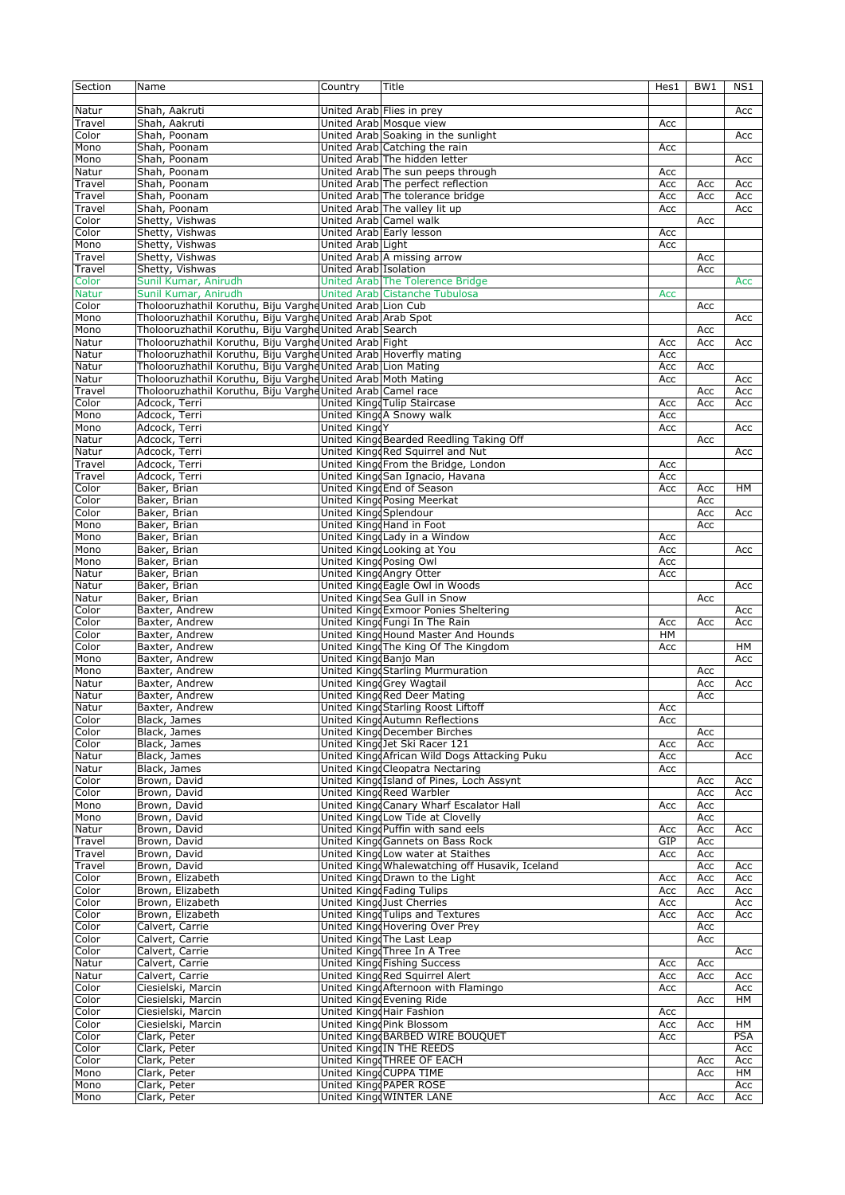| Section         | Name                                                            | Country                | Title                                           | Hes1 | BW <sub>1</sub> | N <sub>S1</sub> |
|-----------------|-----------------------------------------------------------------|------------------------|-------------------------------------------------|------|-----------------|-----------------|
|                 |                                                                 |                        |                                                 |      |                 |                 |
| Natur           | Shah, Aakruti                                                   |                        | United Arab Flies in prey                       |      |                 | Acc             |
|                 |                                                                 |                        |                                                 |      |                 |                 |
| Travel<br>Color | Shah, Aakruti                                                   |                        | United Arab Mosque view                         | Acc  |                 |                 |
|                 | Shah, Poonam                                                    |                        | United Arab Soaking in the sunlight             |      |                 | Acc             |
| Mono            | Shah, Poonam                                                    |                        | United Arab Catching the rain                   | Acc  |                 |                 |
| Mono            | Shah, Poonam                                                    |                        | United Arab The hidden letter                   |      |                 | Acc             |
| Natur           | Shah, Poonam                                                    |                        | United Arab The sun peeps through               | Acc  |                 |                 |
| Travel          | Shah, Poonam                                                    |                        | United Arab The perfect reflection              | Acc  | Acc             | Acc             |
| Travel          | Shah, Poonam                                                    |                        | United Arab The tolerance bridge                | Acc  | Acc             | Acc             |
| Travel          | Shah, Poonam                                                    |                        | United Arab The valley lit up                   | Acc  |                 | Acc             |
| Color           | Shetty, Vishwas                                                 | United Arab Camel walk |                                                 |      | Acc             |                 |
|                 |                                                                 |                        | United Arab Early lesson                        |      |                 |                 |
| Color           | Shetty, Vishwas                                                 |                        |                                                 | Acc  |                 |                 |
| Mono            | Shetty, Vishwas                                                 | United Arab Light      |                                                 | Acc  |                 |                 |
| Travel          | Shetty, Vishwas                                                 |                        | United Arab A missing arrow                     |      | Acc             |                 |
| Travel          | Shetty, Vishwas                                                 | United Arab Isolation  |                                                 |      | Acc             |                 |
| Color           | Sunil Kumar, Anirudh                                            |                        | United Arab The Tolerence Bridge                |      |                 | Acc             |
| <b>Natur</b>    | Sunil Kumar, Anirudh                                            |                        | <b>United Arab Cistanche Tubulosa</b>           | Acc  |                 |                 |
| Color           | Tholooruzhathil Koruthu, Biju Varghe United Arab Lion Cub       |                        |                                                 |      | Acc             |                 |
|                 |                                                                 |                        |                                                 |      |                 |                 |
| Mono            | Tholooruzhathil Koruthu, Biju VargheUnited Arab Arab Spot       |                        |                                                 |      |                 | Acc             |
| Mono            | Tholooruzhathil Koruthu, Biju VargheUnited Arab Search          |                        |                                                 |      | Acc             |                 |
| Natur           | Tholooruzhathil Koruthu, Biju VargheUnited Arab Fight           |                        |                                                 | Acc  | Acc             | Acc             |
| Natur           | Tholooruzhathil Koruthu, Biju VargheUnited Arab Hoverfly mating |                        |                                                 | Acc  |                 |                 |
| Natur           | Tholooruzhathil Koruthu, Biju Varghe United Arab Lion Mating    |                        |                                                 | Acc  | Acc             |                 |
| Natur           | Tholooruzhathil Koruthu, Biju VargheUnited Arab Moth Mating     |                        |                                                 | Acc  |                 | Acc             |
| Travel          | Tholooruzhathil Koruthu, Biju VargheUnited Arab Camel race      |                        |                                                 |      |                 |                 |
|                 |                                                                 |                        |                                                 |      | Acc             | Acc             |
| Color           | Adcock, Terri                                                   |                        | United King Tulip Staircase                     | Acc  | Acc             | Acc             |
| Mono            | Adcock, Terri                                                   |                        | United KingdA Snowy walk                        | Acc  |                 |                 |
| Mono            | Adcock, Terri                                                   | United KingdY          |                                                 | Acc  |                 | Acc             |
| Natur           | Adcock, Terri                                                   |                        | United KingdBearded Reedling Taking Off         |      | Acc             |                 |
| Natur           | Adcock, Terri                                                   |                        | United KingdRed Squirrel and Nut                |      |                 | Acc             |
| Travel          | Adcock, Terri                                                   |                        | United KingdFrom the Bridge, London             | Acc  |                 |                 |
| Travel          | Adcock, Terri                                                   |                        | United KingdSan Ignacio, Havana                 | Acc  |                 |                 |
|                 |                                                                 |                        |                                                 |      |                 |                 |
| Color           | Baker, Brian                                                    |                        | United Kingd End of Season                      | Acc  | Acc             | HM              |
| Color           | Baker, Brian                                                    |                        | United Kingd Posing Meerkat                     |      | Acc             |                 |
| Color           | Baker, Brian                                                    | United Kingd Splendour |                                                 |      | Acc             | Acc             |
| Mono            | Baker, Brian                                                    |                        | United Kingd Hand in Foot                       |      | Acc             |                 |
| Mono            | Baker, Brian                                                    |                        | United King Lady in a Window                    | Acc  |                 |                 |
| Mono            | Baker, Brian                                                    |                        | United King Looking at You                      | Acc  |                 | Acc             |
|                 |                                                                 |                        |                                                 |      |                 |                 |
| Mono            | Baker, Brian                                                    | United King Posing Owl |                                                 | Acc  |                 |                 |
| Natur           | Baker, Brian                                                    |                        | United KingdAngry Otter                         | Acc  |                 |                 |
| Natur           | Baker, Brian                                                    |                        | United KingdEagle Owl in Woods                  |      |                 | Acc             |
| Natur           | Baker, Brian                                                    |                        | United KingdSea Gull in Snow                    |      | Acc             |                 |
| Color           | Baxter, Andrew                                                  |                        | United KingdExmoor Ponies Sheltering            |      |                 | Acc             |
| Color           | Baxter, Andrew                                                  |                        | United KingdFungi In The Rain                   | Acc  | Acc             | Acc             |
|                 |                                                                 |                        | United Kingd Hound Master And Hounds            |      |                 |                 |
| Color           | Baxter, Andrew                                                  |                        |                                                 | HM   |                 |                 |
| Color           | Baxter, Andrew                                                  |                        | United Kingd The King Of The Kingdom            | Acc  |                 | HM              |
| Mono            | Baxter, Andrew                                                  | United King Banjo Man  |                                                 |      |                 | Acc             |
| Mono            | Baxter, Andrew                                                  |                        | United KingdStarling Murmuration                |      | Acc             |                 |
| Natur           | Baxter, Andrew                                                  |                        | United KingdGrey Wagtail                        |      | Acc             | Acc             |
| Natur           | Baxter, Andrew                                                  |                        | United KingdRed Deer Mating                     |      | Acc             |                 |
| Natur           | Baxter, Andrew                                                  |                        | United KingdStarling Roost Liftoff              | Acc  |                 |                 |
|                 |                                                                 |                        |                                                 |      |                 |                 |
| Color           | Black, James                                                    |                        | United KingdAutumn Reflections                  | Acc  |                 |                 |
| Color           | Black, James                                                    |                        | United KingdDecember Birches                    |      | Acc             |                 |
| Color           | Black, James                                                    |                        | United KingdJet Ski Racer 121                   | Acc  | Acc             |                 |
| Natur           | Black, James                                                    |                        | United KingdAfrican Wild Dogs Attacking Puku    | Acc  |                 | Acc             |
| Natur           | Black, James                                                    |                        | United KingdCleopatra Nectaring                 | Acc  |                 |                 |
| Color           | Brown, David                                                    |                        | United KingdIsland of Pines, Loch Assynt        |      | Acc             | Acc             |
| Color           | Brown, David                                                    |                        | United KingdReed Warbler                        |      | Acc             | Acc             |
| Mono            | Brown, David                                                    |                        | United KingdCanary Wharf Escalator Hall         | Acc  | Acc             |                 |
|                 |                                                                 |                        | United KingdLow Tide at Clovelly                |      |                 |                 |
| Mono            | Brown, David                                                    |                        |                                                 |      | Acc             |                 |
| Natur           | Brown, David                                                    |                        | United Kingd Puffin with sand eels              | Acc  | Acc             | Acc             |
| Travel          | Brown, David                                                    |                        | United Kingd Gannets on Bass Rock               | GIP  | Acc             |                 |
| Travel          | Brown, David                                                    |                        | United KingdLow water at Staithes               | Acc  | Acc             |                 |
| Travel          | Brown, David                                                    |                        | United Kingd Whalewatching off Husavik, Iceland |      | Acc             | Acc             |
| Color           | Brown, Elizabeth                                                |                        | United Kingd Drawn to the Light                 | Acc  | Acc             | Acc             |
| Color           | Brown, Elizabeth                                                |                        | United King Fading Tulips                       | Acc  | Acc             | Acc             |
|                 |                                                                 |                        |                                                 |      |                 |                 |
| Color           | Brown, Elizabeth                                                |                        | United Kingd Just Cherries                      | Acc  |                 | Acc             |
| Color           | Brown, Elizabeth                                                |                        | United KingdTulips and Textures                 | Acc  | Acc             | Acc             |
| Color           | Calvert, Carrie                                                 |                        | United Kingd Hovering Over Prey                 |      | Acc             |                 |
| Color           | Calvert, Carrie                                                 |                        | United Kingd The Last Leap                      |      | Acc             |                 |
| Color           | Calvert, Carrie                                                 |                        | United KingdThree In A Tree                     |      |                 | Acc             |
| Natur           | Calvert, Carrie                                                 |                        | United King Fishing Success                     | Acc  | Acc             |                 |
| Natur           | Calvert, Carrie                                                 |                        | United KingdRed Squirrel Alert                  | Acc  | Acc             | Acc             |
|                 |                                                                 |                        |                                                 |      |                 |                 |
| Color           | Ciesielski, Marcin                                              |                        | United KingdAfternoon with Flamingo             | Acc  |                 | Acc             |
| Color           | Ciesielski, Marcin                                              |                        | United Kingd Evening Ride                       |      | Acc             | HМ              |
| Color           | Ciesielski, Marcin                                              |                        | United Kingd Hair Fashion                       | Acc  |                 |                 |
| Color           | Ciesielski, Marcin                                              |                        | United KingdPink Blossom                        | Acc  | Acc             | HМ              |
| Color           | Clark, Peter                                                    |                        | United KingdBARBED WIRE BOUQUET                 | Acc  |                 | <b>PSA</b>      |
| Color           | Clark, Peter                                                    |                        | United KingdIN THE REEDS                        |      |                 | Acc             |
| Color           | Clark, Peter                                                    |                        | United King THREE OF EACH                       |      | Acc             | Acc             |
| Mono            | Clark, Peter                                                    |                        | United KingdCUPPA TIME                          |      | Acc             | HМ              |
|                 |                                                                 |                        |                                                 |      |                 |                 |
| Mono            | Clark, Peter                                                    |                        | United King PAPER ROSE                          |      |                 | Acc             |
| Mono            | Clark, Peter                                                    |                        | United KingdWINTER LANE                         | Acc  | Acc             | Acc             |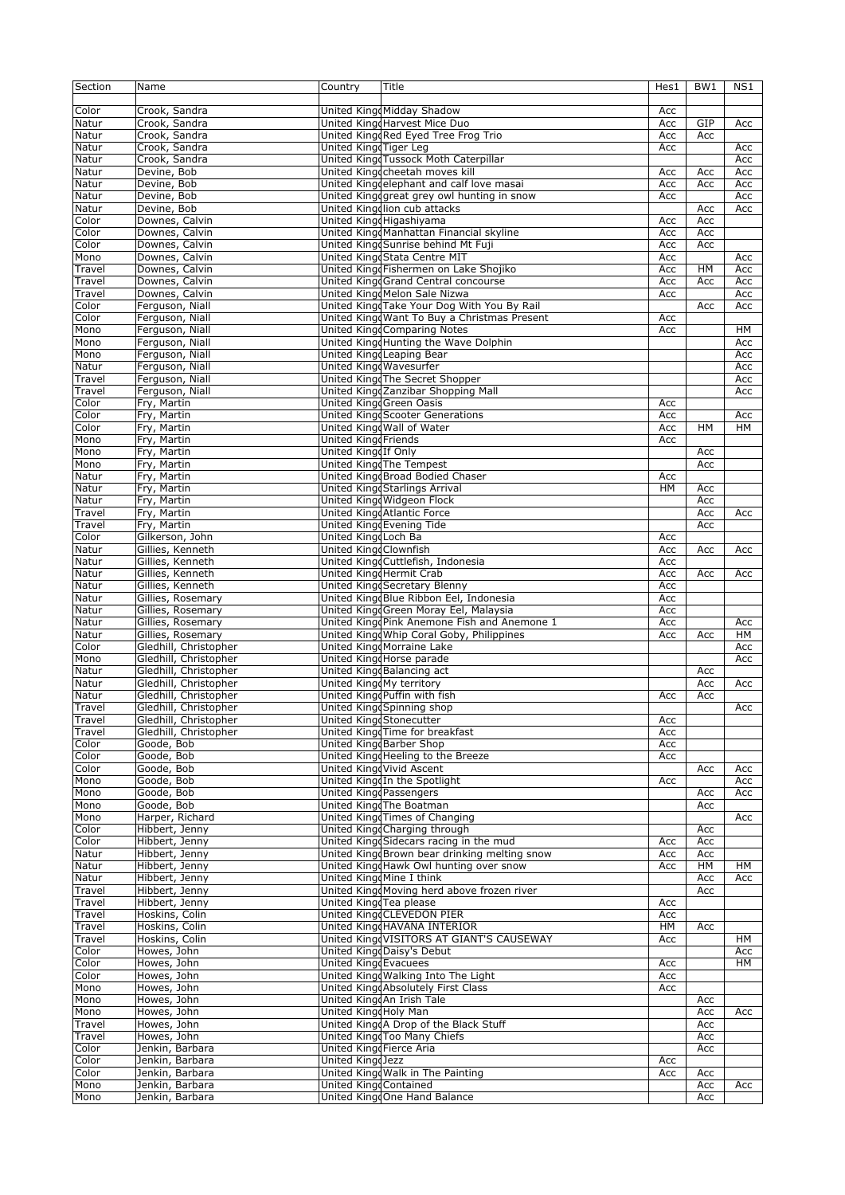| Section | Name                  | Country                      | Title                                        | Hes1      | BW1       | NS1 |
|---------|-----------------------|------------------------------|----------------------------------------------|-----------|-----------|-----|
|         |                       |                              |                                              |           |           |     |
| Color   | Crook, Sandra         |                              | United KingdMidday Shadow                    | Acc       |           |     |
| Natur   | Crook, Sandra         |                              | United Kingd Harvest Mice Duo                | Acc       | GIP       | Acc |
| Natur   | Crook, Sandra         |                              | United KingdRed Eyed Tree Frog Trio          | Acc       | Acc       |     |
| Natur   | Crook, Sandra         | United King Tiger Leg        |                                              | Acc       |           | Acc |
| Natur   | Crook, Sandra         |                              | United Kingd Tussock Moth Caterpillar        |           |           | Acc |
| Natur   | Devine, Bob           |                              | United Kingccheetah moves kill               | Acc       | Acc       | Acc |
| Natur   | Devine, Bob           |                              | United Kingdelephant and calf love masai     | Acc       | Acc       | Acc |
| Natur   | Devine, Bob           |                              | United Kingdgreat grey owl hunting in snow   | Acc       |           | Acc |
| Natur   | Devine, Bob           |                              | United Kingdlion cub attacks                 |           | Acc       | Acc |
| Color   | Downes, Calvin        |                              | United Kingd Higashiyama                     | Acc       | Acc       |     |
| Color   | Downes, Calvin        |                              | United KingdManhattan Financial skyline      | Acc       | Acc       |     |
| Color   | Downes, Calvin        |                              | United Kingd Sunrise behind Mt Fuji          | Acc       | Acc       |     |
| Mono    | Downes, Calvin        |                              | United Kingd Stata Centre MIT                | Acc       |           | Acc |
| Travel  | Downes, Calvin        |                              | United Kingd Fishermen on Lake Shojiko       | Acc       | $H$ M     |     |
|         |                       |                              |                                              |           |           | Acc |
| Travel  | Downes, Calvin        |                              | United Kingd Grand Central concourse         | Acc       | Acc       | Acc |
| Travel  | Downes, Calvin        |                              | United KingdMelon Sale Nizwa                 | Acc       |           | Acc |
| Color   | Ferguson, Niall       |                              | United KingdTake Your Dog With You By Rail   |           | Acc       | Acc |
| Color   | Ferguson, Niall       |                              | United Kingd Want To Buy a Christmas Present | Acc       |           |     |
| Mono    | Ferguson, Niall       |                              | <b>United King Comparing Notes</b>           | Acc       |           | HМ  |
| Mono    | Ferguson, Niall       |                              | United Kingd Hunting the Wave Dolphin        |           |           | Acc |
| Mono    | Ferguson, Niall       |                              | United Kingd Leaping Bear                    |           |           | Acc |
| Natur   | Ferguson, Niall       | United Kingd Wavesurfer      |                                              |           |           | Acc |
| Travel  | Ferguson, Niall       |                              | United KingdThe Secret Shopper               |           |           | Acc |
| Travel  | Ferguson, Niall       |                              | United KingdZanzibar Shopping Mall           |           |           | Acc |
| Color   | Fry, Martin           |                              | United King Green Oasis                      | Acc       |           |     |
| Color   | Fry, Martin           |                              | United KingdScooter Generations              | Acc       |           | Acc |
| Color   | Fry, Martin           |                              | United Kingd Wall of Water                   | Acc       | <b>HM</b> | HM  |
| Mono    | Fry, Martin           | <b>United Kingd Friends</b>  |                                              | Acc       |           |     |
| Mono    | Fry, Martin           | United KingdIf Only          |                                              |           | Acc       |     |
| Mono    | Fry, Martin           |                              | United KingdThe Tempest                      |           | Acc       |     |
| Natur   | Fry, Martin           |                              | United Kingd Broad Bodied Chaser             | Acc       |           |     |
| Natur   | Fry, Martin           |                              | United Kingd Starlings Arrival               | <b>HM</b> | Acc       |     |
| Natur   | Fry, Martin           |                              | United Kingd Widgeon Flock                   |           | Acc       |     |
|         |                       |                              |                                              |           |           |     |
| Travel  | Fry, Martin           |                              | United KingdAtlantic Force                   |           | Acc       | Acc |
| Travel  | Fry, Martin           |                              | United King Evening Tide                     |           | Acc       |     |
| Color   | Gilkerson, John       | United Kingd Loch Ba         |                                              | Acc       |           |     |
| Natur   | Gillies, Kenneth      | <b>United King Clownfish</b> |                                              | Acc       | Acc       | Acc |
| Natur   | Gillies, Kenneth      |                              | United KingdCuttlefish, Indonesia            | Acc       |           |     |
| Natur   | Gillies, Kenneth      |                              | United KingdHermit Crab                      | Acc       | Acc       | Acc |
| Natur   | Gillies, Kenneth      |                              | United Kingd Secretary Blenny                | Acc       |           |     |
| Natur   | Gillies, Rosemary     |                              | United KingdBlue Ribbon Eel, Indonesia       | Acc       |           |     |
| Natur   | Gillies, Rosemary     |                              | United Kingd Green Moray Eel, Malaysia       | Acc       |           |     |
| Natur   | Gillies, Rosemary     |                              | United KingdPink Anemone Fish and Anemone 1  | Acc       |           | Acc |
| Natur   | Gillies, Rosemary     |                              | United Kingd Whip Coral Goby, Philippines    | Acc       | Acc       | HМ  |
| Color   | Gledhill, Christopher |                              | United KingdMorraine Lake                    |           |           | Acc |
| Mono    | Gledhill, Christopher |                              | United KingdHorse parade                     |           |           | Acc |
| Natur   | Gledhill, Christopher |                              | United King Balancing act                    |           | Acc       |     |
| Natur   | Gledhill, Christopher | United KingdMy territory     |                                              |           | Acc       | Acc |
| Natur   | Gledhill, Christopher |                              | United King Puffin with fish                 | Acc       | Acc       |     |
| Travel  | Gledhill, Christopher |                              | United Kingd Spinning shop                   |           |           | Acc |
| Travel  | Gledhill, Christopher |                              | United Kingd Stonecutter                     | Acc       |           |     |
| Travel  | Gledhill, Christopher |                              | United KingdTime for breakfast               | Acc       |           |     |
| Color   | Goode, Bob            |                              | United Kingd Barber Shop                     | Acc       |           |     |
| Color   | Goode, Bob            |                              | United Kingd Heeling to the Breeze           | Acc       |           |     |
|         |                       |                              | United KingdVivid Ascent                     |           |           |     |
| Color   | Goode, Bob            |                              |                                              |           | Acc       | Acc |
| Mono    | Goode, Bob            |                              | United KingdIn the Spotlight                 | Acc       |           | Acc |
| Mono    | Goode, Bob            | United Kingd Passengers      |                                              |           | Acc       | Acc |
| Mono    | Goode, Bob            |                              | United KingdThe Boatman                      |           | Acc       |     |
| Mono    | Harper, Richard       |                              | United KingdTimes of Changing                |           |           | Acc |
| Color   | Hibbert, Jenny        |                              | United King Charging through                 |           | Acc       |     |
| Color   | Hibbert, Jenny        |                              | United Kingd Sidecars racing in the mud      | Acc       | Acc       |     |
| Natur   | Hibbert, Jenny        |                              | United KingdBrown bear drinking melting snow | Acc       | Acc       |     |
| Natur   | Hibbert, Jenny        |                              | United Kingd Hawk Owl hunting over snow      | Acc       | HМ        | HМ  |
| Natur   | Hibbert, Jenny        |                              | United KingdMine I think                     |           | Acc       | Acc |
| Travel  | Hibbert, Jenny        |                              | United Kingd Moving herd above frozen river  |           | Acc       |     |
| Travel  | Hibbert, Jenny        | United KingdTea please       |                                              | Acc       |           |     |
| Travel  | Hoskins, Colin        |                              | United King CLEVEDON PIER                    | Acc       |           |     |
| Travel  | Hoskins, Colin        |                              | United KingdHAVANA INTERIOR                  | HМ        | Acc       |     |
| Travel  | Hoskins, Colin        |                              | United KingdVISITORS AT GIANT'S CAUSEWAY     | Acc       |           | HМ  |
| Color   | Howes, John           |                              | United KingdDaisy's Debut                    |           |           | Acc |
| Color   | Howes, John           | United Kingd Evacuees        |                                              | Acc       |           | HМ  |
| Color   | Howes, John           |                              | United Kingd Walking Into The Light          | Acc       |           |     |
| Mono    | Howes, John           |                              | United KingdAbsolutely First Class           | Acc       |           |     |
| Mono    | Howes, John           |                              | United KingdAn Irish Tale                    |           | Acc       |     |
|         | Howes, John           | United Kingd Holy Man        |                                              |           |           | Acc |
| Mono    | Howes, John           |                              | United KingdA Drop of the Black Stuff        |           | Acc       |     |
| Travel  |                       |                              |                                              |           | Acc       |     |
| Travel  | Howes, John           |                              | United Kingd Too Many Chiefs                 |           | Acc       |     |
| Color   | Jenkin, Barbara       | United Kingd Fierce Aria     |                                              |           | Acc       |     |
| Color   | Jenkin, Barbara       | United KingdJezz             |                                              | Acc       |           |     |
| Color   | Jenkin, Barbara       |                              | United Kingd Walk in The Painting            | Acc       | Acc       |     |
| Mono    | Jenkin, Barbara       | United King Contained        |                                              |           | Acc       | Acc |
| Mono    | Jenkin, Barbara       |                              | United KingdOne Hand Balance                 |           | Acc       |     |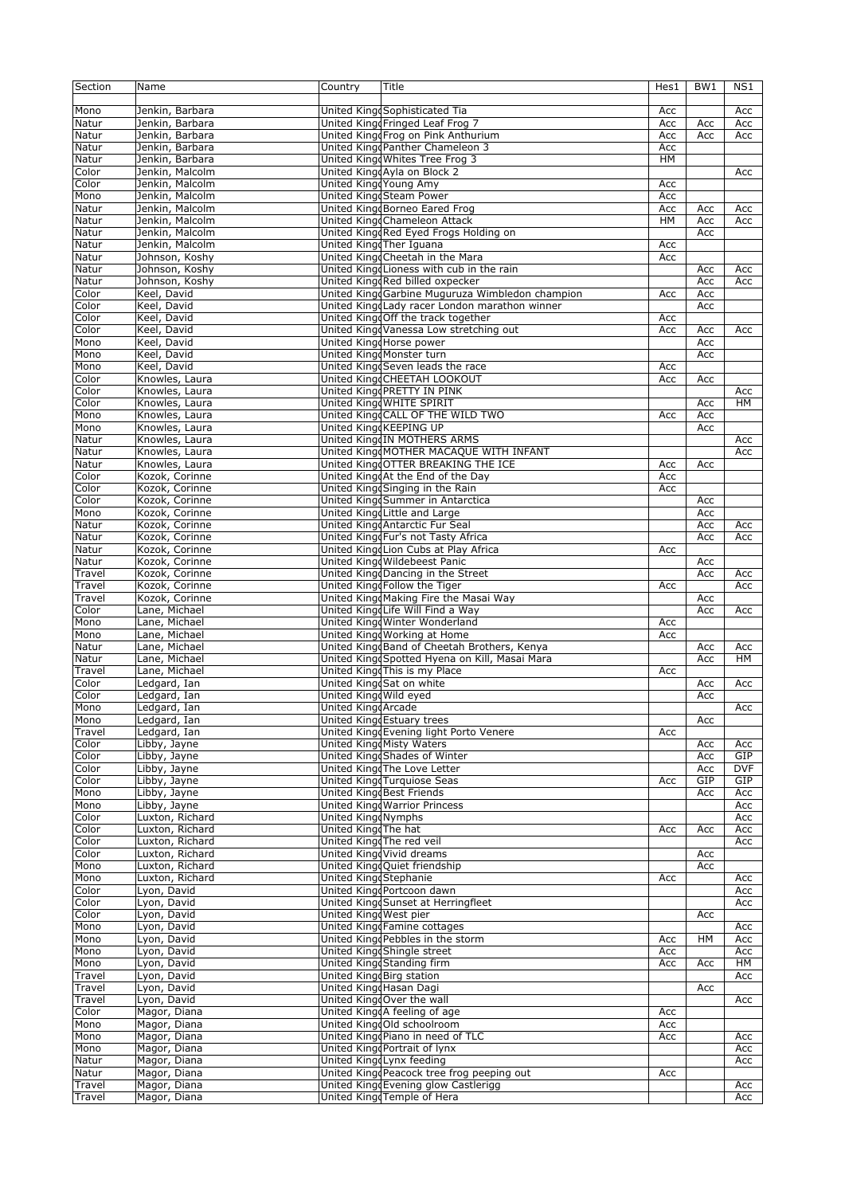| Section | Name            | Country                  | Title                                           | Hes1      | BW1 | NS1        |
|---------|-----------------|--------------------------|-------------------------------------------------|-----------|-----|------------|
|         |                 |                          |                                                 |           |     |            |
| Mono    | Jenkin, Barbara |                          | United KingdSophisticated Tia                   | Acc       |     | Acc        |
| Natur   | Jenkin, Barbara |                          | United Kingd Fringed Leaf Frog 7                | Acc       | Acc | Acc        |
| Natur   | Jenkin, Barbara |                          | United KingdFrog on Pink Anthurium              | Acc       | Acc | Acc        |
| Natur   | Jenkin, Barbara |                          | United KingdPanther Chameleon 3                 | Acc       |     |            |
| Natur   | Jenkin, Barbara |                          | United Kingd Whites Tree Frog 3                 | HМ        |     |            |
| Color   | Jenkin, Malcolm |                          | United KingdAyla on Block 2                     |           |     | Acc        |
| Color   | Jenkin, Malcolm | United KingdYoung Amy    |                                                 | Acc       |     |            |
| Mono    | Jenkin, Malcolm |                          | United KingdSteam Power                         | Acc       |     |            |
| Natur   | Jenkin, Malcolm |                          | United King Borneo Eared Frog                   | Acc       |     |            |
|         |                 |                          |                                                 |           | Acc | Acc        |
| Natur   | Jenkin, Malcolm |                          | United KingdChameleon Attack                    | <b>HM</b> | Acc | Acc        |
| Natur   | Jenkin, Malcolm |                          | United KingdRed Eyed Frogs Holding on           |           | Acc |            |
| Natur   | Jenkin, Malcolm |                          | United KingdTher Iguana                         | Acc       |     |            |
| Natur   | Johnson, Koshy  |                          | United King Cheetah in the Mara                 | Acc       |     |            |
| Natur   | Johnson, Koshy  |                          | United King Lioness with cub in the rain        |           | Acc | Acc        |
| Natur   | Johnson, Koshy  |                          | United KingdRed billed oxpecker                 |           | Acc | Acc        |
| Color   | Keel, David     |                          | United KingdGarbine Muguruza Wimbledon champion | Acc       | Acc |            |
| Color   | Keel, David     |                          | United Kingd Lady racer London marathon winner  |           | Acc |            |
| Color   | Keel, David     |                          | United Kingd Off the track together             | Acc       |     |            |
| Color   | Keel, David     |                          | United KingdVanessa Low stretching out          | Acc       | Acc | Acc        |
| Mono    | Keel, David     |                          | United Kingd Horse power                        |           | Acc |            |
| Mono    | Keel, David     |                          | United KingdMonster turn                        |           | Acc |            |
| Mono    | Keel, David     |                          | United King Seven leads the race                | Acc       |     |            |
| Color   | Knowles, Laura  |                          | United King CHEETAH LOOKOUT                     | Acc       | Acc |            |
| Color   | Knowles, Laura  |                          | United KingdPRETTY IN PINK                      |           |     | Acc        |
| Color   | Knowles, Laura  |                          | United Kingd WHITE SPIRIT                       |           | Acc | HM         |
| Mono    | Knowles, Laura  |                          | United King CALL OF THE WILD TWO                | Acc       | Acc |            |
| Mono    | Knowles, Laura  |                          | United King KEEPING UP                          |           |     |            |
|         |                 |                          |                                                 |           | Acc |            |
| Natur   | Knowles, Laura  |                          | United KingdIN MOTHERS ARMS                     |           |     | Acc        |
| Natur   | Knowles, Laura  |                          | United KingdMOTHER MACAQUE WITH INFANT          |           |     | Acc        |
| Natur   | Knowles, Laura  |                          | United King OTTER BREAKING THE ICE              | Acc       | Acc |            |
| Color   | Kozok, Corinne  |                          | United KingoAt the End of the Day               | Acc       |     |            |
| Color   | Kozok, Corinne  |                          | United Kingd Singing in the Rain                | Acc       |     |            |
| Color   | Kozok, Corinne  |                          | United KingdSummer in Antarctica                |           | Acc |            |
| Mono    | Kozok, Corinne  |                          | United Kingd Little and Large                   |           | Acc |            |
| Natur   | Kozok, Corinne  |                          | United KingdAntarctic Fur Seal                  |           | Acc | Acc        |
| Natur   | Kozok, Corinne  |                          | United Kingo Fur's not Tasty Africa             |           | Acc | Acc        |
| Natur   | Kozok, Corinne  |                          | United KingdLion Cubs at Play Africa            | Acc       |     |            |
| Natur   | Kozok, Corinne  |                          | United Kingd Wildebeest Panic                   |           | Acc |            |
| Travel  | Kozok, Corinne  |                          | United Kingd Dancing in the Street              |           | Acc | Acc        |
| Travel  | Kozok, Corinne  |                          | United KingdFollow the Tiger                    | Acc       |     | Acc        |
| Travel  | Kozok, Corinne  |                          | United KingdMaking Fire the Masai Way           |           | Acc |            |
| Color   | Lane, Michael   |                          | United Kingd Life Will Find a Way               |           | Acc | Acc        |
| Mono    | Lane, Michael   |                          | United Kingd Winter Wonderland                  | Acc       |     |            |
| Mono    | Lane, Michael   |                          | United Kingd Working at Home                    | Acc       |     |            |
| Natur   | Lane, Michael   |                          | United KingdBand of Cheetah Brothers, Kenya     |           | Acc | Acc        |
| Natur   | Lane, Michael   |                          | United Kingd Spotted Hyena on Kill, Masai Mara  |           | Acc | HM         |
| Travel  | Lane, Michael   |                          | United KingdThis is my Place                    |           |     |            |
|         |                 |                          |                                                 | Acc       |     |            |
| Color   | Ledgard, Ian    |                          | United KingdSat on white                        |           | Acc | Acc        |
| Color   | Ledgard, Ian    | United Kingd Wild eyed   |                                                 |           | Acc |            |
| Mono    | Ledgard, Ian    | United King Arcade       |                                                 |           |     | Acc        |
| Mono    | Ledgard, Ian    |                          | United King Estuary trees                       |           | Acc |            |
| Travel  | Ledgard, Ian    |                          | United Kingd Evening light Porto Venere         | Acc       |     |            |
| Color   | Libby, Jayne    |                          | <b>United KingdMisty Waters</b>                 |           | Acc | Acc        |
| Color   | Libby, Jayne    |                          | United KingdShades of Winter                    |           | Acc | GIP        |
| Color   | Libby, Jayne    |                          | United KingdThe Love Letter                     |           | Acc | <b>DVF</b> |
| Color   | Libby, Jayne    |                          | United Kingd Turquiose Seas                     | Acc       | GIP | GIP        |
| Mono    | Libby, Jayne    |                          | United King Best Friends                        |           | Acc | Acc        |
| Mono    | Libby, Jayne    |                          | United Kingd Warrior Princess                   |           |     | Acc        |
| Color   | Luxton, Richard | United Kingd Nymphs      |                                                 |           |     | Acc        |
| Color   | Luxton, Richard | United Kingd The hat     |                                                 | Acc       | Acc | Acc        |
| Color   | Luxton, Richard |                          | United KingdThe red veil                        |           |     | Acc        |
| Color   | Luxton, Richard |                          | United KingdVivid dreams                        |           | Acc |            |
| Mono    | Luxton, Richard |                          | United King Quiet friendship                    |           | Acc |            |
| Mono    | Luxton, Richard | United King Stephanie    |                                                 | Acc       |     | Acc        |
| Color   | Lyon, David     |                          | United KingdPortcoon dawn                       |           |     | Acc        |
| Color   | Lyon, David     |                          | United Kingd Sunset at Herringfleet             |           |     | Acc        |
| Color   | Lyon, David     | United KingdWest pier    |                                                 |           | Acc |            |
| Mono    | Lyon, David     |                          | United Kingd Famine cottages                    |           |     | Acc        |
| Mono    | Lyon, David     |                          | United King Pebbles in the storm                | Acc       | HM  | Acc        |
| Mono    | Lyon, David     |                          | United Kingd Shingle street                     | Acc       |     | Acc        |
| Mono    | Lyon, David     |                          | United KingdStanding firm                       | Acc       | Acc | HМ         |
| Travel  | Lyon, David     | United KingdBirg station |                                                 |           |     | Acc        |
| Travel  |                 |                          |                                                 |           |     |            |
|         | Lyon, David     | United Kingd Hasan Dagi  |                                                 |           | Acc |            |
| Travel  | Lyon, David     |                          | United KingdOver the wall                       |           |     | Acc        |
| Color   | Magor, Diana    |                          | United KingdA feeling of age                    | Acc       |     |            |
| Mono    | Magor, Diana    |                          | United King Old schoolroom                      | Acc       |     |            |
| Mono    | Magor, Diana    |                          | United King Piano in need of TLC                | Acc       |     | Acc        |
| Mono    | Magor, Diana    |                          | United Kingd Portrait of lynx                   |           |     | Acc        |
| Natur   | Magor, Diana    |                          | United Kingd Lynx feeding                       |           |     | Acc        |
| Natur   | Magor, Diana    |                          | United KingdPeacock tree frog peeping out       | Acc       |     |            |
| Travel  | Magor, Diana    |                          | United KingdEvening glow Castlerigg             |           |     | Acc        |
| Travel  | Magor, Diana    |                          | United KingdTemple of Hera                      |           |     | Acc        |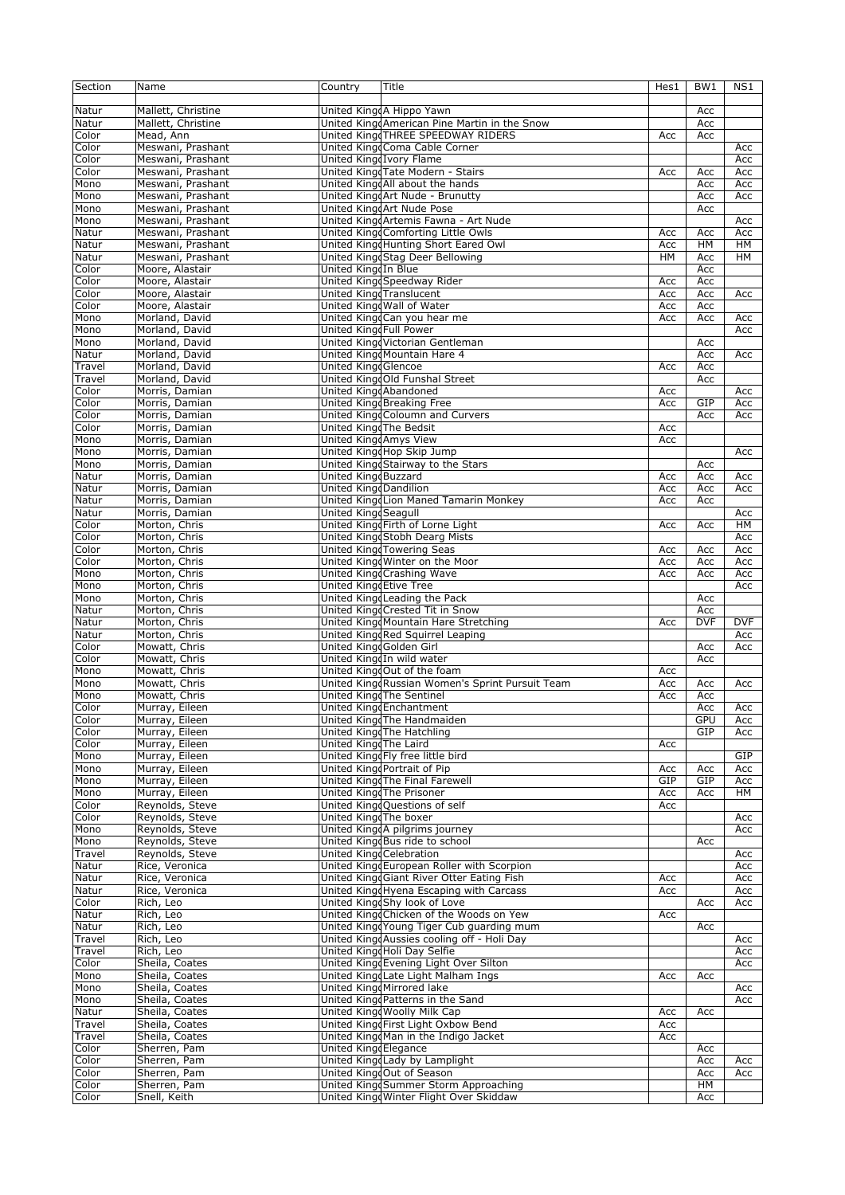| Section | Name                               | Country                  | Title                                           | Hes1 | BW1        | NS1        |
|---------|------------------------------------|--------------------------|-------------------------------------------------|------|------------|------------|
|         |                                    |                          |                                                 |      |            |            |
| Natur   | Mallett, Christine                 |                          | United KingdA Hippo Yawn                        |      | Acc        |            |
| Natur   | Mallett, Christine                 |                          | United KingdAmerican Pine Martin in the Snow    |      | Acc        |            |
| Color   | Mead, Ann                          |                          | United KingdTHREE SPEEDWAY RIDERS               | Acc  | Acc        |            |
| Color   | Meswani, Prashant                  |                          | United KingdComa Cable Corner                   |      |            | Acc        |
| Color   | Meswani, Prashant                  |                          | United KingdIvory Flame                         |      |            | Acc        |
| Color   | Meswani, Prashant                  |                          | United KingdTate Modern - Stairs                | Acc  | Acc        | Acc        |
| Mono    | Meswani, Prashant                  |                          | United KingdAll about the hands                 |      | Acc        | Acc        |
| Mono    | Meswani, Prashant                  |                          | United KingdArt Nude - Brunutty                 |      | Acc        | Acc        |
| Mono    | Meswani, Prashant                  |                          | United KingdArt Nude Pose                       |      | Acc        |            |
| Mono    | Meswani, Prashant                  |                          | United KingdArtemis Fawna - Art Nude            |      |            | Acc        |
| Natur   | Meswani, Prashant                  |                          | United King Comforting Little Owls              | Acc  | Acc        | Acc        |
| Natur   | Meswani, Prashant                  |                          | United Kingd Hunting Short Eared Owl            | Acc  | HM         | HМ         |
| Natur   | Meswani, Prashant                  |                          | United KingdStag Deer Bellowing                 | HM   | Acc        | HМ         |
| Color   | Moore, Alastair                    | United KingdIn Blue      |                                                 |      | Acc        |            |
| Color   | Moore, Alastair                    |                          | United KingdSpeedway Rider                      | Acc  | Acc        |            |
| Color   |                                    |                          | <b>United KingdTranslucent</b>                  | Acc  |            |            |
| Color   | Moore, Alastair<br>Moore, Alastair |                          | United Kingd Wall of Water                      | Acc  | Acc<br>Acc | Acc        |
| Mono    | Morland, David                     |                          | United KingdCan you hear me                     | Acc  | Acc        | Acc        |
| Mono    | Morland, David                     | United King Full Power   |                                                 |      |            | Acc        |
|         |                                    |                          | United KingdVictorian Gentleman                 |      |            |            |
| Mono    | Morland, David                     |                          |                                                 |      | Acc        |            |
| Natur   | Morland, David                     |                          | United KingdMountain Hare 4                     |      | Acc        | Acc        |
| Travel  | Morland, David                     | United King Glencoe      |                                                 | Acc  | Acc        |            |
| Travel  | Morland, David                     |                          | United King Old Funshal Street                  |      | Acc        |            |
| Color   | Morris, Damian                     | United King Abandoned    |                                                 | Acc  |            | Acc        |
| Color   | Morris, Damian                     |                          | United King Breaking Free                       | Acc  | GIP        | Acc        |
| Color   | Morris, Damian                     |                          | United King Coloumn and Curvers                 |      | Acc        | Acc        |
| Color   | Morris, Damian                     | United KingdThe Bedsit   |                                                 | Acc  |            |            |
| Mono    | Morris, Damian                     | United KingdAmys View    |                                                 | Acc  |            |            |
| Mono    | Morris, Damian                     |                          | United King Hop Skip Jump                       |      |            | Acc        |
| Mono    | Morris, Damian                     |                          | United KingdStairway to the Stars               |      | Acc        |            |
| Natur   | Morris, Damian                     | United King Buzzard      |                                                 | Acc  | Acc        | Acc        |
| Natur   | Morris, Damian                     | United KingdDandilion    |                                                 | Acc  | Acc        | Acc        |
| Natur   | Morris, Damian                     |                          | United KingdLion Maned Tamarin Monkey           | Acc  | Acc        |            |
| Natur   | Morris, Damian                     | United King Seagull      |                                                 |      |            | Acc        |
| Color   | Morton, Chris                      |                          | United KingdFirth of Lorne Light                | Acc  | Acc        | HМ         |
| Color   | Morton, Chris                      |                          | United KingdStobh Dearg Mists                   |      |            | Acc        |
| Color   | Morton, Chris                      |                          | United KingdTowering Seas                       | Acc  | Acc        | Acc        |
| Color   | Morton, Chris                      |                          | United Kingd Winter on the Moor                 | Acc  | Acc        | Acc        |
| Mono    | Morton, Chris                      |                          | United Kingd Crashing Wave                      | Acc  | Acc        | Acc        |
| Mono    | Morton, Chris                      | United King Etive Tree   |                                                 |      |            | Acc        |
| Mono    | Morton, Chris                      |                          | United KingdLeading the Pack                    |      | Acc        |            |
| Natur   | Morton, Chris                      |                          | United Kingd Crested Tit in Snow                |      | Acc        |            |
| Natur   | Morton, Chris                      |                          | United Kingd Mountain Hare Stretching           | Acc  | <b>DVF</b> | <b>DVF</b> |
| Natur   | Morton, Chris                      |                          | United KingdRed Squirrel Leaping                |      |            | Acc        |
| Color   | Mowatt, Chris                      | United King Golden Girl  |                                                 |      | Acc        | Acc        |
| Color   | Mowatt, Chris                      |                          | United KingdIn wild water                       |      | Acc        |            |
| Mono    | Mowatt, Chris                      |                          | United King Out of the foam                     | Acc  |            |            |
| Mono    | Mowatt, Chris                      |                          | United KingdRussian Women's Sprint Pursuit Team | Acc  | Acc        | Acc        |
| Mono    | Mowatt, Chris                      |                          | United KingdThe Sentinel                        | Acc  | Acc        |            |
| Color   | Murray, Eileen                     |                          | United KingdEnchantment                         |      | Acc        | Acc        |
| Color   | Murray, Eileen                     |                          | United KingdThe Handmaiden                      |      | <b>GPU</b> | Acc        |
| Color   | Murray, Eileen                     |                          | United Kingd The Hatchling                      |      | GIP        | Acc        |
| Color   | Murray, Eileen                     | United Kingd The Laird   |                                                 | Acc  |            |            |
| Mono    | Murray, Eileen                     |                          | United KingdFly free little bird                |      |            | GIP        |
| Mono    | Murray, Eileen                     |                          | United Kingd Portrait of Pip                    | Acc  | Acc        | Acc        |
| Mono    | Murray, Eileen                     |                          | United Kingd The Final Farewell                 | GIP  | GIP        | Acc        |
| Mono    | Murray, Eileen                     |                          | United KingdThe Prisoner                        | Acc  | Acc        | HМ         |
| Color   | Reynolds, Steve                    |                          | United KingdQuestions of self                   | Acc  |            |            |
| Color   | Reynolds, Steve                    | United KingdThe boxer    |                                                 |      |            | Acc        |
| Mono    | Reynolds, Steve                    |                          | United King A pilgrims journey                  |      |            | Acc        |
| Mono    | Reynolds, Steve                    |                          | United Kingd Bus ride to school                 |      | Acc        |            |
| Travel  | Reynolds, Steve                    | United Kingd Celebration |                                                 |      |            | Acc        |
| Natur   | Rice, Veronica                     |                          | United KingdEuropean Roller with Scorpion       |      |            | Acc        |
| Natur   | Rice, Veronica                     |                          | United King Giant River Otter Eating Fish       | Acc  |            | Acc        |
| Natur   | Rice, Veronica                     |                          | United KingdHyena Escaping with Carcass         | Acc  |            | Acc        |
| Color   | Rich, Leo                          |                          | United KingdShy look of Love                    |      | Acc        | Acc        |
| Natur   | Rich, Leo                          |                          | United King Chicken of the Woods on Yew         | Acc  |            |            |
| Natur   | Rich, Leo                          |                          | United Kingd Young Tiger Cub guarding mum       |      | Acc        |            |
| Travel  | Rich, Leo                          |                          | United KingdAussies cooling off - Holi Day      |      |            | Acc        |
| Travel  | Rich, Leo                          |                          | United KingdHoli Day Selfie                     |      |            | Acc        |
| Color   | Sheila, Coates                     |                          | United KingdEvening Light Over Silton           |      |            | Acc        |
| Mono    | Sheila, Coates                     |                          | United KingdLate Light Malham Ings              | Acc  | Acc        |            |
| Mono    | Sheila, Coates                     |                          | United KingdMirrored lake                       |      |            | Acc        |
| Mono    | Sheila, Coates                     |                          | United KingdPatterns in the Sand                |      |            | Acc        |
| Natur   | Sheila, Coates                     |                          | United Kingd Woolly Milk Cap                    | Acc  | Acc        |            |
| Travel  | Sheila, Coates                     |                          | United KingdFirst Light Oxbow Bend              | Acc  |            |            |
| Travel  | Sheila, Coates                     |                          | United KingdMan in the Indigo Jacket            | Acc  |            |            |
| Color   | Sherren, Pam                       | United Kingd Elegance    |                                                 |      | Acc        |            |
| Color   | Sherren, Pam                       |                          | United Kingd Lady by Lamplight                  |      | Acc        | Acc        |
| Color   | Sherren, Pam                       |                          | United KingdOut of Season                       |      | Acc        | Acc        |
| Color   | Sherren, Pam                       |                          | United KingdSummer Storm Approaching            |      | HM         |            |
| Color   | Snell, Keith                       |                          | United Kingd Winter Flight Over Skiddaw         |      | Acc        |            |
|         |                                    |                          |                                                 |      |            |            |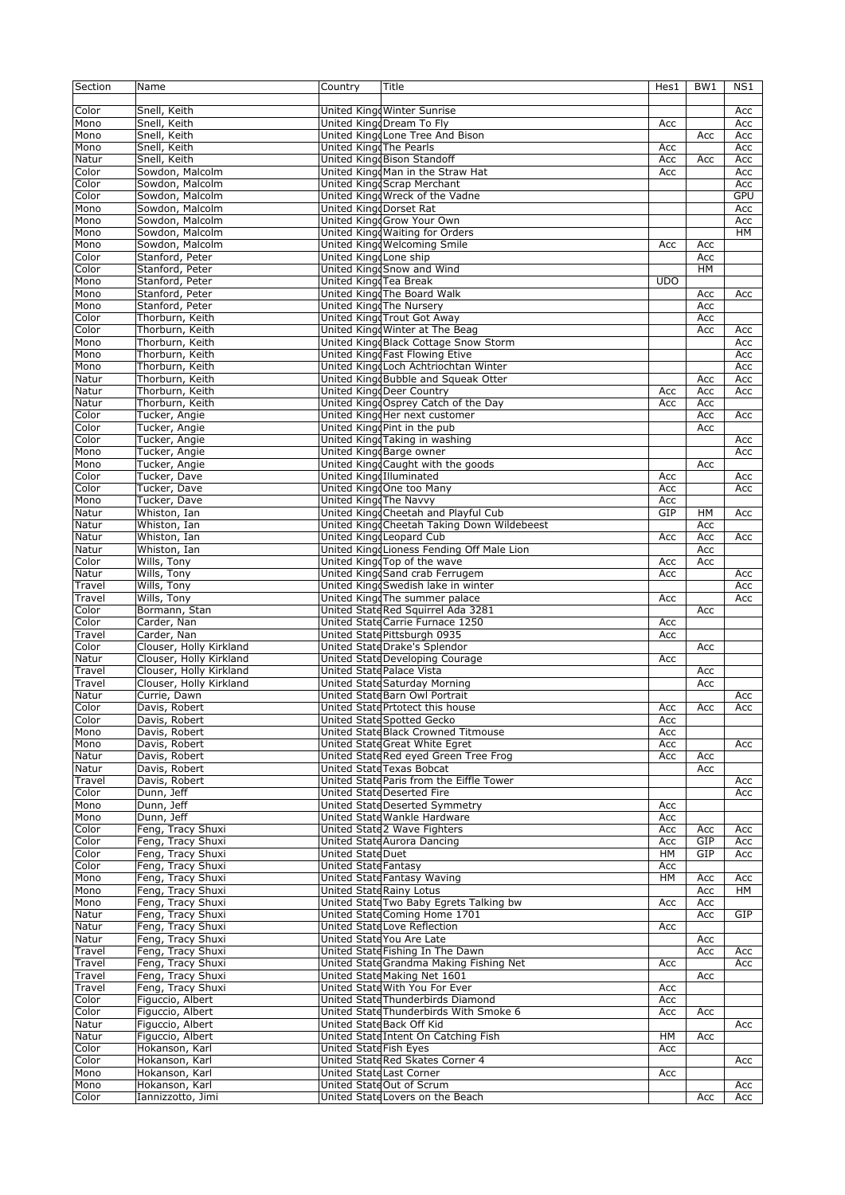| Section | Name                               | Country                 | Title                                      | Hes1       | BW1 | NS1        |
|---------|------------------------------------|-------------------------|--------------------------------------------|------------|-----|------------|
|         |                                    |                         |                                            |            |     |            |
| Color   | Snell, Keith                       |                         | United Kingd Winter Sunrise                |            |     | Acc        |
| Mono    | Snell, Keith                       |                         | United King Dream To Fly                   | Acc        |     | Acc        |
| Mono    | Snell, Keith                       |                         | United KingdLone Tree And Bison            |            | Acc | Acc        |
| Mono    | Snell, Keith                       | United Kingd The Pearls |                                            | Acc        |     | Acc        |
| Natur   | Snell, Keith                       |                         | United King Bison Standoff                 | Acc        | Acc | Acc        |
| Color   | Sowdon, Malcolm                    |                         | United KingdMan in the Straw Hat           | Acc        |     | Acc        |
| Color   | Sowdon, Malcolm                    |                         | United Kingd Scrap Merchant                |            |     | Acc        |
| Color   | Sowdon, Malcolm                    |                         | United Kingd Wreck of the Vadne            |            |     | <b>GPU</b> |
| Mono    | Sowdon, Malcolm                    | United King Dorset Rat  |                                            |            |     | Acc        |
|         |                                    |                         | United KingdGrow Your Own                  |            |     |            |
| Mono    | Sowdon, Malcolm<br>Sowdon, Malcolm |                         | United Kingd Waiting for Orders            |            |     | Acc        |
| Mono    |                                    |                         |                                            |            |     | <b>HM</b>  |
| Mono    | Sowdon, Malcolm                    |                         | United Kingd Welcoming Smile               | Acc        | Acc |            |
| Color   | Stanford, Peter                    | United King Lone ship   |                                            |            | Acc |            |
| Color   | Stanford, Peter                    |                         | United Kingd Snow and Wind                 |            | HM  |            |
| Mono    | Stanford, Peter                    | United King Tea Break   |                                            | <b>UDO</b> |     |            |
| Mono    | Stanford, Peter                    |                         | United King The Board Walk                 |            | Acc | Acc        |
| Mono    | Stanford, Peter                    |                         | United KingdThe Nursery                    |            | Acc |            |
| Color   | Thorburn, Keith                    |                         | United Kingd Trout Got Away                |            | Acc |            |
| Color   | Thorburn, Keith                    |                         | United Kingd Winter at The Beag            |            | Acc | Acc        |
| Mono    | Thorburn, Keith                    |                         | United KingdBlack Cottage Snow Storm       |            |     | Acc        |
| Mono    | Thorburn, Keith                    |                         | United King Fast Flowing Etive             |            |     | Acc        |
| Mono    | Thorburn, Keith                    |                         | United KingdLoch Achtriochtan Winter       |            |     | Acc        |
| Natur   | Thorburn, Keith                    |                         | United King Bubble and Squeak Otter        |            | Acc | Acc        |
| Natur   | Thorburn, Keith                    |                         | United KingdDeer Country                   | Acc        | Acc | Acc        |
| Natur   | Thorburn, Keith                    |                         | United KingdOsprey Catch of the Day        | Acc        | Acc |            |
| Color   | Tucker, Angie                      |                         | United KingdHer next customer              |            | Acc | Acc        |
| Color   | Tucker, Angie                      |                         | United King Pint in the pub                |            | Acc |            |
|         |                                    |                         |                                            |            |     |            |
| Color   | Tucker, Angie                      |                         | United KingdTaking in washing              |            |     | Acc        |
| Mono    | Tucker, Angie                      |                         | United KingdBarge owner                    |            |     | Acc        |
| Mono    | Tucker, Angie                      |                         | United KingdCaught with the goods          |            | Acc |            |
| Color   | Tucker, Dave                       | United King Illuminated |                                            | Acc        |     | Acc        |
| Color   | Tucker, Dave                       |                         | United KingdOne too Many                   | Acc        |     | Acc        |
| Mono    | Tucker, Dave                       | United Kingd The Navvy  |                                            | Acc        |     |            |
| Natur   | Whiston, Ian                       |                         | United Kingd Cheetah and Playful Cub       | GIP        | HM  | Acc        |
| Natur   | Whiston, Ian                       |                         | United KingdCheetah Taking Down Wildebeest |            | Acc |            |
| Natur   | Whiston, Ian                       |                         | United KingdLeopard Cub                    | Acc        | Acc | Acc        |
| Natur   | Whiston, Ian                       |                         | United KingdLioness Fending Off Male Lion  |            | Acc |            |
| Color   | Wills, Tony                        |                         | United King Top of the wave                | Acc        | Acc |            |
| Natur   | Wills, Tony                        |                         | United KingdSand crab Ferrugem             | Acc        |     | Acc        |
| Travel  | Wills, Tony                        |                         | United Kingd Swedish lake in winter        |            |     | Acc        |
| Travel  | Wills, Tony                        |                         | United KingdThe summer palace              | Acc        |     | Acc        |
| Color   | Bormann, Stan                      |                         | United State Red Squirrel Ada 3281         |            | Acc |            |
| Color   | Carder, Nan                        |                         | United State Carrie Furnace 1250           | Acc        |     |            |
| Travel  | Carder, Nan                        |                         | United State Pittsburgh 0935               | Acc        |     |            |
| Color   | Clouser, Holly Kirkland            |                         | United StateDrake's Splendor               |            | Acc |            |
| Natur   | Clouser, Holly Kirkland            |                         | United State Developing Courage            | Acc        |     |            |
| Travel  | Clouser, Holly Kirkland            |                         | United State Palace Vista                  |            |     |            |
|         |                                    |                         |                                            |            | Acc |            |
| Travel  | Clouser, Holly Kirkland            |                         | United State Saturday Morning              |            | Acc |            |
| Natur   | Currie, Dawn                       |                         | United State Barn Owl Portrait             |            |     | Acc        |
| Color   | Davis, Robert                      |                         | United State Prtotect this house           | Acc        | Acc | Acc        |
| Color   | Davis, Robert                      |                         | United State Spotted Gecko                 | Acc        |     |            |
| Mono    | Davis, Robert                      |                         | United State Black Crowned Titmouse        | Acc        |     |            |
| Mono    | Davis, Robert                      |                         | United State Great White Egret             | Acc        |     | Acc        |
| Natur   | Davis, Robert                      |                         | United State Red eyed Green Tree Frog      | Acc        | Acc |            |
| Natur   | Davis, Robert                      |                         | United State Texas Bobcat                  |            | Acc |            |
| Travel  | Davis, Robert                      |                         | United State Paris from the Eiffle Tower   |            |     | Acc        |
| Color   | Dunn, Jeff                         |                         | United State Deserted Fire                 |            |     | Acc        |
| Mono    | Dunn, Jeff                         |                         | United StateDeserted Symmetry              | Acc        |     |            |
| Mono    | Dunn, Jeff                         |                         | United State Wankle Hardware               | Acc        |     |            |
| Color   | Feng, Tracy Shuxi                  |                         | United State 2 Wave Fighters               | Acc        | Acc | Acc        |
| Color   | Feng, Tracy Shuxi                  |                         | United State Aurora Dancing                | Acc        | GIP | Acc        |
| Color   | Feng, Tracy Shuxi                  | <b>United StateDuet</b> |                                            | HМ         | GIP | Acc        |
| Color   | Feng, Tracy Shuxi                  | United State Fantasy    |                                            | Acc        |     |            |
| Mono    | Feng, Tracy Shuxi                  |                         | United State Fantasy Waving                | HМ         | Acc | Acc        |
| Mono    | Feng, Tracy Shuxi                  |                         | United State Rainy Lotus                   |            | Acc | HМ         |
| Mono    | Feng, Tracy Shuxi                  |                         | United State Two Baby Egrets Talking bw    | Acc        | Acc |            |
| Natur   | Feng, Tracy Shuxi                  |                         | United State Coming Home 1701              |            | Acc | GIP        |
| Natur   | Feng, Tracy Shuxi                  |                         | United State Love Reflection               | Acc        |     |            |
|         | Feng, Tracy Shuxi                  |                         | United State You Are Late                  |            |     |            |
| Natur   |                                    |                         | United State Fishing In The Dawn           |            | Acc |            |
| Travel  | Feng, Tracy Shuxi                  |                         |                                            |            | Acc | Acc        |
| Travel  | Feng, Tracy Shuxi                  |                         | United State Grandma Making Fishing Net    | Acc        |     | Acc        |
| Travel  | Feng, Tracy Shuxi                  |                         | United State Making Net 1601               |            | Acc |            |
| Travel  | Feng, Tracy Shuxi                  |                         | United State With You For Ever             | Acc        |     |            |
| Color   | Figuccio, Albert                   |                         | United State Thunderbirds Diamond          | Acc        |     |            |
| Color   | Figuccio, Albert                   |                         | United State Thunderbirds With Smoke 6     | Acc        | Acc |            |
| Natur   | Figuccio, Albert                   |                         | United State Back Off Kid                  |            |     | Acc        |
| Natur   | Figuccio, Albert                   |                         | United State Intent On Catching Fish       | HМ         | Acc |            |
| Color   | Hokanson, Karl                     | United State Fish Eyes  |                                            | Acc        |     |            |
| Color   | Hokanson, Karl                     |                         | United State Red Skates Corner 4           |            |     | Acc        |
| Mono    | Hokanson, Karl                     |                         | United State Last Corner                   | Acc        |     |            |
| Mono    | Hokanson, Karl                     |                         | United StateOut of Scrum                   |            |     | Acc        |
| Color   | Iannizzotto, Jimi                  |                         | United State Lovers on the Beach           |            | Acc | Acc        |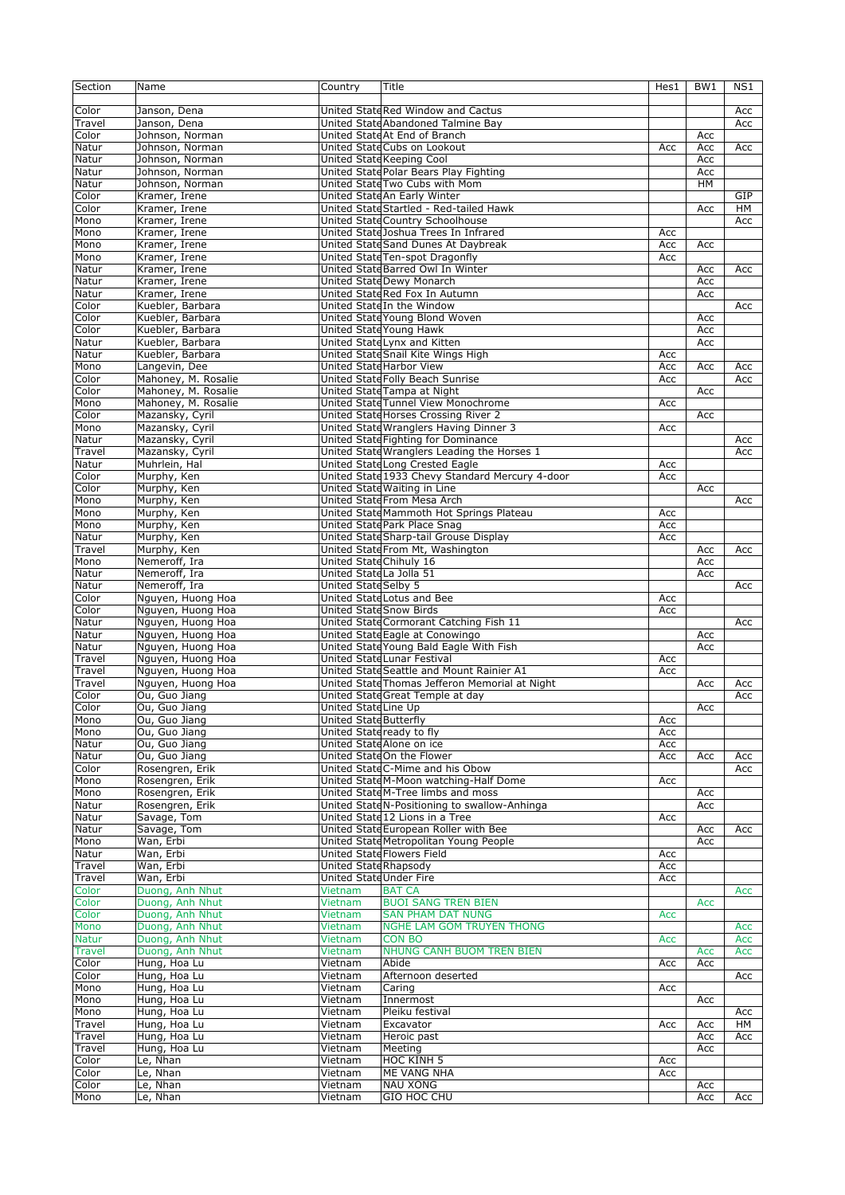| Section        | Name                              | Country                        | Title                                           | Hes1 | BW1        | N <sub>S1</sub> |
|----------------|-----------------------------------|--------------------------------|-------------------------------------------------|------|------------|-----------------|
|                |                                   |                                |                                                 |      |            |                 |
| Color          | Janson, Dena                      |                                | United State Red Window and Cactus              |      |            | Acc             |
| Travel         | Janson, Dena                      |                                | United State Abandoned Talmine Bay              |      |            | Acc             |
| Color          | Johnson, Norman                   |                                | United State At End of Branch                   |      | Acc        |                 |
| Natur          | Johnson, Norman                   |                                | United State Cubs on Lookout                    | Acc  | Acc        | Acc             |
| Natur          | Johnson, Norman                   |                                | <b>United State Keeping Cool</b>                |      | Acc        |                 |
| Natur          | Johnson, Norman                   |                                | United State Polar Bears Play Fighting          |      | Acc        |                 |
| Natur          | Johnson, Norman                   |                                | United State Two Cubs with Mom                  |      | HM         |                 |
| Color          | Kramer, Irene                     |                                | United State An Early Winter                    |      |            | GIP             |
| Color          | Kramer, Irene                     |                                | United State Startled - Red-tailed Hawk         |      | Acc        | HM              |
| Mono           | Kramer, Irene                     |                                | United State Country Schoolhouse                |      |            | Acc             |
| Mono           | Kramer, Irene                     |                                | United State Joshua Trees In Infrared           | Acc  |            |                 |
| Mono           | Kramer, Irene                     |                                | United State Sand Dunes At Daybreak             | Acc  | Acc        |                 |
| Mono           | Kramer, Irene                     |                                | United State Ten-spot Dragonfly                 | Acc  |            |                 |
| Natur          | Kramer, Irene                     |                                | United State Barred Owl In Winter               |      | Acc        |                 |
|                |                                   |                                | United State Dewy Monarch                       |      |            | Acc             |
| Natur          | Kramer, Irene                     |                                | United State Red Fox In Autumn                  |      | Acc        |                 |
| Natur<br>Color | Kramer, Irene<br>Kuebler, Barbara |                                | United State In the Window                      |      | Acc        | Acc             |
| Color          | Kuebler, Barbara                  |                                | United State Young Blond Woven                  |      | Acc        |                 |
|                |                                   |                                |                                                 |      |            |                 |
| Color          | Kuebler, Barbara                  |                                | United State Young Hawk                         |      | Acc        |                 |
| Natur          | Kuebler, Barbara                  |                                | United StateLynx and Kitten                     |      | Acc        |                 |
| Natur          | Kuebler, Barbara                  |                                | United State Snail Kite Wings High              | Acc  |            |                 |
| Mono           | Langevin, Dee                     |                                | United State Harbor View                        | Acc  | Acc        | Acc             |
| Color          | Mahoney, M. Rosalie               |                                | United State Folly Beach Sunrise                | Acc  |            | Acc             |
| Color          | Mahoney, M. Rosalie               |                                | United State Tampa at Night                     |      | Acc        |                 |
| Mono           | Mahoney, M. Rosalie               |                                | United State Tunnel View Monochrome             | Acc  |            |                 |
| Color          | Mazansky, Cyril                   |                                | United State Horses Crossing River 2            |      | Acc        |                 |
| Mono           | Mazansky, Cyril                   |                                | United State Wranglers Having Dinner 3          | Acc  |            |                 |
| Natur          | Mazansky, Cyril                   |                                | United State Fighting for Dominance             |      |            | Acc             |
| Travel         | Mazansky, Cyril                   |                                | United State Wranglers Leading the Horses 1     |      |            | Acc             |
| Natur          | Muhrlein, Hal                     |                                | United State Long Crested Eagle                 | Acc  |            |                 |
| Color          | Murphy, Ken                       |                                | United State 1933 Chevy Standard Mercury 4-door | Acc  |            |                 |
| Color          | Murphy, Ken                       |                                | United State Waiting in Line                    |      | Acc        |                 |
| Mono           | Murphy, Ken                       |                                | United State From Mesa Arch                     |      |            | Acc             |
| Mono           | Murphy, Ken                       |                                | United State Mammoth Hot Springs Plateau        | Acc  |            |                 |
| Mono           | Murphy, Ken                       |                                | United State Park Place Snag                    | Acc  |            |                 |
| Natur          | Murphy, Ken                       |                                | United State Sharp-tail Grouse Display          | Acc  |            |                 |
| Travel         | Murphy, Ken                       |                                | United State From Mt, Washington                |      | Acc        | Acc             |
| Mono           | Nemeroff, Ira                     | United State Chihuly 16        |                                                 |      | Acc        |                 |
| Natur          | Nemeroff, Ira                     | United StateLa Jolla 51        |                                                 |      | Acc        |                 |
| Natur          | Nemeroff, Ira                     | <b>United State Selby 5</b>    |                                                 |      |            | Acc             |
| Color          | Nguyen, Huong Hoa                 |                                | United State Lotus and Bee                      | Acc  |            |                 |
| Color          | Nguyen, Huong Hoa                 | <b>United State Snow Birds</b> |                                                 | Acc  |            |                 |
| Natur          | Nguyen, Huong Hoa                 |                                | United State Cormorant Catching Fish 11         |      |            | Acc             |
| Natur          | Nguyen, Huong Hoa                 |                                | United State Eagle at Conowingo                 |      | Acc        |                 |
| Natur          | Nguyen, Huong Hoa                 |                                | United State Young Bald Eagle With Fish         |      | Acc        |                 |
| Travel         | Nguyen, Huong Hoa                 |                                | United State Lunar Festival                     | Acc  |            |                 |
| Travel         | Nguyen, Huong Hoa                 |                                | United State Seattle and Mount Rainier A1       | Acc  |            |                 |
| Travel         | Nguyen, Huong Hoa                 |                                | United State Thomas Jefferon Memorial at Night  |      | Acc        | Acc             |
| Color          | Ou, Guo Jiang                     |                                | United State Great Temple at day                |      |            | Acc             |
| Color          | Ou, Guo Jiang                     | United State Line Up           |                                                 |      | Acc        |                 |
| Mono           | Ou, Guo Jiang                     | United State Butterfly         |                                                 | Acc  |            |                 |
| Mono           | Ou, Guo Jiang                     | United State ready to fly      |                                                 | Acc  |            |                 |
| Natur          | Ou, Guo Jiang                     |                                | United State Alone on ice                       | Acc  |            |                 |
| Natur          | Ou, Guo Jiang                     |                                | United StateOn the Flower                       | Acc  | Acc        | Acc             |
| Color          | Rosengren, Erik                   |                                | United State C-Mime and his Obow                |      |            | Acc             |
| Mono           | Rosengren, Erik                   |                                | United State M-Moon watching-Half Dome          | Acc  |            |                 |
| Mono           | Rosengren, Erik                   |                                | United State M-Tree limbs and moss              |      | Acc        |                 |
| Natur          | Rosengren, Erik                   |                                | United State N-Positioning to swallow-Anhinga   |      | Acc        |                 |
| Natur          | Savage, Tom                       |                                | United State 12 Lions in a Tree                 | Acc  |            |                 |
| Natur          | Savage, Tom                       |                                | United State European Roller with Bee           |      | Acc        | Acc             |
| Mono           | Wan, Erbi                         |                                | United State Metropolitan Young People          |      | Acc        |                 |
| Natur          | Wan, Erbi                         |                                | United State Flowers Field                      | Acc  |            |                 |
| Travel         | Wan, Erbi                         | United State Rhapsody          |                                                 | Acc  |            |                 |
| Travel         | Wan, Erbi                         | United State Under Fire        |                                                 | Acc  |            |                 |
| Color          | Duong, Anh Nhut                   | Vietnam                        | <b>BAT CA</b>                                   |      |            | Acc             |
| Color          | Duong, Anh Nhut                   | Vietnam                        | <b>BUOI SANG TREN BIEN</b>                      |      | <b>Acc</b> |                 |
| Color          | Duong, Anh Nhut                   | Vietnam                        | <b>SAN PHAM DAT NUNG</b>                        | Acc  |            |                 |
| Mono           | Duong, Anh Nhut                   | Vietnam                        | <b>NGHE LAM GOM TRUYEN THONG</b>                |      |            | Acc             |
| <b>Natur</b>   | Duong, Anh Nhut                   | Vietnam                        | <b>CON BO</b>                                   | Acc  |            | Acc             |
| <b>Travel</b>  | Duong, Anh Nhut                   | Vietnam                        | NHUNG CANH BUOM TREN BIEN                       |      | Acc        | Acc             |
| Color          | Hung, Hoa Lu                      | Vietnam                        | Abide                                           | Acc  | Acc        |                 |
| Color          | Hung, Hoa Lu                      | Vietnam                        | Afternoon deserted                              |      |            | Acc             |
| Mono           | Hung, Hoa Lu                      | Vietnam                        | Caring                                          | Acc  |            |                 |
| Mono           | Hung, Hoa Lu                      | Vietnam                        | Innermost                                       |      | Acc        |                 |
| Mono           | Hung, Hoa Lu                      | Vietnam                        | Pleiku festival                                 |      |            | Acc             |
| Travel         | Hung, Hoa Lu                      | Vietnam                        | Excavator                                       | Acc  | Acc        | HM              |
| Travel         | Hung, Hoa Lu                      | Vietnam                        | Heroic past                                     |      | Acc        | Acc             |
| Travel         | Hung, Hoa Lu                      | Vietnam                        | Meeting                                         |      | Acc        |                 |
| Color          | Le, Nhan                          | Vietnam                        | HOC KINH 5                                      | Acc  |            |                 |
| Color          | Le, Nhan                          | Vietnam                        | ME VANG NHA                                     | Acc  |            |                 |
| Color          | Le, Nhan                          | Vietnam                        | <b>NAU XONG</b>                                 |      | Acc        |                 |
| Mono           | Le, Nhan                          | Vietnam                        | GIO HOC CHU                                     |      | Acc        | Acc             |